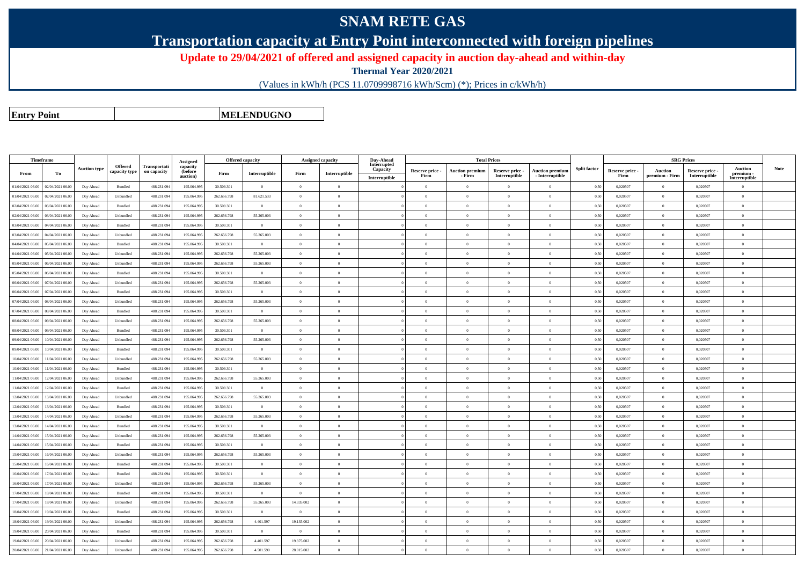## **SNAM RETE GAS**

**Transportation capacity at Entry Point interconnected with foreign pipelines**

**Update to 29/04/2021 of offered and assigned capacity in auction day-ahead and within-day**

**Thermal Year 2020/2021**

(Values in kWh/h (PCS 11.0709998716 kWh/Scm) (\*); Prices in c/kWh/h)

**Entry Point**

**MELENDUGNO**

|                  | Timeframe        |                     |                |              |                      | <b>Offered capacity</b> |                |                | Assigned capacity | Day-Ahead               |                         |                                  | <b>Total Prices</b>              |                                           |                     |                         |                           | <b>SRG Prices</b>                |                            |             |
|------------------|------------------|---------------------|----------------|--------------|----------------------|-------------------------|----------------|----------------|-------------------|-------------------------|-------------------------|----------------------------------|----------------------------------|-------------------------------------------|---------------------|-------------------------|---------------------------|----------------------------------|----------------------------|-------------|
|                  |                  | <b>Auction type</b> | <b>Offered</b> | Transportati | Assigned<br>capacity |                         |                |                |                   | Interrupted<br>Capacity |                         |                                  |                                  |                                           | <b>Split factor</b> |                         |                           |                                  | <b>Auction</b>             | <b>Note</b> |
| From             | To               |                     | capacity type  | on capacity  | (before<br>auction)  | Firm                    | Interruptible  | Firm           | Interruptible     | Interruptible           | Reserve price -<br>Firm | <b>Auction premium</b><br>- Firm | Reserve price -<br>Interruptible | <b>Auction premium</b><br>- Interruptible |                     | Reserve price -<br>Firm | Auction<br>premium - Firm | Reserve price -<br>Interruptible | premium -<br>Interruptible |             |
| 01/04/2021 06:00 | 02/04/2021 06:00 | Day Ahead           | Bundled        | 488.231.09   | 195.064.995          | 30.509.301              | $\Omega$       | $\theta$       | $\theta$          |                         | $\Omega$                | $\theta$                         | $\Omega$                         | $\theta$                                  | 0,50                | 0,020507                | $\Omega$                  | 0,020507                         | $\theta$                   |             |
| 01/04/2021 06:00 | 02/04/2021 06:00 | Day Ahead           | Unbundled      | 488.231.094  | 195.064.995          | 262.656.798             | 81.621.533     | $\theta$       | $\theta$          |                         | $\theta$                | $\theta$                         | $\overline{0}$                   | $\overline{0}$                            | 0,50                | 0,020507                | $\overline{0}$            | 0,020507                         | $\mathbf{0}$               |             |
| 02/04/2021 06:00 | 03/04/2021 06:00 | Day Ahead           | Bundled        | 488.231.094  | 195,064,995          | 30.509.301              | $\overline{0}$ | $\Omega$       | $\Omega$          |                         | $\Omega$                | $\theta$                         | $\Omega$                         | $\Omega$                                  | 0.50                | 0.020507                | $\overline{0}$            | 0.020507                         | $\theta$                   |             |
| 02/04/2021 06:00 | 03/04/2021 06:00 | Day Ahead           | Unbundled      | 488.231.094  | 195.064.995          | 262.656.798             | 55.265.003     | $\overline{0}$ | $\theta$          |                         | $\theta$                | $\theta$                         | $\overline{0}$                   | $\overline{0}$                            | 0,50                | 0,020507                | $\overline{0}$            | 0,020507                         | $\theta$                   |             |
| 03/04/2021 06:00 | 04/04/2021 06:00 | Day Ahead           | Bundled        | 488.231.094  | 195,064,995          | 30.509.301              | $\overline{0}$ | $\Omega$       | $\Omega$          |                         | $\Omega$                | $\theta$                         | $\Omega$                         | $\Omega$                                  | 0.50                | 0.020507                | $\overline{0}$            | 0.020507                         | $\Omega$                   |             |
| 03/04/2021 06:00 | 04/04/2021 06:00 | Day Ahead           | Unbundled      | 488.231.094  | 195.064.995          | 262.656.798             | 55.265.003     | $\overline{0}$ | $\overline{0}$    |                         | $\overline{0}$          | $\theta$                         | $\,$ 0 $\,$                      | $\,$ 0 $\,$                               | 0,50                | 0,020507                | $\overline{0}$            | 0,020507                         | $\,$ 0                     |             |
| 04/04/2021 06:00 | 05/04/2021 06:00 | Day Ahead           | Bundled        | 488.231.094  | 195,064,995          | 30.509.301              | $\overline{0}$ | $\Omega$       | $\Omega$          |                         | $\Omega$                | $\theta$                         | $\Omega$                         | $\theta$                                  | 0.50                | 0.020507                | $\overline{0}$            | 0.020507                         | $\theta$                   |             |
| 04/04/2021 06:00 | 05/04/2021 06:00 | Day Ahead           | Unbundled      | 488.231.094  | 195.064.995          | 262.656.798             | 55.265.003     | $\overline{0}$ | $\Omega$          |                         | $\overline{0}$          | $\theta$                         | $\overline{0}$                   | $\overline{0}$                            | 0,50                | 0,020507                | $\overline{0}$            | 0,020507                         | $\theta$                   |             |
| 05/04/2021 06:00 | 06/04/2021 06:00 | Day Ahead           | Unbundled      | 488.231.094  | 195 064 995          | 262 656 798             | 55.265.003     | $^{\circ}$     | $\Omega$          |                         | $\Omega$                | $\theta$                         | $\Omega$                         | $\Omega$                                  | 0.50                | 0.020507                | $\theta$                  | 0.020507                         | $\Omega$                   |             |
| 05/04/2021 06:00 | 06/04/2021 06:0  | Day Ahead           | Bundled        | 488.231.094  | 195.064.995          | 30.509.301              | $\overline{0}$ | $\Omega$       | $\theta$          |                         | $\Omega$                | $\theta$                         | $\overline{0}$                   | $\theta$                                  | 0,50                | 0,020507                | $\overline{0}$            | 0,020507                         | $\theta$                   |             |
| 06/04/2021 06:00 | 07/04/2021 06:00 | Day Ahead           | Unbundled      | 488.231.094  | 195 064 995          | 262 656 798             | 55.265.003     | $\Omega$       | $\overline{0}$    |                         | $\overline{0}$          | $\mathbf{0}$                     | $\bf{0}$                         | $\overline{0}$                            | 0.50                | 0.020507                | $\overline{0}$            | 0.020507                         | $\overline{0}$             |             |
| 06/04/2021 06:00 | 07/04/2021 06.0  | Day Ahead           | Bundled        | 488.231.09   | 195.064.995          | 30.509.301              | $\bf{0}$       | $\theta$       | $\theta$          |                         | $\theta$                | $\theta$                         | $\overline{0}$                   | $\mathbf{0}$                              | 0,50                | 0,020507                | $\overline{0}$            | 0,020507                         | $\theta$                   |             |
| 07/04/2021 06:00 | 08/04/2021 06:00 | Day Ahead           | Unbundled      | 488.231.094  | 195.064.995          | 262.656.798             | 55.265.003     | $\theta$       | $\Omega$          |                         | $\Omega$                | $\theta$                         | $\overline{0}$                   | $\theta$                                  | 0,50                | 0,020507                | $\overline{0}$            | 0,020507                         | $\Omega$                   |             |
| 07/04/2021 06:00 | 08/04/2021 06:0  | Day Ahead           | Bundled        | 488.231.09   | 195,064,995          | 30.509.301              | $\overline{0}$ | $\theta$       | $\Omega$          |                         | $\Omega$                | $\theta$                         | $\overline{0}$                   | $\Omega$                                  | 0,50                | 0,020507                | $\Omega$                  | 0,020507                         | $\Omega$                   |             |
| 08/04/2021 06:00 | 09/04/2021 06.0  | Day Ahead           | Unbundled      | 488.231.094  | 195.064.995          | 262.656.798             | 55.265.003     | $\overline{0}$ | $\overline{0}$    |                         | $\overline{0}$          | $\overline{0}$                   | $\overline{0}$                   | $\overline{0}$                            | 0,50                | 0,020507                | $\overline{0}$            | 0,020507                         | $\overline{0}$             |             |
| 08/04/2021 06:00 | 09/04/2021 06:00 | Day Ahead           | Bundled        | 488.231.09   | 195.064.995          | 30.509.301              | $\mathbf{0}$   | $\theta$       | $\theta$          |                         | $\theta$                | $\theta$                         | $\overline{0}$                   | $\overline{0}$                            | 0,50                | 0,020507                | $\overline{0}$            | 0,020507                         | $\theta$                   |             |
| 09/04/2021 06:00 | 10/04/2021 06:00 | Day Ahead           | Unbundled      | 488.231.094  | 195.064.995          | 262.656.798             | 55.265.003     | $\overline{0}$ | $\Omega$          |                         | $\overline{0}$          | $\theta$                         | $\overline{0}$                   | $\overline{0}$                            | 0,50                | 0,020507                | $\overline{0}$            | 0,020507                         | $\overline{0}$             |             |
| 09/04/2021 06:00 | 10/04/2021 06:00 | Day Ahead           | Bundled        | 488.231.09   | 195.064.995          | 30.509.301              | $\overline{0}$ | $\theta$       | $\overline{0}$    |                         | $\theta$                | $\theta$                         | $\theta$                         | $\theta$                                  | 0,50                | 0,020507                | $\overline{0}$            | 0,020507                         | $\theta$                   |             |
| 10/04/2021 06:00 | 11/04/2021 06:00 | Day Ahead           | Unbundled      | 488.231.094  | 195.064.995          | 262.656.798             | 55.265.003     | $\theta$       | $\Omega$          |                         | $\Omega$                | $\theta$                         | $\overline{0}$                   | $\theta$                                  | 0,50                | 0,020507                | $\overline{0}$            | 0,020507                         | $\theta$                   |             |
| 10/04/2021 06:00 | 11/04/2021 06:00 | Day Ahead           | Bundled        | 488.231.09   | 195.064.995          | 30.509.301              | $\mathbf{0}$   | $\theta$       | $\theta$          |                         | $\theta$                | $\theta$                         | $\overline{0}$                   | $\overline{0}$                            | 0,50                | 0,020507                | $\overline{0}$            | 0,020507                         | $\theta$                   |             |
| 11/04/2021 06:00 | 12/04/2021 06:00 | Day Ahead           | Unbundled      | 488.231.094  | 195.064.995          | 262.656.798             | 55.265.003     | $\Omega$       | $\Omega$          |                         | $\Omega$                | $\theta$                         | $\Omega$                         | $\theta$                                  | 0,50                | 0,020507                | $\theta$                  | 0,020507                         | $\theta$                   |             |
| 11/04/2021 06:00 | 12/04/2021 06:00 | Day Ahead           | Bundled        | 488.231.094  | 195.064.995          | 30.509.301              | $\mathbf{0}$   | $\Omega$       | $\Omega$          |                         | $\Omega$                |                                  | $\Omega$                         | $\theta$                                  | 0,50                | 0,020507                | $\Omega$                  | 0,020507                         | $\theta$                   |             |
| 12/04/2021 06:00 | 13/04/2021 06:00 | Day Ahead           | Unbundled      | 488.231.094  | 195.064.995          | 262.656.798             | 55.265.003     | $\theta$       | $\Omega$          |                         | $\Omega$                | $\theta$                         | $\overline{0}$                   | $\overline{0}$                            | 0,50                | 0,020507                | $\overline{0}$            | 0,020507                         | $\theta$                   |             |
| 12/04/2021 06:00 | 13/04/2021 06:00 | Day Ahead           | Bundled        | 488.231.094  | 195.064.995          | 30.509.301              | $\overline{0}$ | $\Omega$       | $\theta$          |                         | $\theta$                | $\theta$                         | $\overline{0}$                   | $\mathbf{0}$                              | 0,50                | 0,020507                | $\overline{0}$            | 0,020507                         | $\theta$                   |             |
| 13/04/2021 06:00 | 14/04/2021 06:00 | Day Ahead           | Unbundled      | 488.231.094  | 195,064,995          | 262 656 798             | 55.265.003     | $\theta$       | $\theta$          |                         | $\theta$                | $\theta$                         | $\theta$                         | $\theta$                                  | 0.50                | 0.020507                | $\overline{0}$            | 0.020507                         | $\theta$                   |             |
| 13/04/2021 06:00 | 14/04/2021 06:00 | Day Ahead           | Bundled        | 488.231.094  | 195.064.995          | 30.509.301              | $\overline{0}$ | $\theta$       | $\theta$          |                         | $\theta$                | $\theta$                         | $\overline{0}$                   | $\theta$                                  | 0,50                | 0,020507                | $\overline{0}$            | 0,020507                         | $\theta$                   |             |
| 14/04/2021 06:00 | 15/04/2021 06:00 | Day Ahead           | Unbundled      | 488.231.094  | 195,064,995          | 262.656.798             | 55.265.003     | $\theta$       | $\theta$          |                         | $\theta$                | $\theta$                         | $\theta$                         | $\theta$                                  | 0.50                | 0.020507                | $\overline{0}$            | 0.020507                         | $\theta$                   |             |
| 14/04/2021 06:00 | 15/04/2021 06:00 | Day Ahead           | Bundled        | 488.231.094  | 195.064.995          | 30.509.301              | $\overline{0}$ | $\Omega$       | $\theta$          |                         | $\overline{0}$          | $\theta$                         | $\bf{0}$                         | $\overline{0}$                            | 0,50                | 0,020507                | $\overline{0}$            | 0,020507                         | $\overline{0}$             |             |
| 15/04/2021 06:00 | 16/04/2021 06:00 | Day Ahead           | Unbundled      | 488.231.094  | 195,064,995          | 262.656.798             | 55.265.003     | $\theta$       | $\Omega$          |                         | $\Omega$                | $\theta$                         | $\overline{0}$                   | $\theta$                                  | 0.50                | 0.020507                | $\overline{0}$            | 0,020507                         | $\theta$                   |             |
| 15/04/2021 06:00 | 16/04/2021 06:00 | Day Ahead           | Bundled        | 488.231.094  | 195.064.995          | 30.509.301              | $\theta$       | $\Omega$       | $\Omega$          |                         | $\Omega$                | $\theta$                         | $\Omega$                         | $\Omega$                                  | 0,50                | 0,020507                | $\overline{0}$            | 0.020507                         | $\Omega$                   |             |
| 16/04/2021 06:00 | 17/04/2021 06:00 | Day Ahead           | Bundled        | 488.231.094  | 195.064.995          | 30.509.301              | $\overline{0}$ | $\overline{0}$ | $\overline{0}$    |                         | $\overline{0}$          | $\theta$                         | $\overline{0}$                   | $\overline{0}$                            | 0,50                | 0,020507                | $\overline{0}$            | 0,020507                         | $\overline{0}$             |             |
| 16/04/2021 06:00 | 17/04/2021 06:00 | Day Ahead           | Unbundled      | 488.231.094  | 195 064 995          | 262 656 798             | 55.265.003     | $\theta$       | $\theta$          |                         | $\overline{0}$          | $\overline{0}$                   | $\overline{0}$                   | $\overline{0}$                            | 0.50                | 0.020507                | $\overline{0}$            | 0.020507                         | $\overline{0}$             |             |
| 17/04/2021 06:00 | 18/04/2021 06:00 | Day Ahead           | Bundled        | 488.231.09   | 195.064.995          | 30.509.301              | $\overline{0}$ | $\overline{0}$ | $\theta$          |                         | $\overline{0}$          | $\theta$                         | $\overline{0}$                   | $\overline{0}$                            | 0,50                | 0,020507                | $\overline{0}$            | 0,020507                         | $\mathbf{0}$               |             |
| 17/04/2021 06:00 | 18/04/2021 06:00 | Day Ahead           | Unbundled      | 488.231.094  | 195,064,995          | 262.656.798             | 55.265.003     | 14.335.002     | $\Omega$          |                         | $\Omega$                | $\theta$                         | $\overline{0}$                   | $\Omega$                                  | 0,50                | 0,020507                | $\overline{0}$            | 0,020507                         | $\mathbf{0}$               |             |
| 18/04/2021 06:00 | 19/04/2021 06:00 | Day Ahead           | Bundled        | 488.231.094  | 195.064.995          | 30.509.301              | $\overline{0}$ | $\Omega$       | $\Omega$          |                         | $\theta$                | $\Omega$                         | $\overline{0}$                   | $\overline{0}$                            | 0,50                | 0,020507                | $\overline{0}$            | 0,020507                         | $\Omega$                   |             |
| 18/04/2021 06:00 | 19/04/2021 06:0  | Day Ahead           | Unbundled      | 488.231.094  | 195.064.995          | 262.656.798             | 4.401.597      | 19.135.002     | $\overline{0}$    |                         | $\overline{0}$          | $\overline{0}$                   | $\bf{0}$                         | $\,$ 0                                    | 0.50                | 0.020507                | $\overline{0}$            | 0.020507                         | $\bf{0}$                   |             |
| 19/04/2021 06:00 | 20/04/2021 06.0  | Day Ahead           | Bundled        | 488.231.09   | 195.064.99           | 30.509.301              | $\overline{0}$ | $\overline{0}$ | $\theta$          |                         | $\Omega$                | $\theta$                         | $\overline{0}$                   | $\mathbf{0}$                              | 0,50                | 0,020507                | $\overline{0}$            | 0,020507                         | $\Omega$                   |             |
| 19/04/2021 06:00 | 20/04/2021 06:00 | Day Ahead           | Unbundled      | 488.231.094  | 195.064.995          | 262.656.798             | 4.401.597      | 19.375.002     | $\theta$          |                         | $\overline{0}$          | $\overline{0}$                   | $\bf{0}$                         | $\overline{0}$                            | 0.50                | 0,020507                | $\overline{0}$            | 0,020507                         | $\overline{0}$             |             |
| 20/04/2021 06:00 | 21/04/2021 06.00 | Day Ahead           | Unbundled      | 488.231.09   | 195.064.995          | 262.656.798             | 4.501.590      | 28.015.002     | $\theta$          |                         | $\Omega$                |                                  | $\Omega$                         | $\Omega$                                  | 0,50                | 0,020507                | $\Omega$                  | 0,020507                         | $\theta$                   |             |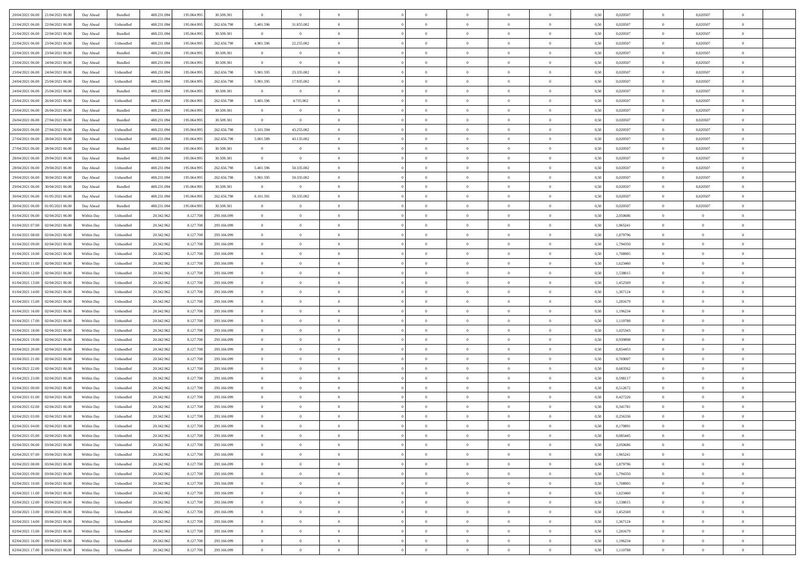| 20/04/2021 06:00 21/04/2021 06:00              | Day Ahead  | Bundled   | 488.231.094 | 195.064.995 | 30.509.301  | $\overline{0}$ | $\theta$       |                | $\overline{0}$ | $\bf{0}$       | $\overline{0}$ | $\theta$       | 0,50 | 0,020507 | $\overline{0}$ | 0,020507       | $\bf{0}$       |  |
|------------------------------------------------|------------|-----------|-------------|-------------|-------------|----------------|----------------|----------------|----------------|----------------|----------------|----------------|------|----------|----------------|----------------|----------------|--|
| 21/04/2021 06:00<br>22/04/2021 06.00           | Day Ahead  | Unbundled | 488.231.09  | 195.064.99  | 262.656.798 | 5.401.596      | 31.855.002     | $\overline{0}$ | $\overline{0}$ | $\,$ 0         | $\overline{0}$ | $\bf{0}$       | 0,50 | 0,020507 | $\bf{0}$       | 0,020507       | $\,$ 0         |  |
|                                                |            |           |             |             |             |                |                |                |                |                |                |                |      |          |                |                |                |  |
| 21/04/2021 06:00<br>22/04/2021 06:00           | Day Ahead  | Bundled   | 488.231.094 | 195,064,995 | 30.509.301  | $\overline{0}$ | $\overline{0}$ | $\overline{0}$ | $\overline{0}$ | $\bf{0}$       | $\overline{0}$ | $\overline{0}$ | 0.50 | 0.020507 | $\overline{0}$ | 0.020507       | $\bf{0}$       |  |
| 22/04/2021 06:00<br>23/04/2021 06:00           | Day Ahead  | Unbundled | 488.231.09  | 195.064.995 | 262.656.798 | 4.901.596      | 22.255.002     | $\overline{0}$ | $\overline{0}$ | $\,$ 0         | $\overline{0}$ | $\theta$       | 0,50 | 0,020507 | $\,$ 0 $\,$    | 0,020507       | $\overline{0}$ |  |
| 22/04/2021 06:00<br>23/04/2021 06.00           | Day Ahead  | Bundled   | 488.231.09  | 195.064.99  | 30.509.301  | $\overline{0}$ | $\theta$       | $\overline{0}$ |                | $\bf{0}$       | $\overline{0}$ | $\bf{0}$       | 0,50 | 0,020507 | $\bf{0}$       | 0,020507       | $\bf{0}$       |  |
| 23/04/2021 06:00<br>24/04/2021 06:00           | Day Ahead  | Bundled   | 488.231.09  | 195,064.99  | 30.509.301  | $\overline{0}$ | $\overline{0}$ | $\overline{0}$ | $\overline{0}$ | $\bf{0}$       | $\overline{0}$ | $\overline{0}$ | 0.50 | 0.020507 | $\bf{0}$       | 0.020507       | $\bf{0}$       |  |
| 23/04/2021 06:00<br>24/04/2021 06:00           | Day Ahead  | Unbundled | 488.231.09  | 195.064.995 | 262.656.798 | 5.901.595      | 23.335.002     | $\overline{0}$ | $\overline{0}$ | $\bf{0}$       | $\overline{0}$ | $\overline{0}$ | 0,50 | 0,020507 | $\,$ 0 $\,$    | 0,020507       | $\overline{0}$ |  |
| 24/04/2021 06:00<br>25/04/2021 06.00           | Day Ahead  | Unbundled | 488.231.09  | 195.064.99  | 262.656.798 | 5.901.595      | 17.935.002     | $\overline{0}$ |                | $\,$ 0         | $\overline{0}$ | $\bf{0}$       | 0,50 | 0,020507 | $\bf{0}$       | 0,020507       | $\bf{0}$       |  |
| 24/04/2021 06:00<br>25/04/2021 06:00           | Day Ahead  | Bundled   | 488.231.09  | 195,064.99  | 30.509.301  | $\mathbf{0}$   | $\overline{0}$ | $\overline{0}$ | $\overline{0}$ | $\bf{0}$       | $\overline{0}$ | $\overline{0}$ | 0.50 | 0.020507 | $\overline{0}$ | 0.020507       | $\bf{0}$       |  |
| 25/04/2021 06:00<br>26/04/2021 06:00           | Day Ahead  | Unbundled | 488.231.094 | 195.064.995 | 262.656.798 | 5.401.596      | 4.735.002      | $\overline{0}$ | $\overline{0}$ | $\bf{0}$       | $\overline{0}$ | $\overline{0}$ | 0,50 | 0,020507 | $\overline{0}$ | 0,020507       | $\bf{0}$       |  |
| 25/04/2021 06:00<br>26/04/2021 06.00           | Day Ahead  | Bundled   | 488.231.09  | 195.064.99  | 30.509.301  | $\bf{0}$       | $\overline{0}$ | $\overline{0}$ | $\overline{0}$ | $\,$ 0         | $\overline{0}$ | $\bf{0}$       | 0,50 | 0,020507 | $\bf{0}$       | 0,020507       | $\bf{0}$       |  |
| 26/04/2021 06:00<br>27/04/2021 06:00           | Day Ahead  | Bundled   | 488.231.094 | 195,064,995 | 30.509.301  | $\overline{0}$ | $\overline{0}$ | $\overline{0}$ | $\overline{0}$ | $\,$ 0 $\,$    | $\overline{0}$ | $\overline{0}$ | 0.50 | 0.020507 | $\,$ 0 $\,$    | 0.020507       | $\bf{0}$       |  |
|                                                |            |           |             |             |             |                |                |                |                |                |                |                |      |          |                |                |                |  |
| 26/04/2021 06:00<br>27/04/2021 06:00           | Day Ahead  | Unbundled | 488.231.09  | 195.064.995 | 262.656.798 | 5.101.594      | 43.255.002     | $\overline{0}$ | $\overline{0}$ | $\bf{0}$       | $\overline{0}$ | $\theta$       | 0,50 | 0,020507 | $\,0\,$        | 0,020507       | $\overline{0}$ |  |
| 27/04/2021 06:00<br>28/04/2021 06:00           | Day Ahead  | Unbundled | 488.231.09  | 195.064.99  | 262.656.798 | 5.001.589      | 43.135.002     | $\overline{0}$ |                | $\bf{0}$       | $\overline{0}$ | $\bf{0}$       | 0,50 | 0,020507 | $\bf{0}$       | 0,020507       | $\bf{0}$       |  |
| 27/04/2021 06:00<br>28/04/2021 06:00           | Day Ahead  | Bundled   | 488.231.09  | 195,064.99  | 30.509.301  | $\overline{0}$ | $\overline{0}$ | $\overline{0}$ | $\overline{0}$ | $\,$ 0         | $\overline{0}$ | $\overline{0}$ | 0.50 | 0.020507 | $\bf{0}$       | 0.020507       | $\bf{0}$       |  |
| 28/04/2021 06:00<br>29/04/2021 06:00           | Day Ahead  | Bundled   | 488.231.094 | 195.064.995 | 30.509.301  | $\overline{0}$ | $\overline{0}$ | $\overline{0}$ | $\overline{0}$ | $\,$ 0         | $\overline{0}$ | $\overline{0}$ | 0,50 | 0,020507 | $\,0\,$        | 0,020507       | $\overline{0}$ |  |
| 28/04/2021 06:00<br>29/04/2021 06.00           | Day Ahead  | Unbundled | 488.231.09  | 195.064.99  | 262.656.798 | 5.401.596      | 50.335.002     | $\overline{0}$ |                | $\,$ 0         | $\overline{0}$ | $\bf{0}$       | 0,50 | 0,020507 | $\bf{0}$       | 0,020507       | $\overline{0}$ |  |
| 29/04/2021 06:00<br>30/04/2021 06:00           | Day Ahead  | Unbundled | 488.231.09  | 195,064.99  | 262.656.798 | 5.901.595      | 50.335.002     | $\overline{0}$ | $\overline{0}$ | $\bf{0}$       | $\overline{0}$ | $\overline{0}$ | 0.50 | 0.020507 | $\overline{0}$ | 0.020507       | $\bf{0}$       |  |
| 29/04/2021 06:00<br>30/04/2021 06.00           | Day Ahead  | Bundled   | 488.231.094 | 195.064.995 | 30.509.301  | $\overline{0}$ | $\overline{0}$ | $\overline{0}$ | $\overline{0}$ | $\,$ 0         | $\overline{0}$ | $\overline{0}$ | 0,50 | 0,020507 | $\,0\,$        | 0,020507       | $\overline{0}$ |  |
| 30/04/2021 06:00<br>01/05/2021 06:00           | Day Ahead  | Unbundled | 488.231.09  | 195.064.99  | 262.656.798 | 8.101.591      | 50.335.002     | $\overline{0}$ | $\overline{0}$ | $\,$ 0         | $\overline{0}$ | $\bf{0}$       | 0,50 | 0,020507 | $\bf{0}$       | 0,020507       | $\bf{0}$       |  |
| 30/04/2021 06:00<br>01/05/2021 06:00           | Day Ahead  | Bundled   | 488.231.094 | 195,064,995 | 30.509.301  | $\overline{0}$ | $\overline{0}$ | $\overline{0}$ | $\overline{0}$ | $\,$ 0 $\,$    | $\overline{0}$ | $\overline{0}$ | 0.50 | 0.020507 | $\overline{0}$ | 0.020507       | $\bf{0}$       |  |
| 01/04/2021 06:00<br>02/04/2021 06:00           | Within Day | Unbundled | 20.342.962  | 8.127.708   | 293.166.099 | $\overline{0}$ | $\overline{0}$ | $\overline{0}$ | $\overline{0}$ | $\bf{0}$       | $\overline{0}$ | $\overline{0}$ | 0,50 | 2,050686 | $\,0\,$        | $\overline{0}$ | $\overline{0}$ |  |
| 01/04/2021 07:00<br>02/04/2021 06.00           | Within Day | Unbundled | 20.342.96   | 8.127.708   | 293.166.099 | $\overline{0}$ | $\theta$       | $\overline{0}$ | $\overline{0}$ | $\,$ 0         | $\overline{0}$ | $\bf{0}$       | 0,50 | 1,965241 | $\bf{0}$       | $\overline{0}$ | $\bf{0}$       |  |
|                                                |            |           |             |             |             |                |                |                |                |                |                |                |      |          |                |                |                |  |
| 01/04/2021 08:00<br>02/04/2021 06:00           | Within Day | Unbundled | 20.342.96   | 8.127.708   | 293.166.099 | $\overline{0}$ | $\overline{0}$ | $\overline{0}$ | $\overline{0}$ | $\bf{0}$       | $\overline{0}$ | $\overline{0}$ | 0.50 | 1.879796 | $\bf{0}$       | $\overline{0}$ | $\bf{0}$       |  |
| 01/04/2021 09:00<br>02/04/2021 06.00           | Within Day | Unbundled | 20.342.962  | 8.127.708   | 293.166.099 | $\overline{0}$ | $\overline{0}$ | $\overline{0}$ | $\overline{0}$ | $\,$ 0         | $\overline{0}$ | $\overline{0}$ | 0,50 | 1,794350 | $\,0\,$        | $\overline{0}$ | $\overline{0}$ |  |
| 01/04/2021 10:00<br>02/04/2021 06.00           | Within Day | Unbundled | 20.342.96   | 8.127.708   | 293.166.099 | $\overline{0}$ | $\theta$       | $\overline{0}$ |                | $\,$ 0         | $\overline{0}$ | $\bf{0}$       | 0,50 | 1,708905 | $\bf{0}$       | $\overline{0}$ | $\,$ 0         |  |
| 01/04/2021 11:00<br>02/04/2021 06:00           | Within Day | Unbundled | 20.342.962  | 8.127.708   | 293.166.099 | $\overline{0}$ | $\overline{0}$ | $\overline{0}$ | $\overline{0}$ | $\bf{0}$       | $\overline{0}$ | $\overline{0}$ | 0.50 | 1.623460 | $\bf{0}$       | $\overline{0}$ | $\bf{0}$       |  |
| 01/04/2021 12:00<br>02/04/2021 06:00           | Within Day | Unbundled | 20.342.962  | 8.127.708   | 293.166.099 | $\overline{0}$ | $\overline{0}$ | $\overline{0}$ | $\overline{0}$ | $\bf{0}$       | $\overline{0}$ | $\overline{0}$ | 0,50 | 1,538015 | $\,0\,$        | $\overline{0}$ | $\overline{0}$ |  |
| 01/04/2021 13:00<br>02/04/2021 06.00           | Within Day | Unbundled | 20.342.96   | 8.127.708   | 293.166.099 | $\bf{0}$       | $\overline{0}$ | $\overline{0}$ | $\overline{0}$ | $\bf{0}$       | $\overline{0}$ | $\bf{0}$       | 0,50 | 1,452569 | $\bf{0}$       | $\overline{0}$ | $\bf{0}$       |  |
| 01/04/2021 14:00<br>02/04/2021 06:00           | Within Day | Unbundled | 20.342.962  | 8.127.708   | 293.166.099 | $\overline{0}$ | $\overline{0}$ | $\overline{0}$ | $\overline{0}$ | $\,$ 0 $\,$    | $\overline{0}$ | $\overline{0}$ | 0.50 | 1.367124 | $\,$ 0 $\,$    | $\bf{0}$       | $\bf{0}$       |  |
| 01/04/2021 15:00<br>02/04/2021 06:00           | Within Day | Unbundled | 20.342.962  | 8.127.708   | 293.166.099 | $\overline{0}$ | $\overline{0}$ | $\Omega$       | $\Omega$       | $\overline{0}$ | $\overline{0}$ | $\overline{0}$ | 0.50 | 1,281679 | $\mathbf{0}$   | $\overline{0}$ | $\overline{0}$ |  |
| 01/04/2021 16:00<br>02/04/2021 06.00           | Within Day | Unbundled | 20.342.96   | 8.127.708   | 293.166.099 | $\overline{0}$ | $\theta$       | $\overline{0}$ |                | $\,$ 0         | $\overline{0}$ | $\bf{0}$       | 0,50 | 1,196234 | $\bf{0}$       | $\overline{0}$ | $\bf{0}$       |  |
| 01/04/2021 17:00<br>02/04/2021 06:00           | Within Day | Unbundled | 20.342.962  | 8.127.708   | 293.166.099 | $\overline{0}$ | $\overline{0}$ | $\overline{0}$ | $\overline{0}$ | $\bf{0}$       | $\overline{0}$ | $\overline{0}$ | 0.50 | 1.110788 | $\bf{0}$       | $\overline{0}$ | $\bf{0}$       |  |
| 01/04/2021 18:00<br>02/04/2021 06:00           | Within Day | Unbundled | 20.342.962  | 8.127.708   | 293.166.099 | $\overline{0}$ | $\overline{0}$ | $\Omega$       | $\Omega$       | $\mathbf{0}$   | $\overline{0}$ | $\overline{0}$ | 0.50 | 1,025343 | $\mathbf{0}$   | $\overline{0}$ | $\overline{0}$ |  |
|                                                |            |           |             |             |             | $\overline{0}$ | $\theta$       | $\overline{0}$ |                | $\,$ 0         |                | $\bf{0}$       |      |          | $\bf{0}$       | $\overline{0}$ | $\bf{0}$       |  |
| 01/04/2021 19:00<br>02/04/2021 06.00           | Within Day | Unbundled | 20.342.96   | 8.127.708   | 293.166.099 |                |                |                |                |                | $\overline{0}$ |                | 0,50 | 0,939898 |                |                |                |  |
| 01/04/2021 20:00<br>02/04/2021 06:00           | Within Day | Unbundled | 20.342.96   | 8.127.708   | 293.166.099 | $\overline{0}$ | $\overline{0}$ | $\overline{0}$ | $\overline{0}$ | $\bf{0}$       | $\overline{0}$ | $\overline{0}$ | 0.50 | 0.854453 | $\bf{0}$       | $\overline{0}$ | $\bf{0}$       |  |
| 01/04/2021 21:00<br>02/04/2021 06:00           | Within Day | Unbundled | 20.342.962  | 8.127.708   | 293.166.099 | $\overline{0}$ | $\overline{0}$ | $\overline{0}$ | $\Omega$       | $\overline{0}$ | $\overline{0}$ | $\overline{0}$ | 0.50 | 0,769007 | $\mathbf{0}$   | $\overline{0}$ | $\overline{0}$ |  |
| 01/04/2021 22.00<br>02/04/2021 06.00           | Within Day | Unbundled | 20.342.96   | 8.127.708   | 293.166.099 | $\bf{0}$       | $\overline{0}$ | $\overline{0}$ | $\overline{0}$ | $\bf{0}$       | $\overline{0}$ | $\bf{0}$       | 0,50 | 0,683562 | $\bf{0}$       | $\overline{0}$ | $\bf{0}$       |  |
| 01/04/2021 23:00<br>02/04/2021 06:00           | Within Day | Unbundled | 20.342.962  | 8.127.708   | 293.166.099 | $\overline{0}$ | $\overline{0}$ | $\overline{0}$ | $\overline{0}$ | $\bf{0}$       | $\overline{0}$ | $\overline{0}$ | 0.50 | 0.598117 | $\overline{0}$ | $\overline{0}$ | $\bf{0}$       |  |
| 02/04/2021 00:00<br>02/04/2021 06:00           | Within Day | Unbundled | 20.342.962  | 8.127.708   | 293.166.099 | $\overline{0}$ | $\overline{0}$ | $\Omega$       | $\Omega$       | $\mathbf{0}$   | $\overline{0}$ | $\overline{0}$ | 0.50 | 0,512672 | $\mathbf{0}$   | $\overline{0}$ | $\overline{0}$ |  |
| 02/04/2021 01:00<br>02/04/2021 06.00           | Within Day | Unbundled | 20.342.96   | 8.127.708   | 293.166.099 | $\overline{0}$ | $\overline{0}$ | $\overline{0}$ | $\overline{0}$ | $\,$ 0         | $\overline{0}$ | $\bf{0}$       | 0,50 | 0,427226 | $\bf{0}$       | $\overline{0}$ | $\bf{0}$       |  |
| 02/04/2021 02:00<br>02/04/2021 06:00           | Within Day | Unbundled | 20.342.962  | 8.127.708   | 293.166.099 | $\overline{0}$ | $\theta$       | $\overline{0}$ | $\overline{0}$ | $\bf{0}$       | $\overline{0}$ | $\overline{0}$ | 0.50 | 0,341781 | $\bf{0}$       | $\overline{0}$ | $\bf{0}$       |  |
| 02/04/2021 03:00<br>02/04/2021 06:00           | Within Day | Unbundled | 20.342.962  | 8.127.708   | 293.166.099 | $\overline{0}$ | $\Omega$       | $\Omega$       | $\Omega$       | $\bf{0}$       | $\overline{0}$ | $\Omega$       | 0.50 | 0,256336 | $\mathbf{0}$   | $\overline{0}$ | $\overline{0}$ |  |
| 02/04/2021 04:00<br>02/04/2021 06.00           | Within Day | Unbundled | 20.342.962  | 8.127.708   | 293.166.099 | $\bf{0}$       | $\overline{0}$ | $\overline{0}$ | $\bf{0}$       | $\,$ 0         | $\overline{0}$ | $\bf{0}$       | 0,50 | 0,170891 | $\bf{0}$       | $\overline{0}$ | $\bf{0}$       |  |
| $02/04/2021\; 05.00 \qquad 02/04/2021\; 06.00$ | Within Day | Unbundled | 20.342.962  | 8.127.708   | 293.166.099 | $\bf{0}$       | $\theta$       |                |                |                |                |                | 0,50 | 0.085445 | $\theta$       | $\Omega$       |                |  |
| 02/04/2021 06:00 03/04/2021 06:00              | Within Day | Unbundled | 20.342.962  | 8.127.708   | 293.166.099 | $\theta$       | $\overline{0}$ | $\Omega$       | $\Omega$       | $\overline{0}$ | $\overline{0}$ | $\overline{0}$ | 0,50 | 2,050686 | $\theta$       | $\overline{0}$ | $\bf{0}$       |  |
|                                                |            |           |             |             |             |                |                |                |                |                |                |                |      |          |                |                |                |  |
| 02/04/2021 07:00<br>03/04/2021 06:00           | Within Day | Unbundled | 20.342.962  | 8.127.708   | 293.166.099 | $\bf{0}$       | $\overline{0}$ | $\overline{0}$ | $\bf{0}$       | $\overline{0}$ | $\overline{0}$ | $\mathbf{0}$   | 0,50 | 1,965241 | $\overline{0}$ | $\bf{0}$       | $\bf{0}$       |  |
| 02/04/2021 08:00 03/04/2021 06:00              | Within Day | Unbundled | 20.342.962  | 8.127.708   | 293.166.099 | $\overline{0}$ | $\overline{0}$ | $\overline{0}$ | $\overline{0}$ | $\bf{0}$       | $\overline{0}$ | $\mathbf{0}$   | 0.50 | 1,879796 | $\overline{0}$ | $\,$ 0 $\,$    | $\bf{0}$       |  |
| 02/04/2021 09:00 03/04/2021 06:00              | Within Day | Unbundled | 20.342.962  | 8.127.708   | 293.166.099 | $\overline{0}$ | $\overline{0}$ | $\overline{0}$ | $\overline{0}$ | $\overline{0}$ | $\overline{0}$ | $\overline{0}$ | 0,50 | 1,794350 | $\theta$       | $\overline{0}$ | $\bf{0}$       |  |
| 02/04/2021 10:00<br>03/04/2021 06:00           | Within Day | Unbundled | 20.342.962  | 8.127.708   | 293.166.099 | $\bf{0}$       | $\overline{0}$ | $\overline{0}$ | $\overline{0}$ | $\bf{0}$       | $\overline{0}$ | $\bf{0}$       | 0,50 | 1,708905 | $\,$ 0 $\,$    | $\bf{0}$       | $\bf{0}$       |  |
| 02/04/2021 11:00 03/04/2021 06:00              | Within Day | Unbundled | 20.342.962  | 8.127.708   | 293.166.099 | $\overline{0}$ | $\overline{0}$ | $\overline{0}$ | $\overline{0}$ | $\,$ 0 $\,$    | $\overline{0}$ | $\overline{0}$ | 0.50 | 1.623460 | $\overline{0}$ | $\overline{0}$ | $\bf{0}$       |  |
| 02/04/2021 12:00<br>03/04/2021 06:00           | Within Day | Unbundled | 20.342.962  | 8.127.708   | 293.166.099 | $\overline{0}$ | $\overline{0}$ | $\overline{0}$ | $\overline{0}$ | $\overline{0}$ | $\overline{0}$ | $\overline{0}$ | 0,50 | 1,538015 | $\overline{0}$ | $\overline{0}$ | $\bf{0}$       |  |
| 02/04/2021 13:00<br>03/04/2021 06:00           | Within Day | Unbundled | 20.342.96   | 8.127.708   | 293.166.099 | $\overline{0}$ | $\,$ 0         | $\overline{0}$ | $\overline{0}$ | $\,$ 0 $\,$    | $\overline{0}$ | $\bf{0}$       | 0,50 | 1,452569 | $\overline{0}$ | $\,$ 0 $\,$    | $\bf{0}$       |  |
| 02/04/2021 14:00 03/04/2021 06:00              | Within Day | Unbundled | 20.342.962  | 8.127.708   | 293.166.099 | $\overline{0}$ | $\overline{0}$ | $\overline{0}$ | $\overline{0}$ | $\,$ 0 $\,$    | $\overline{0}$ | $\overline{0}$ | 0.50 | 1.367124 | $\overline{0}$ | $\bf{0}$       | $\bf{0}$       |  |
| 02/04/2021 15:00 03/04/2021 06:00              | Within Dav | Unbundled | 20.342.962  | 8.127.708   | 293.166.099 | $\overline{0}$ | $\overline{0}$ | $\overline{0}$ | $\overline{0}$ | $\overline{0}$ | $\overline{0}$ | $\overline{0}$ | 0,50 | 1,281679 | $\overline{0}$ | $\overline{0}$ | $\bf{0}$       |  |
| 02/04/2021 16:00<br>03/04/2021 06:00           | Within Day | Unbundled | 20.342.96   | 8.127.708   | 293.166.099 | $\overline{0}$ | $\overline{0}$ | $\overline{0}$ | $\overline{0}$ | $\bf{0}$       | $\overline{0}$ | $\bf{0}$       | 0,50 | 1,196234 | $\overline{0}$ | $\bf{0}$       | $\bf{0}$       |  |
|                                                |            |           |             |             |             |                |                |                |                |                |                |                |      |          |                |                |                |  |
| 02/04/2021 17:00 03/04/2021 06:00              | Within Day | Unbundled | 20.342.962  | 8.127.708   | 293.166.099 | $\overline{0}$ | $\bf{0}$       | $\overline{0}$ | $\overline{0}$ | $\,$ 0 $\,$    | $\overline{0}$ | $\overline{0}$ | 0,50 | 1,110788 | $\,$ 0 $\,$    | $\,$ 0 $\,$    | $\bf{0}$       |  |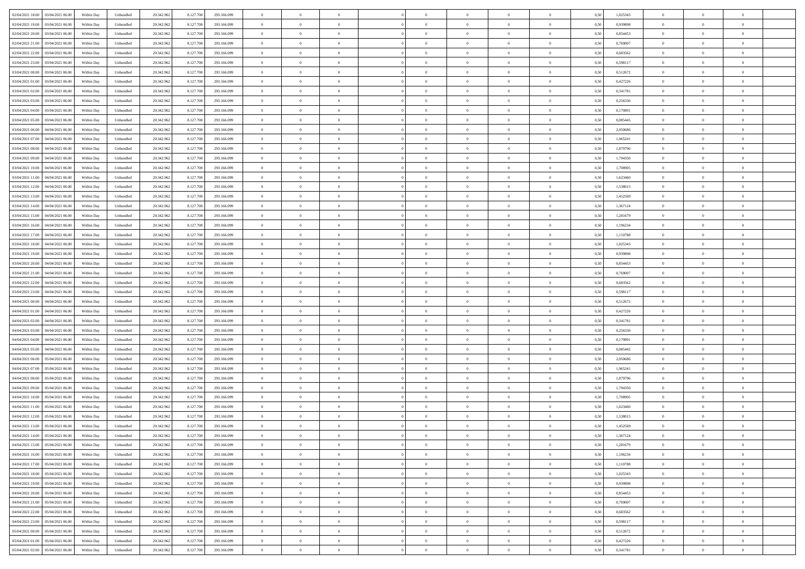| 02/04/2021 18:00 03/04/2021 06:00            | Within Day | Unbundled                   | 20.342.962 | 8.127.708 | 293.166.099 | $\overline{0}$ | $\theta$       |                | $\overline{0}$ | $\theta$       |                | $\bf{0}$       | 0,50 | 1,025343 | $\theta$       | $\theta$       | $\overline{0}$ |  |
|----------------------------------------------|------------|-----------------------------|------------|-----------|-------------|----------------|----------------|----------------|----------------|----------------|----------------|----------------|------|----------|----------------|----------------|----------------|--|
| 02/04/2021 19:00<br>03/04/2021 06.00         | Within Day | Unbundled                   | 20.342.96  | 8.127.708 | 293.166.099 | $\bf{0}$       | $\overline{0}$ | $\bf{0}$       | $\overline{0}$ | $\bf{0}$       | $\overline{0}$ | $\bf{0}$       | 0,50 | 0,939898 | $\,$ 0 $\,$    | $\bf{0}$       | $\overline{0}$ |  |
| 02/04/2021 20:00<br>03/04/2021 06:00         | Within Day | Unbundled                   | 20.342.962 | 8.127.708 | 293.166.099 | $\overline{0}$ | $\bf{0}$       | $\overline{0}$ | $\bf{0}$       | $\bf{0}$       | $\overline{0}$ | $\bf{0}$       | 0.50 | 0.854453 | $\bf{0}$       | $\overline{0}$ | $\overline{0}$ |  |
| 02/04/2021 21:00<br>03/04/2021 06:00         | Within Day | Unbundled                   | 20.342.962 | 8.127.708 | 293.166.099 | $\overline{0}$ | $\overline{0}$ | $\overline{0}$ | $\theta$       | $\theta$       | $\overline{0}$ | $\bf{0}$       | 0,50 | 0,769007 | $\theta$       | $\theta$       | $\overline{0}$ |  |
| 02/04/2021 22:00<br>03/04/2021 06.00         | Within Day | Unbundled                   | 20.342.96  | 8.127.708 | 293.166.099 | $\bf{0}$       | $\overline{0}$ | $\bf{0}$       | $\overline{0}$ | $\theta$       | $\overline{0}$ | $\bf{0}$       | 0,50 | 0,683562 | $\,$ 0 $\,$    | $\bf{0}$       | $\overline{0}$ |  |
|                                              |            |                             |            |           |             |                |                |                |                |                | $\theta$       |                |      |          |                |                |                |  |
| 02/04/2021 23:00<br>03/04/2021 06:00         | Within Day | Unbundled                   | 20.342.962 | 8.127.708 | 293.166.099 | $\overline{0}$ | $\overline{0}$ | $\overline{0}$ | $\bf{0}$       | $\overline{0}$ |                | $\bf{0}$       | 0.50 | 0.598117 | $\,$ 0 $\,$    | $\theta$       | $\overline{0}$ |  |
| 03/04/2021 00:00<br>03/04/2021 06:00         | Within Day | Unbundled                   | 20.342.962 | 8.127.708 | 293.166.099 | $\overline{0}$ | $\overline{0}$ | $\overline{0}$ | $\overline{0}$ | $\overline{0}$ | $\overline{0}$ | $\bf{0}$       | 0,50 | 0,512672 | $\theta$       | $\theta$       | $\overline{0}$ |  |
| 03/04/2021 01:00<br>03/04/2021 06.00         | Within Day | Unbundled                   | 20.342.96  | 8.127.708 | 293.166.099 | $\bf{0}$       | $\overline{0}$ | $\overline{0}$ | $\overline{0}$ | $\overline{0}$ | $\overline{0}$ | $\bf{0}$       | 0,50 | 0,427226 | $\,$ 0 $\,$    | $\bf{0}$       | $\overline{0}$ |  |
| 03/04/2021 02:00<br>03/04/2021 06:00         | Within Day | Unbundled                   | 20.342.96  | 8.127.708 | 293.166.099 | $\overline{0}$ | $\bf{0}$       | $\overline{0}$ | $\bf{0}$       | $\overline{0}$ | $\overline{0}$ | $\bf{0}$       | 0.50 | 0.341781 | $\bf{0}$       | $\theta$       | $\overline{0}$ |  |
| 03/04/2021 03:00<br>03/04/2021 06:00         | Within Day | Unbundled                   | 20.342.962 | 8.127.708 | 293.166.099 | $\bf{0}$       | $\bf{0}$       | $\overline{0}$ | $\overline{0}$ | $\overline{0}$ | $\overline{0}$ | $\bf{0}$       | 0,50 | 0,256336 | $\,$ 0 $\,$    | $\theta$       | $\overline{0}$ |  |
| 03/04/2021 04:00<br>03/04/2021 06.00         | Within Day | Unbundled                   | 20.342.96  | 8.127.708 | 293.166.099 | $\bf{0}$       | $\overline{0}$ | $\bf{0}$       | $\overline{0}$ | $\bf{0}$       | $\overline{0}$ | $\bf{0}$       | 0,50 | 0,170891 | $\,$ 0 $\,$    | $\bf{0}$       | $\overline{0}$ |  |
| 03/04/2021 05:00<br>03/04/2021 06:00         | Within Day | Unbundled                   | 20.342.962 | 8.127.708 | 293.166.099 | $\overline{0}$ | $\bf{0}$       | $\overline{0}$ | $\bf{0}$       | $\bf{0}$       | $\overline{0}$ | $\bf{0}$       | 0.50 | 0.085445 | $\bf{0}$       | $\overline{0}$ | $\bf{0}$       |  |
| 03/04/2021 06:00<br>04/04/2021 06:00         | Within Day | Unbundled                   | 20.342.962 | 8.127.708 | 293.166.099 | $\overline{0}$ | $\overline{0}$ | $\overline{0}$ | $\overline{0}$ | $\theta$       | $\overline{0}$ | $\overline{0}$ | 0,50 | 2,050686 | $\,$ 0 $\,$    | $\theta$       | $\overline{0}$ |  |
|                                              |            |                             |            |           |             |                |                |                |                |                |                |                |      |          |                |                |                |  |
| 03/04/2021 07:00<br>04/04/2021 06.00         | Within Day | Unbundled                   | 20.342.96  | 8.127.708 | 293.166.099 | $\bf{0}$       | $\theta$       | $\bf{0}$       | $\overline{0}$ | $\theta$       | $\overline{0}$ | $\bf{0}$       | 0,50 | 1,965241 | $\,$ 0 $\,$    | $\bf{0}$       | $\overline{0}$ |  |
| 03/04/2021 08:00<br>04/04/2021 06:00         | Within Day | Unbundled                   | 20.342.962 | 8.127.708 | 293.166.099 | $\overline{0}$ | $\overline{0}$ | $\overline{0}$ | $\bf{0}$       | $\bf{0}$       | $\Omega$       | $\bf{0}$       | 0.50 | 1.879796 | $\,$ 0 $\,$    | $\theta$       | $\overline{0}$ |  |
| 03/04/2021 09:00<br>04/04/2021 06:00         | Within Day | Unbundled                   | 20.342.962 | 8.127.708 | 293.166.099 | $\overline{0}$ | $\overline{0}$ | $\overline{0}$ | $\overline{0}$ | $\overline{0}$ | $\overline{0}$ | $\bf{0}$       | 0,50 | 1,794350 | $\theta$       | $\theta$       | $\overline{0}$ |  |
| 03/04/2021 10:00<br>04/04/2021 06.00         | Within Day | Unbundled                   | 20.342.96  | 8.127.708 | 293.166.099 | $\bf{0}$       | $\overline{0}$ | $\overline{0}$ | $\overline{0}$ | $\bf{0}$       | $\overline{0}$ | $\bf{0}$       | 0,50 | 1,708905 | $\,$ 0 $\,$    | $\bf{0}$       | $\overline{0}$ |  |
| 03/04/2021 11:00<br>04/04/2021 06:00         | Within Day | Unbundled                   | 20.342.96  | 8.127.708 | 293.166.099 | $\overline{0}$ | $\bf{0}$       | $\overline{0}$ | $\bf{0}$       | $\overline{0}$ | $\overline{0}$ | $\bf{0}$       | 0.50 | 1.623460 | $\bf{0}$       | $\overline{0}$ | $\overline{0}$ |  |
| 03/04/2021 12:00<br>04/04/2021 06:00         | Within Day | Unbundled                   | 20.342.962 | 8.127.708 | 293.166.099 | $\overline{0}$ | $\overline{0}$ | $\overline{0}$ | $\overline{0}$ | $\overline{0}$ | $\overline{0}$ | $\bf{0}$       | 0,50 | 1,538015 | $\,$ 0 $\,$    | $\theta$       | $\overline{0}$ |  |
| 03/04/2021 13:00<br>04/04/2021 06.00         | Within Day | Unbundled                   | 20.342.96  | 8.127.708 | 293.166.099 | $\bf{0}$       | $\bf{0}$       | $\bf{0}$       | $\bf{0}$       | $\overline{0}$ | $\overline{0}$ | $\bf{0}$       | 0,50 | 1,452569 | $\,$ 0 $\,$    | $\bf{0}$       | $\overline{0}$ |  |
|                                              |            |                             |            |           |             |                |                |                |                |                |                |                |      |          |                |                |                |  |
| 03/04/2021 14:00<br>04/04/2021 06:00         | Within Day | Unbundled                   | 20.342.962 | 8.127.708 | 293.166.099 | $\overline{0}$ | $\bf{0}$       | $\overline{0}$ | $\bf{0}$       | $\bf{0}$       | $\overline{0}$ | $\bf{0}$       | 0.50 | 1.367124 | $\bf{0}$       | $\overline{0}$ | $\bf{0}$       |  |
| 03/04/2021 15:00<br>04/04/2021 06:00         | Within Day | Unbundled                   | 20.342.962 | 8.127.708 | 293.166.099 | $\overline{0}$ | $\overline{0}$ | $\overline{0}$ | $\theta$       | $\theta$       | $\overline{0}$ | $\bf{0}$       | 0,50 | 1,281679 | $\theta$       | $\theta$       | $\overline{0}$ |  |
| 03/04/2021 16:00<br>04/04/2021 06.00         | Within Day | Unbundled                   | 20.342.96  | 8.127.708 | 293.166.099 | $\bf{0}$       | $\overline{0}$ | $\bf{0}$       | $\bf{0}$       | $\bf{0}$       | $\overline{0}$ | $\bf{0}$       | 0,50 | 1,196234 | $\,$ 0 $\,$    | $\bf{0}$       | $\overline{0}$ |  |
| 03/04/2021 17:00<br>04/04/2021 06:00         | Within Day | Unbundled                   | 20.342.962 | 8.127.708 | 293.166.099 | $\overline{0}$ | $\overline{0}$ | $\overline{0}$ | $\overline{0}$ | $\overline{0}$ | $\Omega$       | $\bf{0}$       | 0.50 | 1.110788 | $\,$ 0 $\,$    | $\theta$       | $\overline{0}$ |  |
| 03/04/2021 18:00<br>04/04/2021 06.00         | Within Day | Unbundled                   | 20.342.962 | 8.127.708 | 293.166.099 | $\overline{0}$ | $\overline{0}$ | $\overline{0}$ | $\overline{0}$ | $\overline{0}$ | $\overline{0}$ | $\bf{0}$       | 0,50 | 1,025343 | $\theta$       | $\theta$       | $\overline{0}$ |  |
| 03/04/2021 19:00<br>04/04/2021 06.00         | Within Day | Unbundled                   | 20.342.96  | 8.127.708 | 293.166.099 | $\bf{0}$       | $\theta$       | $\bf{0}$       | $\overline{0}$ | $\bf{0}$       | $\overline{0}$ | $\bf{0}$       | 0,50 | 0,939898 | $\,$ 0 $\,$    | $\bf{0}$       | $\overline{0}$ |  |
| 03/04/2021 20:00<br>04/04/2021 06:00         | Within Day | Unbundled                   | 20.342.96  | 8.127.708 | 293.166.099 | $\overline{0}$ | $\bf{0}$       | $\overline{0}$ | $\bf{0}$       | $\overline{0}$ | $\overline{0}$ | $\bf{0}$       | 0.50 | 0.854453 | $\bf{0}$       | $\overline{0}$ | $\overline{0}$ |  |
| 03/04/2021 21:00<br>04/04/2021 06:00         |            |                             | 20.342.962 |           |             | $\overline{0}$ | $\overline{0}$ | $\overline{0}$ | $\overline{0}$ | $\overline{0}$ | $\overline{0}$ |                |      |          | $\theta$       | $\theta$       | $\overline{0}$ |  |
|                                              | Within Day | Unbundled                   |            | 8.127.708 | 293.166.099 |                |                |                |                |                |                | $\bf{0}$       | 0,50 | 0,769007 |                |                |                |  |
| 03/04/2021 22.00<br>04/04/2021 06.00         | Within Day | Unbundled                   | 20.342.96  | 8.127.708 | 293.166.099 | $\bf{0}$       | $\bf{0}$       | $\bf{0}$       | $\bf{0}$       | $\overline{0}$ | $\overline{0}$ | $\bf{0}$       | 0,50 | 0,683562 | $\,$ 0 $\,$    | $\bf{0}$       | $\overline{0}$ |  |
| 03/04/2021 23:00<br>04/04/2021 06:00         | Within Day | Unbundled                   | 20.342.962 | 8.127.708 | 293.166.099 | $\overline{0}$ | $\bf{0}$       | $\overline{0}$ | $\bf{0}$       | $\bf{0}$       | $\overline{0}$ | $\bf{0}$       | 0.50 | 0.598117 | $\bf{0}$       | $\overline{0}$ | $\bf{0}$       |  |
| 04/04/2021 00:00<br>04/04/2021 06:00         | Within Day | Unbundled                   | 20.342.962 | 8.127.708 | 293.166.099 | $\overline{0}$ | $\overline{0}$ | $\overline{0}$ | $\overline{0}$ | $\overline{0}$ | $\overline{0}$ | $\bf{0}$       | 0.5( | 0,512672 | $\theta$       | $\theta$       | $\overline{0}$ |  |
| 04/04/2021 01:00<br>04/04/2021 06.00         | Within Day | Unbundled                   | 20.342.96  | 8.127.708 | 293.166.099 | $\bf{0}$       | $\overline{0}$ | $\bf{0}$       | $\bf{0}$       | $\,$ 0 $\,$    | $\overline{0}$ | $\bf{0}$       | 0,50 | 0,427226 | $\,$ 0 $\,$    | $\bf{0}$       | $\overline{0}$ |  |
| 04/04/2021 02:00<br>04/04/2021 06:00         | Within Day | Unbundled                   | 20.342.962 | 8.127.708 | 293.166.099 | $\overline{0}$ | $\overline{0}$ | $\overline{0}$ | $\bf{0}$       | $\bf{0}$       | $\Omega$       | $\bf{0}$       | 0.50 | 0.341781 | $\,$ 0 $\,$    | $\theta$       | $\overline{0}$ |  |
| 04/04/2021 03:00<br>04/04/2021 06:00         | Within Dav | Unbundled                   | 20.342.962 | 8.127.708 | 293.166.099 | $\overline{0}$ | $\overline{0}$ | $\overline{0}$ | $\overline{0}$ | $\overline{0}$ | $\overline{0}$ | $\overline{0}$ | 0.5( | 0,256336 | $\theta$       | $\theta$       | $\overline{0}$ |  |
| 04/04/2021 04:00<br>04/04/2021 06.00         | Within Day | Unbundled                   | 20.342.96  | 8.127.708 | 293.166.099 | $\bf{0}$       | $\overline{0}$ | $\bf{0}$       | $\bf{0}$       | $\bf{0}$       | $\overline{0}$ | $\bf{0}$       | 0,50 | 0,170891 | $\,$ 0 $\,$    | $\bf{0}$       | $\overline{0}$ |  |
| 04/04/2021 05:00<br>04/04/2021 06:00         | Within Day | Unbundled                   | 20.342.96  | 8.127.708 | 293.166.099 | $\overline{0}$ | $\bf{0}$       | $\overline{0}$ | $\bf{0}$       | $\overline{0}$ | $\overline{0}$ | $\bf{0}$       | 0.50 | 0.085445 | $\bf{0}$       | $\overline{0}$ | $\overline{0}$ |  |
|                                              |            |                             |            |           |             |                |                |                |                |                |                |                |      |          |                |                |                |  |
| 04/04/2021 06:00<br>05/04/2021 06:00         | Within Dav | Unbundled                   | 20.342.962 | 8.127.708 | 293.166.099 | $\overline{0}$ | $\overline{0}$ | $\overline{0}$ | $\overline{0}$ | $\overline{0}$ | $\overline{0}$ | $\overline{0}$ | 0.50 | 2.050686 | $\theta$       | $\theta$       | $\overline{0}$ |  |
| 04/04/2021 07:00<br>05/04/2021 06.00         | Within Day | Unbundled                   | 20.342.96  | 8.127.708 | 293.166.099 | $\bf{0}$       | $\bf{0}$       | $\bf{0}$       | $\bf{0}$       | $\overline{0}$ | $\overline{0}$ | $\bf{0}$       | 0,50 | 1,965241 | $\,$ 0 $\,$    | $\bf{0}$       | $\overline{0}$ |  |
| 04/04/2021 08:00<br>05/04/2021 06:00         | Within Day | Unbundled                   | 20.342.962 | 8.127.708 | 293.166.099 | $\overline{0}$ | $\bf{0}$       | $\overline{0}$ | $\bf{0}$       | $\bf{0}$       | $\overline{0}$ | $\bf{0}$       | 0.50 | 1.879796 | $\bf{0}$       | $\overline{0}$ | $\overline{0}$ |  |
| 04/04/2021 09:00<br>05/04/2021 06:00         | Within Day | Unbundled                   | 20.342.962 | 8.127.708 | 293.166.099 | $\overline{0}$ | $\overline{0}$ | $\overline{0}$ | $\overline{0}$ | $\overline{0}$ | $\overline{0}$ | $\bf{0}$       | 0.5( | 1,794350 | $\theta$       | $\theta$       | $\overline{0}$ |  |
| 04/04/2021 10:00<br>05/04/2021 06.00         | Within Day | Unbundled                   | 20.342.96  | 8.127.708 | 293.166.099 | $\bf{0}$       | $\overline{0}$ | $\bf{0}$       | $\bf{0}$       | $\overline{0}$ | $\overline{0}$ | $\bf{0}$       | 0,50 | 1,708905 | $\,$ 0 $\,$    | $\bf{0}$       | $\overline{0}$ |  |
| 04/04/2021 11:00<br>05/04/2021 06:00         | Within Day | Unbundled                   | 20.342.962 | 8.127.708 | 293.166.099 | $\overline{0}$ | $\overline{0}$ | $\Omega$       | $\overline{0}$ | $\overline{0}$ | $\Omega$       | $\bf{0}$       | 0.50 | 1,623460 | $\bf{0}$       | $\theta$       | $\overline{0}$ |  |
| 04/04/2021 12:00<br>05/04/2021 06:00         | Within Dav | Unbundled                   | 20.342.962 | 8.127.708 | 293.166.099 | $\overline{0}$ | $\overline{0}$ | $\Omega$       | $\overline{0}$ | $\theta$       | $\Omega$       | $\overline{0}$ | 0.5( | 1,538015 | $\theta$       | $\theta$       | $\overline{0}$ |  |
| 04/04/2021 13:00<br>05/04/2021 06:00         | Within Day | Unbundled                   | 20.342.96  | 8.127.708 | 293.166.099 | $\bf{0}$       | $\bf{0}$       | $\bf{0}$       | $\bf{0}$       | $\bf{0}$       | $\overline{0}$ | $\bf{0}$       | 0,50 | 1,452569 | $\,$ 0 $\,$    | $\bf{0}$       | $\overline{0}$ |  |
| $04/04/2021\ 14.00 \qquad 05/04/2021\ 06.00$ | Within Day | $\ensuremath{\mathsf{Unb}}$ | 20.342.962 | 8.127.708 | 293.166.099 | $\overline{0}$ | $\theta$       |                | $\overline{0}$ |                |                |                | 0,50 | 1,367124 | $\bf{0}$       | $\bf{0}$       |                |  |
|                                              |            |                             |            |           |             |                |                |                |                |                |                |                |      |          |                |                |                |  |
| 04/04/2021 15:00 05/04/2021 06:00            | Within Day | Unbundled                   | 20.342.962 | 8.127.708 | 293.166.099 | $\overline{0}$ | $\theta$       | $\overline{0}$ | $\theta$       | $\overline{0}$ | $\overline{0}$ | $\bf{0}$       | 0,50 | 1,281679 | $\theta$       | $\theta$       | $\overline{0}$ |  |
| 04/04/2021 16:00<br>05/04/2021 06:00         | Within Day | Unbundled                   | 20.342.96  | 8.127.708 | 293.166.099 | $\overline{0}$ | $\bf{0}$       | $\overline{0}$ | $\overline{0}$ | $\bf{0}$       | $\overline{0}$ | $\bf{0}$       | 0,50 | 1,196234 | $\bf{0}$       | $\overline{0}$ | $\bf{0}$       |  |
| 04/04/2021 17:00  05/04/2021 06:00           | Within Day | Unbundled                   | 20.342.962 | 8.127.708 | 293.166.099 | $\overline{0}$ | $\bf{0}$       | $\overline{0}$ | $\overline{0}$ | $\overline{0}$ | $\overline{0}$ | $\,$ 0 $\,$    | 0.50 | 1,110788 | $\overline{0}$ | $\bf{0}$       | $\,$ 0 $\,$    |  |
| 04/04/2021 18:00  05/04/2021 06:00           | Within Day | Unbundled                   | 20.342.962 | 8.127.708 | 293.166.099 | $\overline{0}$ | $\overline{0}$ | $\overline{0}$ | $\overline{0}$ | $\overline{0}$ | $\overline{0}$ | $\bf{0}$       | 0,50 | 1,025343 | $\theta$       | $\theta$       | $\overline{0}$ |  |
| 04/04/2021 19:00<br>05/04/2021 06:00         | Within Day | Unbundled                   | 20.342.962 | 8.127.708 | 293.166.099 | $\overline{0}$ | $\bf{0}$       | $\overline{0}$ | $\bf{0}$       | $\overline{0}$ | $\bf{0}$       | $\bf{0}$       | 0,50 | 0,939898 | $\overline{0}$ | $\bf{0}$       | $\overline{0}$ |  |
| 04/04/2021 20:00 05/04/2021 06:00            | Within Day | Unbundled                   | 20.342.962 | 8.127.708 | 293.166.099 | $\overline{0}$ | $\bf{0}$       | $\overline{0}$ | $\overline{0}$ | $\overline{0}$ | $\overline{0}$ | $\bf{0}$       | 0.50 | 0.854453 | $\,$ 0 $\,$    | $\theta$       | $\overline{0}$ |  |
| 04/04/2021 21:00<br>05/04/2021 06:00         | Within Day | Unbundled                   | 20.342.962 | 8.127.708 | 293.166.099 | $\overline{0}$ | $\overline{0}$ | $\overline{0}$ | $\overline{0}$ | $\overline{0}$ | $\overline{0}$ | $\bf{0}$       | 0,50 | 0,769007 | $\overline{0}$ | $\theta$       | $\overline{0}$ |  |
|                                              |            |                             |            |           |             |                |                |                |                |                |                |                |      |          |                |                |                |  |
| 04/04/2021 22:00<br>05/04/2021 06:00         | Within Day | Unbundled                   | 20.342.96  | 8.127.708 | 293.166.099 | $\overline{0}$ | $\overline{0}$ | $\overline{0}$ | $\overline{0}$ | $\overline{0}$ | $\overline{0}$ | $\bf{0}$       | 0,50 | 0,683562 | $\bf{0}$       | $\,$ 0 $\,$    | $\overline{0}$ |  |
| 04/04/2021 23:00<br>05/04/2021 06:00         | Within Day | Unbundled                   | 20.342.962 | 8.127.708 | 293.166.099 | $\overline{0}$ | $\overline{0}$ | $\overline{0}$ | $\overline{0}$ | $\bf{0}$       | $\overline{0}$ | $\bf{0}$       | 0.50 | 0.598117 | $\overline{0}$ | $\,$ 0 $\,$    | $\,$ 0         |  |
| 05/04/2021 00:00 05/04/2021 06:00            | Within Dav | Unbundled                   | 20.342.962 | 8.127.708 | 293.166.099 | $\overline{0}$ | $\overline{0}$ | $\overline{0}$ | $\overline{0}$ | $\overline{0}$ | $\overline{0}$ | $\bf{0}$       | 0,50 | 0,512672 | $\overline{0}$ | $\theta$       | $\overline{0}$ |  |
| 05/04/2021 01:00<br>05/04/2021 06:00         | Within Day | Unbundled                   | 20.342.96  | 8.127.708 | 293.166.099 | $\overline{0}$ | $\bf{0}$       | $\overline{0}$ | $\bf{0}$       | $\overline{0}$ | $\bf{0}$       | $\bf{0}$       | 0,50 | 0,427226 | $\bf{0}$       | $\bf{0}$       | $\overline{0}$ |  |
| 05/04/2021 02:00 05/04/2021 06:00            | Within Day | Unbundled                   | 20.342.962 | 8.127.708 | 293.166.099 | $\overline{0}$ | $\bf{0}$       | $\overline{0}$ | $\overline{0}$ | $\,$ 0 $\,$    | $\overline{0}$ | $\bf{0}$       | 0,50 | 0,341781 | $\overline{0}$ | $\,$ 0 $\,$    | $\,$ 0 $\,$    |  |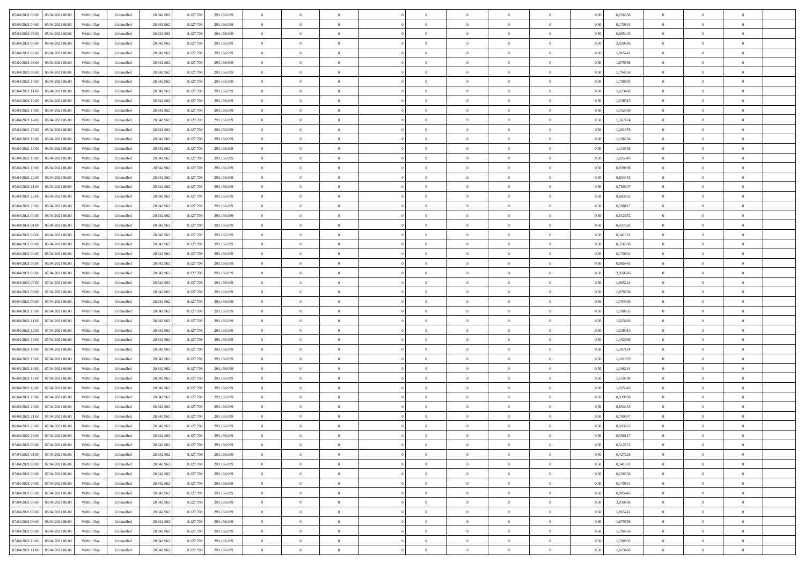| 05/04/2021 03:00 05/04/2021 06:00                    | Within Day | Unbundled                   | 20.342.962 | 8.127.708 | 293.166.099 | $\overline{0}$ | $\theta$       |                | $\overline{0}$ | $\theta$       |                | $\bf{0}$       | 0,50 | 0,256336 | $\theta$       | $\theta$       | $\overline{0}$ |  |
|------------------------------------------------------|------------|-----------------------------|------------|-----------|-------------|----------------|----------------|----------------|----------------|----------------|----------------|----------------|------|----------|----------------|----------------|----------------|--|
| 05/04/2021 04:00<br>05/04/2021 06.00                 | Within Day | Unbundled                   | 20.342.96  | 8.127.708 | 293.166.099 | $\bf{0}$       | $\overline{0}$ | $\bf{0}$       | $\overline{0}$ | $\theta$       | $\overline{0}$ | $\bf{0}$       | 0,50 | 0,170891 | $\,$ 0 $\,$    | $\bf{0}$       | $\overline{0}$ |  |
| 05/04/2021 05:00<br>05/04/2021 06:00                 | Within Day | Unbundled                   | 20.342.962 | 8.127.708 | 293.166.099 | $\overline{0}$ | $\overline{0}$ | $\overline{0}$ | $\bf{0}$       | $\bf{0}$       | $\overline{0}$ | $\bf{0}$       | 0.50 | 0.085445 | $\bf{0}$       | $\overline{0}$ | $\overline{0}$ |  |
| 05/04/2021 06:00<br>06/04/2021 06:00                 | Within Day | Unbundled                   | 20.342.962 | 8.127.708 | 293.166.099 | $\overline{0}$ | $\overline{0}$ | $\overline{0}$ | $\theta$       | $\theta$       | $\overline{0}$ | $\bf{0}$       | 0,50 | 2,050686 | $\theta$       | $\theta$       | $\overline{0}$ |  |
| 05/04/2021 07:00<br>06/04/2021 06.00                 | Within Day | Unbundled                   | 20.342.96  | 8.127.708 | 293.166.099 | $\overline{0}$ | $\theta$       | $\overline{0}$ | $\overline{0}$ | $\theta$       | $\overline{0}$ | $\bf{0}$       | 0,50 | 1,965241 | $\,$ 0 $\,$    | $\theta$       | $\overline{0}$ |  |
|                                                      |            |                             |            |           |             |                |                |                |                |                |                |                |      |          |                |                |                |  |
| 05/04/2021 08:00<br>06/04/2021 06:00                 | Within Day | Unbundled                   | 20.342.962 | 8.127.708 | 293.166.099 | $\overline{0}$ | $\overline{0}$ | $\Omega$       | $\overline{0}$ | $\overline{0}$ | $\Omega$       | $\bf{0}$       | 0.50 | 1.879796 | $\,$ 0 $\,$    | $\theta$       | $\overline{0}$ |  |
| 05/04/2021 09:00<br>06/04/2021 06:00                 | Within Day | Unbundled                   | 20.342.962 | 8.127.708 | 293.166.099 | $\overline{0}$ | $\overline{0}$ | $\overline{0}$ | $\overline{0}$ | $\overline{0}$ | $\overline{0}$ | $\bf{0}$       | 0,50 | 1,794350 | $\theta$       | $\theta$       | $\overline{0}$ |  |
| 05/04/2021 10:00<br>06/04/2021 06.00                 | Within Day | Unbundled                   | 20.342.96  | 8.127.708 | 293.166.099 | $\bf{0}$       | $\overline{0}$ | $\overline{0}$ | $\overline{0}$ | $\theta$       | $\overline{0}$ | $\bf{0}$       | 0,50 | 1,708905 | $\,$ 0 $\,$    | $\bf{0}$       | $\overline{0}$ |  |
| 05/04/2021 11:00<br>06/04/2021 06:00                 | Within Day | Unbundled                   | 20.342.96  | 8.127.708 | 293.166.099 | $\overline{0}$ | $\overline{0}$ | $\overline{0}$ | $\bf{0}$       | $\overline{0}$ | $\overline{0}$ | $\bf{0}$       | 0.50 | 1.623460 | $\bf{0}$       | $\theta$       | $\overline{0}$ |  |
| 05/04/2021 12:00<br>06/04/2021 06:00                 | Within Day | Unbundled                   | 20.342.962 | 8.127.708 | 293.166.099 | $\overline{0}$ | $\bf{0}$       | $\overline{0}$ | $\overline{0}$ | $\theta$       | $\overline{0}$ | $\bf{0}$       | 0,50 | 1,538015 | $\,$ 0 $\,$    | $\theta$       | $\overline{0}$ |  |
| 05/04/2021 13:00<br>06/04/2021 06.00                 | Within Day | Unbundled                   | 20.342.96  | 8.127.708 | 293.166.099 | $\bf{0}$       | $\overline{0}$ | $\bf{0}$       | $\overline{0}$ | $\bf{0}$       | $\overline{0}$ | $\bf{0}$       | 0,50 | 1,452569 | $\,$ 0 $\,$    | $\bf{0}$       | $\overline{0}$ |  |
| 05/04/2021 14:00<br>06/04/2021 06:00                 | Within Day | Unbundled                   | 20.342.962 | 8.127.708 | 293.166.099 | $\overline{0}$ | $\overline{0}$ | $\overline{0}$ | $\bf{0}$       | $\bf{0}$       | $\overline{0}$ | $\bf{0}$       | 0.50 | 1.367124 | $\bf{0}$       | $\overline{0}$ | $\overline{0}$ |  |
| 05/04/2021 15:00<br>06/04/2021 06:00                 | Within Day | Unbundled                   | 20.342.96  | 8.127.708 | 293.166.099 | $\overline{0}$ | $\overline{0}$ | $\overline{0}$ | $\overline{0}$ | $\theta$       | $\overline{0}$ | $\overline{0}$ | 0,50 | 1,281679 | $\theta$       | $\theta$       | $\overline{0}$ |  |
|                                                      |            |                             |            |           |             |                |                |                |                |                |                |                |      |          |                |                |                |  |
| 05/04/2021 16:00<br>06/04/2021 06.00                 | Within Day | Unbundled                   | 20.342.96  | 8.127.708 | 293.166.099 | $\bf{0}$       | $\theta$       | $\bf{0}$       | $\overline{0}$ | $\theta$       | $\overline{0}$ | $\bf{0}$       | 0,50 | 1,196234 | $\,$ 0 $\,$    | $\bf{0}$       | $\overline{0}$ |  |
| 05/04/2021 17:00<br>06/04/2021 06:00                 | Within Day | Unbundled                   | 20.342.962 | 8.127.708 | 293.166.099 | $\overline{0}$ | $\overline{0}$ | $\overline{0}$ | $\bf{0}$       | $\theta$       | $\theta$       | $\bf{0}$       | 0.50 | 1.110788 | $\theta$       | $\overline{0}$ | $\overline{0}$ |  |
| 05/04/2021 18:00<br>06/04/2021 06:00                 | Within Day | Unbundled                   | 20.342.962 | 8.127.708 | 293.166.099 | $\overline{0}$ | $\overline{0}$ | $\overline{0}$ | $\overline{0}$ | $\overline{0}$ | $\overline{0}$ | $\bf{0}$       | 0,50 | 1,025343 | $\theta$       | $\theta$       | $\overline{0}$ |  |
| 05/04/2021 19:00<br>06/04/2021 06.00                 | Within Day | Unbundled                   | 20.342.96  | 8.127.708 | 293.166.099 | $\bf{0}$       | $\overline{0}$ | $\overline{0}$ | $\overline{0}$ | $\theta$       | $\overline{0}$ | $\bf{0}$       | 0,50 | 0,939898 | $\,$ 0 $\,$    | $\theta$       | $\overline{0}$ |  |
| 05/04/2021 20:00<br>06/04/2021 06:00                 | Within Day | Unbundled                   | 20.342.96  | 8.127.708 | 293.166.099 | $\overline{0}$ | $\overline{0}$ | $\overline{0}$ | $\bf{0}$       | $\overline{0}$ | $\overline{0}$ | $\bf{0}$       | 0.50 | 0.854453 | $\bf{0}$       | $\theta$       | $\overline{0}$ |  |
| 05/04/2021 21:00<br>06/04/2021 06:00                 | Within Day | Unbundled                   | 20.342.962 | 8.127.708 | 293.166.099 | $\overline{0}$ | $\overline{0}$ | $\overline{0}$ | $\overline{0}$ | $\overline{0}$ | $\overline{0}$ | $\bf{0}$       | 0,50 | 0,769007 | $\,$ 0 $\,$    | $\theta$       | $\overline{0}$ |  |
| 05/04/2021 22.00<br>06/04/2021 06.00                 | Within Day | Unbundled                   | 20.342.96  | 8.127.708 | 293.166.099 | $\bf{0}$       | $\overline{0}$ | $\bf{0}$       | $\bf{0}$       | $\overline{0}$ | $\overline{0}$ | $\bf{0}$       | 0,50 | 0,683562 | $\,$ 0 $\,$    | $\bf{0}$       | $\overline{0}$ |  |
| 06/04/2021 06:00                                     |            |                             |            | 8.127.708 |             |                | $\overline{0}$ |                |                |                | $\overline{0}$ |                |      | 0.598117 |                | $\overline{0}$ |                |  |
| 05/04/2021 23:00                                     | Within Day | Unbundled                   | 20.342.962 |           | 293.166.099 | $\overline{0}$ |                | $\overline{0}$ | $\bf{0}$       | $\bf{0}$       |                | $\bf{0}$       | 0.50 |          | $\bf{0}$       |                | $\overline{0}$ |  |
| 06/04/2021 00:00<br>06/04/2021 06:00                 | Within Day | Unbundled                   | 20.342.962 | 8.127.708 | 293.166.099 | $\overline{0}$ | $\overline{0}$ | $\overline{0}$ | $\theta$       | $\theta$       | $\overline{0}$ | $\bf{0}$       | 0,50 | 0,512672 | $\theta$       | $\theta$       | $\overline{0}$ |  |
| 06/04/2021 01:00<br>06/04/2021 06.00                 | Within Day | Unbundled                   | 20.342.96  | 8.127.708 | 293.166.099 | $\bf{0}$       | $\overline{0}$ | $\overline{0}$ | $\bf{0}$       | $\theta$       | $\overline{0}$ | $\bf{0}$       | 0,50 | 0,427226 | $\,$ 0 $\,$    | $\bf{0}$       | $\overline{0}$ |  |
| 06/04/2021 02:00<br>06/04/2021 06:00                 | Within Day | Unbundled                   | 20.342.962 | 8.127.708 | 293.166.099 | $\overline{0}$ | $\overline{0}$ | $\Omega$       | $\overline{0}$ | $\overline{0}$ | $\Omega$       | $\bf{0}$       | 0.50 | 0.341781 | $\,$ 0 $\,$    | $\theta$       | $\overline{0}$ |  |
| 06/04/2021 03:00<br>06/04/2021 06:00                 | Within Day | Unbundled                   | 20.342.962 | 8.127.708 | 293.166.099 | $\overline{0}$ | $\overline{0}$ | $\overline{0}$ | $\overline{0}$ | $\overline{0}$ | $\overline{0}$ | $\bf{0}$       | 0,50 | 0,256336 | $\theta$       | $\theta$       | $\overline{0}$ |  |
| 06/04/2021 04:00<br>06/04/2021 06.00                 | Within Day | Unbundled                   | 20.342.96  | 8.127.708 | 293.166.099 | $\bf{0}$       | $\theta$       | $\overline{0}$ | $\overline{0}$ | $\theta$       | $\overline{0}$ | $\bf{0}$       | 0,50 | 0,170891 | $\,$ 0 $\,$    | $\theta$       | $\overline{0}$ |  |
| 06/04/2021 05:00<br>06/04/2021 06:00                 | Within Day | Unbundled                   | 20.342.96  | 8.127.708 | 293.166.099 | $\overline{0}$ | $\overline{0}$ | $\overline{0}$ | $\bf{0}$       | $\overline{0}$ | $\overline{0}$ | $\bf{0}$       | 0.50 | 0.085445 | $\bf{0}$       | $\theta$       | $\overline{0}$ |  |
| 06/04/2021 06:00<br>07/04/2021 06:00                 | Within Day | Unbundled                   | 20.342.962 | 8.127.708 | 293.166.099 | $\overline{0}$ | $\overline{0}$ | $\overline{0}$ | $\overline{0}$ | $\overline{0}$ | $\overline{0}$ | $\bf{0}$       | 0,50 | 2,050686 | $\theta$       | $\theta$       | $\overline{0}$ |  |
|                                                      |            |                             |            |           |             |                |                |                |                |                |                |                |      |          |                |                |                |  |
| 06/04/2021 07:00<br>07/04/2021 06.00                 | Within Day | Unbundled                   | 20.342.96  | 8.127.708 | 293.166.099 | $\bf{0}$       | $\bf{0}$       | $\bf{0}$       | $\bf{0}$       | $\overline{0}$ | $\overline{0}$ | $\bf{0}$       | 0,50 | 1,965241 | $\,$ 0 $\,$    | $\bf{0}$       | $\overline{0}$ |  |
| 06/04/2021 08:00<br>07/04/2021 06:00                 | Within Day | Unbundled                   | 20.342.962 | 8.127.708 | 293.166.099 | $\overline{0}$ | $\overline{0}$ | $\overline{0}$ | $\bf{0}$       | $\bf{0}$       | $\overline{0}$ | $\bf{0}$       | 0.50 | 1.879796 | $\bf{0}$       | $\overline{0}$ | $\overline{0}$ |  |
| 06/04/2021 09:00<br>07/04/2021 06:00                 | Within Day | Unbundled                   | 20.342.962 | 8.127.708 | 293.166.099 | $\overline{0}$ | $\overline{0}$ | $\overline{0}$ | $\overline{0}$ | $\overline{0}$ | $\overline{0}$ | $\bf{0}$       | 0.5( | 1,794350 | $\theta$       | $\theta$       | $\overline{0}$ |  |
| 06/04/2021 10:00<br>07/04/2021 06.00                 | Within Day | Unbundled                   | 20.342.96  | 8.127.708 | 293.166.099 | $\bf{0}$       | $\overline{0}$ | $\bf{0}$       | $\overline{0}$ | $\overline{0}$ | $\overline{0}$ | $\bf{0}$       | 0,50 | 1,708905 | $\,$ 0 $\,$    | $\bf{0}$       | $\overline{0}$ |  |
| 06/04/2021 11:00<br>07/04/2021 06:00                 | Within Day | Unbundled                   | 20.342.962 | 8.127.708 | 293.166.099 | $\overline{0}$ | $\overline{0}$ | $\overline{0}$ | $\bf{0}$       | $\theta$       | $\Omega$       | $\bf{0}$       | 0.50 | 1.623460 | $\,$ 0 $\,$    | $\overline{0}$ | $\overline{0}$ |  |
| 06/04/2021 12:00<br>07/04/2021 06:00                 | Within Dav | Unbundled                   | 20.342.962 | 8.127.708 | 293.166.099 | $\overline{0}$ | $\theta$       | $\Omega$       | $\overline{0}$ | $\theta$       | $\overline{0}$ | $\overline{0}$ | 0.5( | 1,538015 | $\theta$       | $\theta$       | $\overline{0}$ |  |
| 06/04/2021 13:00<br>07/04/2021 06.00                 | Within Day | Unbundled                   | 20.342.96  | 8.127.708 | 293.166.099 | $\bf{0}$       | $\overline{0}$ | $\overline{0}$ | $\overline{0}$ | $\bf{0}$       | $\overline{0}$ | $\bf{0}$       | 0,50 | 1,452569 | $\,$ 0 $\,$    | $\bf{0}$       | $\overline{0}$ |  |
| 06/04/2021 14:00<br>07/04/2021 06:00                 | Within Day | Unbundled                   | 20.342.96  | 8.127.708 | 293.166.099 | $\overline{0}$ | $\overline{0}$ | $\overline{0}$ | $\bf{0}$       | $\overline{0}$ | $\overline{0}$ | $\bf{0}$       | 0.50 | 1.367124 | $\bf{0}$       | $\theta$       | $\overline{0}$ |  |
| 06/04/2021 15:00<br>07/04/2021 06:00                 | Within Dav | Unbundled                   | 20.342.962 | 8.127.708 | 293.166.099 | $\overline{0}$ | $\overline{0}$ | $\overline{0}$ | $\overline{0}$ | $\overline{0}$ | $\overline{0}$ | $\overline{0}$ | 0.50 | 1,281679 | $\theta$       | $\theta$       | $\overline{0}$ |  |
|                                                      |            |                             |            |           |             |                |                |                |                |                |                |                |      |          |                |                |                |  |
| 06/04/2021 16:00<br>07/04/2021 06.00                 | Within Day | Unbundled                   | 20.342.96  | 8.127.708 | 293.166.099 | $\bf{0}$       | $\bf{0}$       | $\bf{0}$       | $\bf{0}$       | $\overline{0}$ | $\overline{0}$ | $\bf{0}$       | 0,50 | 1,196234 | $\,$ 0 $\,$    | $\bf{0}$       | $\overline{0}$ |  |
| 06/04/2021 17:00<br>07/04/2021 06:00                 | Within Day | Unbundled                   | 20.342.962 | 8.127.708 | 293.166.099 | $\overline{0}$ | $\bf{0}$       | $\overline{0}$ | $\bf{0}$       | $\bf{0}$       | $\overline{0}$ | $\bf{0}$       | 0.50 | 1.110788 | $\bf{0}$       | $\overline{0}$ | $\overline{0}$ |  |
| 06/04/2021 18:00<br>07/04/2021 06:00                 | Within Dav | Unbundled                   | 20.342.962 | 8.127.708 | 293.166.099 | $\overline{0}$ | $\overline{0}$ | $\Omega$       | $\overline{0}$ | $\overline{0}$ | $\overline{0}$ | $\overline{0}$ | 0.50 | 1,025343 | $\theta$       | $\theta$       | $\overline{0}$ |  |
| 06/04/2021 19:00<br>07/04/2021 06.00                 | Within Day | Unbundled                   | 20.342.96  | 8.127.708 | 293.166.099 | $\bf{0}$       | $\overline{0}$ | $\bf{0}$       | $\overline{0}$ | $\overline{0}$ | $\overline{0}$ | $\bf{0}$       | 0,50 | 0,939898 | $\,$ 0 $\,$    | $\bf{0}$       | $\overline{0}$ |  |
| 06/04/2021 20:00<br>07/04/2021 06:00                 | Within Day | Unbundled                   | 20.342.962 | 8.127.708 | 293.166.099 | $\overline{0}$ | $\overline{0}$ | $\Omega$       | $\overline{0}$ | $\theta$       | $\theta$       | $\bf{0}$       | 0.50 | 0.854453 | $\,$ 0 $\,$    | $\overline{0}$ | $\overline{0}$ |  |
| 06/04/2021 21:00<br>07/04/2021 06:00                 | Within Dav | Unbundled                   | 20.342.962 | 8.127.708 | 293.166.099 | $\overline{0}$ | $\overline{0}$ | $\Omega$       | $\overline{0}$ | $\theta$       | $\Omega$       | $\overline{0}$ | 0.5( | 0,769007 | $\theta$       | $\theta$       | $\overline{0}$ |  |
| 06/04/2021 22:00<br>07/04/2021 06:00                 | Within Day | Unbundled                   | 20.342.96  | 8.127.708 | 293.166.099 | $\bf{0}$       | $\bf{0}$       | $\bf{0}$       | $\bf{0}$       | $\bf{0}$       | $\overline{0}$ | $\bf{0}$       | 0,50 | 0,683562 | $\,$ 0 $\,$    | $\bf{0}$       | $\overline{0}$ |  |
| $06/04/2021\,\, 23.00 \quad \  07/04/2021\,\, 06.00$ | Within Day | $\ensuremath{\mathsf{Unb}}$ | 20.342.962 | 8.127.708 | 293.166.099 | $\overline{0}$ | $\Omega$       |                | $\overline{0}$ |                |                |                | 0,50 | 0.598117 | $\theta$       | $\overline{0}$ |                |  |
|                                                      |            |                             |            |           |             |                |                |                |                |                |                |                |      |          |                |                |                |  |
| 07/04/2021 00:00 07/04/2021 06:00                    | Within Day | Unbundled                   | 20.342.962 | 8.127.708 | 293.166.099 | $\overline{0}$ | $\theta$       | $\overline{0}$ | $\theta$       | $\overline{0}$ | $\overline{0}$ | $\bf{0}$       | 0,50 | 0,512672 | $\theta$       | $\theta$       | $\overline{0}$ |  |
| 07/04/2021 01:00<br>07/04/2021 06:00                 | Within Day | Unbundled                   | 20.342.96  | 8.127.708 | 293.166.099 | $\overline{0}$ | $\bf{0}$       | $\overline{0}$ | $\overline{0}$ | $\bf{0}$       | $\overline{0}$ | $\bf{0}$       | 0,50 | 0,427226 | $\bf{0}$       | $\overline{0}$ | $\bf{0}$       |  |
| 07/04/2021 02:00 07/04/2021 06:00                    | Within Day | Unbundled                   | 20.342.962 | 8.127.708 | 293.166.099 | $\overline{0}$ | $\bf{0}$       | $\overline{0}$ | $\overline{0}$ | $\mathbf{0}$   | $\overline{0}$ | $\,$ 0 $\,$    | 0.50 | 0,341781 | $\overline{0}$ | $\bf{0}$       | $\,$ 0 $\,$    |  |
| 07/04/2021 03:00 07/04/2021 06:00                    | Within Day | Unbundled                   | 20.342.962 | 8.127.708 | 293.166.099 | $\overline{0}$ | $\overline{0}$ | $\overline{0}$ | $\overline{0}$ | $\overline{0}$ | $\overline{0}$ | $\bf{0}$       | 0,50 | 0,256336 | $\theta$       | $\theta$       | $\overline{0}$ |  |
| 07/04/2021 04:00<br>07/04/2021 06:00                 | Within Day | Unbundled                   | 20.342.962 | 8.127.708 | 293.166.099 | $\overline{0}$ | $\bf{0}$       | $\overline{0}$ | $\bf{0}$       | $\overline{0}$ | $\bf{0}$       | $\bf{0}$       | 0,50 | 0,170891 | $\bf{0}$       | $\bf{0}$       | $\overline{0}$ |  |
| 07/04/2021 05:00<br>07/04/2021 06:00                 | Within Day | Unbundled                   | 20.342.962 | 8.127.708 | 293.166.099 | $\overline{0}$ | $\bf{0}$       | $\overline{0}$ | $\overline{0}$ | $\overline{0}$ | $\overline{0}$ | $\bf{0}$       | 0.50 | 0.085445 | $\,$ 0 $\,$    | $\theta$       | $\,$ 0         |  |
| 07/04/2021 06:00<br>08/04/2021 06:00                 | Within Day | Unbundled                   | 20.342.962 | 8.127.708 | 293.166.099 | $\overline{0}$ | $\overline{0}$ | $\overline{0}$ | $\overline{0}$ | $\overline{0}$ | $\overline{0}$ | $\bf{0}$       | 0,50 | 2,050686 | $\overline{0}$ | $\theta$       | $\overline{0}$ |  |
| 07/04/2021 07:00<br>08/04/2021 06:00                 | Within Day | Unbundled                   | 20.342.96  | 8.127.708 | 293.166.099 | $\overline{0}$ | $\overline{0}$ | $\overline{0}$ | $\overline{0}$ | $\overline{0}$ | $\overline{0}$ | $\bf{0}$       | 0,50 | 1,965241 | $\bf{0}$       | $\overline{0}$ | $\overline{0}$ |  |
|                                                      |            |                             |            |           |             |                |                |                |                |                |                |                |      |          |                |                |                |  |
| 07/04/2021 08:00<br>08/04/2021 06:00                 | Within Day | Unbundled                   | 20.342.962 | 8.127.708 | 293.166.099 | $\overline{0}$ | $\overline{0}$ | $\overline{0}$ | $\overline{0}$ | $\overline{0}$ | $\overline{0}$ | $\bf{0}$       | 0.50 | 1.879796 | $\overline{0}$ | $\,$ 0 $\,$    | $\,$ 0         |  |
| 07/04/2021 09:00  08/04/2021 06:00                   | Within Dav | Unbundled                   | 20.342.962 | 8.127.708 | 293.166.099 | $\overline{0}$ | $\overline{0}$ | $\overline{0}$ | $\overline{0}$ | $\overline{0}$ | $\overline{0}$ | $\bf{0}$       | 0,50 | 1,794350 | $\overline{0}$ | $\theta$       | $\overline{0}$ |  |
| 07/04/2021 10:00<br>08/04/2021 06:00                 | Within Day | Unbundled                   | 20.342.96  | 8.127.708 | 293.166.099 | $\overline{0}$ | $\bf{0}$       | $\overline{0}$ | $\bf{0}$       | $\overline{0}$ | $\bf{0}$       | $\bf{0}$       | 0,50 | 1,708905 | $\bf{0}$       | $\bf{0}$       | $\overline{0}$ |  |
| 07/04/2021 11:00  08/04/2021 06:00                   | Within Day | Unbundled                   | 20.342.962 | 8.127.708 | 293.166.099 | $\overline{0}$ | $\bf{0}$       | $\overline{0}$ | $\overline{0}$ | $\,$ 0 $\,$    | $\overline{0}$ | $\bf{0}$       | 0,50 | 1,623460 | $\overline{0}$ | $\,$ 0 $\,$    | $\,$ 0 $\,$    |  |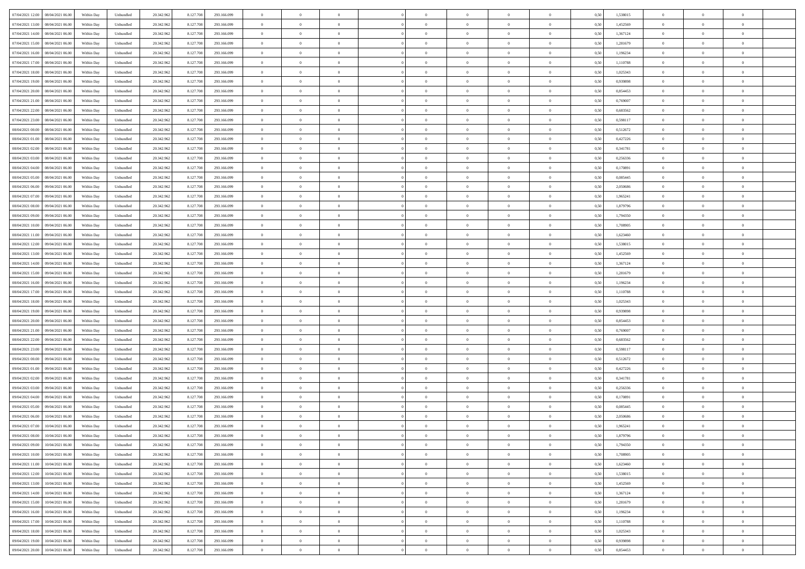| 07/04/2021 12:00   08/04/2021 06:00            | Within Day | Unbundled                   | 20.342.962 | 8.127.708 | 293.166.099 | $\overline{0}$ | $\theta$       |                | $\overline{0}$ | $\theta$       |                | $\bf{0}$       | 0,50 | 1,538015 | $\theta$       | $\theta$       | $\overline{0}$ |  |
|------------------------------------------------|------------|-----------------------------|------------|-----------|-------------|----------------|----------------|----------------|----------------|----------------|----------------|----------------|------|----------|----------------|----------------|----------------|--|
|                                                |            |                             |            |           |             |                |                |                |                |                |                |                |      |          |                |                |                |  |
| 07/04/2021 13:00<br>08/04/2021 06:00           | Within Day | Unbundled                   | 20.342.96  | 8.127.708 | 293.166.099 | $\bf{0}$       | $\overline{0}$ | $\bf{0}$       | $\overline{0}$ | $\theta$       | $\overline{0}$ | $\bf{0}$       | 0,50 | 1,452569 | $\,$ 0 $\,$    | $\bf{0}$       | $\overline{0}$ |  |
| 07/04/2021 14:00<br>08/04/2021 06:00           | Within Day | Unbundled                   | 20.342.962 | 8.127.708 | 293.166.099 | $\overline{0}$ | $\overline{0}$ | $\overline{0}$ | $\bf{0}$       | $\bf{0}$       | $\overline{0}$ | $\bf{0}$       | 0.50 | 1.367124 | $\bf{0}$       | $\overline{0}$ | $\overline{0}$ |  |
| 07/04/2021 15:00<br>08/04/2021 06:00           | Within Day | Unbundled                   | 20.342.962 | 8.127.708 | 293.166.099 | $\overline{0}$ | $\overline{0}$ | $\overline{0}$ | $\theta$       | $\theta$       | $\overline{0}$ | $\overline{0}$ | 0,50 | 1,281679 | $\theta$       | $\theta$       | $\overline{0}$ |  |
| 07/04/2021 16:00<br>08/04/2021 06:00           | Within Day | Unbundled                   | 20.342.96  | 8.127.708 | 293.166.099 | $\overline{0}$ | $\theta$       | $\overline{0}$ | $\overline{0}$ | $\theta$       | $\overline{0}$ | $\bf{0}$       | 0,50 | 1,196234 | $\,$ 0 $\,$    | $\theta$       | $\overline{0}$ |  |
| 07/04/2021 17:00<br>08/04/2021 06:00           | Within Day | Unbundled                   | 20.342.962 | 8.127.708 | 293.166.099 | $\overline{0}$ | $\overline{0}$ | $\Omega$       | $\overline{0}$ | $\overline{0}$ | $\Omega$       | $\bf{0}$       | 0.50 | 1.110788 | $\bf{0}$       | $\theta$       | $\overline{0}$ |  |
| 07/04/2021 18:00                               |            |                             |            |           |             | $\overline{0}$ | $\overline{0}$ | $\overline{0}$ | $\overline{0}$ | $\overline{0}$ | $\overline{0}$ |                |      |          | $\theta$       | $\theta$       | $\overline{0}$ |  |
| 08/04/2021 06:00                               | Within Day | Unbundled                   | 20.342.962 | 8.127.708 | 293.166.099 |                |                |                |                |                |                | $\bf{0}$       | 0,50 | 1,025343 |                |                |                |  |
| 07/04/2021 19:00<br>08/04/2021 06:00           | Within Day | Unbundled                   | 20.342.96  | 8.127.708 | 293.166.099 | $\bf{0}$       | $\overline{0}$ | $\overline{0}$ | $\overline{0}$ | $\theta$       | $\overline{0}$ | $\bf{0}$       | 0,50 | 0,939898 | $\,$ 0 $\,$    | $\bf{0}$       | $\overline{0}$ |  |
| 07/04/2021 20:00<br>08/04/2021 06:00           | Within Day | Unbundled                   | 20.342.96  | 8.127.708 | 293.166.099 | $\overline{0}$ | $\overline{0}$ | $\overline{0}$ | $\bf{0}$       | $\overline{0}$ | $\overline{0}$ | $\bf{0}$       | 0.50 | 0.854453 | $\bf{0}$       | $\theta$       | $\overline{0}$ |  |
| 07/04/2021 21:00<br>08/04/2021 06:00           | Within Day | Unbundled                   | 20.342.962 | 8.127.708 | 293.166.099 | $\overline{0}$ | $\bf{0}$       | $\overline{0}$ | $\overline{0}$ | $\theta$       | $\overline{0}$ | $\bf{0}$       | 0,50 | 0,769007 | $\theta$       | $\theta$       | $\overline{0}$ |  |
| 07/04/2021 22.00<br>08/04/2021 06:00           | Within Day | Unbundled                   | 20.342.96  | 8.127.708 | 293.166.099 | $\bf{0}$       | $\overline{0}$ | $\bf{0}$       | $\overline{0}$ | $\bf{0}$       | $\overline{0}$ | $\bf{0}$       | 0,50 | 0,683562 | $\,$ 0 $\,$    | $\bf{0}$       | $\overline{0}$ |  |
| 07/04/2021 23:00<br>08/04/2021 06:00           | Within Day | Unbundled                   | 20.342.962 | 8.127.708 | 293.166.099 | $\overline{0}$ | $\overline{0}$ | $\overline{0}$ | $\bf{0}$       | $\bf{0}$       | $\overline{0}$ | $\bf{0}$       | 0.50 | 0.598117 | $\bf{0}$       | $\overline{0}$ | $\overline{0}$ |  |
| 08/04/2021 00:00<br>08/04/2021 06:00           | Within Day | Unbundled                   | 20.342.96  | 8.127.708 | 293.166.099 | $\overline{0}$ | $\overline{0}$ | $\overline{0}$ | $\overline{0}$ | $\theta$       | $\overline{0}$ | $\overline{0}$ | 0,50 | 0,512672 | $\theta$       | $\theta$       | $\overline{0}$ |  |
|                                                |            |                             |            |           |             |                | $\theta$       |                | $\overline{0}$ | $\theta$       | $\overline{0}$ | $\bf{0}$       |      |          | $\,$ 0 $\,$    | $\bf{0}$       | $\overline{0}$ |  |
| 08/04/2021 01:00<br>08/04/2021 06:00           | Within Day | Unbundled                   | 20.342.96  | 8.127.708 | 293.166.099 | $\bf{0}$       |                | $\bf{0}$       |                |                |                |                | 0,50 | 0,427226 |                |                |                |  |
| 08/04/2021 02:00<br>08/04/2021 06:00           | Within Day | Unbundled                   | 20.342.962 | 8.127.708 | 293.166.099 | $\overline{0}$ | $\overline{0}$ | $\overline{0}$ | $\bf{0}$       | $\theta$       | $\theta$       | $\bf{0}$       | 0.50 | 0.341781 | $\,$ 0 $\,$    | $\overline{0}$ | $\overline{0}$ |  |
| 08/04/2021 03:00<br>08/04/2021 06:00           | Within Day | Unbundled                   | 20.342.962 | 8.127.708 | 293.166.099 | $\overline{0}$ | $\overline{0}$ | $\overline{0}$ | $\overline{0}$ | $\overline{0}$ | $\overline{0}$ | $\bf{0}$       | 0,50 | 0,256336 | $\theta$       | $\theta$       | $\overline{0}$ |  |
| 08/04/2021 04:00<br>08/04/2021 06:00           | Within Day | Unbundled                   | 20.342.96  | 8.127.708 | 293.166.099 | $\bf{0}$       | $\overline{0}$ | $\overline{0}$ | $\overline{0}$ | $\theta$       | $\overline{0}$ | $\bf{0}$       | 0,50 | 0,170891 | $\,$ 0 $\,$    | $\theta$       | $\overline{0}$ |  |
| 08/04/2021 05:00<br>08/04/2021 06:00           | Within Day | Unbundled                   | 20.342.96  | 8.127.708 | 293.166.099 | $\overline{0}$ | $\overline{0}$ | $\overline{0}$ | $\bf{0}$       | $\overline{0}$ | $\overline{0}$ | $\bf{0}$       | 0.50 | 0.085445 | $\bf{0}$       | $\overline{0}$ | $\overline{0}$ |  |
| 08/04/2021 06:00<br>09/04/2021 06:00           | Within Day | Unbundled                   | 20.342.962 | 8.127.708 | 293.166.099 | $\overline{0}$ | $\overline{0}$ | $\overline{0}$ | $\overline{0}$ | $\theta$       | $\overline{0}$ | $\bf{0}$       | 0,50 | 2,050686 | $\,$ 0 $\,$    | $\theta$       | $\overline{0}$ |  |
| 08/04/2021 07:00<br>09/04/2021 06.00           | Within Day | Unbundled                   | 20.342.96  | 8.127.708 | 293.166.099 | $\bf{0}$       | $\overline{0}$ | $\bf{0}$       | $\bf{0}$       | $\overline{0}$ | $\overline{0}$ | $\bf{0}$       | 0,50 | 1,965241 | $\,$ 0 $\,$    | $\bf{0}$       | $\overline{0}$ |  |
| 09/04/2021 06:00                               |            |                             |            |           |             |                | $\overline{0}$ |                |                |                | $\overline{0}$ |                |      | 1.879796 |                | $\overline{0}$ |                |  |
| 08/04/2021 08:00                               | Within Day | Unbundled                   | 20.342.962 | 8.127.708 | 293.166.099 | $\overline{0}$ |                | $\overline{0}$ | $\bf{0}$       | $\bf{0}$       |                | $\bf{0}$       | 0.50 |          | $\bf{0}$       |                | $\overline{0}$ |  |
| 08/04/2021 09:00<br>09/04/2021 06:00           | Within Day | Unbundled                   | 20.342.962 | 8.127.708 | 293.166.099 | $\overline{0}$ | $\overline{0}$ | $\overline{0}$ | $\theta$       | $\theta$       | $\overline{0}$ | $\bf{0}$       | 0,50 | 1,794350 | $\theta$       | $\theta$       | $\overline{0}$ |  |
| 08/04/2021 10:00<br>09/04/2021 06.00           | Within Day | Unbundled                   | 20.342.96  | 8.127.708 | 293.166.099 | $\bf{0}$       | $\overline{0}$ | $\overline{0}$ | $\overline{0}$ | $\theta$       | $\overline{0}$ | $\bf{0}$       | 0,50 | 1,708905 | $\,$ 0 $\,$    | $\bf{0}$       | $\overline{0}$ |  |
| 08/04/2021 11:00<br>09/04/2021 06:00           | Within Day | Unbundled                   | 20.342.962 | 8.127.708 | 293.166.099 | $\overline{0}$ | $\overline{0}$ | $\overline{0}$ | $\overline{0}$ | $\overline{0}$ | $\Omega$       | $\bf{0}$       | 0.50 | 1.623460 | $\,$ 0 $\,$    | $\theta$       | $\overline{0}$ |  |
| 08/04/2021 12:00<br>09/04/2021 06.00           | Within Day | Unbundled                   | 20.342.962 | 8.127.708 | 293.166.099 | $\overline{0}$ | $\overline{0}$ | $\overline{0}$ | $\overline{0}$ | $\overline{0}$ | $\overline{0}$ | $\bf{0}$       | 0,50 | 1,538015 | $\theta$       | $\theta$       | $\overline{0}$ |  |
| 08/04/2021 13:00<br>09/04/2021 06.00           | Within Day | Unbundled                   | 20.342.96  | 8.127.708 | 293.166.099 | $\bf{0}$       | $\theta$       | $\overline{0}$ | $\overline{0}$ | $\theta$       | $\overline{0}$ | $\bf{0}$       | 0,50 | 1,452569 | $\,$ 0 $\,$    | $\theta$       | $\overline{0}$ |  |
| 08/04/2021 14:00<br>09/04/2021 06:00           | Within Day | Unbundled                   | 20.342.96  | 8.127.708 | 293.166.099 | $\overline{0}$ | $\overline{0}$ | $\overline{0}$ | $\bf{0}$       | $\overline{0}$ | $\overline{0}$ | $\bf{0}$       | 0.50 | 1.367124 | $\bf{0}$       | $\theta$       | $\overline{0}$ |  |
| 08/04/2021 15:00<br>09/04/2021 06:00           | Within Day | Unbundled                   | 20.342.962 | 8.127.708 | 293.166.099 | $\overline{0}$ | $\overline{0}$ | $\overline{0}$ | $\overline{0}$ | $\theta$       | $\overline{0}$ | $\bf{0}$       | 0,50 | 1,281679 | $\theta$       | $\theta$       | $\overline{0}$ |  |
|                                                |            |                             |            |           |             |                |                |                |                |                |                |                |      |          |                |                |                |  |
| 08/04/2021 16:00<br>09/04/2021 06.00           | Within Day | Unbundled                   | 20.342.96  | 8.127.708 | 293.166.099 | $\bf{0}$       | $\bf{0}$       | $\bf{0}$       | $\bf{0}$       | $\overline{0}$ | $\overline{0}$ | $\bf{0}$       | 0,50 | 1,196234 | $\,$ 0 $\,$    | $\bf{0}$       | $\overline{0}$ |  |
| 08/04/2021 17:00<br>09/04/2021 06:00           | Within Day | Unbundled                   | 20.342.962 | 8.127.708 | 293.166.099 | $\overline{0}$ | $\overline{0}$ | $\overline{0}$ | $\bf{0}$       | $\bf{0}$       | $\overline{0}$ | $\bf{0}$       | 0.50 | 1,110788 | $\bf{0}$       | $\overline{0}$ | $\overline{0}$ |  |
| 08/04/2021 18:00<br>09/04/2021 06:00           | Within Day | Unbundled                   | 20.342.962 | 8.127.708 | 293.166.099 | $\overline{0}$ | $\overline{0}$ | $\overline{0}$ | $\overline{0}$ | $\overline{0}$ | $\overline{0}$ | $\bf{0}$       | 0.5( | 1,025343 | $\theta$       | $\theta$       | $\overline{0}$ |  |
| 08/04/2021 19:00<br>09/04/2021 06.00           | Within Day | Unbundled                   | 20.342.96  | 8.127.708 | 293.166.099 | $\bf{0}$       | $\overline{0}$ | $\bf{0}$       | $\overline{0}$ | $\overline{0}$ | $\overline{0}$ | $\bf{0}$       | 0,50 | 0,939898 | $\,$ 0 $\,$    | $\bf{0}$       | $\overline{0}$ |  |
| 08/04/2021 20:00<br>09/04/2021 06:00           | Within Day | Unbundled                   | 20.342.962 | 8.127.708 | 293.166.099 | $\overline{0}$ | $\overline{0}$ | $\overline{0}$ | $\bf{0}$       | $\theta$       | $\Omega$       | $\bf{0}$       | 0.50 | 0.854453 | $\theta$       | $\overline{0}$ | $\overline{0}$ |  |
| 08/04/2021 21:00<br>09/04/2021 06:00           | Within Dav | Unbundled                   | 20.342.962 | 8.127.708 | 293.166.099 | $\overline{0}$ | $\theta$       | $\Omega$       | $\overline{0}$ | $\theta$       | $\overline{0}$ | $\overline{0}$ | 0.5( | 0,769007 | $\theta$       | $\theta$       | $\overline{0}$ |  |
| 08/04/2021 22:00<br>09/04/2021 06.00           | Within Day | Unbundled                   | 20.342.96  | 8.127.708 | 293.166.099 | $\bf{0}$       | $\overline{0}$ | $\overline{0}$ | $\overline{0}$ | $\bf{0}$       | $\overline{0}$ | $\bf{0}$       | 0,50 | 0,683562 | $\,$ 0 $\,$    | $\bf{0}$       | $\overline{0}$ |  |
| 08/04/2021 23:00<br>09/04/2021 06:00           | Within Day | Unbundled                   | 20.342.96  | 8.127.708 | 293.166.099 | $\overline{0}$ | $\overline{0}$ | $\overline{0}$ | $\bf{0}$       | $\overline{0}$ | $\overline{0}$ | $\bf{0}$       | 0.50 | 0.598117 | $\bf{0}$       | $\theta$       | $\overline{0}$ |  |
| 09/04/2021 00:00<br>09/04/2021 06:00           | Within Dav | Unbundled                   | 20.342.962 | 8.127.708 | 293.166.099 | $\overline{0}$ | $\overline{0}$ | $\overline{0}$ | $\overline{0}$ | $\overline{0}$ | $\overline{0}$ | $\overline{0}$ | 0.50 | 0,512672 | $\theta$       | $\theta$       | $\overline{0}$ |  |
|                                                |            |                             |            |           |             |                |                |                |                |                |                |                |      |          |                |                |                |  |
| 09/04/2021 01:00<br>09/04/2021 06.00           | Within Day | Unbundled                   | 20.342.96  | 8.127.708 | 293.166.099 | $\bf{0}$       | $\bf{0}$       | $\bf{0}$       | $\bf{0}$       | $\overline{0}$ | $\overline{0}$ | $\bf{0}$       | 0,50 | 0,427226 | $\,$ 0 $\,$    | $\bf{0}$       | $\overline{0}$ |  |
| 09/04/2021 02:00<br>09/04/2021 06:00           | Within Day | Unbundled                   | 20.342.962 | 8.127.708 | 293.166.099 | $\overline{0}$ | $\bf{0}$       | $\overline{0}$ | $\bf{0}$       | $\bf{0}$       | $\overline{0}$ | $\bf{0}$       | 0.50 | 0.341781 | $\bf{0}$       | $\overline{0}$ | $\overline{0}$ |  |
| 09/04/2021 03:00<br>09/04/2021 06:00           | Within Dav | Unbundled                   | 20.342.962 | 8.127.708 | 293.166.099 | $\overline{0}$ | $\overline{0}$ | $\Omega$       | $\overline{0}$ | $\overline{0}$ | $\overline{0}$ | $\bf{0}$       | 0.50 | 0,256336 | $\theta$       | $\theta$       | $\overline{0}$ |  |
| 09/04/2021 04:00<br>09/04/2021 06.00           | Within Day | Unbundled                   | 20.342.96  | 8.127.708 | 293.166.099 | $\bf{0}$       | $\overline{0}$ | $\bf{0}$       | $\overline{0}$ | $\overline{0}$ | $\overline{0}$ | $\bf{0}$       | 0,50 | 0,170891 | $\,$ 0 $\,$    | $\bf{0}$       | $\overline{0}$ |  |
| 09/04/2021 05:00<br>09/04/2021 06:00           | Within Day | Unbundled                   | 20.342.962 | 8.127.708 | 293.166.099 | $\overline{0}$ | $\overline{0}$ | $\Omega$       | $\overline{0}$ | $\theta$       | $\theta$       | $\bf{0}$       | 0.50 | 0.085445 | $\,$ 0 $\,$    | $\overline{0}$ | $\overline{0}$ |  |
| 09/04/2021 06:00<br>10/04/2021 06:00           | Within Dav | Unbundled                   | 20.342.962 | 8.127.708 | 293.166.099 | $\overline{0}$ | $\overline{0}$ | $\Omega$       | $\overline{0}$ | $\theta$       | $\Omega$       | $\overline{0}$ | 0.5( | 2.050686 | $\theta$       | $\theta$       | $\overline{0}$ |  |
| 09/04/2021 07:00<br>10/04/2021 06:00           | Within Day | Unbundled                   | 20.342.96  | 8.127.708 | 293.166.099 | $\bf{0}$       | $\bf{0}$       | $\overline{0}$ | $\bf{0}$       | $\bf{0}$       | $\overline{0}$ | $\bf{0}$       | 0,50 | 1,965241 | $\,$ 0 $\,$    | $\bf{0}$       | $\overline{0}$ |  |
| $09/04/2021\; 08.00 \qquad 10/04/2021\; 06.00$ | Within Day | $\ensuremath{\mathsf{Unb}}$ | 20.342.962 | 8.127.708 | 293.166.099 | $\overline{0}$ | $\Omega$       |                | $\Omega$       |                |                |                | 0,50 | 1.879796 | $\theta$       | $\overline{0}$ |                |  |
| 09/04/2021 09:00 10/04/2021 06:00              | Within Day | Unbundled                   | 20.342.962 | 8.127.708 | 293.166.099 | $\overline{0}$ | $\theta$       | $\overline{0}$ | $\theta$       | $\overline{0}$ | $\overline{0}$ | $\bf{0}$       | 0,50 | 1,794350 | $\theta$       | $\theta$       | $\overline{0}$ |  |
|                                                |            |                             |            |           |             |                |                |                |                |                |                |                |      |          |                |                |                |  |
| 09/04/2021 10:00<br>10/04/2021 06:00           | Within Day | Unbundled                   | 20.342.96  | 8.127.708 | 293.166.099 | $\overline{0}$ | $\bf{0}$       | $\overline{0}$ | $\overline{0}$ | $\bf{0}$       | $\overline{0}$ | $\bf{0}$       | 0,50 | 1,708905 | $\bf{0}$       | $\overline{0}$ | $\bf{0}$       |  |
| 09/04/2021 11:00 10/04/2021 06:00              | Within Day | Unbundled                   | 20.342.962 | 8.127.708 | 293.166.099 | $\overline{0}$ | $\bf{0}$       | $\overline{0}$ | $\overline{0}$ | $\mathbf{0}$   | $\overline{0}$ | $\,$ 0 $\,$    | 0.50 | 1.623460 | $\overline{0}$ | $\bf{0}$       | $\,$ 0 $\,$    |  |
| 09/04/2021 12:00<br>10/04/2021 06:00           | Within Day | Unbundled                   | 20.342.962 | 8.127.708 | 293.166.099 | $\overline{0}$ | $\overline{0}$ | $\overline{0}$ | $\overline{0}$ | $\overline{0}$ | $\overline{0}$ | $\bf{0}$       | 0,50 | 1,538015 | $\theta$       | $\theta$       | $\overline{0}$ |  |
| 09/04/2021 13:00<br>10/04/2021 06:00           | Within Day | Unbundled                   | 20.342.962 | 8.127.708 | 293.166.099 | $\overline{0}$ | $\bf{0}$       | $\overline{0}$ | $\bf{0}$       | $\overline{0}$ | $\bf{0}$       | $\bf{0}$       | 0,50 | 1,452569 | $\bf{0}$       | $\bf{0}$       | $\overline{0}$ |  |
| 09/04/2021 14:00<br>10/04/2021 06:00           | Within Day | Unbundled                   | 20.342.962 | 8.127.708 | 293.166.099 | $\overline{0}$ | $\bf{0}$       | $\overline{0}$ | $\overline{0}$ | $\overline{0}$ | $\overline{0}$ | $\bf{0}$       | 0.50 | 1.367124 | $\,$ 0 $\,$    | $\theta$       | $\,$ 0         |  |
| 09/04/2021 15:00<br>10/04/2021 06:00           | Within Dav | Unbundled                   | 20.342.962 | 8.127.708 | 293.166.099 | $\overline{0}$ | $\overline{0}$ | $\overline{0}$ | $\overline{0}$ | $\overline{0}$ | $\overline{0}$ | $\bf{0}$       | 0,50 | 1,281679 | $\overline{0}$ | $\theta$       | $\overline{0}$ |  |
| 09/04/2021 16:00<br>10/04/2021 06:00           | Within Day | Unbundled                   | 20.342.96  | 8.127.708 | 293.166.099 | $\overline{0}$ | $\overline{0}$ | $\overline{0}$ | $\overline{0}$ | $\overline{0}$ | $\overline{0}$ | $\bf{0}$       | 0,50 | 1,196234 | $\bf{0}$       | $\,$ 0 $\,$    | $\overline{0}$ |  |
|                                                |            |                             |            |           |             |                |                |                |                |                |                |                |      |          |                |                |                |  |
| 09/04/2021 17:00<br>10/04/2021 06:00           | Within Day | Unbundled                   | 20.342.962 | 8.127.708 | 293.166.099 | $\overline{0}$ | $\overline{0}$ | $\overline{0}$ | $\overline{0}$ | $\bf{0}$       | $\overline{0}$ | $\bf{0}$       | 0.50 | 1.110788 | $\overline{0}$ | $\,$ 0 $\,$    | $\,$ 0         |  |
| 09/04/2021 18:00<br>10/04/2021 06:00           | Within Dav | Unbundled                   | 20.342.962 | 8.127.708 | 293.166.099 | $\overline{0}$ | $\overline{0}$ | $\overline{0}$ | $\overline{0}$ | $\overline{0}$ | $\overline{0}$ | $\bf{0}$       | 0,50 | 1,025343 | $\overline{0}$ | $\theta$       | $\overline{0}$ |  |
| 09/04/2021 19:00<br>10/04/2021 06:00           | Within Day | Unbundled                   | 20.342.96  | 8.127.708 | 293.166.099 | $\overline{0}$ | $\bf{0}$       | $\overline{0}$ | $\bf{0}$       | $\overline{0}$ | $\bf{0}$       | $\bf{0}$       | 0,50 | 0,939898 | $\bf{0}$       | $\bf{0}$       | $\overline{0}$ |  |
| 09/04/2021 20:00 10/04/2021 06:00              | Within Day | Unbundled                   | 20.342.962 | 8.127.708 | 293.166.099 | $\overline{0}$ | $\bf{0}$       | $\overline{0}$ | $\overline{0}$ | $\,$ 0 $\,$    | $\overline{0}$ | $\bf{0}$       | 0,50 | 0,854453 | $\overline{0}$ | $\,$ 0 $\,$    | $\,$ 0 $\,$    |  |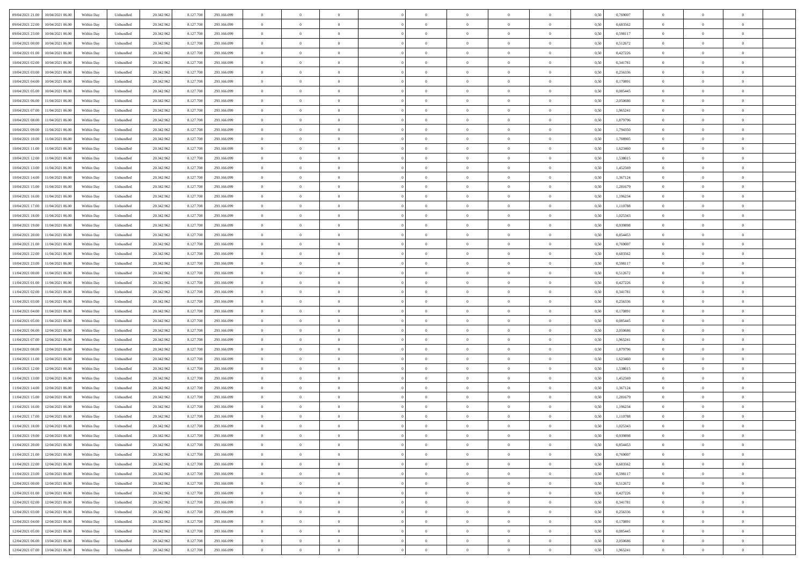|                                            |            |           |            |           |             | $\overline{0}$ | $\theta$       |                | $\overline{0}$ | $\theta$       |                | $\theta$       |      |          | $\theta$       | $\theta$       | $\overline{0}$ |  |
|--------------------------------------------|------------|-----------|------------|-----------|-------------|----------------|----------------|----------------|----------------|----------------|----------------|----------------|------|----------|----------------|----------------|----------------|--|
| 09/04/2021 21:00<br>10/04/2021 06:00       | Within Day | Unbundled | 20.342.962 | 8.127.708 | 293.166.099 |                |                |                |                |                |                |                | 0,50 | 0,769007 |                |                |                |  |
| 09/04/2021 22.00<br>10/04/2021 06:00       | Within Day | Unbundled | 20.342.96  | 8.127.708 | 293.166.099 | $\bf{0}$       | $\overline{0}$ | $\bf{0}$       | $\overline{0}$ | $\bf{0}$       | $\overline{0}$ | $\bf{0}$       | 0,50 | 0,683562 | $\,$ 0 $\,$    | $\bf{0}$       | $\overline{0}$ |  |
| 09/04/2021 23:00<br>10/04/2021 06:00       | Within Day | Unbundled | 20.342.962 | 8.127.708 | 293.166.099 | $\overline{0}$ | $\bf{0}$       | $\overline{0}$ | $\bf{0}$       | $\bf{0}$       | $\overline{0}$ | $\bf{0}$       | 0.50 | 0.598117 | $\bf{0}$       | $\overline{0}$ | $\bf{0}$       |  |
| 10/04/2021 00:00<br>10/04/2021 06:00       | Within Day | Unbundled | 20.342.962 | 8.127.708 | 293.166.099 | $\overline{0}$ | $\overline{0}$ | $\overline{0}$ | $\theta$       | $\theta$       | $\overline{0}$ | $\bf{0}$       | 0,50 | 0,512672 | $\theta$       | $\theta$       | $\overline{0}$ |  |
| 10/04/2021 01:00<br>10/04/2021 06:00       | Within Day | Unbundled | 20.342.96  | 8.127.708 | 293.166.099 | $\overline{0}$ | $\overline{0}$ | $\overline{0}$ | $\overline{0}$ | $\theta$       | $\overline{0}$ | $\bf{0}$       | 0,50 | 0,427226 | $\,$ 0 $\,$    | $\bf{0}$       | $\overline{0}$ |  |
| 10/04/2021 02:00<br>10/04/2021 06:00       |            | Unbundled | 20.342.962 | 8.127.708 | 293.166.099 | $\overline{0}$ | $\overline{0}$ | $\overline{0}$ | $\overline{0}$ | $\overline{0}$ | $\theta$       | $\bf{0}$       | 0.50 | 0.341781 | $\,$ 0 $\,$    | $\theta$       | $\overline{0}$ |  |
|                                            | Within Day |           |            |           |             |                |                |                |                |                |                |                |      |          |                |                |                |  |
| 10/04/2021 03:00<br>10/04/2021 06:00       | Within Day | Unbundled | 20.342.962 | 8.127.708 | 293.166.099 | $\overline{0}$ | $\overline{0}$ | $\overline{0}$ | $\overline{0}$ | $\overline{0}$ | $\overline{0}$ | $\bf{0}$       | 0,50 | 0,256336 | $\theta$       | $\theta$       | $\overline{0}$ |  |
| 10/04/2021 04:00<br>10/04/2021 06:00       | Within Day | Unbundled | 20.342.96  | 8.127.708 | 293.166.099 | $\bf{0}$       | $\overline{0}$ | $\overline{0}$ | $\overline{0}$ | $\overline{0}$ | $\overline{0}$ | $\bf{0}$       | 0,50 | 0,170891 | $\,$ 0 $\,$    | $\bf{0}$       | $\overline{0}$ |  |
| 10/04/2021 05:00<br>10/04/2021 06:00       | Within Day | Unbundled | 20.342.96  | 8.127.708 | 293.166.099 | $\overline{0}$ | $\overline{0}$ | $\overline{0}$ | $\bf{0}$       | $\overline{0}$ | $\overline{0}$ | $\bf{0}$       | 0.50 | 0.085445 | $\bf{0}$       | $\overline{0}$ | $\overline{0}$ |  |
| 10/04/2021 06:00<br>11/04/2021 06:00       | Within Day | Unbundled | 20.342.962 | 8.127.708 | 293.166.099 | $\bf{0}$       | $\bf{0}$       | $\overline{0}$ | $\overline{0}$ | $\overline{0}$ | $\overline{0}$ | $\bf{0}$       | 0,50 | 2,050686 | $\,$ 0 $\,$    | $\theta$       | $\overline{0}$ |  |
| 10/04/2021 07:00<br>11/04/2021 06:00       | Within Day | Unbundled | 20.342.96  | 8.127.708 | 293.166.099 | $\bf{0}$       | $\overline{0}$ | $\bf{0}$       | $\bf{0}$       | $\bf{0}$       | $\overline{0}$ | $\bf{0}$       | 0,50 | 1,965241 | $\,$ 0 $\,$    | $\bf{0}$       | $\overline{0}$ |  |
| 10/04/2021 08:00<br>11/04/2021 06:00       | Within Day | Unbundled | 20.342.962 | 8.127.708 | 293.166.099 | $\overline{0}$ | $\overline{0}$ | $\overline{0}$ | $\bf{0}$       | $\bf{0}$       | $\overline{0}$ | $\bf{0}$       | 0.50 | 1.879796 | $\bf{0}$       | $\overline{0}$ | $\bf{0}$       |  |
| 10/04/2021 09:00<br>11/04/2021 06:00       | Within Day | Unbundled | 20.342.962 | 8.127.708 | 293.166.099 | $\overline{0}$ | $\overline{0}$ | $\overline{0}$ | $\overline{0}$ | $\theta$       | $\overline{0}$ | $\bf{0}$       | 0,50 | 1,794350 | $\,$ 0 $\,$    | $\theta$       | $\overline{0}$ |  |
|                                            |            |           |            |           |             |                |                |                |                |                |                |                |      |          |                |                |                |  |
| 10/04/2021 10:00<br>11/04/2021 06:00       | Within Day | Unbundled | 20.342.96  | 8.127.708 | 293.166.099 | $\bf{0}$       | $\overline{0}$ | $\bf{0}$       | $\overline{0}$ | $\theta$       | $\overline{0}$ | $\bf{0}$       | 0,50 | 1,708905 | $\,$ 0 $\,$    | $\bf{0}$       | $\overline{0}$ |  |
| 10/04/2021 11:00<br>11/04/2021 06:00       | Within Day | Unbundled | 20.342.962 | 8.127.708 | 293.166.099 | $\overline{0}$ | $\overline{0}$ | $\overline{0}$ | $\bf{0}$       | $\overline{0}$ | $\Omega$       | $\bf{0}$       | 0.50 | 1.623460 | $\theta$       | $\theta$       | $\overline{0}$ |  |
| 10/04/2021 12:00<br>11/04/2021 06:00       | Within Day | Unbundled | 20.342.962 | 8.127.708 | 293.166.099 | $\overline{0}$ | $\overline{0}$ | $\overline{0}$ | $\overline{0}$ | $\overline{0}$ | $\overline{0}$ | $\bf{0}$       | 0,50 | 1,538015 | $\theta$       | $\theta$       | $\overline{0}$ |  |
| 10/04/2021 13:00<br>11/04/2021 06:00       | Within Day | Unbundled | 20.342.96  | 8.127.708 | 293.166.099 | $\bf{0}$       | $\overline{0}$ | $\overline{0}$ | $\overline{0}$ | $\bf{0}$       | $\overline{0}$ | $\bf{0}$       | 0,50 | 1,452569 | $\,$ 0 $\,$    | $\theta$       | $\overline{0}$ |  |
| 10/04/2021 14:00<br>11/04/2021 06:00       | Within Day | Unbundled | 20.342.96  | 8.127.708 | 293.166.099 | $\overline{0}$ | $\overline{0}$ | $\overline{0}$ | $\bf{0}$       | $\overline{0}$ | $\overline{0}$ | $\bf{0}$       | 0.50 | 1.367124 | $\bf{0}$       | $\overline{0}$ | $\overline{0}$ |  |
| 10/04/2021 15:00<br>11/04/2021 06:00       | Within Day | Unbundled | 20.342.962 | 8.127.708 | 293.166.099 | $\overline{0}$ | $\overline{0}$ | $\overline{0}$ | $\overline{0}$ | $\overline{0}$ | $\overline{0}$ | $\bf{0}$       | 0,50 | 1,281679 | $\,$ 0 $\,$    | $\theta$       | $\overline{0}$ |  |
| 10/04/2021 16:00<br>11/04/2021 06:00       | Within Day | Unbundled | 20.342.96  | 8.127.708 | 293.166.099 | $\bf{0}$       | $\bf{0}$       | $\bf{0}$       | $\bf{0}$       | $\overline{0}$ | $\overline{0}$ | $\bf{0}$       | 0,50 | 1,196234 | $\,$ 0 $\,$    | $\bf{0}$       | $\overline{0}$ |  |
| 10/04/2021 17:00<br>11/04/2021 06:00       | Within Day | Unbundled | 20.342.962 | 8.127.708 | 293.166.099 | $\overline{0}$ | $\bf{0}$       | $\overline{0}$ | $\bf{0}$       | $\bf{0}$       | $\overline{0}$ | $\bf{0}$       | 0.50 | 1.110788 | $\bf{0}$       | $\overline{0}$ | $\bf{0}$       |  |
|                                            |            |           |            |           |             |                |                |                |                |                |                |                |      |          |                |                |                |  |
| 10/04/2021 18:00<br>11/04/2021 06:00       | Within Day | Unbundled | 20.342.962 | 8.127.708 | 293.166.099 | $\overline{0}$ | $\overline{0}$ | $\overline{0}$ | $\theta$       | $\theta$       | $\overline{0}$ | $\bf{0}$       | 0,50 | 1,025343 | $\theta$       | $\theta$       | $\overline{0}$ |  |
| 10/04/2021 19:00<br>11/04/2021 06:00       | Within Day | Unbundled | 20.342.96  | 8.127.708 | 293.166.099 | $\bf{0}$       | $\overline{0}$ | $\bf{0}$       | $\bf{0}$       | $\bf{0}$       | $\overline{0}$ | $\bf{0}$       | 0,50 | 0,939898 | $\,$ 0 $\,$    | $\bf{0}$       | $\overline{0}$ |  |
| 10/04/2021 20:00<br>11/04/2021 06:00       | Within Day | Unbundled | 20.342.962 | 8.127.708 | 293.166.099 | $\overline{0}$ | $\overline{0}$ | $\overline{0}$ | $\overline{0}$ | $\overline{0}$ | $\Omega$       | $\bf{0}$       | 0.50 | 0.854453 | $\,$ 0 $\,$    | $\theta$       | $\overline{0}$ |  |
| 10/04/2021 21:00<br>11/04/2021 06.00       | Within Day | Unbundled | 20.342.962 | 8.127.708 | 293.166.099 | $\overline{0}$ | $\overline{0}$ | $\overline{0}$ | $\overline{0}$ | $\overline{0}$ | $\overline{0}$ | $\bf{0}$       | 0,50 | 0,769007 | $\theta$       | $\theta$       | $\overline{0}$ |  |
| 10/04/2021 22:00<br>11/04/2021 06:00       | Within Day | Unbundled | 20.342.96  | 8.127.708 | 293.166.099 | $\bf{0}$       | $\theta$       | $\bf{0}$       | $\overline{0}$ | $\bf{0}$       | $\overline{0}$ | $\bf{0}$       | 0,50 | 0,683562 | $\,$ 0 $\,$    | $\bf{0}$       | $\overline{0}$ |  |
| 10/04/2021 23:00<br>11/04/2021 06:00       | Within Day | Unbundled | 20.342.96  | 8.127.708 | 293.166.099 | $\overline{0}$ | $\bf{0}$       | $\overline{0}$ | $\bf{0}$       | $\overline{0}$ | $\overline{0}$ | $\bf{0}$       | 0.50 | 0.598117 | $\bf{0}$       | $\overline{0}$ | $\overline{0}$ |  |
| 11/04/2021 00:00<br>11/04/2021 06:00       | Within Day | Unbundled | 20.342.962 | 8.127.708 | 293.166.099 | $\overline{0}$ | $\overline{0}$ | $\overline{0}$ | $\overline{0}$ | $\overline{0}$ | $\overline{0}$ | $\bf{0}$       | 0,50 | 0,512672 | $\theta$       | $\theta$       | $\overline{0}$ |  |
|                                            |            |           |            |           |             |                |                |                |                |                |                |                |      |          |                |                |                |  |
| 11/04/2021 01:00<br>11/04/2021 06:00       | Within Day | Unbundled | 20.342.96  | 8.127.708 | 293.166.099 | $\bf{0}$       | $\bf{0}$       | $\bf{0}$       | $\bf{0}$       | $\overline{0}$ | $\overline{0}$ | $\bf{0}$       | 0,50 | 0,427226 | $\,$ 0 $\,$    | $\bf{0}$       | $\overline{0}$ |  |
| 11/04/2021 02:00<br>11/04/2021 06:00       | Within Day | Unbundled | 20.342.962 | 8.127.708 | 293.166.099 | $\overline{0}$ | $\bf{0}$       | $\overline{0}$ | $\bf{0}$       | $\bf{0}$       | $\overline{0}$ | $\bf{0}$       | 0.50 | 0.341781 | $\bf{0}$       | $\overline{0}$ | $\bf{0}$       |  |
| 11/04/2021 03:00<br>11/04/2021 06:00       | Within Day | Unbundled | 20.342.962 | 8.127.708 | 293.166.099 | $\overline{0}$ | $\overline{0}$ | $\overline{0}$ | $\overline{0}$ | $\overline{0}$ | $\overline{0}$ | $\bf{0}$       | 0.5( | 0,256336 | $\theta$       | $\theta$       | $\overline{0}$ |  |
| 11/04/2021 04:00<br>11/04/2021 06:00       | Within Day | Unbundled | 20.342.96  | 8.127.708 | 293.166.099 | $\bf{0}$       | $\overline{0}$ | $\bf{0}$       | $\bf{0}$       | $\,$ 0 $\,$    | $\overline{0}$ | $\bf{0}$       | 0,50 | 0,170891 | $\,$ 0 $\,$    | $\bf{0}$       | $\overline{0}$ |  |
| 11/04/2021 05:00<br>11/04/2021 06:00       | Within Day | Unbundled | 20.342.962 | 8.127.708 | 293.166.099 | $\overline{0}$ | $\overline{0}$ | $\overline{0}$ | $\bf{0}$       | $\overline{0}$ | $\Omega$       | $\bf{0}$       | 0.50 | 0.085445 | $\,$ 0 $\,$    | $\theta$       | $\overline{0}$ |  |
| 11/04/2021 06:00<br>12/04/2021 06:00       | Within Dav | Unbundled | 20.342.962 | 8.127.708 | 293.166.099 | $\overline{0}$ | $\overline{0}$ | $\overline{0}$ | $\overline{0}$ | $\overline{0}$ | $\overline{0}$ | $\overline{0}$ | 0.5( | 2.050686 | $\theta$       | $\theta$       | $\overline{0}$ |  |
| 11/04/2021 07:00<br>12/04/2021 06:00       | Within Day | Unbundled | 20.342.96  | 8.127.708 | 293.166.099 | $\bf{0}$       | $\overline{0}$ | $\bf{0}$       | $\bf{0}$       | $\bf{0}$       | $\overline{0}$ | $\bf{0}$       | 0,50 | 1,965241 | $\,$ 0 $\,$    | $\bf{0}$       | $\overline{0}$ |  |
| 11/04/2021 08:00<br>12/04/2021 06:00       | Within Day | Unbundled | 20.342.96  | 8.127.708 | 293.166.099 | $\overline{0}$ | $\bf{0}$       | $\overline{0}$ | $\bf{0}$       | $\overline{0}$ | $\overline{0}$ | $\bf{0}$       | 0.50 | 1.879796 | $\bf{0}$       | $\overline{0}$ | $\overline{0}$ |  |
| 11/04/2021 11:00<br>12/04/2021 06:00       | Within Dav | Unbundled | 20.342.962 | 8.127.708 | 293.166.099 | $\overline{0}$ | $\overline{0}$ | $\overline{0}$ | $\overline{0}$ | $\overline{0}$ | $\overline{0}$ | $\overline{0}$ | 0.50 | 1,623460 | $\theta$       | $\theta$       | $\overline{0}$ |  |
|                                            |            |           |            |           |             |                |                |                |                |                |                |                |      |          |                |                |                |  |
| 11/04/2021 12:00<br>12/04/2021 06:00       | Within Day | Unbundled | 20.342.96  | 8.127.708 | 293.166.099 | $\bf{0}$       | $\bf{0}$       | $\bf{0}$       | $\bf{0}$       | $\overline{0}$ | $\overline{0}$ | $\bf{0}$       | 0,50 | 1,538015 | $\,$ 0 $\,$    | $\bf{0}$       | $\overline{0}$ |  |
| 11/04/2021 13:00<br>12/04/2021 06:00       | Within Day | Unbundled | 20.342.962 | 8.127.708 | 293.166.099 | $\overline{0}$ | $\bf{0}$       | $\overline{0}$ | $\bf{0}$       | $\bf{0}$       | $\overline{0}$ | $\bf{0}$       | 0.50 | 1.452569 | $\bf{0}$       | $\overline{0}$ | $\bf{0}$       |  |
| 11/04/2021 14:00<br>12/04/2021 06:00       | Within Dav | Unbundled | 20.342.962 | 8.127.708 | 293.166.099 | $\overline{0}$ | $\overline{0}$ | $\Omega$       | $\overline{0}$ | $\overline{0}$ | $\overline{0}$ | $\overline{0}$ | 0.5( | 1,367124 | $\theta$       | $\theta$       | $\overline{0}$ |  |
| 11/04/2021 15:00<br>12/04/2021 06:00       | Within Day | Unbundled | 20.342.96  | 8.127.708 | 293.166.099 | $\bf{0}$       | $\overline{0}$ | $\bf{0}$       | $\bf{0}$       | $\,$ 0 $\,$    | $\overline{0}$ | $\bf{0}$       | 0,50 | 1,281679 | $\,$ 0 $\,$    | $\bf{0}$       | $\overline{0}$ |  |
| 11/04/2021 16:00<br>12/04/2021 06:00       | Within Day | Unbundled | 20.342.962 | 8.127.708 | 293.166.099 | $\overline{0}$ | $\overline{0}$ | $\Omega$       | $\overline{0}$ | $\overline{0}$ | $\Omega$       | $\bf{0}$       | 0.50 | 1,196234 | $\bf{0}$       | $\theta$       | $\overline{0}$ |  |
| 11/04/2021 17:00<br>12/04/2021 06:00       | Within Dav | Unbundled | 20.342.962 | 8.127.708 | 293.166.099 | $\overline{0}$ | $\overline{0}$ | $\Omega$       | $\overline{0}$ | $\theta$       | $\Omega$       | $\overline{0}$ | 0.5( | 1,110788 | $\theta$       | $\theta$       | $\overline{0}$ |  |
| 11/04/2021 18:00<br>12/04/2021 06:00       | Within Day | Unbundled | 20.342.96  | 8.127.708 | 293.166.099 | $\bf{0}$       | $\bf{0}$       | $\bf{0}$       | $\bf{0}$       | $\bf{0}$       | $\overline{0}$ | $\bf{0}$       | 0,50 | 1,025343 | $\,$ 0 $\,$    | $\bf{0}$       | $\overline{0}$ |  |
| $11/04/2021\;19.00\qquad12/04/2021\;06.00$ | Within Day | Unbundled | 20.342.962 | 8.127.708 | 293.166.099 | $\bf{0}$       | $\theta$       |                | $\overline{0}$ |                |                |                | 0,50 | 0.939898 | $\theta$       | $\bf{0}$       |                |  |
| 11/04/2021 20.00 12/04/2021 06:00          | Within Day | Unbundled | 20.342.962 | 8.127.708 | 293.166.099 | $\overline{0}$ | $\theta$       | $\overline{0}$ | $\overline{0}$ | $\overline{0}$ | $\overline{0}$ | $\bf{0}$       | 0,50 | 0,854453 | $\theta$       | $\theta$       | $\overline{0}$ |  |
|                                            |            |           |            |           |             |                |                |                |                |                |                |                |      |          |                |                |                |  |
| 11/04/2021 21:00<br>12/04/2021 06:00       | Within Day | Unbundled | 20.342.96  | 8.127.708 | 293.166.099 | $\overline{0}$ | $\bf{0}$       | $\overline{0}$ | $\overline{0}$ | $\bf{0}$       | $\overline{0}$ | $\bf{0}$       | 0,50 | 0,769007 | $\bf{0}$       | $\overline{0}$ | $\bf{0}$       |  |
| 11/04/2021 22:00 12/04/2021 06:00          | Within Day | Unbundled | 20.342.962 | 8.127.708 | 293.166.099 | $\overline{0}$ | $\bf{0}$       | $\overline{0}$ | $\overline{0}$ | $\mathbf{0}$   | $\overline{0}$ | $\,$ 0 $\,$    | 0.50 | 0,683562 | $\overline{0}$ | $\bf{0}$       | $\,$ 0 $\,$    |  |
| 11/04/2021 23:00 12/04/2021 06:00          | Within Day | Unbundled | 20.342.962 | 8.127.708 | 293.166.099 | $\overline{0}$ | $\overline{0}$ | $\overline{0}$ | $\overline{0}$ | $\overline{0}$ | $\overline{0}$ | $\bf{0}$       | 0,50 | 0,598117 | $\theta$       | $\theta$       | $\overline{0}$ |  |
| 12/04/2021 00:00<br>12/04/2021 06:00       | Within Day | Unbundled | 20.342.962 | 8.127.708 | 293.166.099 | $\overline{0}$ | $\bf{0}$       | $\overline{0}$ | $\bf{0}$       | $\overline{0}$ | $\bf{0}$       | $\bf{0}$       | 0,50 | 0,512672 | $\bf{0}$       | $\bf{0}$       | $\overline{0}$ |  |
| 12/04/2021 01:00<br>12/04/2021 06:00       | Within Day | Unbundled | 20.342.962 | 8.127.708 | 293.166.099 | $\overline{0}$ | $\bf{0}$       | $\overline{0}$ | $\overline{0}$ | $\overline{0}$ | $\overline{0}$ | $\bf{0}$       | 0.50 | 0,427226 | $\,$ 0 $\,$    | $\theta$       | $\,$ 0         |  |
| 12/04/2021 02:00<br>12/04/2021 06:00       | Within Dav | Unbundled | 20.342.962 | 8.127.708 | 293.166.099 | $\overline{0}$ | $\overline{0}$ | $\overline{0}$ | $\overline{0}$ | $\overline{0}$ | $\overline{0}$ | $\bf{0}$       | 0,50 | 0,341781 | $\overline{0}$ | $\theta$       | $\overline{0}$ |  |
| 12/04/2021 03:00<br>12/04/2021 06:00       | Within Day | Unbundled | 20.342.96  | 8.127.708 | 293.166.099 | $\overline{0}$ | $\overline{0}$ | $\overline{0}$ | $\overline{0}$ | $\overline{0}$ | $\overline{0}$ | $\bf{0}$       | 0,50 | 0,256336 | $\bf{0}$       | $\,$ 0 $\,$    | $\overline{0}$ |  |
|                                            |            |           |            |           |             |                |                |                |                |                |                |                |      |          |                |                |                |  |
| 12/04/2021 04:00<br>12/04/2021 06:00       | Within Day | Unbundled | 20.342.962 | 8.127.708 | 293.166.099 | $\overline{0}$ | $\overline{0}$ | $\overline{0}$ | $\overline{0}$ | $\bf{0}$       | $\overline{0}$ | $\bf{0}$       | 0.50 | 0.170891 | $\mathbf{0}$   | $\,$ 0 $\,$    | $\,$ 0         |  |
| 12/04/2021 05:00 12/04/2021 06:00          | Within Dav | Unbundled | 20.342.962 | 8.127.708 | 293.166.099 | $\overline{0}$ | $\overline{0}$ | $\overline{0}$ | $\overline{0}$ | $\overline{0}$ | $\overline{0}$ | $\bf{0}$       | 0,50 | 0,085445 | $\overline{0}$ | $\theta$       | $\overline{0}$ |  |
| 12/04/2021 06:00<br>13/04/2021 06:00       | Within Day | Unbundled | 20.342.96  | 8.127.708 | 293.166.099 | $\overline{0}$ | $\bf{0}$       | $\overline{0}$ | $\bf{0}$       | $\overline{0}$ | $\bf{0}$       | $\bf{0}$       | 0,50 | 2,050686 | $\bf{0}$       | $\bf{0}$       | $\overline{0}$ |  |
| 12/04/2021 07:00 13/04/2021 06:00          | Within Day | Unbundled | 20.342.962 | 8.127.708 | 293.166.099 | $\overline{0}$ | $\bf{0}$       | $\overline{0}$ | $\overline{0}$ | $\,$ 0 $\,$    | $\overline{0}$ | $\bf{0}$       | 0,50 | 1,965241 | $\overline{0}$ | $\,$ 0 $\,$    | $\,$ 0 $\,$    |  |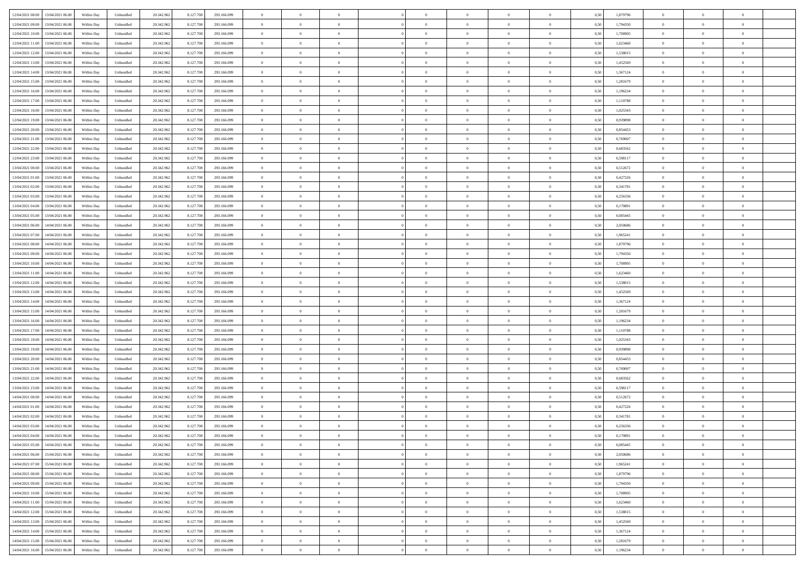| 12/04/2021 08:00 13/04/2021 06:00            |            |           | 20.342.962 |           |             | $\overline{0}$ | $\theta$       |                | $\overline{0}$ | $\theta$       |                | $\theta$       |      | 1,879796 | $\theta$       | $\theta$       | $\overline{0}$ |  |
|----------------------------------------------|------------|-----------|------------|-----------|-------------|----------------|----------------|----------------|----------------|----------------|----------------|----------------|------|----------|----------------|----------------|----------------|--|
|                                              | Within Day | Unbundled |            | 8.127.708 | 293.166.099 |                |                |                |                |                |                |                | 0,50 |          |                |                |                |  |
| 12/04/2021 09:00<br>13/04/2021 06:00         | Within Day | Unbundled | 20.342.96  | 8.127.708 | 293.166.099 | $\bf{0}$       | $\overline{0}$ | $\bf{0}$       | $\overline{0}$ | $\bf{0}$       | $\overline{0}$ | $\bf{0}$       | 0,50 | 1,794350 | $\,$ 0 $\,$    | $\bf{0}$       | $\overline{0}$ |  |
| 12/04/2021 10:00<br>13/04/2021 06:00         | Within Day | Unbundled | 20.342.962 | 8.127.708 | 293.166.099 | $\overline{0}$ | $\bf{0}$       | $\overline{0}$ | $\bf{0}$       | $\bf{0}$       | $\overline{0}$ | $\bf{0}$       | 0.50 | 1,708905 | $\bf{0}$       | $\overline{0}$ | $\bf{0}$       |  |
| 12/04/2021 11:00<br>13/04/2021 06:00         | Within Day | Unbundled | 20.342.962 | 8.127.708 | 293.166.099 | $\overline{0}$ | $\overline{0}$ | $\overline{0}$ | $\theta$       | $\theta$       | $\overline{0}$ | $\bf{0}$       | 0,50 | 1,623460 | $\theta$       | $\theta$       | $\overline{0}$ |  |
|                                              |            |           |            |           |             |                |                |                |                |                |                |                |      |          |                |                |                |  |
| 12/04/2021 12:00<br>13/04/2021 06:00         | Within Day | Unbundled | 20.342.96  | 8.127.708 | 293.166.099 | $\bf{0}$       | $\overline{0}$ | $\bf{0}$       | $\overline{0}$ | $\theta$       | $\overline{0}$ | $\bf{0}$       | 0,50 | 1,538015 | $\,$ 0 $\,$    | $\bf{0}$       | $\overline{0}$ |  |
| 12/04/2021 13:00<br>13/04/2021 06:00         | Within Day | Unbundled | 20.342.962 | 8.127.708 | 293.166.099 | $\overline{0}$ | $\overline{0}$ | $\overline{0}$ | $\bf{0}$       | $\overline{0}$ | $\theta$       | $\bf{0}$       | 0.50 | 1.452569 | $\,$ 0 $\,$    | $\theta$       | $\overline{0}$ |  |
| 12/04/2021 14:00<br>13/04/2021 06:00         | Within Day | Unbundled | 20.342.962 | 8.127.708 | 293.166.099 | $\overline{0}$ | $\overline{0}$ | $\overline{0}$ | $\overline{0}$ | $\overline{0}$ | $\overline{0}$ | $\bf{0}$       | 0,50 | 1,367124 | $\,$ 0 $\,$    | $\theta$       | $\overline{0}$ |  |
| 12/04/2021 15:00<br>13/04/2021 06:00         | Within Day | Unbundled | 20.342.96  | 8.127.708 | 293.166.099 | $\bf{0}$       | $\overline{0}$ | $\overline{0}$ | $\overline{0}$ | $\overline{0}$ | $\overline{0}$ | $\bf{0}$       | 0,50 | 1,281679 | $\,$ 0 $\,$    | $\bf{0}$       | $\overline{0}$ |  |
| 12/04/2021 16:00<br>13/04/2021 06:00         | Within Day | Unbundled | 20.342.96  | 8.127.708 | 293.166.099 | $\overline{0}$ | $\bf{0}$       | $\overline{0}$ | $\bf{0}$       | $\overline{0}$ | $\overline{0}$ | $\bf{0}$       | 0.50 | 1.196234 | $\bf{0}$       | $\overline{0}$ | $\overline{0}$ |  |
|                                              |            |           |            |           |             |                |                |                |                |                |                |                |      |          |                |                |                |  |
| 12/04/2021 17:00<br>13/04/2021 06:00         | Within Day | Unbundled | 20.342.962 | 8.127.708 | 293.166.099 | $\bf{0}$       | $\bf{0}$       | $\overline{0}$ | $\overline{0}$ | $\overline{0}$ | $\overline{0}$ | $\bf{0}$       | 0,50 | 1,110788 | $\,$ 0 $\,$    | $\bf{0}$       | $\overline{0}$ |  |
| 12/04/2021 18:00<br>13/04/2021 06:00         | Within Day | Unbundled | 20.342.96  | 8.127.708 | 293.166.099 | $\bf{0}$       | $\overline{0}$ | $\bf{0}$       | $\bf{0}$       | $\bf{0}$       | $\overline{0}$ | $\bf{0}$       | 0,50 | 1,025343 | $\,$ 0 $\,$    | $\bf{0}$       | $\overline{0}$ |  |
| 12/04/2021 19:00<br>13/04/2021 06:00         | Within Day | Unbundled | 20.342.962 | 8.127.708 | 293.166.099 | $\overline{0}$ | $\overline{0}$ | $\overline{0}$ | $\bf{0}$       | $\bf{0}$       | $\overline{0}$ | $\bf{0}$       | 0.50 | 0.939898 | $\bf{0}$       | $\overline{0}$ | $\bf{0}$       |  |
| 12/04/2021 20:00<br>13/04/2021 06:00         | Within Day | Unbundled | 20.342.962 | 8.127.708 | 293.166.099 | $\overline{0}$ | $\overline{0}$ | $\overline{0}$ | $\theta$       | $\theta$       | $\overline{0}$ | $\bf{0}$       | 0,50 | 0,854453 | $\,$ 0 $\,$    | $\theta$       | $\overline{0}$ |  |
|                                              |            |           |            |           |             |                | $\theta$       |                | $\overline{0}$ | $\theta$       | $\overline{0}$ |                |      |          |                | $\bf{0}$       | $\overline{0}$ |  |
| 12/04/2021 21:00<br>13/04/2021 06:00         | Within Day | Unbundled | 20.342.96  | 8.127.708 | 293.166.099 | $\bf{0}$       |                | $\bf{0}$       |                |                |                | $\bf{0}$       | 0,50 | 0,769007 | $\bf{0}$       |                |                |  |
| 12/04/2021 22:00<br>13/04/2021 06:00         | Within Day | Unbundled | 20.342.962 | 8.127.708 | 293.166.099 | $\overline{0}$ | $\overline{0}$ | $\overline{0}$ | $\bf{0}$       | $\bf{0}$       | $\Omega$       | $\bf{0}$       | 0.50 | 0.683562 | $\,$ 0 $\,$    | $\theta$       | $\overline{0}$ |  |
| 12/04/2021 23:00<br>13/04/2021 06:00         | Within Day | Unbundled | 20.342.962 | 8.127.708 | 293.166.099 | $\overline{0}$ | $\overline{0}$ | $\overline{0}$ | $\overline{0}$ | $\overline{0}$ | $\overline{0}$ | $\bf{0}$       | 0,50 | 0,598117 | $\theta$       | $\theta$       | $\overline{0}$ |  |
| 13/04/2021 00:00<br>13/04/2021 06:00         | Within Day | Unbundled | 20.342.96  | 8.127.708 | 293.166.099 | $\bf{0}$       | $\overline{0}$ | $\overline{0}$ | $\overline{0}$ | $\bf{0}$       | $\overline{0}$ | $\bf{0}$       | 0,50 | 0,512672 | $\,$ 0 $\,$    | $\bf{0}$       | $\overline{0}$ |  |
| 13/04/2021 01:00<br>13/04/2021 06:00         | Within Day | Unbundled | 20.342.96  | 8.127.708 | 293.166.099 | $\overline{0}$ | $\overline{0}$ | $\overline{0}$ | $\bf{0}$       | $\overline{0}$ | $\overline{0}$ | $\bf{0}$       | 0.50 | 0.427226 | $\bf{0}$       | $\overline{0}$ | $\overline{0}$ |  |
| 13/04/2021 02:00<br>13/04/2021 06:00         |            |           |            |           |             | $\overline{0}$ | $\overline{0}$ | $\overline{0}$ | $\overline{0}$ | $\overline{0}$ | $\overline{0}$ |                |      |          | $\,$ 0 $\,$    | $\theta$       | $\overline{0}$ |  |
|                                              | Within Day | Unbundled | 20.342.962 | 8.127.708 | 293.166.099 |                |                |                |                |                |                | $\bf{0}$       | 0,50 | 0,341781 |                |                |                |  |
| 13/04/2021 03:00<br>13/04/2021 06:00         | Within Day | Unbundled | 20.342.96  | 8.127.708 | 293.166.099 | $\bf{0}$       | $\bf{0}$       | $\bf{0}$       | $\bf{0}$       | $\overline{0}$ | $\overline{0}$ | $\bf{0}$       | 0,50 | 0,256336 | $\,$ 0 $\,$    | $\bf{0}$       | $\overline{0}$ |  |
| 13/04/2021 04:00<br>13/04/2021 06:00         | Within Day | Unbundled | 20.342.962 | 8.127.708 | 293.166.099 | $\overline{0}$ | $\bf{0}$       | $\overline{0}$ | $\bf{0}$       | $\bf{0}$       | $\overline{0}$ | $\bf{0}$       | 0.50 | 0,170891 | $\bf{0}$       | $\overline{0}$ | $\bf{0}$       |  |
| 13/04/2021 05:00<br>13/04/2021 06:00         | Within Day | Unbundled | 20.342.962 | 8.127.708 | 293.166.099 | $\overline{0}$ | $\overline{0}$ | $\overline{0}$ | $\theta$       | $\theta$       | $\overline{0}$ | $\bf{0}$       | 0,50 | 0,085445 | $\theta$       | $\theta$       | $\overline{0}$ |  |
| 13/04/2021 06:00<br>14/04/2021 06.00         | Within Day | Unbundled | 20.342.96  | 8.127.708 | 293.166.099 | $\bf{0}$       | $\overline{0}$ | $\bf{0}$       | $\bf{0}$       | $\bf{0}$       | $\overline{0}$ | $\bf{0}$       | 0,50 | 2,050686 | $\,$ 0 $\,$    | $\bf{0}$       | $\overline{0}$ |  |
| 13/04/2021 07:00<br>14/04/2021 06:00         | Within Day | Unbundled | 20.342.962 | 8.127.708 | 293.166.099 | $\overline{0}$ | $\overline{0}$ | $\overline{0}$ | $\overline{0}$ | $\overline{0}$ | $\Omega$       | $\bf{0}$       | 0.50 | 1.965241 | $\,$ 0 $\,$    | $\theta$       | $\overline{0}$ |  |
|                                              |            |           |            |           |             | $\overline{0}$ | $\overline{0}$ | $\overline{0}$ | $\overline{0}$ | $\overline{0}$ | $\overline{0}$ |                |      |          |                | $\theta$       | $\overline{0}$ |  |
| 13/04/2021 08:00<br>14/04/2021 06.00         | Within Day | Unbundled | 20.342.962 | 8.127.708 | 293.166.099 |                |                |                |                |                |                | $\bf{0}$       | 0,50 | 1,879796 | $\,$ 0 $\,$    |                |                |  |
| 13/04/2021 09:00<br>14/04/2021 06.00         | Within Day | Unbundled | 20.342.96  | 8.127.708 | 293.166.099 | $\bf{0}$       | $\theta$       | $\bf{0}$       | $\overline{0}$ | $\bf{0}$       | $\overline{0}$ | $\bf{0}$       | 0,50 | 1,794350 | $\,$ 0 $\,$    | $\bf{0}$       | $\overline{0}$ |  |
| 13/04/2021 10:00<br>14/04/2021 06:00         | Within Day | Unbundled | 20.342.96  | 8.127.708 | 293.166.099 | $\overline{0}$ | $\bf{0}$       | $\overline{0}$ | $\bf{0}$       | $\overline{0}$ | $\overline{0}$ | $\bf{0}$       | 0.50 | 1,708905 | $\bf{0}$       | $\overline{0}$ | $\overline{0}$ |  |
| 13/04/2021 11:00<br>14/04/2021 06:00         | Within Day | Unbundled | 20.342.962 | 8.127.708 | 293.166.099 | $\overline{0}$ | $\overline{0}$ | $\overline{0}$ | $\overline{0}$ | $\overline{0}$ | $\overline{0}$ | $\bf{0}$       | 0,50 | 1,623460 | $\theta$       | $\theta$       | $\overline{0}$ |  |
| 13/04/2021 12:00<br>14/04/2021 06.00         | Within Day | Unbundled | 20.342.96  | 8.127.708 | 293.166.099 | $\bf{0}$       | $\bf{0}$       | $\bf{0}$       | $\bf{0}$       | $\overline{0}$ | $\overline{0}$ | $\bf{0}$       | 0,50 | 1,538015 | $\,$ 0 $\,$    | $\bf{0}$       | $\overline{0}$ |  |
| 13/04/2021 13:00<br>14/04/2021 06:00         | Within Day | Unbundled | 20.342.962 | 8.127.708 | 293.166.099 | $\overline{0}$ | $\bf{0}$       | $\overline{0}$ | $\bf{0}$       | $\bf{0}$       | $\overline{0}$ | $\bf{0}$       | 0.50 | 1.452569 | $\bf{0}$       | $\overline{0}$ | $\bf{0}$       |  |
| 13/04/2021 14:00<br>14/04/2021 06:00         | Within Day | Unbundled | 20.342.962 | 8.127.708 | 293.166.099 | $\overline{0}$ | $\overline{0}$ | $\overline{0}$ | $\overline{0}$ | $\overline{0}$ | $\overline{0}$ | $\bf{0}$       | 0.5( | 1,367124 | $\theta$       | $\theta$       | $\overline{0}$ |  |
|                                              |            |           |            |           |             |                |                |                |                |                |                |                |      |          |                |                |                |  |
| 13/04/2021 15:00<br>14/04/2021 06.00         | Within Day | Unbundled | 20.342.96  | 8.127.708 | 293.166.099 | $\bf{0}$       | $\overline{0}$ | $\bf{0}$       | $\bf{0}$       | $\overline{0}$ | $\overline{0}$ | $\bf{0}$       | 0,50 | 1,281679 | $\,$ 0 $\,$    | $\bf{0}$       | $\overline{0}$ |  |
| 13/04/2021 16:00<br>14/04/2021 06:00         | Within Day | Unbundled | 20.342.962 | 8.127.708 | 293.166.099 | $\overline{0}$ | $\overline{0}$ | $\overline{0}$ | $\bf{0}$       | $\overline{0}$ | $\Omega$       | $\bf{0}$       | 0.50 | 1,196234 | $\,$ 0 $\,$    | $\theta$       | $\overline{0}$ |  |
| 13/04/2021 17:00<br>14/04/2021 06:00         | Within Dav | Unbundled | 20.342.962 | 8.127.708 | 293.166.099 | $\overline{0}$ | $\overline{0}$ | $\overline{0}$ | $\overline{0}$ | $\overline{0}$ | $\overline{0}$ | $\overline{0}$ | 0.5( | 1,110788 | $\theta$       | $\theta$       | $\overline{0}$ |  |
| 13/04/2021 18:00<br>14/04/2021 06.00         | Within Day | Unbundled | 20.342.96  | 8.127.708 | 293.166.099 | $\bf{0}$       | $\overline{0}$ | $\bf{0}$       | $\bf{0}$       | $\bf{0}$       | $\overline{0}$ | $\bf{0}$       | 0,50 | 1,025343 | $\,$ 0 $\,$    | $\bf{0}$       | $\overline{0}$ |  |
| 13/04/2021 19:00<br>14/04/2021 06:00         | Within Day | Unbundled | 20.342.96  | 8.127.708 | 293.166.099 | $\overline{0}$ | $\bf{0}$       | $\overline{0}$ | $\bf{0}$       | $\overline{0}$ | $\overline{0}$ | $\bf{0}$       | 0.50 | 0.939898 | $\bf{0}$       | $\overline{0}$ | $\overline{0}$ |  |
| 13/04/2021 20:00<br>14/04/2021 06:00         | Within Dav | Unbundled | 20.342.962 | 8.127.708 | 293.166.099 | $\overline{0}$ | $\overline{0}$ | $\overline{0}$ | $\overline{0}$ | $\overline{0}$ | $\overline{0}$ | $\overline{0}$ | 0.50 | 0,854453 | $\theta$       | $\theta$       | $\overline{0}$ |  |
|                                              |            |           |            |           |             |                |                |                |                |                |                |                |      |          |                |                |                |  |
| 13/04/2021 21:00<br>14/04/2021 06.00         | Within Day | Unbundled | 20.342.96  | 8.127.708 | 293.166.099 | $\bf{0}$       | $\bf{0}$       | $\bf{0}$       | $\bf{0}$       | $\overline{0}$ | $\overline{0}$ | $\bf{0}$       | 0,50 | 0,769007 | $\,$ 0 $\,$    | $\bf{0}$       | $\overline{0}$ |  |
| 13/04/2021 22:00<br>14/04/2021 06:00         | Within Day | Unbundled | 20.342.962 | 8.127.708 | 293.166.099 | $\overline{0}$ | $\bf{0}$       | $\overline{0}$ | $\bf{0}$       | $\bf{0}$       | $\overline{0}$ | $\bf{0}$       | 0.50 | 0.683562 | $\bf{0}$       | $\overline{0}$ | $\overline{0}$ |  |
| 13/04/2021 23:00<br>14/04/2021 06:00         | Within Dav | Unbundled | 20.342.962 | 8.127.708 | 293.166.099 | $\overline{0}$ | $\overline{0}$ | $\overline{0}$ | $\overline{0}$ | $\overline{0}$ | $\overline{0}$ | $\bf{0}$       | 0.50 | 0,598117 | $\theta$       | $\theta$       | $\overline{0}$ |  |
| 14/04/2021 00:00<br>14/04/2021 06.00         | Within Day | Unbundled | 20.342.96  | 8.127.708 | 293.166.099 | $\bf{0}$       | $\overline{0}$ | $\bf{0}$       | $\bf{0}$       | $\overline{0}$ | $\overline{0}$ | $\bf{0}$       | 0,50 | 0,512672 | $\,$ 0 $\,$    | $\bf{0}$       | $\overline{0}$ |  |
| 14/04/2021 01:00<br>14/04/2021 06:00         | Within Day | Unbundled | 20.342.962 | 8.127.708 | 293.166.099 | $\overline{0}$ | $\overline{0}$ | $\Omega$       | $\overline{0}$ | $\bf{0}$       | $\Omega$       | $\bf{0}$       | 0.50 | 0,427226 | $\bf{0}$       | $\theta$       | $\overline{0}$ |  |
| 14/04/2021 02:00<br>14/04/2021 06:00         | Within Dav | Unbundled | 20.342.962 | 8.127.708 | 293.166.099 | $\overline{0}$ | $\overline{0}$ | $\Omega$       | $\overline{0}$ | $\theta$       | $\overline{0}$ | $\overline{0}$ | 0.5( | 0,341781 | $\theta$       | $\theta$       | $\overline{0}$ |  |
|                                              |            |           |            |           |             |                |                |                |                |                |                |                |      |          |                |                |                |  |
| 14/04/2021 03:00<br>14/04/2021 06.00         | Within Day | Unbundled | 20.342.96  | 8.127.708 | 293.166.099 | $\bf{0}$       | $\bf{0}$       | $\bf{0}$       | $\bf{0}$       | $\bf{0}$       | $\overline{0}$ | $\bf{0}$       | 0,50 | 0,256336 | $\,$ 0 $\,$    | $\bf{0}$       | $\overline{0}$ |  |
| $14/04/2021\;04.00 \qquad 14/04/2021\;06.00$ | Within Day | Unbundled | 20.342.962 | 8.127.708 | 293.166.099 | $\bf{0}$       | $\theta$       |                | $\overline{0}$ |                |                |                | 0,50 | 0.170891 | $\theta$       | $\bf{0}$       |                |  |
| 14/04/2021 05:00 14/04/2021 06:00            | Within Day | Unbundled | 20.342.962 | 8.127.708 | 293.166.099 | $\overline{0}$ | $\theta$       | $\overline{0}$ | $\theta$       | $\overline{0}$ | $\overline{0}$ | $\bf{0}$       | 0,50 | 0,085445 | $\theta$       | $\theta$       | $\overline{0}$ |  |
| 14/04/2021 06:00<br>15/04/2021 06:00         | Within Day | Unbundled | 20.342.96  | 8.127.708 | 293.166.099 | $\overline{0}$ | $\bf{0}$       | $\overline{0}$ | $\overline{0}$ | $\bf{0}$       | $\overline{0}$ | $\bf{0}$       | 0,50 | 2,050686 | $\bf{0}$       | $\overline{0}$ | $\bf{0}$       |  |
| 14/04/2021 07:00 15/04/2021 06:00            | Within Day | Unbundled | 20.342.962 | 8.127.708 | 293.166.099 | $\overline{0}$ | $\bf{0}$       | $\overline{0}$ | $\overline{0}$ | $\mathbf{0}$   | $\overline{0}$ | $\,$ 0 $\,$    | 0.50 | 1.965241 | $\overline{0}$ | $\bf{0}$       | $\,$ 0 $\,$    |  |
|                                              |            |           |            |           |             |                | $\overline{0}$ |                |                | $\overline{0}$ |                |                |      |          | $\theta$       | $\theta$       | $\overline{0}$ |  |
| 14/04/2021 08:00 15/04/2021 06:00            | Within Day | Unbundled | 20.342.962 | 8.127.708 | 293.166.099 | $\overline{0}$ |                | $\overline{0}$ | $\overline{0}$ |                | $\overline{0}$ | $\bf{0}$       | 0,50 | 1,879796 |                |                |                |  |
| 14/04/2021 09:00<br>15/04/2021 06:00         | Within Day | Unbundled | 20.342.962 | 8.127.708 | 293.166.099 | $\overline{0}$ | $\bf{0}$       | $\overline{0}$ | $\bf{0}$       | $\overline{0}$ | $\bf{0}$       | $\bf{0}$       | 0,50 | 1,794350 | $\bf{0}$       | $\bf{0}$       | $\overline{0}$ |  |
| 15/04/2021 06:00<br>14/04/2021 10:00         | Within Day | Unbundled | 20.342.962 | 8.127.708 | 293.166.099 | $\overline{0}$ | $\bf{0}$       | $\overline{0}$ | $\overline{0}$ | $\overline{0}$ | $\overline{0}$ | $\bf{0}$       | 0.50 | 1,708905 | $\,$ 0 $\,$    | $\theta$       | $\,$ 0         |  |
| 14/04/2021 11:00<br>15/04/2021 06:00         | Within Dav | Unbundled | 20.342.962 | 8.127.708 | 293.166.099 | $\overline{0}$ | $\overline{0}$ | $\overline{0}$ | $\overline{0}$ | $\overline{0}$ | $\overline{0}$ | $\bf{0}$       | 0,50 | 1,623460 | $\overline{0}$ | $\theta$       | $\overline{0}$ |  |
| 14/04/2021 12:00<br>15/04/2021 06:00         | Within Day | Unbundled | 20.342.96  | 8.127.708 | 293.166.099 | $\overline{0}$ | $\overline{0}$ | $\overline{0}$ | $\overline{0}$ | $\overline{0}$ | $\overline{0}$ | $\bf{0}$       | 0,50 | 1,538015 | $\bf{0}$       | $\,$ 0 $\,$    | $\overline{0}$ |  |
| 14/04/2021 13:00<br>15/04/2021 06:00         | Within Day | Unbundled | 20.342.962 | 8.127.708 | 293.166.099 | $\overline{0}$ | $\overline{0}$ | $\overline{0}$ | $\overline{0}$ | $\bf{0}$       | $\overline{0}$ | $\bf{0}$       | 0.50 | 1.452569 | $\overline{0}$ | $\,$ 0 $\,$    | $\,$ 0         |  |
| 15/04/2021 06:00                             |            |           |            |           |             |                |                |                |                |                |                |                |      |          |                |                |                |  |
| 14/04/2021 14:00                             | Within Dav | Unbundled | 20.342.962 | 8.127.708 | 293.166.099 | $\overline{0}$ | $\overline{0}$ | $\overline{0}$ | $\overline{0}$ | $\overline{0}$ | $\overline{0}$ | $\bf{0}$       | 0,50 | 1,367124 | $\overline{0}$ | $\theta$       | $\overline{0}$ |  |
| 14/04/2021 15:00<br>15/04/2021 06:00         | Within Day | Unbundled | 20.342.96  | 8.127.708 | 293.166.099 | $\overline{0}$ | $\bf{0}$       | $\overline{0}$ | $\bf{0}$       | $\overline{0}$ | $\bf{0}$       | $\bf{0}$       | 0,50 | 1,281679 | $\bf{0}$       | $\bf{0}$       | $\overline{0}$ |  |
| 14/04/2021 16:00 15/04/2021 06:00            | Within Day | Unbundled | 20.342.962 | 8.127.708 | 293.166.099 | $\overline{0}$ | $\bf{0}$       | $\overline{0}$ | $\overline{0}$ | $\,$ 0 $\,$    | $\overline{0}$ | $\bf{0}$       | 0,50 | 1,196234 | $\overline{0}$ | $\,$ 0 $\,$    | $\,$ 0 $\,$    |  |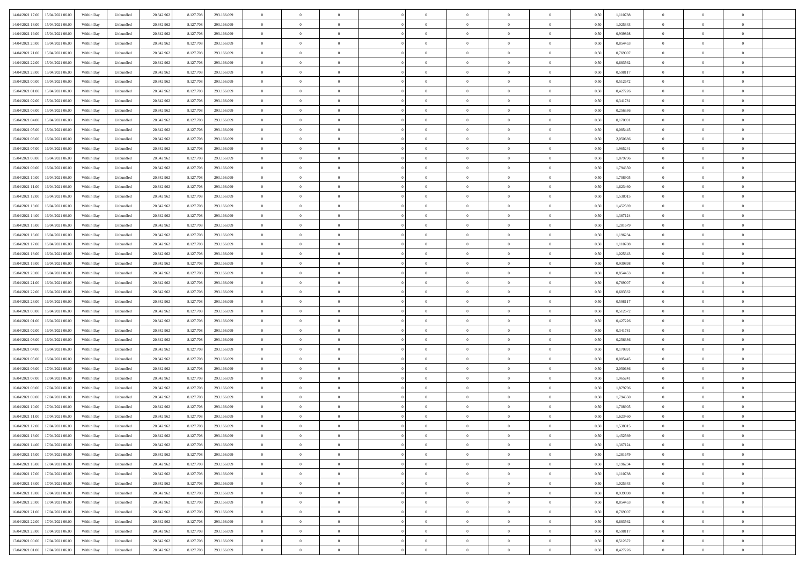| 14/04/2021 17:00 15/04/2021 06:00            | Within Day | Unbundled | 20.342.962 | 8.127.708 | 293.166.099 | $\overline{0}$ | $\theta$       |                | $\overline{0}$ | $\theta$       |                | $\theta$       | 0,50 | 1,110788 | $\theta$       | $\theta$       | $\overline{0}$ |  |
|----------------------------------------------|------------|-----------|------------|-----------|-------------|----------------|----------------|----------------|----------------|----------------|----------------|----------------|------|----------|----------------|----------------|----------------|--|
|                                              |            |           |            |           |             |                |                |                |                |                |                |                |      |          |                |                |                |  |
| 14/04/2021 18:00<br>15/04/2021 06:00         | Within Day | Unbundled | 20.342.96  | 8.127.708 | 293.166.099 | $\bf{0}$       | $\overline{0}$ | $\bf{0}$       | $\overline{0}$ | $\bf{0}$       | $\overline{0}$ | $\bf{0}$       | 0,50 | 1,025343 | $\,$ 0 $\,$    | $\bf{0}$       | $\overline{0}$ |  |
| 14/04/2021 19:00<br>15/04/2021 06:00         | Within Day | Unbundled | 20.342.962 | 8.127.708 | 293.166.099 | $\overline{0}$ | $\overline{0}$ | $\overline{0}$ | $\bf{0}$       | $\bf{0}$       | $\overline{0}$ | $\bf{0}$       | 0.50 | 0.939898 | $\bf{0}$       | $\overline{0}$ | $\overline{0}$ |  |
| 14/04/2021 20:00<br>15/04/2021 06:00         | Within Day | Unbundled | 20.342.962 | 8.127.708 | 293.166.099 | $\overline{0}$ | $\overline{0}$ | $\overline{0}$ | $\theta$       | $\theta$       | $\overline{0}$ | $\bf{0}$       | 0,50 | 0,854453 | $\theta$       | $\theta$       | $\overline{0}$ |  |
| 14/04/2021 21:00<br>15/04/2021 06:00         | Within Day | Unbundled | 20.342.96  | 8.127.708 | 293.166.099 | $\overline{0}$ | $\theta$       | $\overline{0}$ | $\overline{0}$ | $\theta$       | $\overline{0}$ | $\bf{0}$       | 0,50 | 0,769007 | $\,$ 0 $\,$    | $\bf{0}$       | $\overline{0}$ |  |
| 14/04/2021 22:00<br>15/04/2021 06:00         | Within Day | Unbundled | 20.342.962 | 8.127.708 | 293.166.099 | $\overline{0}$ | $\overline{0}$ | $\overline{0}$ | $\overline{0}$ | $\overline{0}$ | $\Omega$       | $\bf{0}$       | 0.50 | 0.683562 | $\,$ 0 $\,$    | $\theta$       | $\overline{0}$ |  |
| 14/04/2021 23:00<br>15/04/2021 06:00         |            |           |            |           |             | $\overline{0}$ | $\overline{0}$ | $\overline{0}$ | $\overline{0}$ | $\theta$       | $\overline{0}$ |                |      |          | $\theta$       | $\theta$       | $\overline{0}$ |  |
|                                              | Within Day | Unbundled | 20.342.962 | 8.127.708 | 293.166.099 |                |                |                |                |                |                | $\bf{0}$       | 0,50 | 0,598117 |                |                |                |  |
| 15/04/2021 00:00<br>15/04/2021 06:00         | Within Day | Unbundled | 20.342.96  | 8.127.708 | 293.166.099 | $\bf{0}$       | $\overline{0}$ | $\overline{0}$ | $\overline{0}$ | $\theta$       | $\overline{0}$ | $\bf{0}$       | 0,50 | 0,512672 | $\,$ 0 $\,$    | $\bf{0}$       | $\overline{0}$ |  |
| 15/04/2021 01:00<br>15/04/2021 06:00         | Within Day | Unbundled | 20.342.96  | 8.127.708 | 293.166.099 | $\overline{0}$ | $\overline{0}$ | $\overline{0}$ | $\bf{0}$       | $\overline{0}$ | $\overline{0}$ | $\bf{0}$       | 0.50 | 0.427226 | $\bf{0}$       | $\theta$       | $\overline{0}$ |  |
| 15/04/2021 02:00<br>15/04/2021 06:00         | Within Day | Unbundled | 20.342.962 | 8.127.708 | 293.166.099 | $\bf{0}$       | $\bf{0}$       | $\overline{0}$ | $\overline{0}$ | $\theta$       | $\overline{0}$ | $\bf{0}$       | 0,50 | 0,341781 | $\,$ 0 $\,$    | $\theta$       | $\overline{0}$ |  |
| 15/04/2021 03:00<br>15/04/2021 06:00         | Within Day | Unbundled | 20.342.96  | 8.127.708 | 293.166.099 | $\bf{0}$       | $\overline{0}$ | $\bf{0}$       | $\overline{0}$ | $\bf{0}$       | $\overline{0}$ | $\bf{0}$       | 0,50 | 0,256336 | $\,$ 0 $\,$    | $\bf{0}$       | $\overline{0}$ |  |
| 15/04/2021 04:00<br>15/04/2021 06:00         | Within Day | Unbundled | 20.342.962 | 8.127.708 | 293.166.099 | $\overline{0}$ | $\overline{0}$ | $\overline{0}$ | $\bf{0}$       | $\bf{0}$       | $\overline{0}$ | $\bf{0}$       | 0.50 | 0,170891 | $\bf{0}$       | $\overline{0}$ | $\bf{0}$       |  |
| 15/04/2021 05:00<br>15/04/2021 06:00         | Within Day | Unbundled | 20.342.96  | 8.127.708 | 293.166.099 | $\overline{0}$ | $\overline{0}$ | $\overline{0}$ | $\overline{0}$ | $\theta$       | $\overline{0}$ | $\overline{0}$ | 0,50 | 0,085445 | $\,$ 0 $\,$    | $\theta$       | $\overline{0}$ |  |
|                                              |            |           |            |           |             |                | $\theta$       |                | $\overline{0}$ | $\theta$       | $\overline{0}$ |                |      |          |                | $\bf{0}$       | $\overline{0}$ |  |
| 15/04/2021 06:00<br>16/04/2021 06:00         | Within Day | Unbundled | 20.342.96  | 8.127.708 | 293.166.099 | $\bf{0}$       |                | $\bf{0}$       |                |                |                | $\bf{0}$       | 0,50 | 2,050686 | $\bf{0}$       |                |                |  |
| 15/04/2021 07:00<br>16/04/2021 06:00         | Within Day | Unbundled | 20.342.962 | 8.127.708 | 293.166.099 | $\overline{0}$ | $\overline{0}$ | $\overline{0}$ | $\bf{0}$       | $\theta$       | $\Omega$       | $\bf{0}$       | 0.50 | 1.965241 | $\theta$       | $\overline{0}$ | $\overline{0}$ |  |
| 15/04/2021 08:00<br>16/04/2021 06:00         | Within Day | Unbundled | 20.342.962 | 8.127.708 | 293.166.099 | $\overline{0}$ | $\overline{0}$ | $\overline{0}$ | $\overline{0}$ | $\overline{0}$ | $\overline{0}$ | $\bf{0}$       | 0,50 | 1,879796 | $\theta$       | $\theta$       | $\overline{0}$ |  |
| 15/04/2021 09:00<br>16/04/2021 06:00         | Within Day | Unbundled | 20.342.96  | 8.127.708 | 293.166.099 | $\bf{0}$       | $\overline{0}$ | $\overline{0}$ | $\overline{0}$ | $\theta$       | $\overline{0}$ | $\bf{0}$       | 0,50 | 1,794350 | $\,$ 0 $\,$    | $\theta$       | $\overline{0}$ |  |
| 15/04/2021 10:00<br>16/04/2021 06:00         | Within Day | Unbundled | 20.342.96  | 8.127.708 | 293.166.099 | $\overline{0}$ | $\overline{0}$ | $\overline{0}$ | $\bf{0}$       | $\overline{0}$ | $\overline{0}$ | $\bf{0}$       | 0.50 | 1,708905 | $\bf{0}$       | $\overline{0}$ | $\overline{0}$ |  |
| 15/04/2021 11:00<br>16/04/2021 06:00         | Within Day | Unbundled | 20.342.962 | 8.127.708 | 293.166.099 | $\overline{0}$ | $\overline{0}$ | $\overline{0}$ | $\overline{0}$ | $\overline{0}$ | $\overline{0}$ | $\bf{0}$       | 0,50 | 1,623460 | $\,$ 0 $\,$    | $\theta$       | $\overline{0}$ |  |
| 15/04/2021 12:00<br>16/04/2021 06:00         | Within Day | Unbundled | 20.342.96  | 8.127.708 | 293.166.099 | $\bf{0}$       | $\overline{0}$ | $\bf{0}$       | $\bf{0}$       | $\overline{0}$ | $\overline{0}$ | $\bf{0}$       | 0,50 | 1,538015 | $\,$ 0 $\,$    | $\bf{0}$       | $\overline{0}$ |  |
| 15/04/2021 13:00<br>16/04/2021 06:00         |            | Unbundled |            |           | 293.166.099 |                | $\overline{0}$ | $\overline{0}$ |                | $\bf{0}$       | $\overline{0}$ |                | 0.50 | 1.452569 | $\bf{0}$       | $\overline{0}$ | $\overline{0}$ |  |
|                                              | Within Day |           | 20.342.962 | 8.127.708 |             | $\overline{0}$ |                |                | $\bf{0}$       |                |                | $\bf{0}$       |      |          |                |                |                |  |
| 15/04/2021 14:00<br>16/04/2021 06:00         | Within Day | Unbundled | 20.342.962 | 8.127.708 | 293.166.099 | $\overline{0}$ | $\overline{0}$ | $\overline{0}$ | $\theta$       | $\theta$       | $\overline{0}$ | $\bf{0}$       | 0,50 | 1,367124 | $\theta$       | $\theta$       | $\overline{0}$ |  |
| 15/04/2021 15:00<br>16/04/2021 06:00         | Within Day | Unbundled | 20.342.96  | 8.127.708 | 293.166.099 | $\bf{0}$       | $\overline{0}$ | $\bf{0}$       | $\bf{0}$       | $\theta$       | $\overline{0}$ | $\bf{0}$       | 0,50 | 1,281679 | $\,$ 0 $\,$    | $\bf{0}$       | $\overline{0}$ |  |
| 15/04/2021 16:00<br>16/04/2021 06:00         | Within Day | Unbundled | 20.342.962 | 8.127.708 | 293.166.099 | $\overline{0}$ | $\overline{0}$ | $\overline{0}$ | $\overline{0}$ | $\overline{0}$ | $\Omega$       | $\bf{0}$       | 0.50 | 1,196234 | $\,$ 0 $\,$    | $\theta$       | $\overline{0}$ |  |
| 15/04/2021 17:00<br>16/04/2021 06:00         | Within Day | Unbundled | 20.342.962 | 8.127.708 | 293.166.099 | $\overline{0}$ | $\overline{0}$ | $\overline{0}$ | $\overline{0}$ | $\overline{0}$ | $\overline{0}$ | $\bf{0}$       | 0,50 | 1,110788 | $\theta$       | $\theta$       | $\overline{0}$ |  |
| 15/04/2021 18:00<br>16/04/2021 06:00         | Within Day | Unbundled | 20.342.96  | 8.127.708 | 293.166.099 | $\bf{0}$       | $\theta$       | $\bf{0}$       | $\overline{0}$ | $\theta$       | $\overline{0}$ | $\bf{0}$       | 0,50 | 1,025343 | $\,$ 0 $\,$    | $\bf{0}$       | $\overline{0}$ |  |
| 15/04/2021 19:00<br>16/04/2021 06:00         | Within Day | Unbundled | 20.342.96  | 8.127.708 | 293.166.099 | $\overline{0}$ | $\overline{0}$ | $\overline{0}$ | $\bf{0}$       | $\overline{0}$ | $\overline{0}$ | $\bf{0}$       | 0.50 | 0.939898 | $\bf{0}$       | $\theta$       | $\overline{0}$ |  |
| 15/04/2021 20:00<br>16/04/2021 06:00         | Within Day | Unbundled | 20.342.962 | 8.127.708 | 293.166.099 | $\overline{0}$ | $\overline{0}$ | $\overline{0}$ | $\overline{0}$ | $\overline{0}$ | $\overline{0}$ | $\bf{0}$       | 0,50 | 0,854453 | $\theta$       | $\theta$       | $\overline{0}$ |  |
|                                              |            |           |            |           |             |                |                |                |                |                |                |                |      |          |                |                |                |  |
| 15/04/2021 21:00<br>16/04/2021 06:00         | Within Day | Unbundled | 20.342.96  | 8.127.708 | 293.166.099 | $\bf{0}$       | $\bf{0}$       | $\bf{0}$       | $\bf{0}$       | $\overline{0}$ | $\overline{0}$ | $\bf{0}$       | 0,50 | 0,769007 | $\,$ 0 $\,$    | $\bf{0}$       | $\overline{0}$ |  |
| 15/04/2021 22:00<br>16/04/2021 06:00         | Within Day | Unbundled | 20.342.962 | 8.127.708 | 293.166.099 | $\overline{0}$ | $\bf{0}$       | $\overline{0}$ | $\bf{0}$       | $\bf{0}$       | $\overline{0}$ | $\bf{0}$       | 0.50 | 0.683562 | $\bf{0}$       | $\overline{0}$ | $\overline{0}$ |  |
| 15/04/2021 23:00<br>16/04/2021 06:00         | Within Day | Unbundled | 20.342.962 | 8.127.708 | 293.166.099 | $\overline{0}$ | $\overline{0}$ | $\overline{0}$ | $\overline{0}$ | $\overline{0}$ | $\overline{0}$ | $\bf{0}$       | 0.5( | 0,598117 | $\theta$       | $\theta$       | $\overline{0}$ |  |
| 16/04/2021 00:00<br>16/04/2021 06:00         | Within Day | Unbundled | 20.342.96  | 8.127.708 | 293.166.099 | $\bf{0}$       | $\overline{0}$ | $\bf{0}$       | $\overline{0}$ | $\overline{0}$ | $\overline{0}$ | $\bf{0}$       | 0,50 | 0,512672 | $\,$ 0 $\,$    | $\bf{0}$       | $\overline{0}$ |  |
| 16/04/2021 01:00<br>16/04/2021 06:00         | Within Day | Unbundled | 20.342.962 | 8.127.708 | 293.166.099 | $\overline{0}$ | $\overline{0}$ | $\overline{0}$ | $\bf{0}$       | $\bf{0}$       | $\Omega$       | $\bf{0}$       | 0.50 | 0,427226 | $\,$ 0 $\,$    | $\overline{0}$ | $\overline{0}$ |  |
| 16/04/2021 02:00<br>16/04/2021 06:00         | Within Dav | Unbundled | 20.342.962 | 8.127.708 | 293.166.099 | $\overline{0}$ | $\overline{0}$ | $\Omega$       | $\overline{0}$ | $\overline{0}$ | $\overline{0}$ | $\overline{0}$ | 0.5( | 0,341781 | $\theta$       | $\theta$       | $\overline{0}$ |  |
| 16/04/2021 03:00<br>16/04/2021 06:00         | Within Day | Unbundled | 20.342.96  | 8.127.708 | 293.166.099 | $\bf{0}$       | $\overline{0}$ | $\bf{0}$       | $\overline{0}$ | $\bf{0}$       | $\overline{0}$ | $\bf{0}$       | 0,50 | 0,256336 | $\,$ 0 $\,$    | $\bf{0}$       | $\overline{0}$ |  |
| 16/04/2021 04:00<br>16/04/2021 06:00         | Within Day | Unbundled | 20.342.96  | 8.127.708 | 293.166.099 | $\overline{0}$ | $\overline{0}$ | $\overline{0}$ | $\bf{0}$       | $\overline{0}$ | $\overline{0}$ | $\bf{0}$       | 0.50 | 0.170891 | $\bf{0}$       | $\overline{0}$ | $\overline{0}$ |  |
| 16/04/2021 05:00<br>16/04/2021 06:00         | Within Dav | Unbundled | 20.342.962 | 8.127.708 | 293.166.099 | $\overline{0}$ | $\overline{0}$ | $\overline{0}$ | $\overline{0}$ | $\overline{0}$ | $\overline{0}$ | $\overline{0}$ | 0.50 | 0.085445 | $\theta$       | $\theta$       | $\overline{0}$ |  |
|                                              |            |           |            |           |             |                |                |                |                |                |                |                |      |          |                |                |                |  |
| 16/04/2021 06:00<br>17/04/2021 06.00         | Within Day | Unbundled | 20.342.96  | 8.127.708 | 293.166.099 | $\bf{0}$       | $\bf{0}$       | $\bf{0}$       | $\bf{0}$       | $\overline{0}$ | $\overline{0}$ | $\bf{0}$       | 0,50 | 2,050686 | $\,$ 0 $\,$    | $\bf{0}$       | $\overline{0}$ |  |
| 16/04/2021 07:00<br>17/04/2021 06:00         | Within Day | Unbundled | 20.342.962 | 8.127.708 | 293.166.099 | $\overline{0}$ | $\bf{0}$       | $\overline{0}$ | $\bf{0}$       | $\bf{0}$       | $\overline{0}$ | $\bf{0}$       | 0.50 | 1,965241 | $\bf{0}$       | $\overline{0}$ | $\overline{0}$ |  |
| 16/04/2021 08:00<br>17/04/2021 06:00         | Within Dav | Unbundled | 20.342.962 | 8.127.708 | 293.166.099 | $\overline{0}$ | $\overline{0}$ | $\Omega$       | $\overline{0}$ | $\overline{0}$ | $\overline{0}$ | $\overline{0}$ | 0.50 | 1,879796 | $\theta$       | $\theta$       | $\overline{0}$ |  |
| 16/04/2021 09:00<br>17/04/2021 06.00         | Within Day | Unbundled | 20.342.96  | 8.127.708 | 293.166.099 | $\bf{0}$       | $\overline{0}$ | $\bf{0}$       | $\overline{0}$ | $\,$ 0 $\,$    | $\overline{0}$ | $\bf{0}$       | 0,50 | 1,794350 | $\,$ 0 $\,$    | $\bf{0}$       | $\overline{0}$ |  |
| 16/04/2021 10:00<br>17/04/2021 06.00         | Within Day | Unbundled | 20.342.962 | 8.127.708 | 293.166.099 | $\overline{0}$ | $\overline{0}$ | $\Omega$       | $\overline{0}$ | $\overline{0}$ | $\theta$       | $\bf{0}$       | 0.50 | 1,708905 | $\bf{0}$       | $\theta$       | $\overline{0}$ |  |
| 16/04/2021 11:00<br>17/04/2021 06:00         | Within Dav | Unbundled | 20.342.962 | 8.127.708 | 293.166.099 | $\overline{0}$ | $\overline{0}$ | $\Omega$       | $\overline{0}$ | $\theta$       | $\Omega$       | $\overline{0}$ | 0.5( | 1,623460 | $\theta$       | $\theta$       | $\overline{0}$ |  |
| 16/04/2021 12:00<br>17/04/2021 06.00         | Within Day | Unbundled | 20.342.96  | 8.127.708 | 293.166.099 | $\bf{0}$       | $\bf{0}$       | $\bf{0}$       | $\bf{0}$       | $\bf{0}$       | $\overline{0}$ | $\bf{0}$       | 0,50 | 1,538015 | $\,$ 0 $\,$    | $\bf{0}$       | $\overline{0}$ |  |
| $16/04/2021\ 13.00 \qquad 17/04/2021\ 06.00$ | Within Day | Unbundled | 20.342.962 | 8.127.708 | 293.166.099 | $\overline{0}$ | $\Omega$       |                | $\overline{0}$ |                |                |                | 0,50 | 1,452569 | $\theta$       | $\overline{0}$ |                |  |
| 16/04/2021 14:00 17/04/2021 06:00            |            |           |            |           |             | $\overline{0}$ | $\theta$       |                | $\theta$       | $\overline{0}$ |                |                |      |          | $\theta$       | $\theta$       | $\overline{0}$ |  |
|                                              | Within Day | Unbundled | 20.342.962 | 8.127.708 | 293.166.099 |                |                | $\overline{0}$ |                |                | $\overline{0}$ | $\bf{0}$       | 0,50 | 1,367124 |                |                |                |  |
| 16/04/2021 15:00<br>17/04/2021 06.00         | Within Day | Unbundled | 20.342.96  | 8.127.708 | 293.166.099 | $\overline{0}$ | $\bf{0}$       | $\overline{0}$ | $\overline{0}$ | $\bf{0}$       | $\overline{0}$ | $\bf{0}$       | 0,50 | 1,281679 | $\bf{0}$       | $\overline{0}$ | $\bf{0}$       |  |
| 16/04/2021 16:00 17/04/2021 06:00            | Within Day | Unbundled | 20.342.962 | 8.127.708 | 293.166.099 | $\overline{0}$ | $\bf{0}$       | $\overline{0}$ | $\overline{0}$ | $\overline{0}$ | $\overline{0}$ | $\,$ 0 $\,$    | 0.50 | 1.196234 | $\overline{0}$ | $\bf{0}$       | $\,$ 0 $\,$    |  |
| 16/04/2021 17:00 17/04/2021 06:00            | Within Day | Unbundled | 20.342.962 | 8.127.708 | 293.166.099 | $\overline{0}$ | $\overline{0}$ | $\overline{0}$ | $\overline{0}$ | $\overline{0}$ | $\overline{0}$ | $\bf{0}$       | 0,50 | 1,110788 | $\theta$       | $\theta$       | $\overline{0}$ |  |
| 16/04/2021 18:00<br>17/04/2021 06.00         | Within Day | Unbundled | 20.342.962 | 8.127.708 | 293.166.099 | $\overline{0}$ | $\bf{0}$       | $\overline{0}$ | $\bf{0}$       | $\overline{0}$ | $\bf{0}$       | $\bf{0}$       | 0,50 | 1,025343 | $\bf{0}$       | $\bf{0}$       | $\overline{0}$ |  |
| 17/04/2021 06:00<br>16/04/2021 19:00         | Within Day | Unbundled | 20.342.962 | 8.127.708 | 293.166.099 | $\overline{0}$ | $\bf{0}$       | $\overline{0}$ | $\overline{0}$ | $\overline{0}$ | $\overline{0}$ | $\bf{0}$       | 0.50 | 0.939898 | $\,$ 0 $\,$    | $\theta$       | $\,$ 0         |  |
| 16/04/2021 20:00<br>17/04/2021 06:00         | Within Day | Unbundled | 20.342.962 | 8.127.708 | 293.166.099 | $\overline{0}$ | $\overline{0}$ | $\overline{0}$ | $\overline{0}$ | $\overline{0}$ | $\overline{0}$ | $\bf{0}$       | 0,50 | 0,854453 | $\overline{0}$ | $\theta$       | $\overline{0}$ |  |
| 16/04/2021 21:00<br>17/04/2021 06.00         | Within Day | Unbundled | 20.342.96  | 8.127.708 | 293.166.099 | $\overline{0}$ | $\overline{0}$ | $\overline{0}$ | $\overline{0}$ | $\overline{0}$ | $\overline{0}$ | $\bf{0}$       | 0,50 | 0,769007 | $\bf{0}$       | $\,$ 0 $\,$    | $\overline{0}$ |  |
|                                              |            |           |            |           |             |                |                |                |                |                |                |                |      |          |                |                |                |  |
| 16/04/2021 22:00<br>17/04/2021 06:00         | Within Day | Unbundled | 20.342.962 | 8.127.708 | 293.166.099 | $\overline{0}$ | $\overline{0}$ | $\overline{0}$ | $\overline{0}$ | $\bf{0}$       | $\overline{0}$ | $\bf{0}$       | 0.50 | 0.683562 | $\overline{0}$ | $\,$ 0 $\,$    | $\,$ 0         |  |
| 16/04/2021 23:00<br>17/04/2021 06:00         | Within Dav | Unbundled | 20.342.962 | 8.127.708 | 293.166.099 | $\overline{0}$ | $\overline{0}$ | $\overline{0}$ | $\overline{0}$ | $\overline{0}$ | $\overline{0}$ | $\bf{0}$       | 0,50 | 0,598117 | $\overline{0}$ | $\theta$       | $\overline{0}$ |  |
| 17/04/2021 00:00<br>17/04/2021 06.00         | Within Day | Unbundled | 20.342.96  | 8.127.708 | 293.166.099 | $\overline{0}$ | $\bf{0}$       | $\overline{0}$ | $\bf{0}$       | $\overline{0}$ | $\bf{0}$       | $\bf{0}$       | 0,50 | 0,512672 | $\bf{0}$       | $\bf{0}$       | $\overline{0}$ |  |
| 17/04/2021 01:00 17/04/2021 06:00            | Within Day | Unbundled | 20.342.962 | 8.127.708 | 293.166.099 | $\overline{0}$ | $\bf{0}$       | $\overline{0}$ | $\overline{0}$ | $\,$ 0 $\,$    | $\overline{0}$ | $\bf{0}$       | 0,50 | 0,427226 | $\overline{0}$ | $\,$ 0 $\,$    | $\,$ 0 $\,$    |  |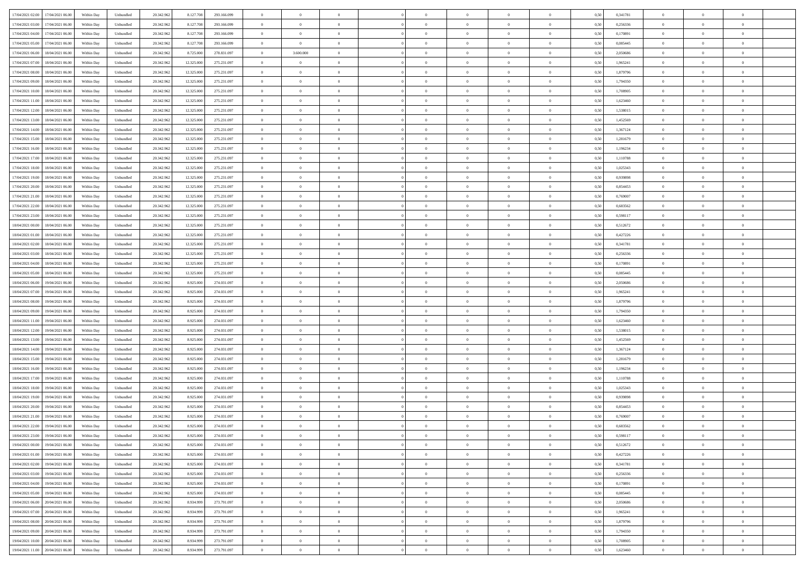|                                              |            |           |            |            |             | $\overline{0}$ | $\overline{0}$ |                | $\overline{0}$ | $\theta$       |                | $\theta$       |      |          | $\theta$       | $\theta$       | $\overline{0}$ |  |
|----------------------------------------------|------------|-----------|------------|------------|-------------|----------------|----------------|----------------|----------------|----------------|----------------|----------------|------|----------|----------------|----------------|----------------|--|
| 17/04/2021 02:00 17/04/2021 06:00            | Within Day | Unbundled | 20.342.962 | 8.127.708  | 293.166.099 |                |                |                |                |                |                |                | 0,50 | 0,341781 |                |                |                |  |
| 17/04/2021 03:00<br>17/04/2021 06.00         | Within Day | Unbundled | 20.342.96  | 8.127.708  | 293.166.099 | $\bf{0}$       | $\bf{0}$       | $\bf{0}$       | $\overline{0}$ | $\bf{0}$       | $\overline{0}$ | $\bf{0}$       | 0,50 | 0,256336 | $\,$ 0 $\,$    | $\bf{0}$       | $\overline{0}$ |  |
| 17/04/2021 04:00<br>17/04/2021 06:00         | Within Day | Unbundled | 20.342.962 | 8.127.708  | 293.166.099 | $\overline{0}$ | $\bf{0}$       | $\overline{0}$ | $\bf{0}$       | $\bf{0}$       | $\overline{0}$ | $\bf{0}$       | 0.50 | 0,170891 | $\bf{0}$       | $\overline{0}$ | $\overline{0}$ |  |
| 17/04/2021 05:00<br>17/04/2021 06:00         | Within Day | Unbundled | 20.342.962 | 8.127.708  | 293.166.099 | $\overline{0}$ | $\overline{0}$ | $\overline{0}$ | $\theta$       | $\theta$       | $\overline{0}$ | $\bf{0}$       | 0,50 | 0,085445 | $\theta$       | $\theta$       | $\overline{0}$ |  |
| 17/04/2021 06:00<br>18/04/2021 06:00         | Within Day | Unbundled | 20.342.96  | 8.725.00   | 278.831.097 | $\bf{0}$       | 3.600.000      | $\overline{0}$ | $\overline{0}$ | $\theta$       | $\overline{0}$ | $\bf{0}$       | 0,50 | 2,050686 | $\,$ 0 $\,$    | $\bf{0}$       | $\overline{0}$ |  |
| 17/04/2021 07:00<br>18/04/2021 06:00         |            | Unbundled | 20.342.962 | 12.325.000 | 275.231.097 | $\overline{0}$ | $\overline{0}$ | $\overline{0}$ | $\bf{0}$       | $\overline{0}$ | $\theta$       | $\bf{0}$       | 0.50 | 1.965241 | $\,$ 0 $\,$    | $\theta$       | $\overline{0}$ |  |
|                                              | Within Day |           |            |            |             |                |                |                |                |                |                |                |      |          |                |                |                |  |
| 17/04/2021 08:00<br>18/04/2021 06:00         | Within Day | Unbundled | 20.342.96  | 12.325.000 | 275.231.097 | $\overline{0}$ | $\overline{0}$ | $\overline{0}$ | $\overline{0}$ | $\theta$       | $\overline{0}$ | $\bf{0}$       | 0,50 | 1,879796 | $\theta$       | $\theta$       | $\overline{0}$ |  |
| 17/04/2021 09:00<br>18/04/2021 06:00         | Within Day | Unbundled | 20.342.96  | 12.325.00  | 275.231.097 | $\bf{0}$       | $\overline{0}$ | $\overline{0}$ | $\overline{0}$ | $\theta$       | $\overline{0}$ | $\bf{0}$       | 0,50 | 1,794350 | $\,$ 0 $\,$    | $\bf{0}$       | $\overline{0}$ |  |
| 17/04/2021 10:00<br>18/04/2021 06:00         | Within Day | Unbundled | 20,342.96  | 12.325.000 | 275.231.097 | $\overline{0}$ | $\bf{0}$       | $\overline{0}$ | $\bf{0}$       | $\overline{0}$ | $\overline{0}$ | $\bf{0}$       | 0.50 | 1,708905 | $\bf{0}$       | $\theta$       | $\overline{0}$ |  |
| 17/04/2021 11:00<br>18/04/2021 06:00         | Within Day | Unbundled | 20.342.962 | 12.325.000 | 275.231.097 | $\bf{0}$       | $\bf{0}$       | $\overline{0}$ | $\overline{0}$ | $\overline{0}$ | $\overline{0}$ | $\bf{0}$       | 0,50 | 1,623460 | $\,$ 0 $\,$    | $\theta$       | $\overline{0}$ |  |
| 17/04/2021 12:00<br>18/04/2021 06:00         | Within Day | Unbundled | 20.342.96  | 12.325.000 | 275.231.097 | $\bf{0}$       | $\overline{0}$ | $\bf{0}$       | $\overline{0}$ | $\bf{0}$       | $\overline{0}$ | $\bf{0}$       | 0,50 | 1,538015 | $\,$ 0 $\,$    | $\bf{0}$       | $\overline{0}$ |  |
| 17/04/2021 13:00<br>18/04/2021 06:00         | Within Day | Unbundled | 20.342.962 | 12.325.000 | 275.231.097 | $\overline{0}$ | $\bf{0}$       | $\overline{0}$ | $\bf{0}$       | $\bf{0}$       | $\overline{0}$ | $\bf{0}$       | 0.50 | 1.452569 | $\bf{0}$       | $\overline{0}$ | $\overline{0}$ |  |
| 17/04/2021 14:00<br>18/04/2021 06:00         | Within Day | Unbundled | 20.342.96  | 12.325.000 | 275.231.097 | $\overline{0}$ | $\overline{0}$ | $\overline{0}$ | $\overline{0}$ | $\theta$       | $\overline{0}$ | $\overline{0}$ | 0,50 | 1,367124 | $\,$ 0 $\,$    | $\theta$       | $\overline{0}$ |  |
|                                              |            |           |            |            |             |                |                |                |                |                |                |                |      |          |                |                |                |  |
| 17/04/2021 15:00<br>18/04/2021 06:00         | Within Day | Unbundled | 20.342.96  | 12.325.00  | 275.231.097 | $\bf{0}$       | $\overline{0}$ | $\bf{0}$       | $\overline{0}$ | $\theta$       | $\overline{0}$ | $\bf{0}$       | 0,50 | 1,281679 | $\bf{0}$       | $\bf{0}$       | $\overline{0}$ |  |
| 17/04/2021 16:00<br>18/04/2021 06:00         | Within Day | Unbundled | 20.342.96  | 12.325.000 | 275.231.097 | $\overline{0}$ | $\overline{0}$ | $\overline{0}$ | $\bf{0}$       | $\theta$       | $\theta$       | $\bf{0}$       | 0.50 | 1.196234 | $\,$ 0 $\,$    | $\theta$       | $\overline{0}$ |  |
| 17/04/2021 17:00<br>18/04/2021 06:00         | Within Day | Unbundled | 20.342.962 | 12.325.000 | 275.231.097 | $\overline{0}$ | $\overline{0}$ | $\overline{0}$ | $\overline{0}$ | $\theta$       | $\overline{0}$ | $\bf{0}$       | 0,50 | 1,110788 | $\theta$       | $\theta$       | $\overline{0}$ |  |
| 17/04/2021 18:00<br>18/04/2021 06:00         | Within Day | Unbundled | 20.342.96  | 12.325.00  | 275.231.097 | $\bf{0}$       | $\overline{0}$ | $\overline{0}$ | $\overline{0}$ | $\theta$       | $\overline{0}$ | $\bf{0}$       | 0,50 | 1,025343 | $\,$ 0 $\,$    | $\bf{0}$       | $\overline{0}$ |  |
| 17/04/2021 19:00<br>18/04/2021 06:00         | Within Day | Unbundled | 20,342.96  | 12.325.000 | 275.231.097 | $\overline{0}$ | $\bf{0}$       | $\overline{0}$ | $\bf{0}$       | $\overline{0}$ | $\overline{0}$ | $\bf{0}$       | 0.50 | 0.939898 | $\bf{0}$       | $\overline{0}$ | $\overline{0}$ |  |
| 17/04/2021 20:00<br>18/04/2021 06:00         | Within Day | Unbundled | 20.342.962 | 12.325.000 | 275.231.097 | $\bf{0}$       | $\overline{0}$ | $\overline{0}$ | $\overline{0}$ | $\overline{0}$ | $\overline{0}$ | $\bf{0}$       | 0,50 | 0,854453 | $\,$ 0 $\,$    | $\theta$       | $\overline{0}$ |  |
| 17/04/2021 21:00<br>18/04/2021 06:00         | Within Day | Unbundled | 20.342.96  | 12.325.000 | 275.231.097 | $\bf{0}$       | $\bf{0}$       | $\bf{0}$       | $\bf{0}$       | $\overline{0}$ | $\overline{0}$ | $\bf{0}$       | 0,50 | 0,769007 | $\,$ 0 $\,$    | $\bf{0}$       | $\overline{0}$ |  |
| 17/04/2021 22:00<br>18/04/2021 06:00         | Within Day | Unbundled | 20.342.962 | 12.325.000 | 275.231.097 | $\overline{0}$ | $\bf{0}$       | $\overline{0}$ | $\bf{0}$       | $\bf{0}$       | $\overline{0}$ | $\bf{0}$       | 0.50 | 0.683562 | $\bf{0}$       | $\overline{0}$ | $\overline{0}$ |  |
|                                              |            |           |            |            |             |                |                |                |                |                |                |                |      |          |                |                |                |  |
| 17/04/2021 23:00<br>18/04/2021 06:00         | Within Day | Unbundled | 20.342.96  | 12.325.000 | 275.231.097 | $\overline{0}$ | $\overline{0}$ | $\overline{0}$ | $\theta$       | $\theta$       | $\overline{0}$ | $\bf{0}$       | 0,50 | 0,598117 | $\theta$       | $\theta$       | $\overline{0}$ |  |
| 18/04/2021 00:00<br>18/04/2021 06:00         | Within Day | Unbundled | 20.342.96  | 12.325.00  | 275.231.097 | $\bf{0}$       | $\overline{0}$ | $\bf{0}$       | $\bf{0}$       | $\bf{0}$       | $\overline{0}$ | $\bf{0}$       | 0,50 | 0,512672 | $\,$ 0 $\,$    | $\bf{0}$       | $\overline{0}$ |  |
| 18/04/2021 01:00<br>18/04/2021 06:00         | Within Day | Unbundled | 20.342.96  | 12.325.000 | 275.231.097 | $\overline{0}$ | $\overline{0}$ | $\overline{0}$ | $\overline{0}$ | $\overline{0}$ | $\Omega$       | $\bf{0}$       | 0.50 | 0,427226 | $\,$ 0 $\,$    | $\theta$       | $\overline{0}$ |  |
| 18/04/2021 02:00<br>18/04/2021 06:00         | Within Day | Unbundled | 20.342.962 | 12.325.000 | 275.231.097 | $\overline{0}$ | $\overline{0}$ | $\overline{0}$ | $\overline{0}$ | $\theta$       | $\overline{0}$ | $\bf{0}$       | 0,50 | 0,341781 | $\,$ 0 $\,$    | $\theta$       | $\overline{0}$ |  |
| 18/04/2021 03:00<br>18/04/2021 06:00         | Within Day | Unbundled | 20.342.96  | 12.325.00  | 275.231.097 | $\bf{0}$       | $\overline{0}$ | $\bf{0}$       | $\overline{0}$ | $\theta$       | $\overline{0}$ | $\bf{0}$       | 0,50 | 0,256336 | $\,$ 0 $\,$    | $\bf{0}$       | $\overline{0}$ |  |
| 18/04/2021 04:00<br>18/04/2021 06:00         | Within Day | Unbundled | 20,342.96  | 12.325.000 | 275.231.097 | $\overline{0}$ | $\bf{0}$       | $\overline{0}$ | $\bf{0}$       | $\overline{0}$ | $\overline{0}$ | $\bf{0}$       | 0.50 | 0.170891 | $\bf{0}$       | $\theta$       | $\overline{0}$ |  |
| 18/04/2021 05:00<br>18/04/2021 06:00         | Within Day | Unbundled | 20.342.962 | 12.325.000 | 275.231.097 | $\overline{0}$ | $\overline{0}$ | $\overline{0}$ | $\overline{0}$ | $\overline{0}$ | $\overline{0}$ | $\bf{0}$       | 0,50 | 0,085445 | $\theta$       | $\theta$       | $\overline{0}$ |  |
| 18/04/2021 06:00<br>19/04/2021 06:00         | Within Day | Unbundled | 20.342.96  | 8.925.00   | 274.031.097 | $\bf{0}$       | $\bf{0}$       | $\bf{0}$       | $\bf{0}$       | $\overline{0}$ | $\overline{0}$ | $\bf{0}$       | 0,50 | 2,050686 | $\,$ 0 $\,$    | $\bf{0}$       | $\overline{0}$ |  |
|                                              |            |           |            |            |             |                |                |                |                |                |                |                |      |          |                |                |                |  |
| 18/04/2021 07:00<br>19/04/2021 06:00         | Within Day | Unbundled | 20.342.962 | 8.925.00   | 274.031.097 | $\overline{0}$ | $\bf{0}$       | $\overline{0}$ | $\bf{0}$       | $\bf{0}$       | $\overline{0}$ | $\bf{0}$       | 0.50 | 1,965241 | $\bf{0}$       | $\overline{0}$ | $\overline{0}$ |  |
| 18/04/2021 08:00<br>19/04/2021 06:00         | Within Day | Unbundled | 20.342.962 | 8.925.000  | 274.031.097 | $\overline{0}$ | $\overline{0}$ | $\overline{0}$ | $\overline{0}$ | $\overline{0}$ | $\overline{0}$ | $\bf{0}$       | 0.5( | 1,879796 | $\theta$       | $\theta$       | $\overline{0}$ |  |
| 18/04/2021 09:00<br>19/04/2021 06:00         | Within Day | Unbundled | 20.342.96  | 8.925.00   | 274.031.097 | $\bf{0}$       | $\overline{0}$ | $\bf{0}$       | $\overline{0}$ | $\overline{0}$ | $\overline{0}$ | $\bf{0}$       | 0,50 | 1,794350 | $\,$ 0 $\,$    | $\bf{0}$       | $\overline{0}$ |  |
| 18/04/2021 11:00<br>19/04/2021 06:00         | Within Day | Unbundled | 20.342.962 | 8.925.00   | 274.031.097 | $\overline{0}$ | $\overline{0}$ | $\overline{0}$ | $\bf{0}$       | $\theta$       | $\Omega$       | $\bf{0}$       | 0.50 | 1.623460 | $\,$ 0 $\,$    | $\theta$       | $\overline{0}$ |  |
| 18/04/2021 12:00<br>19/04/2021 06:00         | Within Dav | Unbundled | 20.342.962 | 8.925.000  | 274.031.097 | $\overline{0}$ | $\overline{0}$ | $\overline{0}$ | $\overline{0}$ | $\theta$       | $\overline{0}$ | $\overline{0}$ | 0.5( | 1,538015 | $\theta$       | $\theta$       | $\overline{0}$ |  |
| 18/04/2021 13:00<br>19/04/2021 06:00         | Within Day | Unbundled | 20.342.96  | 8.925.00   | 274.031.097 | $\bf{0}$       | $\overline{0}$ | $\bf{0}$       | $\overline{0}$ | $\bf{0}$       | $\overline{0}$ | $\bf{0}$       | 0,50 | 1,452569 | $\,$ 0 $\,$    | $\bf{0}$       | $\overline{0}$ |  |
| 18/04/2021 14:00<br>19/04/2021 06:00         | Within Day | Unbundled | 20.342.96  | 8.925.00   | 274.031.097 | $\overline{0}$ | $\bf{0}$       | $\overline{0}$ | $\bf{0}$       | $\overline{0}$ | $\overline{0}$ | $\bf{0}$       | 0.50 | 1.367124 | $\bf{0}$       | $\overline{0}$ | $\overline{0}$ |  |
| 18/04/2021 15:00<br>19/04/2021 06:00         | Within Dav | Unbundled | 20.342.962 | 8.925.000  | 274.031.097 | $\overline{0}$ | $\overline{0}$ | $\overline{0}$ | $\overline{0}$ | $\overline{0}$ | $\overline{0}$ | $\overline{0}$ | 0.50 | 1,281679 | $\theta$       | $\theta$       | $\overline{0}$ |  |
| 19/04/2021 06:00                             | Within Day | Unbundled | 20.342.96  | 8.925.00   |             | $\bf{0}$       | $\bf{0}$       | $\bf{0}$       | $\bf{0}$       | $\overline{0}$ | $\overline{0}$ | $\bf{0}$       | 0,50 | 1,196234 | $\,$ 0 $\,$    | $\bf{0}$       | $\overline{0}$ |  |
| 18/04/2021 16:00                             |            |           |            |            | 274.031.097 |                |                |                |                |                |                |                |      |          |                |                |                |  |
| 18/04/2021 17:00<br>19/04/2021 06:00         | Within Day | Unbundled | 20.342.962 | 8.925.000  | 274.031.097 | $\overline{0}$ | $\bf{0}$       | $\overline{0}$ | $\bf{0}$       | $\bf{0}$       | $\overline{0}$ | $\bf{0}$       | 0.50 | 1.110788 | $\bf{0}$       | $\overline{0}$ | $\overline{0}$ |  |
| 18/04/2021 18:00<br>19/04/2021 06:00         | Within Dav | Unbundled | 20.342.962 | 8.925.000  | 274.031.097 | $\overline{0}$ | $\overline{0}$ | $\overline{0}$ | $\overline{0}$ | $\theta$       | $\overline{0}$ | $\bf{0}$       | 0.5( | 1,025343 | $\theta$       | $\theta$       | $\overline{0}$ |  |
| 18/04/2021 19:00<br>19/04/2021 06:00         | Within Day | Unbundled | 20.342.96  | 8.925.00   | 274.031.097 | $\bf{0}$       | $\overline{0}$ | $\bf{0}$       | $\bf{0}$       | $\overline{0}$ | $\overline{0}$ | $\bf{0}$       | 0,50 | 0,939898 | $\,$ 0 $\,$    | $\bf{0}$       | $\overline{0}$ |  |
| 18/04/2021 20:00<br>19/04/2021 06:00         | Within Day | Unbundled | 20.342.962 | 8.925.00   | 274.031.097 | $\overline{0}$ | $\overline{0}$ | $\Omega$       | $\overline{0}$ | $\theta$       | $\theta$       | $\bf{0}$       | 0.50 | 0.854453 | $\,$ 0 $\,$    | $\theta$       | $\overline{0}$ |  |
| 18/04/2021 21:00<br>19/04/2021 06:00         | Within Dav | Unbundled | 20.342.962 | 8.925.00   | 274.031.097 | $\overline{0}$ | $\overline{0}$ | $\Omega$       | $\overline{0}$ | $\theta$       | $\Omega$       | $\overline{0}$ | 0.5( | 0,769007 | $\theta$       | $\theta$       | $\overline{0}$ |  |
| 18/04/2021 22.00<br>19/04/2021 06:00         | Within Day | Unbundled | 20.342.96  | 8.925.000  | 274.031.097 | $\bf{0}$       | $\bf{0}$       | $\bf{0}$       | $\bf{0}$       | $\bf{0}$       | $\overline{0}$ | $\bf{0}$       | 0,50 | 0,683562 | $\,$ 0 $\,$    | $\bf{0}$       | $\overline{0}$ |  |
| $18/04/2021\ 23.00 \qquad 19/04/2021\ 06.00$ | Within Day | Unbundled | 20.342.962 | 8.925.000  | 274.031.097 | $\overline{0}$ | $\Omega$       |                | $\Omega$       |                |                |                | 0,50 | 0,598117 | $\theta$       | $\overline{0}$ |                |  |
| 19/04/2021 00:00 19/04/2021 06:00            | Within Day | Unbundled | 20.342.962 | 8.925.000  | 274.031.097 | $\overline{0}$ | $\theta$       | $\overline{0}$ | $\overline{0}$ | $\overline{0}$ | $\overline{0}$ | $\bf{0}$       | 0,50 | 0,512672 | $\theta$       | $\theta$       | $\overline{0}$ |  |
|                                              |            |           |            |            |             |                |                |                |                |                |                |                |      |          |                |                |                |  |
| 19/04/2021 01:00<br>19/04/2021 06:00         | Within Day | Unbundled | 20.342.96  | 8.925.000  | 274.031.097 | $\overline{0}$ | $\bf{0}$       | $\overline{0}$ | $\overline{0}$ | $\bf{0}$       | $\overline{0}$ | $\bf{0}$       | 0,50 | 0,427226 | $\bf{0}$       | $\overline{0}$ | $\bf{0}$       |  |
| 19/04/2021 02:00 19/04/2021 06:00            | Within Day | Unbundled | 20.342.962 | 8.925.000  | 274.031.097 | $\overline{0}$ | $\bf{0}$       | $\overline{0}$ | $\overline{0}$ | $\overline{0}$ | $\overline{0}$ | $\,$ 0 $\,$    | 0.50 | 0,341781 | $\overline{0}$ | $\bf{0}$       | $\,$ 0 $\,$    |  |
| 19/04/2021 03:00 19/04/2021 06:00            | Within Day | Unbundled | 20.342.962 | 8.925.000  | 274.031.097 | $\overline{0}$ | $\overline{0}$ | $\overline{0}$ | $\overline{0}$ | $\overline{0}$ | $\overline{0}$ | $\bf{0}$       | 0,50 | 0,256336 | $\theta$       | $\theta$       | $\overline{0}$ |  |
| 19/04/2021 04:00<br>19/04/2021 06:00         | Within Day | Unbundled | 20.342.962 | 8.925.000  | 274.031.097 | $\overline{0}$ | $\bf{0}$       | $\overline{0}$ | $\bf{0}$       | $\overline{0}$ | $\bf{0}$       | $\bf{0}$       | 0,50 | 0,170891 | $\bf{0}$       | $\bf{0}$       | $\overline{0}$ |  |
| 19/04/2021 05:00<br>19/04/2021 06:00         | Within Day | Unbundled | 20.342.962 | 8.925.000  | 274.031.097 | $\overline{0}$ | $\bf{0}$       | $\overline{0}$ | $\overline{0}$ | $\overline{0}$ | $\overline{0}$ | $\bf{0}$       | 0.50 | 0.085445 | $\,$ 0 $\,$    | $\theta$       | $\overline{0}$ |  |
| 19/04/2021 06:00<br>20/04/2021 06:00         | Within Dav | Unbundled | 20.342.962 | 8.934.999  | 273.791.097 | $\overline{0}$ | $\overline{0}$ | $\overline{0}$ | $\overline{0}$ | $\overline{0}$ | $\overline{0}$ | $\bf{0}$       | 0,50 | 2,050686 | $\overline{0}$ | $\theta$       | $\overline{0}$ |  |
| 19/04/2021 07:00<br>20/04/2021 06:00         | Within Day | Unbundled | 20.342.96  | 8.934.999  | 273.791.097 | $\overline{0}$ | $\overline{0}$ | $\overline{0}$ | $\overline{0}$ | $\overline{0}$ | $\overline{0}$ | $\bf{0}$       | 0,50 | 1,965241 | $\bf{0}$       | $\,$ 0 $\,$    | $\overline{0}$ |  |
| 19/04/2021 08:00<br>20/04/2021 06:00         |            | Unbundled | 20.342.962 |            | 273.791.097 | $\overline{0}$ | $\overline{0}$ | $\overline{0}$ |                | $\bf{0}$       | $\overline{0}$ |                | 0.50 | 1.879796 | $\overline{0}$ | $\,$ 0 $\,$    | $\,$ 0         |  |
|                                              | Within Day |           |            | 8.934.999  |             |                |                |                | $\overline{0}$ |                |                | $\bf{0}$       |      |          |                |                |                |  |
| 19/04/2021 09:00 20/04/2021 06:00            | Within Dav | Unbundled | 20.342.962 | 8.934.999  | 273.791.097 | $\overline{0}$ | $\overline{0}$ | $\overline{0}$ | $\overline{0}$ | $\overline{0}$ | $\overline{0}$ | $\bf{0}$       | 0,50 | 1,794350 | $\overline{0}$ | $\theta$       | $\overline{0}$ |  |
| 19/04/2021 10:00<br>20/04/2021 06:00         | Within Day | Unbundled | 20.342.96  | 8.934.999  | 273.791.097 | $\overline{0}$ | $\bf{0}$       | $\overline{0}$ | $\bf{0}$       | $\overline{0}$ | $\overline{0}$ | $\bf{0}$       | 0,50 | 1,708905 | $\bf{0}$       | $\bf{0}$       | $\overline{0}$ |  |
| 19/04/2021 11:00 20/04/2021 06:00            | Within Day | Unbundled | 20.342.962 | 8.934.999  | 273.791.097 | $\overline{0}$ | $\bf{0}$       | $\overline{0}$ | $\overline{0}$ | $\,$ 0 $\,$    | $\overline{0}$ | $\bf{0}$       | 0,50 | 1,623460 | $\overline{0}$ | $\,$ 0 $\,$    | $\,$ 0 $\,$    |  |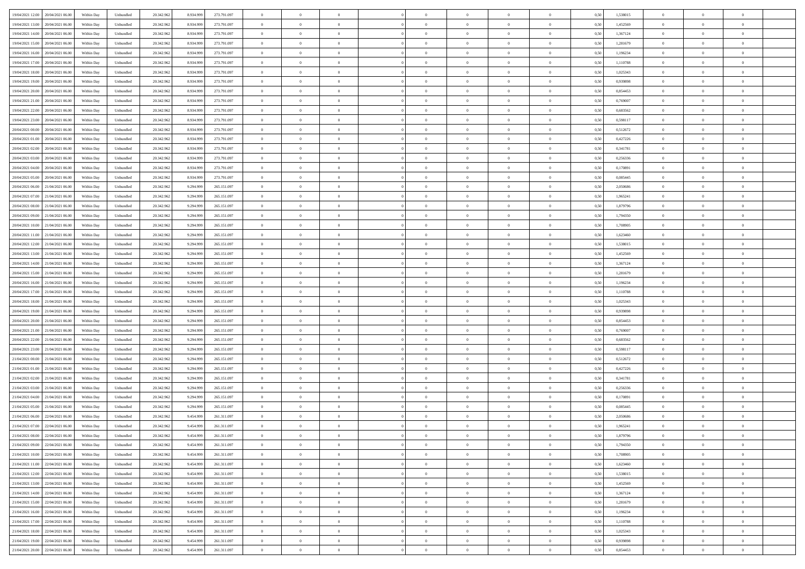| 19/04/2021 12:00 20/04/2021 06:00          | Within Day | Unbundled                   | 20.342.962 | 8.934.999 | 273.791.097 | $\overline{0}$ | $\theta$       |                | $\overline{0}$ | $\theta$       |                | $\theta$       | 0,50 | 1,538015 | $\theta$       | $\theta$       | $\overline{0}$ |  |
|--------------------------------------------|------------|-----------------------------|------------|-----------|-------------|----------------|----------------|----------------|----------------|----------------|----------------|----------------|------|----------|----------------|----------------|----------------|--|
|                                            |            |                             |            |           |             |                |                |                |                |                |                |                |      |          |                |                |                |  |
| 19/04/2021 13:00<br>20/04/2021 06.00       | Within Day | Unbundled                   | 20.342.96  | 8.934.99  | 273.791.097 | $\bf{0}$       | $\overline{0}$ | $\bf{0}$       | $\overline{0}$ | $\overline{0}$ | $\overline{0}$ | $\bf{0}$       | 0,50 | 1,452569 | $\,$ 0 $\,$    | $\bf{0}$       | $\overline{0}$ |  |
| 19/04/2021 14:00<br>20/04/2021 06:00       | Within Day | Unbundled                   | 20.342.962 | 8.934.999 | 273.791.097 | $\overline{0}$ | $\bf{0}$       | $\overline{0}$ | $\bf{0}$       | $\bf{0}$       | $\overline{0}$ | $\bf{0}$       | 0.50 | 1.367124 | $\bf{0}$       | $\overline{0}$ | $\overline{0}$ |  |
| 19/04/2021 15:00<br>20/04/2021 06:00       | Within Day | Unbundled                   | 20.342.962 | 8.934.999 | 273.791.097 | $\overline{0}$ | $\overline{0}$ | $\overline{0}$ | $\theta$       | $\theta$       | $\overline{0}$ | $\bf{0}$       | 0,50 | 1,281679 | $\theta$       | $\theta$       | $\overline{0}$ |  |
| 19/04/2021 16:00<br>20/04/2021 06.00       | Within Day | Unbundled                   | 20.342.96  | 8.934.99  | 273.791.097 | $\bf{0}$       | $\overline{0}$ | $\bf{0}$       | $\overline{0}$ | $\theta$       | $\overline{0}$ | $\bf{0}$       | 0,50 | 1,196234 | $\,$ 0 $\,$    | $\bf{0}$       | $\overline{0}$ |  |
| 19/04/2021 17:00<br>20/04/2021 06:00       |            | Unbundled                   | 20.342.962 | 8.934.999 | 273.791.097 | $\overline{0}$ | $\overline{0}$ | $\overline{0}$ | $\overline{0}$ | $\overline{0}$ | $\theta$       | $\bf{0}$       | 0.50 | 1.110788 | $\bf{0}$       | $\theta$       | $\overline{0}$ |  |
|                                            | Within Day |                             |            |           |             |                |                |                |                |                |                |                |      |          |                |                |                |  |
| 19/04/2021 18:00<br>20/04/2021 06:00       | Within Day | Unbundled                   | 20.342.962 | 8.934.999 | 273.791.097 | $\overline{0}$ | $\overline{0}$ | $\overline{0}$ | $\overline{0}$ | $\overline{0}$ | $\overline{0}$ | $\bf{0}$       | 0,50 | 1,025343 | $\theta$       | $\theta$       | $\overline{0}$ |  |
| 19/04/2021 19:00<br>20/04/2021 06.00       | Within Day | Unbundled                   | 20.342.96  | 8.934.99  | 273.791.097 | $\bf{0}$       | $\overline{0}$ | $\overline{0}$ | $\overline{0}$ | $\overline{0}$ | $\overline{0}$ | $\bf{0}$       | 0,50 | 0,939898 | $\,$ 0 $\,$    | $\bf{0}$       | $\overline{0}$ |  |
| 19/04/2021 20:00<br>20/04/2021 06:00       | Within Day | Unbundled                   | 20.342.96  | 8.934.999 | 273.791.097 | $\overline{0}$ | $\bf{0}$       | $\overline{0}$ | $\bf{0}$       | $\overline{0}$ | $\overline{0}$ | $\bf{0}$       | 0.50 | 0.854453 | $\bf{0}$       | $\overline{0}$ | $\overline{0}$ |  |
| 19/04/2021 21:00<br>20/04/2021 06:00       | Within Day | Unbundled                   | 20.342.962 | 8.934.999 | 273.791.097 | $\overline{0}$ | $\bf{0}$       | $\overline{0}$ | $\overline{0}$ | $\overline{0}$ | $\overline{0}$ | $\bf{0}$       | 0,50 | 0,769007 | $\theta$       | $\theta$       | $\overline{0}$ |  |
| 19/04/2021 22:00<br>20/04/2021 06.00       | Within Day | Unbundled                   | 20.342.96  | 8.934.999 | 273.791.097 | $\bf{0}$       | $\overline{0}$ | $\bf{0}$       | $\overline{0}$ | $\bf{0}$       | $\overline{0}$ | $\bf{0}$       | 0,50 | 0,683562 | $\,$ 0 $\,$    | $\bf{0}$       | $\overline{0}$ |  |
| 19/04/2021 23:00<br>20/04/2021 06:00       | Within Day | Unbundled                   | 20.342.962 | 8.934.999 | 273.791.097 | $\overline{0}$ | $\bf{0}$       | $\overline{0}$ | $\bf{0}$       | $\bf{0}$       | $\overline{0}$ | $\bf{0}$       | 0.50 | 0.598117 | $\bf{0}$       | $\overline{0}$ | $\bf{0}$       |  |
| 20/04/2021 00:00<br>20/04/2021 06:00       | Within Day | Unbundled                   | 20.342.96  | 8.934.999 | 273.791.097 | $\overline{0}$ | $\overline{0}$ | $\overline{0}$ | $\overline{0}$ | $\theta$       | $\overline{0}$ | $\overline{0}$ | 0,50 | 0,512672 | $\theta$       | $\theta$       | $\overline{0}$ |  |
|                                            |            |                             |            |           |             |                |                |                |                |                |                |                |      |          |                |                |                |  |
| 20/04/2021 01:00<br>20/04/2021 06.00       | Within Day | Unbundled                   | 20.342.96  | 8.934.99  | 273.791.097 | $\bf{0}$       | $\theta$       | $\bf{0}$       | $\overline{0}$ | $\theta$       | $\overline{0}$ | $\bf{0}$       | 0,50 | 0,427226 | $\bf{0}$       | $\bf{0}$       | $\overline{0}$ |  |
| 20/04/2021 02:00<br>20/04/2021 06:00       | Within Day | Unbundled                   | 20.342.962 | 8.934.999 | 273.791.097 | $\overline{0}$ | $\overline{0}$ | $\overline{0}$ | $\bf{0}$       | $\overline{0}$ | $\Omega$       | $\bf{0}$       | 0.50 | 0.341781 | $\,$ 0 $\,$    | $\theta$       | $\overline{0}$ |  |
| 20/04/2021 03:00<br>20/04/2021 06:00       | Within Day | Unbundled                   | 20.342.962 | 8.934.999 | 273.791.097 | $\overline{0}$ | $\overline{0}$ | $\overline{0}$ | $\overline{0}$ | $\overline{0}$ | $\overline{0}$ | $\bf{0}$       | 0,50 | 0,256336 | $\theta$       | $\theta$       | $\overline{0}$ |  |
| 20/04/2021 04:00<br>20/04/2021 06.00       | Within Day | Unbundled                   | 20.342.96  | 8.934.999 | 273.791.097 | $\bf{0}$       | $\overline{0}$ | $\overline{0}$ | $\overline{0}$ | $\theta$       | $\overline{0}$ | $\bf{0}$       | 0,50 | 0,170891 | $\,$ 0 $\,$    | $\bf{0}$       | $\overline{0}$ |  |
| 20/04/2021 05:00<br>20/04/2021 06:00       | Within Day | Unbundled                   | 20.342.96  | 8.934.999 | 273.791.097 | $\overline{0}$ | $\bf{0}$       | $\overline{0}$ | $\bf{0}$       | $\overline{0}$ | $\overline{0}$ | $\bf{0}$       | 0.50 | 0.085445 | $\bf{0}$       | $\overline{0}$ | $\overline{0}$ |  |
| 20/04/2021 06:00<br>21/04/2021 06:00       | Within Day | Unbundled                   | 20.342.962 | 9.294.999 | 265.151.097 | $\overline{0}$ | $\overline{0}$ | $\overline{0}$ | $\overline{0}$ | $\overline{0}$ | $\overline{0}$ | $\bf{0}$       | 0,50 | 2,050686 | $\,$ 0 $\,$    | $\theta$       | $\overline{0}$ |  |
| 20/04/2021 07:00<br>21/04/2021 06.00       | Within Day | Unbundled                   | 20.342.96  | 9.294.99  | 265.151.097 | $\bf{0}$       | $\bf{0}$       | $\bf{0}$       | $\bf{0}$       | $\overline{0}$ | $\overline{0}$ | $\bf{0}$       | 0,50 | 1,965241 | $\,$ 0 $\,$    | $\bf{0}$       | $\overline{0}$ |  |
| 21/04/2021 06:00                           |            | Unbundled                   |            |           |             |                | $\bf{0}$       | $\overline{0}$ |                | $\bf{0}$       | $\overline{0}$ |                | 0.50 | 1.879796 | $\bf{0}$       | $\overline{0}$ | $\bf{0}$       |  |
| 20/04/2021 08:00                           | Within Day |                             | 20.342.962 | 9.294.999 | 265.151.097 | $\overline{0}$ |                |                | $\bf{0}$       |                |                | $\bf{0}$       |      |          |                |                |                |  |
| 20/04/2021 09:00<br>21/04/2021 06:00       | Within Day | Unbundled                   | 20.342.962 | 9.294.999 | 265.151.097 | $\overline{0}$ | $\overline{0}$ | $\overline{0}$ | $\theta$       | $\theta$       | $\overline{0}$ | $\bf{0}$       | 0,50 | 1,794350 | $\theta$       | $\theta$       | $\overline{0}$ |  |
| 20/04/2021 10:00<br>21/04/2021 06.00       | Within Day | Unbundled                   | 20.342.96  | 9.294.999 | 265.151.097 | $\bf{0}$       | $\overline{0}$ | $\bf{0}$       | $\overline{0}$ | $\bf{0}$       | $\overline{0}$ | $\bf{0}$       | 0,50 | 1,708905 | $\,$ 0 $\,$    | $\bf{0}$       | $\overline{0}$ |  |
| 20/04/2021 11:00<br>21/04/2021 06:00       | Within Day | Unbundled                   | 20.342.96  | 9.294.999 | 265.151.097 | $\overline{0}$ | $\overline{0}$ | $\overline{0}$ | $\overline{0}$ | $\overline{0}$ | $\Omega$       | $\bf{0}$       | 0.50 | 1.623460 | $\,$ 0 $\,$    | $\theta$       | $\overline{0}$ |  |
| 20/04/2021 12:00<br>21/04/2021 06:00       | Within Day | Unbundled                   | 20.342.962 | 9.294.999 | 265.151.097 | $\overline{0}$ | $\overline{0}$ | $\overline{0}$ | $\overline{0}$ | $\overline{0}$ | $\overline{0}$ | $\bf{0}$       | 0,50 | 1,538015 | $\theta$       | $\theta$       | $\overline{0}$ |  |
| 20/04/2021 13:00<br>21/04/2021 06.00       | Within Day | Unbundled                   | 20.342.96  | 9.294.999 | 265.151.097 | $\bf{0}$       | $\theta$       | $\bf{0}$       | $\overline{0}$ | $\theta$       | $\overline{0}$ | $\bf{0}$       | 0,50 | 1,452569 | $\,$ 0 $\,$    | $\bf{0}$       | $\overline{0}$ |  |
| 20/04/2021 14:00<br>21/04/2021 06:00       | Within Day | Unbundled                   | 20.342.96  | 9.294.999 | 265.151.097 | $\overline{0}$ | $\bf{0}$       | $\overline{0}$ | $\bf{0}$       | $\overline{0}$ | $\overline{0}$ | $\bf{0}$       | 0.50 | 1.367124 | $\bf{0}$       | $\overline{0}$ | $\overline{0}$ |  |
| 20/04/2021 15:00<br>21/04/2021 06:00       | Within Day | Unbundled                   | 20.342.962 | 9.294.999 | 265.151.097 | $\overline{0}$ | $\overline{0}$ | $\overline{0}$ | $\overline{0}$ | $\overline{0}$ | $\overline{0}$ | $\bf{0}$       | 0,50 | 1,281679 | $\theta$       | $\theta$       | $\overline{0}$ |  |
|                                            |            |                             |            |           |             |                |                |                |                |                |                |                |      |          |                |                |                |  |
| 20/04/2021 16:00<br>21/04/2021 06.00       | Within Day | Unbundled                   | 20.342.96  | 9.294.999 | 265.151.097 | $\bf{0}$       | $\bf{0}$       | $\bf{0}$       | $\bf{0}$       | $\overline{0}$ | $\overline{0}$ | $\bf{0}$       | 0,50 | 1,196234 | $\,$ 0 $\,$    | $\bf{0}$       | $\overline{0}$ |  |
| 20/04/2021 17:00<br>21/04/2021 06:00       | Within Day | Unbundled                   | 20.342.962 | 9.294.999 | 265.151.097 | $\overline{0}$ | $\bf{0}$       | $\overline{0}$ | $\bf{0}$       | $\bf{0}$       | $\overline{0}$ | $\bf{0}$       | 0.50 | 1.110788 | $\bf{0}$       | $\overline{0}$ | $\bf{0}$       |  |
| 20/04/2021 18:00<br>21/04/2021 06:00       | Within Day | Unbundled                   | 20.342.962 | 9.294.999 | 265.151.097 | $\overline{0}$ | $\overline{0}$ | $\overline{0}$ | $\overline{0}$ | $\overline{0}$ | $\overline{0}$ | $\bf{0}$       | 0.5( | 1,025343 | $\theta$       | $\theta$       | $\overline{0}$ |  |
| 20/04/2021 19:00<br>21/04/2021 06.00       | Within Day | Unbundled                   | 20.342.96  | 9.294.99  | 265.151.097 | $\bf{0}$       | $\overline{0}$ | $\bf{0}$       | $\overline{0}$ | $\overline{0}$ | $\overline{0}$ | $\bf{0}$       | 0,50 | 0,939898 | $\,$ 0 $\,$    | $\bf{0}$       | $\overline{0}$ |  |
| 20/04/2021 20:00<br>21/04/2021 06:00       | Within Day | Unbundled                   | 20.342.962 | 9.294.999 | 265.151.097 | $\overline{0}$ | $\overline{0}$ | $\overline{0}$ | $\bf{0}$       | $\overline{0}$ | $\Omega$       | $\bf{0}$       | 0.50 | 0.854453 | $\,$ 0 $\,$    | $\theta$       | $\overline{0}$ |  |
| 20/04/2021 21:00<br>21/04/2021 06:00       | Within Dav | Unbundled                   | 20.342.962 | 9.294.999 | 265.151.097 | $\overline{0}$ | $\overline{0}$ | $\overline{0}$ | $\overline{0}$ | $\overline{0}$ | $\overline{0}$ | $\overline{0}$ | 0.5( | 0,769007 | $\theta$       | $\theta$       | $\overline{0}$ |  |
| 20/04/2021 22:00<br>21/04/2021 06.00       | Within Day | Unbundled                   | 20.342.96  | 9.294.999 | 265.151.097 | $\bf{0}$       | $\overline{0}$ | $\bf{0}$       | $\overline{0}$ | $\bf{0}$       | $\overline{0}$ | $\bf{0}$       | 0,50 | 0,683562 | $\,$ 0 $\,$    | $\bf{0}$       | $\overline{0}$ |  |
| 20/04/2021 23:00<br>21/04/2021 06:00       | Within Day | Unbundled                   | 20.342.96  | 9.294.999 | 265.151.097 | $\overline{0}$ | $\bf{0}$       | $\overline{0}$ | $\bf{0}$       | $\overline{0}$ | $\overline{0}$ | $\bf{0}$       | 0.50 | 0.598117 | $\bf{0}$       | $\overline{0}$ | $\overline{0}$ |  |
| 21/04/2021 00:00<br>21/04/2021 06:00       | Within Dav | Unbundled                   | 20.342.962 | 9.294.999 | 265.151.097 | $\overline{0}$ | $\overline{0}$ | $\overline{0}$ | $\overline{0}$ | $\overline{0}$ | $\overline{0}$ | $\overline{0}$ | 0.50 | 0,512672 | $\theta$       | $\theta$       | $\overline{0}$ |  |
|                                            |            |                             |            |           |             |                |                |                |                |                |                |                |      |          |                |                |                |  |
| 21/04/2021 01:00<br>21/04/2021 06.00       | Within Day | Unbundled                   | 20.342.96  | 9.294.99  | 265.151.097 | $\bf{0}$       | $\bf{0}$       | $\bf{0}$       | $\bf{0}$       | $\overline{0}$ | $\overline{0}$ | $\bf{0}$       | 0,50 | 0,427226 | $\,$ 0 $\,$    | $\bf{0}$       | $\overline{0}$ |  |
| 21/04/2021 02:00<br>21/04/2021 06:00       | Within Day | Unbundled                   | 20.342.962 | 9.294.999 | 265.151.097 | $\overline{0}$ | $\bf{0}$       | $\overline{0}$ | $\bf{0}$       | $\bf{0}$       | $\overline{0}$ | $\bf{0}$       | 0.50 | 0.341781 | $\bf{0}$       | $\overline{0}$ | $\overline{0}$ |  |
| 21/04/2021 03:00<br>21/04/2021 06:00       | Within Dav | Unbundled                   | 20.342.962 | 9.294.999 | 265.151.097 | $\overline{0}$ | $\overline{0}$ | $\overline{0}$ | $\overline{0}$ | $\overline{0}$ | $\overline{0}$ | $\bf{0}$       | 0.50 | 0,256336 | $\theta$       | $\theta$       | $\overline{0}$ |  |
| 21/04/2021 04:00<br>21/04/2021 06.00       | Within Day | Unbundled                   | 20.342.96  | 9.294.999 | 265.151.097 | $\bf{0}$       | $\overline{0}$ | $\bf{0}$       | $\bf{0}$       | $\overline{0}$ | $\overline{0}$ | $\bf{0}$       | 0,50 | 0,170891 | $\,$ 0 $\,$    | $\bf{0}$       | $\overline{0}$ |  |
| 21/04/2021 05:00<br>21/04/2021 06:00       | Within Day | Unbundled                   | 20.342.962 | 9.294.999 | 265.151.097 | $\overline{0}$ | $\overline{0}$ | $\Omega$       | $\overline{0}$ | $\overline{0}$ | $\Omega$       | $\bf{0}$       | 0.50 | 0.085445 | $\bf{0}$       | $\theta$       | $\overline{0}$ |  |
| 21/04/2021 06:00<br>22/04/2021 06:00       | Within Dav | Unbundled                   | 20.342.962 | 9.454.999 | 261.311.097 | $\overline{0}$ | $\overline{0}$ | $\Omega$       | $\overline{0}$ | $\theta$       | $\Omega$       | $\overline{0}$ | 0.5( | 2.050686 | $\theta$       | $\theta$       | $\overline{0}$ |  |
| 21/04/2021 07:00<br>22/04/2021 06:00       | Within Day | Unbundled                   | 20.342.96  | 9.454.999 | 261.311.097 | $\bf{0}$       | $\bf{0}$       | $\overline{0}$ | $\bf{0}$       | $\bf{0}$       | $\overline{0}$ | $\bf{0}$       | 0,50 | 1,965241 | $\,$ 0 $\,$    | $\bf{0}$       | $\overline{0}$ |  |
| $21/04/2021~08.00 \qquad 22/04/2021~06.00$ | Within Day | $\ensuremath{\mathsf{Unb}}$ | 20.342.962 | 9.454.999 | 261.311.097 | $\bf{0}$       | $\Omega$       |                | $\overline{0}$ |                |                |                | 0,50 | 1.879796 | $\theta$       | $\overline{0}$ |                |  |
| 21/04/2021 09:00 22/04/2021 06:00          | Within Day | Unbundled                   | 20.342.962 | 9.454.999 | 261.311.097 | $\overline{0}$ | $\theta$       | $\Omega$       | $\overline{0}$ | $\overline{0}$ | $\overline{0}$ | $\bf{0}$       | 0,50 | 1,794350 | $\theta$       | $\theta$       | $\overline{0}$ |  |
|                                            |            |                             |            |           |             |                |                |                |                |                |                |                |      |          |                |                |                |  |
| 21/04/2021 10:00<br>22/04/2021 06:00       | Within Day | Unbundled                   | 20.342.96  | 9.454.999 | 261.311.097 | $\overline{0}$ | $\bf{0}$       | $\overline{0}$ | $\overline{0}$ | $\bf{0}$       | $\overline{0}$ | $\bf{0}$       | 0,50 | 1,708905 | $\bf{0}$       | $\overline{0}$ | $\bf{0}$       |  |
| 21/04/2021 11:00 22/04/2021 06:00          | Within Day | Unbundled                   | 20.342.962 | 9.454.999 | 261.311.097 | $\overline{0}$ | $\bf{0}$       | $\overline{0}$ | $\overline{0}$ | $\overline{0}$ | $\overline{0}$ | $\,$ 0 $\,$    | 0.50 | 1.623460 | $\overline{0}$ | $\bf{0}$       | $\,$ 0 $\,$    |  |
| 21/04/2021 12:00 22/04/2021 06:00          | Within Day | Unbundled                   | 20.342.962 | 9.454.999 | 261.311.097 | $\overline{0}$ | $\overline{0}$ | $\overline{0}$ | $\overline{0}$ | $\overline{0}$ | $\overline{0}$ | $\bf{0}$       | 0,50 | 1,538015 | $\overline{0}$ | $\theta$       | $\overline{0}$ |  |
| 21/04/2021 13:00<br>22/04/2021 06:00       | Within Day | Unbundled                   | 20.342.962 | 9.454.999 | 261.311.097 | $\overline{0}$ | $\bf{0}$       | $\overline{0}$ | $\bf{0}$       | $\overline{0}$ | $\bf{0}$       | $\bf{0}$       | 0,50 | 1,452569 | $\bf{0}$       | $\bf{0}$       | $\overline{0}$ |  |
| 21/04/2021 14:00 22/04/2021 06:00          | Within Day | Unbundled                   | 20.342.962 | 9.454.999 | 261.311.097 | $\overline{0}$ | $\bf{0}$       | $\overline{0}$ | $\overline{0}$ | $\bf{0}$       | $\overline{0}$ | $\bf{0}$       | 0.50 | 1.367124 | $\,$ 0 $\,$    | $\theta$       | $\,$ 0         |  |
| 21/04/2021 15:00 22/04/2021 06:00          | Within Dav | Unbundled                   | 20.342.962 | 9.454.999 | 261.311.097 | $\overline{0}$ | $\overline{0}$ | $\overline{0}$ | $\overline{0}$ | $\overline{0}$ | $\overline{0}$ | $\bf{0}$       | 0,50 | 1,281679 | $\overline{0}$ | $\theta$       | $\overline{0}$ |  |
| 21/04/2021 16:00<br>22/04/2021 06:00       | Within Day | Unbundled                   | 20.342.96  | 9.454.999 | 261.311.097 | $\overline{0}$ | $\overline{0}$ | $\overline{0}$ | $\overline{0}$ | $\overline{0}$ | $\overline{0}$ | $\bf{0}$       | 0,50 | 1,196234 | $\bf{0}$       | $\,$ 0 $\,$    | $\overline{0}$ |  |
|                                            |            |                             |            |           |             |                |                |                |                |                |                |                |      |          |                |                |                |  |
| 21/04/2021 17:00 22/04/2021 06:00          | Within Day | Unbundled                   | 20.342.962 | 9.454.999 | 261.311.097 | $\overline{0}$ | $\overline{0}$ | $\overline{0}$ | $\overline{0}$ | $\bf{0}$       | $\overline{0}$ | $\bf{0}$       | 0.50 | 1.110788 | $\overline{0}$ | $\,$ 0 $\,$    | $\,$ 0         |  |
| 21/04/2021 18:00 22/04/2021 06:00          | Within Dav | Unbundled                   | 20.342.962 | 9.454.999 | 261.311.097 | $\overline{0}$ | $\overline{0}$ | $\overline{0}$ | $\overline{0}$ | $\overline{0}$ | $\overline{0}$ | $\bf{0}$       | 0,50 | 1,025343 | $\overline{0}$ | $\theta$       | $\overline{0}$ |  |
| 21/04/2021 19:00<br>22/04/2021 06:00       | Within Day | Unbundled                   | 20.342.96  | 9.454.999 | 261.311.097 | $\overline{0}$ | $\bf{0}$       | $\overline{0}$ | $\bf{0}$       | $\overline{0}$ | $\bf{0}$       | $\bf{0}$       | 0,50 | 0,939898 | $\bf{0}$       | $\bf{0}$       | $\overline{0}$ |  |
| 21/04/2021 20:00 22/04/2021 06:00          | Within Day | Unbundled                   | 20.342.962 | 9.454.999 | 261.311.097 | $\,$ 0 $\,$    | $\bf{0}$       | $\overline{0}$ | $\overline{0}$ | $\,$ 0 $\,$    | $\overline{0}$ | $\bf{0}$       | 0,50 | 0,854453 | $\overline{0}$ | $\,$ 0 $\,$    | $\,$ 0 $\,$    |  |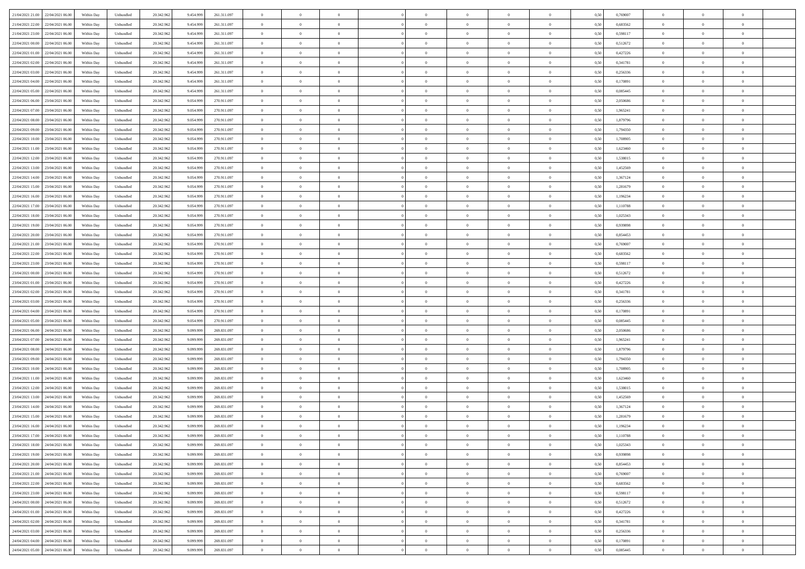|                                              |            |                             |            |           |             | $\overline{0}$ | $\theta$       |                | $\overline{0}$ | $\theta$       |                | $\theta$       |      |          | $\theta$       | $\theta$       | $\overline{0}$ |  |
|----------------------------------------------|------------|-----------------------------|------------|-----------|-------------|----------------|----------------|----------------|----------------|----------------|----------------|----------------|------|----------|----------------|----------------|----------------|--|
| 21/04/2021 21:00 22/04/2021 06:00            | Within Day | Unbundled                   | 20.342.962 | 9.454.999 | 261.311.097 |                |                |                |                |                |                |                | 0,50 | 0,769007 |                |                |                |  |
| 21/04/2021 22:00<br>22/04/2021 06.00         | Within Day | Unbundled                   | 20.342.96  | 9.454.99  | 261.311.097 | $\bf{0}$       | $\overline{0}$ | $\bf{0}$       | $\overline{0}$ | $\overline{0}$ | $\overline{0}$ | $\bf{0}$       | 0,50 | 0,683562 | $\,$ 0 $\,$    | $\bf{0}$       | $\overline{0}$ |  |
| 21/04/2021 23:00<br>22/04/2021 06:00         | Within Day | Unbundled                   | 20.342.962 | 9.454.999 | 261.311.097 | $\overline{0}$ | $\bf{0}$       | $\overline{0}$ | $\bf{0}$       | $\bf{0}$       | $\overline{0}$ | $\bf{0}$       | 0.50 | 0.598117 | $\bf{0}$       | $\overline{0}$ | $\overline{0}$ |  |
| 22/04/2021 00:00<br>22/04/2021 06:00         | Within Day | Unbundled                   | 20.342.962 | 9.454.999 | 261.311.097 | $\overline{0}$ | $\overline{0}$ | $\overline{0}$ | $\theta$       | $\theta$       | $\overline{0}$ | $\bf{0}$       | 0,50 | 0,512672 | $\theta$       | $\theta$       | $\overline{0}$ |  |
| 22/04/2021 01:00<br>22/04/2021 06.00         | Within Day | Unbundled                   | 20.342.96  | 9.454.999 | 261.311.097 | $\bf{0}$       | $\overline{0}$ | $\bf{0}$       | $\overline{0}$ | $\theta$       | $\overline{0}$ | $\bf{0}$       | 0,50 | 0,427226 | $\,$ 0 $\,$    | $\bf{0}$       | $\overline{0}$ |  |
|                                              |            |                             |            |           |             |                |                |                |                |                |                |                |      |          |                |                |                |  |
| 22/04/2021 02:00<br>22/04/2021 06:00         | Within Day | Unbundled                   | 20.342.962 | 9.454.999 | 261.311.097 | $\overline{0}$ | $\overline{0}$ | $\overline{0}$ | $\bf{0}$       | $\overline{0}$ | $\theta$       | $\bf{0}$       | 0.50 | 0.341781 | $\,$ 0 $\,$    | $\theta$       | $\overline{0}$ |  |
| 22/04/2021 03:00<br>22/04/2021 06:00         | Within Day | Unbundled                   | 20.342.962 | 9.454.999 | 261.311.097 | $\overline{0}$ | $\overline{0}$ | $\overline{0}$ | $\overline{0}$ | $\overline{0}$ | $\overline{0}$ | $\bf{0}$       | 0,50 | 0,256336 | $\theta$       | $\theta$       | $\overline{0}$ |  |
| 22/04/2021 04:00<br>22/04/2021 06.00         | Within Day | Unbundled                   | 20.342.96  | 9.454.999 | 261.311.097 | $\bf{0}$       | $\overline{0}$ | $\bf{0}$       | $\overline{0}$ | $\overline{0}$ | $\overline{0}$ | $\bf{0}$       | 0,50 | 0,170891 | $\,$ 0 $\,$    | $\bf{0}$       | $\overline{0}$ |  |
| 22/04/2021 05:00<br>22/04/2021 06:00         | Within Day | Unbundled                   | 20.342.96  | 9.454.999 | 261.311.097 | $\overline{0}$ | $\bf{0}$       | $\overline{0}$ | $\bf{0}$       | $\overline{0}$ | $\overline{0}$ | $\bf{0}$       | 0.50 | 0.085445 | $\bf{0}$       | $\overline{0}$ | $\overline{0}$ |  |
| 22/04/2021 06:00<br>23/04/2021 06:00         | Within Day | Unbundled                   | 20.342.962 | 9.054.999 | 270.911.097 | $\overline{0}$ | $\bf{0}$       | $\overline{0}$ | $\overline{0}$ | $\overline{0}$ | $\overline{0}$ | $\bf{0}$       | 0,50 | 2,050686 | $\,$ 0 $\,$    | $\theta$       | $\overline{0}$ |  |
| 22/04/2021 07:00<br>23/04/2021 06.00         | Within Day | Unbundled                   | 20.342.96  | 9.054.999 | 270.911.097 | $\bf{0}$       | $\overline{0}$ | $\bf{0}$       | $\bf{0}$       | $\bf{0}$       | $\overline{0}$ | $\bf{0}$       | 0,50 | 1,965241 | $\,$ 0 $\,$    | $\bf{0}$       | $\overline{0}$ |  |
| 22/04/2021 08:00<br>23/04/2021 06:00         | Within Day | Unbundled                   | 20.342.962 | 9.054.999 | 270.911.097 | $\overline{0}$ | $\bf{0}$       | $\overline{0}$ | $\bf{0}$       | $\bf{0}$       | $\overline{0}$ | $\bf{0}$       | 0.50 | 1.879796 | $\bf{0}$       | $\overline{0}$ | $\bf{0}$       |  |
|                                              |            |                             |            |           |             | $\overline{0}$ | $\overline{0}$ | $\overline{0}$ | $\overline{0}$ | $\theta$       | $\overline{0}$ |                |      |          | $\,$ 0 $\,$    | $\theta$       | $\overline{0}$ |  |
| 22/04/2021 09:00<br>23/04/2021 06:00         | Within Day | Unbundled                   | 20.342.962 | 9.054.999 | 270.911.097 |                |                |                |                |                |                | $\bf{0}$       | 0,50 | 1,794350 |                |                |                |  |
| 22/04/2021 10:00<br>23/04/2021 06.00         | Within Day | Unbundled                   | 20.342.96  | 9.054.99  | 270.911.097 | $\bf{0}$       | $\overline{0}$ | $\bf{0}$       | $\overline{0}$ | $\theta$       | $\overline{0}$ | $\bf{0}$       | 0,50 | 1,708905 | $\,$ 0 $\,$    | $\bf{0}$       | $\overline{0}$ |  |
| 22/04/2021 11:00<br>23/04/2021 06:00         | Within Day | Unbundled                   | 20.342.962 | 9.054.999 | 270.911.097 | $\overline{0}$ | $\overline{0}$ | $\overline{0}$ | $\bf{0}$       | $\overline{0}$ | $\theta$       | $\bf{0}$       | 0.50 | 1.623460 | $\,$ 0 $\,$    | $\theta$       | $\overline{0}$ |  |
| 22/04/2021 12:00<br>23/04/2021 06:00         | Within Day | Unbundled                   | 20.342.962 | 9.054.999 | 270.911.097 | $\overline{0}$ | $\overline{0}$ | $\overline{0}$ | $\overline{0}$ | $\overline{0}$ | $\overline{0}$ | $\bf{0}$       | 0,50 | 1,538015 | $\theta$       | $\theta$       | $\overline{0}$ |  |
| 22/04/2021 13:00<br>23/04/2021 06.00         | Within Day | Unbundled                   | 20.342.96  | 9.054.999 | 270.911.097 | $\bf{0}$       | $\overline{0}$ | $\bf{0}$       | $\overline{0}$ | $\bf{0}$       | $\overline{0}$ | $\bf{0}$       | 0,50 | 1,452569 | $\,$ 0 $\,$    | $\bf{0}$       | $\overline{0}$ |  |
| 22/04/2021 14:00<br>23/04/2021 06:00         | Within Day | Unbundled                   | 20.342.96  | 9.054.999 | 270.911.097 | $\overline{0}$ | $\bf{0}$       | $\overline{0}$ | $\bf{0}$       | $\overline{0}$ | $\overline{0}$ | $\bf{0}$       | 0.50 | 1.367124 | $\bf{0}$       | $\overline{0}$ | $\overline{0}$ |  |
| 22/04/2021 15:00<br>23/04/2021 06:00         | Within Day | Unbundled                   | 20.342.962 | 9.054.999 | 270.911.097 | $\overline{0}$ | $\overline{0}$ | $\overline{0}$ | $\overline{0}$ | $\overline{0}$ | $\overline{0}$ | $\bf{0}$       | 0,50 | 1,281679 | $\,$ 0 $\,$    | $\theta$       | $\overline{0}$ |  |
| 22/04/2021 16:00<br>23/04/2021 06.00         | Within Day | Unbundled                   | 20.342.96  | 9.054.99  | 270.911.097 | $\bf{0}$       | $\bf{0}$       | $\bf{0}$       | $\bf{0}$       | $\overline{0}$ | $\overline{0}$ | $\bf{0}$       | 0,50 | 1,196234 | $\,$ 0 $\,$    | $\bf{0}$       | $\overline{0}$ |  |
|                                              |            |                             |            |           |             |                |                |                |                |                |                |                |      |          |                |                |                |  |
| 22/04/2021 17:00<br>23/04/2021 06:00         | Within Day | Unbundled                   | 20.342.962 | 9.054.999 | 270.911.097 | $\overline{0}$ | $\bf{0}$       | $\overline{0}$ | $\bf{0}$       | $\bf{0}$       | $\overline{0}$ | $\bf{0}$       | 0.50 | 1.110788 | $\bf{0}$       | $\overline{0}$ | $\bf{0}$       |  |
| 22/04/2021 18:00<br>23/04/2021 06:00         | Within Day | Unbundled                   | 20.342.962 | 9.054.999 | 270.911.097 | $\overline{0}$ | $\overline{0}$ | $\overline{0}$ | $\theta$       | $\theta$       | $\overline{0}$ | $\bf{0}$       | 0,50 | 1,025343 | $\theta$       | $\theta$       | $\overline{0}$ |  |
| 22/04/2021 19:00<br>23/04/2021 06.00         | Within Day | Unbundled                   | 20.342.96  | 9.054.999 | 270.911.097 | $\bf{0}$       | $\overline{0}$ | $\bf{0}$       | $\bf{0}$       | $\,$ 0 $\,$    | $\overline{0}$ | $\bf{0}$       | 0,50 | 0,939898 | $\,$ 0 $\,$    | $\bf{0}$       | $\overline{0}$ |  |
| 22/04/2021 20:00<br>23/04/2021 06:00         | Within Day | Unbundled                   | 20.342.96  | 9.054.999 | 270.911.097 | $\overline{0}$ | $\overline{0}$ | $\overline{0}$ | $\overline{0}$ | $\overline{0}$ | $\theta$       | $\bf{0}$       | 0.50 | 0.854453 | $\,$ 0 $\,$    | $\theta$       | $\overline{0}$ |  |
| 22/04/2021 21:00<br>23/04/2021 06:00         | Within Day | Unbundled                   | 20.342.962 | 9.054.999 | 270.911.097 | $\overline{0}$ | $\overline{0}$ | $\overline{0}$ | $\overline{0}$ | $\overline{0}$ | $\overline{0}$ | $\bf{0}$       | 0,50 | 0,769007 | $\theta$       | $\theta$       | $\overline{0}$ |  |
| 22/04/2021 22:00<br>23/04/2021 06.00         | Within Day | Unbundled                   | 20.342.96  | 9.054.999 | 270.911.097 | $\bf{0}$       | $\theta$       | $\bf{0}$       | $\overline{0}$ | $\bf{0}$       | $\overline{0}$ | $\bf{0}$       | 0,50 | 0,683562 | $\,$ 0 $\,$    | $\bf{0}$       | $\overline{0}$ |  |
| 22/04/2021 23:00<br>23/04/2021 06:00         | Within Day | Unbundled                   | 20.342.962 | 9.054.999 | 270.911.097 | $\overline{0}$ | $\bf{0}$       | $\overline{0}$ | $\bf{0}$       | $\overline{0}$ | $\overline{0}$ | $\bf{0}$       | 0.50 | 0.598117 | $\bf{0}$       | $\overline{0}$ | $\overline{0}$ |  |
| 23/04/2021 00:00<br>23/04/2021 06:00         | Within Day | Unbundled                   | 20.342.962 | 9.054.999 | 270.911.097 | $\overline{0}$ | $\overline{0}$ | $\overline{0}$ | $\overline{0}$ | $\overline{0}$ | $\overline{0}$ | $\bf{0}$       | 0,50 | 0,512672 | $\theta$       | $\theta$       | $\overline{0}$ |  |
|                                              |            |                             |            |           |             |                |                |                |                |                |                |                |      |          |                |                |                |  |
| 23/04/2021 01:00<br>23/04/2021 06.00         | Within Day | Unbundled                   | 20.342.96  | 9.054.999 | 270.911.097 | $\bf{0}$       | $\bf{0}$       | $\bf{0}$       | $\bf{0}$       | $\overline{0}$ | $\overline{0}$ | $\bf{0}$       | 0,50 | 0,427226 | $\,$ 0 $\,$    | $\bf{0}$       | $\overline{0}$ |  |
| 23/04/2021 02:00<br>23/04/2021 06:00         | Within Day | Unbundled                   | 20.342.962 | 9.054.999 | 270.911.097 | $\overline{0}$ | $\bf{0}$       | $\overline{0}$ | $\bf{0}$       | $\bf{0}$       | $\overline{0}$ | $\bf{0}$       | 0.50 | 0.341781 | $\bf{0}$       | $\overline{0}$ | $\bf{0}$       |  |
| 23/04/2021 03:00<br>23/04/2021 06:00         | Within Day | Unbundled                   | 20.342.962 | 9.054.999 | 270.911.097 | $\overline{0}$ | $\overline{0}$ | $\overline{0}$ | $\overline{0}$ | $\overline{0}$ | $\overline{0}$ | $\bf{0}$       | 0.5( | 0,256336 | $\theta$       | $\theta$       | $\overline{0}$ |  |
| 23/04/2021 04:00<br>23/04/2021 06.00         | Within Day | Unbundled                   | 20.342.96  | 9.054.99  | 270.911.097 | $\bf{0}$       | $\overline{0}$ | $\bf{0}$       | $\bf{0}$       | $\overline{0}$ | $\overline{0}$ | $\bf{0}$       | 0,50 | 0,170891 | $\,$ 0 $\,$    | $\bf{0}$       | $\overline{0}$ |  |
| 23/04/2021 05:00<br>23/04/2021 06:00         | Within Day | Unbundled                   | 20.342.962 | 9.054.999 | 270.911.097 | $\overline{0}$ | $\overline{0}$ | $\overline{0}$ | $\bf{0}$       | $\overline{0}$ | $\Omega$       | $\bf{0}$       | 0.50 | 0.085445 | $\,$ 0 $\,$    | $\theta$       | $\overline{0}$ |  |
| 23/04/2021 06:00<br>24/04/2021 06:00         | Within Dav | Unbundled                   | 20.342.962 | 9.099.999 | 269.831.097 | $\overline{0}$ | $\overline{0}$ | $\overline{0}$ | $\overline{0}$ | $\overline{0}$ | $\overline{0}$ | $\overline{0}$ | 0.50 | 2.050686 | $\theta$       | $\theta$       | $\overline{0}$ |  |
| 23/04/2021 07:00<br>24/04/2021 06.00         | Within Day | Unbundled                   | 20.342.96  | 9.099.999 | 269.831.097 | $\bf{0}$       | $\overline{0}$ | $\bf{0}$       | $\bf{0}$       | $\bf{0}$       | $\overline{0}$ | $\bf{0}$       | 0,50 | 1,965241 | $\,$ 0 $\,$    | $\bf{0}$       | $\overline{0}$ |  |
| 23/04/2021 08:00<br>24/04/2021 06:00         | Within Day | Unbundled                   | 20.342.96  | 9.099.999 | 269.831.097 | $\overline{0}$ | $\bf{0}$       | $\overline{0}$ | $\bf{0}$       | $\overline{0}$ | $\overline{0}$ | $\bf{0}$       | 0.50 | 1.879796 | $\bf{0}$       | $\overline{0}$ | $\overline{0}$ |  |
|                                              |            |                             |            |           |             |                |                |                |                |                |                |                |      |          |                |                |                |  |
| 23/04/2021 09:00<br>24/04/2021 06:00         | Within Dav | Unbundled                   | 20.342.962 | 9.099.999 | 269.831.097 | $\overline{0}$ | $\overline{0}$ | $\overline{0}$ | $\overline{0}$ | $\overline{0}$ | $\overline{0}$ | $\overline{0}$ | 0.50 | 1,794350 | $\theta$       | $\theta$       | $\overline{0}$ |  |
| 23/04/2021 10:00<br>24/04/2021 06.00         | Within Day | Unbundled                   | 20.342.96  | 9.099.999 | 269.831.097 | $\bf{0}$       | $\bf{0}$       | $\bf{0}$       | $\bf{0}$       | $\overline{0}$ | $\overline{0}$ | $\bf{0}$       | 0,50 | 1,708905 | $\,$ 0 $\,$    | $\bf{0}$       | $\overline{0}$ |  |
| 23/04/2021 11:00<br>24/04/2021 06:00         | Within Day | Unbundled                   | 20.342.962 | 9.099.999 | 269.831.097 | $\overline{0}$ | $\bf{0}$       | $\overline{0}$ | $\bf{0}$       | $\bf{0}$       | $\overline{0}$ | $\bf{0}$       | 0.50 | 1.623460 | $\bf{0}$       | $\overline{0}$ | $\overline{0}$ |  |
| 23/04/2021 12:00<br>24/04/2021 06:00         | Within Day | Unbundled                   | 20.342.962 | 9.099.999 | 269.831.097 | $\overline{0}$ | $\overline{0}$ | $\overline{0}$ | $\overline{0}$ | $\overline{0}$ | $\overline{0}$ | $\bf{0}$       | 0.5( | 1,538015 | $\theta$       | $\theta$       | $\overline{0}$ |  |
| 23/04/2021 13:00<br>24/04/2021 06.00         | Within Day | Unbundled                   | 20.342.96  | 9.099.999 | 269.831.097 | $\bf{0}$       | $\bf{0}$       | $\bf{0}$       | $\bf{0}$       | $\overline{0}$ | $\overline{0}$ | $\bf{0}$       | 0,50 | 1,452569 | $\,$ 0 $\,$    | $\bf{0}$       | $\overline{0}$ |  |
| 23/04/2021 14:00<br>24/04/2021 06:00         | Within Day | Unbundled                   | 20.342.962 | 9.099.999 | 269.831.097 | $\overline{0}$ | $\overline{0}$ | $\overline{0}$ | $\overline{0}$ | $\overline{0}$ | $\Omega$       | $\bf{0}$       | 0.50 | 1.367124 | $\bf{0}$       | $\theta$       | $\overline{0}$ |  |
| 23/04/2021 15:00<br>24/04/2021 06:00         | Within Dav | Unbundled                   | 20.342.962 | 9.099.999 | 269.831.097 | $\overline{0}$ | $\overline{0}$ | $\Omega$       | $\overline{0}$ | $\theta$       | $\Omega$       | $\overline{0}$ | 0.5( | 1,281679 | $\theta$       | $\theta$       | $\overline{0}$ |  |
| 23/04/2021 16:00<br>24/04/2021 06:00         | Within Day | Unbundled                   | 20.342.96  | 9.099.999 | 269.831.097 | $\bf{0}$       | $\bf{0}$       | $\overline{0}$ | $\bf{0}$       | $\bf{0}$       | $\overline{0}$ | $\bf{0}$       | 0,50 | 1,196234 | $\,$ 0 $\,$    | $\bf{0}$       | $\overline{0}$ |  |
| $23/04/2021\ 17.00 \qquad 24/04/2021\ 06.00$ | Within Day | $\ensuremath{\mathsf{Unb}}$ | 20.342.962 | 9.099.999 | 269.831.097 | $\bf{0}$       | $\theta$       |                | $\overline{0}$ |                |                |                | 0,50 | 1,110788 | $\bf{0}$       | $\bf{0}$       |                |  |
|                                              |            |                             |            |           |             |                |                |                |                |                |                |                |      |          |                |                |                |  |
| 23/04/2021 18:00 24/04/2021 06:00            | Within Day | Unbundled                   | 20.342.962 | 9.099.999 | 269.831.097 | $\overline{0}$ | $\theta$       | $\Omega$       | $\theta$       | $\overline{0}$ | $\overline{0}$ | $\bf{0}$       | 0,50 | 1,025343 | $\theta$       | $\theta$       | $\overline{0}$ |  |
| 23/04/2021 19:00<br>24/04/2021 06.00         | Within Day | Unbundled                   | 20.342.96  | 9.099.999 | 269.831.097 | $\overline{0}$ | $\bf{0}$       | $\overline{0}$ | $\overline{0}$ | $\bf{0}$       | $\overline{0}$ | $\bf{0}$       | 0,50 | 0,939898 | $\bf{0}$       | $\overline{0}$ | $\bf{0}$       |  |
| 23/04/2021 20:00 24/04/2021 06:00            | Within Day | Unbundled                   | 20.342.962 | 9.099.999 | 269.831.097 | $\overline{0}$ | $\bf{0}$       | $\overline{0}$ | $\overline{0}$ | $\overline{0}$ | $\overline{0}$ | $\,$ 0 $\,$    | 0.50 | 0.854453 | $\overline{0}$ | $\bf{0}$       | $\,$ 0 $\,$    |  |
| 23/04/2021 21:00 24/04/2021 06:00            | Within Day | Unbundled                   | 20.342.962 | 9.099.999 | 269.831.097 | $\overline{0}$ | $\overline{0}$ | $\overline{0}$ | $\overline{0}$ | $\overline{0}$ | $\overline{0}$ | $\bf{0}$       | 0,50 | 0,769007 | $\theta$       | $\theta$       | $\overline{0}$ |  |
| 23/04/2021 22:00<br>24/04/2021 06:00         | Within Day | Unbundled                   | 20.342.962 | 9.099.999 | 269.831.097 | $\overline{0}$ | $\bf{0}$       | $\overline{0}$ | $\bf{0}$       | $\overline{0}$ | $\overline{0}$ | $\bf{0}$       | 0,50 | 0,683562 | $\overline{0}$ | $\bf{0}$       | $\overline{0}$ |  |
| 23/04/2021 23:00<br>24/04/2021 06:00         | Within Day | Unbundled                   | 20.342.962 | 9.099.999 | 269.831.097 | $\overline{0}$ | $\bf{0}$       | $\overline{0}$ | $\overline{0}$ | $\overline{0}$ | $\overline{0}$ | $\bf{0}$       | 0.50 | 0.598117 | $\,$ 0 $\,$    | $\theta$       | $\,$ 0         |  |
| 24/04/2021 00:00 24/04/2021 06:00            | Within Dav | Unbundled                   | 20.342.962 | 9.099.999 | 269.831.097 | $\overline{0}$ | $\overline{0}$ | $\overline{0}$ | $\overline{0}$ | $\overline{0}$ | $\overline{0}$ | $\bf{0}$       | 0.50 | 0,512672 | $\overline{0}$ | $\theta$       | $\overline{0}$ |  |
|                                              |            |                             |            |           |             |                |                |                |                |                |                |                |      |          |                |                |                |  |
| 24/04/2021 01:00<br>24/04/2021 06.00         | Within Day | Unbundled                   | 20.342.96  | 9.099.999 | 269.831.097 | $\overline{0}$ | $\overline{0}$ | $\overline{0}$ | $\overline{0}$ | $\overline{0}$ | $\overline{0}$ | $\bf{0}$       | 0,50 | 0,427226 | $\bf{0}$       | $\bf{0}$       | $\overline{0}$ |  |
| 24/04/2021 02:00<br>24/04/2021 06:00         | Within Day | Unbundled                   | 20.342.962 | 9.099.999 | 269.831.097 | $\overline{0}$ | $\overline{0}$ | $\overline{0}$ | $\overline{0}$ | $\bf{0}$       | $\overline{0}$ | $\bf{0}$       | 0.50 | 0.341781 | $\overline{0}$ | $\,$ 0 $\,$    | $\,$ 0         |  |
| 24/04/2021 03:00 24/04/2021 06:00            | Within Dav | Unbundled                   | 20.342.962 | 9.099.999 | 269.831.097 | $\overline{0}$ | $\overline{0}$ | $\overline{0}$ | $\overline{0}$ | $\overline{0}$ | $\overline{0}$ | $\bf{0}$       | 0,50 | 0,256336 | $\overline{0}$ | $\theta$       | $\overline{0}$ |  |
| 24/04/2021 04:00<br>24/04/2021 06.00         | Within Day | Unbundled                   | 20.342.96  | 9.099.999 | 269.831.097 | $\overline{0}$ | $\bf{0}$       | $\overline{0}$ | $\bf{0}$       | $\overline{0}$ | $\overline{0}$ | $\bf{0}$       | 0,50 | 0,170891 | $\bf{0}$       | $\bf{0}$       | $\overline{0}$ |  |
| 24/04/2021 05:00 24/04/2021 06:00            | Within Day | Unbundled                   | 20.342.962 | 9.099.999 | 269.831.097 | $\overline{0}$ | $\bf{0}$       | $\overline{0}$ | $\overline{0}$ | $\,$ 0 $\,$    | $\overline{0}$ | $\bf{0}$       | 0,50 | 0,085445 | $\overline{0}$ | $\,$ 0 $\,$    | $\,$ 0 $\,$    |  |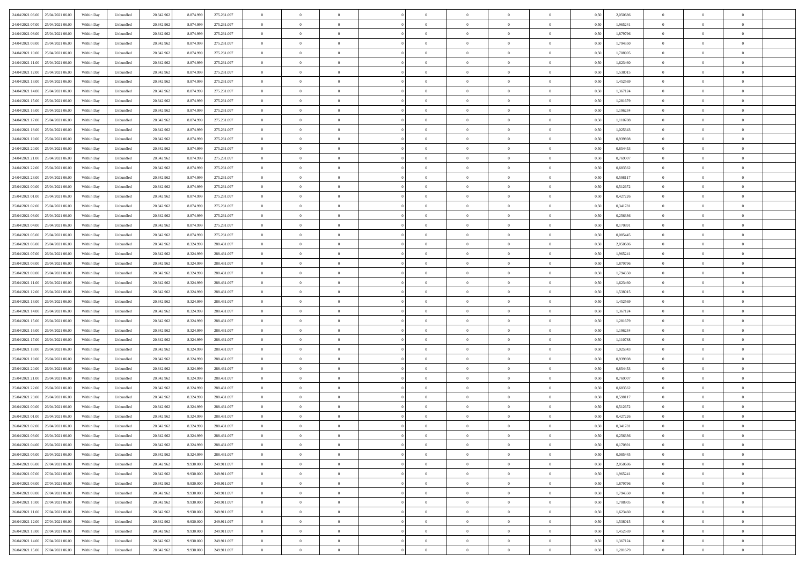| 24/04/2021 06:00 25/04/2021 06:00            | Within Day | Unbundled                   | 20.342.962 | 8.874.999 | 275.231.097 | $\overline{0}$ | $\overline{0}$ |                | $\overline{0}$ | $\theta$       |                | $\theta$       | 0,50 | 2,050686 | $\theta$       | $\theta$       | $\overline{0}$ |  |
|----------------------------------------------|------------|-----------------------------|------------|-----------|-------------|----------------|----------------|----------------|----------------|----------------|----------------|----------------|------|----------|----------------|----------------|----------------|--|
| 24/04/2021 07:00<br>25/04/2021 06.00         | Within Day | Unbundled                   | 20.342.96  | 8.874.99  | 275.231.097 | $\bf{0}$       | $\overline{0}$ | $\bf{0}$       | $\overline{0}$ | $\bf{0}$       | $\overline{0}$ | $\bf{0}$       | 0,50 | 1,965241 | $\,$ 0 $\,$    | $\bf{0}$       | $\overline{0}$ |  |
| 24/04/2021 08:00<br>25/04/2021 06:00         | Within Day | Unbundled                   | 20.342.962 | 8.874.999 | 275.231.097 | $\overline{0}$ | $\bf{0}$       | $\overline{0}$ | $\bf{0}$       | $\bf{0}$       | $\overline{0}$ | $\bf{0}$       | 0.50 | 1.879796 | $\bf{0}$       | $\overline{0}$ | $\overline{0}$ |  |
| 24/04/2021 09:00<br>25/04/2021 06:00         | Within Day | Unbundled                   | 20.342.962 | 8.874.999 | 275.231.097 | $\overline{0}$ | $\overline{0}$ | $\overline{0}$ | $\theta$       | $\theta$       | $\overline{0}$ | $\bf{0}$       | 0,50 | 1,794350 | $\theta$       | $\theta$       | $\overline{0}$ |  |
| 24/04/2021 10:00<br>25/04/2021 06.00         | Within Day | Unbundled                   | 20.342.96  | 8.874.99  | 275.231.097 | $\bf{0}$       | $\theta$       | $\bf{0}$       | $\overline{0}$ | $\theta$       | $\overline{0}$ | $\bf{0}$       | 0,50 | 1,708905 | $\,$ 0 $\,$    | $\bf{0}$       | $\overline{0}$ |  |
|                                              |            |                             |            |           |             |                |                |                |                |                |                |                |      |          |                |                |                |  |
| 24/04/2021 11:00<br>25/04/2021 06:00         | Within Day | Unbundled                   | 20.342.962 | 8.874.999 | 275.231.097 | $\overline{0}$ | $\overline{0}$ | $\overline{0}$ | $\bf{0}$       | $\overline{0}$ | $\theta$       | $\bf{0}$       | 0.50 | 1.623460 | $\,$ 0 $\,$    | $\theta$       | $\overline{0}$ |  |
| 24/04/2021 12:00<br>25/04/2021 06:00         | Within Day | Unbundled                   | 20.342.962 | 8.874.999 | 275.231.097 | $\overline{0}$ | $\overline{0}$ | $\overline{0}$ | $\overline{0}$ | $\overline{0}$ | $\overline{0}$ | $\bf{0}$       | 0,50 | 1,538015 | $\,$ 0 $\,$    | $\theta$       | $\overline{0}$ |  |
| 24/04/2021 13:00<br>25/04/2021 06.00         | Within Day | Unbundled                   | 20.342.96  | 8.874.99  | 275.231.097 | $\bf{0}$       | $\overline{0}$ | $\overline{0}$ | $\overline{0}$ | $\theta$       | $\overline{0}$ | $\bf{0}$       | 0,50 | 1,452569 | $\,$ 0 $\,$    | $\bf{0}$       | $\overline{0}$ |  |
| 24/04/2021 14:00<br>25/04/2021 06:00         | Within Day | Unbundled                   | 20.342.96  | 8.874.999 | 275.231.097 | $\overline{0}$ | $\bf{0}$       | $\overline{0}$ | $\bf{0}$       | $\overline{0}$ | $\overline{0}$ | $\bf{0}$       | 0.50 | 1.367124 | $\bf{0}$       | $\theta$       | $\overline{0}$ |  |
| 24/04/2021 15:00<br>25/04/2021 06:00         | Within Day | Unbundled                   | 20.342.962 | 8.874.999 | 275.231.097 | $\bf{0}$       | $\bf{0}$       | $\overline{0}$ | $\overline{0}$ | $\overline{0}$ | $\overline{0}$ | $\bf{0}$       | 0,50 | 1,281679 | $\,$ 0 $\,$    | $\theta$       | $\overline{0}$ |  |
| 24/04/2021 16:00<br>25/04/2021 06.00         | Within Day | Unbundled                   | 20.342.96  | 8.874.999 | 275.231.097 | $\bf{0}$       | $\overline{0}$ | $\bf{0}$       | $\overline{0}$ | $\bf{0}$       | $\overline{0}$ | $\bf{0}$       | 0,50 | 1,196234 | $\,$ 0 $\,$    | $\bf{0}$       | $\overline{0}$ |  |
| 24/04/2021 17:00<br>25/04/2021 06:00         | Within Day | Unbundled                   | 20.342.962 | 8.874.999 | 275.231.097 | $\overline{0}$ | $\bf{0}$       | $\overline{0}$ | $\bf{0}$       | $\bf{0}$       | $\overline{0}$ | $\bf{0}$       | 0.50 | 1,110788 | $\bf{0}$       | $\overline{0}$ | $\overline{0}$ |  |
|                                              |            |                             |            |           |             |                |                |                |                |                |                |                |      |          |                |                |                |  |
| 24/04/2021 18:00<br>25/04/2021 06:00         | Within Day | Unbundled                   | 20.342.96  | 8.874.999 | 275.231.097 | $\overline{0}$ | $\overline{0}$ | $\overline{0}$ | $\overline{0}$ | $\theta$       | $\overline{0}$ | $\bf{0}$       | 0,50 | 1,025343 | $\,$ 0 $\,$    | $\theta$       | $\overline{0}$ |  |
| 24/04/2021 19:00<br>25/04/2021 06.00         | Within Day | Unbundled                   | 20.342.96  | 8.874.99  | 275.231.097 | $\bf{0}$       | $\theta$       | $\bf{0}$       | $\overline{0}$ | $\theta$       | $\overline{0}$ | $\bf{0}$       | 0,50 | 0,939898 | $\,$ 0 $\,$    | $\bf{0}$       | $\overline{0}$ |  |
| 24/04/2021 20:00<br>25/04/2021 06:00         | Within Day | Unbundled                   | 20.342.962 | 8.874.999 | 275.231.097 | $\overline{0}$ | $\overline{0}$ | $\overline{0}$ | $\bf{0}$       | $\bf{0}$       | $\Omega$       | $\bf{0}$       | 0.50 | 0.854453 | $\,$ 0 $\,$    | $\theta$       | $\overline{0}$ |  |
| 24/04/2021 21:00<br>25/04/2021 06:00         | Within Day | Unbundled                   | 20.342.962 | 8.874.999 | 275.231.097 | $\overline{0}$ | $\overline{0}$ | $\overline{0}$ | $\overline{0}$ | $\overline{0}$ | $\overline{0}$ | $\bf{0}$       | 0,50 | 0,769007 | $\theta$       | $\theta$       | $\overline{0}$ |  |
| 24/04/2021 22.00<br>25/04/2021 06.00         | Within Day | Unbundled                   | 20.342.96  | 8.874.999 | 275.231.097 | $\bf{0}$       | $\overline{0}$ | $\overline{0}$ | $\overline{0}$ | $\bf{0}$       | $\overline{0}$ | $\bf{0}$       | 0,50 | 0,683562 | $\,$ 0 $\,$    | $\bf{0}$       | $\overline{0}$ |  |
| 24/04/2021 23:00<br>25/04/2021 06:00         | Within Day | Unbundled                   | 20.342.96  | 8.874.999 | 275.231.097 | $\overline{0}$ | $\bf{0}$       | $\overline{0}$ | $\bf{0}$       | $\overline{0}$ | $\overline{0}$ | $\bf{0}$       | 0.50 | 0.598117 | $\bf{0}$       | $\overline{0}$ | $\overline{0}$ |  |
| 25/04/2021 00:00<br>25/04/2021 06:00         | Within Day | Unbundled                   | 20.342.962 | 8.874.999 | 275.231.097 | $\bf{0}$       | $\overline{0}$ | $\overline{0}$ | $\overline{0}$ | $\overline{0}$ | $\overline{0}$ | $\bf{0}$       | 0,50 | 0,512672 | $\,$ 0 $\,$    | $\theta$       | $\overline{0}$ |  |
|                                              |            |                             |            |           |             |                |                |                |                |                |                |                |      |          |                |                |                |  |
| 25/04/2021 01:00<br>25/04/2021 06.00         | Within Day | Unbundled                   | 20.342.96  | 8.874.99  | 275.231.097 | $\bf{0}$       | $\overline{0}$ | $\bf{0}$       | $\bf{0}$       | $\overline{0}$ | $\overline{0}$ | $\bf{0}$       | 0,50 | 0,427226 | $\,$ 0 $\,$    | $\bf{0}$       | $\overline{0}$ |  |
| 25/04/2021 02:00<br>25/04/2021 06:00         | Within Day | Unbundled                   | 20.342.962 | 8.874.999 | 275.231.097 | $\overline{0}$ | $\bf{0}$       | $\overline{0}$ | $\bf{0}$       | $\bf{0}$       | $\overline{0}$ | $\bf{0}$       | 0.50 | 0.341781 | $\bf{0}$       | $\overline{0}$ | $\overline{0}$ |  |
| 25/04/2021 03:00<br>25/04/2021 06:00         | Within Day | Unbundled                   | 20.342.962 | 8.874.999 | 275.231.097 | $\overline{0}$ | $\overline{0}$ | $\overline{0}$ | $\theta$       | $\theta$       | $\overline{0}$ | $\bf{0}$       | 0,50 | 0,256336 | $\theta$       | $\theta$       | $\overline{0}$ |  |
| 25/04/2021 04:00<br>25/04/2021 06.00         | Within Day | Unbundled                   | 20.342.96  | 8.874.99  | 275.231.097 | $\bf{0}$       | $\overline{0}$ | $\bf{0}$       | $\bf{0}$       | $\bf{0}$       | $\overline{0}$ | $\bf{0}$       | 0,50 | 0,170891 | $\,$ 0 $\,$    | $\bf{0}$       | $\overline{0}$ |  |
| 25/04/2021 05:00<br>25/04/2021 06:00         | Within Day | Unbundled                   | 20.342.962 | 8.874.999 | 275.231.097 | $\overline{0}$ | $\overline{0}$ | $\overline{0}$ | $\bf{0}$       | $\overline{0}$ | $\Omega$       | $\bf{0}$       | 0.50 | 0.085445 | $\,$ 0 $\,$    | $\theta$       | $\overline{0}$ |  |
| 25/04/2021 06:00<br>26/04/2021 06:00         | Within Day | Unbundled                   | 20.342.962 | 8.324.999 | 288.431.097 | $\overline{0}$ | $\overline{0}$ | $\overline{0}$ | $\overline{0}$ | $\theta$       | $\overline{0}$ | $\bf{0}$       | 0,50 | 2,050686 | $\,$ 0 $\,$    | $\theta$       | $\overline{0}$ |  |
| 25/04/2021 07:00<br>26/04/2021 06.00         | Within Day | Unbundled                   | 20.342.96  | 8.324.99  | 288.431.097 | $\bf{0}$       | $\theta$       | $\bf{0}$       | $\overline{0}$ | $\theta$       | $\overline{0}$ | $\bf{0}$       | 0,50 | 1,965241 | $\,$ 0 $\,$    | $\bf{0}$       | $\overline{0}$ |  |
|                                              |            |                             |            |           |             |                |                |                |                |                |                |                |      |          |                |                |                |  |
| 25/04/2021 08:00<br>26/04/2021 06:00         | Within Day | Unbundled                   | 20.342.96  | 8.324.999 | 288.431.097 | $\overline{0}$ | $\bf{0}$       | $\overline{0}$ | $\bf{0}$       | $\overline{0}$ | $\overline{0}$ | $\bf{0}$       | 0.50 | 1.879796 | $\bf{0}$       | $\theta$       | $\overline{0}$ |  |
| 25/04/2021 09:00<br>26/04/2021 06:00         | Within Day | Unbundled                   | 20.342.962 | 8.324.999 | 288.431.097 | $\overline{0}$ | $\overline{0}$ | $\overline{0}$ | $\overline{0}$ | $\overline{0}$ | $\overline{0}$ | $\bf{0}$       | 0,50 | 1,794350 | $\theta$       | $\theta$       | $\overline{0}$ |  |
| 25/04/2021 11:00<br>26/04/2021 06.00         | Within Day | Unbundled                   | 20.342.96  | 8.324.999 | 288.431.097 | $\bf{0}$       | $\bf{0}$       | $\bf{0}$       | $\bf{0}$       | $\overline{0}$ | $\overline{0}$ | $\bf{0}$       | 0,50 | 1,623460 | $\,$ 0 $\,$    | $\bf{0}$       | $\overline{0}$ |  |
| 25/04/2021 12:00<br>26/04/2021 06:00         | Within Day | Unbundled                   | 20.342.962 | 8.324.999 | 288.431.097 | $\overline{0}$ | $\bf{0}$       | $\overline{0}$ | $\bf{0}$       | $\bf{0}$       | $\overline{0}$ | $\bf{0}$       | 0.50 | 1.538015 | $\bf{0}$       | $\overline{0}$ | $\overline{0}$ |  |
| 25/04/2021 13:00<br>26/04/2021 06:00         | Within Day | Unbundled                   | 20.342.962 | 8.324.999 | 288.431.097 | $\overline{0}$ | $\overline{0}$ | $\overline{0}$ | $\overline{0}$ | $\overline{0}$ | $\overline{0}$ | $\bf{0}$       | 0.5( | 1,452569 | $\theta$       | $\theta$       | $\overline{0}$ |  |
| 25/04/2021 14:00<br>26/04/2021 06.00         | Within Day | Unbundled                   | 20.342.96  | 8.324.99  | 288.431.097 | $\bf{0}$       | $\overline{0}$ | $\bf{0}$       | $\overline{0}$ | $\overline{0}$ | $\overline{0}$ | $\bf{0}$       | 0,50 | 1,367124 | $\,$ 0 $\,$    | $\bf{0}$       | $\overline{0}$ |  |
| 25/04/2021 15:00<br>26/04/2021 06:00         | Within Day | Unbundled                   | 20.342.962 | 8.324.999 | 288.431.097 | $\overline{0}$ | $\overline{0}$ | $\overline{0}$ | $\bf{0}$       | $\bf{0}$       | $\Omega$       | $\bf{0}$       | 0.50 | 1.281679 | $\,$ 0 $\,$    | $\overline{0}$ | $\overline{0}$ |  |
| 25/04/2021 16:00<br>26/04/2021 06:00         | Within Dav | Unbundled                   | 20.342.962 | 8.324.999 | 288.431.097 | $\overline{0}$ | $\overline{0}$ | $\overline{0}$ | $\overline{0}$ | $\theta$       | $\overline{0}$ | $\bf{0}$       | 0.5( | 1,196234 | $\theta$       | $\theta$       | $\overline{0}$ |  |
|                                              |            |                             |            |           |             |                | $\overline{0}$ |                |                |                | $\overline{0}$ |                |      |          |                |                |                |  |
| 25/04/2021 17:00<br>26/04/2021 06.00         | Within Day | Unbundled                   | 20.342.96  | 8.324.999 | 288.431.097 | $\bf{0}$       |                | $\bf{0}$       | $\overline{0}$ | $\bf{0}$       |                | $\bf{0}$       | 0,50 | 1,110788 | $\,$ 0 $\,$    | $\bf{0}$       | $\overline{0}$ |  |
| 25/04/2021 18:00<br>26/04/2021 06:00         | Within Day | Unbundled                   | 20.342.96  | 8.324.999 | 288.431.097 | $\overline{0}$ | $\bf{0}$       | $\overline{0}$ | $\bf{0}$       | $\overline{0}$ | $\overline{0}$ | $\bf{0}$       | 0.50 | 1.025343 | $\bf{0}$       | $\overline{0}$ | $\overline{0}$ |  |
| 25/04/2021 19:00<br>26/04/2021 06:00         | Within Dav | Unbundled                   | 20.342.962 | 8.324.999 | 288.431.097 | $\overline{0}$ | $\overline{0}$ | $\overline{0}$ | $\overline{0}$ | $\overline{0}$ | $\overline{0}$ | $\overline{0}$ | 0.50 | 0.939898 | $\theta$       | $\theta$       | $\overline{0}$ |  |
| 25/04/2021 20:00<br>26/04/2021 06.00         | Within Day | Unbundled                   | 20.342.96  | 8.324.99  | 288.431.097 | $\bf{0}$       | $\bf{0}$       | $\bf{0}$       | $\bf{0}$       | $\overline{0}$ | $\overline{0}$ | $\bf{0}$       | 0,50 | 0,854453 | $\,$ 0 $\,$    | $\bf{0}$       | $\overline{0}$ |  |
| 25/04/2021 21:00<br>26/04/2021 06:00         | Within Day | Unbundled                   | 20.342.962 | 8.324.999 | 288.431.097 | $\overline{0}$ | $\bf{0}$       | $\overline{0}$ | $\bf{0}$       | $\bf{0}$       | $\overline{0}$ | $\bf{0}$       | 0.50 | 0.769007 | $\bf{0}$       | $\overline{0}$ | $\overline{0}$ |  |
| 25/04/2021 22:00<br>26/04/2021 06:00         | Within Dav | Unbundled                   | 20.342.962 | 8.324.999 | 288.431.097 | $\overline{0}$ | $\overline{0}$ | $\overline{0}$ | $\overline{0}$ | $\theta$       | $\overline{0}$ | $\bf{0}$       | 0.5( | 0,683562 | $\theta$       | $\theta$       | $\overline{0}$ |  |
| 25/04/2021 23:00<br>26/04/2021 06.00         | Within Day | Unbundled                   | 20.342.96  | 8.324.99  | 288.431.097 | $\bf{0}$       | $\overline{0}$ | $\bf{0}$       | $\bf{0}$       | $\overline{0}$ | $\overline{0}$ | $\bf{0}$       | 0,50 | 0,598117 | $\,$ 0 $\,$    | $\bf{0}$       | $\overline{0}$ |  |
| 26/04/2021 00:00<br>26/04/2021 06:00         | Within Day | Unbundled                   | 20.342.962 | 8.324.999 | 288.431.097 | $\overline{0}$ | $\overline{0}$ | $\overline{0}$ | $\overline{0}$ | $\bf{0}$       | $\theta$       | $\bf{0}$       | 0.50 | 0,512672 | $\bf{0}$       | $\theta$       | $\overline{0}$ |  |
| 26/04/2021 01:00<br>26/04/2021 06:00         | Within Dav | Unbundled                   | 20.342.962 | 8.324.999 | 288,431,097 | $\overline{0}$ | $\overline{0}$ | $\Omega$       | $\overline{0}$ | $\theta$       | $\Omega$       | $\overline{0}$ | 0.5( | 0,427226 | $\theta$       | $\theta$       | $\overline{0}$ |  |
|                                              |            |                             |            |           |             |                |                |                |                |                |                |                |      |          |                |                |                |  |
| 26/04/2021 02:00<br>26/04/2021 06.00         | Within Day | Unbundled                   | 20.342.96  | 8.324.999 | 288.431.097 | $\bf{0}$       | $\bf{0}$       | $\bf{0}$       | $\overline{0}$ | $\bf{0}$       | $\overline{0}$ | $\bf{0}$       | 0,50 | 0,341781 | $\,$ 0 $\,$    | $\bf{0}$       | $\overline{0}$ |  |
| $26/04/2021\ 03.00 \qquad 26/04/2021\ 06.00$ | Within Day | $\ensuremath{\mathsf{Unb}}$ | 20.342.962 | 8.324.999 | 288.431.097 | $\overline{0}$ | $\Omega$       |                | $\Omega$       |                |                |                | 0,50 | 0,256336 | $\bf{0}$       | $\overline{0}$ |                |  |
| 26/04/2021 04:00 26/04/2021 06:00            | Within Day | Unbundled                   | 20.342.962 | 8.324.999 | 288.431.097 | $\overline{0}$ | $\theta$       | $\Omega$       | $\theta$       | $\overline{0}$ | $\overline{0}$ | $\bf{0}$       | 0,50 | 0,170891 | $\theta$       | $\theta$       | $\overline{0}$ |  |
| 26/04/2021 05:00<br>26/04/2021 06.00         | Within Day | Unbundled                   | 20.342.96  | 8.324.999 | 288.431.097 | $\overline{0}$ | $\bf{0}$       | $\overline{0}$ | $\overline{0}$ | $\bf{0}$       | $\overline{0}$ | $\bf{0}$       | 0,50 | 0,085445 | $\bf{0}$       | $\overline{0}$ | $\bf{0}$       |  |
| 26/04/2021 06:00 27/04/2021 06:00            | Within Day | Unbundled                   | 20.342.962 | 9.930.000 | 249.911.097 | $\overline{0}$ | $\bf{0}$       | $\overline{0}$ | $\overline{0}$ | $\overline{0}$ | $\overline{0}$ | $\,$ 0 $\,$    | 0.50 | 2.050686 | $\overline{0}$ | $\bf{0}$       | $\,$ 0 $\,$    |  |
| 26/04/2021 07:00 27/04/2021 06:00            | Within Day | Unbundled                   | 20.342.962 | 9.930.000 | 249.911.097 | $\overline{0}$ | $\overline{0}$ | $\overline{0}$ | $\overline{0}$ | $\overline{0}$ | $\overline{0}$ | $\bf{0}$       | 0,50 | 1,965241 | $\theta$       | $\theta$       | $\overline{0}$ |  |
| 26/04/2021 08:00<br>27/04/2021 06:00         | Within Day | Unbundled                   | 20.342.962 | 9.930.000 | 249.911.097 | $\overline{0}$ | $\bf{0}$       | $\overline{0}$ | $\bf{0}$       | $\overline{0}$ | $\bf{0}$       | $\bf{0}$       | 0,50 | 1,879796 | $\bf{0}$       | $\bf{0}$       | $\overline{0}$ |  |
|                                              |            |                             |            |           |             |                |                |                |                |                |                |                |      |          |                |                |                |  |
| 27/04/2021 06:00<br>26/04/2021 09:00         | Within Day | Unbundled                   | 20.342.962 | 9.930.000 | 249.911.097 | $\overline{0}$ | $\bf{0}$       | $\overline{0}$ | $\overline{0}$ | $\overline{0}$ | $\overline{0}$ | $\bf{0}$       | 0.50 | 1,794350 | $\,$ 0 $\,$    | $\theta$       | $\,$ 0         |  |
| 26/04/2021 10:00<br>27/04/2021 06:00         | Within Dav | Unbundled                   | 20.342.962 | 9.930.000 | 249.911.097 | $\overline{0}$ | $\overline{0}$ | $\overline{0}$ | $\overline{0}$ | $\overline{0}$ | $\overline{0}$ | $\bf{0}$       | 0.50 | 1,708905 | $\overline{0}$ | $\theta$       | $\overline{0}$ |  |
| 26/04/2021 11:00<br>27/04/2021 06:00         | Within Day | Unbundled                   | 20.342.96  | 9.930.000 | 249.911.097 | $\overline{0}$ | $\overline{0}$ | $\overline{0}$ | $\overline{0}$ | $\overline{0}$ | $\overline{0}$ | $\bf{0}$       | 0,50 | 1,623460 | $\bf{0}$       | $\,$ 0 $\,$    | $\overline{0}$ |  |
| 26/04/2021 12:00 27/04/2021 06:00            | Within Day | Unbundled                   | 20.342.962 | 9.930.000 | 249.911.097 | $\overline{0}$ | $\overline{0}$ | $\overline{0}$ | $\overline{0}$ | $\bf{0}$       | $\overline{0}$ | $\bf{0}$       | 0.50 | 1.538015 | $\overline{0}$ | $\,$ 0 $\,$    | $\,$ 0         |  |
| 26/04/2021 13:00 27/04/2021 06:00            | Within Dav | Unbundled                   | 20.342.962 | 9.930.000 | 249.911.097 | $\overline{0}$ | $\overline{0}$ | $\overline{0}$ | $\overline{0}$ | $\overline{0}$ | $\overline{0}$ | $\bf{0}$       | 0,50 | 1,452569 | $\overline{0}$ | $\theta$       | $\overline{0}$ |  |
| 26/04/2021 14:00<br>27/04/2021 06:00         | Within Day | Unbundled                   | 20.342.96  | 9.930.000 | 249.911.097 | $\overline{0}$ | $\bf{0}$       | $\overline{0}$ | $\bf{0}$       | $\overline{0}$ | $\bf{0}$       | $\bf{0}$       | 0,50 | 1,367124 | $\bf{0}$       | $\bf{0}$       | $\overline{0}$ |  |
| 26/04/2021 15:00 27/04/2021 06:00            | Within Day | Unbundled                   | 20.342.962 | 9.930.000 | 249.911.097 | $\overline{0}$ | $\bf{0}$       | $\overline{0}$ | $\overline{0}$ | $\,$ 0 $\,$    | $\overline{0}$ | $\bf{0}$       | 0,50 | 1,281679 | $\overline{0}$ | $\,$ 0 $\,$    | $\,$ 0 $\,$    |  |
|                                              |            |                             |            |           |             |                |                |                |                |                |                |                |      |          |                |                |                |  |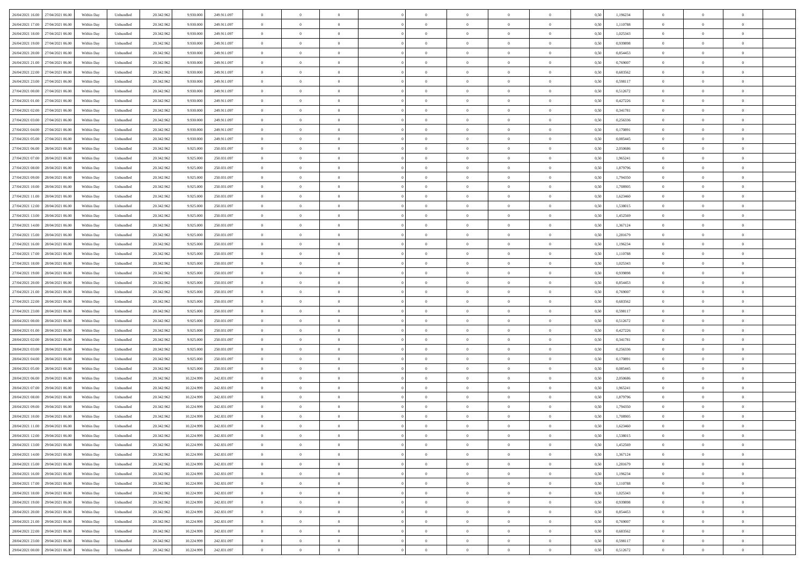| 26/04/2021 16:00 27/04/2021 06:00    | Within Day | Unbundled                   | 20.342.962 | 9.930.000  | 249.911.097 | $\overline{0}$ | $\theta$       |                | $\overline{0}$ | $\theta$       |                | $\theta$       | 0,50 | 1,196234 | $\theta$       | $\theta$       | $\overline{0}$ |  |
|--------------------------------------|------------|-----------------------------|------------|------------|-------------|----------------|----------------|----------------|----------------|----------------|----------------|----------------|------|----------|----------------|----------------|----------------|--|
|                                      |            |                             |            |            |             |                |                |                |                |                |                |                |      |          |                |                |                |  |
| 26/04/2021 17:00<br>27/04/2021 06.00 | Within Day | Unbundled                   | 20.342.96  | 9.930.00   | 249.911.097 | $\bf{0}$       | $\overline{0}$ | $\bf{0}$       | $\overline{0}$ | $\bf{0}$       | $\overline{0}$ | $\bf{0}$       | 0,50 | 1,110788 | $\,$ 0 $\,$    | $\bf{0}$       | $\overline{0}$ |  |
| 26/04/2021 18:00<br>27/04/2021 06:00 | Within Day | Unbundled                   | 20.342.962 | 9.930.000  | 249.911.097 | $\overline{0}$ | $\bf{0}$       | $\overline{0}$ | $\bf{0}$       | $\bf{0}$       | $\overline{0}$ | $\bf{0}$       | 0.50 | 1,025343 | $\bf{0}$       | $\overline{0}$ | $\overline{0}$ |  |
| 26/04/2021 19:00<br>27/04/2021 06:00 | Within Day | Unbundled                   | 20.342.962 | 9.930.000  | 249.911.097 | $\overline{0}$ | $\overline{0}$ | $\overline{0}$ | $\theta$       | $\theta$       | $\overline{0}$ | $\bf{0}$       | 0,50 | 0,939898 | $\theta$       | $\theta$       | $\overline{0}$ |  |
| 26/04/2021 20:00<br>27/04/2021 06.00 | Within Day | Unbundled                   | 20.342.96  | 9.930.00   | 249.911.097 | $\overline{0}$ | $\theta$       | $\bf{0}$       | $\overline{0}$ | $\theta$       | $\overline{0}$ | $\bf{0}$       | 0,50 | 0,854453 | $\,$ 0 $\,$    | $\bf{0}$       | $\overline{0}$ |  |
| 26/04/2021 21:00<br>27/04/2021 06:00 | Within Day | Unbundled                   | 20.342.962 | 9.930.000  | 249.911.097 | $\overline{0}$ | $\overline{0}$ | $\overline{0}$ | $\overline{0}$ | $\overline{0}$ | $\theta$       | $\bf{0}$       | 0.50 | 0.769007 | $\bf{0}$       | $\theta$       | $\overline{0}$ |  |
| 26/04/2021 22:00<br>27/04/2021 06:00 | Within Day | Unbundled                   | 20.342.962 | 9.930.000  | 249.911.097 | $\overline{0}$ | $\overline{0}$ | $\overline{0}$ | $\overline{0}$ | $\overline{0}$ | $\overline{0}$ | $\bf{0}$       | 0,50 | 0,683562 | $\theta$       | $\theta$       | $\overline{0}$ |  |
|                                      |            |                             |            |            |             |                |                |                |                |                |                |                |      |          |                |                |                |  |
| 26/04/2021 23:00<br>27/04/2021 06.00 | Within Day | Unbundled                   | 20.342.96  | 9.930.00   | 249.911.097 | $\bf{0}$       | $\overline{0}$ | $\overline{0}$ | $\overline{0}$ | $\theta$       | $\overline{0}$ | $\bf{0}$       | 0,50 | 0,598117 | $\,$ 0 $\,$    | $\bf{0}$       | $\overline{0}$ |  |
| 27/04/2021 00:00<br>27/04/2021 06:00 | Within Day | Unbundled                   | 20.342.96  | 9.930.000  | 249.911.097 | $\overline{0}$ | $\bf{0}$       | $\overline{0}$ | $\bf{0}$       | $\overline{0}$ | $\overline{0}$ | $\bf{0}$       | 0.50 | 0,512672 | $\bf{0}$       | $\theta$       | $\overline{0}$ |  |
| 27/04/2021 01:00<br>27/04/2021 06:00 | Within Day | Unbundled                   | 20.342.962 | 9.930.000  | 249.911.097 | $\overline{0}$ | $\bf{0}$       | $\overline{0}$ | $\overline{0}$ | $\overline{0}$ | $\overline{0}$ | $\bf{0}$       | 0,50 | 0,427226 | $\,$ 0 $\,$    | $\theta$       | $\overline{0}$ |  |
| 27/04/2021 02:00<br>27/04/2021 06.00 | Within Day | Unbundled                   | 20.342.96  | 9.930.000  | 249.911.097 | $\bf{0}$       | $\overline{0}$ | $\bf{0}$       | $\overline{0}$ | $\bf{0}$       | $\overline{0}$ | $\bf{0}$       | 0,50 | 0,341781 | $\,$ 0 $\,$    | $\bf{0}$       | $\overline{0}$ |  |
| 27/04/2021 03:00<br>27/04/2021 06:00 | Within Day | Unbundled                   | 20.342.962 | 9.930.000  | 249.911.097 | $\overline{0}$ | $\bf{0}$       | $\overline{0}$ | $\bf{0}$       | $\bf{0}$       | $\overline{0}$ | $\bf{0}$       | 0.50 | 0,256336 | $\bf{0}$       | $\overline{0}$ | $\bf{0}$       |  |
| 27/04/2021 04:00<br>27/04/2021 06:00 | Within Day | Unbundled                   | 20.342.96  | 9.930.000  | 249.911.097 | $\overline{0}$ | $\overline{0}$ | $\overline{0}$ | $\overline{0}$ | $\theta$       | $\overline{0}$ | $\overline{0}$ | 0,50 | 0,170891 | $\theta$       | $\theta$       | $\overline{0}$ |  |
| 27/04/2021 05:00<br>27/04/2021 06.00 | Within Day | Unbundled                   | 20.342.96  | 9.930.00   | 249.911.097 | $\bf{0}$       | $\theta$       | $\bf{0}$       | $\overline{0}$ | $\theta$       | $\overline{0}$ | $\bf{0}$       | 0,50 | 0,085445 | $\bf{0}$       | $\bf{0}$       | $\overline{0}$ |  |
| 28/04/2021 06:00                     |            |                             |            |            |             |                |                |                |                | $\theta$       | $\Omega$       |                |      |          |                | $\theta$       | $\overline{0}$ |  |
| 27/04/2021 06:00                     | Within Day | Unbundled                   | 20.342.962 | 9.925.000  | 250.031.097 | $\overline{0}$ | $\overline{0}$ | $\overline{0}$ | $\bf{0}$       |                |                | $\bf{0}$       | 0.50 | 2.050686 | $\bf{0}$       |                |                |  |
| 27/04/2021 07:00<br>28/04/2021 06:00 | Within Day | Unbundled                   | 20.342.962 | 9.925.000  | 250.031.097 | $\overline{0}$ | $\overline{0}$ | $\overline{0}$ | $\overline{0}$ | $\overline{0}$ | $\overline{0}$ | $\bf{0}$       | 0,50 | 1,965241 | $\theta$       | $\theta$       | $\overline{0}$ |  |
| 27/04/2021 08:00<br>28/04/2021 06.00 | Within Day | Unbundled                   | 20.342.96  | 9.925.000  | 250.031.097 | $\bf{0}$       | $\overline{0}$ | $\overline{0}$ | $\overline{0}$ | $\theta$       | $\overline{0}$ | $\bf{0}$       | 0,50 | 1,879796 | $\,$ 0 $\,$    | $\bf{0}$       | $\overline{0}$ |  |
| 27/04/2021 09:00<br>28/04/2021 06:00 | Within Day | Unbundled                   | 20.342.96  | 9.925.00   | 250.031.097 | $\overline{0}$ | $\bf{0}$       | $\overline{0}$ | $\bf{0}$       | $\overline{0}$ | $\overline{0}$ | $\bf{0}$       | 0.50 | 1,794350 | $\bf{0}$       | $\overline{0}$ | $\overline{0}$ |  |
| 27/04/2021 10:00<br>28/04/2021 06:00 | Within Day | Unbundled                   | 20.342.962 | 9.925.000  | 250.031.097 | $\overline{0}$ | $\overline{0}$ | $\overline{0}$ | $\overline{0}$ | $\overline{0}$ | $\overline{0}$ | $\bf{0}$       | 0,50 | 1,708905 | $\,$ 0 $\,$    | $\theta$       | $\overline{0}$ |  |
| 27/04/2021 11:00<br>28/04/2021 06.00 | Within Day | Unbundled                   | 20.342.96  | 9.925.000  | 250.031.097 | $\bf{0}$       | $\overline{0}$ | $\bf{0}$       | $\bf{0}$       | $\overline{0}$ | $\overline{0}$ | $\bf{0}$       | 0,50 | 1,623460 | $\,$ 0 $\,$    | $\bf{0}$       | $\overline{0}$ |  |
| 27/04/2021 12:00<br>28/04/2021 06:00 | Within Day | Unbundled                   | 20.342.962 | 9.925.000  | 250.031.097 | $\overline{0}$ | $\bf{0}$       | $\overline{0}$ | $\bf{0}$       | $\bf{0}$       | $\overline{0}$ | $\bf{0}$       | 0.50 | 1.538015 | $\bf{0}$       | $\overline{0}$ | $\overline{0}$ |  |
| 27/04/2021 13:00<br>28/04/2021 06:00 | Within Day | Unbundled                   | 20.342.962 | 9.925.000  | 250.031.097 | $\overline{0}$ | $\overline{0}$ | $\overline{0}$ | $\theta$       | $\theta$       | $\overline{0}$ | $\bf{0}$       | 0,50 | 1,452569 | $\theta$       | $\theta$       | $\overline{0}$ |  |
| 27/04/2021 14:00<br>28/04/2021 06.00 | Within Day | Unbundled                   | 20.342.96  | 9.925.000  | 250.031.097 | $\bf{0}$       | $\overline{0}$ | $\bf{0}$       | $\bf{0}$       | $\theta$       | $\overline{0}$ | $\bf{0}$       | 0,50 | 1,367124 | $\,$ 0 $\,$    | $\bf{0}$       | $\overline{0}$ |  |
| 27/04/2021 15:00<br>28/04/2021 06:00 |            | Unbundled                   | 20.342.962 | 9.925.00   | 250.031.097 | $\overline{0}$ | $\overline{0}$ | $\overline{0}$ | $\overline{0}$ | $\overline{0}$ | $\Omega$       | $\bf{0}$       | 0.50 | 1.281679 | $\,$ 0 $\,$    | $\theta$       | $\overline{0}$ |  |
|                                      | Within Day |                             |            |            |             |                |                |                |                |                |                |                |      |          |                |                |                |  |
| 27/04/2021 16:00<br>28/04/2021 06:00 | Within Day | Unbundled                   | 20.342.962 | 9.925.000  | 250.031.097 | $\overline{0}$ | $\overline{0}$ | $\overline{0}$ | $\overline{0}$ | $\overline{0}$ | $\overline{0}$ | $\bf{0}$       | 0,50 | 1,196234 | $\theta$       | $\theta$       | $\overline{0}$ |  |
| 27/04/2021 17:00<br>28/04/2021 06.00 | Within Day | Unbundled                   | 20.342.96  | 9.925.00   | 250.031.097 | $\bf{0}$       | $\theta$       | $\bf{0}$       | $\overline{0}$ | $\theta$       | $\overline{0}$ | $\bf{0}$       | 0,50 | 1,110788 | $\,$ 0 $\,$    | $\bf{0}$       | $\overline{0}$ |  |
| 27/04/2021 18:00<br>28/04/2021 06:00 | Within Day | Unbundled                   | 20.342.96  | 9.925.00   | 250.031.097 | $\overline{0}$ | $\bf{0}$       | $\overline{0}$ | $\bf{0}$       | $\overline{0}$ | $\overline{0}$ | $\bf{0}$       | 0.50 | 1.025343 | $\bf{0}$       | $\overline{0}$ | $\overline{0}$ |  |
| 27/04/2021 19:00<br>28/04/2021 06:00 | Within Day | Unbundled                   | 20.342.962 | 9.925.000  | 250.031.097 | $\overline{0}$ | $\overline{0}$ | $\overline{0}$ | $\overline{0}$ | $\overline{0}$ | $\overline{0}$ | $\bf{0}$       | 0,50 | 0,939898 | $\theta$       | $\theta$       | $\overline{0}$ |  |
| 27/04/2021 20:00<br>28/04/2021 06.00 | Within Day | Unbundled                   | 20.342.96  | 9.925.000  | 250.031.097 | $\bf{0}$       | $\bf{0}$       | $\bf{0}$       | $\bf{0}$       | $\overline{0}$ | $\overline{0}$ | $\bf{0}$       | 0,50 | 0,854453 | $\,$ 0 $\,$    | $\bf{0}$       | $\overline{0}$ |  |
| 27/04/2021 21:00<br>28/04/2021 06:00 | Within Day | Unbundled                   | 20.342.962 | 9.925.000  | 250.031.097 | $\overline{0}$ | $\bf{0}$       | $\overline{0}$ | $\bf{0}$       | $\bf{0}$       | $\overline{0}$ | $\bf{0}$       | 0.50 | 0.769007 | $\bf{0}$       | $\overline{0}$ | $\overline{0}$ |  |
| 27/04/2021 22:00<br>28/04/2021 06:00 | Within Day | Unbundled                   | 20.342.962 | 9.925.000  | 250.031.097 | $\overline{0}$ | $\overline{0}$ | $\overline{0}$ | $\overline{0}$ | $\overline{0}$ | $\overline{0}$ | $\bf{0}$       | 0.5( | 0,683562 | $\theta$       | $\theta$       | $\overline{0}$ |  |
| 27/04/2021 23:00<br>28/04/2021 06.00 | Within Day | Unbundled                   | 20.342.96  | 9.925.00   | 250.031.097 | $\bf{0}$       | $\overline{0}$ | $\bf{0}$       | $\overline{0}$ | $\overline{0}$ | $\overline{0}$ | $\bf{0}$       | 0,50 | 0,598117 | $\,$ 0 $\,$    | $\bf{0}$       | $\overline{0}$ |  |
| 28/04/2021 00:00<br>28/04/2021 06:00 | Within Day | Unbundled                   | 20.342.962 | 9.925.00   | 250.031.097 | $\overline{0}$ | $\overline{0}$ | $\overline{0}$ | $\bf{0}$       | $\bf{0}$       | $\Omega$       | $\bf{0}$       | 0.50 | 0,512672 | $\,$ 0 $\,$    | $\theta$       | $\overline{0}$ |  |
| 28/04/2021 01:00<br>28/04/2021 06:00 | Within Dav | Unbundled                   | 20.342.962 | 9.925.000  | 250.031.097 | $\overline{0}$ | $\overline{0}$ | $\overline{0}$ | $\overline{0}$ | $\overline{0}$ | $\overline{0}$ | $\overline{0}$ | 0.5( | 0,427226 | $\theta$       | $\theta$       | $\overline{0}$ |  |
|                                      |            |                             |            |            |             |                |                |                |                |                |                |                |      |          |                |                |                |  |
| 28/04/2021 02:00<br>28/04/2021 06.00 | Within Day | Unbundled                   | 20.342.96  | 9.925.000  | 250.031.097 | $\bf{0}$       | $\overline{0}$ | $\bf{0}$       | $\bf{0}$       | $\bf{0}$       | $\overline{0}$ | $\bf{0}$       | 0,50 | 0,341781 | $\,$ 0 $\,$    | $\bf{0}$       | $\overline{0}$ |  |
| 28/04/2021 03:00<br>28/04/2021 06:00 | Within Day | Unbundled                   | 20.342.96  | 9.925.00   | 250.031.097 | $\overline{0}$ | $\bf{0}$       | $\overline{0}$ | $\bf{0}$       | $\overline{0}$ | $\overline{0}$ | $\bf{0}$       | 0.50 | 0.256336 | $\bf{0}$       | $\overline{0}$ | $\overline{0}$ |  |
| 28/04/2021 04:00<br>28/04/2021 06:00 | Within Dav | Unbundled                   | 20.342.962 | 9.925.000  | 250.031.097 | $\overline{0}$ | $\overline{0}$ | $\overline{0}$ | $\overline{0}$ | $\overline{0}$ | $\overline{0}$ | $\overline{0}$ | 0.50 | 0,170891 | $\theta$       | $\theta$       | $\overline{0}$ |  |
| 28/04/2021 05:00<br>28/04/2021 06.00 | Within Day | Unbundled                   | 20.342.96  | 9.925.000  | 250.031.097 | $\bf{0}$       | $\bf{0}$       | $\bf{0}$       | $\bf{0}$       | $\overline{0}$ | $\overline{0}$ | $\bf{0}$       | 0,50 | 0,085445 | $\,$ 0 $\,$    | $\bf{0}$       | $\overline{0}$ |  |
| 28/04/2021 06:00<br>29/04/2021 06:00 | Within Day | Unbundled                   | 20.342.962 | 10.224.999 | 242.831.097 | $\overline{0}$ | $\bf{0}$       | $\overline{0}$ | $\bf{0}$       | $\bf{0}$       | $\overline{0}$ | $\bf{0}$       | 0.50 | 2.050686 | $\bf{0}$       | $\overline{0}$ | $\overline{0}$ |  |
| 28/04/2021 07:00<br>29/04/2021 06:00 | Within Dav | Unbundled                   | 20.342.962 | 10.224.999 | 242.831.097 | $\overline{0}$ | $\overline{0}$ | $\Omega$       | $\overline{0}$ | $\overline{0}$ | $\overline{0}$ | $\bf{0}$       | 0.50 | 1,965241 | $\theta$       | $\theta$       | $\overline{0}$ |  |
| 28/04/2021 08:00<br>29/04/2021 06.00 | Within Day | Unbundled                   | 20.342.96  | 10.224.99  | 242.831.097 | $\bf{0}$       | $\overline{0}$ | $\bf{0}$       | $\overline{0}$ | $\,$ 0 $\,$    | $\overline{0}$ | $\bf{0}$       | 0,50 | 1,879796 | $\,$ 0 $\,$    | $\bf{0}$       | $\overline{0}$ |  |
| 28/04/2021 09:00<br>29/04/2021 06:00 | Within Day | Unbundled                   | 20.342.962 | 10.224.999 | 242.831.097 | $\overline{0}$ | $\overline{0}$ | $\Omega$       | $\overline{0}$ | $\overline{0}$ | $\theta$       | $\bf{0}$       | 0.50 | 1,794350 | $\bf{0}$       | $\theta$       | $\overline{0}$ |  |
| 28/04/2021 10:00<br>29/04/2021 06:00 | Within Dav | Unbundled                   | 20.342.96  | 10.224.999 | 242.831.097 | $\overline{0}$ | $\overline{0}$ | $\Omega$       | $\overline{0}$ | $\theta$       | $\Omega$       | $\overline{0}$ | 0.5( | 1,708905 | $\theta$       | $\theta$       | $\overline{0}$ |  |
| 28/04/2021 11:00<br>29/04/2021 06.00 | Within Day | Unbundled                   | 20.342.96  | 10.224.999 | 242.831.097 | $\bf{0}$       | $\bf{0}$       | $\overline{0}$ | $\bf{0}$       | $\bf{0}$       | $\overline{0}$ | $\bf{0}$       | 0,50 | 1,623460 | $\,$ 0 $\,$    | $\bf{0}$       | $\overline{0}$ |  |
| 28/04/2021 12:00 29/04/2021 06:00    |            |                             |            |            |             |                |                |                |                |                |                |                |      |          |                |                |                |  |
|                                      | Within Day | $\ensuremath{\mathsf{Unb}}$ | 20.342.962 | 10.224.999 | 242.831.097 | $\overline{0}$ | $\Omega$       |                | $\Omega$       |                |                |                | 0,50 | 1.538015 | $\theta$       | $\overline{0}$ |                |  |
| 28/04/2021 13:00 29/04/2021 06:00    | Within Day | Unbundled                   | 20.342.962 | 10.224.999 | 242.831.097 | $\overline{0}$ | $\theta$       | $\Omega$       | $\theta$       | $\theta$       | $\overline{0}$ | $\bf{0}$       | 0,50 | 1,452569 | $\theta$       | $\theta$       | $\overline{0}$ |  |
| 28/04/2021 14:00<br>29/04/2021 06.00 | Within Day | Unbundled                   | 20.342.96  | 10.224.999 | 242.831.097 | $\overline{0}$ | $\bf{0}$       | $\overline{0}$ | $\overline{0}$ | $\bf{0}$       | $\overline{0}$ | $\bf{0}$       | 0,50 | 1,367124 | $\bf{0}$       | $\overline{0}$ | $\bf{0}$       |  |
| 28/04/2021 15:00 29/04/2021 06:00    | Within Day | Unbundled                   | 20.342.962 | 10.224.999 | 242.831.097 | $\overline{0}$ | $\bf{0}$       | $\overline{0}$ | $\overline{0}$ | $\overline{0}$ | $\overline{0}$ | $\,$ 0 $\,$    | 0.50 | 1.281679 | $\overline{0}$ | $\bf{0}$       | $\,$ 0 $\,$    |  |
| 28/04/2021 16:00 29/04/2021 06:00    | Within Day | Unbundled                   | 20.342.962 | 10.224.999 | 242.831.097 | $\overline{0}$ | $\overline{0}$ | $\overline{0}$ | $\overline{0}$ | $\overline{0}$ | $\overline{0}$ | $\bf{0}$       | 0,50 | 1,196234 | $\overline{0}$ | $\theta$       | $\overline{0}$ |  |
| 28/04/2021 17:00<br>29/04/2021 06.00 | Within Day | Unbundled                   | 20.342.962 | 10.224.999 | 242.831.097 | $\overline{0}$ | $\bf{0}$       | $\overline{0}$ | $\bf{0}$       | $\overline{0}$ | $\overline{0}$ | $\bf{0}$       | 0,50 | 1,110788 | $\bf{0}$       | $\bf{0}$       | $\overline{0}$ |  |
| 28/04/2021 18:00<br>29/04/2021 06:00 | Within Day | Unbundled                   | 20.342.962 | 10.224.999 | 242,831,097 | $\overline{0}$ | $\bf{0}$       | $\overline{0}$ | $\overline{0}$ | $\bf{0}$       | $\overline{0}$ | $\bf{0}$       | 0.50 | 1.025343 | $\,$ 0 $\,$    | $\theta$       | $\,$ 0         |  |
| 28/04/2021 19:00<br>29/04/2021 06:00 | Within Dav | Unbundled                   | 20.342.962 | 10.224.999 | 242.831.097 | $\overline{0}$ | $\overline{0}$ | $\overline{0}$ | $\overline{0}$ | $\overline{0}$ | $\overline{0}$ | $\bf{0}$       | 0,50 | 0,939898 | $\overline{0}$ | $\theta$       | $\overline{0}$ |  |
| 28/04/2021 20:00                     |            |                             |            |            |             |                | $\overline{0}$ |                |                | $\overline{0}$ |                |                |      |          | $\bf{0}$       | $\,$ 0 $\,$    | $\overline{0}$ |  |
| 29/04/2021 06.00                     | Within Day | Unbundled                   | 20.342.96  | 10.224.999 | 242.831.097 | $\overline{0}$ |                | $\overline{0}$ | $\overline{0}$ |                | $\overline{0}$ | $\bf{0}$       | 0,50 | 0,854453 |                |                |                |  |
| 29/04/2021 06:00<br>28/04/2021 21.00 | Within Day | Unbundled                   | 20.342.96  | 10.224.999 | 242,831,097 | $\overline{0}$ | $\overline{0}$ | $\overline{0}$ | $\overline{0}$ | $\bf{0}$       | $\overline{0}$ | $\bf{0}$       | 0.50 | 0.769007 | $\overline{0}$ | $\,$ 0 $\,$    | $\,$ 0         |  |
| 28/04/2021 22:00 29/04/2021 06:00    | Within Dav | Unbundled                   | 20.342.962 | 10.224.999 | 242.831.097 | $\overline{0}$ | $\overline{0}$ | $\overline{0}$ | $\overline{0}$ | $\overline{0}$ | $\overline{0}$ | $\bf{0}$       | 0,50 | 0,683562 | $\overline{0}$ | $\theta$       | $\overline{0}$ |  |
| 28/04/2021 23:00<br>29/04/2021 06.00 | Within Day | Unbundled                   | 20.342.96  | 10.224.999 | 242.831.097 | $\overline{0}$ | $\bf{0}$       | $\overline{0}$ | $\bf{0}$       | $\overline{0}$ | $\overline{0}$ | $\bf{0}$       | 0,50 | 0,598117 | $\bf{0}$       | $\bf{0}$       | $\overline{0}$ |  |
| 29/04/2021 00:00 29/04/2021 06:00    | Within Day | Unbundled                   | 20.342.962 | 10.224.999 | 242.831.097 | $\overline{0}$ | $\overline{0}$ | $\overline{0}$ | $\overline{0}$ | $\,$ 0 $\,$    | $\overline{0}$ | $\bf{0}$       | 0,50 | 0,512672 | $\overline{0}$ | $\,$ 0 $\,$    | $\,$ 0 $\,$    |  |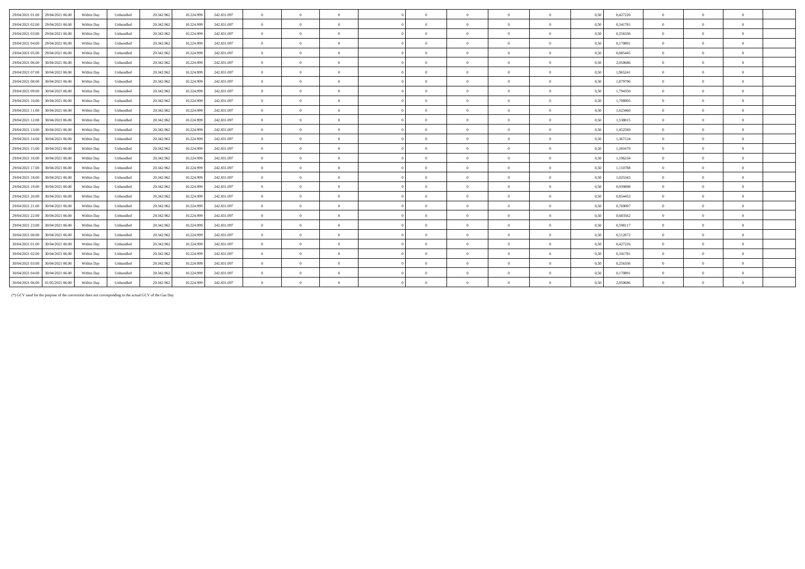| 29/04/2021 01:00<br>29/04/2021 06:00 | Within Day | Unbundled | 20.342.962<br>10.224.999 | 242.831.097 | $\overline{0}$ | $\Omega$       | $\Omega$       |            | $\theta$       | $\Omega$       |              | 0,50 | 0,427226 | $\Omega$       | $\Omega$       | $\Omega$       |
|--------------------------------------|------------|-----------|--------------------------|-------------|----------------|----------------|----------------|------------|----------------|----------------|--------------|------|----------|----------------|----------------|----------------|
| 29/04/2021 02:00<br>29/04/2021 06:00 | Within Day | Unbundled | 20.342.962<br>10.224.999 | 242.831.097 | $\overline{0}$ | $\Omega$       | $\Omega$       | $\Omega$   | $\theta$       | $\Omega$       | $\theta$     | 0,50 | 0,341781 | $\overline{0}$ | $\Omega$       | $\overline{0}$ |
| 29/04/2021 03:00<br>29/04/2021 06:00 | Within Day | Unbundled | 20.342.962<br>10.224.999 | 242.831.097 | $\overline{0}$ | $\overline{0}$ | $\overline{0}$ | $\Omega$   | $\overline{0}$ | $\overline{0}$ | $\bf{0}$     | 0.50 | 0,256336 | $\overline{0}$ | $\overline{0}$ | $\bf{0}$       |
| 29/04/2021 04:00<br>29/04/2021 06:00 | Within Day | Unbundled | 20.342.962<br>10.224.999 | 242.831.097 | $\overline{0}$ | $\overline{0}$ | $\overline{0}$ | $\Omega$   | $\overline{0}$ | $\overline{0}$ | $\bf{0}$     | 0,50 | 0,170891 | $\overline{0}$ | $\overline{0}$ | $\bf{0}$       |
| 29/04/2021 05:00<br>29/04/2021 06:00 | Within Day | Unbundled | 20.342.962<br>10.224.999 | 242.831.097 | $\overline{0}$ | $\theta$       | $\overline{0}$ | $\sqrt{2}$ | $\theta$       | $\overline{0}$ | $\mathbf{a}$ | 0.50 | 0.085445 | $\Omega$       | $\Omega$       | $\bf{0}$       |
| 29/04/2021 06:00<br>30/04/2021 06:00 | Within Day | Unbundled | 20.342.962<br>10.224.999 | 242.831.097 | $\overline{0}$ | $\Omega$       | $\Omega$       |            | $\theta$       | $\Omega$       |              | 0.50 | 2.050686 | $\Omega$       | $\Omega$       | $\theta$       |
| 29/04/2021 07:00<br>30/04/2021 06.00 | Within Day | Unbundled | 20.342.962<br>10.224.999 | 242.831.097 | $\overline{0}$ | $\theta$       | $\Omega$       | $\sqrt{2}$ | $\theta$       | $\theta$       | $\theta$     | 0.50 | 1,965241 | $\Omega$       | $\Omega$       | $\theta$       |
| 29/04/2021 08:00<br>30/04/2021 06:00 | Within Day | Unbundled | 20.342.962<br>10.224.999 | 242.831.097 | $\theta$       | $\Omega$       | $\Omega$       |            | $\theta$       | $\Omega$       | $\Omega$     | 0.50 | 1.879796 | $\Omega$       | $\Omega$       | $\theta$       |
| 29/04/2021 09:00<br>30/04/2021 06:00 | Within Day | Unbundled | 20.342.962<br>10.224.999 | 242.831.097 | $\overline{0}$ | $\overline{0}$ | $\overline{0}$ | $\sqrt{2}$ | $\theta$       | $\overline{0}$ | $\theta$     | 0,50 | 1,794350 | $\overline{0}$ | $\Omega$       | $\mathbf{0}$   |
| 29/04/2021 10:00<br>30/04/2021 06:00 | Within Day | Unbundled | 20.342.962<br>10.224.999 | 242.831.097 | $\overline{0}$ | $\Omega$       | $\Omega$       | $\sqrt{2}$ | $\theta$       | $\overline{0}$ | $\Omega$     | 0.50 | 1.708905 | $\Omega$       | $\Omega$       | $\bf{0}$       |
| 29/04/2021 11:00<br>30/04/2021 06:00 | Within Day | Unbundled | 20.342.962<br>10.224.999 | 242.831.097 | $\overline{0}$ | $\Omega$       | $\Omega$       |            | $\theta$       | $\Omega$       | $\Omega$     | 0.50 | 1,623460 | $\overline{0}$ | $\Omega$       | $\theta$       |
| 29/04/2021 12:00<br>30/04/2021 06:00 | Within Day | Unbundled | 20.342.962<br>10.224.999 | 242.831.097 | $\overline{0}$ | $\Omega$       | $\Omega$       |            | $\theta$       | $\Omega$       | $\Omega$     | 0,50 | 1.538015 | $\Omega$       | $\Omega$       | $\theta$       |
| 29/04/2021 13:00<br>30/04/2021 06:00 | Within Day | Unbundled | 20.342.962<br>10.224.999 | 242.831.097 | $\overline{0}$ | $\theta$       | $\Omega$       | $\sqrt{2}$ | $\theta$       | $\overline{0}$ | $\theta$     | 0,50 | 1.452569 | $\overline{0}$ | $\Omega$       | $\mathbf{0}$   |
| 29/04/2021 14:00<br>30/04/2021 06:00 | Within Day | Unbundled | 20.342.962<br>10.224.999 | 242.831.097 | $\overline{0}$ | $\overline{0}$ | $\overline{0}$ | $\Omega$   | $\overline{0}$ | $\overline{0}$ | $\bf{0}$     | 0,50 | 1,367124 | $\overline{0}$ | $\overline{0}$ | $\bf{0}$       |
| 29/04/2021 15:00<br>30/04/2021 06:00 | Within Day | Unbundled | 20.342.962<br>10.224.999 | 242.831.097 | $\overline{0}$ | $\theta$       | $\theta$       | $\sqrt{2}$ | $\theta$       | $\Omega$       | $\theta$     | 0,50 | 1,281679 | $\Omega$       | $\Omega$       | $\theta$       |
| 29/04/2021 16:00<br>30/04/2021 06:00 | Within Day | Unbundled | 20.342.962<br>10.224.999 | 242.831.097 | $\overline{0}$ | $\overline{0}$ | $\overline{0}$ | $\sqrt{2}$ | $\overline{0}$ | $\overline{0}$ | $\theta$     | 0,50 | 1,196234 | $\overline{0}$ | $\overline{0}$ | $\mathbf{0}$   |
| 29/04/2021 17:00<br>30/04/2021 06:00 | Within Day | Unbundled | 20.342.962<br>10.224.999 | 242.831.097 | $\theta$       | $\theta$       | $\Omega$       | $\sqrt{2}$ | $\theta$       | $\theta$       | $\theta$     | 0,50 | 1.110788 | $\Omega$       | $\Omega$       | $\theta$       |
| 29/04/2021 18:00<br>30/04/2021 06:00 | Within Day | Unbundled | 20.342.962<br>10.224.999 | 242.831.097 | $\overline{0}$ | $\theta$       | $\theta$       | $\sqrt{2}$ | $\theta$       | $\theta$       | $\theta$     | 0.50 | 1,025343 | $\Omega$       | $\Omega$       | $\theta$       |
| 29/04/2021 19:00<br>30/04/2021 06:00 | Within Day | Unbundled | 20.342.962<br>10.224.999 | 242.831.097 | $\theta$       | $\Omega$       | $\Omega$       | $\sqrt{2}$ | $\theta$       | $\Omega$       | $\theta$     | 0.50 | 0.939898 | $\Omega$       | $\Omega$       | $\theta$       |
| 29/04/2021 20:00<br>30/04/2021 06:00 | Within Day | Unbundled | 20.342.962<br>10.224.999 | 242.831.097 | $\overline{0}$ | $\Omega$       | $\Omega$       | $\sqrt{2}$ | $\theta$       | $\theta$       | $\theta$     | 0,50 | 0,854453 | $\Omega$       | $\Omega$       | $\overline{0}$ |
| 29/04/2021 21:00<br>30/04/2021 06:00 | Within Day | Unbundled | 20.342.962<br>10.224.999 | 242.831.097 | $\theta$       | $\Omega$       | $\Omega$       | $\sqrt{2}$ | $\theta$       | $\Omega$       | $\Omega$     | 0.50 | 0.769007 | $\Omega$       | $\Omega$       | $\theta$       |
| 29/04/2021 22.00<br>30/04/2021 06:00 | Within Day | Unbundled | 20.342.962<br>10.224.999 | 242.831.097 | $\overline{0}$ | $\Omega$       | $\Omega$       | $\sqrt{2}$ | $\theta$       | $\Omega$       | $\theta$     | 0.50 | 0,683562 | $\Omega$       | $\Omega$       | $\theta$       |
| 29/04/2021 23:00<br>30/04/2021 06:00 | Within Day | Unbundled | 20.342.962<br>10.224.999 | 242.831.097 | $\overline{0}$ | $\Omega$       | $\Omega$       | $\sqrt{2}$ | $\theta$       | $\Omega$       | $\theta$     | 0,50 | 0,598117 | $\Omega$       | $\Omega$       | $\theta$       |
| 30/04/2021 00:00<br>30/04/2021 06:00 | Within Day | Unbundled | 20.342.962<br>10.224.999 | 242.831.097 | $\overline{0}$ | $\theta$       | $\sqrt{2}$     | $\sqrt{2}$ | $\theta$       | $\overline{0}$ | $\theta$     | 0,50 | 0,512672 | $\overline{0}$ | $\Omega$       | $\overline{0}$ |
| 30/04/2021 01:00<br>30/04/2021 06:00 | Within Day | Unbundled | 20.342.962<br>10.224.999 | 242.831.097 | $\overline{0}$ | $\theta$       | $\theta$       | $\Omega$   | $\overline{0}$ | $\overline{0}$ |              | 0,50 | 0,427226 | $\overline{0}$ | $\Omega$       | $\bf{0}$       |
| 30/04/2021 02:00<br>30/04/2021 06:00 | Within Day | Unbundled | 20.342.962<br>10.224.999 | 242.831.097 | $\overline{0}$ | $\overline{0}$ | $\overline{0}$ | $\sqrt{2}$ | $\overline{0}$ | $\overline{0}$ | $\theta$     | 0.50 | 0.341781 | $\overline{0}$ | $\overline{0}$ | $\overline{0}$ |
| 30/04/2021 03:00<br>30/04/2021 06:00 | Within Day | Unbundled | 20.342.962<br>10.224.999 | 242.831.097 | $\overline{0}$ | $\overline{0}$ | $\theta$       | $\sqrt{2}$ | $\theta$       | $\overline{0}$ | $\Omega$     | 0.50 | 0.256336 | $\overline{0}$ | $\Omega$       | $\mathbf{0}$   |
| 30/04/2021 04:00<br>30/04/2021 06:00 | Within Day | Unbundled | 20.342.962<br>10.224.999 | 242.831.097 | $\overline{0}$ | $\theta$       | $\overline{0}$ | $\theta$   | $\theta$       | $\overline{0}$ | $\Omega$     | 0,50 | 0,170891 | $\overline{0}$ | $\Omega$       | $\bf{0}$       |
| 30/04/2021 06:00 01/05/2021 06:00    | Within Day | Unbundled | 10.224.999<br>20.342.962 | 242.831.097 | $\Omega$       | $\Omega$       |                |            | $\Omega$       | $\Omega$       |              | 0.50 | 2.050686 | $\Omega$       | $\Omega$       | $\Omega$       |
|                                      |            |           |                          |             |                |                |                |            |                |                |              |      |          |                |                |                |

(\*) GCV used for the purpose of the conversion does not corresponding to the actual GCV of the Gas Day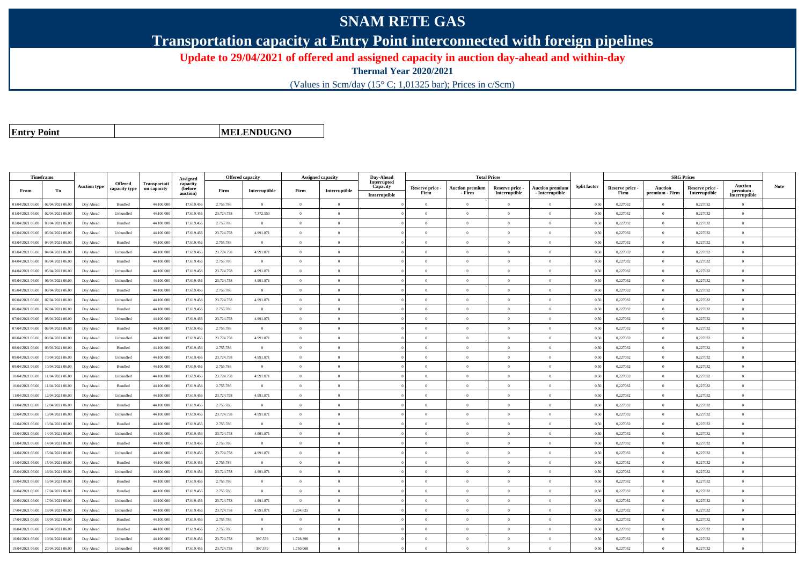## **SNAM RETE GAS**

**Transportation capacity at Entry Point interconnected with foreign pipelines**

**Update to 29/04/2021 of offered and assigned capacity in auction day-ahead and within-day**

**Thermal Year 2020/2021**

(Values in Scm/day (15° C; 1,01325 bar); Prices in c/Scm)

**Entry Point**

**MELENDUGNO**

|                  | Timeframe        |                     |                                 |                             | Assigned                        | Offered capacity |                |                | Assigned capacity | Day-Ahead                                |                         | <b>Total Prices</b>              |                                  |                                           |                     |                         | <b>SRG Prices</b>         |                                  |                                              |             |
|------------------|------------------|---------------------|---------------------------------|-----------------------------|---------------------------------|------------------|----------------|----------------|-------------------|------------------------------------------|-------------------------|----------------------------------|----------------------------------|-------------------------------------------|---------------------|-------------------------|---------------------------|----------------------------------|----------------------------------------------|-------------|
| From             | To               | <b>Auction type</b> | <b>Offered</b><br>capacity type | Transportati<br>on capacity | capacity<br>(before<br>auction) | Firm             | Interruptible  | Firm           | Interruptible     | Interrupted<br>Capacity<br>Interruptible | Reserve price -<br>Firm | <b>Auction premium</b><br>- Firm | Reserve price -<br>Interruptible | <b>Auction premium</b><br>- Interruptible | <b>Split factor</b> | Reserve price -<br>Firm | Auction<br>premium - Firm | Reserve price -<br>Interruptible | <b>Auction</b><br>premium -<br>Interruptible | <b>Note</b> |
| 01/04/2021 06:00 | 02/04/2021 06:00 | Day Ahead           | Bundled                         | 44.100.000                  | 17.619.456                      | 2.755.786        | $\overline{0}$ | $\Omega$       | $\theta$          |                                          | $\Omega$                | $\theta$                         | $\Omega$                         | $\Omega$                                  | 0,50                | 0,227032                | $\theta$                  | 0,227032                         | $\Omega$                                     |             |
| 01/04/2021 06:00 | 02/04/2021 06.00 | Day Ahead           | Unbundled                       | 44.100.00                   | 17.619.456                      | 23.724.758       | 7.372.553      | $\Omega$       |                   |                                          | $\Omega$                |                                  | $\Omega$                         | $\theta$                                  | 0,50                | 0,227032                | $\Omega$                  | 0,227032                         | $\Omega$                                     |             |
| 02/04/2021 06:00 | 03/04/2021 06:00 | Day Ahead           | Bundled                         | 44.100,000                  | 17.619.456                      | 2.755.786        | $\overline{0}$ | $\overline{0}$ | $\Omega$          |                                          | $\theta$                | $\theta$                         | $\Omega$                         | $\theta$                                  | 0,50                | 0,227032                | $\overline{0}$            | 0,227032                         | $\theta$                                     |             |
| 02/04/2021 06:00 | 03/04/2021 06.00 | Day Ahead           | Unbundled                       | 44.100.000                  | 17.619.456                      | 23.724.758       | 4.991.871      | $\overline{0}$ | $\theta$          |                                          | $\theta$                | $\overline{0}$                   | $\overline{0}$                   | $\,0\,$                                   | 0,50                | 0,227032                | $\overline{0}$            | 0,227032                         | $\overline{0}$                               |             |
| 03/04/2021 06:00 | 04/04/2021 06.00 | Day Ahead           | Bundled                         | 44.100.000                  | 17.619.456                      | 2.755.786        | $\overline{0}$ | $\overline{0}$ | $\theta$          |                                          | $\theta$                | $\theta$                         | $\overline{0}$                   | $\mathbf{0}$                              | 0,50                | 0,227032                | $\overline{0}$            | 0,227032                         | $\Omega$                                     |             |
| 03/04/2021 06:00 | 04/04/2021 06.00 | Day Ahead           | Unbundled                       | 44.100.00                   | 17.619.456                      | 23.724.758       | 4.991.871      | $\Omega$       | $\Omega$          |                                          | $\theta$                | $\theta$                         | $\theta$                         | $\mathbf{0}$                              | 0,50                | 0,227032                | $\theta$                  | 0,227032                         | $\Omega$                                     |             |
| 04/04/2021 06:00 | 05/04/2021 06.00 | Day Ahead           | Bundled                         | 44.100.000                  | 17.619.456                      | 2.755.786        | $\overline{0}$ | $\Omega$       | $\theta$          |                                          | $\theta$                | $\theta$                         | $\overline{0}$                   | $\mathbf{0}$                              | 0,50                | 0,227032                | $\overline{0}$            | 0,227032                         | $\bf{0}$                                     |             |
| 04/04/2021 06:00 | 05/04/2021 06:00 | Day Ahead           | Unbundled                       | 44.100.00                   | 17.619.456                      | 23,724,758       | 4.991.871      | $\Omega$       | $\Omega$          |                                          | $\theta$                |                                  | $\Omega$                         | $\Omega$                                  | 0.50                | 0.227032                | $\Omega$                  | 0.227032                         | $\Omega$                                     |             |
| 05/04/2021 06:00 | 06/04/2021 06:00 | Day Ahead           | Unbundled                       | 44.100.000                  | 17.619.456                      | 23.724.758       | 4.991.871      | $\Omega$       | $\theta$          |                                          | $\theta$                | $\theta$                         | $\theta$                         | $\theta$                                  | 0,50                | 0,227032                | $\overline{0}$            | 0,227032                         | $\Omega$                                     |             |
| 05/04/2021 06:00 | 06/04/2021 06.00 | Day Ahead           | Bundled                         | 44.100.000                  | 17.619.456                      | 2.755.786        | $\overline{0}$ | $\overline{0}$ | $\theta$          |                                          | $\theta$                | $\theta$                         | $\overline{0}$                   | $\mathbf{0}$                              | 0,50                | 0,227032                | $\overline{0}$            | 0,227032                         | $\bf{0}$                                     |             |
| 06/04/2021 06:00 | 07/04/2021 06:00 | Day Ahead           | Unbundled                       | 44,100,000                  | 17.619.456                      | 23.724.758       | 4.991.871      | $\Omega$       | $\Omega$          |                                          | $\Omega$                | $\theta$                         | $\overline{0}$                   | $\overline{0}$                            | 0.50                | 0,227032                | $\overline{0}$            | 0.227032                         | $\Omega$                                     |             |
| 06/04/2021 06.0  | 06.0 07/04/2021  | Day Ahead           | Bundled                         | 44.100.00                   | 17.619.456                      | 2.755.786        | $\overline{0}$ | $\theta$       | $\theta$          |                                          | $\theta$                | $\theta$                         | $\theta$                         | $\mathbf{0}$                              | 0,50                | 0,227032                | $\overline{0}$            | 0,227032                         | $\bf{0}$                                     |             |
| 07/04/2021 06:00 | 08/04/2021 06:00 | Day Ahead           | Unbundled                       | 44,100,000                  | 17.619.456                      | 23.724.758       | 4.991.871      | $\Omega$       | $\Omega$          |                                          | $\theta$                | $\theta$                         | $\Omega$                         | $\theta$                                  | 0,50                | 0,227032                | $\overline{0}$            | 0,227032                         | $\theta$                                     |             |
| 07/04/2021 06:00 | 08/04/2021 06:00 | Day Ahead           | Bundled                         | 44.100,000                  | 17.619.456                      | 2.755.786        | $\overline{0}$ | $\Omega$       | $\Omega$          |                                          | $\theta$                | $\theta$                         | $\theta$                         | $\theta$                                  | 0,50                | 0,227032                | $\theta$                  | 0,227032                         | $\Omega$                                     |             |
| 08/04/2021 06:00 | 09/04/2021 06.0  | Day Ahead           | Unbundled                       | 44.100.00                   | 17.619.456                      | 23.724.758       | 4.991.871      | $\theta$       | $\theta$          |                                          | $\theta$                | $\theta$                         | $\theta$                         | $\mathbf{0}$                              | 0.50                | 0,227032                | $\overline{0}$            | 0,227032                         | $\bf{0}$                                     |             |
| 08/04/2021 06:00 | 09/04/2021 06.00 | Day Ahead           | Bundled                         | 44.100.000                  | 17.619.456                      | 2.755.786        | $\overline{0}$ | $\overline{0}$ | $\theta$          |                                          | $\theta$                | $\theta$                         | $\overline{0}$                   | $\,$ 0                                    | 0,50                | 0,227032                | $\,$ 0 $\,$               | 0,227032                         | $\bf{0}$                                     |             |
| 09/04/2021 06:00 | 10/04/2021 06:00 | Day Ahead           | Unbundled                       | 44.100.000                  | 17.619.456                      | 23.724.758       | 4.991.871      | $\overline{0}$ | $\overline{0}$    |                                          | $\overline{0}$          | $\theta$                         | $\bf{0}$                         | $\,$ 0                                    | 0,50                | 0,227032                | $\overline{0}$            | 0,227032                         | $\overline{0}$                               |             |
| 09/04/2021 06:00 | 10/04/2021 06.0  | Day Ahead           | Bundled                         | 44.100.00                   | 17.619.456                      | 2.755.786        | $\mathbf{0}$   | $\Omega$       | $\Omega$          |                                          | $\Omega$                |                                  | $\Omega$                         | $\Omega$                                  | 0,50                | 0,227032                | $\overline{0}$            | 0,227032                         | $\theta$                                     |             |
| 10/04/2021 06:00 | 1/04/2021 06.00  | Day Ahead           | Unbundled                       | 44.100.000                  | 17.619.456                      | 23.724.758       | 4.991.871      | $\Omega$       | $\Omega$          |                                          | $\Omega$                | $\theta$                         | $\overline{0}$                   | $\Omega$                                  | 0.50                | 0,227032                | $\overline{0}$            | 0,227032                         | $\Omega$                                     |             |
| 10/04/2021 06:00 | 11/04/2021 06.00 | Day Ahead           | Bundled                         | 44.100.000                  | 17.619.456                      | 2.755.786        | $\overline{0}$ | $\Omega$       | $\theta$          |                                          | $\theta$                | $\theta$                         | $\overline{0}$                   | $\Omega$                                  | 0,50                | 0,227032                | $\overline{0}$            | 0,227032                         | $\Omega$                                     |             |
| 11/04/2021 06:00 | 12/04/2021 06:00 | Day Ahead           | Unbundled                       | 44,100,00                   | 17.619.456                      | 23.724.758       | 4.991.871      | $\Omega$       | $\Omega$          |                                          | $\Omega$                |                                  | $\overline{0}$                   | $\mathbf{0}$                              | 0.50                | 0.227032                | $\overline{0}$            | 0.227032                         | $\Omega$                                     |             |
| 11/04/2021 06.00 | 12/04/2021 06.00 | Day Ahead           | Bundled                         | 44.100.00                   | 17.619.456                      | 2.755.786        | $\overline{0}$ | $\overline{0}$ | $\overline{0}$    |                                          | $\theta$                | $\mathbf{a}$                     | $\overline{0}$                   | $\overline{0}$                            | 0,50                | 0,227032                | $\,$ 0 $\,$               | 0,227032                         | $\overline{0}$                               |             |
| 12/04/2021 06:00 | 13/04/2021 06.0  | Day Ahead           | Unbundled                       | 44.100.000                  | 17.619.456                      | 23.724.758       | 4.991.871      | $\overline{0}$ | $\theta$          |                                          | $\theta$                | $\theta$                         | $\overline{0}$                   | $\mathbf{0}$                              | 0,50                | 0,227032                | $\overline{0}$            | 0,227032                         | $\bf{0}$                                     |             |
| 12/04/2021 06:00 | 13/04/2021 06.00 | Day Ahead           | <b>Bundled</b>                  | 44,100,000                  | 17.619.456                      | 2.755.786        | $\theta$       | $\Omega$       | $\theta$          |                                          | $\theta$                | $\theta$                         | $\theta$                         | $\theta$                                  | 0,50                | 0,227032                | $\overline{0}$            | 0,227032                         | $\Omega$                                     |             |
| 13/04/2021 06.0  | 14/04/2021 06.0  | Day Ahead           | Unbundled                       | 44.100.00                   | 17.619.456                      | 23.724.758       | 4.991.871      | $\Omega$       | $\theta$          |                                          | $\theta$                | $\theta$                         | $\Omega$                         | $\mathbf{0}$                              | 0,50                | 0,227032                | $\overline{0}$            | 0,227032                         | $\Omega$                                     |             |
| 13/04/2021 06:00 | 14/04/2021 06:00 | Day Ahead           | Bundled                         | 44.100.000                  | 17.619.456                      | 2.755.786        | $\theta$       | $\Omega$       | $\theta$          |                                          | $\theta$                | $\theta$                         | $\Omega$                         | $\theta$                                  | 0,50                | 0,227032                | $\overline{0}$            | 0,227032                         | $\theta$                                     |             |
| 14/04/2021 06:00 | 15/04/2021 06:00 | Day Ahead           | Unbundled                       | 44.100.00                   | 17.619.456                      | 23,724,758       | 4.991.871      | $\Omega$       | $\theta$          |                                          | $\theta$                | $\theta$                         | $\overline{0}$                   | $\theta$                                  | 0.50                | 0.227032                | $\overline{0}$            | 0.227032                         | $\Omega$                                     |             |
| 14/04/2021 06.00 | 15/04/2021 06.0  | Day Ahead           | Bundled                         | 44.100.00                   | 17.619.456                      | 2.755.786        | $\overline{0}$ | $\overline{0}$ | $\theta$          |                                          | $\theta$                | $\theta$                         | $\theta$                         | $\mathbf{0}$                              | 0,50                | 0,227032                | $\overline{0}$            | 0,227032                         | $\bf{0}$                                     |             |
| 15/04/2021 06:00 | 16/04/2021 06:00 | Day Ahead           | Unbundled                       | 44.100.000                  | 17.619.456                      | 23.724.758       | 4.991.871      | $\overline{0}$ | $\Omega$          |                                          | $\Omega$                | $\theta$                         | $\overline{0}$                   | $\mathbf{0}$                              | 0,50                | 0,227032                | $\overline{0}$            | 0,227032                         | $\Omega$                                     |             |
| 15/04/2021 06:00 | 16/04/2021 06:00 | Day Ahead           | Bundled                         | 44.100.000                  | 17.619.456                      | 2.755.786        | $\overline{0}$ | $\Omega$       | $\Omega$          |                                          | $\Omega$                | $\theta$                         | $\overline{0}$                   | $\overline{0}$                            | 0,50                | 0,227032                | $\overline{0}$            | 0,227032                         | $\Omega$                                     |             |
| 16/04/2021 06:00 | 17/04/2021 06.00 | Day Ahead           | Bundled                         | 44.100.00                   | 17.619.456                      | 2.755.786        | $\overline{0}$ | $\Omega$       | $\Omega$          |                                          | $\Omega$                | $\theta$                         | $\Omega$                         | $\theta$                                  | 0,50                | 0,227032                | $\overline{0}$            | 0,227032                         | $\Omega$                                     |             |
| 16/04/2021 06:00 | 17/04/2021 06:00 | Day Ahead           | Unbundled                       | 44,100,000                  | 17.619.456                      | 23,724,758       | 4.991.871      | $\overline{0}$ | $\theta$          |                                          | $\theta$                | $\theta$                         | $\overline{0}$                   | $\mathbf{0}$                              | 0.50                | 0,227032                | $\overline{0}$            | 0.227032                         | $\bf{0}$                                     |             |
| 17/04/2021 06:00 | 18/04/2021 06:00 | Day Ahead           | Unbundled                       | 44.100.000                  | 17.619.456                      | 23.724.758       | 4.991.871      | 1.294.825      | $\theta$          |                                          | $\theta$                | $\theta$                         | $\overline{0}$                   | $\mathbf{0}$                              | 0,50                | 0,227032                | $\bf{0}$                  | 0,227032                         | $\bf{0}$                                     |             |
| 17/04/2021 06.00 | 18/04/2021 06:00 | Day Ahead           | Bundled                         | 44.100.00                   | 17.619.456                      | 2.755.786        | $\Omega$       | $\Omega$       | $\Omega$          |                                          | $\Omega$                |                                  | $\Omega$                         | $\theta$                                  | 0,50                | 0,227032                | $\Omega$                  | 0,227032                         | $\theta$                                     |             |
| 18/04/2021 06:00 | 19/04/2021 06.00 | Day Ahead           | Bundled                         | 44.100.000                  | 17.619.456                      | 2.755.786        | $\overline{0}$ | $\overline{0}$ | $\theta$          |                                          | $\theta$                | $\theta$                         | $\overline{0}$                   | $\overline{0}$                            | 0,50                | 0,227032                | $\,$ 0 $\,$               | 0,227032                         | $\bf{0}$                                     |             |
| 18/04/2021 06:00 | 19/04/2021 06.0  | Day Ahead           | Unbundled                       | 44.100.000                  | 17.619.456                      | 23.724.758       | 397.579        | 1.728.390      | $\theta$          |                                          | $\theta$                | $\theta$                         | $\overline{0}$                   | $\mathbf{0}$                              | 0,50                | 0,227032                | $\overline{0}$            | 0,227032                         | $\bf{0}$                                     |             |
| 19/04/2021 06:00 | 20/04/2021 06:00 | Day Ahead           | Unbundled                       | 44.100,000                  | 17.619.456                      | 23,724,758       | 397.579        | 1.750.068      | $\Omega$          |                                          | $\Omega$                |                                  | $\Omega$                         | $\Omega$                                  | 0,50                | 0.227032                | $\Omega$                  | 0.227032                         | $\Omega$                                     |             |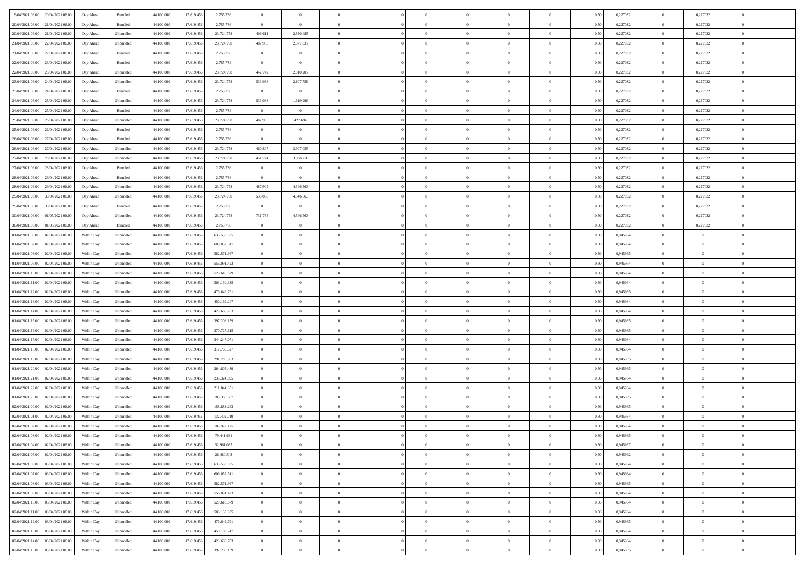| 19/04/2021 06:00 20/04/2021 06:00              | Day Ahead  | Bundled                     | 44.100.000 | 17.619.456 | 2.755.786   | $\overline{0}$ | $\overline{0}$ |                | $\overline{0}$ | $\theta$       |                | $\theta$       | 0,50 | 0,227032 | $\theta$       | 0,227032       | $\overline{0}$ |  |
|------------------------------------------------|------------|-----------------------------|------------|------------|-------------|----------------|----------------|----------------|----------------|----------------|----------------|----------------|------|----------|----------------|----------------|----------------|--|
| 20/04/2021 06:00<br>21/04/2021 06:00           | Day Ahead  | Bundled                     | 44.100.00  | 17.619.45  | 2.755.786   | $\bf{0}$       | $\bf{0}$       | $\bf{0}$       | $\overline{0}$ | $\overline{0}$ | $\overline{0}$ | $\bf{0}$       | 0,50 | 0,227032 | $\,$ 0 $\,$    | 0,227032       | $\overline{0}$ |  |
| 20/04/2021 06:00<br>21/04/2021 06:00           | Day Ahead  | Unbundled                   | 44,100,000 | 17.619.456 | 23.724.758  | 406.611        | 2.530.485      | $\overline{0}$ | $\bf{0}$       | $\bf{0}$       | $\overline{0}$ | $\bf{0}$       | 0.50 | 0,227032 | $\bf{0}$       | 0,227032       | $\overline{0}$ |  |
| 21/04/2021 06:00<br>22/04/2021 06:00           | Day Ahead  | Unbundled                   | 44.100.000 | 17.619.456 | 23.724.758  | 487.905        | 2.877.337      | $\overline{0}$ | $\theta$       | $\theta$       | $\overline{0}$ | $\overline{0}$ | 0,50 | 0,227032 | $\,$ 0 $\,$    | 0,227032       | $\overline{0}$ |  |
| 21/04/2021 06:00<br>22/04/2021 06.00           | Day Ahead  | Bundled                     | 44.100.00  | 17.619.456 | 2.755.786   | $\bf{0}$       | $\overline{0}$ | $\bf{0}$       | $\overline{0}$ | $\theta$       | $\overline{0}$ | $\bf{0}$       | 0,50 | 0,227032 | $\,$ 0 $\,$    | 0,227032       | $\overline{0}$ |  |
| 22/04/2021 06:00<br>23/04/2021 06:00           | Day Ahead  | Bundled                     | 44,100,000 | 17.619.456 | 2.755.786   | $\overline{0}$ | $\overline{0}$ | $\overline{0}$ | $\overline{0}$ | $\overline{0}$ | $\theta$       | $\bf{0}$       | 0.50 | 0,227032 | $\bf{0}$       | 0,227032       | $\overline{0}$ |  |
| 22/04/2021 06:00<br>23/04/2021 06:00           | Day Ahead  | Unbundled                   | 44.100.000 | 17.619.456 | 23.724.758  | 442.742        | 2.010.207      | $\overline{0}$ | $\overline{0}$ | $\theta$       | $\overline{0}$ | $\bf{0}$       | 0,50 | 0,227032 | $\,$ 0 $\,$    | 0,227032       | $\overline{0}$ |  |
|                                                |            |                             |            |            |             |                |                |                | $\overline{0}$ | $\theta$       | $\overline{0}$ |                |      |          | $\,$ 0 $\,$    |                | $\overline{0}$ |  |
| 23/04/2021 06:00<br>24/04/2021 06.00           | Day Ahead  | Unbundled                   | 44.100.00  | 17.619.45  | 23.724.758  | 533.068        | 2.107.759      | $\bf{0}$       |                |                |                | $\bf{0}$       | 0,50 | 0,227032 |                | 0,227032       |                |  |
| 23/04/2021 06:00<br>24/04/2021 06:00           | Day Ahead  | Bundled                     | 44,100,000 | 17.619.456 | 2.755.786   | $\overline{0}$ | $\overline{0}$ | $\overline{0}$ | $\bf{0}$       | $\overline{0}$ | $\overline{0}$ | $\bf{0}$       | 0.50 | 0.227032 | $\bf{0}$       | 0.227032       | $\overline{0}$ |  |
| 24/04/2021 06:00<br>25/04/2021 06:00           | Day Ahead  | Unbundled                   | 44.100.000 | 17.619.456 | 23.724.758  | 533.068        | 1.619.998      | $\overline{0}$ | $\overline{0}$ | $\theta$       | $\overline{0}$ | $\bf{0}$       | 0,50 | 0,227032 | $\bf{0}$       | 0,227032       | $\overline{0}$ |  |
| 24/04/2021 06:00<br>25/04/2021 06.00           | Day Ahead  | Bundled                     | 44.100.00  | 17.619.456 | 2.755.786   | $\bf{0}$       | $\bf{0}$       | $\bf{0}$       | $\overline{0}$ | $\bf{0}$       | $\overline{0}$ | $\bf{0}$       | 0,50 | 0,227032 | $\,$ 0 $\,$    | 0,227032       | $\overline{0}$ |  |
| 25/04/2021 06:00<br>26/04/2021 06:00           | Day Ahead  | Unbundled                   | 44,100,000 | 17.619.456 | 23.724.758  | 487.905        | 427.694        | $\overline{0}$ | $\bf{0}$       | $\bf{0}$       | $\overline{0}$ | $\bf{0}$       | 0.50 | 0,227032 | $\overline{0}$ | 0,227032       | $\overline{0}$ |  |
| 25/04/2021 06:00<br>26/04/2021 06:00           | Day Ahead  | Bundled                     | 44.100.000 | 17.619.456 | 2.755.786   | $\overline{0}$ | $\overline{0}$ | $\overline{0}$ | $\overline{0}$ | $\theta$       | $\overline{0}$ | $\overline{0}$ | 0,50 | 0,227032 | $\,$ 0 $\,$    | 0,227032       | $\overline{0}$ |  |
| 26/04/2021 06:00<br>27/04/2021 06.00           | Day Ahead  | Bundled                     | 44.100.00  | 17.619.456 | 2.755.786   | $\bf{0}$       | $\bf{0}$       | $\bf{0}$       | $\overline{0}$ | $\theta$       | $\overline{0}$ | $\bf{0}$       | 0,50 | 0,227032 | $\,$ 0 $\,$    | 0,227032       | $\overline{0}$ |  |
| 26/04/2021 06:00<br>27/04/2021 06:00           | Day Ahead  | Unbundled                   | 44,100,000 | 17.619.456 | 23.724.758  | 460,807        | 3.907.055      | $\overline{0}$ | $\bf{0}$       | $\theta$       | $\theta$       | $\bf{0}$       | 0.50 | 0,227032 | $\bf{0}$       | 0,227032       | $\overline{0}$ |  |
| 27/04/2021 06:00<br>28/04/2021 06:00           | Day Ahead  | Unbundled                   | 44.100.000 | 17.619.456 | 23.724.758  | 451.774        | 3.896.216      | $\overline{0}$ | $\overline{0}$ | $\overline{0}$ | $\overline{0}$ | $\bf{0}$       | 0,50 | 0,227032 | $\bf{0}$       | 0,227032       | $\overline{0}$ |  |
| 27/04/2021 06:00<br>28/04/2021 06.00           | Day Ahead  | Bundled                     | 44.100.00  | 17.619.456 | 2.755.786   | $\bf{0}$       | $\overline{0}$ | $\bf{0}$       | $\overline{0}$ | $\theta$       | $\overline{0}$ | $\bf{0}$       | 0,50 | 0,227032 | $\,$ 0 $\,$    | 0,227032       | $\overline{0}$ |  |
| 28/04/2021 06:00<br>29/04/2021 06:00           | Day Ahead  | Bundled                     | 44,100,000 | 17.619.456 | 2.755.786   | $\overline{0}$ | $\overline{0}$ | $\overline{0}$ | $\bf{0}$       | $\overline{0}$ | $\overline{0}$ | $\bf{0}$       | 0.50 | 0.227032 | $\bf{0}$       | 0.227032       | $\overline{0}$ |  |
| 28/04/2021 06:00<br>29/04/2021 06:00           | Day Ahead  | Unbundled                   | 44.100.000 | 17.619.456 | 23.724.758  | 487.905        | 4.546.563      | $\overline{0}$ | $\overline{0}$ | $\overline{0}$ | $\overline{0}$ | $\bf{0}$       | 0,50 | 0,227032 | $\,$ 0 $\,$    | 0,227032       | $\overline{0}$ |  |
|                                                |            |                             |            |            |             |                |                |                |                |                |                |                |      |          |                |                |                |  |
| 29/04/2021 06:00<br>30/04/2021 06.00           | Day Ahead  | Unbundled                   | 44.100.00  | 17.619.456 | 23.724.758  | 533.068        | 4.546.563      | $\bf{0}$       | $\bf{0}$       | $\overline{0}$ | $\overline{0}$ | $\bf{0}$       | 0,50 | 0,227032 | $\,$ 0 $\,$    | 0,227032       | $\overline{0}$ |  |
| 29/04/2021 06:00<br>30/04/2021 06:00           | Day Ahead  | Bundled                     | 44,100,000 | 17.619.456 | 2.755.786   | $\overline{0}$ | $\overline{0}$ | $\overline{0}$ | $\bf{0}$       | $\bf{0}$       | $\overline{0}$ | $\bf{0}$       | 0.50 | 0,227032 | $\,$ 0 $\,$    | 0,227032       | $\overline{0}$ |  |
| 30/04/2021 06:00<br>01/05/2021 06:00           | Day Ahead  | Unbundled                   | 44.100.000 | 17.619.456 | 23.724.758  | 731.785        | 4.546.563      | $\overline{0}$ | $\theta$       | $\theta$       | $\overline{0}$ | $\bf{0}$       | 0,50 | 0,227032 | $\,$ 0 $\,$    | 0,227032       | $\overline{0}$ |  |
| 30/04/2021 06:00<br>01/05/2021 06.00           | Day Ahead  | Bundled                     | 44.100.00  | 17.619.456 | 2.755.786   | $\bf{0}$       | $\theta$       | $\bf{0}$       | $\overline{0}$ | $\bf{0}$       | $\overline{0}$ | $\bf{0}$       | 0,50 | 0,227032 | $\,$ 0 $\,$    | 0,227032       | $\overline{0}$ |  |
| 01/04/2021 06:00<br>02/04/2021 06:00           | Within Day | Unbundled                   | 44,100,000 | 17.619.456 | 635.533.055 | $\overline{0}$ | $\overline{0}$ | $\overline{0}$ | $\overline{0}$ | $\overline{0}$ | $\theta$       | $\bf{0}$       | 0.50 | 0.945964 | $\,$ 0 $\,$    | $\overline{0}$ | $\overline{0}$ |  |
| 01/04/2021 07:00<br>02/04/2021 06.00           | Within Day | Unbundled                   | 44.100.000 | 17.619.456 | 609.052.511 | $\overline{0}$ | $\overline{0}$ | $\overline{0}$ | $\overline{0}$ | $\overline{0}$ | $\overline{0}$ | $\overline{0}$ | 0,50 | 0,945964 | $\theta$       | $\theta$       | $\overline{0}$ |  |
| 01/04/2021 08:00<br>02/04/2021 06.00           | Within Day | Unbundled                   | 44.100.00  | 17.619.456 | 582.571.967 | $\bf{0}$       | $\overline{0}$ | $\bf{0}$       | $\overline{0}$ | $\theta$       | $\overline{0}$ | $\bf{0}$       | 0,50 | 0,945965 | $\,$ 0 $\,$    | $\bf{0}$       | $\overline{0}$ |  |
| 01/04/2021 09:00<br>02/04/2021 06:00           | Within Day | Unbundled                   | 44,100,000 | 17.619.456 | 556.091.423 | $\overline{0}$ | $\bf{0}$       | $\overline{0}$ | $\bf{0}$       | $\overline{0}$ | $\overline{0}$ | $\bf{0}$       | 0.50 | 0.945964 | $\bf{0}$       | $\overline{0}$ | $\overline{0}$ |  |
| 01/04/2021 10:00<br>02/04/2021 06:00           | Within Day | Unbundled                   | 44.100.000 | 17.619.456 | 529.610.879 | $\overline{0}$ | $\overline{0}$ | $\overline{0}$ | $\overline{0}$ | $\overline{0}$ | $\overline{0}$ | $\bf{0}$       | 0,50 | 0,945964 | $\theta$       | $\theta$       | $\overline{0}$ |  |
| 01/04/2021 11:00<br>02/04/2021 06.00           | Within Day | Unbundled                   | 44.100.00  | 17.619.456 | 503.130.335 | $\bf{0}$       | $\bf{0}$       | $\bf{0}$       | $\bf{0}$       | $\overline{0}$ | $\overline{0}$ | $\bf{0}$       | 0,50 | 0,945964 | $\,$ 0 $\,$    | $\bf{0}$       | $\overline{0}$ |  |
| 01/04/2021 12:00<br>02/04/2021 06:00           | Within Day | Unbundled                   | 44,100,000 | 17.619.456 | 476.649.791 | $\overline{0}$ | $\bf{0}$       | $\overline{0}$ | $\bf{0}$       | $\bf{0}$       | $\overline{0}$ | $\bf{0}$       | 0.50 | 0.945965 | $\bf{0}$       | $\overline{0}$ | $\bf{0}$       |  |
| 01/04/2021 13:00<br>02/04/2021 06:00           | Within Day | Unbundled                   | 44.100.000 | 17.619.45  | 450.169.247 | $\overline{0}$ | $\overline{0}$ | $\overline{0}$ | $\overline{0}$ | $\overline{0}$ | $\overline{0}$ | $\bf{0}$       | 0.5( | 0.945964 | $\theta$       | $\theta$       | $\overline{0}$ |  |
|                                                |            |                             |            |            |             |                | $\overline{0}$ |                | $\overline{0}$ | $\overline{0}$ | $\overline{0}$ |                |      |          | $\,$ 0 $\,$    | $\bf{0}$       | $\overline{0}$ |  |
| 01/04/2021 14:00<br>02/04/2021 06.00           | Within Day | Unbundled                   | 44.100.00  | 17.619.45  | 423.688.703 | $\bf{0}$       |                | $\bf{0}$       |                |                |                | $\bf{0}$       | 0,50 | 0,945964 |                |                |                |  |
| 01/04/2021 15:00<br>02/04/2021 06:00           | Within Day | Unbundled                   | 44,100,000 | 17.619.456 | 397.208.159 | $\overline{0}$ | $\overline{0}$ | $\overline{0}$ | $\bf{0}$       | $\overline{0}$ | $\Omega$       | $\bf{0}$       | 0.50 | 0.945965 | $\,$ 0 $\,$    | $\theta$       | $\overline{0}$ |  |
| 01/04/2021 16:00<br>02/04/2021 06:00           | Within Dav | Unbundled                   | 44.100.000 | 17.619.456 | 370.727.615 | $\overline{0}$ | $\overline{0}$ | $\Omega$       | $\overline{0}$ | $\overline{0}$ | $\overline{0}$ | $\bf{0}$       | 0.50 | 0,945965 | $\theta$       | $\theta$       | $\overline{0}$ |  |
| 01/04/2021 17:00<br>02/04/2021 06.00           | Within Day | Unbundled                   | 44.100.00  | 17.619.456 | 344.247.071 | $\bf{0}$       | $\overline{0}$ | $\bf{0}$       | $\overline{0}$ | $\bf{0}$       | $\overline{0}$ | $\bf{0}$       | 0,50 | 0,945964 | $\,$ 0 $\,$    | $\bf{0}$       | $\overline{0}$ |  |
| 01/04/2021 18:00<br>02/04/2021 06:00           | Within Day | Unbundled                   | 44,100,000 | 17.619.456 | 317.766.527 | $\overline{0}$ | $\bf{0}$       | $\overline{0}$ | $\bf{0}$       | $\overline{0}$ | $\overline{0}$ | $\bf{0}$       | 0.50 | 0.945964 | $\bf{0}$       | $\overline{0}$ | $\overline{0}$ |  |
| 01/04/2021 19:00<br>02/04/2021 06:00           | Within Dav | Unbundled                   | 44.100.000 | 17.619.456 | 291.285.983 | $\overline{0}$ | $\overline{0}$ | $\overline{0}$ | $\overline{0}$ | $\overline{0}$ | $\overline{0}$ | $\overline{0}$ | 0.50 | 0,945965 | $\theta$       | $\theta$       | $\overline{0}$ |  |
| 01/04/2021 20:00<br>02/04/2021 06.00           | Within Day | Unbundled                   | 44.100.00  | 17.619.456 | 264.805.439 | $\bf{0}$       | $\bf{0}$       | $\bf{0}$       | $\bf{0}$       | $\overline{0}$ | $\overline{0}$ | $\bf{0}$       | 0,50 | 0,945965 | $\,$ 0 $\,$    | $\bf{0}$       | $\overline{0}$ |  |
| 01/04/2021 21:00<br>02/04/2021 06:00           | Within Day | Unbundled                   | 44,100,000 | 17.619.456 | 238.324.895 | $\overline{0}$ | $\bf{0}$       | $\overline{0}$ | $\bf{0}$       | $\bf{0}$       | $\overline{0}$ | $\bf{0}$       | 0.50 | 0.945964 | $\bf{0}$       | $\overline{0}$ | $\overline{0}$ |  |
| 01/04/2021 22:00<br>02/04/2021 06:00           | Within Dav | Unbundled                   | 44.100.000 | 17.619.456 | 211.844.351 | $\overline{0}$ | $\overline{0}$ | $\overline{0}$ | $\overline{0}$ | $\overline{0}$ | $\overline{0}$ | $\bf{0}$       | 0.50 | 0,945964 | $\theta$       | $\theta$       | $\overline{0}$ |  |
| 01/04/2021 23:00<br>02/04/2021 06.00           | Within Day | Unbundled                   | 44.100.00  | 17.619.456 | 185.363.807 | $\bf{0}$       | $\overline{0}$ | $\bf{0}$       | $\overline{0}$ | $\overline{0}$ | $\overline{0}$ | $\bf{0}$       | 0,50 | 0,945965 | $\,$ 0 $\,$    | $\bf{0}$       | $\overline{0}$ |  |
| 02/04/2021 00:00<br>02/04/2021 06:00           | Within Day | Unbundled                   | 44,100,000 | 17.619.45  | 158,883,263 | $\overline{0}$ | $\overline{0}$ | $\overline{0}$ | $\bf{0}$       | $\overline{0}$ | $\theta$       | $\bf{0}$       | 0.50 | 0.945965 | $\bf{0}$       | $\theta$       | $\overline{0}$ |  |
| 02/04/2021 01:00<br>02/04/2021 06:00           | Within Dav | Unbundled                   | 44.100.000 | 17.619.456 | 132.402.719 | $\overline{0}$ | $\overline{0}$ | $\Omega$       | $\overline{0}$ | $\theta$       | $\Omega$       | $\overline{0}$ | 0.5( | 0,945964 | $\theta$       | $\theta$       | $\overline{0}$ |  |
| 02/04/2021 02:00<br>02/04/2021 06:00           | Within Day | Unbundled                   | 44.100.000 | 17.619.456 | 105.922.175 | $\bf{0}$       | $\bf{0}$       | $\bf{0}$       | $\bf{0}$       | $\bf{0}$       | $\overline{0}$ | $\bf{0}$       | 0,50 | 0,945964 | $\,$ 0 $\,$    | $\bf{0}$       | $\overline{0}$ |  |
| $02/04/2021\; 03.00 \qquad 02/04/2021\; 06.00$ | Within Day | $\ensuremath{\mathsf{Unb}}$ | 44.100.000 | 17.619.456 | 79 441 631  | $\bf{0}$       | $\Omega$       |                | $\Omega$       |                |                |                | 0,50 | 0.945965 | $\theta$       | $\overline{0}$ |                |  |
| 02/04/2021 04:00 02/04/2021 06:00              |            |                             |            |            |             | $\overline{0}$ | $\theta$       | $\Omega$       |                | $\overline{0}$ |                |                |      |          | $\theta$       | $\theta$       | $\overline{0}$ |  |
|                                                | Within Dav | Unbundled                   | 44.100.000 | 17.619.456 | 52.961.087  |                |                |                | $\theta$       |                | $\overline{0}$ | $\bf{0}$       | 0,50 | 0,945967 |                |                |                |  |
| 02/04/2021 05:00<br>02/04/2021 06.00           | Within Day | Unbundled                   | 44.100.00  | 17.619.456 | 26.480.543  | $\overline{0}$ | $\bf{0}$       | $\overline{0}$ | $\overline{0}$ | $\bf{0}$       | $\overline{0}$ | $\bf{0}$       | 0,50 | 0,945962 | $\bf{0}$       | $\overline{0}$ | $\bf{0}$       |  |
| 02/04/2021 06:00 03/04/2021 06:00              | Within Day | Unbundled                   | 44,100,000 | 17.619.456 | 635.533.055 | $\overline{0}$ | $\bf{0}$       | $\overline{0}$ | $\overline{0}$ | $\overline{0}$ | $\overline{0}$ | $\bf{0}$       | 0.50 | 0.945964 | $\mathbf{0}$   | $\bf{0}$       | $\,$ 0 $\,$    |  |
| 02/04/2021 07:00 03/04/2021 06:00              | Within Dav | Unbundled                   | 44.100.000 | 17.619.456 | 609.052.511 | $\overline{0}$ | $\overline{0}$ | $\overline{0}$ | $\overline{0}$ | $\overline{0}$ | $\overline{0}$ | $\bf{0}$       | 0,50 | 0,945964 | $\theta$       | $\theta$       | $\overline{0}$ |  |
| 02/04/2021 08:00<br>03/04/2021 06:00           | Within Day | Unbundled                   | 44.100.000 | 17.619.456 | 582.571.967 | $\overline{0}$ | $\bf{0}$       | $\overline{0}$ | $\bf{0}$       | $\overline{0}$ | $\overline{0}$ | $\bf{0}$       | 0,50 | 0,945965 | $\overline{0}$ | $\bf{0}$       | $\overline{0}$ |  |
| 03/04/2021 06:00<br>02/04/2021 09:00           | Within Day | Unbundled                   | 44,100,000 | 17.619.456 | 556,091.423 | $\overline{0}$ | $\bf{0}$       | $\overline{0}$ | $\overline{0}$ | $\overline{0}$ | $\overline{0}$ | $\bf{0}$       | 0.50 | 0.945964 | $\,$ 0 $\,$    | $\theta$       | $\overline{0}$ |  |
| 02/04/2021 10:00<br>03/04/2021 06:00           | Within Dav | Unbundled                   | 44.100.000 | 17.619.456 | 529.610.879 | $\overline{0}$ | $\overline{0}$ | $\overline{0}$ | $\overline{0}$ | $\overline{0}$ | $\overline{0}$ | $\overline{0}$ | 0.50 | 0,945964 | $\theta$       | $\theta$       | $\overline{0}$ |  |
| 02/04/2021 11:00<br>03/04/2021 06:00           | Within Day | Unbundled                   | 44.100.00  | 17.619.456 | 503.130.335 | $\overline{0}$ | $\bf{0}$       | $\overline{0}$ | $\overline{0}$ | $\bf{0}$       | $\overline{0}$ | $\bf{0}$       | 0,50 | 0,945964 | $\bf{0}$       | $\bf{0}$       | $\overline{0}$ |  |
| 02/04/2021 12:00<br>03/04/2021 06:00           | Within Day | Unbundled                   | 44,100,000 | 17.619.456 | 476.649.791 | $\overline{0}$ | $\overline{0}$ | $\overline{0}$ | $\overline{0}$ | $\bf{0}$       | $\overline{0}$ | $\bf{0}$       | 0.50 | 0.945965 | $\overline{0}$ | $\,$ 0 $\,$    | $\,$ 0         |  |
| 02/04/2021 13:00<br>03/04/2021 06:00           | Within Dav | Unbundled                   | 44.100.000 | 17.619.456 | 450.169.247 | $\overline{0}$ | $\overline{0}$ | $\overline{0}$ | $\overline{0}$ | $\overline{0}$ | $\overline{0}$ | $\bf{0}$       | 0,50 | 0,945964 | $\theta$       | $\theta$       | $\overline{0}$ |  |
| 02/04/2021 14:00<br>03/04/2021 06.00           | Within Day | Unbundled                   | 44.100.00  | 17.619.456 | 423.688.703 | $\overline{0}$ | $\bf{0}$       | $\overline{0}$ | $\bf{0}$       | $\overline{0}$ | $\overline{0}$ | $\bf{0}$       | 0,50 | 0,945964 | $\bf{0}$       | $\bf{0}$       | $\overline{0}$ |  |
|                                                |            |                             |            |            |             |                |                |                |                |                |                |                |      |          |                |                |                |  |
| 02/04/2021 15:00 03/04/2021 06:00              | Within Day | Unbundled                   | 44.100.000 | 17.619.456 | 397.208.159 | $\overline{0}$ | $\overline{0}$ | $\overline{0}$ | $\overline{0}$ | $\,$ 0 $\,$    | $\overline{0}$ | $\bf{0}$       | 0,50 | 0,945965 | $\overline{0}$ | $\bf{0}$       | $\,$ 0 $\,$    |  |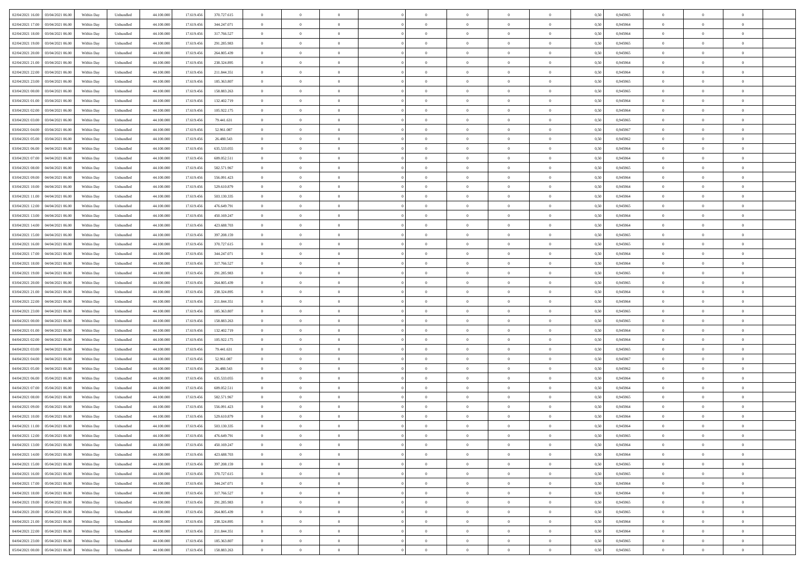| 02/04/2021 16:00 03/04/2021 06:00           | Within Day | Unbundled         | 44.100.000 | 17.619.456 | 370.727.615 | $\overline{0}$ | $\theta$       |                | $\overline{0}$ | $\theta$       |                | $\bf{0}$       | 0,50 | 0,945965 | $\theta$       | $\theta$       | $\overline{0}$ |  |
|---------------------------------------------|------------|-------------------|------------|------------|-------------|----------------|----------------|----------------|----------------|----------------|----------------|----------------|------|----------|----------------|----------------|----------------|--|
| 02/04/2021 17:00<br>03/04/2021 06.00        | Within Day | Unbundled         | 44.100.00  | 17.619.45  | 344.247.071 | $\bf{0}$       | $\overline{0}$ | $\bf{0}$       | $\overline{0}$ | $\bf{0}$       | $\overline{0}$ | $\bf{0}$       | 0,50 | 0,945964 | $\,$ 0 $\,$    | $\bf{0}$       | $\overline{0}$ |  |
| 02/04/2021 18:00<br>03/04/2021 06:00        | Within Day | Unbundled         | 44,100,000 | 17.619.456 | 317.766.527 | $\overline{0}$ | $\bf{0}$       | $\overline{0}$ | $\bf{0}$       | $\bf{0}$       | $\overline{0}$ | $\bf{0}$       | 0.50 | 0.945964 | $\bf{0}$       | $\overline{0}$ | $\overline{0}$ |  |
| 02/04/2021 19:00<br>03/04/2021 06:00        | Within Day | Unbundled         | 44.100.000 | 17.619.456 | 291.285.983 | $\overline{0}$ | $\overline{0}$ | $\overline{0}$ | $\theta$       | $\theta$       | $\overline{0}$ | $\bf{0}$       | 0,50 | 0,945965 | $\theta$       | $\theta$       | $\overline{0}$ |  |
|                                             |            |                   |            |            |             |                |                |                |                |                |                |                |      |          |                |                |                |  |
| 02/04/2021 20:00<br>03/04/2021 06.00        | Within Day | Unbundled         | 44.100.00  | 17.619.45  | 264.805.439 | $\bf{0}$       | $\overline{0}$ | $\bf{0}$       | $\overline{0}$ | $\theta$       | $\overline{0}$ | $\bf{0}$       | 0,50 | 0,945965 | $\,$ 0 $\,$    | $\bf{0}$       | $\overline{0}$ |  |
| 02/04/2021 21:00<br>03/04/2021 06:00        | Within Day | Unbundled         | 44,100,000 | 17.619.45  | 238.324.895 | $\overline{0}$ | $\overline{0}$ | $\overline{0}$ | $\bf{0}$       | $\overline{0}$ | $\theta$       | $\bf{0}$       | 0.50 | 0.945964 | $\bf{0}$       | $\theta$       | $\overline{0}$ |  |
| 02/04/2021 22:00<br>03/04/2021 06:00        | Within Day | Unbundled         | 44.100.000 | 17.619.456 | 211.844.351 | $\overline{0}$ | $\overline{0}$ | $\overline{0}$ | $\overline{0}$ | $\overline{0}$ | $\overline{0}$ | $\bf{0}$       | 0,50 | 0,945964 | $\theta$       | $\theta$       | $\overline{0}$ |  |
| 02/04/2021 23:00<br>03/04/2021 06.00        | Within Day | Unbundled         | 44.100.00  | 17.619.45  | 185.363.807 | $\bf{0}$       | $\overline{0}$ | $\overline{0}$ | $\overline{0}$ | $\theta$       | $\overline{0}$ | $\bf{0}$       | 0,50 | 0,945965 | $\,$ 0 $\,$    | $\bf{0}$       | $\overline{0}$ |  |
| 03/04/2021 00:00<br>03/04/2021 06:00        | Within Day | Unbundled         | 44,100,00  | 17.619.456 | 158,883,263 | $\overline{0}$ | $\bf{0}$       | $\overline{0}$ | $\bf{0}$       | $\overline{0}$ | $\overline{0}$ | $\bf{0}$       | 0.50 | 0.945965 | $\bf{0}$       | $\overline{0}$ | $\overline{0}$ |  |
| 03/04/2021 01:00<br>03/04/2021 06:00        | Within Day | Unbundled         | 44.100.000 | 17.619.456 | 132.402.719 | $\overline{0}$ | $\bf{0}$       | $\overline{0}$ | $\overline{0}$ | $\overline{0}$ | $\overline{0}$ | $\bf{0}$       | 0,50 | 0,945964 | $\,$ 0 $\,$    | $\bf{0}$       | $\overline{0}$ |  |
|                                             |            |                   |            |            |             |                |                |                |                |                |                |                |      |          |                |                |                |  |
| 03/04/2021 02:00<br>03/04/2021 06.00        | Within Day | Unbundled         | 44.100.00  | 17.619.456 | 105.922.175 | $\bf{0}$       | $\overline{0}$ | $\bf{0}$       | $\bf{0}$       | $\bf{0}$       | $\overline{0}$ | $\bf{0}$       | 0,50 | 0,945964 | $\,$ 0 $\,$    | $\bf{0}$       | $\overline{0}$ |  |
| 03/04/2021 03:00<br>03/04/2021 06:00        | Within Day | Unbundled         | 44,100,000 | 17.619.456 | 79.441.631  | $\overline{0}$ | $\bf{0}$       | $\overline{0}$ | $\bf{0}$       | $\bf{0}$       | $\overline{0}$ | $\bf{0}$       | 0.50 | 0.945965 | $\bf{0}$       | $\overline{0}$ | $\bf{0}$       |  |
| 03/04/2021 04:00<br>03/04/2021 06:00        | Within Day | Unbundled         | 44.100.000 | 17.619.456 | 52.961.087  | $\overline{0}$ | $\overline{0}$ | $\overline{0}$ | $\overline{0}$ | $\theta$       | $\overline{0}$ | $\overline{0}$ | 0,50 | 0,945967 | $\,$ 0 $\,$    | $\theta$       | $\overline{0}$ |  |
| 03/04/2021 05:00<br>03/04/2021 06.00        | Within Day | Unbundled         | 44.100.00  | 17.619.456 | 26.480.543  | $\bf{0}$       | $\overline{0}$ | $\bf{0}$       | $\overline{0}$ | $\theta$       | $\overline{0}$ | $\bf{0}$       | 0,50 | 0,945962 | $\,$ 0 $\,$    | $\bf{0}$       | $\overline{0}$ |  |
| 03/04/2021 06:00<br>04/04/2021 06:00        | Within Day | Unbundled         | 44,100,00  | 17.619.456 | 635.533.055 | $\overline{0}$ | $\overline{0}$ | $\overline{0}$ | $\bf{0}$       | $\bf{0}$       | $\Omega$       | $\bf{0}$       | 0.50 | 0.945964 | $\,$ 0 $\,$    | $\theta$       | $\overline{0}$ |  |
|                                             |            |                   |            |            |             |                |                |                |                |                |                |                |      |          |                |                |                |  |
| 03/04/2021 07:00<br>04/04/2021 06:00        | Within Day | Unbundled         | 44.100.000 | 17.619.456 | 609.052.511 | $\overline{0}$ | $\overline{0}$ | $\overline{0}$ | $\overline{0}$ | $\overline{0}$ | $\overline{0}$ | $\bf{0}$       | 0,50 | 0,945964 | $\theta$       | $\theta$       | $\overline{0}$ |  |
| 03/04/2021 08:00<br>04/04/2021 06.00        | Within Day | Unbundled         | 44.100.00  | 17.619.456 | 582.571.967 | $\bf{0}$       | $\overline{0}$ | $\overline{0}$ | $\overline{0}$ | $\bf{0}$       | $\overline{0}$ | $\bf{0}$       | 0,50 | 0,945965 | $\,$ 0 $\,$    | $\bf{0}$       | $\overline{0}$ |  |
| 03/04/2021 09:00<br>04/04/2021 06:00        | Within Day | Unbundled         | 44,100,00  | 17.619.456 | 556.091.423 | $\overline{0}$ | $\bf{0}$       | $\overline{0}$ | $\bf{0}$       | $\overline{0}$ | $\overline{0}$ | $\bf{0}$       | 0.50 | 0.945964 | $\bf{0}$       | $\overline{0}$ | $\overline{0}$ |  |
| 03/04/2021 10:00<br>04/04/2021 06:00        | Within Day | Unbundled         | 44.100.000 | 17.619.456 | 529.610.879 | $\bf{0}$       | $\overline{0}$ | $\overline{0}$ | $\overline{0}$ | $\overline{0}$ | $\overline{0}$ | $\bf{0}$       | 0,50 | 0,945964 | $\,$ 0 $\,$    | $\theta$       | $\overline{0}$ |  |
| 03/04/2021 11:00<br>04/04/2021 06.00        | Within Day | Unbundled         | 44.100.00  | 17.619.456 | 503.130.335 | $\bf{0}$       | $\bf{0}$       | $\bf{0}$       | $\bf{0}$       | $\overline{0}$ | $\overline{0}$ | $\bf{0}$       | 0,50 | 0,945964 | $\,$ 0 $\,$    | $\bf{0}$       | $\overline{0}$ |  |
| 03/04/2021 12:00<br>04/04/2021 06:00        | Within Day | Unbundled         | 44,100,000 | 17.619.456 | 476.649.791 | $\overline{0}$ | $\bf{0}$       | $\overline{0}$ | $\bf{0}$       | $\bf{0}$       | $\overline{0}$ | $\bf{0}$       | 0.50 | 0.945965 | $\bf{0}$       | $\overline{0}$ | $\overline{0}$ |  |
| 03/04/2021 13:00<br>04/04/2021 06:00        | Within Day | Unbundled         | 44.100.000 | 17.619.456 | 450.169.247 | $\overline{0}$ | $\overline{0}$ | $\overline{0}$ | $\theta$       | $\theta$       | $\overline{0}$ | $\bf{0}$       | 0,50 | 0,945964 | $\theta$       | $\theta$       | $\overline{0}$ |  |
|                                             |            |                   |            |            |             |                |                |                |                |                |                |                |      |          |                |                |                |  |
| 03/04/2021 14:00<br>04/04/2021 06.00        | Within Day | Unbundled         | 44.100.00  | 17.619.456 | 423.688.703 | $\bf{0}$       | $\overline{0}$ | $\bf{0}$       | $\bf{0}$       | $\bf{0}$       | $\overline{0}$ | $\bf{0}$       | 0,50 | 0,945964 | $\,$ 0 $\,$    | $\bf{0}$       | $\overline{0}$ |  |
| 03/04/2021 15:00<br>04/04/2021 06:00        | Within Day | Unbundled         | 44,100,000 | 17.619.456 | 397.208.159 | $\overline{0}$ | $\overline{0}$ | $\overline{0}$ | $\overline{0}$ | $\overline{0}$ | $\Omega$       | $\bf{0}$       | 0.50 | 0.945965 | $\bf{0}$       | $\theta$       | $\overline{0}$ |  |
| 03/04/2021 16:00<br>04/04/2021 06.00        | Within Day | Unbundled         | 44.100.000 | 17.619.456 | 370.727.615 | $\overline{0}$ | $\overline{0}$ | $\overline{0}$ | $\overline{0}$ | $\overline{0}$ | $\overline{0}$ | $\bf{0}$       | 0,50 | 0,945965 | $\theta$       | $\theta$       | $\overline{0}$ |  |
| 03/04/2021 17:00<br>04/04/2021 06.00        | Within Day | Unbundled         | 44.100.00  | 17.619.45  | 344.247.071 | $\bf{0}$       | $\theta$       | $\bf{0}$       | $\overline{0}$ | $\bf{0}$       | $\overline{0}$ | $\bf{0}$       | 0,50 | 0,945964 | $\,$ 0 $\,$    | $\bf{0}$       | $\overline{0}$ |  |
| 03/04/2021 18:00<br>04/04/2021 06:00        | Within Day | Unbundled         | 44,100,000 | 17.619.456 | 317.766.527 | $\overline{0}$ | $\bf{0}$       | $\overline{0}$ | $\bf{0}$       | $\overline{0}$ | $\overline{0}$ | $\bf{0}$       | 0.50 | 0.945964 | $\bf{0}$       | $\overline{0}$ | $\overline{0}$ |  |
| 03/04/2021 19:00<br>04/04/2021 06:00        | Within Day | Unbundled         | 44.100.000 | 17.619.456 | 291.285.983 | $\overline{0}$ | $\overline{0}$ | $\overline{0}$ | $\overline{0}$ | $\overline{0}$ | $\overline{0}$ | $\bf{0}$       | 0,50 | 0,945965 | $\theta$       | $\theta$       | $\overline{0}$ |  |
|                                             |            |                   |            |            |             |                |                |                |                |                |                |                |      |          |                |                |                |  |
| 03/04/2021 20:00<br>04/04/2021 06.00        | Within Day | Unbundled         | 44.100.00  | 17.619.456 | 264.805.439 | $\bf{0}$       | $\bf{0}$       | $\bf{0}$       | $\bf{0}$       | $\overline{0}$ | $\overline{0}$ | $\bf{0}$       | 0,50 | 0,945965 | $\,$ 0 $\,$    | $\bf{0}$       | $\overline{0}$ |  |
| 03/04/2021 21:00<br>04/04/2021 06:00        | Within Day | Unbundled         | 44,100,000 | 17.619.456 | 238.324.895 | $\overline{0}$ | $\bf{0}$       | $\overline{0}$ | $\bf{0}$       | $\bf{0}$       | $\overline{0}$ | $\bf{0}$       | 0.50 | 0.945964 | $\bf{0}$       | $\overline{0}$ | $\overline{0}$ |  |
| 03/04/2021 22:00<br>04/04/2021 06:00        | Within Day | Unbundled         | 44.100.000 | 17.619.456 | 211.844.351 | $\overline{0}$ | $\overline{0}$ | $\overline{0}$ | $\overline{0}$ | $\overline{0}$ | $\overline{0}$ | $\bf{0}$       | 0.5( | 0.945964 | $\theta$       | $\theta$       | $\overline{0}$ |  |
| 03/04/2021 23:00<br>04/04/2021 06.00        | Within Day | Unbundled         | 44.100.00  | 17.619.45  | 185.363.807 | $\bf{0}$       | $\overline{0}$ | $\bf{0}$       | $\bf{0}$       | $\,$ 0 $\,$    | $\overline{0}$ | $\bf{0}$       | 0,50 | 0,945965 | $\,$ 0 $\,$    | $\bf{0}$       | $\overline{0}$ |  |
| 04/04/2021 00:00<br>04/04/2021 06:00        | Within Day | Unbundled         | 44,100,000 | 17.619.456 | 158.883.263 | $\overline{0}$ | $\overline{0}$ | $\overline{0}$ | $\bf{0}$       | $\overline{0}$ | $\Omega$       | $\bf{0}$       | 0.50 | 0.945965 | $\,$ 0 $\,$    | $\theta$       | $\overline{0}$ |  |
| 04/04/2021 01:00<br>04/04/2021 06:00        | Within Dav | Unbundled         | 44.100.000 | 17.619.456 | 132.402.719 | $\overline{0}$ | $\overline{0}$ | $\overline{0}$ | $\overline{0}$ | $\overline{0}$ | $\overline{0}$ | $\overline{0}$ | 0.50 | 0,945964 | $\theta$       | $\theta$       | $\overline{0}$ |  |
|                                             |            |                   |            |            |             | $\bf{0}$       | $\overline{0}$ | $\bf{0}$       |                | $\bf{0}$       | $\overline{0}$ |                |      |          | $\,$ 0 $\,$    | $\bf{0}$       | $\overline{0}$ |  |
| 04/04/2021 02:00<br>04/04/2021 06.00        | Within Day | Unbundled         | 44.100.00  | 17.619.456 | 105.922.175 |                |                |                | $\bf{0}$       |                |                | $\bf{0}$       | 0,50 | 0,945964 |                |                |                |  |
| 04/04/2021 03:00<br>04/04/2021 06:00        | Within Day | Unbundled         | 44,100,00  | 17.619.456 | 79.441.631  | $\overline{0}$ | $\bf{0}$       | $\overline{0}$ | $\bf{0}$       | $\overline{0}$ | $\overline{0}$ | $\bf{0}$       | 0.50 | 0.945965 | $\bf{0}$       | $\overline{0}$ | $\overline{0}$ |  |
| 04/04/2021 04:00<br>04/04/2021 06:00        | Within Dav | Unbundled         | 44.100.000 | 17.619.456 | 52.961.087  | $\overline{0}$ | $\overline{0}$ | $\overline{0}$ | $\overline{0}$ | $\overline{0}$ | $\overline{0}$ | $\overline{0}$ | 0.50 | 0,945967 | $\theta$       | $\theta$       | $\overline{0}$ |  |
| 04/04/2021 05:00<br>04/04/2021 06.00        | Within Day | Unbundled         | 44.100.00  | 17.619.456 | 26.480.543  | $\bf{0}$       | $\bf{0}$       | $\bf{0}$       | $\bf{0}$       | $\overline{0}$ | $\overline{0}$ | $\bf{0}$       | 0,50 | 0,945962 | $\,$ 0 $\,$    | $\bf{0}$       | $\overline{0}$ |  |
| 04/04/2021 06:00<br>05/04/2021 06:00        | Within Day | Unbundled         | 44,100,000 | 17.619.456 | 635.533.055 | $\overline{0}$ | $\bf{0}$       | $\overline{0}$ | $\bf{0}$       | $\bf{0}$       | $\overline{0}$ | $\bf{0}$       | 0.50 | 0.945964 | $\bf{0}$       | $\overline{0}$ | $\overline{0}$ |  |
| 04/04/2021 07:00<br>05/04/2021 06:00        | Within Day | Unbundled         | 44.100.000 | 17.619.456 | 609.052.511 | $\overline{0}$ | $\overline{0}$ | $\overline{0}$ | $\overline{0}$ | $\overline{0}$ | $\overline{0}$ | $\bf{0}$       | 0.50 | 0.945964 | $\theta$       | $\theta$       | $\overline{0}$ |  |
| 04/04/2021 08:00<br>05/04/2021 06.00        | Within Day | Unbundled         | 44.100.00  | 17.619.456 | 582.571.967 | $\bf{0}$       | $\bf{0}$       | $\bf{0}$       | $\bf{0}$       | $\overline{0}$ | $\overline{0}$ | $\bf{0}$       | 0,50 | 0,945965 | $\,$ 0 $\,$    | $\bf{0}$       | $\overline{0}$ |  |
|                                             |            |                   |            |            |             |                |                |                |                |                |                |                |      |          |                |                |                |  |
| 04/04/2021 09:00<br>05/04/2021 06:00        | Within Day | Unbundled         | 44,100,00  | 17.619.45  | 556.091.423 | $\overline{0}$ | $\overline{0}$ | $\Omega$       | $\overline{0}$ | $\bf{0}$       | $\theta$       | $\bf{0}$       | 0.50 | 0.945964 | $\bf{0}$       | $\theta$       | $\overline{0}$ |  |
| 04/04/2021 10:00<br>05/04/2021 06:00        | Within Dav | Unbundled         | 44.100.000 | 17.619.456 | 529.610.879 | $\overline{0}$ | $\overline{0}$ | $\Omega$       | $\overline{0}$ | $\theta$       | $\Omega$       | $\overline{0}$ | 0.5( | 0,945964 | $\theta$       | $\theta$       | $\overline{0}$ |  |
| 04/04/2021 11:00<br>05/04/2021 06:00        | Within Day | Unbundled         | 44.100.000 | 17.619.456 | 503.130.335 | $\bf{0}$       | $\bf{0}$       | $\bf{0}$       | $\bf{0}$       | $\bf{0}$       | $\overline{0}$ | $\bf{0}$       | 0,50 | 0,945964 | $\,$ 0 $\,$    | $\bf{0}$       | $\overline{0}$ |  |
| $0404/2021\ 12.00 \qquad 05/04/2021\ 06.00$ | Within Day | ${\sf Unbundred}$ | 44.100.000 | 17.619.456 | 476.649.791 | $\bf{0}$       | $\theta$       |                | $\overline{0}$ |                |                |                | 0,50 | 0.945965 | $\bf{0}$       | $\overline{0}$ |                |  |
| 04/04/2021 13:00 05/04/2021 06:00           | Within Day | Unbundled         | 44.100.000 | 17.619.456 | 450.169.247 | $\overline{0}$ | $\theta$       | $\Omega$       | $\theta$       | $\overline{0}$ | $\overline{0}$ | $\bf{0}$       | 0,50 | 0,945964 | $\theta$       | $\theta$       | $\overline{0}$ |  |
| 04/04/2021 14:00<br>05/04/2021 06:00        | Within Day | Unbundled         | 44.100.00  | 17.619.456 | 423.688.703 | $\overline{0}$ | $\bf{0}$       | $\overline{0}$ | $\overline{0}$ | $\bf{0}$       | $\overline{0}$ | $\bf{0}$       | 0,50 | 0,945964 | $\bf{0}$       | $\overline{0}$ | $\bf{0}$       |  |
| 04/04/2021 15:00  05/04/2021 06:00          | Within Day | Unbundled         | 44,100,000 | 17.619.456 | 397.208.159 | $\overline{0}$ | $\bf{0}$       | $\overline{0}$ | $\overline{0}$ | $\overline{0}$ | $\overline{0}$ | $\bf{0}$       | 0.50 | 0.945965 | $\mathbf{0}$   | $\bf{0}$       | $\,$ 0 $\,$    |  |
|                                             |            |                   |            |            |             |                |                |                |                |                |                |                |      |          |                |                |                |  |
| 04/04/2021 16:00  05/04/2021 06:00          | Within Day | Unbundled         | 44.100.000 | 17.619.456 | 370.727.615 | $\overline{0}$ | $\overline{0}$ | $\overline{0}$ | $\overline{0}$ | $\overline{0}$ | $\overline{0}$ | $\bf{0}$       | 0,50 | 0,945965 | $\theta$       | $\theta$       | $\overline{0}$ |  |
| 04/04/2021 17:00<br>05/04/2021 06:00        | Within Day | Unbundled         | 44.100.000 | 17.619.456 | 344.247.071 | $\overline{0}$ | $\bf{0}$       | $\overline{0}$ | $\bf{0}$       | $\overline{0}$ | $\bf{0}$       | $\bf{0}$       | 0,50 | 0,945964 | $\overline{0}$ | $\bf{0}$       | $\overline{0}$ |  |
| 05/04/2021 06:00<br>04/04/2021 18:00        | Within Day | Unbundled         | 44,100,000 | 17.619.456 | 317.766.527 | $\overline{0}$ | $\bf{0}$       | $\overline{0}$ | $\overline{0}$ | $\overline{0}$ | $\overline{0}$ | $\bf{0}$       | 0.50 | 0.945964 | $\,$ 0 $\,$    | $\theta$       | $\overline{0}$ |  |
| 04/04/2021 19:00<br>05/04/2021 06:00        | Within Dav | Unbundled         | 44.100.000 | 17.619.456 | 291.285.983 | $\overline{0}$ | $\overline{0}$ | $\overline{0}$ | $\overline{0}$ | $\overline{0}$ | $\overline{0}$ | $\bf{0}$       | 0.50 | 0,945965 | $\overline{0}$ | $\theta$       | $\overline{0}$ |  |
| 04/04/2021 20:00<br>05/04/2021 06:00        | Within Day | Unbundled         | 44.100.00  | 17.619.456 | 264.805.439 | $\overline{0}$ | $\overline{0}$ | $\overline{0}$ | $\overline{0}$ | $\bf{0}$       | $\overline{0}$ | $\bf{0}$       | 0,50 | 0,945965 | $\bf{0}$       | $\bf{0}$       | $\overline{0}$ |  |
| 04/04/2021 21:00  05/04/2021 06:00          | Within Day | Unbundled         | 44,100,000 | 17.619.456 | 238.324.895 | $\overline{0}$ | $\overline{0}$ | $\overline{0}$ | $\overline{0}$ | $\bf{0}$       | $\overline{0}$ | $\bf{0}$       | 0.50 | 0.945964 | $\overline{0}$ | $\,$ 0 $\,$    | $\,$ 0         |  |
|                                             |            |                   |            |            |             |                |                |                |                |                |                |                |      |          |                |                |                |  |
| 04/04/2021 22:00<br>05/04/2021 06:00        | Within Dav | Unbundled         | 44.100.000 | 17.619.456 | 211.844.351 | $\overline{0}$ | $\overline{0}$ | $\overline{0}$ | $\overline{0}$ | $\overline{0}$ | $\overline{0}$ | $\bf{0}$       | 0,50 | 0,945964 | $\theta$       | $\theta$       | $\overline{0}$ |  |
| 04/04/2021 23:00<br>05/04/2021 06.00        | Within Day | Unbundled         | 44.100.00  | 17.619.456 | 185.363.807 | $\overline{0}$ | $\bf{0}$       | $\overline{0}$ | $\bf{0}$       | $\overline{0}$ | $\bf{0}$       | $\bf{0}$       | 0,50 | 0,945965 | $\bf{0}$       | $\bf{0}$       | $\overline{0}$ |  |
| 05/04/2021 00:00 05/04/2021 06:00           | Within Day | Unbundled         | 44.100.000 | 17.619.456 | 158.883.263 | $\overline{0}$ | $\bf{0}$       | $\overline{0}$ | $\overline{0}$ | $\,$ 0 $\,$    | $\overline{0}$ | $\bf{0}$       | 0,50 | 0,945965 | $\overline{0}$ | $\,$ 0 $\,$    | $\,$ 0 $\,$    |  |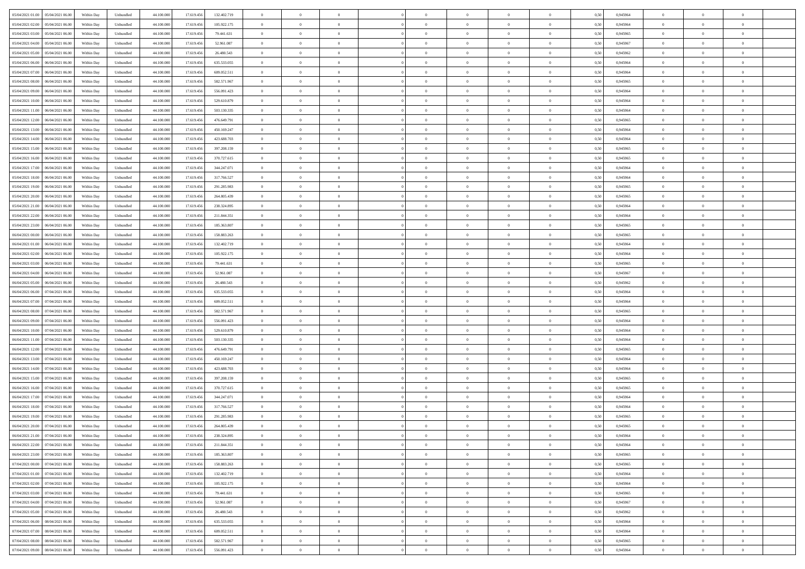| 05/04/2021 01:00<br>05/04/2021 06:00 | Within Day | Unbundled | 44.100.000 | 17.619.456 | 132.402.719 | $\overline{0}$ | $\overline{0}$ | $\overline{0}$ | $\theta$       | $\theta$       |                | $\overline{0}$ | 0,50 | 0,945964 | $\theta$       | $\theta$       | $\theta$       |  |
|--------------------------------------|------------|-----------|------------|------------|-------------|----------------|----------------|----------------|----------------|----------------|----------------|----------------|------|----------|----------------|----------------|----------------|--|
|                                      |            |           |            |            |             |                |                |                |                |                |                |                |      |          |                |                |                |  |
| 05/04/2021 02.00<br>05/04/2021 06.0  | Within Day | Unbundled | 44.100.000 | 17.619.456 | 105.922.175 | $\overline{0}$ | $\overline{0}$ | $\overline{0}$ | $\,$ 0 $\,$    | $\bf{0}$       | $\overline{0}$ | $\bf{0}$       | 0,50 | 0,945964 | $\,$ 0 $\,$    | $\theta$       | $\overline{0}$ |  |
| 05/04/2021 03:00<br>05/04/2021 06:00 | Within Day | Unbundled | 44,100,000 | 17.619.456 | 79.441.631  | $\overline{0}$ | $\overline{0}$ | $\overline{0}$ | $\bf{0}$       | $\bf{0}$       | $\overline{0}$ | $\mathbf{0}$   | 0.50 | 0.945965 | $\bf{0}$       | $\overline{0}$ | $\overline{0}$ |  |
| 05/04/2021 04:00<br>05/04/2021 06:00 | Within Day | Unbundled | 44.100.000 | 17.619.456 | 52.961.087  | $\overline{0}$ | $\overline{0}$ | $\overline{0}$ | $\overline{0}$ | $\overline{0}$ | $\overline{0}$ | $\bf{0}$       | 0,50 | 0,945967 | $\theta$       | $\theta$       | $\overline{0}$ |  |
| 05/04/2021 05:00<br>05/04/2021 06.0  | Within Day | Unbundled | 44.100.000 | 17.619.456 | 26.480.543  | $\bf{0}$       | $\overline{0}$ | $\bf{0}$       | $\overline{0}$ | $\overline{0}$ | $\overline{0}$ | $\bf{0}$       | 0,50 | 0,945962 | $\,$ 0 $\,$    | $\theta$       | $\overline{0}$ |  |
| 05/04/2021 06:00<br>06/04/2021 06:00 | Within Day | Unbundled | 44,100,000 | 17.619.456 | 635.533.055 | $\overline{0}$ | $\overline{0}$ | $\overline{0}$ | $\bf{0}$       | $\overline{0}$ | $\Omega$       | $\overline{0}$ | 0.50 | 0.945964 | $\theta$       | $\theta$       | $\overline{0}$ |  |
| 05/04/2021 07:00<br>06/04/2021 06.00 | Within Day | Unbundled | 44.100.000 | 17.619.456 | 609.052.511 | $\overline{0}$ | $\overline{0}$ | $\overline{0}$ | $\overline{0}$ | $\overline{0}$ | $\overline{0}$ | $\bf{0}$       | 0,50 | 0,945964 | $\theta$       | $\theta$       | $\overline{0}$ |  |
| 05/04/2021 08:00<br>06/04/2021 06.0  | Within Day | Unbundled | 44.100.000 | 17.619.456 | 582.571.967 | $\overline{0}$ | $\overline{0}$ | $\overline{0}$ | $\overline{0}$ | $\overline{0}$ | $\overline{0}$ | $\bf{0}$       | 0,50 | 0,945965 | $\,$ 0 $\,$    | $\bf{0}$       | $\overline{0}$ |  |
|                                      |            |           |            |            |             |                |                |                |                |                |                |                |      |          |                |                |                |  |
| 05/04/2021 09:00<br>06/04/2021 06:00 | Within Day | Unbundled | 44,100,000 | 17.619.456 | 556.091.423 | $\overline{0}$ | $\overline{0}$ | $\overline{0}$ | $\bf{0}$       | $\overline{0}$ | $\overline{0}$ | $\mathbf{0}$   | 0.50 | 0.945964 | $\,$ 0 $\,$    | $\theta$       | $\overline{0}$ |  |
| 05/04/2021 10:00<br>06/04/2021 06:00 | Within Day | Unbundled | 44.100.000 | 17.619.456 | 529.610.879 | $\overline{0}$ | $\overline{0}$ | $\overline{0}$ | $\overline{0}$ | $\overline{0}$ | $\overline{0}$ | $\bf{0}$       | 0,50 | 0,945964 | $\,$ 0 $\,$    | $\theta$       | $\overline{0}$ |  |
| 05/04/2021 11:00<br>06/04/2021 06.0  | Within Day | Unbundled | 44.100.000 | 17.619.456 | 503.130.335 | $\overline{0}$ | $\overline{0}$ | $\bf{0}$       | $\bf{0}$       | $\bf{0}$       | $\overline{0}$ | $\bf{0}$       | 0,50 | 0,945964 | $\,$ 0 $\,$    | $\theta$       | $\overline{0}$ |  |
| 05/04/2021 12:00<br>06/04/2021 06:00 | Within Day | Unbundled | 44,100,000 | 17.619.456 | 476.649.791 | $\overline{0}$ | $\overline{0}$ | $\overline{0}$ | $\bf{0}$       | $\bf{0}$       | $\overline{0}$ | $\mathbf{0}$   | 0.50 | 0.945965 | $\bf{0}$       | $\overline{0}$ | $\bf{0}$       |  |
| 05/04/2021 13:00<br>06/04/2021 06.00 | Within Day | Unbundled | 44.100.000 | 17.619.456 | 450.169.247 | $\overline{0}$ | $\overline{0}$ | $\overline{0}$ | $\overline{0}$ | $\overline{0}$ | $\overline{0}$ | $\bf{0}$       | 0,50 | 0,945964 | $\theta$       | $\theta$       | $\overline{0}$ |  |
| 05/04/2021 14:00<br>06/04/2021 06.0  | Within Day | Unbundled | 44.100.000 | 17.619.456 | 423.688.703 | $\overline{0}$ | $\overline{0}$ | $\bf{0}$       | $\bf{0}$       | $\overline{0}$ | $\overline{0}$ | $\bf{0}$       | 0,50 | 0,945964 | $\,$ 0 $\,$    | $\bf{0}$       | $\overline{0}$ |  |
| 05/04/2021 15:00<br>06/04/2021 06:00 | Within Day | Unbundled | 44,100,000 | 17.619.456 | 397.208.159 | $\overline{0}$ | $\overline{0}$ | $\overline{0}$ | $\bf{0}$       | $\overline{0}$ | $\Omega$       | $\mathbf{0}$   | 0.50 | 0.945965 | $\theta$       | $\theta$       | $\overline{0}$ |  |
|                                      |            |           |            |            |             |                |                |                |                |                |                |                |      |          |                |                |                |  |
| 05/04/2021 16:00<br>06/04/2021 06.00 | Within Day | Unbundled | 44.100.000 | 17.619.456 | 370.727.615 | $\overline{0}$ | $\overline{0}$ | $\overline{0}$ | $\overline{0}$ | $\overline{0}$ | $\overline{0}$ | $\bf{0}$       | 0,50 | 0,945965 | $\theta$       | $\theta$       | $\overline{0}$ |  |
| 05/04/2021 17:00<br>06/04/2021 06.0  | Within Day | Unbundled | 44.100.000 | 17.619.456 | 344.247.071 | $\overline{0}$ | $\overline{0}$ | $\overline{0}$ | $\overline{0}$ | $\overline{0}$ | $\overline{0}$ | $\bf{0}$       | 0,50 | 0,945964 | $\,$ 0 $\,$    | $\theta$       | $\overline{0}$ |  |
| 05/04/2021 18:00<br>06/04/2021 06:00 | Within Day | Unbundled | 44,100,000 | 17.619.456 | 317.766.527 | $\overline{0}$ | $\overline{0}$ | $\overline{0}$ | $\bf{0}$       | $\overline{0}$ | $\overline{0}$ | $\mathbf{0}$   | 0.50 | 0.945964 | $\,$ 0 $\,$    | $\overline{0}$ | $\overline{0}$ |  |
| 05/04/2021 19:00<br>06/04/2021 06.00 | Within Day | Unbundled | 44.100.000 | 17.619.456 | 291.285.983 | $\overline{0}$ | $\overline{0}$ | $\overline{0}$ | $\overline{0}$ | $\overline{0}$ | $\overline{0}$ | $\bf{0}$       | 0,50 | 0,945965 | $\,$ 0 $\,$    | $\theta$       | $\overline{0}$ |  |
| 05/04/2021 20.00<br>06/04/2021 06.0  | Within Day | Unbundled | 44.100.000 | 17.619.456 | 264.805.439 | $\overline{0}$ | $\overline{0}$ | $\overline{0}$ | $\bf{0}$       | $\bf{0}$       | $\overline{0}$ | $\bf{0}$       | 0,50 | 0,945965 | $\,$ 0 $\,$    | $\bf{0}$       | $\overline{0}$ |  |
| 05/04/2021 21.00<br>06/04/2021 06:00 | Within Day | Unbundled | 44,100,000 | 17.619.456 | 238.324.895 | $\overline{0}$ | $\overline{0}$ | $\overline{0}$ | $\bf{0}$       | $\bf{0}$       | $\overline{0}$ | $\mathbf{0}$   | 0.50 | 0.945964 | $\bf{0}$       | $\overline{0}$ | $\overline{0}$ |  |
| 05/04/2021 22.00<br>06/04/2021 06:00 | Within Day | Unbundled | 44.100.000 | 17.619.456 | 211.844.351 | $\overline{0}$ | $\overline{0}$ | $\overline{0}$ | $\overline{0}$ | $\overline{0}$ | $\overline{0}$ | $\bf{0}$       | 0,50 | 0,945964 | $\theta$       | $\theta$       | $\overline{0}$ |  |
|                                      |            |           |            |            |             |                |                |                |                |                |                |                |      |          |                |                |                |  |
| 05/04/2021 23.00<br>06/04/2021 06.0  | Within Day | Unbundled | 44.100.000 | 17.619.456 | 185.363.807 | $\overline{0}$ | $\overline{0}$ | $\bf{0}$       | $\bf{0}$       | $\overline{0}$ | $\overline{0}$ | $\bf{0}$       | 0,50 | 0,945965 | $\,$ 0 $\,$    | $\bf{0}$       | $\overline{0}$ |  |
| 06/04/2021 00:00<br>06/04/2021 06:00 | Within Day | Unbundled | 44,100,000 | 17.619.456 | 158,883,263 | $\overline{0}$ | $\overline{0}$ | $\overline{0}$ | $\bf{0}$       | $\overline{0}$ | $\Omega$       | $\mathbf{0}$   | 0.50 | 0.945965 | $\theta$       | $\theta$       | $\overline{0}$ |  |
| 06/04/2021 01:00<br>06/04/2021 06.00 | Within Day | Unbundled | 44.100.000 | 17.619.456 | 132.402.719 | $\overline{0}$ | $\overline{0}$ | $\overline{0}$ | $\overline{0}$ | $\overline{0}$ | $\overline{0}$ | $\bf{0}$       | 0,50 | 0,945964 | $\theta$       | $\theta$       | $\overline{0}$ |  |
| 06/04/2021 02.00<br>06/04/2021 06.0  | Within Day | Unbundled | 44.100.000 | 17.619.456 | 105.922.175 | $\overline{0}$ | $\overline{0}$ | $\overline{0}$ | $\overline{0}$ | $\overline{0}$ | $\overline{0}$ | $\bf{0}$       | 0,50 | 0,945964 | $\,$ 0 $\,$    | $\theta$       | $\overline{0}$ |  |
| 06/04/2021 03:00<br>06/04/2021 06:00 | Within Day | Unbundled | 44,100,000 | 17.619.456 | 79.441.631  | $\overline{0}$ | $\overline{0}$ | $\overline{0}$ | $\bf{0}$       | $\overline{0}$ | $\overline{0}$ | $\mathbf{0}$   | 0.50 | 0.945965 | $\,$ 0 $\,$    | $\theta$       | $\overline{0}$ |  |
| 06/04/2021 04:00<br>06/04/2021 06:00 | Within Day | Unbundled | 44.100.000 | 17.619.456 | 52.961.087  | $\overline{0}$ | $\overline{0}$ | $\overline{0}$ | $\overline{0}$ | $\overline{0}$ | $\overline{0}$ | $\bf{0}$       | 0,50 | 0,945967 | $\theta$       | $\theta$       | $\overline{0}$ |  |
|                                      |            |           |            |            |             |                | $\overline{0}$ |                | $\overline{0}$ | $\bf{0}$       | $\overline{0}$ | $\bf{0}$       |      |          | $\,$ 0 $\,$    | $\bf{0}$       | $\overline{0}$ |  |
| 06/04/2021 05:00<br>06/04/2021 06.0  | Within Day | Unbundled | 44.100.000 | 17.619.456 | 26.480.543  | $\overline{0}$ |                | $\overline{0}$ |                |                |                |                | 0,50 | 0,945962 |                |                |                |  |
| 06/04/2021 06:00<br>07/04/2021 06:00 | Within Day | Unbundled | 44,100,000 | 17.619.456 | 635.533.055 | $\overline{0}$ | $\overline{0}$ | $\overline{0}$ | $\bf{0}$       | $\bf{0}$       | $\overline{0}$ | $\mathbf{0}$   | 0.50 | 0.945964 | $\bf{0}$       | $\overline{0}$ | $\bf{0}$       |  |
| 06/04/2021 07:00<br>07/04/2021 06:00 | Within Day | Unbundled | 44.100.000 | 17.619.456 | 609.052.511 | $\overline{0}$ | $\overline{0}$ | $\overline{0}$ | $\overline{0}$ | $\overline{0}$ | $\overline{0}$ | $\overline{0}$ | 0.50 | 0.945964 | $\theta$       | $\theta$       | $\overline{0}$ |  |
| 06/04/2021 08.00<br>07/04/2021 06.00 | Within Day | Unbundled | 44.100.000 | 17.619.456 | 582.571.967 | $\overline{0}$ | $\overline{0}$ | $\overline{0}$ | $\bf{0}$       | $\overline{0}$ | $\overline{0}$ | $\bf{0}$       | 0,50 | 0,945965 | $\,$ 0 $\,$    | $\bf{0}$       | $\overline{0}$ |  |
| 06/04/2021 09:00<br>07/04/2021 06:00 | Within Day | Unbundled | 44,100,000 | 17.619.456 | 556.091.423 | $\overline{0}$ | $\overline{0}$ | $\overline{0}$ | $\bf{0}$       | $\overline{0}$ | $\overline{0}$ | $\overline{0}$ | 0.50 | 0.945964 | $\,$ 0 $\,$    | $\theta$       | $\overline{0}$ |  |
| 06/04/2021 10:00<br>07/04/2021 06:00 | Within Day | Unbundled | 44.100.000 | 17.619.456 | 529.610.879 | $\overline{0}$ | $\overline{0}$ | $\overline{0}$ | $\overline{0}$ | $\overline{0}$ | $\Omega$       | $\overline{0}$ | 0.50 | 0,945964 | $\theta$       | $\theta$       | $\overline{0}$ |  |
| 06/04/2021 11:00<br>07/04/2021 06.0  | Within Day | Unbundled | 44.100.000 | 17.619.456 | 503.130.335 | $\overline{0}$ | $\overline{0}$ | $\overline{0}$ | $\bf{0}$       | $\overline{0}$ | $\overline{0}$ | $\bf{0}$       | 0,50 | 0,945964 | $\,$ 0 $\,$    | $\theta$       | $\overline{0}$ |  |
| 06/04/2021 12:00<br>07/04/2021 06:00 | Within Day | Unbundled | 44,100,000 | 17.619.456 | 476.649.791 | $\overline{0}$ | $\overline{0}$ | $\overline{0}$ | $\bf{0}$       | $\overline{0}$ | $\overline{0}$ | $\mathbf{0}$   | 0.50 | 0.945965 | $\,$ 0 $\,$    | $\theta$       | $\overline{0}$ |  |
| 06/04/2021 13:00<br>07/04/2021 06:00 | Within Day | Unbundled | 44.100.000 | 17.619.456 | 450.169.247 | $\overline{0}$ | $\overline{0}$ | $\overline{0}$ | $\overline{0}$ | $\overline{0}$ | $\overline{0}$ | $\overline{0}$ | 0.50 | 0,945964 | $\theta$       | $\theta$       | $\overline{0}$ |  |
|                                      |            |           |            |            |             |                |                |                |                |                |                |                |      |          |                |                |                |  |
| 06/04/2021 14:00<br>07/04/2021 06.0  | Within Day | Unbundled | 44.100.000 | 17.619.456 | 423.688.703 | $\overline{0}$ | $\overline{0}$ | $\overline{0}$ | $\,$ 0 $\,$    | $\bf{0}$       | $\overline{0}$ | $\bf{0}$       | 0,50 | 0,945964 | $\,$ 0 $\,$    | $\bf{0}$       | $\overline{0}$ |  |
| 06/04/2021 15:00<br>07/04/2021 06:00 | Within Day | Unbundled | 44,100,000 | 17.619.456 | 397.208.159 | $\overline{0}$ | $\overline{0}$ | $\overline{0}$ | $\bf{0}$       | $\bf{0}$       | $\overline{0}$ | $\mathbf{0}$   | 0.50 | 0.945965 | $\bf{0}$       | $\overline{0}$ | $\overline{0}$ |  |
| 06/04/2021 16:00<br>07/04/2021 06:00 | Within Day | Unbundled | 44.100.000 | 17.619.456 | 370.727.615 | $\overline{0}$ | $\overline{0}$ | $\overline{0}$ | $\overline{0}$ | $\overline{0}$ | $\Omega$       | $\overline{0}$ | 0.50 | 0,945965 | $\theta$       | $\theta$       | $\overline{0}$ |  |
| 06/04/2021 17:00<br>07/04/2021 06.00 | Within Day | Unbundled | 44.100.000 | 17.619.456 | 344.247.071 | $\overline{0}$ | $\overline{0}$ | $\overline{0}$ | $\bf{0}$       | $\overline{0}$ | $\overline{0}$ | $\bf{0}$       | 0,50 | 0,945964 | $\,$ 0 $\,$    | $\bf{0}$       | $\overline{0}$ |  |
| 06/04/2021 18:00<br>07/04/2021 06:00 | Within Day | Unbundled | 44,100,000 | 17.619.456 | 317.766.527 | $\overline{0}$ | $\overline{0}$ | $\overline{0}$ | $\bf{0}$       | $\overline{0}$ | $\theta$       | $\overline{0}$ | 0.50 | 0.945964 | $\,$ 0 $\,$    | $\theta$       | $\overline{0}$ |  |
| 06/04/2021 19:00<br>07/04/2021 06:00 | Within Day | Unbundled | 44.100.000 | 17.619.456 | 291.285.983 | $\overline{0}$ | $\overline{0}$ | $\overline{0}$ | $\overline{0}$ | $\overline{0}$ | $\theta$       | $\overline{0}$ | 0.50 | 0,945965 | $\theta$       | $\theta$       | $\overline{0}$ |  |
| 06/04/2021 20:00<br>07/04/2021 06.00 | Within Day | Unbundled | 44.100.000 | 17.619.456 | 264.805.439 | $\overline{0}$ | $\overline{0}$ | $\bf{0}$       | $\overline{0}$ | $\bf{0}$       | $\overline{0}$ | $\bf{0}$       | 0,50 | 0,945965 | $\,$ 0 $\,$    | $\bf{0}$       | $\overline{0}$ |  |
|                                      |            |           |            |            |             |                |                |                |                |                |                |                |      |          |                |                |                |  |
| 06/04/2021 21:00<br>07/04/2021 06:00 | Within Day | Unbundled | 44.100.000 | 17.619.456 | 238.324.895 | $\bf{0}$       | $\,0\,$        |                | $\bf{0}$       |                |                |                | 0,50 | 0.945964 | $\theta$       | $\overline{0}$ |                |  |
| 06/04/2021 22:00 07/04/2021 06:00    | Within Dav | Unbundled | 44.100.000 | 17.619.456 | 211.844.351 | $\overline{0}$ | $\overline{0}$ | $\overline{0}$ | $\overline{0}$ | $\overline{0}$ | $\overline{0}$ | $\overline{0}$ | 0,50 | 0,945964 | $\theta$       | $\theta$       | $\overline{0}$ |  |
| 06/04/2021 23.00<br>07/04/2021 06.0  | Within Day | Unbundled | 44.100.000 | 17.619.456 | 185.363.807 | $\overline{0}$ | $\overline{0}$ | $\overline{0}$ | $\bf{0}$       | $\bf{0}$       | $\overline{0}$ | $\mathbf{0}$   | 0,50 | 0,945965 | $\bf{0}$       | $\overline{0}$ | $\bf{0}$       |  |
| 07/04/2021 00:00<br>07/04/2021 06:00 | Within Day | Unbundled | 44.100.000 | 17.619.456 | 158.883.263 | $\overline{0}$ | $\overline{0}$ | $\overline{0}$ | $\overline{0}$ | $\bf{0}$       | $\overline{0}$ | $\mathbf{0}$   | 0.50 | 0.945965 | $\overline{0}$ | $\bf{0}$       | $\bf{0}$       |  |
| 07/04/2021 01:00<br>07/04/2021 06:00 | Within Dav | Unbundled | 44.100.000 | 17.619.456 | 132.402.719 | $\overline{0}$ | $\overline{0}$ | $\overline{0}$ | $\overline{0}$ | $\overline{0}$ | $\overline{0}$ | $\mathbf{0}$   | 0,50 | 0,945964 | $\theta$       | $\theta$       | $\overline{0}$ |  |
| 07/04/2021 02.00<br>07/04/2021 06.00 | Within Day | Unbundled | 44.100.000 | 17.619.456 | 105.922.175 | $\overline{0}$ | $\overline{0}$ | $\overline{0}$ | $\bf{0}$       | $\bf{0}$       | $\overline{0}$ | $\mathbf{0}$   | 0,50 | 0,945964 | $\overline{0}$ | $\bf{0}$       | $\overline{0}$ |  |
| 07/04/2021 03:00<br>07/04/2021 06:00 |            | Unbundled | 44.100.000 |            | 79.441.631  |                |                | $\overline{0}$ |                | $\overline{0}$ | $\overline{0}$ |                | 0.50 | 0.945965 | $\,$ 0 $\,$    | $\theta$       | $\overline{0}$ |  |
|                                      | Within Day |           |            | 17.619.456 |             | $\overline{0}$ | $\overline{0}$ |                | $\bf{0}$       |                |                | $\mathbf{0}$   |      |          |                |                |                |  |
| 07/04/2021 04:00<br>07/04/2021 06:00 | Within Dav | Unbundled | 44.100.000 | 17.619.456 | 52.961.087  | $\overline{0}$ | $\overline{0}$ | $\overline{0}$ | $\overline{0}$ | $\overline{0}$ | $\overline{0}$ | $\mathbf{0}$   | 0,50 | 0,945967 | $\overline{0}$ | $\theta$       | $\overline{0}$ |  |
| 07/04/2021 05:00<br>07/04/2021 06.00 | Within Day | Unbundled | 44.100.000 | 17.619.456 | 26.480.543  | $\overline{0}$ | $\overline{0}$ | $\overline{0}$ | $\bf{0}$       | $\bf{0}$       | $\overline{0}$ | $\,$ 0 $\,$    | 0,50 | 0,945962 | $\bf{0}$       | $\bf{0}$       | $\overline{0}$ |  |
| 07/04/2021 06:00<br>08/04/2021 06:00 | Within Day | Unbundled | 44,100,000 | 17.619.456 | 635.533.055 | $\overline{0}$ | $\overline{0}$ | $\overline{0}$ | $\bf{0}$       | $\bf{0}$       | $\overline{0}$ | $\,$ 0 $\,$    | 0.50 | 0.945964 | $\overline{0}$ | $\bf{0}$       | $\,$ 0         |  |
| 07/04/2021 07:00<br>08/04/2021 06:00 | Within Dav | Unbundled | 44.100.000 | 17.619.456 | 609.052.511 | $\overline{0}$ | $\overline{0}$ | $\overline{0}$ | $\overline{0}$ | $\overline{0}$ | $\overline{0}$ | $\mathbf{0}$   | 0,50 | 0,945964 | $\overline{0}$ | $\theta$       | $\overline{0}$ |  |
| 07/04/2021 08:00<br>08/04/2021 06.00 | Within Day | Unbundled | 44.100.000 | 17.619.456 | 582.571.967 | $\overline{0}$ | $\overline{0}$ | $\overline{0}$ | $\overline{0}$ | $\bf{0}$       | $\overline{0}$ | $\mathbf{0}$   | 0,50 | 0,945965 | $\bf{0}$       | $\bf{0}$       | $\overline{0}$ |  |
| 07/04/2021 09:00 08/04/2021 06:00    | Within Day | Unbundled | 44.100.000 | 17.619.456 | 556.091.423 | $\,$ 0 $\,$    | $\overline{0}$ | $\overline{0}$ | $\bf{0}$       | $\,$ 0         | $\overline{0}$ | $\,0\,$        | 0,50 | 0,945964 | $\overline{0}$ | $\,$ 0 $\,$    | $\,$ 0 $\,$    |  |
|                                      |            |           |            |            |             |                |                |                |                |                |                |                |      |          |                |                |                |  |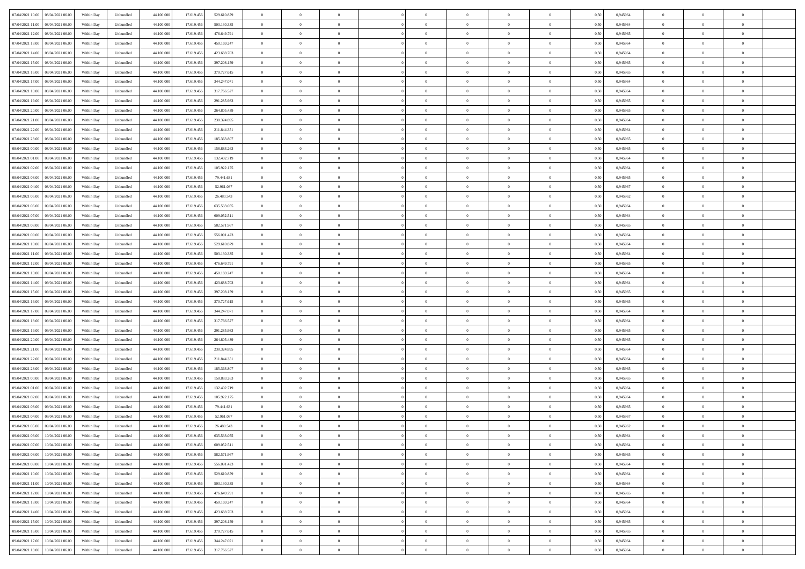| 07/04/2021 10:00  08/04/2021 06:00             | Within Day | Unbundled         | 44.100.000 | 17.619.456 | 529.610.879 | $\overline{0}$ | $\theta$       |                | $\overline{0}$ | $\theta$       |                | $\bf{0}$       | 0,50 | 0,945964 | $\theta$       | $\theta$       | $\overline{0}$ |  |
|------------------------------------------------|------------|-------------------|------------|------------|-------------|----------------|----------------|----------------|----------------|----------------|----------------|----------------|------|----------|----------------|----------------|----------------|--|
| 07/04/2021 11:00<br>08/04/2021 06:00           | Within Day | Unbundled         | 44.100.00  | 17.619.45  | 503.130.335 | $\bf{0}$       | $\overline{0}$ | $\overline{0}$ | $\overline{0}$ | $\theta$       | $\overline{0}$ | $\bf{0}$       | 0,50 | 0,945964 | $\,$ 0 $\,$    | $\bf{0}$       | $\overline{0}$ |  |
| 07/04/2021 12:00<br>08/04/2021 06:00           | Within Day | Unbundled         | 44,100,000 | 17.619.456 | 476.649.791 | $\overline{0}$ | $\overline{0}$ | $\overline{0}$ | $\bf{0}$       | $\bf{0}$       | $\overline{0}$ | $\bf{0}$       | 0.50 | 0.945965 | $\bf{0}$       | $\overline{0}$ | $\overline{0}$ |  |
| 07/04/2021 13:00<br>08/04/2021 06:00           | Within Day | Unbundled         | 44.100.000 | 17.619.456 | 450.169.247 | $\overline{0}$ | $\overline{0}$ | $\overline{0}$ | $\theta$       | $\theta$       | $\overline{0}$ | $\overline{0}$ | 0,50 | 0,945964 | $\theta$       | $\theta$       | $\overline{0}$ |  |
| 07/04/2021 14:00<br>08/04/2021 06:00           | Within Day | Unbundled         | 44.100.00  | 17.619.456 | 423.688.703 | $\overline{0}$ | $\theta$       | $\overline{0}$ | $\overline{0}$ | $\theta$       | $\overline{0}$ | $\bf{0}$       | 0,50 | 0,945964 | $\,$ 0 $\,$    | $\bf{0}$       | $\overline{0}$ |  |
|                                                |            |                   |            |            |             |                |                |                |                |                |                |                |      |          |                |                |                |  |
| 07/04/2021 15:00<br>08/04/2021 06:00           | Within Day | Unbundled         | 44,100,000 | 17.619.456 | 397.208.159 | $\overline{0}$ | $\overline{0}$ | $\overline{0}$ | $\overline{0}$ | $\overline{0}$ | $\Omega$       | $\bf{0}$       | 0.50 | 0.945965 | $\bf{0}$       | $\theta$       | $\overline{0}$ |  |
| 07/04/2021 16:00<br>08/04/2021 06:00           | Within Day | Unbundled         | 44.100.000 | 17.619.456 | 370.727.615 | $\overline{0}$ | $\overline{0}$ | $\overline{0}$ | $\overline{0}$ | $\overline{0}$ | $\overline{0}$ | $\bf{0}$       | 0,50 | 0,945965 | $\theta$       | $\theta$       | $\overline{0}$ |  |
| 07/04/2021 17:00<br>08/04/2021 06:00           | Within Day | Unbundled         | 44.100.00  | 17.619.45  | 344.247.071 | $\overline{0}$ | $\overline{0}$ | $\overline{0}$ | $\overline{0}$ | $\theta$       | $\overline{0}$ | $\bf{0}$       | 0,50 | 0,945964 | $\,$ 0 $\,$    | $\bf{0}$       | $\overline{0}$ |  |
| 07/04/2021 18:00<br>08/04/2021 06:00           | Within Day | Unbundled         | 44,100,00  | 17.619.456 | 317.766.527 | $\overline{0}$ | $\bf{0}$       | $\overline{0}$ | $\bf{0}$       | $\overline{0}$ | $\overline{0}$ | $\bf{0}$       | 0.50 | 0.945964 | $\bf{0}$       | $\theta$       | $\overline{0}$ |  |
| 07/04/2021 19:00<br>08/04/2021 06:00           | Within Day | Unbundled         | 44.100.000 | 17.619.456 | 291.285.983 | $\bf{0}$       | $\bf{0}$       | $\overline{0}$ | $\overline{0}$ | $\theta$       | $\overline{0}$ | $\bf{0}$       | 0,50 | 0,945965 | $\,$ 0 $\,$    | $\theta$       | $\overline{0}$ |  |
| 07/04/2021 20:00<br>08/04/2021 06:00           | Within Day | Unbundled         | 44.100.00  | 17.619.456 | 264.805.439 | $\bf{0}$       | $\overline{0}$ | $\bf{0}$       | $\overline{0}$ | $\bf{0}$       | $\overline{0}$ | $\bf{0}$       | 0,50 | 0,945965 | $\,$ 0 $\,$    | $\bf{0}$       | $\overline{0}$ |  |
| 07/04/2021 21:00<br>08/04/2021 06:00           | Within Day | Unbundled         | 44,100,000 | 17.619.456 | 238.324.895 | $\overline{0}$ | $\overline{0}$ | $\overline{0}$ | $\bf{0}$       | $\bf{0}$       | $\overline{0}$ | $\bf{0}$       | 0.50 | 0.945964 | $\bf{0}$       | $\overline{0}$ | $\overline{0}$ |  |
| 07/04/2021 22:00<br>08/04/2021 06:00           |            |                   | 44.100.000 |            |             | $\overline{0}$ | $\overline{0}$ | $\overline{0}$ | $\overline{0}$ | $\theta$       | $\overline{0}$ | $\overline{0}$ |      |          | $\theta$       | $\theta$       | $\overline{0}$ |  |
|                                                | Within Day | Unbundled         |            | 17.619.456 | 211.844.351 |                |                |                |                |                |                |                | 0,50 | 0,945964 |                |                |                |  |
| 07/04/2021 23:00<br>08/04/2021 06:00           | Within Day | Unbundled         | 44.100.00  | 17.619.45  | 185.363.807 | $\bf{0}$       | $\theta$       | $\bf{0}$       | $\overline{0}$ | $\theta$       | $\overline{0}$ | $\bf{0}$       | 0,50 | 0,945965 | $\bf{0}$       | $\bf{0}$       | $\overline{0}$ |  |
| 08/04/2021 00:00<br>08/04/2021 06:00           | Within Day | Unbundled         | 44,100,00  | 17.619.456 | 158.883.263 | $\overline{0}$ | $\overline{0}$ | $\overline{0}$ | $\bf{0}$       | $\theta$       | $\theta$       | $\bf{0}$       | 0.50 | 0.945965 | $\theta$       | $\theta$       | $\overline{0}$ |  |
| 08/04/2021 01:00<br>08/04/2021 06:00           | Within Day | Unbundled         | 44.100.000 | 17.619.456 | 132.402.719 | $\overline{0}$ | $\overline{0}$ | $\overline{0}$ | $\overline{0}$ | $\overline{0}$ | $\overline{0}$ | $\bf{0}$       | 0,50 | 0,945964 | $\theta$       | $\theta$       | $\overline{0}$ |  |
| 08/04/2021 02:00<br>08/04/2021 06:00           | Within Day | Unbundled         | 44.100.00  | 17.619.456 | 105.922.175 | $\bf{0}$       | $\overline{0}$ | $\overline{0}$ | $\overline{0}$ | $\theta$       | $\overline{0}$ | $\bf{0}$       | 0,50 | 0,945964 | $\,$ 0 $\,$    | $\bf{0}$       | $\overline{0}$ |  |
| 08/04/2021 03:00<br>08/04/2021 06:00           | Within Day | Unbundled         | 44,100,00  | 17.619.456 | 79.441.631  | $\overline{0}$ | $\overline{0}$ | $\overline{0}$ | $\bf{0}$       | $\overline{0}$ | $\overline{0}$ | $\bf{0}$       | 0.50 | 0.945965 | $\bf{0}$       | $\overline{0}$ | $\overline{0}$ |  |
| 08/04/2021 04:00<br>08/04/2021 06:00           | Within Day | Unbundled         | 44.100.000 | 17.619.456 | 52.961.087  | $\overline{0}$ | $\overline{0}$ | $\overline{0}$ | $\overline{0}$ | $\theta$       | $\overline{0}$ | $\bf{0}$       | 0,50 | 0,945967 | $\,$ 0 $\,$    | $\theta$       | $\overline{0}$ |  |
| 08/04/2021 05:00<br>08/04/2021 06:00           | Within Day | Unbundled         | 44.100.00  | 17.619.456 | 26.480.543  | $\bf{0}$       | $\overline{0}$ | $\bf{0}$       | $\bf{0}$       | $\overline{0}$ | $\overline{0}$ | $\bf{0}$       | 0,50 | 0,945962 | $\,$ 0 $\,$    | $\bf{0}$       | $\overline{0}$ |  |
|                                                |            |                   |            |            |             |                |                |                |                |                |                |                |      |          |                |                |                |  |
| 08/04/2021 06:00<br>09/04/2021 06:00           | Within Day | Unbundled         | 44,100,000 | 17.619.456 | 635.533.055 | $\overline{0}$ | $\bf{0}$       | $\overline{0}$ | $\bf{0}$       | $\overline{0}$ | $\overline{0}$ | $\bf{0}$       | 0.50 | 0.945964 | $\bf{0}$       | $\overline{0}$ | $\overline{0}$ |  |
| 08/04/2021 07:00<br>09/04/2021 06:00           | Within Day | Unbundled         | 44.100.000 | 17.619.456 | 609.052.511 | $\overline{0}$ | $\overline{0}$ | $\overline{0}$ | $\overline{0}$ | $\theta$       | $\overline{0}$ | $\bf{0}$       | 0,50 | 0,945964 | $\theta$       | $\theta$       | $\overline{0}$ |  |
| 08/04/2021 08:00<br>09/04/2021 06.00           | Within Day | Unbundled         | 44.100.00  | 17.619.456 | 582.571.967 | $\bf{0}$       | $\overline{0}$ | $\bf{0}$       | $\overline{0}$ | $\theta$       | $\overline{0}$ | $\bf{0}$       | 0,50 | 0,945965 | $\,$ 0 $\,$    | $\bf{0}$       | $\overline{0}$ |  |
| 08/04/2021 09:00<br>09/04/2021 06:00           | Within Day | Unbundled         | 44,100,00  | 17.619.456 | 556.091.423 | $\overline{0}$ | $\overline{0}$ | $\overline{0}$ | $\overline{0}$ | $\overline{0}$ | $\Omega$       | $\bf{0}$       | 0.50 | 0.945964 | $\bf{0}$       | $\theta$       | $\overline{0}$ |  |
| 08/04/2021 10:00<br>09/04/2021 06.00           | Within Day | Unbundled         | 44.100.000 | 17.619.456 | 529.610.879 | $\overline{0}$ | $\overline{0}$ | $\overline{0}$ | $\overline{0}$ | $\theta$       | $\overline{0}$ | $\bf{0}$       | 0,50 | 0,945964 | $\theta$       | $\theta$       | $\overline{0}$ |  |
| 08/04/2021 11:00<br>09/04/2021 06.00           | Within Day | Unbundled         | 44.100.00  | 17.619.45  | 503.130.335 | $\bf{0}$       | $\theta$       | $\overline{0}$ | $\overline{0}$ | $\theta$       | $\overline{0}$ | $\bf{0}$       | 0,50 | 0,945964 | $\,$ 0 $\,$    | $\bf{0}$       | $\overline{0}$ |  |
| 08/04/2021 12:00<br>09/04/2021 06:00           | Within Day | Unbundled         | 44,100,000 | 17.619.456 | 476.649.791 | $\overline{0}$ | $\bf{0}$       | $\overline{0}$ | $\bf{0}$       | $\overline{0}$ | $\overline{0}$ | $\bf{0}$       | 0.50 | 0.945965 | $\bf{0}$       | $\theta$       | $\overline{0}$ |  |
| 08/04/2021 13:00<br>09/04/2021 06:00           | Within Day | Unbundled         | 44.100.000 | 17.619.456 | 450.169.247 | $\overline{0}$ | $\overline{0}$ | $\overline{0}$ | $\overline{0}$ | $\theta$       | $\overline{0}$ | $\bf{0}$       | 0,50 | 0,945964 | $\theta$       | $\theta$       | $\overline{0}$ |  |
|                                                |            |                   |            |            |             |                |                |                |                |                |                |                |      |          |                |                |                |  |
| 08/04/2021 14:00<br>09/04/2021 06.00           | Within Day | Unbundled         | 44.100.00  | 17.619.456 | 423.688.703 | $\bf{0}$       | $\bf{0}$       | $\bf{0}$       | $\bf{0}$       | $\overline{0}$ | $\overline{0}$ | $\bf{0}$       | 0,50 | 0,945964 | $\,$ 0 $\,$    | $\bf{0}$       | $\overline{0}$ |  |
| 08/04/2021 15:00<br>09/04/2021 06:00           | Within Day | Unbundled         | 44,100,000 | 17.619.456 | 397.208.159 | $\overline{0}$ | $\bf{0}$       | $\overline{0}$ | $\bf{0}$       | $\bf{0}$       | $\overline{0}$ | $\bf{0}$       | 0.50 | 0.945965 | $\bf{0}$       | $\overline{0}$ | $\overline{0}$ |  |
| 08/04/2021 16:00<br>09/04/2021 06:00           | Within Day | Unbundled         | 44.100.000 | 17.619.456 | 370.727.615 | $\overline{0}$ | $\overline{0}$ | $\overline{0}$ | $\overline{0}$ | $\theta$       | $\overline{0}$ | $\bf{0}$       | 0.5( | 0.945965 | $\theta$       | $\theta$       | $\overline{0}$ |  |
| 08/04/2021 17:00<br>09/04/2021 06.00           | Within Day | Unbundled         | 44.100.00  | 17.619.456 | 344.247.071 | $\bf{0}$       | $\overline{0}$ | $\bf{0}$       | $\overline{0}$ | $\theta$       | $\overline{0}$ | $\bf{0}$       | 0,50 | 0,945964 | $\,$ 0 $\,$    | $\bf{0}$       | $\overline{0}$ |  |
| 08/04/2021 18:00<br>09/04/2021 06:00           | Within Day | Unbundled         | 44,100,000 | 17.619.456 | 317.766.527 | $\overline{0}$ | $\overline{0}$ | $\overline{0}$ | $\bf{0}$       | $\theta$       | $\theta$       | $\bf{0}$       | 0.50 | 0.945964 | $\,$ 0 $\,$    | $\overline{0}$ | $\overline{0}$ |  |
| 08/04/2021 19:00<br>09/04/2021 06:00           | Within Dav | Unbundled         | 44.100.000 | 17.619.456 | 291.285.983 | $\overline{0}$ | $\overline{0}$ | $\Omega$       | $\overline{0}$ | $\theta$       | $\overline{0}$ | $\overline{0}$ | 0.50 | 0,945965 | $\theta$       | $\theta$       | $\overline{0}$ |  |
| 08/04/2021 20:00<br>09/04/2021 06.00           | Within Day | Unbundled         | 44.100.00  | 17.619.456 | 264.805.439 | $\bf{0}$       | $\overline{0}$ | $\bf{0}$       | $\overline{0}$ | $\bf{0}$       | $\overline{0}$ | $\bf{0}$       | 0,50 | 0,945965 | $\,$ 0 $\,$    | $\bf{0}$       | $\overline{0}$ |  |
| 08/04/2021 21:00<br>09/04/2021 06:00           | Within Day | Unbundled         | 44,100,00  | 17.619.456 | 238.324.895 | $\overline{0}$ | $\overline{0}$ | $\overline{0}$ | $\bf{0}$       | $\overline{0}$ | $\overline{0}$ | $\bf{0}$       | 0.50 | 0.945964 | $\bf{0}$       | $\overline{0}$ | $\overline{0}$ |  |
|                                                |            |                   |            |            |             |                |                |                |                |                |                |                |      |          |                |                |                |  |
| 08/04/2021 22:00<br>09/04/2021 06:00           | Within Dav | Unbundled         | 44.100.000 | 17.619.456 | 211.844.351 | $\overline{0}$ | $\overline{0}$ | $\overline{0}$ | $\overline{0}$ | $\overline{0}$ | $\overline{0}$ | $\overline{0}$ | 0.50 | 0,945964 | $\theta$       | $\theta$       | $\overline{0}$ |  |
| 08/04/2021 23:00<br>09/04/2021 06.00           | Within Day | Unbundled         | 44.100.00  | 17.619.456 | 185.363.807 | $\bf{0}$       | $\bf{0}$       | $\bf{0}$       | $\bf{0}$       | $\overline{0}$ | $\overline{0}$ | $\bf{0}$       | 0,50 | 0,945965 | $\,$ 0 $\,$    | $\bf{0}$       | $\overline{0}$ |  |
| 09/04/2021 00:00<br>09/04/2021 06:00           | Within Day | Unbundled         | 44,100,000 | 17.619.456 | 158,883,263 | $\overline{0}$ | $\bf{0}$       | $\overline{0}$ | $\bf{0}$       | $\overline{0}$ | $\overline{0}$ | $\bf{0}$       | 0.50 | 0.945965 | $\bf{0}$       | $\overline{0}$ | $\overline{0}$ |  |
| 09/04/2021 01:00<br>09/04/2021 06:00           | Within Dav | Unbundled         | 44.100.000 | 17.619.456 | 132.402.719 | $\overline{0}$ | $\overline{0}$ | $\Omega$       | $\overline{0}$ | $\overline{0}$ | $\overline{0}$ | $\bf{0}$       | 0.50 | 0.945964 | $\theta$       | $\theta$       | $\overline{0}$ |  |
| 09/04/2021 02:00<br>09/04/2021 06.00           | Within Day | Unbundled         | 44.100.00  | 17.619.456 | 105.922.175 | $\bf{0}$       | $\overline{0}$ | $\bf{0}$       | $\overline{0}$ | $\,$ 0 $\,$    | $\overline{0}$ | $\bf{0}$       | 0,50 | 0,945964 | $\,$ 0 $\,$    | $\bf{0}$       | $\overline{0}$ |  |
| 09/04/2021 03:00<br>09/04/2021 06:00           | Within Day | Unbundled         | 44,100,00  | 17.619.45  | 79.441.631  | $\overline{0}$ | $\overline{0}$ | $\Omega$       | $\overline{0}$ | $\theta$       | $\theta$       | $\bf{0}$       | 0.50 | 0.945965 | $\,$ 0 $\,$    | $\theta$       | $\overline{0}$ |  |
| 09/04/2021 04:00<br>09/04/2021 06:00           | Within Dav | Unbundled         | 44.100.000 | 17.619.456 | 52.961.087  | $\overline{0}$ | $\overline{0}$ | $\Omega$       | $\overline{0}$ | $\theta$       | $\Omega$       | $\overline{0}$ | 0.5( | 0,945967 | $\theta$       | $\theta$       | $\overline{0}$ |  |
| 09/04/2021 05:00<br>09/04/2021 06:00           | Within Day | Unbundled         | 44.100.000 | 17.619.456 | 26.480.543  | $\bf{0}$       | $\bf{0}$       | $\overline{0}$ | $\bf{0}$       | $\bf{0}$       | $\overline{0}$ | $\bf{0}$       | 0,50 | 0,945962 | $\,$ 0 $\,$    | $\bf{0}$       | $\overline{0}$ |  |
| $09/04/2021\; 06.00 \qquad 10/04/2021\; 06.00$ | Within Day | ${\sf Unbundred}$ | 44.100.000 | 17.619.456 | 635.533.055 | $\overline{0}$ | $\Omega$       |                | $\Omega$       |                |                |                | 0,50 | 0.945964 | $\theta$       | $\overline{0}$ |                |  |
|                                                |            |                   |            |            |             |                |                |                |                |                |                |                |      |          |                |                |                |  |
| 09/04/2021 07:00 10/04/2021 06:00              | Within Day | Unbundled         | 44.100.000 | 17.619.456 | 609.052.511 | $\overline{0}$ | $\theta$       | $\Omega$       | $\theta$       | $\overline{0}$ | $\overline{0}$ | $\bf{0}$       | 0,50 | 0,945964 | $\theta$       | $\theta$       | $\overline{0}$ |  |
| 09/04/2021 08:00<br>10/04/2021 06:00           | Within Day | Unbundled         | 44.100.00  | 17.619.456 | 582.571.967 | $\overline{0}$ | $\bf{0}$       | $\overline{0}$ | $\overline{0}$ | $\bf{0}$       | $\overline{0}$ | $\bf{0}$       | 0,50 | 0,945965 | $\bf{0}$       | $\overline{0}$ | $\bf{0}$       |  |
| 09/04/2021 09:00<br>10/04/2021 06:00           | Within Day | Unbundled         | 44,100,000 | 17.619.456 | 556.091.423 | $\overline{0}$ | $\bf{0}$       | $\overline{0}$ | $\overline{0}$ | $\overline{0}$ | $\overline{0}$ | $\bf{0}$       | 0.50 | 0.945964 | $\mathbf{0}$   | $\bf{0}$       | $\,$ 0 $\,$    |  |
| 09/04/2021 10:00<br>10/04/2021 06:00           | Within Dav | Unbundled         | 44.100.000 | 17.619.456 | 529.610.879 | $\overline{0}$ | $\overline{0}$ | $\overline{0}$ | $\overline{0}$ | $\overline{0}$ | $\overline{0}$ | $\bf{0}$       | 0,50 | 0,945964 | $\theta$       | $\theta$       | $\overline{0}$ |  |
| 09/04/2021 11:00<br>10/04/2021 06:00           | Within Day | Unbundled         | 44.100.000 | 17.619.456 | 503.130.335 | $\overline{0}$ | $\bf{0}$       | $\overline{0}$ | $\bf{0}$       | $\overline{0}$ | $\overline{0}$ | $\bf{0}$       | 0,50 | 0,945964 | $\overline{0}$ | $\bf{0}$       | $\overline{0}$ |  |
| 09/04/2021 12:00<br>10/04/2021 06:00           | Within Day | Unbundled         | 44,100,000 | 17.619.456 | 476.649.791 | $\overline{0}$ | $\bf{0}$       | $\overline{0}$ | $\overline{0}$ | $\overline{0}$ | $\overline{0}$ | $\bf{0}$       | 0.50 | 0.945965 | $\,$ 0 $\,$    | $\theta$       | $\overline{0}$ |  |
| 09/04/2021 13:00<br>10/04/2021 06:00           | Within Dav | Unbundled         | 44.100.000 | 17.619.456 | 450.169.247 | $\overline{0}$ | $\overline{0}$ | $\overline{0}$ | $\overline{0}$ | $\overline{0}$ | $\overline{0}$ | $\bf{0}$       | 0.50 | 0,945964 | $\overline{0}$ | $\theta$       | $\overline{0}$ |  |
|                                                |            |                   |            |            |             |                |                |                |                |                |                |                |      |          |                |                |                |  |
| 09/04/2021 14:00<br>10/04/2021 06:00           | Within Day | Unbundled         | 44.100.00  | 17.619.456 | 423.688.703 | $\overline{0}$ | $\overline{0}$ | $\overline{0}$ | $\overline{0}$ | $\bf{0}$       | $\overline{0}$ | $\bf{0}$       | 0,50 | 0,945964 | $\bf{0}$       | $\bf{0}$       | $\overline{0}$ |  |
| 10/04/2021 06:00<br>09/04/2021 15:00           | Within Day | Unbundled         | 44,100,000 | 17.619.456 | 397.208.159 | $\overline{0}$ | $\overline{0}$ | $\overline{0}$ | $\overline{0}$ | $\bf{0}$       | $\overline{0}$ | $\bf{0}$       | 0.50 | 0.945965 | $\overline{0}$ | $\,$ 0 $\,$    | $\,$ 0         |  |
| 09/04/2021 16:00<br>10/04/2021 06:00           | Within Dav | Unbundled         | 44.100.000 | 17.619.456 | 370.727.615 | $\overline{0}$ | $\overline{0}$ | $\overline{0}$ | $\overline{0}$ | $\overline{0}$ | $\overline{0}$ | $\bf{0}$       | 0,50 | 0,945965 | $\theta$       | $\theta$       | $\overline{0}$ |  |
| 09/04/2021 17:00<br>10/04/2021 06:00           | Within Day | Unbundled         | 44.100.00  | 17.619.456 | 344.247.071 | $\overline{0}$ | $\bf{0}$       | $\overline{0}$ | $\bf{0}$       | $\overline{0}$ | $\overline{0}$ | $\bf{0}$       | 0,50 | 0,945964 | $\bf{0}$       | $\bf{0}$       | $\overline{0}$ |  |
| 09/04/2021 18:00 10/04/2021 06:00              | Within Day | Unbundled         | 44.100.000 | 17.619.456 | 317.766.527 | $\overline{0}$ | $\bf{0}$       | $\overline{0}$ | $\overline{0}$ | $\,$ 0 $\,$    | $\overline{0}$ | $\bf{0}$       | 0,50 | 0,945964 | $\overline{0}$ | $\,$ 0 $\,$    | $\,$ 0 $\,$    |  |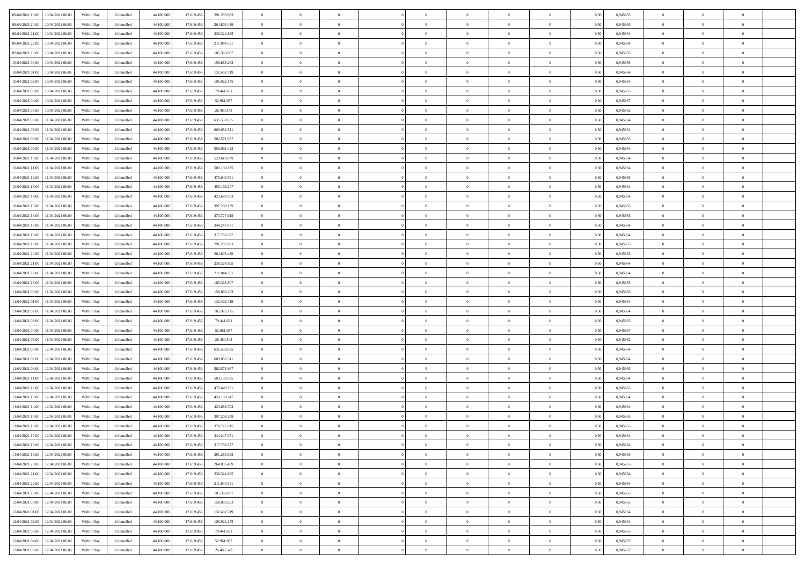| 09/04/2021 19:00<br>10/04/2021 06:00         | Within Day | Unbundled                   | 44.100.000 | 17.619.456 | 291.285.983   | $\overline{0}$ | $\theta$       |                | $\overline{0}$ | $\theta$       |                | $\theta$       | 0,50 | 0,945965 | $\theta$       | $\theta$       | $\overline{0}$ |  |
|----------------------------------------------|------------|-----------------------------|------------|------------|---------------|----------------|----------------|----------------|----------------|----------------|----------------|----------------|------|----------|----------------|----------------|----------------|--|
| 09/04/2021 20:00<br>10/04/2021 06:00         | Within Day | Unbundled                   | 44.100.00  | 17.619.45  | 264.805.439   | $\bf{0}$       | $\bf{0}$       | $\bf{0}$       | $\overline{0}$ | $\bf{0}$       | $\overline{0}$ | $\bf{0}$       | 0,50 | 0,945965 | $\,$ 0 $\,$    | $\bf{0}$       | $\overline{0}$ |  |
| 09/04/2021 21:00<br>10/04/2021 06:00         | Within Day | Unbundled                   | 44,100,000 | 17.619.456 | 238.324.895   | $\overline{0}$ | $\bf{0}$       | $\overline{0}$ | $\bf{0}$       | $\bf{0}$       | $\overline{0}$ | $\bf{0}$       | 0.50 | 0.945964 | $\bf{0}$       | $\overline{0}$ | $\overline{0}$ |  |
| 09/04/2021 22.00<br>10/04/2021 06:00         | Within Day | Unbundled                   | 44.100.000 | 17.619.456 | 211.844.351   | $\overline{0}$ | $\overline{0}$ | $\overline{0}$ | $\theta$       | $\theta$       | $\overline{0}$ | $\bf{0}$       | 0,50 | 0,945964 | $\theta$       | $\theta$       | $\overline{0}$ |  |
| 09/04/2021 23:00<br>10/04/2021 06:00         | Within Day | Unbundled                   | 44.100.00  | 17.619.456 | 185.363.807   | $\bf{0}$       | $\overline{0}$ | $\bf{0}$       | $\overline{0}$ | $\theta$       | $\overline{0}$ | $\bf{0}$       | 0,50 | 0,945965 | $\,$ 0 $\,$    | $\bf{0}$       | $\overline{0}$ |  |
|                                              |            |                             |            |            |               |                |                |                |                |                |                |                |      |          |                |                |                |  |
| 10/04/2021 00:00<br>10/04/2021 06:00         | Within Day | Unbundled                   | 44,100,000 | 17.619.456 | 158,883,263   | $\overline{0}$ | $\overline{0}$ | $\overline{0}$ | $\bf{0}$       | $\overline{0}$ | $\theta$       | $\bf{0}$       | 0.50 | 0.945965 | $\bf{0}$       | $\theta$       | $\overline{0}$ |  |
| 10/04/2021 01:00<br>10/04/2021 06:00         | Within Day | Unbundled                   | 44.100.000 | 17.619.456 | 132.402.719   | $\overline{0}$ | $\overline{0}$ | $\overline{0}$ | $\overline{0}$ | $\overline{0}$ | $\overline{0}$ | $\bf{0}$       | 0,50 | 0,945964 | $\theta$       | $\theta$       | $\overline{0}$ |  |
| 10/04/2021 02:00<br>10/04/2021 06:00         | Within Day | Unbundled                   | 44.100.00  | 17.619.45  | 105.922.175   | $\bf{0}$       | $\overline{0}$ | $\overline{0}$ | $\overline{0}$ | $\bf{0}$       | $\overline{0}$ | $\bf{0}$       | 0,50 | 0,945964 | $\,$ 0 $\,$    | $\bf{0}$       | $\overline{0}$ |  |
| 10/04/2021 03:00<br>10/04/2021 06:00         | Within Day | Unbundled                   | 44,100,000 | 17.619.456 | 79.441.631    | $\overline{0}$ | $\bf{0}$       | $\overline{0}$ | $\bf{0}$       | $\overline{0}$ | $\overline{0}$ | $\bf{0}$       | 0.50 | 0.945965 | $\bf{0}$       | $\overline{0}$ | $\overline{0}$ |  |
| 10/04/2021 04:00<br>10/04/2021 06:00         | Within Day | Unbundled                   | 44.100.000 | 17.619.456 | 52.961.087    | $\overline{0}$ | $\bf{0}$       | $\overline{0}$ | $\overline{0}$ | $\overline{0}$ | $\overline{0}$ | $\bf{0}$       | 0,50 | 0,945967 | $\,$ 0 $\,$    | $\bf{0}$       | $\overline{0}$ |  |
| 10/04/2021 05:00<br>10/04/2021 06:00         | Within Day | Unbundled                   | 44.100.00  | 17.619.456 | 26.480.543    | $\bf{0}$       | $\overline{0}$ | $\bf{0}$       | $\bf{0}$       | $\bf{0}$       | $\overline{0}$ | $\bf{0}$       | 0,50 | 0,945962 | $\,$ 0 $\,$    | $\bf{0}$       | $\overline{0}$ |  |
| 10/04/2021 06:00<br>11/04/2021 06:00         | Within Day | Unbundled                   | 44,100,000 | 17.619.456 | 635.533.055   | $\overline{0}$ | $\bf{0}$       | $\overline{0}$ | $\bf{0}$       | $\bf{0}$       | $\overline{0}$ | $\bf{0}$       | 0.50 | 0.945964 | $\bf{0}$       | $\overline{0}$ | $\bf{0}$       |  |
|                                              |            |                             |            |            |               | $\overline{0}$ | $\overline{0}$ | $\overline{0}$ | $\overline{0}$ | $\theta$       | $\overline{0}$ | $\overline{0}$ |      |          | $\,$ 0 $\,$    | $\theta$       | $\overline{0}$ |  |
| 10/04/2021 07:00<br>11/04/2021 06:00         | Within Day | Unbundled                   | 44.100.000 | 17.619.456 | 609.052.511   |                |                |                |                |                |                |                | 0,50 | 0,945964 |                |                |                |  |
| 10/04/2021 08:00<br>11/04/2021 06:00         | Within Day | Unbundled                   | 44.100.00  | 17.619.45  | 582.571.967   | $\bf{0}$       | $\overline{0}$ | $\bf{0}$       | $\overline{0}$ | $\theta$       | $\overline{0}$ | $\bf{0}$       | 0,50 | 0,945965 | $\,$ 0 $\,$    | $\bf{0}$       | $\overline{0}$ |  |
| 10/04/2021 09:00<br>11/04/2021 06:00         | Within Day | Unbundled                   | 44,100,000 | 17.619.456 | 556.091.423   | $\overline{0}$ | $\overline{0}$ | $\overline{0}$ | $\bf{0}$       | $\overline{0}$ | $\theta$       | $\bf{0}$       | 0.50 | 0.945964 | $\,$ 0 $\,$    | $\theta$       | $\overline{0}$ |  |
| 10/04/2021 10:00<br>11/04/2021 06:00         | Within Day | Unbundled                   | 44.100.000 | 17.619.456 | 529.610.879   | $\overline{0}$ | $\overline{0}$ | $\overline{0}$ | $\overline{0}$ | $\overline{0}$ | $\overline{0}$ | $\bf{0}$       | 0,50 | 0,945964 | $\theta$       | $\theta$       | $\overline{0}$ |  |
| 10/04/2021 11:00<br>11/04/2021 06:00         | Within Day | Unbundled                   | 44.100.00  | 17.619.456 | 503.130.335   | $\bf{0}$       | $\overline{0}$ | $\overline{0}$ | $\overline{0}$ | $\bf{0}$       | $\overline{0}$ | $\bf{0}$       | 0,50 | 0,945964 | $\,$ 0 $\,$    | $\bf{0}$       | $\overline{0}$ |  |
| 10/04/2021 12:00<br>11/04/2021 06:00         | Within Day | Unbundled                   | 44,100,00  | 17.619.456 | 476.649.791   | $\overline{0}$ | $\bf{0}$       | $\overline{0}$ | $\bf{0}$       | $\overline{0}$ | $\overline{0}$ | $\bf{0}$       | 0.50 | 0.945965 | $\bf{0}$       | $\overline{0}$ | $\overline{0}$ |  |
| 10/04/2021 13:00<br>11/04/2021 06:00         | Within Day | Unbundled                   | 44.100.000 | 17.619.456 | 450.169.247   | $\bf{0}$       | $\overline{0}$ | $\overline{0}$ | $\overline{0}$ | $\overline{0}$ | $\overline{0}$ | $\bf{0}$       | 0,50 | 0,945964 | $\,$ 0 $\,$    | $\bf{0}$       | $\overline{0}$ |  |
| 11/04/2021 06:00                             | Within Day | Unbundled                   | 44.100.00  | 17.619.456 | 423.688.703   | $\bf{0}$       | $\bf{0}$       | $\bf{0}$       | $\bf{0}$       | $\overline{0}$ | $\overline{0}$ | $\bf{0}$       | 0,50 | 0,945964 | $\,$ 0 $\,$    | $\bf{0}$       | $\overline{0}$ |  |
| 10/04/2021 14:00                             |            |                             |            |            |               |                |                |                |                |                |                |                |      |          |                |                |                |  |
| 10/04/2021 15:00<br>11/04/2021 06:00         | Within Day | Unbundled                   | 44,100,000 | 17.619.456 | 397.208.159   | $\overline{0}$ | $\bf{0}$       | $\overline{0}$ | $\bf{0}$       | $\bf{0}$       | $\overline{0}$ | $\bf{0}$       | 0.50 | 0.945965 | $\bf{0}$       | $\overline{0}$ | $\bf{0}$       |  |
| 10/04/2021 16:00<br>11/04/2021 06:00         | Within Day | Unbundled                   | 44.100.000 | 17.619.456 | 370.727.615   | $\overline{0}$ | $\overline{0}$ | $\overline{0}$ | $\theta$       | $\theta$       | $\overline{0}$ | $\bf{0}$       | 0,50 | 0,945965 | $\theta$       | $\theta$       | $\overline{0}$ |  |
| 10/04/2021 17:00<br>11/04/2021 06:00         | Within Day | Unbundled                   | 44.100.00  | 17.619.456 | 344.247.071   | $\bf{0}$       | $\overline{0}$ | $\bf{0}$       | $\bf{0}$       | $\bf{0}$       | $\overline{0}$ | $\bf{0}$       | 0,50 | 0,945964 | $\,$ 0 $\,$    | $\bf{0}$       | $\overline{0}$ |  |
| 10/04/2021 18:00<br>11/04/2021 06:00         | Within Day | Unbundled                   | 44,100,000 | 17.619.456 | 317.766.527   | $\overline{0}$ | $\overline{0}$ | $\overline{0}$ | $\overline{0}$ | $\overline{0}$ | $\Omega$       | $\bf{0}$       | 0.50 | 0.945964 | $\,$ 0 $\,$    | $\theta$       | $\overline{0}$ |  |
| 10/04/2021 19:00<br>11/04/2021 06.00         | Within Day | Unbundled                   | 44.100.000 | 17.619.456 | 291.285.983   | $\overline{0}$ | $\overline{0}$ | $\overline{0}$ | $\overline{0}$ | $\overline{0}$ | $\overline{0}$ | $\bf{0}$       | 0,50 | 0,945965 | $\theta$       | $\theta$       | $\overline{0}$ |  |
| 10/04/2021 20:00<br>11/04/2021 06:00         | Within Day | Unbundled                   | 44.100.00  | 17.619.45  | 264.805.439   | $\bf{0}$       | $\theta$       | $\bf{0}$       | $\overline{0}$ | $\bf{0}$       | $\overline{0}$ | $\bf{0}$       | 0,50 | 0,945965 | $\,$ 0 $\,$    | $\bf{0}$       | $\overline{0}$ |  |
| 10/04/2021 21:00<br>11/04/2021 06:00         | Within Day | Unbundled                   | 44,100,000 | 17.619.456 | 238.324.895   | $\overline{0}$ | $\bf{0}$       | $\overline{0}$ | $\bf{0}$       | $\overline{0}$ | $\overline{0}$ | $\bf{0}$       | 0.50 | 0.945964 | $\bf{0}$       | $\overline{0}$ | $\overline{0}$ |  |
| 10/04/2021 22:00<br>11/04/2021 06:00         | Within Day | Unbundled                   | 44.100.000 | 17.619.456 | 211.844.351   | $\overline{0}$ | $\overline{0}$ | $\overline{0}$ | $\overline{0}$ | $\overline{0}$ | $\overline{0}$ | $\bf{0}$       | 0,50 | 0,945964 | $\theta$       | $\theta$       | $\overline{0}$ |  |
|                                              |            |                             |            |            |               |                |                |                |                |                |                |                |      |          |                |                |                |  |
| 10/04/2021 23:00<br>11/04/2021 06:00         | Within Day | Unbundled                   | 44.100.00  | 17.619.456 | 185.363.807   | $\bf{0}$       | $\bf{0}$       | $\bf{0}$       | $\bf{0}$       | $\overline{0}$ | $\overline{0}$ | $\bf{0}$       | 0,50 | 0,945965 | $\,$ 0 $\,$    | $\bf{0}$       | $\overline{0}$ |  |
| 11/04/2021 00:00<br>11/04/2021 06:00         | Within Day | Unbundled                   | 44,100,000 | 17.619.456 | 158,883,263   | $\overline{0}$ | $\bf{0}$       | $\overline{0}$ | $\bf{0}$       | $\bf{0}$       | $\overline{0}$ | $\bf{0}$       | 0.50 | 0.945965 | $\bf{0}$       | $\overline{0}$ | $\bf{0}$       |  |
| 11/04/2021 01:00<br>11/04/2021 06:00         | Within Day | Unbundled                   | 44.100.000 | 17.619.456 | 132.402.719   | $\overline{0}$ | $\overline{0}$ | $\overline{0}$ | $\overline{0}$ | $\overline{0}$ | $\overline{0}$ | $\bf{0}$       | 0.5( | 0.945964 | $\theta$       | $\theta$       | $\overline{0}$ |  |
| 11/04/2021 02:00<br>11/04/2021 06:00         | Within Day | Unbundled                   | 44.100.00  | 17.619.45  | 105.922.175   | $\bf{0}$       | $\overline{0}$ | $\bf{0}$       | $\bf{0}$       | $\,$ 0 $\,$    | $\overline{0}$ | $\bf{0}$       | 0,50 | 0,945964 | $\,$ 0 $\,$    | $\bf{0}$       | $\overline{0}$ |  |
| 11/04/2021 03:00<br>11/04/2021 06:00         | Within Day | Unbundled                   | 44,100,000 | 17.619.456 | 79.441.631    | $\overline{0}$ | $\overline{0}$ | $\overline{0}$ | $\bf{0}$       | $\overline{0}$ | $\Omega$       | $\bf{0}$       | 0.50 | 0.945965 | $\,$ 0 $\,$    | $\theta$       | $\overline{0}$ |  |
| 11/04/2021 04:00<br>11/04/2021 06:00         | Within Dav | Unbundled                   | 44.100.000 | 17.619.456 | 52.961.087    | $\overline{0}$ | $\overline{0}$ | $\overline{0}$ | $\overline{0}$ | $\overline{0}$ | $\overline{0}$ | $\overline{0}$ | 0.50 | 0,945967 | $\theta$       | $\theta$       | $\overline{0}$ |  |
| 11/04/2021 05:00<br>11/04/2021 06:00         | Within Day | Unbundled                   | 44.100.00  | 17.619.456 | 26.480.543    | $\bf{0}$       | $\bf{0}$       | $\bf{0}$       | $\bf{0}$       | $\bf{0}$       | $\overline{0}$ | $\bf{0}$       | 0,50 | 0,945962 | $\,$ 0 $\,$    | $\bf{0}$       | $\overline{0}$ |  |
| 11/04/2021 06:00<br>12/04/2021 06:00         | Within Day | Unbundled                   | 44,100,00  | 17.619.456 | 635.533.055   | $\overline{0}$ | $\bf{0}$       | $\overline{0}$ | $\bf{0}$       | $\overline{0}$ | $\overline{0}$ | $\bf{0}$       | 0.50 | 0.945964 | $\bf{0}$       | $\overline{0}$ | $\overline{0}$ |  |
|                                              |            |                             |            |            |               |                |                |                |                |                |                |                |      |          |                |                |                |  |
| 11/04/2021 07:00<br>12/04/2021 06:00         | Within Dav | Unbundled                   | 44.100.000 | 17.619.456 | 609.052.511   | $\overline{0}$ | $\overline{0}$ | $\overline{0}$ | $\overline{0}$ | $\overline{0}$ | $\overline{0}$ | $\overline{0}$ | 0.50 | 0,945964 | $\theta$       | $\theta$       | $\overline{0}$ |  |
| 11/04/2021 08:00<br>12/04/2021 06:00         | Within Day | Unbundled                   | 44.100.00  | 17.619.456 | 582.571.967   | $\bf{0}$       | $\bf{0}$       | $\bf{0}$       | $\bf{0}$       | $\overline{0}$ | $\overline{0}$ | $\bf{0}$       | 0,50 | 0,945965 | $\,$ 0 $\,$    | $\bf{0}$       | $\overline{0}$ |  |
| 11/04/2021 11:00<br>12/04/2021 06:00         | Within Day | Unbundled                   | 44,100,000 | 17.619.456 | 503.130.335   | $\overline{0}$ | $\bf{0}$       | $\overline{0}$ | $\bf{0}$       | $\bf{0}$       | $\overline{0}$ | $\bf{0}$       | 0.50 | 0.945964 | $\bf{0}$       | $\overline{0}$ | $\overline{0}$ |  |
| 11/04/2021 12:00<br>12/04/2021 06:00         | Within Dav | Unbundled                   | 44.100.000 | 17.619.456 | 476.649.791   | $\overline{0}$ | $\overline{0}$ | $\overline{0}$ | $\overline{0}$ | $\overline{0}$ | $\overline{0}$ | $\bf{0}$       | 0.50 | 0.945965 | $\theta$       | $\theta$       | $\overline{0}$ |  |
| 11/04/2021 13:00<br>12/04/2021 06:00         | Within Day | Unbundled                   | 44.100.00  | 17.619.456 | 450.169.247   | $\bf{0}$       | $\overline{0}$ | $\bf{0}$       | $\bf{0}$       | $\overline{0}$ | $\overline{0}$ | $\bf{0}$       | 0,50 | 0,945964 | $\,$ 0 $\,$    | $\bf{0}$       | $\overline{0}$ |  |
| 11/04/2021 14:00<br>12/04/2021 06:00         | Within Day | Unbundled                   | 44,100,000 | 17.619.45  | 423.688.703   | $\overline{0}$ | $\overline{0}$ | $\Omega$       | $\overline{0}$ | $\bf{0}$       | $\Omega$       | $\bf{0}$       | 0.50 | 0.945964 | $\bf{0}$       | $\theta$       | $\overline{0}$ |  |
| 11/04/2021 15:00<br>12/04/2021 06:00         | Within Dav | Unbundled                   | 44.100.000 | 17.619.45  | 397.208.159   | $\overline{0}$ | $\overline{0}$ | $\Omega$       | $\overline{0}$ | $\theta$       | $\Omega$       | $\overline{0}$ | 0.5( | 0,945965 | $\theta$       | $\theta$       | $\overline{0}$ |  |
| 11/04/2021 16:00<br>12/04/2021 06:00         | Within Day | Unbundled                   | 44.100.000 | 17.619.456 | 370.727.615   | $\bf{0}$       | $\bf{0}$       | $\bf{0}$       | $\bf{0}$       | $\bf{0}$       | $\overline{0}$ | $\bf{0}$       | 0,50 | 0,945965 | $\,$ 0 $\,$    | $\bf{0}$       | $\overline{0}$ |  |
| $11/04/2021\ 17.00 \qquad 12/04/2021\ 06.00$ | Within Day | $\ensuremath{\mathsf{Unb}}$ | 44.100.000 | 17.619.456 | 344.247.071   |                | $\theta$       |                | $\overline{0}$ |                |                |                | 0,50 | 0.945964 |                |                |                |  |
|                                              |            |                             |            |            |               | $\bf{0}$       |                |                |                |                |                |                |      |          | $\bf{0}$       | $\bf{0}$       |                |  |
| 11/04/2021 18:00 12/04/2021 06:00            | Within Day | Unbundled                   | 44.100.000 | 17.619.456 | 317.766.527   | $\overline{0}$ | $\theta$       | $\Omega$       | $\overline{0}$ | $\theta$       | $\overline{0}$ | $\bf{0}$       | 0,50 | 0,945964 | $\theta$       | $\theta$       | $\overline{0}$ |  |
| 11/04/2021 19:00<br>12/04/2021 06:00         | Within Day | Unbundled                   | 44.100.00  | 17.619.456 | 291.285.983   | $\overline{0}$ | $\bf{0}$       | $\overline{0}$ | $\overline{0}$ | $\bf{0}$       | $\overline{0}$ | $\bf{0}$       | 0,50 | 0,945965 | $\bf{0}$       | $\overline{0}$ | $\bf{0}$       |  |
| 11/04/2021 20:00 12/04/2021 06:00            | Within Day | Unbundled                   | 44,100,000 | 17.619.456 | 264.805.439   | $\overline{0}$ | $\bf{0}$       | $\overline{0}$ | $\overline{0}$ | $\overline{0}$ | $\overline{0}$ | $\bf{0}$       | 0.50 | 0.945965 | $\mathbf{0}$   | $\bf{0}$       | $\,$ 0 $\,$    |  |
| 11/04/2021 21:00 12/04/2021 06:00            | Within Dav | Unbundled                   | 44.100.000 | 17.619.456 | 238.324.895   | $\overline{0}$ | $\overline{0}$ | $\overline{0}$ | $\overline{0}$ | $\overline{0}$ | $\overline{0}$ | $\bf{0}$       | 0,50 | 0,945964 | $\theta$       | $\theta$       | $\overline{0}$ |  |
| 11/04/2021 22:00<br>12/04/2021 06:00         | Within Day | Unbundled                   | 44.100.000 | 17.619.456 | 211.844.351   | $\overline{0}$ | $\bf{0}$       | $\overline{0}$ | $\bf{0}$       | $\overline{0}$ | $\bf{0}$       | $\bf{0}$       | 0,50 | 0,945964 | $\overline{0}$ | $\bf{0}$       | $\overline{0}$ |  |
| 11/04/2021 23:00<br>12/04/2021 06:00         | Within Day | Unbundled                   | 44,100,000 | 17.619.456 | 185, 363, 807 | $\overline{0}$ | $\bf{0}$       | $\overline{0}$ | $\overline{0}$ | $\overline{0}$ | $\overline{0}$ | $\bf{0}$       | 0.50 | 0.945965 | $\,$ 0 $\,$    | $\theta$       | $\overline{0}$ |  |
| 12/04/2021 00:00<br>12/04/2021 06:00         | Within Dav | Unbundled                   | 44.100.000 | 17.619.456 | 158.883.263   | $\overline{0}$ | $\overline{0}$ | $\overline{0}$ | $\overline{0}$ | $\overline{0}$ | $\overline{0}$ | $\bf{0}$       | 0.50 | 0,945965 | $\overline{0}$ | $\theta$       | $\overline{0}$ |  |
|                                              |            |                             |            |            |               |                |                |                |                |                |                |                |      |          |                |                |                |  |
| 12/04/2021 01:00<br>12/04/2021 06:00         | Within Day | Unbundled                   | 44.100.00  | 17.619.456 | 132.402.719   | $\overline{0}$ | $\overline{0}$ | $\overline{0}$ | $\overline{0}$ | $\bf{0}$       | $\overline{0}$ | $\bf{0}$       | 0,50 | 0,945964 | $\bf{0}$       | $\bf{0}$       | $\overline{0}$ |  |
| 12/04/2021 02:00<br>12/04/2021 06:00         | Within Day | Unbundled                   | 44,100,000 | 17.619.456 | 105.922.175   | $\overline{0}$ | $\overline{0}$ | $\overline{0}$ | $\overline{0}$ | $\bf{0}$       | $\overline{0}$ | $\bf{0}$       | 0.50 | 0.945964 | $\overline{0}$ | $\,$ 0 $\,$    | $\,$ 0         |  |
| 12/04/2021 03:00 12/04/2021 06:00            | Within Dav | Unbundled                   | 44.100.000 | 17.619.456 | 79.441.631    | $\overline{0}$ | $\overline{0}$ | $\overline{0}$ | $\overline{0}$ | $\overline{0}$ | $\overline{0}$ | $\bf{0}$       | 0,50 | 0,945965 | $\theta$       | $\theta$       | $\overline{0}$ |  |
| 12/04/2021 04:00<br>12/04/2021 06:00         | Within Day | Unbundled                   | 44.100.00  | 17.619.456 | 52.961.087    | $\overline{0}$ | $\bf{0}$       | $\overline{0}$ | $\bf{0}$       | $\overline{0}$ | $\bf{0}$       | $\bf{0}$       | 0,50 | 0,945967 | $\bf{0}$       | $\bf{0}$       | $\overline{0}$ |  |
| 12/04/2021 05:00 12/04/2021 06:00            | Within Day | Unbundled                   | 44.100.000 | 17.619.456 | 26.480.543    | $\overline{0}$ | $\bf{0}$       | $\overline{0}$ | $\overline{0}$ | $\,$ 0 $\,$    | $\overline{0}$ | $\bf{0}$       | 0,50 | 0,945962 | $\overline{0}$ | $\,$ 0 $\,$    | $\,$ 0 $\,$    |  |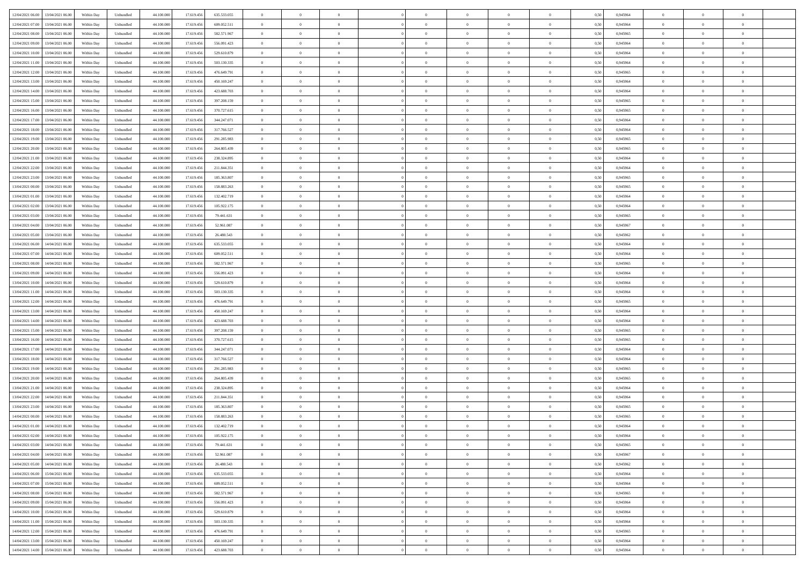| 12/04/2021 06:00 13/04/2021 06:00              | Within Day | Unbundled                   | 44.100.000 | 17.619.456 | 635.533.055   | $\overline{0}$ | $\theta$       |                | $\overline{0}$ | $\theta$       |                | $\theta$       | 0,50 | 0,945964 | $\theta$       | $\theta$       | $\overline{0}$ |  |
|------------------------------------------------|------------|-----------------------------|------------|------------|---------------|----------------|----------------|----------------|----------------|----------------|----------------|----------------|------|----------|----------------|----------------|----------------|--|
| 12/04/2021 07:00<br>13/04/2021 06:00           | Within Day | Unbundled                   | 44.100.00  | 17.619.45  | 609.052.511   | $\bf{0}$       | $\overline{0}$ | $\bf{0}$       | $\overline{0}$ | $\bf{0}$       | $\overline{0}$ | $\bf{0}$       | 0,50 | 0,945964 | $\,$ 0 $\,$    | $\bf{0}$       | $\overline{0}$ |  |
| 12/04/2021 08:00<br>13/04/2021 06:00           | Within Day | Unbundled                   | 44,100,000 | 17.619.456 | 582.571.967   | $\overline{0}$ | $\bf{0}$       | $\overline{0}$ | $\bf{0}$       | $\bf{0}$       | $\overline{0}$ | $\bf{0}$       | 0.50 | 0.945965 | $\bf{0}$       | $\overline{0}$ | $\overline{0}$ |  |
| 12/04/2021 09:00<br>13/04/2021 06:00           |            |                             | 44.100.000 |            |               | $\overline{0}$ | $\overline{0}$ | $\overline{0}$ | $\theta$       | $\theta$       | $\overline{0}$ | $\bf{0}$       |      |          | $\theta$       | $\theta$       | $\overline{0}$ |  |
|                                                | Within Day | Unbundled                   |            | 17.619.456 | 556.091.423   |                |                |                |                |                |                |                | 0,50 | 0,945964 |                |                |                |  |
| 12/04/2021 10:00<br>13/04/2021 06:00           | Within Day | Unbundled                   | 44.100.00  | 17.619.45  | 529.610.879   | $\bf{0}$       | $\overline{0}$ | $\bf{0}$       | $\overline{0}$ | $\theta$       | $\overline{0}$ | $\bf{0}$       | 0,50 | 0,945964 | $\bf{0}$       | $\bf{0}$       | $\overline{0}$ |  |
| 12/04/2021 11:00<br>13/04/2021 06:00           | Within Day | Unbundled                   | 44,100,000 | 17.619.456 | 503.130.335   | $\overline{0}$ | $\overline{0}$ | $\overline{0}$ | $\bf{0}$       | $\overline{0}$ | $\theta$       | $\bf{0}$       | 0.50 | 0.945964 | $\bf{0}$       | $\theta$       | $\overline{0}$ |  |
| 12/04/2021 12:00<br>13/04/2021 06:00           | Within Day | Unbundled                   | 44.100.000 | 17.619.456 | 476.649.791   | $\overline{0}$ | $\overline{0}$ | $\overline{0}$ | $\overline{0}$ | $\overline{0}$ | $\overline{0}$ | $\bf{0}$       | 0,50 | 0,945965 | $\theta$       | $\theta$       | $\overline{0}$ |  |
|                                                |            |                             |            |            |               |                |                |                |                |                |                |                |      |          |                |                |                |  |
| 12/04/2021 13:00<br>13/04/2021 06:00           | Within Day | Unbundled                   | 44.100.00  | 17.619.45  | 450.169.247   | $\bf{0}$       | $\overline{0}$ | $\overline{0}$ | $\overline{0}$ | $\bf{0}$       | $\overline{0}$ | $\bf{0}$       | 0,50 | 0,945964 | $\,$ 0 $\,$    | $\bf{0}$       | $\overline{0}$ |  |
| 12/04/2021 14:00<br>13/04/2021 06:00           | Within Day | Unbundled                   | 44,100,00  | 17.619.456 | 423.688.703   | $\overline{0}$ | $\bf{0}$       | $\overline{0}$ | $\bf{0}$       | $\overline{0}$ | $\overline{0}$ | $\bf{0}$       | 0.50 | 0.945964 | $\bf{0}$       | $\overline{0}$ | $\overline{0}$ |  |
| 12/04/2021 15:00<br>13/04/2021 06:00           | Within Day | Unbundled                   | 44.100.000 | 17.619.456 | 397.208.159   | $\overline{0}$ | $\bf{0}$       | $\overline{0}$ | $\overline{0}$ | $\overline{0}$ | $\overline{0}$ | $\bf{0}$       | 0,50 | 0,945965 | $\,$ 0 $\,$    | $\bf{0}$       | $\overline{0}$ |  |
| 12/04/2021 16:00<br>13/04/2021 06:00           | Within Day | Unbundled                   | 44.100.00  | 17.619.456 | 370.727.615   | $\bf{0}$       | $\overline{0}$ | $\bf{0}$       | $\bf{0}$       | $\bf{0}$       | $\overline{0}$ | $\bf{0}$       | 0,50 | 0,945965 | $\,$ 0 $\,$    | $\bf{0}$       | $\overline{0}$ |  |
|                                                |            |                             |            |            |               |                |                |                |                |                |                |                |      |          |                |                |                |  |
| 12/04/2021 17:00<br>13/04/2021 06:00           | Within Day | Unbundled                   | 44,100,000 | 17.619.456 | 344.247.071   | $\overline{0}$ | $\bf{0}$       | $\overline{0}$ | $\bf{0}$       | $\bf{0}$       | $\overline{0}$ | $\bf{0}$       | 0.50 | 0.945964 | $\bf{0}$       | $\overline{0}$ | $\bf{0}$       |  |
| 12/04/2021 18:00<br>13/04/2021 06:00           | Within Day | Unbundled                   | 44.100.000 | 17.619.456 | 317.766.527   | $\overline{0}$ | $\overline{0}$ | $\overline{0}$ | $\overline{0}$ | $\theta$       | $\overline{0}$ | $\overline{0}$ | 0,50 | 0,945964 | $\,$ 0 $\,$    | $\theta$       | $\overline{0}$ |  |
| 12/04/2021 19:00<br>13/04/2021 06:00           | Within Day | Unbundled                   | 44.100.00  | 17.619.45  | 291.285.983   | $\bf{0}$       | $\overline{0}$ | $\bf{0}$       | $\overline{0}$ | $\theta$       | $\overline{0}$ | $\bf{0}$       | 0,50 | 0,945965 | $\,$ 0 $\,$    | $\bf{0}$       | $\overline{0}$ |  |
| 12/04/2021 20:00<br>13/04/2021 06:00           | Within Day | Unbundled                   | 44,100,00  | 17.619.456 | 264.805.439   | $\overline{0}$ | $\overline{0}$ | $\overline{0}$ | $\bf{0}$       | $\overline{0}$ | $\Omega$       | $\bf{0}$       | 0.50 | 0.945965 | $\bf{0}$       | $\theta$       | $\overline{0}$ |  |
| 12/04/2021 21:00<br>13/04/2021 06:00           | Within Day | Unbundled                   | 44.100.000 | 17.619.456 | 238.324.895   | $\overline{0}$ | $\overline{0}$ | $\overline{0}$ | $\overline{0}$ | $\overline{0}$ | $\overline{0}$ | $\bf{0}$       | 0,50 | 0,945964 | $\theta$       | $\theta$       | $\overline{0}$ |  |
|                                                |            |                             |            |            |               |                |                |                |                |                |                |                |      |          |                |                |                |  |
| 12/04/2021 22:00<br>13/04/2021 06:00           | Within Day | Unbundled                   | 44.100.00  | 17.619.45  | 211.844.351   | $\bf{0}$       | $\overline{0}$ | $\overline{0}$ | $\overline{0}$ | $\bf{0}$       | $\overline{0}$ | $\bf{0}$       | 0,50 | 0,945964 | $\,$ 0 $\,$    | $\bf{0}$       | $\overline{0}$ |  |
| 12/04/2021 23:00<br>13/04/2021 06:00           | Within Day | Unbundled                   | 44,100,00  | 17.619.45  | 185.363.807   | $\overline{0}$ | $\bf{0}$       | $\overline{0}$ | $\bf{0}$       | $\overline{0}$ | $\overline{0}$ | $\bf{0}$       | 0.50 | 0.945965 | $\bf{0}$       | $\overline{0}$ | $\overline{0}$ |  |
| 13/04/2021 00:00<br>13/04/2021 06:00           | Within Day | Unbundled                   | 44.100.000 | 17.619.456 | 158.883.263   | $\bf{0}$       | $\overline{0}$ | $\overline{0}$ | $\overline{0}$ | $\overline{0}$ | $\overline{0}$ | $\bf{0}$       | 0,50 | 0,945965 | $\,$ 0 $\,$    | $\bf{0}$       | $\overline{0}$ |  |
| 13/04/2021 01:00<br>13/04/2021 06:00           | Within Day | Unbundled                   | 44.100.00  | 17.619.456 | 132.402.719   | $\bf{0}$       | $\bf{0}$       | $\bf{0}$       | $\bf{0}$       | $\overline{0}$ | $\overline{0}$ | $\bf{0}$       | 0,50 | 0,945964 | $\,$ 0 $\,$    | $\bf{0}$       | $\overline{0}$ |  |
|                                                |            |                             |            |            |               |                |                |                |                |                |                |                |      |          |                |                |                |  |
| 13/04/2021 02:00<br>13/04/2021 06:00           | Within Day | Unbundled                   | 44,100,000 | 17.619.456 | 105.922.175   | $\overline{0}$ | $\bf{0}$       | $\overline{0}$ | $\bf{0}$       | $\bf{0}$       | $\overline{0}$ | $\bf{0}$       | 0.50 | 0.945964 | $\bf{0}$       | $\overline{0}$ | $\overline{0}$ |  |
| 13/04/2021 03:00<br>13/04/2021 06:00           | Within Day | Unbundled                   | 44.100.000 | 17.619.456 | 79.441.631    | $\overline{0}$ | $\overline{0}$ | $\overline{0}$ | $\theta$       | $\theta$       | $\overline{0}$ | $\bf{0}$       | 0,50 | 0,945965 | $\theta$       | $\theta$       | $\overline{0}$ |  |
| 13/04/2021 04:00<br>13/04/2021 06:00           | Within Day | Unbundled                   | 44.100.00  | 17.619.456 | 52.961.087    | $\bf{0}$       | $\overline{0}$ | $\bf{0}$       | $\bf{0}$       | $\bf{0}$       | $\overline{0}$ | $\bf{0}$       | 0,50 | 0,945967 | $\,$ 0 $\,$    | $\bf{0}$       | $\overline{0}$ |  |
| 13/04/2021 05:00<br>13/04/2021 06:00           | Within Day | Unbundled                   | 44,100,000 | 17.619.45  | 26,480.543    | $\overline{0}$ | $\overline{0}$ | $\overline{0}$ | $\overline{0}$ | $\overline{0}$ | $\Omega$       | $\bf{0}$       | 0.50 | 0.945962 | $\,$ 0 $\,$    | $\theta$       | $\overline{0}$ |  |
|                                                |            |                             |            |            |               |                |                |                |                |                |                |                |      |          |                |                |                |  |
| 13/04/2021 06:00<br>14/04/2021 06.00           | Within Day | Unbundled                   | 44.100.000 | 17.619.456 | 635.533.055   | $\overline{0}$ | $\overline{0}$ | $\overline{0}$ | $\overline{0}$ | $\overline{0}$ | $\overline{0}$ | $\bf{0}$       | 0,50 | 0,945964 | $\theta$       | $\theta$       | $\overline{0}$ |  |
| 13/04/2021 07:00<br>14/04/2021 06.00           | Within Day | Unbundled                   | 44.100.00  | 17.619.45  | 609.052.511   | $\bf{0}$       | $\theta$       | $\bf{0}$       | $\overline{0}$ | $\theta$       | $\overline{0}$ | $\bf{0}$       | 0,50 | 0,945964 | $\,$ 0 $\,$    | $\bf{0}$       | $\overline{0}$ |  |
| 13/04/2021 08:00<br>14/04/2021 06:00           | Within Day | Unbundled                   | 44,100,000 | 17.619.456 | 582.571.967   | $\overline{0}$ | $\bf{0}$       | $\overline{0}$ | $\bf{0}$       | $\overline{0}$ | $\overline{0}$ | $\bf{0}$       | 0.50 | 0.945965 | $\bf{0}$       | $\overline{0}$ | $\overline{0}$ |  |
| 13/04/2021 09:00<br>14/04/2021 06:00           | Within Day | Unbundled                   | 44.100.000 | 17.619.456 | 556.091.423   | $\overline{0}$ | $\overline{0}$ | $\overline{0}$ | $\overline{0}$ | $\overline{0}$ | $\overline{0}$ | $\bf{0}$       | 0,50 | 0,945964 | $\theta$       | $\theta$       | $\overline{0}$ |  |
| 14/04/2021 06.00                               | Within Day | Unbundled                   | 44.100.00  | 17.619.456 | 529.610.879   | $\bf{0}$       | $\bf{0}$       | $\bf{0}$       | $\bf{0}$       | $\overline{0}$ | $\overline{0}$ | $\bf{0}$       | 0,50 | 0,945964 | $\,$ 0 $\,$    | $\bf{0}$       | $\overline{0}$ |  |
| 13/04/2021 10:00                               |            |                             |            |            |               |                |                |                |                |                |                |                |      |          |                |                |                |  |
| 13/04/2021 11:00<br>14/04/2021 06:00           | Within Day | Unbundled                   | 44,100,000 | 17.619.456 | 503.130.335   | $\overline{0}$ | $\bf{0}$       | $\overline{0}$ | $\bf{0}$       | $\bf{0}$       | $\overline{0}$ | $\bf{0}$       | 0.50 | 0.945964 | $\bf{0}$       | $\overline{0}$ | $\overline{0}$ |  |
| 13/04/2021 12:00<br>14/04/2021 06:00           | Within Day | Unbundled                   | 44.100.000 | 17.619.456 | 476,649.791   | $\overline{0}$ | $\overline{0}$ | $\overline{0}$ | $\overline{0}$ | $\overline{0}$ | $\overline{0}$ | $\bf{0}$       | 0.5( | 0.945965 | $\theta$       | $\theta$       | $\overline{0}$ |  |
| 13/04/2021 13:00<br>14/04/2021 06.00           | Within Day | Unbundled                   | 44.100.00  | 17.619.45  | 450.169.247   | $\bf{0}$       | $\overline{0}$ | $\bf{0}$       | $\bf{0}$       | $\overline{0}$ | $\overline{0}$ | $\bf{0}$       | 0,50 | 0,945964 | $\,$ 0 $\,$    | $\bf{0}$       | $\overline{0}$ |  |
| 13/04/2021 14:00<br>14/04/2021 06:00           | Within Day | Unbundled                   | 44,100,000 | 17.619.456 | 423.688.703   | $\overline{0}$ | $\overline{0}$ | $\overline{0}$ | $\bf{0}$       | $\overline{0}$ | $\Omega$       | $\bf{0}$       | 0.50 | 0.945964 | $\,$ 0 $\,$    | $\theta$       | $\overline{0}$ |  |
|                                                |            |                             |            |            |               |                | $\overline{0}$ |                |                |                |                |                |      |          | $\theta$       | $\theta$       | $\overline{0}$ |  |
| 13/04/2021 15:00<br>14/04/2021 06:00           | Within Dav | Unbundled                   | 44.100.000 | 17.619.456 | 397.208.159   | $\overline{0}$ |                | $\overline{0}$ | $\overline{0}$ | $\overline{0}$ | $\overline{0}$ | $\overline{0}$ | 0.50 | 0,945965 |                |                |                |  |
| 13/04/2021 16:00<br>14/04/2021 06.00           | Within Day | Unbundled                   | 44.100.00  | 17.619.456 | 370.727.615   | $\bf{0}$       | $\overline{0}$ | $\bf{0}$       | $\bf{0}$       | $\bf{0}$       | $\overline{0}$ | $\bf{0}$       | 0,50 | 0,945965 | $\,$ 0 $\,$    | $\bf{0}$       | $\overline{0}$ |  |
| 13/04/2021 17:00<br>14/04/2021 06:00           | Within Day | Unbundled                   | 44,100,00  | 17.619.456 | 344.247.071   | $\overline{0}$ | $\bf{0}$       | $\overline{0}$ | $\bf{0}$       | $\overline{0}$ | $\overline{0}$ | $\bf{0}$       | 0.50 | 0.945964 | $\bf{0}$       | $\overline{0}$ | $\overline{0}$ |  |
| 13/04/2021 18:00<br>14/04/2021 06:00           | Within Dav | Unbundled                   | 44.100.000 | 17.619.456 | 317.766.527   | $\overline{0}$ | $\overline{0}$ | $\overline{0}$ | $\overline{0}$ | $\overline{0}$ | $\overline{0}$ | $\overline{0}$ | 0.50 | 0,945964 | $\theta$       | $\theta$       | $\overline{0}$ |  |
| 13/04/2021 19:00<br>14/04/2021 06.00           | Within Day | Unbundled                   | 44.100.00  | 17.619.456 | 291.285.983   | $\bf{0}$       | $\bf{0}$       | $\bf{0}$       | $\bf{0}$       | $\overline{0}$ | $\overline{0}$ | $\bf{0}$       | 0,50 | 0,945965 | $\,$ 0 $\,$    | $\bf{0}$       | $\overline{0}$ |  |
|                                                |            |                             |            |            |               |                |                |                |                |                |                |                |      |          |                |                |                |  |
| 13/04/2021 20:00<br>14/04/2021 06:00           | Within Day | Unbundled                   | 44,100,000 | 17.619.456 | 264.805.439   | $\overline{0}$ | $\bf{0}$       | $\overline{0}$ | $\bf{0}$       | $\bf{0}$       | $\overline{0}$ | $\bf{0}$       | 0.50 | 0.945965 | $\bf{0}$       | $\overline{0}$ | $\overline{0}$ |  |
| 13/04/2021 21:00<br>14/04/2021 06:00           | Within Dav | Unbundled                   | 44.100.000 | 17.619.456 | 238.324.895   | $\overline{0}$ | $\overline{0}$ | $\overline{0}$ | $\overline{0}$ | $\theta$       | $\overline{0}$ | $\bf{0}$       | 0.50 | 0.945964 | $\theta$       | $\theta$       | $\overline{0}$ |  |
| 13/04/2021 22:00<br>14/04/2021 06.00           | Within Day | Unbundled                   | 44.100.00  | 17.619.456 | 211.844.351   | $\bf{0}$       | $\overline{0}$ | $\bf{0}$       | $\bf{0}$       | $\,$ 0 $\,$    | $\overline{0}$ | $\bf{0}$       | 0,50 | 0,945964 | $\,$ 0 $\,$    | $\bf{0}$       | $\overline{0}$ |  |
| 13/04/2021 23:00<br>14/04/2021 06:00           | Within Day | Unbundled                   | 44,100,00  | 17.619.45  | 185, 363, 807 | $\overline{0}$ | $\overline{0}$ | $\Omega$       | $\overline{0}$ | $\overline{0}$ | $\Omega$       | $\bf{0}$       | 0.50 | 0.945965 | $\bf{0}$       | $\theta$       | $\overline{0}$ |  |
| 14/04/2021 00:00<br>14/04/2021 06:00           | Within Dav | Unbundled                   | 44.100.000 | 17.619.45  | 158,883,263   | $\overline{0}$ | $\overline{0}$ | $\Omega$       | $\overline{0}$ | $\theta$       | $\Omega$       | $\overline{0}$ | 0.5( | 0,945965 | $\theta$       | $\theta$       | $\overline{0}$ |  |
|                                                |            |                             |            |            |               |                |                |                |                |                |                |                |      |          |                |                |                |  |
| 14/04/2021 01:00<br>14/04/2021 06.00           | Within Day | Unbundled                   | 44.100.000 | 17.619.456 | 132.402.719   | $\bf{0}$       | $\bf{0}$       | $\bf{0}$       | $\bf{0}$       | $\bf{0}$       | $\overline{0}$ | $\bf{0}$       | 0,50 | 0,945964 | $\,$ 0 $\,$    | $\bf{0}$       | $\overline{0}$ |  |
| $14/04/2021\; 02.00 \qquad 14/04/2021\; 06.00$ | Within Day | $\ensuremath{\mathsf{Unb}}$ | 44.100.000 | 17.619.456 | 105.922.175   | $\bf{0}$       | $\theta$       |                | $\overline{0}$ |                |                |                | 0,50 | 0.945964 | $\bf{0}$       | $\overline{0}$ |                |  |
| 14/04/2021 03:00 14/04/2021 06:00              | Within Day | Unbundled                   | 44.100.000 | 17.619.456 | 79.441.631    | $\overline{0}$ | $\theta$       | $\Omega$       | $\theta$       | $\theta$       | $\overline{0}$ | $\bf{0}$       | 0,50 | 0,945965 | $\theta$       | $\theta$       | $\overline{0}$ |  |
| 14/04/2021 04:00<br>14/04/2021 06.00           | Within Day | Unbundled                   | 44.100.00  | 17.619.456 | 52.961.087    | $\overline{0}$ | $\bf{0}$       | $\overline{0}$ | $\overline{0}$ | $\bf{0}$       | $\overline{0}$ | $\bf{0}$       | 0,50 | 0,945967 | $\bf{0}$       | $\overline{0}$ | $\bf{0}$       |  |
|                                                |            |                             |            |            |               |                |                |                |                |                |                |                |      |          |                |                |                |  |
| 14/04/2021 05:00 14/04/2021 06:00              | Within Day | Unbundled                   | 44,100,000 | 17.619.456 | 26,480,543    | $\overline{0}$ | $\bf{0}$       | $\overline{0}$ | $\overline{0}$ | $\overline{0}$ | $\overline{0}$ | $\bf{0}$       | 0.50 | 0.945962 | $\mathbf{0}$   | $\bf{0}$       | $\,$ 0 $\,$    |  |
| 14/04/2021 06:00 15/04/2021 06:00              | Within Dav | Unbundled                   | 44.100.000 | 17.619.456 | 635.533.055   | $\overline{0}$ | $\overline{0}$ | $\overline{0}$ | $\overline{0}$ | $\overline{0}$ | $\overline{0}$ | $\bf{0}$       | 0,50 | 0,945964 | $\theta$       | $\theta$       | $\overline{0}$ |  |
| 14/04/2021 07:00<br>15/04/2021 06:00           | Within Day | Unbundled                   | 44.100.000 | 17.619.456 | 609.052.511   | $\overline{0}$ | $\bf{0}$       | $\overline{0}$ | $\bf{0}$       | $\overline{0}$ | $\overline{0}$ | $\bf{0}$       | 0,50 | 0,945964 | $\overline{0}$ | $\bf{0}$       | $\overline{0}$ |  |
| 15/04/2021 06:00<br>14/04/2021 08:00           | Within Day | Unbundled                   | 44,100,000 | 17.619.456 | 582.571.967   | $\overline{0}$ | $\bf{0}$       | $\overline{0}$ | $\overline{0}$ | $\overline{0}$ | $\overline{0}$ | $\bf{0}$       | 0.50 | 0.945965 | $\,$ 0 $\,$    | $\theta$       | $\overline{0}$ |  |
| 14/04/2021 09:00<br>15/04/2021 06:00           | Within Dav | Unbundled                   | 44.100.000 | 17.619.456 | 556.091.423   | $\overline{0}$ | $\overline{0}$ | $\overline{0}$ | $\overline{0}$ | $\overline{0}$ | $\overline{0}$ | $\bf{0}$       | 0.50 | 0,945964 | $\overline{0}$ | $\theta$       | $\overline{0}$ |  |
|                                                |            |                             |            |            |               |                |                |                |                |                |                |                |      |          |                |                |                |  |
| 14/04/2021 10:00<br>15/04/2021 06:00           | Within Day | Unbundled                   | 44.100.00  | 17.619.456 | 529.610.879   | $\overline{0}$ | $\overline{0}$ | $\overline{0}$ | $\overline{0}$ | $\bf{0}$       | $\overline{0}$ | $\bf{0}$       | 0,50 | 0,945964 | $\bf{0}$       | $\bf{0}$       | $\overline{0}$ |  |
| 15/04/2021 06:00<br>14/04/2021 11:00           | Within Day | Unbundled                   | 44,100,000 | 17.619.456 | 503.130.335   | $\overline{0}$ | $\overline{0}$ | $\overline{0}$ | $\overline{0}$ | $\bf{0}$       | $\overline{0}$ | $\bf{0}$       | 0.50 | 0.945964 | $\overline{0}$ | $\,$ 0 $\,$    | $\,$ 0         |  |
| 14/04/2021 12:00<br>15/04/2021 06:00           | Within Dav | Unbundled                   | 44.100.000 | 17.619.456 | 476.649.791   | $\overline{0}$ | $\overline{0}$ | $\overline{0}$ | $\overline{0}$ | $\overline{0}$ | $\overline{0}$ | $\bf{0}$       | 0,50 | 0,945965 | $\theta$       | $\theta$       | $\overline{0}$ |  |
| 14/04/2021 13:00<br>15/04/2021 06:00           | Within Day | Unbundled                   | 44.100.00  | 17.619.456 | 450.169.247   | $\overline{0}$ | $\bf{0}$       | $\overline{0}$ | $\bf{0}$       | $\overline{0}$ | $\overline{0}$ | $\bf{0}$       | 0,50 | 0,945964 | $\bf{0}$       | $\bf{0}$       | $\overline{0}$ |  |
|                                                |            |                             |            |            |               |                |                |                |                |                |                |                |      |          |                |                |                |  |
| 14/04/2021 14:00 15/04/2021 06:00              | Within Day | Unbundled                   | 44.100.000 | 17.619.456 | 423.688.703   | $\overline{0}$ | $\bf{0}$       | $\overline{0}$ | $\overline{0}$ | $\,$ 0 $\,$    | $\overline{0}$ | $\bf{0}$       | 0,50 | 0,945964 | $\overline{0}$ | $\,$ 0 $\,$    | $\,$ 0 $\,$    |  |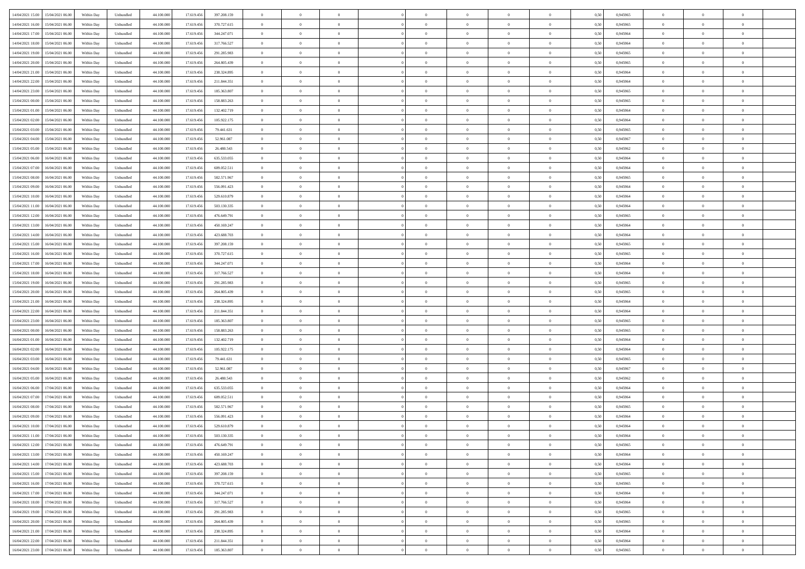| 14/04/2021 15:00 15/04/2021 06:00          |            |                             | 44.100.000 |            |               | $\overline{0}$ | $\theta$       |                | $\overline{0}$ | $\theta$       |                | $\theta$       |      | 0,945965 | $\theta$       | $\theta$       | $\overline{0}$ |  |
|--------------------------------------------|------------|-----------------------------|------------|------------|---------------|----------------|----------------|----------------|----------------|----------------|----------------|----------------|------|----------|----------------|----------------|----------------|--|
|                                            | Within Day | Unbundled                   |            | 17.619.456 | 397.208.159   |                |                |                |                |                |                |                | 0,50 |          |                |                |                |  |
| 14/04/2021 16:00<br>15/04/2021 06:00       | Within Day | Unbundled                   | 44.100.00  | 17.619.45  | 370.727.615   | $\bf{0}$       | $\overline{0}$ | $\bf{0}$       | $\overline{0}$ | $\bf{0}$       | $\overline{0}$ | $\bf{0}$       | 0,50 | 0,945965 | $\,$ 0 $\,$    | $\bf{0}$       | $\overline{0}$ |  |
| 14/04/2021 17:00<br>15/04/2021 06:00       | Within Day | Unbundled                   | 44,100,000 | 17.619.456 | 344.247.071   | $\overline{0}$ | $\bf{0}$       | $\overline{0}$ | $\bf{0}$       | $\bf{0}$       | $\overline{0}$ | $\bf{0}$       | 0.50 | 0.945964 | $\bf{0}$       | $\overline{0}$ | $\overline{0}$ |  |
| 14/04/2021 18:00<br>15/04/2021 06:00       | Within Day | Unbundled                   | 44.100.000 | 17.619.456 | 317.766.527   | $\overline{0}$ | $\overline{0}$ | $\overline{0}$ | $\theta$       | $\theta$       | $\overline{0}$ | $\bf{0}$       | 0,50 | 0,945964 | $\theta$       | $\theta$       | $\overline{0}$ |  |
|                                            |            |                             |            |            |               |                |                |                |                |                |                |                |      |          |                |                |                |  |
| 14/04/2021 19:00<br>15/04/2021 06:00       | Within Day | Unbundled                   | 44.100.00  | 17.619.45  | 291.285.983   | $\overline{0}$ | $\theta$       | $\overline{0}$ | $\overline{0}$ | $\theta$       | $\overline{0}$ | $\bf{0}$       | 0,50 | 0,945965 | $\bf{0}$       | $\bf{0}$       | $\overline{0}$ |  |
| 14/04/2021 20:00<br>15/04/2021 06:00       | Within Day | Unbundled                   | 44,100,000 | 17.619.456 | 264.805.439   | $\overline{0}$ | $\overline{0}$ | $\overline{0}$ | $\overline{0}$ | $\overline{0}$ | $\Omega$       | $\bf{0}$       | 0.50 | 0.945965 | $\bf{0}$       | $\theta$       | $\overline{0}$ |  |
| 14/04/2021 21:00<br>15/04/2021 06:00       | Within Day | Unbundled                   | 44.100.000 | 17.619.456 | 238.324.895   | $\overline{0}$ | $\overline{0}$ | $\overline{0}$ | $\overline{0}$ | $\theta$       | $\overline{0}$ | $\bf{0}$       | 0,50 | 0,945964 | $\theta$       | $\theta$       | $\overline{0}$ |  |
| 14/04/2021 22:00<br>15/04/2021 06:00       | Within Day | Unbundled                   | 44.100.00  | 17.619.45  | 211.844.351   | $\bf{0}$       | $\overline{0}$ | $\overline{0}$ | $\overline{0}$ | $\theta$       | $\overline{0}$ | $\bf{0}$       | 0,50 | 0,945964 | $\,$ 0 $\,$    | $\bf{0}$       | $\overline{0}$ |  |
| 15/04/2021 06:00                           |            | Unbundled                   | 44,100,00  | 17.619.456 | 185.363.807   |                | $\bf{0}$       | $\overline{0}$ |                | $\overline{0}$ | $\overline{0}$ |                | 0.50 | 0.945965 | $\bf{0}$       | $\theta$       | $\overline{0}$ |  |
| 14/04/2021 23:00                           | Within Day |                             |            |            |               | $\overline{0}$ |                |                | $\bf{0}$       |                |                | $\bf{0}$       |      |          |                |                |                |  |
| 15/04/2021 00:00<br>15/04/2021 06:00       | Within Day | Unbundled                   | 44.100.000 | 17.619.456 | 158.883.263   | $\overline{0}$ | $\bf{0}$       | $\overline{0}$ | $\overline{0}$ | $\theta$       | $\overline{0}$ | $\bf{0}$       | 0,50 | 0,945965 | $\,$ 0 $\,$    | $\theta$       | $\overline{0}$ |  |
| 15/04/2021 01:00<br>15/04/2021 06:00       | Within Day | Unbundled                   | 44.100.00  | 17.619.456 | 132.402.719   | $\bf{0}$       | $\overline{0}$ | $\bf{0}$       | $\overline{0}$ | $\bf{0}$       | $\overline{0}$ | $\bf{0}$       | 0,50 | 0,945964 | $\,$ 0 $\,$    | $\bf{0}$       | $\overline{0}$ |  |
| 15/04/2021 02:00<br>15/04/2021 06:00       | Within Day | Unbundled                   | 44,100,000 | 17.619.456 | 105.922.175   | $\overline{0}$ | $\bf{0}$       | $\overline{0}$ | $\bf{0}$       | $\bf{0}$       | $\overline{0}$ | $\bf{0}$       | 0.50 | 0.945964 | $\bf{0}$       | $\overline{0}$ | $\overline{0}$ |  |
| 15/04/2021 03:00<br>15/04/2021 06:00       | Within Day | Unbundled                   | 44.100.000 | 17.619.456 | 79.441.631    | $\overline{0}$ | $\overline{0}$ | $\overline{0}$ | $\overline{0}$ | $\theta$       | $\overline{0}$ | $\overline{0}$ | 0,50 | 0,945965 | $\,$ 0 $\,$    | $\theta$       | $\overline{0}$ |  |
|                                            |            |                             |            |            |               |                |                |                |                |                |                |                |      |          |                |                | $\overline{0}$ |  |
| 15/04/2021 04:00<br>15/04/2021 06:00       | Within Day | Unbundled                   | 44.100.00  | 17.619.456 | 52.961.087    | $\bf{0}$       | $\theta$       | $\bf{0}$       | $\overline{0}$ | $\theta$       | $\overline{0}$ | $\bf{0}$       | 0,50 | 0,945967 | $\bf{0}$       | $\bf{0}$       |                |  |
| 15/04/2021 05:00<br>15/04/2021 06:00       | Within Day | Unbundled                   | 44,100,00  | 17.619.456 | 26,480.543    | $\overline{0}$ | $\overline{0}$ | $\overline{0}$ | $\bf{0}$       | $\theta$       | $\theta$       | $\bf{0}$       | 0.50 | 0.945962 | $\theta$       | $\theta$       | $\overline{0}$ |  |
| 15/04/2021 06:00<br>16/04/2021 06:00       | Within Day | Unbundled                   | 44.100.000 | 17.619.456 | 635.533.055   | $\overline{0}$ | $\overline{0}$ | $\overline{0}$ | $\overline{0}$ | $\overline{0}$ | $\overline{0}$ | $\bf{0}$       | 0,50 | 0,945964 | $\theta$       | $\theta$       | $\overline{0}$ |  |
| 15/04/2021 07:00<br>16/04/2021 06:00       | Within Day | Unbundled                   | 44.100.00  | 17.619.456 | 609.052.511   | $\bf{0}$       | $\overline{0}$ | $\overline{0}$ | $\overline{0}$ | $\theta$       | $\overline{0}$ | $\bf{0}$       | 0,50 | 0,945964 | $\,$ 0 $\,$    | $\bf{0}$       | $\overline{0}$ |  |
| 15/04/2021 08:00<br>16/04/2021 06:00       | Within Day | Unbundled                   | 44,100,00  | 17.619.456 | 582.571.967   | $\overline{0}$ | $\bf{0}$       | $\overline{0}$ | $\bf{0}$       | $\overline{0}$ | $\overline{0}$ | $\bf{0}$       | 0.50 | 0.945965 | $\bf{0}$       | $\overline{0}$ | $\overline{0}$ |  |
|                                            |            |                             |            |            |               |                |                |                |                |                |                |                |      |          |                |                |                |  |
| 15/04/2021 09:00<br>16/04/2021 06:00       | Within Day | Unbundled                   | 44.100.000 | 17.619.456 | 556.091.423   | $\bf{0}$       | $\overline{0}$ | $\overline{0}$ | $\overline{0}$ | $\theta$       | $\overline{0}$ | $\bf{0}$       | 0,50 | 0,945964 | $\,$ 0 $\,$    | $\theta$       | $\overline{0}$ |  |
| 15/04/2021 10:00<br>16/04/2021 06:00       | Within Day | Unbundled                   | 44.100.00  | 17.619.456 | 529.610.879   | $\bf{0}$       | $\overline{0}$ | $\bf{0}$       | $\bf{0}$       | $\overline{0}$ | $\overline{0}$ | $\bf{0}$       | 0,50 | 0,945964 | $\,$ 0 $\,$    | $\bf{0}$       | $\overline{0}$ |  |
| 15/04/2021 11:00<br>16/04/2021 06:00       | Within Day | Unbundled                   | 44,100,000 | 17.619.456 | 503.130.335   | $\overline{0}$ | $\bf{0}$       | $\overline{0}$ | $\bf{0}$       | $\overline{0}$ | $\overline{0}$ | $\bf{0}$       | 0.50 | 0.945964 | $\bf{0}$       | $\overline{0}$ | $\overline{0}$ |  |
| 15/04/2021 12:00<br>16/04/2021 06:00       | Within Day | Unbundled                   | 44.100.000 | 17.619.456 | 476.649.791   | $\overline{0}$ | $\overline{0}$ | $\overline{0}$ | $\overline{0}$ | $\theta$       | $\overline{0}$ | $\bf{0}$       | 0,50 | 0,945965 | $\theta$       | $\theta$       | $\overline{0}$ |  |
| 15/04/2021 13:00<br>16/04/2021 06:00       | Within Day | Unbundled                   | 44.100.00  | 17.619.456 | 450.169.247   | $\bf{0}$       | $\overline{0}$ | $\bf{0}$       | $\bf{0}$       | $\theta$       | $\overline{0}$ | $\bf{0}$       | 0,50 | 0,945964 | $\,$ 0 $\,$    | $\bf{0}$       | $\overline{0}$ |  |
|                                            |            |                             |            |            |               |                |                |                |                |                |                |                |      |          |                |                |                |  |
| 15/04/2021 14:00<br>16/04/2021 06:00       | Within Day | Unbundled                   | 44,100,00  | 17.619.456 | 423.688.703   | $\overline{0}$ | $\overline{0}$ | $\overline{0}$ | $\overline{0}$ | $\overline{0}$ | $\Omega$       | $\bf{0}$       | 0.50 | 0.945964 | $\bf{0}$       | $\theta$       | $\overline{0}$ |  |
| 15/04/2021 15:00<br>16/04/2021 06:00       | Within Day | Unbundled                   | 44.100.000 | 17.619.456 | 397.208.159   | $\overline{0}$ | $\overline{0}$ | $\overline{0}$ | $\overline{0}$ | $\theta$       | $\overline{0}$ | $\bf{0}$       | 0,50 | 0,945965 | $\theta$       | $\theta$       | $\overline{0}$ |  |
| 15/04/2021 16:00<br>16/04/2021 06:00       | Within Day | Unbundled                   | 44.100.00  | 17.619.45  | 370.727.615   | $\bf{0}$       | $\theta$       | $\bf{0}$       | $\overline{0}$ | $\theta$       | $\overline{0}$ | $\bf{0}$       | 0,50 | 0,945965 | $\,$ 0 $\,$    | $\bf{0}$       | $\overline{0}$ |  |
| 15/04/2021 17:00<br>16/04/2021 06:00       | Within Day | Unbundled                   | 44,100,000 | 17.619.456 | 344.247.071   | $\overline{0}$ | $\bf{0}$       | $\overline{0}$ | $\bf{0}$       | $\overline{0}$ | $\overline{0}$ | $\bf{0}$       | 0.50 | 0.945964 | $\bf{0}$       | $\theta$       | $\overline{0}$ |  |
| 15/04/2021 18:00<br>16/04/2021 06:00       | Within Day | Unbundled                   | 44.100.000 | 17.619.456 | 317.766.527   | $\overline{0}$ | $\overline{0}$ | $\overline{0}$ | $\overline{0}$ | $\theta$       | $\overline{0}$ | $\bf{0}$       | 0,50 | 0,945964 | $\theta$       | $\theta$       | $\overline{0}$ |  |
|                                            |            |                             |            |            |               |                |                |                |                |                |                |                |      |          |                |                |                |  |
| 15/04/2021 19:00<br>16/04/2021 06:00       | Within Day | Unbundled                   | 44.100.00  | 17.619.456 | 291.285.983   | $\bf{0}$       | $\bf{0}$       | $\bf{0}$       | $\bf{0}$       | $\overline{0}$ | $\overline{0}$ | $\bf{0}$       | 0,50 | 0,945965 | $\,$ 0 $\,$    | $\bf{0}$       | $\overline{0}$ |  |
| 15/04/2021 20:00<br>16/04/2021 06:00       | Within Day | Unbundled                   | 44,100,000 | 17.619.456 | 264.805.439   | $\overline{0}$ | $\bf{0}$       | $\overline{0}$ | $\bf{0}$       | $\bf{0}$       | $\overline{0}$ | $\bf{0}$       | 0.50 | 0.945965 | $\bf{0}$       | $\overline{0}$ | $\overline{0}$ |  |
| 15/04/2021 21:00<br>16/04/2021 06:00       | Within Day | Unbundled                   | 44.100.000 | 17.619.456 | 238.324.895   | $\overline{0}$ | $\overline{0}$ | $\overline{0}$ | $\overline{0}$ | $\theta$       | $\overline{0}$ | $\bf{0}$       | 0.5( | 0.945964 | $\theta$       | $\theta$       | $\overline{0}$ |  |
| 15/04/2021 22.00<br>16/04/2021 06:00       | Within Day | Unbundled                   | 44.100.00  | 17.619.456 | 211.844.351   | $\bf{0}$       | $\overline{0}$ | $\bf{0}$       | $\overline{0}$ | $\overline{0}$ | $\overline{0}$ | $\bf{0}$       | 0,50 | 0,945964 | $\,$ 0 $\,$    | $\bf{0}$       | $\overline{0}$ |  |
| 15/04/2021 23:00<br>16/04/2021 06:00       | Within Day | Unbundled                   | 44,100,00  | 17.619.456 | 185, 363, 807 | $\overline{0}$ | $\overline{0}$ | $\overline{0}$ | $\bf{0}$       | $\bf{0}$       | $\Omega$       | $\bf{0}$       | 0.50 | 0.945965 | $\bf{0}$       | $\overline{0}$ | $\overline{0}$ |  |
|                                            |            |                             |            |            |               |                |                |                |                |                |                |                |      |          |                |                |                |  |
| 16/04/2021 00:00<br>16/04/2021 06:00       | Within Dav | Unbundled                   | 44.100.000 | 17.619.456 | 158.883.263   | $\overline{0}$ | $\overline{0}$ | $\overline{0}$ | $\overline{0}$ | $\overline{0}$ | $\overline{0}$ | $\overline{0}$ | 0.50 | 0,945965 | $\theta$       | $\theta$       | $\overline{0}$ |  |
| 16/04/2021 01:00<br>16/04/2021 06:00       | Within Day | Unbundled                   | 44.100.00  | 17.619.456 | 132.402.719   | $\bf{0}$       | $\overline{0}$ | $\bf{0}$       | $\overline{0}$ | $\bf{0}$       | $\overline{0}$ | $\bf{0}$       | 0,50 | 0,945964 | $\,$ 0 $\,$    | $\bf{0}$       | $\overline{0}$ |  |
| 16/04/2021 02:00<br>16/04/2021 06:00       | Within Day | Unbundled                   | 44,100,00  | 17.619.456 | 105.922.175   | $\overline{0}$ | $\bf{0}$       | $\overline{0}$ | $\bf{0}$       | $\overline{0}$ | $\overline{0}$ | $\bf{0}$       | 0.50 | 0.945964 | $\bf{0}$       | $\overline{0}$ | $\overline{0}$ |  |
| 16/04/2021 03:00<br>16/04/2021 06:00       | Within Dav | Unbundled                   | 44.100.000 | 17.619.456 | 79.441.631    | $\overline{0}$ | $\overline{0}$ | $\overline{0}$ | $\overline{0}$ | $\overline{0}$ | $\overline{0}$ | $\overline{0}$ | 0.50 | 0,945965 | $\theta$       | $\theta$       | $\overline{0}$ |  |
| 16/04/2021 04:00<br>16/04/2021 06:00       | Within Day | Unbundled                   | 44.100.00  | 17.619.456 | 52.961.087    | $\bf{0}$       | $\bf{0}$       | $\bf{0}$       | $\bf{0}$       | $\overline{0}$ | $\overline{0}$ | $\bf{0}$       | 0,50 | 0,945967 | $\,$ 0 $\,$    | $\bf{0}$       | $\overline{0}$ |  |
| 16/04/2021 06:00                           |            |                             | 44,100,000 | 17.619.456 | 26,480.543    |                |                |                |                |                | $\overline{0}$ |                |      | 0.945962 |                |                |                |  |
| 16/04/2021 05:00                           | Within Day | Unbundled                   |            |            |               | $\overline{0}$ | $\bf{0}$       | $\overline{0}$ | $\bf{0}$       | $\bf{0}$       |                | $\bf{0}$       | 0.50 |          | $\bf{0}$       | $\overline{0}$ | $\overline{0}$ |  |
| 16/04/2021 06:00<br>17/04/2021 06:00       | Within Dav | Unbundled                   | 44.100.000 | 17.619.456 | 635.533.055   | $\overline{0}$ | $\overline{0}$ | $\overline{0}$ | $\overline{0}$ | $\theta$       | $\overline{0}$ | $\bf{0}$       | 0.50 | 0.945964 | $\theta$       | $\theta$       | $\overline{0}$ |  |
| 16/04/2021 07:00<br>17/04/2021 06.00       | Within Day | Unbundled                   | 44.100.00  | 17.619.456 | 609.052.511   | $\bf{0}$       | $\overline{0}$ | $\bf{0}$       | $\bf{0}$       | $\overline{0}$ | $\overline{0}$ | $\bf{0}$       | 0,50 | 0,945964 | $\,$ 0 $\,$    | $\bf{0}$       | $\overline{0}$ |  |
| 16/04/2021 08:00<br>17/04/2021 06.00       | Within Day | Unbundled                   | 44,100,00  | 17.619.45  | 582.571.967   | $\overline{0}$ | $\overline{0}$ | $\Omega$       | $\overline{0}$ | $\theta$       | $\theta$       | $\bf{0}$       | 0.50 | 0.945965 | $\,$ 0 $\,$    | $\theta$       | $\overline{0}$ |  |
| 16/04/2021 09:00<br>17/04/2021 06:00       | Within Dav | Unbundled                   | 44.100.000 | 17.619.45  | 556.091.423   | $\overline{0}$ | $\overline{0}$ | $\Omega$       | $\overline{0}$ | $\theta$       | $\Omega$       | $\overline{0}$ | 0.5( | 0,945964 | $\theta$       | $\theta$       | $\overline{0}$ |  |
| 16/04/2021 10:00<br>17/04/2021 06.00       | Within Day | Unbundled                   | 44.100.000 | 17.619.456 | 529.610.879   | $\bf{0}$       | $\bf{0}$       | $\bf{0}$       | $\bf{0}$       | $\bf{0}$       | $\overline{0}$ | $\bf{0}$       | 0,50 | 0,945964 | $\,$ 0 $\,$    | $\bf{0}$       | $\overline{0}$ |  |
|                                            |            |                             |            |            |               |                |                |                |                |                |                |                |      |          |                |                |                |  |
| $16/04/2021\;11.00\qquad17/04/2021\;06.00$ | Within Day | $\ensuremath{\mathsf{Unb}}$ | 44.100.000 | 17.619.456 | 503 130 335   | $\overline{0}$ | $\Omega$       |                | $\overline{0}$ |                |                |                | 0,50 | 0.945964 | $\theta$       | $\overline{0}$ |                |  |
| 16/04/2021 12:00 17/04/2021 06:00          | Within Day | Unbundled                   | 44.100.000 | 17.619.456 | 476.649.791   | $\overline{0}$ | $\theta$       | $\Omega$       | $\theta$       | $\overline{0}$ | $\overline{0}$ | $\bf{0}$       | 0,50 | 0,945965 | $\theta$       | $\theta$       | $\overline{0}$ |  |
| 16/04/2021 13:00<br>17/04/2021 06.00       | Within Day | Unbundled                   | 44.100.00  | 17.619.456 | 450.169.247   | $\overline{0}$ | $\bf{0}$       | $\overline{0}$ | $\overline{0}$ | $\bf{0}$       | $\overline{0}$ | $\bf{0}$       | 0,50 | 0,945964 | $\bf{0}$       | $\overline{0}$ | $\bf{0}$       |  |
| 16/04/2021 14:00 17/04/2021 06:00          | Within Day | Unbundled                   | 44,100,000 | 17.619.456 | 423.688.703   | $\overline{0}$ | $\bf{0}$       | $\overline{0}$ | $\overline{0}$ | $\overline{0}$ | $\overline{0}$ | $\bf{0}$       | 0.50 | 0.945964 | $\mathbf{0}$   | $\bf{0}$       | $\,$ 0 $\,$    |  |
|                                            |            |                             |            |            |               |                | $\overline{0}$ |                |                | $\overline{0}$ |                |                |      |          | $\theta$       | $\theta$       | $\overline{0}$ |  |
| 16/04/2021 15:00 17/04/2021 06:00          | Within Day | Unbundled                   | 44.100.000 | 17.619.456 | 397.208.159   | $\overline{0}$ |                | $\overline{0}$ | $\overline{0}$ |                | $\overline{0}$ | $\bf{0}$       | 0,50 | 0,945965 |                |                |                |  |
| 16/04/2021 16:00<br>17/04/2021 06.00       | Within Day | Unbundled                   | 44.100.000 | 17.619.456 | 370.727.615   | $\overline{0}$ | $\bf{0}$       | $\overline{0}$ | $\bf{0}$       | $\overline{0}$ | $\bf{0}$       | $\bf{0}$       | 0,50 | 0,945965 | $\overline{0}$ | $\bf{0}$       | $\overline{0}$ |  |
| 16/04/2021 17:00<br>17/04/2021 06:00       | Within Day | Unbundled                   | 44,100,000 | 17.619.456 | 344.247.071   | $\overline{0}$ | $\bf{0}$       | $\overline{0}$ | $\overline{0}$ | $\overline{0}$ | $\overline{0}$ | $\bf{0}$       | 0.50 | 0.945964 | $\,$ 0 $\,$    | $\theta$       | $\overline{0}$ |  |
| 16/04/2021 18:00<br>17/04/2021 06:00       | Within Dav | Unbundled                   | 44.100.000 | 17.619.456 | 317.766.527   | $\overline{0}$ | $\overline{0}$ | $\overline{0}$ | $\overline{0}$ | $\overline{0}$ | $\overline{0}$ | $\bf{0}$       | 0.50 | 0,945964 | $\overline{0}$ | $\theta$       | $\overline{0}$ |  |
| 16/04/2021 19:00<br>17/04/2021 06.00       | Within Day | Unbundled                   | 44.100.00  | 17.619.456 | 291.285.983   | $\overline{0}$ | $\overline{0}$ | $\overline{0}$ | $\overline{0}$ | $\bf{0}$       | $\overline{0}$ | $\bf{0}$       | 0,50 | 0,945965 | $\bf{0}$       | $\bf{0}$       | $\overline{0}$ |  |
|                                            |            |                             |            |            |               |                |                |                |                |                |                |                |      |          |                |                |                |  |
| 17/04/2021 06:00<br>16/04/2021 20:00       | Within Day | Unbundled                   | 44,100,000 | 17.619.456 | 264.805.439   | $\overline{0}$ | $\overline{0}$ | $\overline{0}$ | $\overline{0}$ | $\bf{0}$       | $\overline{0}$ | $\bf{0}$       | 0.50 | 0.945965 | $\overline{0}$ | $\,$ 0 $\,$    | $\,$ 0         |  |
| 16/04/2021 21:00<br>17/04/2021 06:00       | Within Dav | Unbundled                   | 44.100.000 | 17.619.456 | 238.324.895   | $\overline{0}$ | $\overline{0}$ | $\overline{0}$ | $\overline{0}$ | $\overline{0}$ | $\overline{0}$ | $\bf{0}$       | 0,50 | 0,945964 | $\theta$       | $\theta$       | $\overline{0}$ |  |
| 16/04/2021 22:00<br>17/04/2021 06.00       | Within Day | Unbundled                   | 44.100.00  | 17.619.456 | 211.844.351   | $\overline{0}$ | $\bf{0}$       | $\overline{0}$ | $\bf{0}$       | $\overline{0}$ | $\bf{0}$       | $\bf{0}$       | 0,50 | 0,945964 | $\bf{0}$       | $\bf{0}$       | $\overline{0}$ |  |
| 16/04/2021 23:00 17/04/2021 06:00          | Within Day | Unbundled                   | 44.100.000 | 17.619.456 | 185.363.807   | $\overline{0}$ | $\bf{0}$       | $\overline{0}$ | $\overline{0}$ | $\,$ 0 $\,$    | $\overline{0}$ | $\bf{0}$       | 0,50 | 0,945965 | $\overline{0}$ | $\,$ 0 $\,$    | $\,$ 0 $\,$    |  |
|                                            |            |                             |            |            |               |                |                |                |                |                |                |                |      |          |                |                |                |  |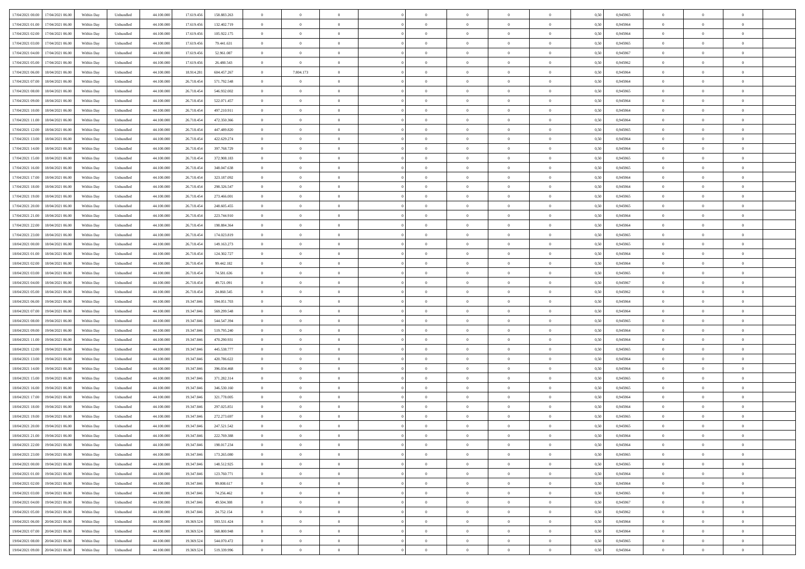| 17/04/2021 00:00 17/04/2021 06:00    | Within Day | Unbundled                   | 44.100.000 | 17.619.456 | 158.883.263 | $\overline{0}$ | $\overline{0}$ |                | $\overline{0}$ | $\theta$       |                | $\theta$       | 0,50 | 0,945965 | $\theta$       | $\theta$       | $\overline{0}$ |  |
|--------------------------------------|------------|-----------------------------|------------|------------|-------------|----------------|----------------|----------------|----------------|----------------|----------------|----------------|------|----------|----------------|----------------|----------------|--|
| 17/04/2021 01:00<br>17/04/2021 06.00 | Within Day | Unbundled                   | 44.100.00  | 17.619.45  | 132.402.719 | $\bf{0}$       | $\overline{0}$ | $\bf{0}$       | $\overline{0}$ | $\bf{0}$       | $\overline{0}$ | $\bf{0}$       | 0,50 | 0,945964 | $\,$ 0 $\,$    | $\bf{0}$       | $\overline{0}$ |  |
| 17/04/2021 02:00<br>17/04/2021 06:00 | Within Day | Unbundled                   | 44,100,000 | 17.619.456 | 105.922.175 | $\overline{0}$ | $\overline{0}$ | $\overline{0}$ | $\bf{0}$       | $\bf{0}$       | $\overline{0}$ | $\bf{0}$       | 0.50 | 0.945964 | $\bf{0}$       | $\overline{0}$ | $\overline{0}$ |  |
| 17/04/2021 03:00<br>17/04/2021 06:00 | Within Day | Unbundled                   | 44.100.000 | 17.619.456 | 79.441.631  | $\overline{0}$ | $\overline{0}$ | $\overline{0}$ | $\theta$       | $\theta$       | $\overline{0}$ | $\overline{0}$ | 0,50 | 0,945965 | $\theta$       | $\theta$       | $\overline{0}$ |  |
|                                      |            |                             |            |            |             |                | $\overline{0}$ | $\overline{0}$ | $\overline{0}$ | $\theta$       | $\overline{0}$ | $\bf{0}$       |      |          |                | $\bf{0}$       | $\overline{0}$ |  |
| 17/04/2021 04:00<br>17/04/2021 06.00 | Within Day | Unbundled                   | 44.100.00  | 17.619.456 | 52.961.087  | $\bf{0}$       |                |                |                |                |                |                | 0,50 | 0,945967 | $\bf{0}$       |                |                |  |
| 17/04/2021 05:00<br>17/04/2021 06:00 | Within Day | Unbundled                   | 44,100,000 | 17.619.456 | 26,480.543  | $\overline{0}$ | $\overline{0}$ | $\Omega$       | $\overline{0}$ | $\overline{0}$ | $\Omega$       | $\bf{0}$       | 0.50 | 0.945962 | $\bf{0}$       | $\theta$       | $\overline{0}$ |  |
| 17/04/2021 06:00<br>18/04/2021 06:00 | Within Day | Unbundled                   | 44.100.000 | 18.914.281 | 604.457.267 | $\overline{0}$ | 7.804.173      | $\overline{0}$ | $\overline{0}$ | $\theta$       | $\overline{0}$ | $\bf{0}$       | 0,50 | 0,945964 | $\theta$       | $\theta$       | $\overline{0}$ |  |
| 17/04/2021 07:00<br>18/04/2021 06:00 | Within Day | Unbundled                   | 44.100.00  | 26.718.454 | 571.792.548 | $\bf{0}$       | $\theta$       | $\bf{0}$       | $\overline{0}$ | $\theta$       | $\overline{0}$ | $\bf{0}$       | 0,50 | 0,945964 | $\,$ 0 $\,$    | $\bf{0}$       | $\overline{0}$ |  |
| 17/04/2021 08:00<br>18/04/2021 06:00 | Within Day | Unbundled                   | 44,100,00  | 26.718.454 | 546.932.002 | $\overline{0}$ | $\bf{0}$       | $\overline{0}$ | $\bf{0}$       | $\overline{0}$ | $\overline{0}$ | $\bf{0}$       | 0.50 | 0.945965 | $\bf{0}$       | $\theta$       | $\overline{0}$ |  |
| 17/04/2021 09:00<br>18/04/2021 06:00 | Within Day | Unbundled                   | 44.100.000 | 26.718.454 | 522.071.457 | $\overline{0}$ | $\bf{0}$       | $\overline{0}$ | $\overline{0}$ | $\theta$       | $\overline{0}$ | $\bf{0}$       | 0,50 | 0,945964 | $\,$ 0 $\,$    | $\theta$       | $\overline{0}$ |  |
|                                      |            |                             |            |            |             |                |                |                |                |                |                |                |      |          |                |                |                |  |
| 17/04/2021 10:00<br>18/04/2021 06:00 | Within Day | Unbundled                   | 44.100.00  | 26.718.454 | 497.210.911 | $\bf{0}$       | $\overline{0}$ | $\bf{0}$       | $\overline{0}$ | $\bf{0}$       | $\overline{0}$ | $\bf{0}$       | 0,50 | 0,945964 | $\,$ 0 $\,$    | $\bf{0}$       | $\overline{0}$ |  |
| 17/04/2021 11:00<br>18/04/2021 06:00 | Within Day | Unbundled                   | 44,100,000 | 26.718.454 | 472.350.366 | $\overline{0}$ | $\bf{0}$       | $\overline{0}$ | $\bf{0}$       | $\bf{0}$       | $\overline{0}$ | $\bf{0}$       | 0.50 | 0.945964 | $\bf{0}$       | $\overline{0}$ | $\overline{0}$ |  |
| 17/04/2021 12:00<br>18/04/2021 06:00 | Within Day | Unbundled                   | 44.100.000 | 26.718.454 | 447.489.820 | $\overline{0}$ | $\overline{0}$ | $\overline{0}$ | $\overline{0}$ | $\theta$       | $\overline{0}$ | $\overline{0}$ | 0,50 | 0,945965 | $\theta$       | $\theta$       | $\overline{0}$ |  |
| 17/04/2021 13:00<br>18/04/2021 06:00 | Within Day | Unbundled                   | 44.100.00  | 26.718.45  | 422.629.274 | $\bf{0}$       | $\theta$       | $\bf{0}$       | $\overline{0}$ | $\theta$       | $\overline{0}$ | $\bf{0}$       | 0,50 | 0,945964 | $\bf{0}$       | $\bf{0}$       | $\overline{0}$ |  |
| 17/04/2021 14:00<br>18/04/2021 06:00 | Within Day | Unbundled                   | 44,100,00  | 26.718.454 | 397.768.729 | $\overline{0}$ | $\overline{0}$ | $\overline{0}$ | $\bf{0}$       | $\theta$       | $\theta$       | $\bf{0}$       | 0.50 | 0.945964 | $\theta$       | $\theta$       | $\overline{0}$ |  |
| 17/04/2021 15:00<br>18/04/2021 06:00 | Within Day | Unbundled                   | 44.100.000 | 26.718.454 | 372.908.183 | $\overline{0}$ | $\overline{0}$ | $\overline{0}$ | $\overline{0}$ | $\overline{0}$ | $\overline{0}$ | $\bf{0}$       | 0,50 | 0,945965 | $\theta$       | $\theta$       | $\overline{0}$ |  |
|                                      |            |                             |            |            |             |                |                |                |                |                |                |                |      |          |                |                |                |  |
| 17/04/2021 16:00<br>18/04/2021 06:00 | Within Day | Unbundled                   | 44.100.00  | 26.718.454 | 348.047.638 | $\bf{0}$       | $\overline{0}$ | $\overline{0}$ | $\overline{0}$ | $\theta$       | $\overline{0}$ | $\bf{0}$       | 0,50 | 0,945965 | $\,$ 0 $\,$    | $\bf{0}$       | $\overline{0}$ |  |
| 17/04/2021 17:00<br>18/04/2021 06:00 | Within Day | Unbundled                   | 44,100,00  | 26.718.454 | 323.187.092 | $\overline{0}$ | $\overline{0}$ | $\overline{0}$ | $\bf{0}$       | $\overline{0}$ | $\overline{0}$ | $\bf{0}$       | 0.50 | 0.945964 | $\bf{0}$       | $\overline{0}$ | $\overline{0}$ |  |
| 17/04/2021 18:00<br>18/04/2021 06:00 | Within Day | Unbundled                   | 44.100.000 | 26.718.454 | 298.326.547 | $\overline{0}$ | $\overline{0}$ | $\overline{0}$ | $\overline{0}$ | $\theta$       | $\overline{0}$ | $\bf{0}$       | 0,50 | 0,945964 | $\,$ 0 $\,$    | $\theta$       | $\overline{0}$ |  |
| 17/04/2021 19:00<br>18/04/2021 06:00 | Within Day | Unbundled                   | 44.100.00  | 26.718.454 | 273.466.001 | $\bf{0}$       | $\overline{0}$ | $\bf{0}$       | $\bf{0}$       | $\overline{0}$ | $\overline{0}$ | $\bf{0}$       | 0,50 | 0,945965 | $\,$ 0 $\,$    | $\bf{0}$       | $\overline{0}$ |  |
| 17/04/2021 20:00<br>18/04/2021 06:00 | Within Day | Unbundled                   | 44,100,000 | 26.718.454 | 248,605,455 | $\overline{0}$ | $\bf{0}$       | $\overline{0}$ | $\bf{0}$       | $\bf{0}$       | $\overline{0}$ | $\bf{0}$       | 0.50 | 0.945965 | $\bf{0}$       | $\overline{0}$ | $\overline{0}$ |  |
| 17/04/2021 21:00<br>18/04/2021 06:00 | Within Day | Unbundled                   | 44.100.000 | 26.718.454 | 223.744.910 | $\overline{0}$ | $\overline{0}$ | $\overline{0}$ | $\theta$       | $\theta$       | $\overline{0}$ | $\bf{0}$       | 0,50 | 0,945964 | $\theta$       | $\theta$       | $\overline{0}$ |  |
|                                      |            |                             |            |            |             |                |                |                |                |                |                |                |      |          |                |                |                |  |
| 17/04/2021 22.00<br>18/04/2021 06:00 | Within Day | Unbundled                   | 44.100.00  | 26.718.454 | 198.884.364 | $\bf{0}$       | $\overline{0}$ | $\bf{0}$       | $\bf{0}$       | $\theta$       | $\overline{0}$ | $\bf{0}$       | 0,50 | 0,945964 | $\,$ 0 $\,$    | $\bf{0}$       | $\overline{0}$ |  |
| 17/04/2021 23:00<br>18/04/2021 06:00 | Within Day | Unbundled                   | 44,100,00  | 26.718.454 | 174.023.819 | $\overline{0}$ | $\overline{0}$ | $\overline{0}$ | $\overline{0}$ | $\overline{0}$ | $\Omega$       | $\bf{0}$       | 0.50 | 0.945965 | $\bf{0}$       | $\theta$       | $\overline{0}$ |  |
| 18/04/2021 00:00<br>18/04/2021 06:00 | Within Day | Unbundled                   | 44.100.000 | 26.718.454 | 149.163.273 | $\overline{0}$ | $\overline{0}$ | $\overline{0}$ | $\overline{0}$ | $\theta$       | $\overline{0}$ | $\bf{0}$       | 0,50 | 0,945965 | $\theta$       | $\theta$       | $\overline{0}$ |  |
| 18/04/2021 01:00<br>18/04/2021 06:00 | Within Day | Unbundled                   | 44.100.00  | 26.718.454 | 124.302.727 | $\bf{0}$       | $\theta$       | $\bf{0}$       | $\overline{0}$ | $\theta$       | $\overline{0}$ | $\bf{0}$       | 0,50 | 0,945964 | $\,$ 0 $\,$    | $\bf{0}$       | $\overline{0}$ |  |
| 18/04/2021 02:00<br>18/04/2021 06:00 | Within Day | Unbundled                   | 44,100,00  | 26.718.454 | 99.442.182  | $\overline{0}$ | $\bf{0}$       | $\overline{0}$ | $\bf{0}$       | $\overline{0}$ | $\overline{0}$ | $\bf{0}$       | 0.50 | 0.945964 | $\bf{0}$       | $\overline{0}$ | $\overline{0}$ |  |
| 18/04/2021 03:00<br>18/04/2021 06:00 | Within Day | Unbundled                   | 44.100.000 | 26.718.454 | 74.581.636  | $\overline{0}$ | $\overline{0}$ | $\overline{0}$ | $\overline{0}$ | $\theta$       | $\overline{0}$ | $\bf{0}$       | 0,50 | 0,945965 | $\theta$       | $\theta$       | $\overline{0}$ |  |
| 18/04/2021 04:00<br>18/04/2021 06:00 | Within Day | Unbundled                   | 44.100.00  | 26.718.454 | 49.721.091  | $\bf{0}$       | $\bf{0}$       | $\bf{0}$       | $\bf{0}$       | $\overline{0}$ | $\overline{0}$ | $\bf{0}$       | 0,50 | 0,945967 | $\,$ 0 $\,$    | $\bf{0}$       | $\overline{0}$ |  |
|                                      |            |                             |            |            |             |                |                |                |                |                |                |                |      |          |                |                |                |  |
| 18/04/2021 05:00<br>18/04/2021 06:00 | Within Day | Unbundled                   | 44,100,000 | 26.718.454 | 24,860,545  | $\overline{0}$ | $\bf{0}$       | $\overline{0}$ | $\bf{0}$       | $\bf{0}$       | $\overline{0}$ | $\bf{0}$       | 0.50 | 0.945962 | $\bf{0}$       | $\overline{0}$ | $\overline{0}$ |  |
| 18/04/2021 06:00<br>19/04/2021 06:00 | Within Day | Unbundled                   | 44.100.000 | 19,347,846 | 594.051.703 | $\overline{0}$ | $\overline{0}$ | $\overline{0}$ | $\overline{0}$ | $\theta$       | $\overline{0}$ | $\bf{0}$       | 0.5( | 0.945964 | $\theta$       | $\theta$       | $\overline{0}$ |  |
| 18/04/2021 07:00<br>19/04/2021 06:00 | Within Day | Unbundled                   | 44.100.00  | 19.347.84  | 569.299.548 | $\bf{0}$       | $\overline{0}$ | $\bf{0}$       | $\overline{0}$ | $\overline{0}$ | $\overline{0}$ | $\bf{0}$       | 0,50 | 0,945964 | $\,$ 0 $\,$    | $\bf{0}$       | $\overline{0}$ |  |
| 18/04/2021 08:00<br>19/04/2021 06:00 | Within Day | Unbundled                   | 44,100,000 | 19.347.846 | 544.547.394 | $\overline{0}$ | $\overline{0}$ | $\overline{0}$ | $\bf{0}$       | $\bf{0}$       | $\Omega$       | $\bf{0}$       | 0.50 | 0.945965 | $\,$ 0 $\,$    | $\overline{0}$ | $\overline{0}$ |  |
| 18/04/2021 09:00<br>19/04/2021 06:00 | Within Dav | Unbundled                   | 44.100.000 | 19.347.846 | 519.795.240 | $\overline{0}$ | $\overline{0}$ | $\overline{0}$ | $\overline{0}$ | $\overline{0}$ | $\overline{0}$ | $\overline{0}$ | 0.50 | 0,945964 | $\theta$       | $\theta$       | $\overline{0}$ |  |
| 18/04/2021 11:00<br>19/04/2021 06:00 | Within Day | Unbundled                   | 44.100.00  | 19.347.84  | 470.290.931 | $\bf{0}$       | $\overline{0}$ | $\bf{0}$       | $\overline{0}$ | $\bf{0}$       | $\overline{0}$ | $\bf{0}$       | 0,50 | 0,945964 | $\,$ 0 $\,$    | $\bf{0}$       | $\overline{0}$ |  |
| 18/04/2021 12:00<br>19/04/2021 06:00 | Within Day | Unbundled                   | 44,100,00  | 19.347.84  | 445.538.777 | $\overline{0}$ | $\bf{0}$       | $\overline{0}$ | $\bf{0}$       | $\overline{0}$ | $\overline{0}$ | $\bf{0}$       | 0.50 | 0.945965 | $\bf{0}$       | $\overline{0}$ | $\overline{0}$ |  |
|                                      |            |                             |            |            |             |                |                |                |                |                |                |                |      |          |                |                |                |  |
| 18/04/2021 13:00<br>19/04/2021 06:00 | Within Dav | Unbundled                   | 44.100.000 | 19.347.846 | 420.786.622 | $\overline{0}$ | $\overline{0}$ | $\overline{0}$ | $\overline{0}$ | $\overline{0}$ | $\overline{0}$ | $\overline{0}$ | 0.50 | 0,945964 | $\theta$       | $\theta$       | $\overline{0}$ |  |
| 18/04/2021 14:00<br>19/04/2021 06:00 | Within Day | Unbundled                   | 44.100.00  | 19.347.84  | 396.034.468 | $\bf{0}$       | $\bf{0}$       | $\bf{0}$       | $\bf{0}$       | $\overline{0}$ | $\overline{0}$ | $\bf{0}$       | 0,50 | 0,945964 | $\,$ 0 $\,$    | $\bf{0}$       | $\overline{0}$ |  |
| 18/04/2021 15:00<br>19/04/2021 06:00 | Within Day | Unbundled                   | 44,100,000 | 19.347.846 | 371.282.314 | $\overline{0}$ | $\bf{0}$       | $\overline{0}$ | $\bf{0}$       | $\bf{0}$       | $\overline{0}$ | $\bf{0}$       | 0.50 | 0.945965 | $\bf{0}$       | $\overline{0}$ | $\overline{0}$ |  |
| 18/04/2021 16:00<br>19/04/2021 06:00 | Within Dav | Unbundled                   | 44.100.000 | 19.347.846 | 346.530.160 | $\overline{0}$ | $\overline{0}$ | $\overline{0}$ | $\overline{0}$ | $\theta$       | $\overline{0}$ | $\bf{0}$       | 0.50 | 0.945965 | $\theta$       | $\theta$       | $\overline{0}$ |  |
| 18/04/2021 17:00<br>19/04/2021 06:00 | Within Day | Unbundled                   | 44.100.00  | 19.347.84  | 321.778.005 | $\bf{0}$       | $\overline{0}$ | $\bf{0}$       | $\bf{0}$       | $\overline{0}$ | $\overline{0}$ | $\bf{0}$       | 0,50 | 0,945964 | $\,$ 0 $\,$    | $\bf{0}$       | $\overline{0}$ |  |
| 18/04/2021 18:00<br>19/04/2021 06:00 | Within Day | Unbundled                   | 44,100,00  | 19.347.84  | 297.025.851 | $\overline{0}$ | $\overline{0}$ | $\Omega$       | $\overline{0}$ | $\theta$       | $\theta$       | $\bf{0}$       | 0.50 | 0.945964 | $\,$ 0 $\,$    | $\theta$       | $\overline{0}$ |  |
| 18/04/2021 19:00<br>19/04/2021 06:00 | Within Dav | Unbundled                   | 44.100.000 | 19.347.84  | 272.273.697 | $\overline{0}$ | $\overline{0}$ | $\Omega$       | $\overline{0}$ | $\theta$       | $\Omega$       | $\overline{0}$ | 0.5( | 0,945965 | $\theta$       | $\theta$       | $\overline{0}$ |  |
|                                      |            |                             |            |            |             |                |                |                |                |                |                |                |      |          |                |                |                |  |
| 18/04/2021 20:00<br>19/04/2021 06:00 | Within Day | Unbundled                   | 44.100.00  | 19.347.84  | 247.521.542 | $\bf{0}$       | $\bf{0}$       | $\bf{0}$       | $\bf{0}$       | $\bf{0}$       | $\overline{0}$ | $\bf{0}$       | 0,50 | 0,945965 | $\,$ 0 $\,$    | $\bf{0}$       | $\overline{0}$ |  |
| 18/04/2021 21:00 19/04/2021 06:00    | Within Day | $\ensuremath{\mathsf{Unb}}$ | 44.100.000 | 19.347.846 | 222.769.388 | $\overline{0}$ | $\Omega$       |                | $\Omega$       |                |                |                | 0,50 | 0.945964 | $\theta$       | $\overline{0}$ |                |  |
| 18/04/2021 22:00 19/04/2021 06:00    | Within Day | Unbundled                   | 44.100.000 | 19.347.846 | 198.017.234 | $\overline{0}$ | $\theta$       | $\Omega$       | $\theta$       | $\overline{0}$ | $\overline{0}$ | $\bf{0}$       | 0,50 | 0,945964 | $\theta$       | $\theta$       | $\overline{0}$ |  |
| 18/04/2021 23:00<br>19/04/2021 06:00 | Within Day | Unbundled                   | 44.100.00  | 19.347.846 | 173.265.080 | $\overline{0}$ | $\bf{0}$       | $\overline{0}$ | $\overline{0}$ | $\bf{0}$       | $\overline{0}$ | $\bf{0}$       | 0,50 | 0,945965 | $\bf{0}$       | $\overline{0}$ | $\bf{0}$       |  |
| 19/04/2021 00:00 19/04/2021 06:00    | Within Day | Unbundled                   | 44,100,000 | 19,347,846 | 148.512.925 | $\overline{0}$ | $\bf{0}$       | $\overline{0}$ | $\overline{0}$ | $\overline{0}$ | $\overline{0}$ | $\,$ 0 $\,$    | 0.50 | 0.945965 | $\overline{0}$ | $\bf{0}$       | $\,$ 0 $\,$    |  |
| 19/04/2021 01:00 19/04/2021 06:00    | Within Day | Unbundled                   | 44.100.000 | 19.347.846 | 123.760.771 | $\overline{0}$ | $\overline{0}$ | $\overline{0}$ | $\overline{0}$ | $\overline{0}$ | $\overline{0}$ | $\bf{0}$       | 0,50 | 0,945964 | $\theta$       | $\theta$       | $\overline{0}$ |  |
| 19/04/2021 02:00<br>19/04/2021 06:00 | Within Day | Unbundled                   | 44.100.000 | 19.347.846 | 99.008.617  | $\overline{0}$ | $\bf{0}$       | $\overline{0}$ | $\bf{0}$       | $\overline{0}$ | $\overline{0}$ | $\bf{0}$       | 0,50 | 0,945964 | $\overline{0}$ | $\bf{0}$       | $\overline{0}$ |  |
|                                      |            |                             |            |            |             |                |                |                |                |                |                |                |      |          |                |                |                |  |
| 19/04/2021 03:00<br>19/04/2021 06:00 | Within Day | Unbundled                   | 44,100,000 | 19,347,846 | 74.256.462  | $\overline{0}$ | $\bf{0}$       | $\overline{0}$ | $\overline{0}$ | $\overline{0}$ | $\overline{0}$ | $\bf{0}$       | 0.50 | 0.945965 | $\,$ 0 $\,$    | $\theta$       | $\overline{0}$ |  |
| 19/04/2021 04:00<br>19/04/2021 06:00 | Within Dav | Unbundled                   | 44.100.000 | 19.347.846 | 49.504.308  | $\overline{0}$ | $\overline{0}$ | $\overline{0}$ | $\overline{0}$ | $\overline{0}$ | $\overline{0}$ | $\bf{0}$       | 0.50 | 0,945967 | $\overline{0}$ | $\theta$       | $\overline{0}$ |  |
| 19/04/2021 05:00<br>19/04/2021 06:00 | Within Day | Unbundled                   | 44.100.00  | 19.347.846 | 24.752.154  | $\overline{0}$ | $\overline{0}$ | $\overline{0}$ | $\overline{0}$ | $\overline{0}$ | $\overline{0}$ | $\bf{0}$       | 0,50 | 0,945962 | $\bf{0}$       | $\overline{0}$ | $\overline{0}$ |  |
| 20/04/2021 06:00<br>19/04/2021 06:00 | Within Day | Unbundled                   | 44,100,000 | 19.369.524 | 593.531.424 | $\overline{0}$ | $\overline{0}$ | $\overline{0}$ | $\overline{0}$ | $\bf{0}$       | $\overline{0}$ | $\bf{0}$       | 0.50 | 0.945964 | $\overline{0}$ | $\,$ 0 $\,$    | $\,$ 0         |  |
| 19/04/2021 07:00 20/04/2021 06:00    | Within Dav | Unbundled                   | 44.100.000 | 19.369.524 | 568.800.948 | $\overline{0}$ | $\overline{0}$ | $\overline{0}$ | $\overline{0}$ | $\overline{0}$ | $\overline{0}$ | $\bf{0}$       | 0,50 | 0,945964 | $\overline{0}$ | $\theta$       | $\overline{0}$ |  |
| 19/04/2021 08:00<br>20/04/2021 06.00 | Within Day | Unbundled                   | 44.100.00  | 19.369.524 | 544.070.472 | $\overline{0}$ | $\bf{0}$       | $\overline{0}$ | $\bf{0}$       | $\overline{0}$ | $\overline{0}$ | $\bf{0}$       | 0,50 | 0,945965 | $\bf{0}$       | $\bf{0}$       | $\overline{0}$ |  |
|                                      |            |                             |            |            |             |                |                |                |                |                |                |                |      |          |                |                |                |  |
| 19/04/2021 09:00 20/04/2021 06:00    | Within Day | Unbundled                   | 44.100.000 | 19.369.524 | 519.339.996 | $\overline{0}$ | $\bf{0}$       | $\overline{0}$ | $\overline{0}$ | $\,$ 0 $\,$    | $\overline{0}$ | $\bf{0}$       | 0,50 | 0,945964 | $\overline{0}$ | $\,$ 0 $\,$    | $\,$ 0 $\,$    |  |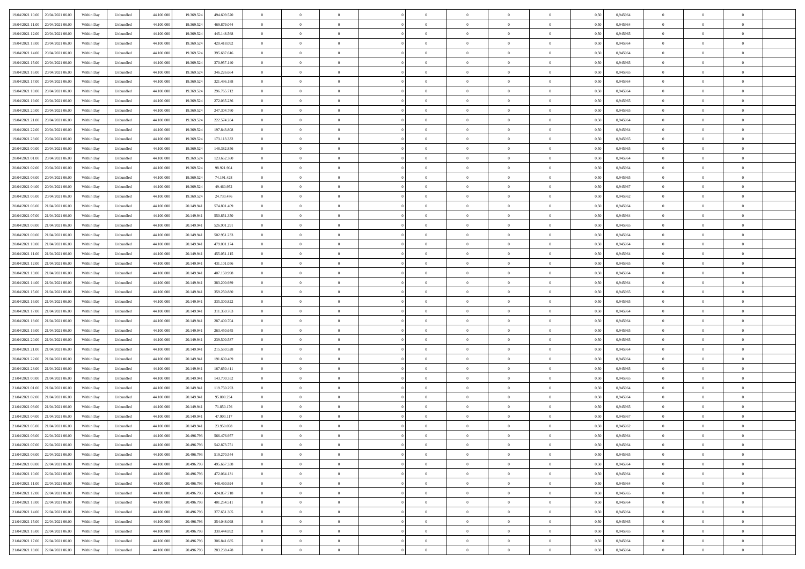|                                      |            |                   |            |            |             | $\overline{0}$ | $\theta$       |                | $\overline{0}$ | $\theta$       |                | $\bf{0}$       |      |          | $\theta$       | $\theta$       | $\overline{0}$ |  |
|--------------------------------------|------------|-------------------|------------|------------|-------------|----------------|----------------|----------------|----------------|----------------|----------------|----------------|------|----------|----------------|----------------|----------------|--|
| 19/04/2021 10:00 20/04/2021 06:00    | Within Day | Unbundled         | 44.100.000 | 19.369.524 | 494.609.520 |                |                |                |                |                |                |                | 0,50 | 0,945964 |                |                |                |  |
| 19/04/2021 11:00<br>20/04/2021 06.00 | Within Day | Unbundled         | 44.100.00  | 19.369.52  | 469.879.044 | $\bf{0}$       | $\overline{0}$ | $\bf{0}$       | $\overline{0}$ | $\bf{0}$       | $\overline{0}$ | $\bf{0}$       | 0,50 | 0,945964 | $\,$ 0 $\,$    | $\bf{0}$       | $\overline{0}$ |  |
| 19/04/2021 12:00<br>20/04/2021 06:00 | Within Day | Unbundled         | 44,100,000 | 19.369.524 | 445.148.568 | $\overline{0}$ | $\bf{0}$       | $\overline{0}$ | $\bf{0}$       | $\bf{0}$       | $\overline{0}$ | $\bf{0}$       | 0.50 | 0.945965 | $\bf{0}$       | $\overline{0}$ | $\overline{0}$ |  |
| 19/04/2021 13:00<br>20/04/2021 06:00 | Within Day | Unbundled         | 44.100.000 | 19.369.524 | 420.418.092 | $\overline{0}$ | $\overline{0}$ | $\overline{0}$ | $\theta$       | $\theta$       | $\overline{0}$ | $\bf{0}$       | 0,50 | 0,945964 | $\theta$       | $\theta$       | $\overline{0}$ |  |
| 19/04/2021 14:00<br>20/04/2021 06.00 | Within Day | Unbundled         | 44.100.00  | 19.369.524 | 395.687.616 | $\bf{0}$       | $\overline{0}$ | $\bf{0}$       | $\overline{0}$ | $\theta$       | $\overline{0}$ | $\bf{0}$       | 0,50 | 0,945964 | $\bf{0}$       | $\bf{0}$       | $\overline{0}$ |  |
|                                      |            |                   |            |            |             |                |                |                |                |                |                |                |      |          |                |                |                |  |
| 19/04/2021 15:00<br>20/04/2021 06:00 | Within Day | Unbundled         | 44,100,000 | 19.369.52  | 370.957.140 | $\overline{0}$ | $\overline{0}$ | $\overline{0}$ | $\bf{0}$       | $\overline{0}$ | $\theta$       | $\bf{0}$       | 0.50 | 0.945965 | $\bf{0}$       | $\theta$       | $\overline{0}$ |  |
| 19/04/2021 16:00<br>20/04/2021 06:00 | Within Day | Unbundled         | 44.100.000 | 19.369.524 | 346.226.664 | $\overline{0}$ | $\overline{0}$ | $\overline{0}$ | $\overline{0}$ | $\overline{0}$ | $\overline{0}$ | $\bf{0}$       | 0,50 | 0,945965 | $\theta$       | $\theta$       | $\overline{0}$ |  |
| 19/04/2021 17:00<br>20/04/2021 06.00 | Within Day | Unbundled         | 44.100.00  | 19.369.52  | 321.496.188 | $\bf{0}$       | $\overline{0}$ | $\overline{0}$ | $\overline{0}$ | $\theta$       | $\overline{0}$ | $\bf{0}$       | 0,50 | 0,945964 | $\,$ 0 $\,$    | $\bf{0}$       | $\overline{0}$ |  |
| 19/04/2021 18:00<br>20/04/2021 06:00 | Within Day | Unbundled         | 44,100,000 | 19.369.52  | 296.765.712 | $\overline{0}$ | $\bf{0}$       | $\overline{0}$ | $\bf{0}$       | $\overline{0}$ | $\overline{0}$ | $\bf{0}$       | 0.50 | 0.945964 | $\bf{0}$       | $\overline{0}$ | $\overline{0}$ |  |
| 19/04/2021 19:00<br>20/04/2021 06:00 | Within Day | Unbundled         | 44.100.000 | 19.369.524 | 272.035.236 | $\bf{0}$       | $\bf{0}$       | $\overline{0}$ | $\overline{0}$ | $\overline{0}$ | $\overline{0}$ | $\bf{0}$       | 0,50 | 0,945965 | $\,$ 0 $\,$    | $\bf{0}$       | $\overline{0}$ |  |
| 19/04/2021 20:00<br>20/04/2021 06.00 | Within Day | Unbundled         | 44.100.00  | 19.369.524 | 247.304.760 | $\bf{0}$       | $\overline{0}$ | $\bf{0}$       | $\bf{0}$       | $\bf{0}$       | $\overline{0}$ | $\bf{0}$       | 0,50 | 0,945965 | $\,$ 0 $\,$    | $\bf{0}$       | $\overline{0}$ |  |
| 19/04/2021 21:00<br>20/04/2021 06:00 | Within Day | Unbundled         | 44,100,000 | 19.369.524 | 222.574.284 | $\overline{0}$ | $\bf{0}$       | $\overline{0}$ | $\bf{0}$       | $\bf{0}$       | $\overline{0}$ | $\bf{0}$       | 0.50 | 0.945964 | $\bf{0}$       | $\overline{0}$ | $\bf{0}$       |  |
|                                      |            |                   |            |            |             | $\overline{0}$ | $\overline{0}$ | $\overline{0}$ | $\overline{0}$ | $\theta$       | $\overline{0}$ | $\overline{0}$ |      |          | $\,$ 0 $\,$    | $\theta$       | $\overline{0}$ |  |
| 19/04/2021 22:00<br>20/04/2021 06:00 | Within Day | Unbundled         | 44.100.000 | 19.369.524 | 197.843.808 |                |                |                |                |                |                |                | 0,50 | 0,945964 |                |                |                |  |
| 19/04/2021 23:00<br>20/04/2021 06.00 | Within Day | Unbundled         | 44.100.00  | 19.369.52  | 173.113.332 | $\bf{0}$       | $\overline{0}$ | $\bf{0}$       | $\overline{0}$ | $\theta$       | $\overline{0}$ | $\bf{0}$       | 0,50 | 0,945965 | $\,$ 0 $\,$    | $\bf{0}$       | $\overline{0}$ |  |
| 20/04/2021 00:00<br>20/04/2021 06:00 | Within Day | Unbundled         | 44,100,000 | 19.369.52  | 148.382.856 | $\overline{0}$ | $\overline{0}$ | $\overline{0}$ | $\bf{0}$       | $\overline{0}$ | $\Omega$       | $\bf{0}$       | 0.50 | 0.945965 | $\bf{0}$       | $\theta$       | $\overline{0}$ |  |
| 20/04/2021 01:00<br>20/04/2021 06:00 | Within Day | Unbundled         | 44.100.000 | 19.369.524 | 123.652.380 | $\overline{0}$ | $\overline{0}$ | $\overline{0}$ | $\overline{0}$ | $\overline{0}$ | $\overline{0}$ | $\bf{0}$       | 0,50 | 0,945964 | $\theta$       | $\theta$       | $\overline{0}$ |  |
| 20/04/2021 02:00<br>20/04/2021 06.00 | Within Day | Unbundled         | 44.100.00  | 19.369.524 | 98.921.904  | $\bf{0}$       | $\overline{0}$ | $\overline{0}$ | $\overline{0}$ | $\theta$       | $\overline{0}$ | $\bf{0}$       | 0,50 | 0,945964 | $\,$ 0 $\,$    | $\bf{0}$       | $\overline{0}$ |  |
| 20/04/2021 03:00<br>20/04/2021 06:00 | Within Day | Unbundled         | 44,100,000 | 19.369.52  | 74.191.428  | $\overline{0}$ | $\bf{0}$       | $\overline{0}$ | $\bf{0}$       | $\overline{0}$ | $\overline{0}$ | $\bf{0}$       | 0.50 | 0.945965 | $\bf{0}$       | $\overline{0}$ | $\overline{0}$ |  |
| 20/04/2021 04:00<br>20/04/2021 06:00 | Within Day | Unbundled         | 44.100.000 | 19.369.524 | 49.460.952  | $\bf{0}$       | $\overline{0}$ | $\overline{0}$ | $\overline{0}$ | $\overline{0}$ | $\overline{0}$ | $\bf{0}$       | 0,50 | 0,945967 | $\,$ 0 $\,$    | $\bf{0}$       | $\overline{0}$ |  |
|                                      |            |                   |            |            |             |                | $\overline{0}$ |                |                | $\overline{0}$ | $\overline{0}$ |                |      |          | $\,$ 0 $\,$    | $\bf{0}$       | $\overline{0}$ |  |
| 20/04/2021 05:00<br>20/04/2021 06.00 | Within Day | Unbundled         | 44.100.00  | 19.369.52  | 24.730.476  | $\bf{0}$       |                | $\bf{0}$       | $\bf{0}$       |                |                | $\bf{0}$       | 0,50 | 0,945962 |                |                |                |  |
| 20/04/2021 06:00<br>21/04/2021 06:00 | Within Day | Unbundled         | 44,100,000 | 20.149.941 | 574.801.409 | $\overline{0}$ | $\bf{0}$       | $\overline{0}$ | $\bf{0}$       | $\bf{0}$       | $\overline{0}$ | $\bf{0}$       | 0.50 | 0.945964 | $\bf{0}$       | $\overline{0}$ | $\overline{0}$ |  |
| 20/04/2021 07:00<br>21/04/2021 06:00 | Within Day | Unbundled         | 44.100.000 | 20.149.941 | 550.851.350 | $\overline{0}$ | $\overline{0}$ | $\overline{0}$ | $\theta$       | $\theta$       | $\overline{0}$ | $\bf{0}$       | 0,50 | 0,945964 | $\theta$       | $\theta$       | $\overline{0}$ |  |
| 20/04/2021 08:00<br>21/04/2021 06.00 | Within Day | Unbundled         | 44.100.00  | 20.149.94  | 526.901.291 | $\bf{0}$       | $\overline{0}$ | $\bf{0}$       | $\bf{0}$       | $\bf{0}$       | $\overline{0}$ | $\bf{0}$       | 0,50 | 0,945965 | $\,$ 0 $\,$    | $\bf{0}$       | $\overline{0}$ |  |
| 20/04/2021 09:00<br>21/04/2021 06:00 | Within Day | Unbundled         | 44,100,000 | 20.149.94  | 502.951.233 | $\overline{0}$ | $\overline{0}$ | $\overline{0}$ | $\overline{0}$ | $\overline{0}$ | $\Omega$       | $\bf{0}$       | 0.50 | 0.945964 | $\bf{0}$       | $\theta$       | $\overline{0}$ |  |
| 20/04/2021 10:00<br>21/04/2021 06:00 | Within Day | Unbundled         | 44.100.000 | 20.149.941 | 479.001.174 | $\overline{0}$ | $\overline{0}$ | $\overline{0}$ | $\overline{0}$ | $\overline{0}$ | $\overline{0}$ | $\bf{0}$       | 0,50 | 0,945964 | $\theta$       | $\theta$       | $\overline{0}$ |  |
| 20/04/2021 11:00<br>21/04/2021 06.00 | Within Day | Unbundled         | 44.100.00  | 20.149.94  | 455.051.115 | $\bf{0}$       | $\theta$       | $\bf{0}$       | $\overline{0}$ | $\bf{0}$       | $\overline{0}$ | $\bf{0}$       | 0,50 | 0,945964 | $\,$ 0 $\,$    | $\bf{0}$       | $\overline{0}$ |  |
| 20/04/2021 12:00<br>21/04/2021 06:00 | Within Day | Unbundled         | 44,100,000 | 20.149.94  | 431.101.056 | $\overline{0}$ | $\bf{0}$       | $\overline{0}$ | $\bf{0}$       | $\overline{0}$ | $\overline{0}$ | $\bf{0}$       | 0.50 | 0.945965 | $\bf{0}$       | $\overline{0}$ | $\overline{0}$ |  |
| 20/04/2021 13:00<br>21/04/2021 06:00 |            |                   | 44.100.000 |            |             | $\overline{0}$ | $\overline{0}$ | $\overline{0}$ | $\overline{0}$ | $\overline{0}$ | $\overline{0}$ |                |      |          | $\theta$       | $\theta$       | $\overline{0}$ |  |
|                                      | Within Day | Unbundled         |            | 20.149.941 | 407.150.998 |                |                |                |                |                |                | $\bf{0}$       | 0,50 | 0,945964 |                |                |                |  |
| 20/04/2021 14:00<br>21/04/2021 06.00 | Within Day | Unbundled         | 44.100.00  | 20.149.94  | 383.200.939 | $\bf{0}$       | $\bf{0}$       | $\bf{0}$       | $\bf{0}$       | $\overline{0}$ | $\overline{0}$ | $\bf{0}$       | 0,50 | 0,945964 | $\,$ 0 $\,$    | $\bf{0}$       | $\overline{0}$ |  |
| 20/04/2021 15:00<br>21/04/2021 06:00 | Within Day | Unbundled         | 44,100,000 | 20.149.94  | 359.250.880 | $\overline{0}$ | $\bf{0}$       | $\overline{0}$ | $\bf{0}$       | $\bf{0}$       | $\overline{0}$ | $\bf{0}$       | 0.50 | 0.945965 | $\bf{0}$       | $\overline{0}$ | $\overline{0}$ |  |
| 20/04/2021 16:00<br>21/04/2021 06:00 | Within Day | Unbundled         | 44.100.000 | 20.149.94  | 335.300.822 | $\overline{0}$ | $\overline{0}$ | $\overline{0}$ | $\overline{0}$ | $\overline{0}$ | $\overline{0}$ | $\bf{0}$       | 0.5( | 0.945965 | $\theta$       | $\theta$       | $\overline{0}$ |  |
| 20/04/2021 17:00<br>21/04/2021 06.00 | Within Day | Unbundled         | 44.100.00  | 20.149.94  | 311.350.763 | $\bf{0}$       | $\overline{0}$ | $\bf{0}$       | $\bf{0}$       | $\,$ 0 $\,$    | $\overline{0}$ | $\bf{0}$       | 0,50 | 0,945964 | $\,$ 0 $\,$    | $\bf{0}$       | $\overline{0}$ |  |
| 20/04/2021 18:00<br>21/04/2021 06:00 | Within Day | Unbundled         | 44,100,000 | 20.149.94  | 287.400.704 | $\overline{0}$ | $\overline{0}$ | $\overline{0}$ | $\bf{0}$       | $\overline{0}$ | $\Omega$       | $\bf{0}$       | 0.50 | 0.945964 | $\,$ 0 $\,$    | $\theta$       | $\overline{0}$ |  |
| 20/04/2021 19:00<br>21/04/2021 06:00 | Within Dav | Unbundled         | 44.100.000 | 20.149.94  | 263.450.645 | $\overline{0}$ | $\overline{0}$ | $\overline{0}$ | $\overline{0}$ | $\overline{0}$ | $\overline{0}$ | $\overline{0}$ | 0.50 | 0,945965 | $\theta$       | $\theta$       | $\overline{0}$ |  |
| 20/04/2021 20:00<br>21/04/2021 06.00 | Within Day | Unbundled         | 44.100.00  | 20.149.94  | 239.500.587 | $\bf{0}$       | $\overline{0}$ | $\bf{0}$       | $\bf{0}$       | $\bf{0}$       | $\overline{0}$ | $\bf{0}$       | 0,50 | 0,945965 | $\,$ 0 $\,$    | $\bf{0}$       | $\overline{0}$ |  |
| 20/04/2021 21:00<br>21/04/2021 06:00 | Within Day | Unbundled         | 44,100,00  | 20.149.94  | 215.550.528 | $\overline{0}$ | $\bf{0}$       | $\overline{0}$ | $\bf{0}$       | $\overline{0}$ | $\overline{0}$ | $\bf{0}$       | 0.50 | 0.945964 | $\bf{0}$       | $\overline{0}$ | $\overline{0}$ |  |
|                                      |            |                   |            |            |             |                |                |                |                |                |                |                |      |          |                |                |                |  |
| 20/04/2021 22:00<br>21/04/2021 06:00 | Within Dav | Unbundled         | 44.100.000 | 20.149.94  | 191,600,469 | $\overline{0}$ | $\overline{0}$ | $\overline{0}$ | $\overline{0}$ | $\overline{0}$ | $\overline{0}$ | $\overline{0}$ | 0.50 | 0,945964 | $\theta$       | $\theta$       | $\overline{0}$ |  |
| 20/04/2021 23:00<br>21/04/2021 06.00 | Within Day | Unbundled         | 44.100.00  | 20.149.94  | 167.650.411 | $\bf{0}$       | $\bf{0}$       | $\bf{0}$       | $\bf{0}$       | $\overline{0}$ | $\overline{0}$ | $\bf{0}$       | 0,50 | 0,945965 | $\,$ 0 $\,$    | $\bf{0}$       | $\overline{0}$ |  |
| 21/04/2021 00:00<br>21/04/2021 06:00 | Within Day | Unbundled         | 44,100,000 | 20.149.941 | 143.700.352 | $\overline{0}$ | $\bf{0}$       | $\overline{0}$ | $\bf{0}$       | $\bf{0}$       | $\overline{0}$ | $\bf{0}$       | 0.50 | 0.945965 | $\bf{0}$       | $\overline{0}$ | $\overline{0}$ |  |
| 21/04/2021 01:00<br>21/04/2021 06:00 | Within Dav | Unbundled         | 44.100.000 | 20.149.94  | 119.750.293 | $\overline{0}$ | $\overline{0}$ | $\overline{0}$ | $\overline{0}$ | $\overline{0}$ | $\overline{0}$ | $\bf{0}$       | 0.50 | 0.945964 | $\theta$       | $\theta$       | $\overline{0}$ |  |
| 21/04/2021 02:00<br>21/04/2021 06.00 | Within Day | Unbundled         | 44.100.00  | 20.149.94  | 95.800.234  | $\bf{0}$       | $\overline{0}$ | $\bf{0}$       | $\bf{0}$       | $\overline{0}$ | $\overline{0}$ | $\bf{0}$       | 0,50 | 0,945964 | $\,$ 0 $\,$    | $\bf{0}$       | $\overline{0}$ |  |
| 21/04/2021 03:00<br>21/04/2021 06:00 | Within Day | Unbundled         | 44,100,000 | 20.149.94  | 71.850.176  | $\overline{0}$ | $\overline{0}$ | $\Omega$       | $\overline{0}$ | $\bf{0}$       | $\theta$       | $\bf{0}$       | 0.50 | 0.945965 | $\bf{0}$       | $\theta$       | $\overline{0}$ |  |
| 21/04/2021 04:00<br>21/04/2021 06:00 | Within Dav | Unbundled         | 44.100.000 | 20.149.94  | 47.900.117  | $\overline{0}$ | $\overline{0}$ | $\Omega$       | $\overline{0}$ | $\theta$       | $\Omega$       | $\overline{0}$ | 0.5( | 0,945967 | $\theta$       | $\theta$       | $\overline{0}$ |  |
| 21/04/2021 05:00<br>21/04/2021 06:00 | Within Day | Unbundled         | 44.100.000 | 20.149.94  | 23.950.058  | $\bf{0}$       | $\bf{0}$       | $\bf{0}$       | $\bf{0}$       | $\bf{0}$       | $\overline{0}$ | $\bf{0}$       | 0,50 | 0,945962 | $\,$ 0 $\,$    | $\bf{0}$       | $\overline{0}$ |  |
| 21/04/2021 06:00 22/04/2021 06:00    | Within Day | ${\sf Unbundred}$ | 44.100.000 | 20.496.793 | 566 476 957 | $\bf{0}$       | $\theta$       |                | $\overline{0}$ |                |                |                | 0,50 | 0.945964 | $\theta$       | $\overline{0}$ |                |  |
|                                      |            |                   |            |            |             |                |                |                |                |                |                |                |      |          |                |                |                |  |
| 21/04/2021 07:00 22/04/2021 06:00    | Within Day | Unbundled         | 44.100.000 | 20.496.793 | 542.873.751 | $\overline{0}$ | $\theta$       | $\Omega$       | $\theta$       | $\overline{0}$ | $\overline{0}$ | $\bf{0}$       | 0,50 | 0,945964 | $\theta$       | $\theta$       | $\overline{0}$ |  |
| 21/04/2021 08:00<br>22/04/2021 06:00 | Within Day | Unbundled         | 44.100.00  | 20.496.79  | 519.270.544 | $\overline{0}$ | $\bf{0}$       | $\overline{0}$ | $\overline{0}$ | $\bf{0}$       | $\overline{0}$ | $\bf{0}$       | 0,50 | 0,945965 | $\bf{0}$       | $\overline{0}$ | $\bf{0}$       |  |
| 21/04/2021 09:00 22/04/2021 06:00    | Within Day | Unbundled         | 44,100,000 | 20,496.793 | 495.667.338 | $\overline{0}$ | $\bf{0}$       | $\overline{0}$ | $\overline{0}$ | $\overline{0}$ | $\overline{0}$ | $\,$ 0 $\,$    | 0.50 | 0.945964 | $\overline{0}$ | $\bf{0}$       | $\,$ 0 $\,$    |  |
| 21/04/2021 10:00 22/04/2021 06:00    | Within Day | Unbundled         | 44.100.000 | 20.496.793 | 472.064.131 | $\overline{0}$ | $\overline{0}$ | $\overline{0}$ | $\overline{0}$ | $\overline{0}$ | $\overline{0}$ | $\bf{0}$       | 0,50 | 0,945964 | $\theta$       | $\theta$       | $\overline{0}$ |  |
| 21/04/2021 11:00<br>22/04/2021 06:00 | Within Day | Unbundled         | 44.100.000 | 20.496.79  | 448.460.924 | $\overline{0}$ | $\bf{0}$       | $\overline{0}$ | $\bf{0}$       | $\overline{0}$ | $\bf{0}$       | $\bf{0}$       | 0,50 | 0,945964 | $\overline{0}$ | $\bf{0}$       | $\overline{0}$ |  |
| 21/04/2021 12:00<br>22/04/2021 06:00 | Within Day | Unbundled         | 44,100,000 | 20.496.793 | 424.857.718 | $\overline{0}$ | $\bf{0}$       | $\overline{0}$ | $\overline{0}$ | $\overline{0}$ | $\overline{0}$ | $\bf{0}$       | 0.50 | 0.945965 | $\,$ 0 $\,$    | $\theta$       | $\,$ 0         |  |
| 21/04/2021 13:00 22/04/2021 06:00    | Within Dav | Unbundled         | 44.100.000 | 20.496.793 | 401.254.511 | $\overline{0}$ | $\overline{0}$ | $\overline{0}$ | $\overline{0}$ | $\overline{0}$ | $\overline{0}$ | $\bf{0}$       | 0.50 | 0,945964 | $\overline{0}$ | $\theta$       | $\overline{0}$ |  |
|                                      |            |                   |            |            |             |                |                |                |                |                |                |                |      |          |                |                |                |  |
| 21/04/2021 14:00<br>22/04/2021 06:00 | Within Day | Unbundled         | 44.100.000 | 20.496.79  | 377.651.305 | $\overline{0}$ | $\overline{0}$ | $\overline{0}$ | $\overline{0}$ | $\overline{0}$ | $\overline{0}$ | $\bf{0}$       | 0,50 | 0,945964 | $\bf{0}$       | $\bf{0}$       | $\overline{0}$ |  |
| 21/04/2021 15:00 22/04/2021 06:00    | Within Day | Unbundled         | 44,100,000 | 20,496.793 | 354,048,098 | $\overline{0}$ | $\overline{0}$ | $\overline{0}$ | $\overline{0}$ | $\bf{0}$       | $\overline{0}$ | $\bf{0}$       | 0.50 | 0.945965 | $\overline{0}$ | $\,$ 0 $\,$    | $\,$ 0         |  |
| 21/04/2021 16:00 22/04/2021 06:00    | Within Dav | Unbundled         | 44.100.000 | 20.496.793 | 330.444.892 | $\overline{0}$ | $\overline{0}$ | $\overline{0}$ | $\overline{0}$ | $\overline{0}$ | $\overline{0}$ | $\bf{0}$       | 0,50 | 0,945965 | $\theta$       | $\theta$       | $\overline{0}$ |  |
| 21/04/2021 17:00<br>22/04/2021 06:00 | Within Day | Unbundled         | 44.100.00  | 20.496.79  | 306.841.685 | $\overline{0}$ | $\bf{0}$       | $\overline{0}$ | $\bf{0}$       | $\overline{0}$ | $\bf{0}$       | $\bf{0}$       | 0,50 | 0,945964 | $\bf{0}$       | $\bf{0}$       | $\overline{0}$ |  |
| 21/04/2021 18:00 22/04/2021 06:00    | Within Day | Unbundled         | 44.100.000 | 20.496.793 | 283.238.478 | $\overline{0}$ | $\bf{0}$       | $\overline{0}$ | $\overline{0}$ | $\,$ 0 $\,$    | $\overline{0}$ | $\bf{0}$       | 0,50 | 0,945964 | $\overline{0}$ | $\,$ 0 $\,$    | $\,$ 0 $\,$    |  |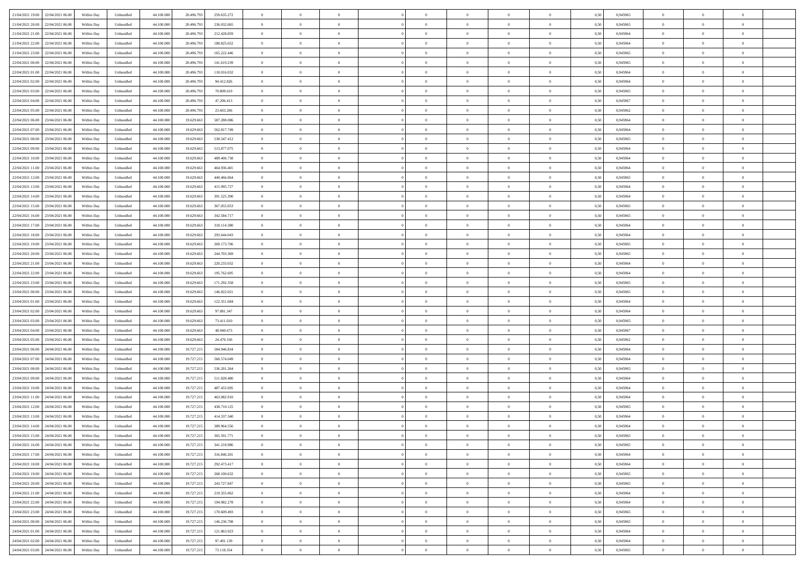| 21/04/2021 19:00 22/04/2021 06:00            | Within Day | Unbundled         | 44.100.000 | 20.496.793 | 259.635.272 | $\overline{0}$ | $\theta$       |                | $\overline{0}$ | $\theta$       |                | $\theta$       | 0,50 | 0,945965 | $\theta$       | $\theta$       | $\overline{0}$ |  |
|----------------------------------------------|------------|-------------------|------------|------------|-------------|----------------|----------------|----------------|----------------|----------------|----------------|----------------|------|----------|----------------|----------------|----------------|--|
| 21/04/2021 20:00<br>22/04/2021 06.00         | Within Day | Unbundled         | 44.100.00  | 20.496.79  | 236.032.065 | $\bf{0}$       | $\overline{0}$ | $\bf{0}$       | $\overline{0}$ | $\bf{0}$       | $\overline{0}$ | $\bf{0}$       | 0,50 | 0,945965 | $\,$ 0 $\,$    | $\bf{0}$       | $\overline{0}$ |  |
| 21/04/2021 21:00<br>22/04/2021 06:00         | Within Day | Unbundled         | 44,100,000 | 20,496.793 | 212.428.859 | $\overline{0}$ | $\bf{0}$       | $\overline{0}$ | $\bf{0}$       | $\bf{0}$       | $\overline{0}$ | $\bf{0}$       | 0.50 | 0.945964 | $\bf{0}$       | $\overline{0}$ | $\overline{0}$ |  |
| 21/04/2021 22:00<br>22/04/2021 06:00         |            |                   | 44.100.000 |            |             | $\overline{0}$ | $\overline{0}$ | $\overline{0}$ | $\theta$       | $\theta$       | $\overline{0}$ |                |      |          | $\theta$       | $\theta$       | $\overline{0}$ |  |
|                                              | Within Day | Unbundled         |            | 20.496.793 | 188.825.652 |                |                |                |                |                |                | $\bf{0}$       | 0,50 | 0,945964 |                |                |                |  |
| 21/04/2021 23:00<br>22/04/2021 06.00         | Within Day | Unbundled         | 44.100.00  | 20.496.79  | 165.222.446 | $\bf{0}$       | $\overline{0}$ | $\bf{0}$       | $\overline{0}$ | $\theta$       | $\overline{0}$ | $\bf{0}$       | 0,50 | 0,945965 | $\,$ 0 $\,$    | $\bf{0}$       | $\overline{0}$ |  |
| 22/04/2021 00:00<br>22/04/2021 06:00         | Within Day | Unbundled         | 44,100,000 | 20,496.793 | 141.619.239 | $\overline{0}$ | $\overline{0}$ | $\overline{0}$ | $\bf{0}$       | $\overline{0}$ | $\theta$       | $\bf{0}$       | 0.50 | 0.945965 | $\bf{0}$       | $\theta$       | $\overline{0}$ |  |
| 22/04/2021 01:00<br>22/04/2021 06:00         | Within Day | Unbundled         | 44.100.000 | 20.496.793 | 118.016.032 | $\overline{0}$ | $\overline{0}$ | $\overline{0}$ | $\overline{0}$ | $\overline{0}$ | $\overline{0}$ | $\bf{0}$       | 0,50 | 0,945964 | $\theta$       | $\theta$       | $\overline{0}$ |  |
|                                              |            |                   |            |            |             |                |                |                |                |                |                |                |      |          |                |                |                |  |
| 22/04/2021 02:00<br>22/04/2021 06.00         | Within Day | Unbundled         | 44.100.00  | 20.496.79  | 94.412.826  | $\bf{0}$       | $\overline{0}$ | $\overline{0}$ | $\overline{0}$ | $\overline{0}$ | $\overline{0}$ | $\bf{0}$       | 0,50 | 0,945964 | $\,$ 0 $\,$    | $\bf{0}$       | $\overline{0}$ |  |
| 22/04/2021 03:00<br>22/04/2021 06:00         | Within Day | Unbundled         | 44,100,00  | 20,496.793 | 70,809.619  | $\overline{0}$ | $\bf{0}$       | $\overline{0}$ | $\bf{0}$       | $\overline{0}$ | $\overline{0}$ | $\bf{0}$       | 0.50 | 0.945965 | $\bf{0}$       | $\overline{0}$ | $\overline{0}$ |  |
| 22/04/2021 04:00<br>22/04/2021 06:00         | Within Day | Unbundled         | 44.100.000 | 20.496.793 | 47.206.413  | $\overline{0}$ | $\bf{0}$       | $\overline{0}$ | $\overline{0}$ | $\overline{0}$ | $\overline{0}$ | $\bf{0}$       | 0,50 | 0,945967 | $\,$ 0 $\,$    | $\bf{0}$       | $\overline{0}$ |  |
| 22/04/2021 05:00<br>22/04/2021 06.00         | Within Day | Unbundled         | 44.100.00  | 20.496.79  | 23.603.206  | $\bf{0}$       | $\overline{0}$ | $\bf{0}$       | $\bf{0}$       | $\bf{0}$       | $\overline{0}$ | $\bf{0}$       | 0,50 | 0,945962 | $\,$ 0 $\,$    | $\bf{0}$       | $\overline{0}$ |  |
|                                              |            |                   |            |            |             |                |                |                |                |                |                |                |      |          |                |                |                |  |
| 22/04/2021 06:00<br>23/04/2021 06:00         | Within Day | Unbundled         | 44,100,000 | 19.629.663 | 587.288.086 | $\overline{0}$ | $\bf{0}$       | $\overline{0}$ | $\bf{0}$       | $\bf{0}$       | $\overline{0}$ | $\bf{0}$       | 0.50 | 0.945964 | $\bf{0}$       | $\overline{0}$ | $\bf{0}$       |  |
| 22/04/2021 07:00<br>23/04/2021 06:00         | Within Day | Unbundled         | 44.100.000 | 19.629.663 | 562.817.749 | $\overline{0}$ | $\overline{0}$ | $\overline{0}$ | $\overline{0}$ | $\theta$       | $\overline{0}$ | $\overline{0}$ | 0,50 | 0,945964 | $\theta$       | $\theta$       | $\overline{0}$ |  |
| 22/04/2021 08:00<br>23/04/2021 06.00         | Within Day | Unbundled         | 44.100.00  | 19.629.66  | 538.347.412 | $\bf{0}$       | $\overline{0}$ | $\bf{0}$       | $\overline{0}$ | $\theta$       | $\overline{0}$ | $\bf{0}$       | 0,50 | 0,945965 | $\,$ 0 $\,$    | $\bf{0}$       | $\overline{0}$ |  |
|                                              |            |                   |            |            |             |                |                |                |                |                |                |                |      |          |                |                |                |  |
| 22/04/2021 09:00<br>23/04/2021 06:00         | Within Day | Unbundled         | 44,100,000 | 19.629.663 | 513.877.075 | $\overline{0}$ | $\overline{0}$ | $\overline{0}$ | $\bf{0}$       | $\overline{0}$ | $\theta$       | $\bf{0}$       | 0.50 | 0.945964 | $\,$ 0 $\,$    | $\theta$       | $\overline{0}$ |  |
| 22/04/2021 10:00<br>23/04/2021 06:00         | Within Day | Unbundled         | 44.100.000 | 19.629.663 | 489.406.738 | $\overline{0}$ | $\overline{0}$ | $\overline{0}$ | $\overline{0}$ | $\overline{0}$ | $\overline{0}$ | $\bf{0}$       | 0,50 | 0,945964 | $\theta$       | $\theta$       | $\overline{0}$ |  |
| 22/04/2021 11:00<br>23/04/2021 06.00         | Within Day | Unbundled         | 44.100.00  | 19.629.66  | 464.936.401 | $\bf{0}$       | $\overline{0}$ | $\overline{0}$ | $\overline{0}$ | $\bf{0}$       | $\overline{0}$ | $\bf{0}$       | 0,50 | 0,945964 | $\,$ 0 $\,$    | $\bf{0}$       | $\overline{0}$ |  |
| 22/04/2021 12:00<br>23/04/2021 06:00         | Within Day | Unbundled         | 44,100,000 | 19.629.663 | 440,466,064 | $\overline{0}$ | $\bf{0}$       | $\overline{0}$ | $\bf{0}$       | $\overline{0}$ | $\overline{0}$ | $\bf{0}$       | 0.50 | 0.945965 | $\bf{0}$       | $\overline{0}$ | $\overline{0}$ |  |
|                                              |            |                   |            |            |             |                | $\overline{0}$ | $\overline{0}$ | $\overline{0}$ | $\overline{0}$ | $\overline{0}$ |                |      |          | $\,$ 0 $\,$    | $\theta$       |                |  |
| 22/04/2021 13:00<br>23/04/2021 06:00         | Within Day | Unbundled         | 44.100.000 | 19.629.663 | 415.995.727 | $\bf{0}$       |                |                |                |                |                | $\bf{0}$       | 0,50 | 0,945964 |                |                | $\overline{0}$ |  |
| 22/04/2021 14:00<br>23/04/2021 06.00         | Within Day | Unbundled         | 44.100.00  | 19.629.66  | 391.525.390 | $\bf{0}$       | $\bf{0}$       | $\bf{0}$       | $\bf{0}$       | $\overline{0}$ | $\overline{0}$ | $\bf{0}$       | 0,50 | 0,945964 | $\,$ 0 $\,$    | $\bf{0}$       | $\overline{0}$ |  |
| 22/04/2021 15:00<br>23/04/2021 06:00         | Within Day | Unbundled         | 44,100,000 | 19.629.663 | 367.055.053 | $\overline{0}$ | $\bf{0}$       | $\overline{0}$ | $\bf{0}$       | $\bf{0}$       | $\overline{0}$ | $\bf{0}$       | 0.50 | 0.945965 | $\bf{0}$       | $\overline{0}$ | $\bf{0}$       |  |
| 22/04/2021 16:00<br>23/04/2021 06:00         | Within Day | Unbundled         | 44.100.000 | 19.629.663 | 342.584.717 | $\overline{0}$ | $\overline{0}$ | $\overline{0}$ | $\theta$       | $\theta$       | $\overline{0}$ | $\bf{0}$       | 0,50 | 0,945965 | $\theta$       | $\theta$       | $\overline{0}$ |  |
|                                              |            |                   |            |            |             |                | $\overline{0}$ |                |                | $\overline{0}$ | $\overline{0}$ |                |      |          | $\,$ 0 $\,$    | $\bf{0}$       | $\overline{0}$ |  |
| 22/04/2021 17:00<br>23/04/2021 06.00         | Within Day | Unbundled         | 44.100.00  | 19.629.66  | 318.114.380 | $\bf{0}$       |                | $\bf{0}$       | $\bf{0}$       |                |                | $\bf{0}$       | 0,50 | 0,945964 |                |                |                |  |
| 22/04/2021 18:00<br>23/04/2021 06:00         | Within Day | Unbundled         | 44,100,000 | 19.629.663 | 293.644.043 | $\overline{0}$ | $\overline{0}$ | $\overline{0}$ | $\bf{0}$       | $\overline{0}$ | $\theta$       | $\bf{0}$       | 0.50 | 0.945964 | $\,$ 0 $\,$    | $\theta$       | $\overline{0}$ |  |
| 22/04/2021 19:00<br>23/04/2021 06:00         | Within Day | Unbundled         | 44.100.000 | 19.629.663 | 269.173.706 | $\overline{0}$ | $\overline{0}$ | $\overline{0}$ | $\overline{0}$ | $\overline{0}$ | $\overline{0}$ | $\bf{0}$       | 0,50 | 0,945965 | $\theta$       | $\theta$       | $\overline{0}$ |  |
| 22/04/2021 20:00<br>23/04/2021 06.00         | Within Day | Unbundled         | 44.100.00  | 19.629.66  | 244.703.369 | $\bf{0}$       | $\overline{0}$ | $\bf{0}$       | $\overline{0}$ | $\bf{0}$       | $\overline{0}$ | $\bf{0}$       | 0,50 | 0,945965 | $\,$ 0 $\,$    | $\bf{0}$       | $\overline{0}$ |  |
| 22/04/2021 21:00<br>23/04/2021 06:00         |            | Unbundled         | 44,100,000 | 19.629.663 | 220.233.032 |                | $\bf{0}$       | $\overline{0}$ |                | $\overline{0}$ | $\overline{0}$ |                | 0.50 | 0.945964 | $\bf{0}$       | $\overline{0}$ | $\overline{0}$ |  |
|                                              | Within Day |                   |            |            |             | $\overline{0}$ |                |                | $\bf{0}$       |                |                | $\bf{0}$       |      |          |                |                |                |  |
| 22/04/2021 22:00<br>23/04/2021 06:00         | Within Day | Unbundled         | 44.100.000 | 19.629.663 | 195.762.695 | $\overline{0}$ | $\overline{0}$ | $\overline{0}$ | $\overline{0}$ | $\overline{0}$ | $\overline{0}$ | $\bf{0}$       | 0,50 | 0,945964 | $\theta$       | $\theta$       | $\overline{0}$ |  |
| 22/04/2021 23:00<br>23/04/2021 06.00         | Within Day | Unbundled         | 44.100.00  | 19.629.66  | 171.292.358 | $\bf{0}$       | $\bf{0}$       | $\bf{0}$       | $\bf{0}$       | $\overline{0}$ | $\overline{0}$ | $\bf{0}$       | 0,50 | 0,945965 | $\,$ 0 $\,$    | $\bf{0}$       | $\overline{0}$ |  |
| 23/04/2021 00:00<br>23/04/2021 06:00         | Within Day | Unbundled         | 44,100,000 | 19.629.663 | 146.822.021 | $\overline{0}$ | $\bf{0}$       | $\overline{0}$ | $\bf{0}$       | $\bf{0}$       | $\overline{0}$ | $\bf{0}$       | 0.50 | 0.945965 | $\bf{0}$       | $\overline{0}$ | $\overline{0}$ |  |
| 23/04/2021 01:00<br>23/04/2021 06:00         | Within Day | Unbundled         | 44.100.000 | 19.629.663 | 122.351.684 | $\overline{0}$ | $\overline{0}$ | $\overline{0}$ | $\overline{0}$ | $\overline{0}$ | $\overline{0}$ | $\bf{0}$       | 0.5( | 0.945964 | $\theta$       | $\theta$       | $\overline{0}$ |  |
|                                              |            |                   |            |            |             |                |                |                |                |                |                |                |      |          |                |                |                |  |
| 23/04/2021 02:00<br>23/04/2021 06.00         | Within Day | Unbundled         | 44.100.00  | 19.629.66  | 97.881.347  | $\bf{0}$       | $\overline{0}$ | $\bf{0}$       | $\bf{0}$       | $\,$ 0 $\,$    | $\overline{0}$ | $\bf{0}$       | 0,50 | 0,945964 | $\,$ 0 $\,$    | $\bf{0}$       | $\overline{0}$ |  |
| 23/04/2021 03:00<br>23/04/2021 06:00         | Within Day | Unbundled         | 44,100,000 | 19.629.663 | 73.411.010  | $\overline{0}$ | $\overline{0}$ | $\overline{0}$ | $\bf{0}$       | $\overline{0}$ | $\overline{0}$ | $\bf{0}$       | 0.50 | 0.945965 | $\,$ 0 $\,$    | $\theta$       | $\overline{0}$ |  |
| 23/04/2021 04:00<br>23/04/2021 06:00         | Within Dav | Unbundled         | 44.100.000 | 19.629.663 | 48.940.673  | $\overline{0}$ | $\overline{0}$ | $\overline{0}$ | $\overline{0}$ | $\overline{0}$ | $\overline{0}$ | $\overline{0}$ | 0.50 | 0,945967 | $\theta$       | $\theta$       | $\overline{0}$ |  |
| 23/04/2021 05:00<br>23/04/2021 06.00         | Within Day | Unbundled         | 44.100.00  | 19.629.66  | 24.470.336  | $\bf{0}$       | $\overline{0}$ | $\bf{0}$       | $\bf{0}$       | $\bf{0}$       | $\overline{0}$ | $\bf{0}$       | 0,50 | 0,945962 | $\,$ 0 $\,$    | $\bf{0}$       | $\overline{0}$ |  |
|                                              |            |                   |            |            |             |                |                |                |                |                |                |                |      |          |                |                |                |  |
| 23/04/2021 06:00<br>24/04/2021 06:00         | Within Day | Unbundled         | 44,100,000 | 19.727.215 | 584,946,834 | $\overline{0}$ | $\bf{0}$       | $\overline{0}$ | $\bf{0}$       | $\overline{0}$ | $\overline{0}$ | $\bf{0}$       | 0.50 | 0.945964 | $\bf{0}$       | $\overline{0}$ | $\overline{0}$ |  |
| 23/04/2021 07:00<br>24/04/2021 06:00         | Within Dav | Unbundled         | 44.100.000 | 19.727.215 | 560,574,049 | $\overline{0}$ | $\overline{0}$ | $\overline{0}$ | $\overline{0}$ | $\overline{0}$ | $\overline{0}$ | $\overline{0}$ | 0.50 | 0,945964 | $\theta$       | $\theta$       | $\overline{0}$ |  |
| 23/04/2021 08:00<br>24/04/2021 06.00         | Within Day | Unbundled         | 44.100.00  | 19.727.215 | 536.201.264 | $\bf{0}$       | $\bf{0}$       | $\bf{0}$       | $\bf{0}$       | $\overline{0}$ | $\overline{0}$ | $\bf{0}$       | 0,50 | 0,945965 | $\,$ 0 $\,$    | $\bf{0}$       | $\overline{0}$ |  |
| 23/04/2021 09:00<br>24/04/2021 06:00         | Within Day | Unbundled         | 44,100,000 | 19.727.215 | 511.828.480 | $\overline{0}$ | $\bf{0}$       | $\overline{0}$ | $\bf{0}$       | $\bf{0}$       | $\overline{0}$ | $\bf{0}$       | 0.50 | 0.945964 | $\bf{0}$       | $\overline{0}$ | $\overline{0}$ |  |
| 23/04/2021 10:00                             |            |                   |            |            |             |                | $\overline{0}$ |                |                | $\overline{0}$ |                |                |      |          | $\theta$       | $\theta$       | $\overline{0}$ |  |
| 24/04/2021 06:00                             | Within Day | Unbundled         | 44.100.000 | 19.727.215 | 487.455.695 | $\overline{0}$ |                | $\overline{0}$ | $\overline{0}$ |                | $\overline{0}$ | $\bf{0}$       | 0.50 | 0.945964 |                |                |                |  |
| 23/04/2021 11:00<br>24/04/2021 06.00         | Within Day | Unbundled         | 44.100.00  | 19.727.215 | 463.082.910 | $\bf{0}$       | $\overline{0}$ | $\bf{0}$       | $\bf{0}$       | $\overline{0}$ | $\overline{0}$ | $\bf{0}$       | 0,50 | 0,945964 | $\,$ 0 $\,$    | $\bf{0}$       | $\overline{0}$ |  |
| 23/04/2021 12:00<br>24/04/2021 06:00         | Within Day | Unbundled         | 44,100,000 | 19.727.21: | 438.710.125 | $\overline{0}$ | $\overline{0}$ | $\Omega$       | $\overline{0}$ | $\overline{0}$ | $\Omega$       | $\bf{0}$       | 0.50 | 0.945965 | $\bf{0}$       | $\theta$       | $\overline{0}$ |  |
| 23/04/2021 13:00<br>24/04/2021 06:00         | Within Dav | Unbundled         | 44.100.000 | 19.727.21  | 414.337.340 | $\overline{0}$ | $\overline{0}$ | $\Omega$       | $\overline{0}$ | $\theta$       | $\Omega$       | $\overline{0}$ | 0.5( | 0,945964 | $\theta$       | $\theta$       | $\overline{0}$ |  |
| 23/04/2021 14:00<br>24/04/2021 06:00         | Within Day | Unbundled         | 44.100.000 | 19.727.215 | 389.964.556 | $\bf{0}$       | $\bf{0}$       | $\overline{0}$ | $\bf{0}$       | $\bf{0}$       | $\overline{0}$ | $\bf{0}$       | 0,50 | 0,945964 | $\,$ 0 $\,$    | $\bf{0}$       | $\overline{0}$ |  |
|                                              |            |                   |            |            |             |                |                |                |                |                |                |                |      |          |                |                |                |  |
| $23/04/2021\ 15.00 \qquad 24/04/2021\ 06.00$ | Within Day | ${\sf Unbundred}$ | 44.100.000 | 19.727.215 | 365.591.771 | $\bf{0}$       | $\theta$       |                | $\overline{0}$ |                |                |                | 0,50 | 0.945965 | $\bf{0}$       | $\bf{0}$       |                |  |
| 23/04/2021 16:00 24/04/2021 06:00            | Within Day | Unbundled         | 44.100.000 | 19.727.215 | 341.218.986 | $\overline{0}$ | $\theta$       | $\Omega$       | $\theta$       | $\overline{0}$ | $\overline{0}$ | $\bf{0}$       | 0,50 | 0,945965 | $\theta$       | $\theta$       | $\overline{0}$ |  |
| 23/04/2021 17:00<br>24/04/2021 06.00         | Within Day | Unbundled         | 44.100.00  | 19.727.215 | 316.846.201 | $\overline{0}$ | $\bf{0}$       | $\overline{0}$ | $\overline{0}$ | $\bf{0}$       | $\overline{0}$ | $\bf{0}$       | 0,50 | 0,945964 | $\bf{0}$       | $\overline{0}$ | $\bf{0}$       |  |
| 23/04/2021 18:00 24/04/2021 06:00            | Within Day | Unbundled         | 44,100,000 | 19.727.215 | 292.473.417 | $\overline{0}$ | $\bf{0}$       | $\overline{0}$ | $\overline{0}$ | $\overline{0}$ | $\overline{0}$ | $\,$ 0 $\,$    | 0.50 | 0.945964 | $\mathbf{0}$   | $\bf{0}$       | $\,$ 0 $\,$    |  |
|                                              |            |                   |            |            |             |                |                |                |                |                |                |                |      |          |                |                |                |  |
| 23/04/2021 19:00 24/04/2021 06:00            | Within Day | Unbundled         | 44.100.000 | 19.727.215 | 268.100.632 | $\overline{0}$ | $\overline{0}$ | $\overline{0}$ | $\overline{0}$ | $\overline{0}$ | $\overline{0}$ | $\bf{0}$       | 0,50 | 0,945965 | $\theta$       | $\theta$       | $\overline{0}$ |  |
| 23/04/2021 20:00<br>24/04/2021 06:00         | Within Day | Unbundled         | 44.100.000 | 19.727.215 | 243.727.847 | $\overline{0}$ | $\bf{0}$       | $\overline{0}$ | $\bf{0}$       | $\overline{0}$ | $\overline{0}$ | $\bf{0}$       | 0,50 | 0,945965 | $\overline{0}$ | $\bf{0}$       | $\overline{0}$ |  |
| 24/04/2021 06:00<br>23/04/2021 21.00         | Within Day | Unbundled         | 44,100,000 | 19.727.215 | 219.355.062 | $\overline{0}$ | $\bf{0}$       | $\overline{0}$ | $\overline{0}$ | $\overline{0}$ | $\overline{0}$ | $\bf{0}$       | 0.50 | 0.945964 | $\,$ 0 $\,$    | $\theta$       | $\overline{0}$ |  |
| 23/04/2021 22:00 24/04/2021 06:00            | Within Dav | Unbundled         | 44.100.000 | 19.727.215 | 194.982.278 | $\overline{0}$ | $\overline{0}$ | $\overline{0}$ | $\overline{0}$ | $\overline{0}$ | $\overline{0}$ | $\bf{0}$       | 0.50 | 0,945964 | $\overline{0}$ | $\theta$       | $\overline{0}$ |  |
|                                              |            |                   |            |            |             |                |                |                |                |                |                |                |      |          |                |                |                |  |
| 23/04/2021 23:00<br>24/04/2021 06.00         | Within Day | Unbundled         | 44.100.00  | 19.727.215 | 170.609.493 | $\overline{0}$ | $\overline{0}$ | $\overline{0}$ | $\overline{0}$ | $\bf{0}$       | $\overline{0}$ | $\bf{0}$       | 0,50 | 0,945965 | $\bf{0}$       | $\bf{0}$       | $\overline{0}$ |  |
| 24/04/2021 00:00 24/04/2021 06:00            | Within Day | Unbundled         | 44,100,000 | 19.727.215 | 146.236.708 | $\overline{0}$ | $\overline{0}$ | $\overline{0}$ | $\overline{0}$ | $\bf{0}$       | $\overline{0}$ | $\bf{0}$       | 0.50 | 0.945965 | $\overline{0}$ | $\,$ 0 $\,$    | $\,$ 0         |  |
| 24/04/2021 01:00 24/04/2021 06:00            | Within Dav | Unbundled         | 44.100.000 | 19.727.215 | 121.863.923 | $\overline{0}$ | $\overline{0}$ | $\overline{0}$ | $\overline{0}$ | $\overline{0}$ | $\overline{0}$ | $\bf{0}$       | 0,50 | 0,945964 | $\theta$       | $\theta$       | $\overline{0}$ |  |
| 24/04/2021 02:00<br>24/04/2021 06.00         | Within Day | Unbundled         | 44.100.00  | 19.727.215 | 97.491.139  | $\overline{0}$ | $\bf{0}$       | $\overline{0}$ | $\bf{0}$       | $\overline{0}$ | $\overline{0}$ | $\bf{0}$       | 0,50 | 0,945964 | $\bf{0}$       | $\bf{0}$       | $\overline{0}$ |  |
|                                              |            |                   |            |            |             |                |                |                |                |                |                |                |      |          |                |                |                |  |
| 24/04/2021 03:00 24/04/2021 06:00            | Within Day | Unbundled         | 44.100.000 | 19.727.215 | 73.118.354  | $\overline{0}$ | $\bf{0}$       | $\overline{0}$ | $\overline{0}$ | $\,$ 0 $\,$    | $\overline{0}$ | $\bf{0}$       | 0,50 | 0,945965 | $\overline{0}$ | $\,$ 0 $\,$    | $\,$ 0 $\,$    |  |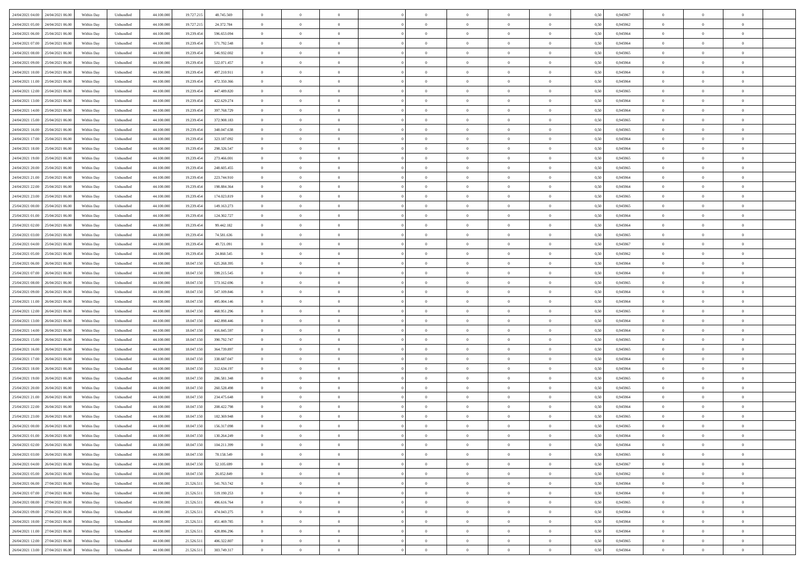| 24/04/2021 04:00<br>24/04/2021 06:00 | Within Day | Unbundled | 44.100.000 | 19.727.215 | 48.745.569  | $\overline{0}$ | $\overline{0}$   | $\overline{0}$ | $\theta$       | $\theta$       |                | $\overline{0}$ | 0,50 | 0,945967 | $\theta$       | $\theta$       | $\theta$       |  |
|--------------------------------------|------------|-----------|------------|------------|-------------|----------------|------------------|----------------|----------------|----------------|----------------|----------------|------|----------|----------------|----------------|----------------|--|
|                                      |            |           |            |            |             |                |                  |                |                |                |                |                |      |          |                |                |                |  |
| 24/04/2021 05:00<br>24/04/2021 06.0  | Within Day | Unbundled | 44.100.000 | 19.727.215 | 24.372.784  | $\overline{0}$ | $\overline{0}$   | $\overline{0}$ | $\,$ 0 $\,$    | $\bf{0}$       | $\overline{0}$ | $\bf{0}$       | 0,50 | 0,945962 | $\,$ 0 $\,$    | $\theta$       | $\overline{0}$ |  |
| 24/04/2021 06.00<br>25/04/2021 06:00 | Within Day | Unbundled | 44,100,000 | 19.239.454 | 596.653.094 | $\overline{0}$ | $\overline{0}$   | $\overline{0}$ | $\bf{0}$       | $\bf{0}$       | $\overline{0}$ | $\mathbf{0}$   | 0.50 | 0.945964 | $\bf{0}$       | $\overline{0}$ | $\overline{0}$ |  |
| 24/04/2021 07:00<br>25/04/2021 06:00 | Within Day | Unbundled | 44.100.000 | 19.239.454 | 571.792.548 | $\overline{0}$ | $\overline{0}$   | $\overline{0}$ | $\overline{0}$ | $\overline{0}$ | $\overline{0}$ | $\bf{0}$       | 0,50 | 0,945964 | $\theta$       | $\theta$       | $\overline{0}$ |  |
| 24/04/2021 08:00<br>25/04/2021 06.0  | Within Day | Unbundled | 44.100.000 | 19.239.454 | 546.932.002 | $\overline{0}$ | $\overline{0}$   | $\bf{0}$       | $\overline{0}$ | $\overline{0}$ | $\overline{0}$ | $\bf{0}$       | 0,50 | 0,945965 | $\,$ 0 $\,$    | $\theta$       | $\overline{0}$ |  |
|                                      |            |           |            |            |             |                |                  |                |                |                |                |                |      |          |                |                |                |  |
| 24/04/2021 09:00<br>25/04/2021 06:00 | Within Day | Unbundled | 44,100,000 | 19.239.454 | 522.071.457 | $\overline{0}$ | $\overline{0}$   | $\overline{0}$ | $\bf{0}$       | $\overline{0}$ | $\overline{0}$ | $\mathbf{0}$   | 0.50 | 0.945964 | $\bf{0}$       | $\theta$       | $\overline{0}$ |  |
| 24/04/2021 10:00<br>25/04/2021 06.00 | Within Day | Unbundled | 44.100.000 | 19.239.454 | 497.210.911 | $\overline{0}$ | $\overline{0}$   | $\overline{0}$ | $\overline{0}$ | $\overline{0}$ | $\overline{0}$ | $\bf{0}$       | 0,50 | 0,945964 | $\theta$       | $\theta$       | $\overline{0}$ |  |
| 24/04/2021 11:00<br>25/04/2021 06.0  | Within Day | Unbundled | 44.100.000 | 19.239.454 | 472.350.366 | $\overline{0}$ | $\overline{0}$   | $\overline{0}$ | $\overline{0}$ | $\overline{0}$ | $\overline{0}$ | $\bf{0}$       | 0,50 | 0,945964 | $\,$ 0 $\,$    | $\bf{0}$       | $\overline{0}$ |  |
| 24/04/2021 12:00<br>25/04/2021 06:00 | Within Day | Unbundled | 44,100,000 | 19.239.454 | 447.489.820 | $\overline{0}$ | $\overline{0}$   | $\overline{0}$ | $\bf{0}$       | $\overline{0}$ | $\overline{0}$ | $\mathbf{0}$   | 0.50 | 0.945965 | $\,$ 0 $\,$    | $\theta$       | $\overline{0}$ |  |
| 24/04/2021 13:00<br>25/04/2021 06:00 | Within Day | Unbundled | 44.100.000 | 19.239.454 | 422.629.274 | $\overline{0}$ | $\overline{0}$   | $\overline{0}$ | $\bf{0}$       | $\overline{0}$ | $\overline{0}$ | $\bf{0}$       | 0,50 | 0,945964 | $\theta$       | $\theta$       | $\overline{0}$ |  |
|                                      |            |           |            |            |             |                |                  |                |                |                |                |                |      |          |                |                |                |  |
| 24/04/2021 14:00<br>25/04/2021 06.0  | Within Day | Unbundled | 44.100.000 | 19.239.454 | 397.768.729 | $\overline{0}$ | $\overline{0}$   | $\overline{0}$ | $\bf{0}$       | $\bf{0}$       | $\overline{0}$ | $\bf{0}$       | 0,50 | 0,945964 | $\,$ 0 $\,$    | $\bf{0}$       | $\overline{0}$ |  |
| 24/04/2021 15:00<br>25/04/2021 06:00 | Within Day | Unbundled | 44,100,000 | 19.239.454 | 372.908.183 | $\overline{0}$ | $\overline{0}$   | $\overline{0}$ | $\bf{0}$       | $\bf{0}$       | $\overline{0}$ | $\mathbf{0}$   | 0.50 | 0.945965 | $\bf{0}$       | $\overline{0}$ | $\bf{0}$       |  |
| 24/04/2021 16:00<br>25/04/2021 06:00 | Within Day | Unbundled | 44.100.000 | 19.239.454 | 348.047.638 | $\overline{0}$ | $\overline{0}$   | $\overline{0}$ | $\overline{0}$ | $\overline{0}$ | $\overline{0}$ | $\bf{0}$       | 0,50 | 0,945965 | $\theta$       | $\theta$       | $\overline{0}$ |  |
| 24/04/2021 17.00<br>25/04/2021 06.0  | Within Day | Unbundled | 44.100.000 | 19.239.454 | 323.187.092 | $\overline{0}$ | $\overline{0}$   | $\bf{0}$       | $\bf{0}$       | $\overline{0}$ | $\overline{0}$ | $\bf{0}$       | 0,50 | 0,945964 | $\,$ 0 $\,$    | $\bf{0}$       | $\overline{0}$ |  |
| 24/04/2021 18:00<br>25/04/2021 06:00 | Within Day | Unbundled | 44,100,000 | 19.239.454 | 298.326.547 | $\overline{0}$ | $\overline{0}$   | $\overline{0}$ | $\overline{0}$ | $\overline{0}$ | $\overline{0}$ | $\mathbf{0}$   | 0.50 | 0.945964 | $\,$ 0 $\,$    | $\theta$       | $\overline{0}$ |  |
|                                      |            |           |            |            |             |                | $\overline{0}$   | $\overline{0}$ | $\overline{0}$ | $\overline{0}$ | $\overline{0}$ |                |      |          | $\theta$       | $\theta$       | $\overline{0}$ |  |
| 24/04/2021 19:00<br>25/04/2021 06:00 | Within Day | Unbundled | 44.100.000 | 19.239.454 | 273.466.001 | $\overline{0}$ |                  |                |                |                |                | $\bf{0}$       | 0,50 | 0,945965 |                |                |                |  |
| 24/04/2021 20.00<br>25/04/2021 06.0  | Within Day | Unbundled | 44.100.000 | 19.239.454 | 248.605.455 | $\overline{0}$ | $\overline{0}$   | $\overline{0}$ | $\bf{0}$       | $\overline{0}$ | $\overline{0}$ | $\bf{0}$       | 0,50 | 0,945965 | $\,$ 0 $\,$    | $\theta$       | $\overline{0}$ |  |
| 24/04/2021 21.00<br>25/04/2021 06:00 | Within Day | Unbundled | 44,100,000 | 19.239.454 | 223.744.910 | $\overline{0}$ | $\overline{0}$   | $\overline{0}$ | $\overline{0}$ | $\bf{0}$       | $\overline{0}$ | $\mathbf{0}$   | 0.50 | 0.945964 | $\,$ 0 $\,$    | $\overline{0}$ | $\overline{0}$ |  |
| 24/04/2021 22.00<br>25/04/2021 06:00 | Within Day | Unbundled | 44.100.000 | 19.239.454 | 198.884.364 | $\overline{0}$ | $\overline{0}$   | $\overline{0}$ | $\overline{0}$ | $\overline{0}$ | $\overline{0}$ | $\bf{0}$       | 0,50 | 0,945964 | $\,$ 0 $\,$    | $\theta$       | $\overline{0}$ |  |
| 24/04/2021 23.00<br>25/04/2021 06.0  | Within Day | Unbundled | 44.100.000 | 19.239.454 | 174.023.819 | $\overline{0}$ | $\overline{0}$   | $\overline{0}$ | $\bf{0}$       | $\bf{0}$       | $\overline{0}$ | $\bf{0}$       | 0,50 | 0,945965 | $\,$ 0 $\,$    | $\bf{0}$       | $\overline{0}$ |  |
| 25/04/2021 00:00<br>25/04/2021 06:00 | Within Day | Unbundled | 44,100,000 | 19.239.454 | 149.163.273 | $\overline{0}$ | $\overline{0}$   | $\overline{0}$ | $\bf{0}$       | $\bf{0}$       | $\overline{0}$ | $\mathbf{0}$   | 0.50 | 0.945965 | $\bf{0}$       | $\overline{0}$ | $\bf{0}$       |  |
|                                      |            |           |            |            |             |                |                  |                |                |                |                |                |      |          |                |                |                |  |
| 25/04/2021 01:00<br>25/04/2021 06:00 | Within Day | Unbundled | 44.100.000 | 19.239.454 | 124.302.727 | $\overline{0}$ | $\overline{0}$   | $\overline{0}$ | $\overline{0}$ | $\overline{0}$ | $\overline{0}$ | $\,$ 0 $\,$    | 0,50 | 0,945964 | $\theta$       | $\theta$       | $\overline{0}$ |  |
| 25/04/2021 02.00<br>25/04/2021 06.0  | Within Day | Unbundled | 44.100.000 | 19.239.454 | 99.442.182  | $\overline{0}$ | $\overline{0}$   | $\overline{0}$ | $\bf{0}$       | $\overline{0}$ | $\overline{0}$ | $\bf{0}$       | 0,50 | 0,945964 | $\,$ 0 $\,$    | $\bf{0}$       | $\overline{0}$ |  |
| 25/04/2021 03.00<br>25/04/2021 06:00 | Within Day | Unbundled | 44,100,000 | 19.239.454 | 74.581.636  | $\overline{0}$ | $\overline{0}$   | $\overline{0}$ | $\overline{0}$ | $\overline{0}$ | $\overline{0}$ | $\mathbf{0}$   | 0.50 | 0.945965 | $\bf{0}$       | $\theta$       | $\overline{0}$ |  |
| 25/04/2021 04:00<br>25/04/2021 06:00 | Within Day | Unbundled | 44.100.000 | 19.239.454 | 49.721.091  | $\overline{0}$ | $\overline{0}$   | $\overline{0}$ | $\overline{0}$ | $\overline{0}$ | $\overline{0}$ | $\bf{0}$       | 0,50 | 0,945967 | $\theta$       | $\theta$       | $\overline{0}$ |  |
| 25/04/2021 05:00<br>25/04/2021 06.0  | Within Day | Unbundled | 44.100.000 | 19.239.454 | 24.860.545  | $\overline{0}$ | $\overline{0}$   | $\overline{0}$ | $\overline{0}$ | $\overline{0}$ | $\overline{0}$ | $\bf{0}$       | 0,50 | 0,945962 | $\,$ 0 $\,$    | $\theta$       | $\overline{0}$ |  |
| 25/04/2021 06.00<br>26/04/2021 06:00 | Within Day | Unbundled | 44,100,000 | 18,047,150 | 625.268.395 | $\overline{0}$ | $\overline{0}$   | $\overline{0}$ | $\overline{0}$ | $\overline{0}$ | $\overline{0}$ | $\mathbf{0}$   | 0.50 | 0.945964 | $\,$ 0 $\,$    | $\overline{0}$ | $\overline{0}$ |  |
|                                      |            |           |            |            |             |                |                  |                |                |                |                |                |      |          |                |                |                |  |
| 25/04/2021 07:00<br>26/04/2021 06:00 | Within Day | Unbundled | 44.100.000 | 18.047.150 | 599.215.545 | $\overline{0}$ | $\overline{0}$   | $\overline{0}$ | $\overline{0}$ | $\overline{0}$ | $\overline{0}$ | $\bf{0}$       | 0,50 | 0,945964 | $\theta$       | $\theta$       | $\overline{0}$ |  |
| 25/04/2021 08:00<br>26/04/2021 06.0  | Within Day | Unbundled | 44.100.000 | 18.047.150 | 573.162.696 | $\overline{0}$ | $\overline{0}$   | $\overline{0}$ | $\overline{0}$ | $\bf{0}$       | $\overline{0}$ | $\bf{0}$       | 0,50 | 0,945965 | $\,$ 0 $\,$    | $\bf{0}$       | $\overline{0}$ |  |
| 25/04/2021 09:00<br>26/04/2021 06:00 | Within Day | Unbundled | 44,100,000 | 18,047,150 | 547.109.846 | $\overline{0}$ | $\overline{0}$   | $\overline{0}$ | $\bf{0}$       | $\bf{0}$       | $\overline{0}$ | $\mathbf{0}$   | 0.50 | 0.945964 | $\bf{0}$       | $\overline{0}$ | $\bf{0}$       |  |
| 25/04/2021 11:00<br>26/04/2021 06.00 | Within Day | Unbundled | 44.100.000 | 18.047.150 | 495.004.146 | $\overline{0}$ | $\overline{0}$   | $\overline{0}$ | $\overline{0}$ | $\overline{0}$ | $\overline{0}$ | $\overline{0}$ | 0.50 | 0.945964 | $\theta$       | $\theta$       | $\overline{0}$ |  |
| 25/04/2021 12:00<br>26/04/2021 06.0  | Within Day | Unbundled | 44.100.000 | 18.047.150 | 468.951.296 | $\overline{0}$ | $\overline{0}$   | $\overline{0}$ | $\bf{0}$       | $\overline{0}$ | $\overline{0}$ | $\bf{0}$       | 0,50 | 0,945965 | $\,$ 0 $\,$    | $\bf{0}$       | $\overline{0}$ |  |
| 25/04/2021 13:00<br>26/04/2021 06.00 | Within Day | Unbundled | 44,100,000 | 18,047,150 | 442.898.446 | $\overline{0}$ | $\overline{0}$   | $\overline{0}$ | $\overline{0}$ | $\overline{0}$ | $\overline{0}$ | $\mathbf{0}$   | 0.50 | 0.945964 | $\,$ 0 $\,$    | $\theta$       | $\overline{0}$ |  |
|                                      |            |           |            |            |             |                |                  |                |                |                |                |                |      |          |                |                |                |  |
| 25/04/2021 14:00<br>26/04/2021 06.00 | Within Day | Unbundled | 44.100.000 | 18.047.150 | 416.845.597 | $\overline{0}$ | $\overline{0}$   | $\overline{0}$ | $\overline{0}$ | $\overline{0}$ | $\Omega$       | $\overline{0}$ | 0.50 | 0,945964 | $\theta$       | $\theta$       | $\overline{0}$ |  |
| 25/04/2021 15:00<br>26/04/2021 06.0  | Within Day | Unbundled | 44.100.000 | 18.047.150 | 390.792.747 | $\overline{0}$ | $\overline{0}$   | $\overline{0}$ | $\bf{0}$       | $\overline{0}$ | $\overline{0}$ | $\bf{0}$       | 0,50 | 0,945965 | $\,$ 0 $\,$    | $\bf{0}$       | $\overline{0}$ |  |
| 25/04/2021 16:00<br>26/04/2021 06:00 | Within Day | Unbundled | 44,100,000 | 18,047,150 | 364,739,897 | $\overline{0}$ | $\overline{0}$   | $\overline{0}$ | $\overline{0}$ | $\bf{0}$       | $\overline{0}$ | $\mathbf{0}$   | 0.50 | 0.945965 | $\,$ 0 $\,$    | $\overline{0}$ | $\overline{0}$ |  |
| 25/04/2021 17:00<br>26/04/2021 06.00 | Within Day | Unbundled | 44.100.000 | 18.047.150 | 338.687.047 | $\overline{0}$ | $\overline{0}$   | $\overline{0}$ | $\overline{0}$ | $\overline{0}$ | $\overline{0}$ | $\overline{0}$ | 0.50 | 0,945964 | $\theta$       | $\theta$       | $\overline{0}$ |  |
| 25/04/2021 18:00<br>26/04/2021 06.0  | Within Day | Unbundled | 44.100.000 | 18.047.150 | 312.634.197 | $\overline{0}$ | $\overline{0}$   | $\overline{0}$ | $\,$ 0 $\,$    | $\bf{0}$       | $\overline{0}$ | $\bf{0}$       | 0,50 | 0,945964 | $\,$ 0 $\,$    | $\bf{0}$       | $\overline{0}$ |  |
| 25/04/2021 19:00<br>26/04/2021 06:00 | Within Day | Unbundled | 44,100,000 | 18,047.150 | 286,581,348 | $\overline{0}$ | $\overline{0}$   | $\overline{0}$ | $\bf{0}$       | $\bf{0}$       | $\overline{0}$ | $\mathbf{0}$   | 0.50 | 0.945965 | $\bf{0}$       | $\overline{0}$ | $\overline{0}$ |  |
|                                      |            |           |            |            |             |                |                  |                |                |                |                |                |      |          |                |                |                |  |
| 25/04/2021 20:00<br>26/04/2021 06.00 | Within Day | Unbundled | 44.100.000 | 18.047.150 | 260.528.498 | $\overline{0}$ | $\overline{0}$   | $\overline{0}$ | $\overline{0}$ | $\overline{0}$ | $\overline{0}$ | $\overline{0}$ | 0.50 | 0.945965 | $\theta$       | $\theta$       | $\overline{0}$ |  |
| 25/04/2021 21.00<br>26/04/2021 06.0  | Within Day | Unbundled | 44.100.000 | 18.047.150 | 234.475.648 | $\overline{0}$ | $\overline{0}$   | $\overline{0}$ | $\bf{0}$       | $\bf{0}$       | $\overline{0}$ | $\bf{0}$       | 0,50 | 0,945964 | $\,$ 0 $\,$    | $\bf{0}$       | $\overline{0}$ |  |
| 25/04/2021 22.00<br>26/04/2021 06.00 | Within Day | Unbundled | 44,100,000 | 18.047.150 | 208.422.798 | $\overline{0}$ | $\overline{0}$   | $\overline{0}$ | $\overline{0}$ | $\overline{0}$ | $\Omega$       | $\overline{0}$ | 0.50 | 0.945964 | $\,$ 0 $\,$    | $\theta$       | $\overline{0}$ |  |
| 25/04/2021 23:00<br>26/04/2021 06.00 | Within Day | Unbundled | 44.100.000 | 18.047.150 | 182.369.948 | $\overline{0}$ | $\overline{0}$   | $\overline{0}$ | $\overline{0}$ | $\overline{0}$ | $\theta$       | $\overline{0}$ | 0.50 | 0,945965 | $\theta$       | $\theta$       | $\overline{0}$ |  |
| 26/04/2021 00:00<br>26/04/2021 06.00 | Within Day | Unbundled | 44.100.000 | 18.047.150 | 156.317.098 | $\overline{0}$ | $\overline{0}$   | $\bf{0}$       | $\overline{0}$ | $\bf{0}$       | $\overline{0}$ | $\bf{0}$       | 0,50 | 0,945965 | $\,$ 0 $\,$    | $\bf{0}$       | $\overline{0}$ |  |
| 26/04/2021 01:00<br>26/04/2021 06:00 | Within Day | Unbundled | 44.100.000 | 18.047.150 | 130.264.249 | $\bf{0}$       | $\boldsymbol{0}$ |                | $\bf{0}$       |                |                |                | 0,50 | 0.945964 | $\theta$       | $\overline{0}$ |                |  |
|                                      |            |           |            |            |             |                |                  |                |                |                |                |                |      |          |                |                |                |  |
| 26/04/2021 02:00<br>26/04/2021 06:00 | Within Dav | Unbundled | 44.100.000 | 18.047.150 | 104.211.399 | $\overline{0}$ | $\overline{0}$   | $\overline{0}$ | $\overline{0}$ | $\overline{0}$ | $\overline{0}$ | $\overline{0}$ | 0,50 | 0,945964 | $\theta$       | $\theta$       | $\overline{0}$ |  |
| 26/04/2021 03:00<br>26/04/2021 06.0  | Within Day | Unbundled | 44.100.000 | 18.047.150 | 78.158.549  | $\overline{0}$ | $\overline{0}$   | $\overline{0}$ | $\bf{0}$       | $\overline{0}$ | $\overline{0}$ | $\mathbf{0}$   | 0,50 | 0,945965 | $\bf{0}$       | $\overline{0}$ | $\bf{0}$       |  |
| 26/04/2021 04:00<br>26/04/2021 06:00 | Within Day | Unbundled | 44.100.000 | 18.047.150 | 52.105.699  | $\overline{0}$ | $\overline{0}$   | $\overline{0}$ | $\overline{0}$ | $\bf{0}$       | $\overline{0}$ | $\mathbf{0}$   | 0.50 | 0.945967 | $\,$ 0 $\,$    | $\bf{0}$       | $\,$ 0 $\,$    |  |
| 26/04/2021 05:00<br>26/04/2021 06:00 | Within Dav | Unbundled | 44.100.000 | 18.047.150 | 26.052.849  | $\overline{0}$ | $\overline{0}$   | $\overline{0}$ | $\overline{0}$ | $\overline{0}$ | $\overline{0}$ | $\mathbf{0}$   | 0,50 | 0,945962 | $\overline{0}$ | $\theta$       | $\overline{0}$ |  |
| 26/04/2021 06:00<br>27/04/2021 06.00 | Within Day | Unbundled | 44.100.000 | 21.526.511 | 541.763.742 | $\overline{0}$ | $\overline{0}$   | $\overline{0}$ | $\bf{0}$       | $\bf{0}$       | $\overline{0}$ | $\mathbf{0}$   | 0,50 | 0,945964 | $\overline{0}$ | $\bf{0}$       | $\overline{0}$ |  |
| 26/04/2021 07:00<br>27/04/2021 06:00 | Within Day | Unbundled | 44.100.000 | 21.526.511 | 519.190.253 | $\overline{0}$ | $\overline{0}$   | $\overline{0}$ | $\bf{0}$       | $\overline{0}$ | $\overline{0}$ | $\mathbf{0}$   | 0.50 | 0.945964 | $\,$ 0 $\,$    | $\theta$       | $\overline{0}$ |  |
|                                      |            |           |            |            |             |                |                  |                |                |                |                |                |      |          |                |                |                |  |
| 26/04/2021 08:00<br>27/04/2021 06:00 | Within Dav | Unbundled | 44.100.000 | 21.526.511 | 496.616.764 | $\overline{0}$ | $\overline{0}$   | $\overline{0}$ | $\overline{0}$ | $\overline{0}$ | $\overline{0}$ | $\mathbf{0}$   | 0,50 | 0,945965 | $\overline{0}$ | $\theta$       | $\overline{0}$ |  |
| 26/04/2021 09:00<br>27/04/2021 06:00 | Within Day | Unbundled | 44.100.000 | 21.526.511 | 474.043.275 | $\overline{0}$ | $\overline{0}$   | $\overline{0}$ | $\bf{0}$       | $\bf{0}$       | $\overline{0}$ | $\,$ 0 $\,$    | 0,50 | 0,945964 | $\bf{0}$       | $\bf{0}$       | $\overline{0}$ |  |
| 27/04/2021 06:00<br>26/04/2021 10:00 | Within Day | Unbundled | 44,100,000 | 21.526.511 | 451.469.785 | $\overline{0}$ | $\overline{0}$   | $\overline{0}$ | $\bf{0}$       | $\bf{0}$       | $\overline{0}$ | $\,$ 0 $\,$    | 0.50 | 0.945964 | $\overline{0}$ | $\bf{0}$       | $\,$ 0         |  |
| 26/04/2021 11:00<br>27/04/2021 06:00 | Within Dav | Unbundled | 44.100.000 | 21.526.511 | 428.896.296 | $\overline{0}$ | $\overline{0}$   | $\overline{0}$ | $\overline{0}$ | $\overline{0}$ | $\overline{0}$ | $\mathbf{0}$   | 0,50 | 0,945964 | $\overline{0}$ | $\theta$       | $\overline{0}$ |  |
| 26/04/2021 12:00<br>27/04/2021 06.0  | Within Day | Unbundled | 44.100.000 | 21.526.511 | 406.322.807 | $\overline{0}$ | $\overline{0}$   | $\overline{0}$ | $\overline{0}$ | $\bf{0}$       | $\overline{0}$ | $\mathbf{0}$   | 0,50 | 0,945965 | $\bf{0}$       | $\bf{0}$       | $\overline{0}$ |  |
| 26/04/2021 13.00 27/04/2021 06.00    | Within Day | Unbundled | 44.100.000 | 21.526.511 | 383.749.317 | $\overline{0}$ | $\overline{0}$   | $\overline{0}$ | $\bf{0}$       | $\,$ 0         | $\overline{0}$ | $\,$ 0 $\,$    | 0,50 | 0,945964 | $\overline{0}$ | $\,$ 0 $\,$    | $\,$ 0 $\,$    |  |
|                                      |            |           |            |            |             |                |                  |                |                |                |                |                |      |          |                |                |                |  |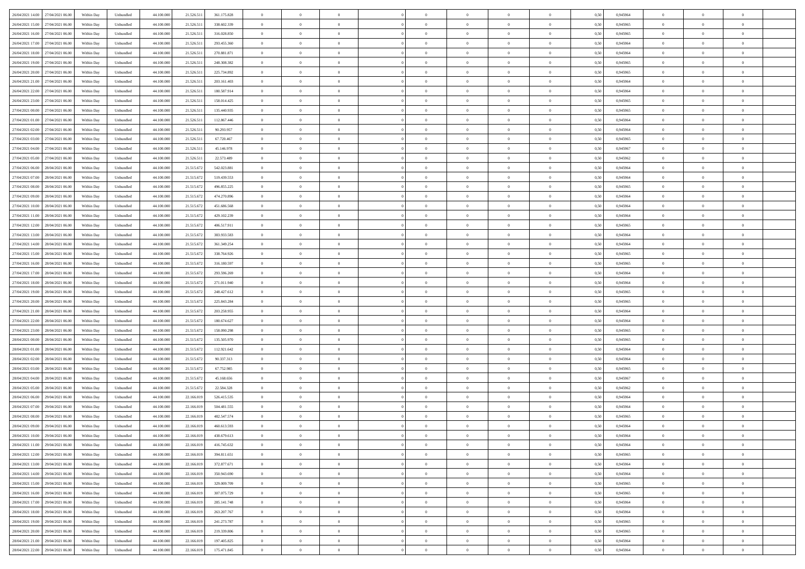| 26/04/2021 14:00 27/04/2021 06:00    | Within Day | Unbundled                   | 44.100.000 | 21.526.511 | 361.175.828 | $\overline{0}$ | $\theta$       |                | $\overline{0}$ | $\theta$       |                | $\theta$       | 0,50 | 0,945964 | $\theta$       | $\theta$       | $\overline{0}$ |  |
|--------------------------------------|------------|-----------------------------|------------|------------|-------------|----------------|----------------|----------------|----------------|----------------|----------------|----------------|------|----------|----------------|----------------|----------------|--|
| 26/04/2021 15:00<br>27/04/2021 06.00 | Within Day | Unbundled                   | 44.100.00  | 21.526.51  | 338.602.339 | $\bf{0}$       | $\overline{0}$ | $\bf{0}$       | $\overline{0}$ | $\bf{0}$       | $\overline{0}$ | $\bf{0}$       | 0,50 | 0,945965 | $\,$ 0 $\,$    | $\bf{0}$       | $\overline{0}$ |  |
| 26/04/2021 16:00<br>27/04/2021 06:00 | Within Day | Unbundled                   | 44,100,000 | 21.526.511 | 316,028,850 | $\overline{0}$ | $\bf{0}$       | $\overline{0}$ | $\bf{0}$       | $\bf{0}$       | $\overline{0}$ | $\bf{0}$       | 0.50 | 0.945965 | $\bf{0}$       | $\overline{0}$ | $\overline{0}$ |  |
| 26/04/2021 17:00<br>27/04/2021 06:00 |            |                             | 44.100.000 |            |             | $\overline{0}$ | $\overline{0}$ | $\overline{0}$ | $\theta$       | $\theta$       | $\overline{0}$ | $\bf{0}$       |      |          | $\theta$       | $\theta$       | $\overline{0}$ |  |
|                                      | Within Day | Unbundled                   |            | 21.526.511 | 293.455.360 |                |                |                |                |                |                |                | 0,50 | 0,945964 |                |                |                |  |
| 26/04/2021 18:00<br>27/04/2021 06.00 | Within Day | Unbundled                   | 44.100.00  | 21.526.51  | 270.881.871 | $\bf{0}$       | $\overline{0}$ | $\bf{0}$       | $\overline{0}$ | $\theta$       | $\overline{0}$ | $\bf{0}$       | 0,50 | 0,945964 | $\,$ 0 $\,$    | $\bf{0}$       | $\overline{0}$ |  |
| 26/04/2021 19:00<br>27/04/2021 06:00 | Within Day | Unbundled                   | 44,100,00  | 21.526.511 | 248.308.382 | $\overline{0}$ | $\overline{0}$ | $\overline{0}$ | $\bf{0}$       | $\overline{0}$ | $\theta$       | $\bf{0}$       | 0.50 | 0.945965 | $\bf{0}$       | $\theta$       | $\overline{0}$ |  |
| 26/04/2021 20:00<br>27/04/2021 06:00 | Within Day | Unbundled                   | 44.100.000 | 21.526.511 | 225.734.892 | $\overline{0}$ | $\overline{0}$ | $\overline{0}$ | $\overline{0}$ | $\overline{0}$ | $\overline{0}$ | $\bf{0}$       | 0,50 | 0,945965 | $\theta$       | $\theta$       | $\overline{0}$ |  |
|                                      |            |                             |            |            |             |                |                |                |                |                |                |                |      |          |                |                |                |  |
| 26/04/2021 21:00<br>27/04/2021 06.00 | Within Day | Unbundled                   | 44.100.00  | 21.526.51  | 203.161.403 | $\bf{0}$       | $\overline{0}$ | $\overline{0}$ | $\overline{0}$ | $\theta$       | $\overline{0}$ | $\bf{0}$       | 0,50 | 0,945964 | $\,$ 0 $\,$    | $\bf{0}$       | $\overline{0}$ |  |
| 26/04/2021 22.00<br>27/04/2021 06:00 | Within Day | Unbundled                   | 44,100,00  | 21.526.51  | 180,587.914 | $\overline{0}$ | $\bf{0}$       | $\overline{0}$ | $\bf{0}$       | $\overline{0}$ | $\overline{0}$ | $\bf{0}$       | 0.50 | 0.945964 | $\bf{0}$       | $\theta$       | $\overline{0}$ |  |
| 26/04/2021 23:00<br>27/04/2021 06:00 | Within Day | Unbundled                   | 44.100.000 | 21.526.511 | 158.014.425 | $\bf{0}$       | $\bf{0}$       | $\overline{0}$ | $\overline{0}$ | $\overline{0}$ | $\overline{0}$ | $\bf{0}$       | 0,50 | 0,945965 | $\,$ 0 $\,$    | $\theta$       | $\overline{0}$ |  |
| 27/04/2021 00:00<br>27/04/2021 06.00 | Within Day | Unbundled                   | 44.100.00  | 21.526.51  | 135.440.935 | $\bf{0}$       | $\overline{0}$ | $\bf{0}$       | $\bf{0}$       | $\bf{0}$       | $\overline{0}$ | $\bf{0}$       | 0,50 | 0,945965 | $\,$ 0 $\,$    | $\bf{0}$       | $\overline{0}$ |  |
|                                      |            |                             |            |            |             |                |                |                |                |                |                |                |      |          |                |                |                |  |
| 27/04/2021 01:00<br>27/04/2021 06:00 | Within Day | Unbundled                   | 44,100,000 | 21.526.511 | 112.867.446 | $\overline{0}$ | $\bf{0}$       | $\overline{0}$ | $\bf{0}$       | $\bf{0}$       | $\overline{0}$ | $\bf{0}$       | 0.50 | 0.945964 | $\bf{0}$       | $\overline{0}$ | $\overline{0}$ |  |
| 27/04/2021 02:00<br>27/04/2021 06:00 | Within Day | Unbundled                   | 44.100.000 | 21.526.511 | 90.293.957  | $\overline{0}$ | $\overline{0}$ | $\overline{0}$ | $\overline{0}$ | $\theta$       | $\overline{0}$ | $\overline{0}$ | 0,50 | 0,945964 | $\,$ 0 $\,$    | $\theta$       | $\overline{0}$ |  |
| 27/04/2021 03:00<br>27/04/2021 06.00 | Within Day | Unbundled                   | 44.100.00  | 21.526.51  | 67.720.467  | $\bf{0}$       | $\theta$       | $\bf{0}$       | $\overline{0}$ | $\theta$       | $\overline{0}$ | $\bf{0}$       | 0,50 | 0,945965 | $\bf{0}$       | $\bf{0}$       | $\overline{0}$ |  |
| 27/04/2021 04:00<br>27/04/2021 06:00 | Within Day | Unbundled                   | 44,100,00  | 21.526.511 | 45.146.978  | $\overline{0}$ | $\overline{0}$ | $\overline{0}$ | $\bf{0}$       | $\bf{0}$       | $\Omega$       | $\bf{0}$       | 0.50 | 0.945967 | $\,$ 0 $\,$    | $\theta$       | $\overline{0}$ |  |
| 27/04/2021 05:00<br>27/04/2021 06:00 | Within Day | Unbundled                   | 44.100.000 | 21.526.511 | 22.573.489  | $\overline{0}$ | $\overline{0}$ | $\overline{0}$ | $\overline{0}$ | $\overline{0}$ | $\overline{0}$ | $\bf{0}$       | 0,50 | 0,945962 | $\theta$       | $\theta$       | $\overline{0}$ |  |
|                                      |            |                             |            |            |             |                |                |                |                |                |                |                |      |          |                |                |                |  |
| 27/04/2021 06:00<br>28/04/2021 06.00 | Within Day | Unbundled                   | 44.100.00  | 21.515.67  | 542.023.881 | $\bf{0}$       | $\overline{0}$ | $\overline{0}$ | $\overline{0}$ | $\bf{0}$       | $\overline{0}$ | $\bf{0}$       | 0,50 | 0,945964 | $\,$ 0 $\,$    | $\bf{0}$       | $\overline{0}$ |  |
| 27/04/2021 07:00<br>28/04/2021 06:00 | Within Day | Unbundled                   | 44,100,00  | 21.515.67  | 519.439.553 | $\overline{0}$ | $\bf{0}$       | $\overline{0}$ | $\bf{0}$       | $\overline{0}$ | $\overline{0}$ | $\bf{0}$       | 0.50 | 0.945964 | $\bf{0}$       | $\overline{0}$ | $\overline{0}$ |  |
| 27/04/2021 08:00<br>28/04/2021 06:00 | Within Day | Unbundled                   | 44.100.000 | 21.515.672 | 496.855.225 | $\overline{0}$ | $\overline{0}$ | $\overline{0}$ | $\overline{0}$ | $\overline{0}$ | $\overline{0}$ | $\bf{0}$       | 0,50 | 0,945965 | $\,$ 0 $\,$    | $\theta$       | $\overline{0}$ |  |
| 27/04/2021 09:00<br>28/04/2021 06.00 | Within Day | Unbundled                   | 44.100.00  | 21.515.67  | 474.270.896 | $\bf{0}$       | $\overline{0}$ | $\bf{0}$       | $\bf{0}$       | $\overline{0}$ | $\overline{0}$ | $\bf{0}$       | 0,50 | 0,945964 | $\,$ 0 $\,$    | $\bf{0}$       | $\overline{0}$ |  |
|                                      |            |                             |            |            |             |                |                |                |                |                |                |                |      |          |                |                |                |  |
| 27/04/2021 10:00<br>28/04/2021 06:00 | Within Day | Unbundled                   | 44,100,000 | 21.515.672 | 451.686.568 | $\overline{0}$ | $\bf{0}$       | $\overline{0}$ | $\bf{0}$       | $\bf{0}$       | $\overline{0}$ | $\bf{0}$       | 0.50 | 0.945964 | $\bf{0}$       | $\overline{0}$ | $\overline{0}$ |  |
| 27/04/2021 11:00<br>28/04/2021 06:00 | Within Day | Unbundled                   | 44.100.000 | 21.515.672 | 429.102.239 | $\overline{0}$ | $\overline{0}$ | $\overline{0}$ | $\theta$       | $\theta$       | $\overline{0}$ | $\bf{0}$       | 0,50 | 0,945964 | $\theta$       | $\theta$       | $\overline{0}$ |  |
| 27/04/2021 12:00<br>28/04/2021 06.00 | Within Day | Unbundled                   | 44.100.00  | 21.515.67  | 406.517.911 | $\bf{0}$       | $\overline{0}$ | $\bf{0}$       | $\bf{0}$       | $\bf{0}$       | $\overline{0}$ | $\bf{0}$       | 0,50 | 0,945965 | $\,$ 0 $\,$    | $\bf{0}$       | $\overline{0}$ |  |
| 27/04/2021 13:00<br>28/04/2021 06:00 | Within Day | Unbundled                   | 44,100,00  | 21.515.67  | 383.933.583 | $\overline{0}$ | $\overline{0}$ | $\overline{0}$ | $\overline{0}$ | $\overline{0}$ | $\Omega$       | $\bf{0}$       | 0.50 | 0.945964 | $\,$ 0 $\,$    | $\theta$       | $\overline{0}$ |  |
| 27/04/2021 14:00<br>28/04/2021 06:00 | Within Day | Unbundled                   | 44.100.000 | 21.515.672 | 361.349.254 | $\overline{0}$ | $\overline{0}$ | $\overline{0}$ | $\overline{0}$ | $\overline{0}$ | $\overline{0}$ | $\bf{0}$       | 0,50 | 0,945964 | $\theta$       | $\theta$       | $\overline{0}$ |  |
|                                      |            |                             |            |            |             |                |                |                |                |                |                |                |      |          |                |                |                |  |
| 27/04/2021 15:00<br>28/04/2021 06.00 | Within Day | Unbundled                   | 44.100.00  | 21.515.67  | 338.764.926 | $\bf{0}$       | $\theta$       | $\bf{0}$       | $\overline{0}$ | $\theta$       | $\overline{0}$ | $\bf{0}$       | 0,50 | 0,945965 | $\,$ 0 $\,$    | $\bf{0}$       | $\overline{0}$ |  |
| 27/04/2021 16:00<br>28/04/2021 06:00 | Within Day | Unbundled                   | 44,100,00  | 21.515.67  | 316.180.597 | $\overline{0}$ | $\bf{0}$       | $\overline{0}$ | $\bf{0}$       | $\overline{0}$ | $\overline{0}$ | $\bf{0}$       | 0.50 | 0.945965 | $\bf{0}$       | $\overline{0}$ | $\overline{0}$ |  |
| 27/04/2021 17:00<br>28/04/2021 06:00 | Within Day | Unbundled                   | 44.100.000 | 21.515.672 | 293.596.269 | $\overline{0}$ | $\overline{0}$ | $\overline{0}$ | $\overline{0}$ | $\overline{0}$ | $\overline{0}$ | $\bf{0}$       | 0,50 | 0,945964 | $\theta$       | $\theta$       | $\overline{0}$ |  |
| 27/04/2021 18:00<br>28/04/2021 06.00 | Within Day | Unbundled                   | 44.100.00  | 21.515.67  | 271.011.940 | $\bf{0}$       | $\bf{0}$       | $\bf{0}$       | $\bf{0}$       | $\overline{0}$ | $\overline{0}$ | $\bf{0}$       | 0,50 | 0,945964 | $\,$ 0 $\,$    | $\bf{0}$       | $\overline{0}$ |  |
|                                      |            |                             |            |            |             |                |                |                |                |                |                |                |      |          |                |                |                |  |
| 27/04/2021 19:00<br>28/04/2021 06:00 | Within Day | Unbundled                   | 44,100,000 | 21.515.672 | 248.427.612 | $\overline{0}$ | $\bf{0}$       | $\overline{0}$ | $\bf{0}$       | $\bf{0}$       | $\overline{0}$ | $\bf{0}$       | 0.50 | 0.945965 | $\bf{0}$       | $\overline{0}$ | $\overline{0}$ |  |
| 27/04/2021 20:00<br>28/04/2021 06:00 | Within Day | Unbundled                   | 44.100.000 | 21.515.67  | 225.843.284 | $\overline{0}$ | $\overline{0}$ | $\overline{0}$ | $\overline{0}$ | $\overline{0}$ | $\overline{0}$ | $\bf{0}$       | 0.5( | 0.945965 | $\theta$       | $\theta$       | $\overline{0}$ |  |
| 27/04/2021 21:00<br>28/04/2021 06.00 | Within Day | Unbundled                   | 44.100.00  | 21.515.67  | 203.258.955 | $\bf{0}$       | $\overline{0}$ | $\bf{0}$       | $\overline{0}$ | $\,$ 0 $\,$    | $\overline{0}$ | $\bf{0}$       | 0,50 | 0,945964 | $\,$ 0 $\,$    | $\bf{0}$       | $\overline{0}$ |  |
| 27/04/2021 22.00<br>28/04/2021 06:00 | Within Day | Unbundled                   | 44,100,00  | 21.515.672 | 180.674.627 | $\overline{0}$ | $\overline{0}$ | $\overline{0}$ | $\bf{0}$       | $\bf{0}$       | $\Omega$       | $\bf{0}$       | 0.50 | 0.945964 | $\,$ 0 $\,$    | $\theta$       | $\overline{0}$ |  |
| 27/04/2021 23:00<br>28/04/2021 06:00 | Within Dav | Unbundled                   | 44.100.000 | 21.515.672 | 158.090.298 | $\overline{0}$ | $\overline{0}$ | $\overline{0}$ | $\overline{0}$ | $\overline{0}$ | $\overline{0}$ | $\overline{0}$ | 0.50 | 0,945965 | $\theta$       | $\theta$       | $\overline{0}$ |  |
|                                      |            |                             |            |            |             |                |                |                |                |                |                |                |      |          |                |                |                |  |
| 28/04/2021 00:00<br>28/04/2021 06.00 | Within Day | Unbundled                   | 44.100.00  | 21.515.67  | 135.505.970 | $\bf{0}$       | $\overline{0}$ | $\bf{0}$       | $\bf{0}$       | $\bf{0}$       | $\overline{0}$ | $\bf{0}$       | 0,50 | 0,945965 | $\,$ 0 $\,$    | $\bf{0}$       | $\overline{0}$ |  |
| 28/04/2021 01:00<br>28/04/2021 06:00 | Within Day | Unbundled                   | 44,100,00  | 21.515.672 | 112.921.642 | $\overline{0}$ | $\bf{0}$       | $\overline{0}$ | $\bf{0}$       | $\overline{0}$ | $\overline{0}$ | $\bf{0}$       | 0.50 | 0.945964 | $\bf{0}$       | $\overline{0}$ | $\overline{0}$ |  |
| 28/04/2021 02:00<br>28/04/2021 06:00 | Within Dav | Unbundled                   | 44.100.000 | 21.515.672 | 90.337.313  | $\overline{0}$ | $\overline{0}$ | $\overline{0}$ | $\overline{0}$ | $\overline{0}$ | $\overline{0}$ | $\overline{0}$ | 0.50 | 0,945964 | $\theta$       | $\theta$       | $\overline{0}$ |  |
| 28/04/2021 03:00<br>28/04/2021 06.00 | Within Day | Unbundled                   | 44.100.00  | 21.515.67  | 67.752.985  | $\bf{0}$       | $\bf{0}$       | $\bf{0}$       | $\bf{0}$       | $\overline{0}$ | $\overline{0}$ | $\bf{0}$       | 0,50 | 0,945965 | $\,$ 0 $\,$    | $\bf{0}$       | $\overline{0}$ |  |
|                                      |            |                             |            |            |             |                |                |                |                |                |                |                |      |          |                |                |                |  |
| 28/04/2021 04:00<br>28/04/2021 06:00 | Within Day | Unbundled                   | 44,100,000 | 21.515.672 | 45.168.656  | $\overline{0}$ | $\bf{0}$       | $\overline{0}$ | $\bf{0}$       | $\bf{0}$       | $\overline{0}$ | $\bf{0}$       | 0.50 | 0.945967 | $\bf{0}$       | $\overline{0}$ | $\overline{0}$ |  |
| 28/04/2021 05:00<br>28/04/2021 06:00 | Within Dav | Unbundled                   | 44.100.000 | 21.515.672 | 22.584.328  | $\overline{0}$ | $\overline{0}$ | $\overline{0}$ | $\overline{0}$ | $\overline{0}$ | $\overline{0}$ | $\bf{0}$       | 0.50 | 0,945962 | $\theta$       | $\theta$       | $\overline{0}$ |  |
| 28/04/2021 06:00<br>29/04/2021 06.00 | Within Day | Unbundled                   | 44.100.00  | 22.166.019 | 526.415.535 | $\bf{0}$       | $\overline{0}$ | $\bf{0}$       | $\overline{0}$ | $\overline{0}$ | $\overline{0}$ | $\bf{0}$       | 0,50 | 0,945964 | $\,$ 0 $\,$    | $\bf{0}$       | $\overline{0}$ |  |
| 28/04/2021 07:00<br>29/04/2021 06:00 | Within Day | Unbundled                   | 44,100,00  | 22.166.019 | 504.481.555 | $\overline{0}$ | $\overline{0}$ | $\Omega$       | $\overline{0}$ | $\overline{0}$ | $\theta$       | $\bf{0}$       | 0.50 | 0.945964 | $\bf{0}$       | $\theta$       | $\overline{0}$ |  |
| 28/04/2021 08:00<br>29/04/2021 06:00 | Within Dav | Unbundled                   | 44.100.000 | 22.166.019 | 482.547.574 | $\overline{0}$ | $\overline{0}$ | $\Omega$       | $\overline{0}$ | $\theta$       | $\Omega$       | $\overline{0}$ | 0.5( | 0,945965 | $\theta$       | $\theta$       | $\overline{0}$ |  |
| 28/04/2021 09:00<br>29/04/2021 06.00 | Within Day | Unbundled                   | 44.100.000 | 22.166.019 | 460.613.593 | $\bf{0}$       | $\bf{0}$       | $\bf{0}$       | $\bf{0}$       | $\bf{0}$       | $\overline{0}$ | $\bf{0}$       | 0,50 | 0,945964 | $\,$ 0 $\,$    | $\bf{0}$       | $\overline{0}$ |  |
|                                      |            |                             |            |            |             |                |                |                |                |                |                |                |      |          |                |                |                |  |
| 28/04/2021 10:00 29/04/2021 06:00    | Within Day | $\ensuremath{\mathsf{Unb}}$ | 44.100.000 | 22.166.019 | 438.679.613 | $\bf{0}$       | $\theta$       |                | $\overline{0}$ |                |                |                | 0,50 | 0.945964 | $\bf{0}$       | $\overline{0}$ |                |  |
| 28/04/2021 11:00 29/04/2021 06:00    | Within Day | Unbundled                   | 44.100.000 | 22.166.019 | 416.745.632 | $\overline{0}$ | $\theta$       | $\Omega$       | $\theta$       | $\overline{0}$ | $\overline{0}$ | $\bf{0}$       | 0,50 | 0,945964 | $\theta$       | $\theta$       | $\overline{0}$ |  |
| 28/04/2021 12:00<br>29/04/2021 06.00 | Within Day | Unbundled                   | 44.100.00  | 22.166.019 | 394.811.651 | $\overline{0}$ | $\bf{0}$       | $\overline{0}$ | $\overline{0}$ | $\bf{0}$       | $\overline{0}$ | $\bf{0}$       | 0,50 | 0,945965 | $\bf{0}$       | $\overline{0}$ | $\bf{0}$       |  |
| 28/04/2021 13:00 29/04/2021 06:00    | Within Day | Unbundled                   | 44,100,000 | 22.166.019 | 372.877.671 | $\overline{0}$ | $\bf{0}$       | $\overline{0}$ | $\overline{0}$ | $\overline{0}$ | $\overline{0}$ | $\bf{0}$       | 0.50 | 0.945964 | $\overline{0}$ | $\bf{0}$       | $\,$ 0 $\,$    |  |
|                                      |            |                             |            |            |             |                |                |                |                |                |                |                |      |          |                |                |                |  |
| 28/04/2021 14:00 29/04/2021 06:00    | Within Day | Unbundled                   | 44.100.000 | 22.166.019 | 350.943.690 | $\overline{0}$ | $\overline{0}$ | $\overline{0}$ | $\overline{0}$ | $\overline{0}$ | $\overline{0}$ | $\bf{0}$       | 0,50 | 0,945964 | $\theta$       | $\theta$       | $\overline{0}$ |  |
| 28/04/2021 15:00<br>29/04/2021 06.00 | Within Day | Unbundled                   | 44.100.000 | 22.166.019 | 329.009.709 | $\overline{0}$ | $\bf{0}$       | $\overline{0}$ | $\bf{0}$       | $\overline{0}$ | $\overline{0}$ | $\bf{0}$       | 0,50 | 0,945965 | $\overline{0}$ | $\bf{0}$       | $\overline{0}$ |  |
| 28/04/2021 16:00<br>29/04/2021 06:00 | Within Day | Unbundled                   | 44,100,000 | 22.166.019 | 307.075.729 | $\overline{0}$ | $\bf{0}$       | $\overline{0}$ | $\overline{0}$ | $\overline{0}$ | $\overline{0}$ | $\bf{0}$       | 0.50 | 0.945965 | $\,$ 0 $\,$    | $\theta$       | $\overline{0}$ |  |
| 28/04/2021 17:00<br>29/04/2021 06:00 | Within Dav | Unbundled                   | 44.100.000 | 22.166.019 | 285.141.748 | $\overline{0}$ | $\overline{0}$ | $\overline{0}$ | $\overline{0}$ | $\overline{0}$ | $\overline{0}$ | $\bf{0}$       | 0.50 | 0,945964 | $\overline{0}$ | $\theta$       | $\overline{0}$ |  |
|                                      |            |                             |            |            |             |                |                |                |                |                |                |                |      |          |                |                |                |  |
| 28/04/2021 18:00<br>29/04/2021 06.00 | Within Day | Unbundled                   | 44.100.00  | 22.166.019 | 263.207.767 | $\overline{0}$ | $\overline{0}$ | $\overline{0}$ | $\overline{0}$ | $\bf{0}$       | $\overline{0}$ | $\bf{0}$       | 0,50 | 0,945964 | $\bf{0}$       | $\overline{0}$ | $\overline{0}$ |  |
| 28/04/2021 19:00 29/04/2021 06:00    | Within Day | Unbundled                   | 44,100,000 | 22.166.019 | 241.273.787 | $\overline{0}$ | $\overline{0}$ | $\overline{0}$ | $\overline{0}$ | $\bf{0}$       | $\overline{0}$ | $\bf{0}$       | 0.50 | 0.945965 | $\overline{0}$ | $\,$ 0 $\,$    | $\,$ 0         |  |
| 28/04/2021 20:00 29/04/2021 06:00    | Within Dav | Unbundled                   | 44.100.000 | 22.166.019 | 219.339.806 | $\overline{0}$ | $\overline{0}$ | $\overline{0}$ | $\overline{0}$ | $\overline{0}$ | $\overline{0}$ | $\bf{0}$       | 0,50 | 0,945965 | $\theta$       | $\theta$       | $\overline{0}$ |  |
| 28/04/2021 21:00<br>29/04/2021 06.00 | Within Day | Unbundled                   | 44.100.00  | 22.166.019 | 197.405.825 | $\overline{0}$ | $\bf{0}$       | $\overline{0}$ | $\bf{0}$       | $\overline{0}$ | $\overline{0}$ | $\bf{0}$       | 0,50 | 0,945964 | $\bf{0}$       | $\bf{0}$       | $\overline{0}$ |  |
|                                      |            |                             |            |            |             |                |                |                |                |                |                |                |      |          |                |                |                |  |
| 28/04/2021 22:00 29/04/2021 06:00    | Within Day | Unbundled                   | 44.100.000 | 22.166.019 | 175.471.845 | $\overline{0}$ | $\bf{0}$       | $\overline{0}$ | $\overline{0}$ | $\,$ 0 $\,$    | $\overline{0}$ | $\bf{0}$       | 0,50 | 0,945964 | $\overline{0}$ | $\,$ 0 $\,$    | $\,$ 0 $\,$    |  |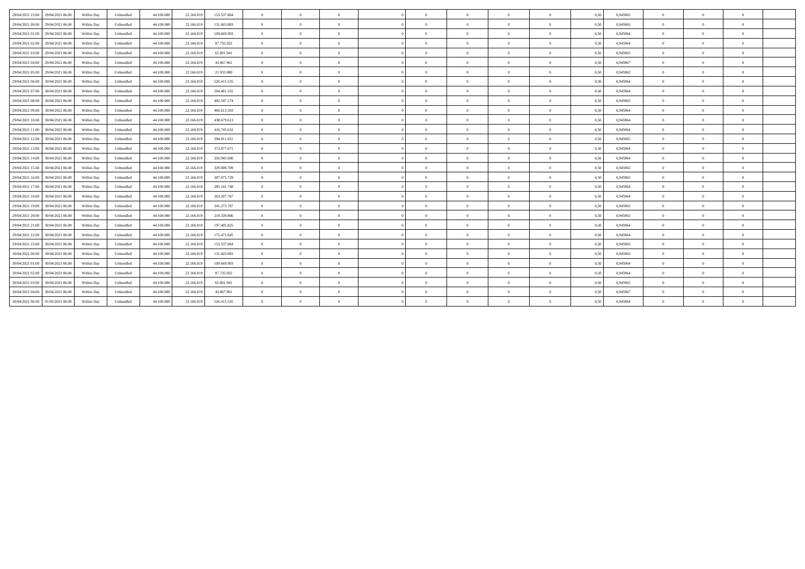| 28/04/2021 23:00<br>29/04/2021 06:00 | Within Day | 44,100,000<br>Unbundled | 22.166.019 | 153,537,864 | $\overline{0}$ | $\Omega$       | $\Omega$       | $\Omega$       | $\theta$       | $\theta$       | $\theta$ | 0,50 | 0.945965 | $\Omega$       | $\Omega$       | $\theta$       |
|--------------------------------------|------------|-------------------------|------------|-------------|----------------|----------------|----------------|----------------|----------------|----------------|----------|------|----------|----------------|----------------|----------------|
| 29/04/2021 00:00<br>29/04/2021 06:00 | Within Day | 44.100.000<br>Unbundled | 22.166.019 | 131.603.883 | $\overline{0}$ | $\overline{0}$ | $\overline{0}$ | $\Omega$       | $\overline{0}$ | $\overline{0}$ | $\bf{0}$ | 0.50 | 0,945965 | $\overline{0}$ | $\overline{0}$ | $\bf{0}$       |
| 29/04/2021 01:00<br>29/04/2021 06:00 | Within Day | Unbundled<br>44.100.000 | 22.166.019 | 109.669.903 | $\overline{0}$ | $\Omega$       | $\Omega$       |                | $\theta$       | $\Omega$       | $\theta$ | 0,50 | 0,945964 | $\overline{0}$ | $\Omega$       | $\theta$       |
| 29/04/2021 02:00<br>29/04/2021 06:00 | Within Day | 44.100.000<br>Unbundled | 22.166.019 | 87.735.922  | $\overline{0}$ | $\Omega$       | $\Omega$       | $\sqrt{2}$     | $\theta$       | $\Omega$       | $\Omega$ | 0,50 | 0,945964 | $\overline{0}$ | $\Omega$       | $\theta$       |
| 29/04/2021 03:00<br>29/04/2021 06:00 | Within Day | 44,100,000<br>Unbundled | 22.166.019 | 65,801.941  | $\overline{0}$ | $\theta$       | $\Omega$       | $\sqrt{2}$     | $\theta$       | $\overline{0}$ | $\theta$ | 0.50 | 0.945965 | $\overline{0}$ | $\Omega$       | $\overline{0}$ |
| 29/04/2021 04:00<br>29/04/2021 06:00 | Within Day | 44.100.000<br>Unbundled | 22.166.019 | 43.867.961  | $\overline{0}$ | $\overline{0}$ | $\Omega$       | $\Omega$       | $\overline{0}$ | $\overline{0}$ | $\theta$ | 0,50 | 0,945967 | $\overline{0}$ | $\overline{0}$ | $\bf{0}$       |
| 29/04/2021 05:00<br>29/04/2021 06:00 | Within Day | 44.100.000<br>Unbundled | 22.166.019 | 21.933.980  | $\overline{0}$ | $\theta$       | $\Omega$       |                | $\theta$       | $\Omega$       | $\Omega$ | 0.50 | 0.945962 | $\Omega$       | $\Omega$       | $\theta$       |
| 29/04/2021 06:00<br>30/04/2021 06:00 | Within Day | Unbundled<br>44.100.000 | 22.166.019 | 526.415.535 | $\overline{0}$ | $\Omega$       | $\Omega$       | $\sqrt{2}$     | $\theta$       | $\theta$       | $\theta$ | 0,50 | 0,945964 | $\Omega$       | $\Omega$       | $\theta$       |
| 29/04/2021 07:00<br>30/04/2021 06:00 | Within Day | 44.100.000<br>Unbundled | 22.166.019 | 504.481.555 | $\overline{0}$ | $\Omega$       | $\Omega$       | $\sqrt{2}$     | $\theta$       | $\overline{0}$ | $\Omega$ | 0.50 | 0,945964 | $\overline{0}$ | $\Omega$       | $\overline{0}$ |
| 29/04/2021 08:00<br>30/04/2021 06:00 | Within Day | 44.100.000<br>Unbundled | 22.166.019 | 482.547.574 | $\overline{0}$ | $\overline{0}$ | $\overline{0}$ | $\Omega$       | $\overline{0}$ | $\overline{0}$ | $\bf{0}$ | 0,50 | 0.945965 | $\overline{0}$ | $\overline{0}$ | $\bf{0}$       |
| 29/04/2021 09:00<br>30/04/2021 06:00 | Within Day | Unbundled<br>44.100.000 | 22.166.019 | 460.613.593 | $\overline{0}$ | $\theta$       | $\Omega$       | $\sqrt{2}$     | $\theta$       | $\overline{0}$ | $\theta$ | 0,50 | 0,945964 | $\overline{0}$ | $\Omega$       | $\overline{0}$ |
| 29/04/2021 10:00<br>30/04/2021 06:00 | Within Day | Unbundled<br>44.100.000 | 22.166.019 | 438.679.613 | $\overline{0}$ | $\Omega$       | $\Omega$       |                | $\theta$       | $\Omega$       |          | 0,50 | 0.945964 | $\Omega$       | $\Omega$       | $\theta$       |
| 29/04/2021 11:00<br>30/04/2021 06:00 | Within Day | Unbundled<br>44.100.000 | 22.166.019 | 416.745.632 | $\overline{0}$ | $\theta$       | $\Omega$       | $\sqrt{2}$     | $\theta$       | $\theta$       | $\theta$ | 0.50 | 0,945964 | $\Omega$       | $\Omega$       | $\theta$       |
| 29/04/2021 12:00<br>30/04/2021 06:00 | Within Dav | Unbundled<br>44,100,000 | 22.166.019 | 394.811.651 | $\overline{0}$ | $\overline{0}$ | $\Omega$       | $\theta$       | $\overline{0}$ | $\overline{0}$ | $\theta$ | 0.50 | 0.945965 | $\overline{0}$ | $\overline{0}$ | $\mathbf{0}$   |
| 29/04/2021 13:00<br>30/04/2021 06:00 | Within Day | 44.100.000<br>Unbundled | 22.166.019 | 372.877.671 | $\overline{0}$ | $\overline{0}$ | $\overline{0}$ | $\Omega$       | $\overline{0}$ | $\overline{0}$ | $\theta$ | 0,50 | 0,945964 | $\overline{0}$ | $\overline{0}$ | $\bf{0}$       |
| 29/04/2021 14:00<br>30/04/2021 06:00 | Within Day | 44.100.000<br>Unbundled | 22.166.019 | 350.943.690 | $\overline{0}$ | $\Omega$       | $\overline{0}$ | $\sqrt{2}$     | $\theta$       | $\theta$       | $\theta$ | 0,50 | 0,945964 | $\overline{0}$ | $\Omega$       | $\bf{0}$       |
| 29/04/2021 15:00<br>30/04/2021 06:00 | Within Day | 44.100.000<br>Unbundled | 22.166.019 | 329.009.709 | $\overline{0}$ | $\Omega$       | $\Omega$       | $\sqrt{2}$     | $\theta$       | $\Omega$       | $\Omega$ | 0,50 | 0.945965 | $\Omega$       | $\Omega$       | $\theta$       |
| 29/04/2021 16:00<br>30/04/2021 06:00 | Within Dav | Unbundled<br>44,100,000 | 22.166.019 | 307.075.729 | $\overline{0}$ | $\theta$       | $\Omega$       | $\sqrt{2}$     | $\theta$       | $\theta$       | $\Omega$ | 0.50 | 0.945965 | $\Omega$       | $\Omega$       | $\theta$       |
| 29/04/2021 17:00<br>30/04/2021 06:00 | Within Day | Unbundled<br>44.100.000 | 22.166.019 | 285.141.748 | $\overline{0}$ | $\overline{0}$ | $\overline{0}$ | $\overline{0}$ | $\overline{0}$ | $\overline{0}$ | $\theta$ | 0,50 | 0,945964 | $\overline{0}$ | $\overline{0}$ | $\bf{0}$       |
| 29/04/2021 18:00<br>30/04/2021 06:00 | Within Day | Unbundled<br>44.100.000 | 22.166.019 | 263.207.767 | $\overline{0}$ | $\Omega$       | $\Omega$       | $\Omega$       | $\theta$       | $\Omega$       |          | 0,50 | 0,945964 | $\Omega$       | $\Omega$       | $\theta$       |
| 29/04/2021 19:00<br>30/04/2021 06:00 | Within Day | Unbundled<br>44.100.000 | 22.166.019 | 241.273.787 | $\overline{0}$ | $\overline{0}$ | $\Omega$       | $\sqrt{2}$     | $\theta$       | $\overline{0}$ | $\theta$ | 0.50 | 0.945965 | $\theta$       | $\overline{0}$ | $\overline{0}$ |
| 29/04/2021 20:00<br>30/04/2021 06:00 | Within Day | Unbundled<br>44,100,000 | 22.166.019 | 219.339.806 | $\overline{0}$ | $\Omega$       | $\Omega$       | $\sqrt{2}$     | $\theta$       | $\Omega$       | $\theta$ | 0,50 | 0,945965 | $\Omega$       | $\Omega$       | $\theta$       |
| 29/04/2021 21:00<br>30/04/2021 06:00 | Within Day | 44.100.000<br>Unbundled | 22.166.019 | 197.405.825 | $\overline{0}$ | $\overline{0}$ | $\overline{0}$ | $\Omega$       | $\overline{0}$ | $\overline{0}$ | $\bf{0}$ | 0.50 | 0.945964 | $\overline{0}$ | $\overline{0}$ | $\mathbf{0}$   |
| 29/04/2021 22:00<br>30/04/2021 06:00 | Within Day | 44.100.000<br>Unbundled | 22.166.019 | 175.471.845 | $\overline{0}$ | $\theta$       | $\Omega$       | $\Omega$       | $\theta$       | $\overline{0}$ | $\theta$ | 0,50 | 0,945964 | $\theta$       | $\Omega$       | $\theta$       |
| 29/04/2021 23:00<br>30/04/2021 06:00 | Within Day | 44.100.000<br>Unbundled | 22.166.019 | 153.537.864 | $\overline{0}$ | $\Omega$       | $\Omega$       | $\Omega$       | $\theta$       | $\overline{0}$ | $\theta$ | 0,50 | 0.945965 | $\Omega$       | $\Omega$       | $\theta$       |
| 30/04/2021 00:00<br>30/04/2021 06:00 | Within Day | Unbundled<br>44,100,000 | 22.166.019 | 131.603.883 | $\overline{0}$ | $\overline{0}$ | $\Omega$       |                | $\theta$       | $\overline{0}$ | $\theta$ | 0.50 | 0,945965 | $\overline{0}$ | $\overline{0}$ | $\bf{0}$       |
| 30/04/2021 01:00<br>30/04/2021 06:00 | Within Day | 44.100.000<br>Unbundled | 22.166.019 | 109.669.903 | $\overline{0}$ | $\overline{0}$ | $\Omega$       | $\Omega$       | $\overline{0}$ | $\overline{0}$ | $\theta$ | 0,50 | 0,945964 | $\overline{0}$ | $\overline{0}$ | $\overline{0}$ |
| 30/04/2021 02:00<br>30/04/2021 06:00 | Within Day | Unbundled<br>44.100.000 | 22.166.019 | 87.735.922  | $\overline{0}$ | $\theta$       | $\Omega$       | $\sqrt{2}$     | $\theta$       | $\Omega$       |          | 0.50 | 0.945964 | $\Omega$       | $\Omega$       | $\theta$       |
| 30/04/2021 03:00<br>30/04/2021 06:00 | Within Day | Unbundled<br>44.100.000 | 22.166.019 | 65.801.941  | $\overline{0}$ | $\theta$       | $\overline{0}$ | $\Omega$       | $\theta$       | $\theta$       | $\theta$ | 0,50 | 0.945965 | $\overline{0}$ | $\Omega$       | $\mathbf{0}$   |
| 30/04/2021 04:00<br>30/04/2021 06:00 | Within Day | Unbundled<br>44.100.000 | 22.166.019 | 43,867,961  | $\overline{0}$ | $\Omega$       | $\Omega$       | $\sqrt{2}$     | $\theta$       | $\overline{0}$ | $\Omega$ | 0,50 | 0,945967 | $\overline{0}$ | $\Omega$       | $\overline{0}$ |
| 30/04/2021 06:00 01/05/2021 06:00    | Within Day | Unbundled<br>44,100,000 | 22.166.019 | 526.415.535 | $\theta$       | $\Omega$       |                |                | $\Omega$       | $\Omega$       |          | 0.50 | 0.945964 | $\Omega$       | $\Omega$       | $\Omega$       |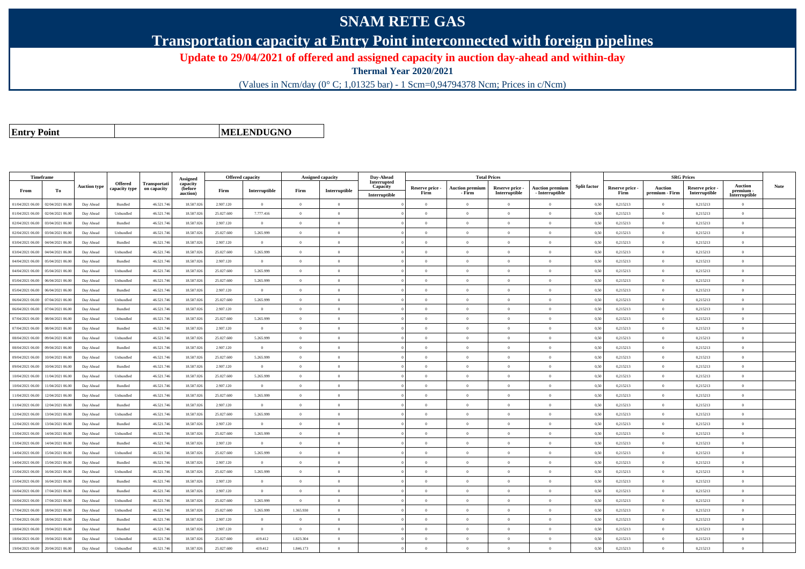## **SNAM RETE GAS**

**Transportation capacity at Entry Point interconnected with foreign pipelines**

**Update to 29/04/2021 of offered and assigned capacity in auction day-ahead and within-day**

**Thermal Year 2020/2021**

(Values in Ncm/day (0° C; 1,01325 bar) - 1 Scm=0,94794378 Ncm; Prices in c/Ncm)

**Entry Point**

**MELENDUGNO**

| Timeframe        |                  |                     |                                 |                             | Assigned                        | <b>Offered capacity</b> |                |                | Assigned capacity | Day-Ahead                                |                         | <b>Total Prices</b>              |                                  |                                           |                     |                         |                           | <b>SRG Prices</b>                |                                              |             |
|------------------|------------------|---------------------|---------------------------------|-----------------------------|---------------------------------|-------------------------|----------------|----------------|-------------------|------------------------------------------|-------------------------|----------------------------------|----------------------------------|-------------------------------------------|---------------------|-------------------------|---------------------------|----------------------------------|----------------------------------------------|-------------|
| From             | To               | <b>Auction type</b> | <b>Offered</b><br>capacity type | Transportati<br>on capacity | capacity<br>(before<br>auction) | Firm                    | Interruptible  | Firm           | Interruptible     | Interrupted<br>Capacity<br>Interruptible | Reserve price -<br>Firm | <b>Auction premium</b><br>- Firm | Reserve price -<br>Interruptible | <b>Auction premium</b><br>- Interruptible | <b>Split factor</b> | Reserve price -<br>Firm | Auction<br>premium - Firm | Reserve price -<br>Interruptible | <b>Auction</b><br>premium -<br>Interruptible | <b>Note</b> |
| 01/04/2021 06:00 | 02/04/2021 06:00 | Day Ahead           | Bundled                         | 46.521.74                   | 18.587.026                      | 2.907.120               | $\overline{0}$ | $\Omega$       | $\Omega$          |                                          | $\Omega$                | $\mathbf{0}$                     | $\Omega$                         | $\Omega$                                  | 0,50                | 0,215213                | $\theta$                  | 0,215213                         | $\Omega$                                     |             |
| 01/04/2021 06:00 | 02/04/2021 06:00 | Day Ahead           | Unbundled                       | 46.521.74                   | 18.587.026                      | 25.027.600              | 7.777.416      | $\Omega$       | $\theta$          |                                          | $\Omega$                |                                  | $\Omega$                         | $\theta$                                  | 0,50                | 0,215213                | $\theta$                  | 0,215213                         | $\Omega$                                     |             |
| 02/04/2021 06:00 | 03/04/2021 06:00 | Day Ahead           | Bundled                         | 46.521.746                  | 18,587,026                      | 2.907.120               | $\overline{0}$ | $\overline{0}$ | $\theta$          |                                          | $\Omega$                | $\theta$                         | $\Omega$                         | $\theta$                                  | 0,50                | 0,215213                | $\overline{0}$            | 0,215213                         | $\theta$                                     |             |
| 02/04/2021 06:00 | 03/04/2021 06:00 | Day Ahead           | Unbundled                       | 46.521.746                  | 18.587.026                      | 25.027.600              | 5.265.999      | $\Omega$       | $\theta$          |                                          | $\theta$                | $\bf{0}$                         | $\overline{0}$                   | $\mathbf{0}$                              | 0,50                | 0,215213                | $\overline{0}$            | 0,215213                         | $\bf{0}$                                     |             |
| 03/04/2021 06:00 | 04/04/2021 06.00 | Day Ahead           | Bundled                         | 46.521.746                  | 18.587.026                      | 2.907.120               | $\overline{0}$ | $\Omega$       | $\theta$          |                                          | $\Omega$                | $\theta$                         | $\overline{0}$                   | $\mathbf{0}$                              | 0,50                | 0,215213                | $\overline{0}$            | 0,215213                         | $\theta$                                     |             |
| 03/04/2021 06:00 | 04/04/2021 06:00 | Day Ahead           | Unbundled                       | 46.521.74                   | 18.587.026                      | 25.027.600              | 5.265.999      | $\theta$       | $\Omega$          |                                          | $\Omega$                | $\theta$                         | $\overline{0}$                   | $\overline{0}$                            | 0,50                | 0,215213                | $\overline{0}$            | 0,215213                         | $\Omega$                                     |             |
| 04/04/2021 06:00 | 05/04/2021 06:00 | Day Ahead           | Bundled                         | 46.521.746                  | 18.587.026                      | 2.907.120               | $\overline{0}$ | $\Omega$       | $\Omega$          |                                          | $\Omega$                | $\theta$                         | $\overline{0}$                   | $\mathbf{0}$                              | 0,50                | 0,215213                | $\overline{0}$            | 0,215213                         | $\Omega$                                     |             |
| 04/04/2021 06:00 | 05/04/2021 06:00 | Day Ahead           | Unbundled                       | 46.521.746                  | 18.587.026                      | 25.027.600              | 5.265.999      | $\Omega$       | $\Omega$          |                                          | $\theta$                |                                  | $\Omega$                         | $\theta$                                  | 0.50                | 0,215213                | $\theta$                  | 0.215213                         | $\theta$                                     |             |
| 05/04/2021 06:00 | 06/04/2021 06:00 | Day Ahead           | Unbundled                       | 46.521.746                  | 18.587.026                      | 25.027.600              | 5.265.999      | $\theta$       | $\Omega$          |                                          | $\Omega$                | $\theta$                         | $\Omega$                         | $\Omega$                                  | 0,50                | 0,215213                | $\theta$                  | 0,215213                         | $\Omega$                                     |             |
| 05/04/2021 06:00 | 06/04/2021 06:00 | Day Ahead           | Bundled                         | 46.521.746                  | 18.587.026                      | 2.907.120               | $\overline{0}$ | $\overline{0}$ | $\theta$          |                                          | $\Omega$                | $\theta$                         | $\overline{0}$                   | $\overline{0}$                            | 0,50                | 0,215213                | $\overline{0}$            | 0,215213                         | $\mathbf{0}$                                 |             |
| 06/04/2021 06:00 | 07/04/2021 06:00 | Day Ahead           | Unbundled                       | 46.521.746                  | 18,587,026                      | 25.027.600              | 5.265.999      | $\Omega$       | $\Omega$          |                                          | $\Omega$                | $\theta$                         | $\overline{0}$                   | $\overline{0}$                            | 0.50                | 0,215213                | $\overline{0}$            | 0,215213                         | $\theta$                                     |             |
| 06/04/2021 06:00 | 07/04/2021 06.0  | Day Ahead           | Bundled                         | 46.521.74                   | 18.587.02                       | 2.907.120               | $\overline{0}$ | $\theta$       | $\theta$          |                                          | $\theta$                | $\theta$                         | $\overline{0}$                   | $\mathbf{0}$                              | 0,50                | 0,215213                | $\overline{0}$            | 0,215213                         | $\mathbf{0}$                                 |             |
| 07/04/2021 06:00 | 08/04/2021 06:00 | Day Ahead           | Unbundled                       | 46.521.746                  | 18,587,026                      | 25.027.600              | 5.265.999      | $\theta$       | $\theta$          |                                          | $\Omega$                | $\theta$                         | $\theta$                         | $\theta$                                  | 0,50                | 0,215213                | $\overline{0}$            | 0,215213                         | $\theta$                                     |             |
| 07/04/2021 06:00 | 08/04/2021 06:00 | Day Ahead           | Bundled                         | 46.521.746                  | 18.587.026                      | 2.907.120               | $\theta$       | $\Omega$       | $\Omega$          |                                          | $\Omega$                | $\theta$                         | $\Omega$                         | $\Omega$                                  | 0.50                | 0,215213                | $\overline{0}$            | 0,215213                         | $\Omega$                                     |             |
| 08/04/2021 06:00 | 09/04/2021 06.0  | Day Ahead           | Unbundled                       | 46.521.74                   | 18,587,026                      | 25.027.600              | 5.265.999      | $\theta$       | $\overline{0}$    |                                          | $\theta$                | $\theta$                         | $\theta$                         | $\mathbf{0}$                              | 0.50                | 0,215213                | $\overline{0}$            | 0,215213                         | $\mathbf{0}$                                 |             |
| 08/04/2021 06:00 | 09/04/2021 06:00 | Day Ahead           | Bundled                         | 46.521.746                  | 18.587.026                      | 2.907.120               | $\overline{0}$ | $\overline{0}$ | $\theta$          |                                          | $\theta$                | $\theta$                         | $\overline{0}$                   | $\,$ 0                                    | 0,50                | 0,215213                | $\overline{0}$            | 0,215213                         | $\mathbf{0}$                                 |             |
| 09/04/2021 06:00 | 10/04/2021 06:00 | Day Ahead           | Unbundled                       | 46.521.746                  | 18.587.026                      | 25.027.600              | 5.265.999      | $\Omega$       | $\theta$          |                                          | $\overline{0}$          | $\mathbf{0}$                     | $\bf{0}$                         | $\overline{0}$                            | 0,50                | 0,215213                | $\overline{0}$            | 0,215213                         | $\mathbf{0}$                                 |             |
| 09/04/2021 06:00 | 10/04/2021 06:00 | Day Ahead           | Bundled                         | 46.521.74                   | 18.587.026                      | 2.907.120               | $\mathbf{0}$   | $\Omega$       | $\Omega$          |                                          | $\Omega$                |                                  | $\overline{0}$                   | $\theta$                                  | 0,50                | 0,215213                | $\overline{0}$            | 0,215213                         | $\theta$                                     |             |
| 10/04/2021 06:00 | 11/04/2021 06:00 | Day Ahead           | Unbundled                       | 46.521.746                  | 18.587.026                      | 25.027.600              | 5.265.999      | $\theta$       | $\Omega$          |                                          | $\Omega$                | $\theta$                         | $\theta$                         | $\theta$                                  | 0.50                | 0,215213                | $\overline{0}$            | 0,215213                         | $\Omega$                                     |             |
| 10/04/2021 06:00 | 11/04/2021 06:00 | Day Ahead           | Bundled                         | 46.521.746                  | 18.587.026                      | 2.907.120               | $\theta$       | $\Omega$       | $\Omega$          |                                          | $\Omega$                | $\theta$                         | $\overline{0}$                   | $\Omega$                                  | 0,50                | 0,215213                | $\overline{0}$            | 0,215213                         | $\Omega$                                     |             |
| 11/04/2021 06:00 | 12/04/2021 06:00 | Day Ahead           | Unbundled                       | 46.521.746                  | 18,587,026                      | 25.027.600              | 5.265.999      | $\Omega$       | $\Omega$          |                                          | $\Omega$                |                                  | $\overline{0}$                   | $\theta$                                  | 0.50                | 0.215213                | $\overline{0}$            | 0.215213                         | $\theta$                                     |             |
| 11/04/2021 06:00 | 12/04/2021 06.0  | Day Ahead           | Bundled                         | 46.521.746                  | 18.587.026                      | 2.907.120               | $\overline{0}$ | $\overline{0}$ | $\theta$          |                                          | $\theta$                | $\theta$                         | $\overline{0}$                   | $\overline{0}$                            | 0,50                | 0,215213                | $\overline{0}$            | 0,215213                         | $\mathbf{0}$                                 |             |
| 12/04/2021 06:00 | 13/04/2021 06.0  | Day Ahead           | Unbundled                       | 46.521.746                  | 18.587.026                      | 25.027.600              | 5.265.999      | $\overline{0}$ | $\theta$          |                                          | $\theta$                | $\overline{0}$                   | $\overline{0}$                   | $\overline{0}$                            | 0,50                | 0,215213                | $\overline{0}$            | 0,215213                         | $\mathbf{0}$                                 |             |
| 12/04/2021 06:00 | 13/04/2021 06:00 | Day Ahead           | Bundled                         | 46.521.746                  | 18,587,026                      | 2.907.120               | $\theta$       | $\Omega$       | $\Omega$          |                                          | $\Omega$                | $\theta$                         | $\Omega$                         | $\theta$                                  | 0.50                | 0,215213                | $\overline{0}$            | 0,215213                         | $\Omega$                                     |             |
| 13/04/2021 06:00 | 14/04/2021 06.0  | Day Ahead           | Unbundled                       | 46.521.74                   | 18.587.026                      | 25.027.600              | 5.265.999      | $\theta$       | $\Omega$          |                                          | $\Omega$                | $\sqrt{2}$                       | $\overline{0}$                   | $\theta$                                  | 0,50                | 0,215213                | $\theta$                  | 0,215213                         | $\Omega$                                     |             |
| 13/04/2021 06:00 | 14/04/2021 06:00 | Day Ahead           | Bundled                         | 46.521.746                  | 18.587.026                      | 2.907.120               | $\theta$       | $\Omega$       | $\Omega$          |                                          | $\theta$                | $\theta$                         | $\theta$                         | $\theta$                                  | 0.50                | 0,215213                | $\theta$                  | 0,215213                         | $\Omega$                                     |             |
| 14/04/2021 06:00 | 15/04/2021 06:00 | Day Ahead           | Unbundled                       | 46.521.746                  | 18,587,026                      | 25.027.600              | 5.265.999      | $\theta$       | $\Omega$          |                                          | $\Omega$                | $\theta$                         | $\overline{0}$                   | $\Omega$                                  | 0.50                | 0,215213                | $\overline{0}$            | 0.215213                         | $\Omega$                                     |             |
| 14/04/2021 06:00 | 15/04/2021 06.0  | Day Ahead           | Bundled                         | 46.521.74                   | 18.587.026                      | 2.907.120               | $\overline{0}$ | $\overline{0}$ | $\overline{0}$    |                                          | $\theta$                | $\theta$                         | $\theta$                         | $\theta$                                  | 0,50                | 0,215213                | $\overline{0}$            | 0,215213                         | $\theta$                                     |             |
| 15/04/2021 06:00 | 16/04/2021 06:00 | Day Ahead           | Unbundled                       | 46.521.746                  | 18.587.026                      | 25.027.600              | 5.265.999      | $\overline{0}$ | $\Omega$          |                                          | $\Omega$                | $\theta$                         | $\overline{0}$                   | $\overline{0}$                            | 0,50                | 0,215213                | $\overline{0}$            | 0,215213                         | $\theta$                                     |             |
| 15/04/2021 06:00 | 16/04/2021 06:00 | Day Ahead           | Bundled                         | 46.521.746                  | 18.587.026                      | 2.907.120               | $\overline{0}$ | $\Omega$       | $\Omega$          |                                          | $\Omega$                | $\theta$                         | $\overline{0}$                   | $\overline{0}$                            | 0.50                | 0,215213                | $\overline{0}$            | 0,215213                         | $\Omega$                                     |             |
| 16/04/2021 06:00 | 17/04/2021 06.00 | Day Ahead           | Bundled                         | 46.521.74                   | 18.587.026                      | 2.907.120               | $\mathbf{0}$   | $\theta$       | $\Omega$          |                                          | $\Omega$                | $\theta$                         | $\Omega$                         | $\theta$                                  | 0.50                | 0,215213                | $\theta$                  | 0,215213                         | $\theta$                                     |             |
| 16/04/2021 06:00 | 17/04/2021 06:00 | Day Ahead           | Unbundled                       | 46.521.746                  | 18.587.026                      | 25.027.600              | 5.265.999      | $\overline{0}$ | $\theta$          |                                          | $\theta$                | $\theta$                         | $\overline{0}$                   | $\overline{0}$                            | 0.50                | 0,215213                | $\overline{0}$            | 0.215213                         | $\mathbf{0}$                                 |             |
| 17/04/2021 06:00 | 18/04/2021 06:00 | Day Ahead           | Unbundled                       | 46.521.746                  | 18.587.026                      | 25.027.600              | 5.265.999      | 1.365.930      | $\Omega$          |                                          | $\Omega$                | $\theta$                         | $\overline{0}$                   | $\mathbf{0}$                              | 0,50                | 0,215213                | $\overline{0}$            | 0,215213                         | $\mathbf{0}$                                 |             |
| 17/04/2021 06:00 | 18/04/2021 06:00 | Day Ahead           | Bundled                         | 46.521.74                   | 18.587.026                      | 2.907.120               | $\Omega$       |                | $\Omega$          |                                          | $\Omega$                |                                  | $\Omega$                         | $\theta$                                  | 0,50                | 0,215213                | $\Omega$                  | 0,215213                         | $\theta$                                     |             |
| 18/04/2021 06:00 | 19/04/2021 06.0  | Day Ahead           | Bundled                         | 46.521.746                  | 18.587.026                      | 2.907.120               | $\overline{0}$ | $\overline{0}$ | $\theta$          |                                          | $\Omega$                | $\theta$                         | $\overline{0}$                   | $\overline{0}$                            | 0,50                | 0,215213                | $\overline{0}$            | 0,215213                         | $\overline{0}$                               |             |
| 18/04/2021 06:00 | 19/04/2021 06:00 | Day Ahead           | Unbundled                       | 46.521.746                  | 18.587.026                      | 25.027.600              | 419.412        | 1.823.304      | $\theta$          |                                          | $\Omega$                | $\theta$                         | $\overline{0}$                   | $\mathbf{0}$                              | 0,50                | 0,215213                | $\overline{0}$            | 0,215213                         | $\mathbf{0}$                                 |             |
| 19/04/2021 06:00 | 20/04/2021 06:00 | Day Ahead           | Unbundled                       | 46.521.746                  | 18,587,026                      | 25.027.600              | 419.412        | 1.846.173      | $\Omega$          |                                          | $\Omega$                |                                  | $\Omega$                         |                                           | 0.50                | 0.215213                | $\theta$                  | 0.215213                         | $\theta$                                     |             |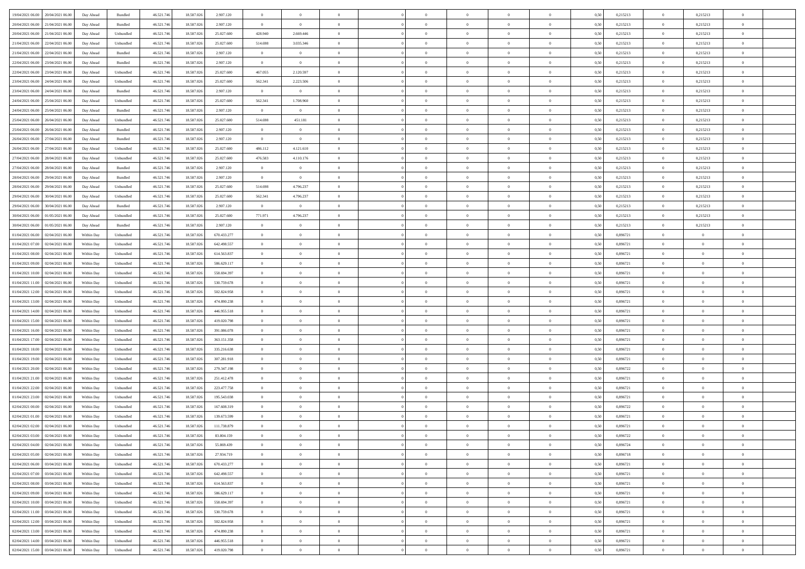| 19/04/2021 06:00 20/04/2021 06:00         | Day Ahead  | Bundled           | 46.521.74  | 18.587.026 | 2.907.120   | $\overline{0}$ | $\overline{0}$ |                | $\overline{0}$ | $\theta$       |                | $\theta$       | 0,50 | 0,215213 | $\theta$       | 0,215213       | $\overline{0}$ |  |
|-------------------------------------------|------------|-------------------|------------|------------|-------------|----------------|----------------|----------------|----------------|----------------|----------------|----------------|------|----------|----------------|----------------|----------------|--|
| 20/04/2021 06:00<br>21/04/2021 06.00      | Day Ahead  | Bundled           | 46.521.74  | 18.587.02  | 2.907.120   | $\bf{0}$       | $\bf{0}$       | $\bf{0}$       | $\overline{0}$ | $\overline{0}$ | $\overline{0}$ | $\bf{0}$       | 0,50 | 0,215213 | $\,$ 0 $\,$    | 0,215213       | $\overline{0}$ |  |
| 20/04/2021 06:00<br>21/04/2021 06:00      | Day Ahead  | Unbundled         | 46.521.746 | 18,587,026 | 25.027.600  | 428,940        | 2.669.446      | $\overline{0}$ | $\bf{0}$       | $\bf{0}$       | $\overline{0}$ | $\bf{0}$       | 0.50 | 0,215213 | $\overline{0}$ | 0,215213       | $\overline{0}$ |  |
| 21/04/2021 06:00<br>22/04/2021 06:00      | Day Ahead  | Unbundled         | 46.521.74  | 18.587.026 | 25.027.600  | 514.698        | 3.035.346      | $\overline{0}$ | $\theta$       | $\theta$       | $\overline{0}$ | $\overline{0}$ | 0,50 | 0,215213 | $\,$ 0 $\,$    | 0,215213       | $\overline{0}$ |  |
| 21/04/2021 06:00<br>22/04/2021 06.00      | Day Ahead  | Bundled           | 46.521.74  | 18.587.02  | 2.907.120   | $\overline{0}$ | $\theta$       | $\overline{0}$ | $\overline{0}$ | $\theta$       | $\overline{0}$ | $\bf{0}$       | 0,50 | 0,215213 | $\,$ 0 $\,$    | 0,215213       | $\overline{0}$ |  |
|                                           |            |                   |            |            |             |                |                |                |                |                | $\theta$       |                |      |          |                |                |                |  |
| 22/04/2021 06:00<br>23/04/2021 06:00      | Day Ahead  | Bundled           | 46.521.74  | 18,587,026 | 2.907.120   | $\overline{0}$ | $\overline{0}$ | $\Omega$       | $\overline{0}$ | $\overline{0}$ |                | $\bf{0}$       | 0.50 | 0.215213 | $\bf{0}$       | 0,215213       | $\overline{0}$ |  |
| 22/04/2021 06:00<br>23/04/2021 06:00      | Day Ahead  | Unbundled         | 46.521.74  | 18.587.026 | 25.027.600  | 467.055        | 2.120.597      | $\overline{0}$ | $\overline{0}$ | $\overline{0}$ | $\overline{0}$ | $\bf{0}$       | 0,50 | 0,215213 | $\bf{0}$       | 0,215213       | $\overline{0}$ |  |
| 23/04/2021 06:00<br>24/04/2021 06.00      | Day Ahead  | Unbundled         | 46.521.74  | 18.587.02  | 25.027.600  | 562.341        | 2.223.506      | $\bf{0}$       | $\overline{0}$ | $\theta$       | $\overline{0}$ | $\bf{0}$       | 0,50 | 0,215213 | $\,$ 0 $\,$    | 0,215213       | $\overline{0}$ |  |
| 23/04/2021 06:00<br>24/04/2021 06:00      | Day Ahead  | Bundled           | 46.521.74  | 18.587.02  | 2.907.120   | $\overline{0}$ | $\overline{0}$ | $\overline{0}$ | $\bf{0}$       | $\overline{0}$ | $\overline{0}$ | $\bf{0}$       | 0.50 | 0.215213 | $\bf{0}$       | 0,215213       | $\overline{0}$ |  |
| 24/04/2021 06:00<br>25/04/2021 06:00      | Day Ahead  | Unbundled         | 46.521.746 | 18.587.026 | 25.027.600  | 562.341        | 1.708.960      | $\overline{0}$ | $\overline{0}$ | $\theta$       | $\overline{0}$ | $\bf{0}$       | 0,50 | 0,215213 | $\bf{0}$       | 0,215213       | $\overline{0}$ |  |
| 24/04/2021 06:00<br>25/04/2021 06.00      | Day Ahead  | Bundled           | 46.521.74  | 18.587.026 | 2.907.120   | $\bf{0}$       | $\overline{0}$ | $\bf{0}$       | $\overline{0}$ | $\bf{0}$       | $\overline{0}$ | $\bf{0}$       | 0,50 | 0,215213 | $\,$ 0 $\,$    | 0,215213       | $\overline{0}$ |  |
| 25/04/2021 06:00<br>26/04/2021 06:00      | Day Ahead  | Unbundled         | 46.521.74  | 18,587,026 | 25.027.600  | 514.698        | 451.181        | $\overline{0}$ | $\bf{0}$       | $\bf{0}$       | $\overline{0}$ | $\bf{0}$       | 0.50 | 0,215213 | $\bf{0}$       | 0,215213       | $\overline{0}$ |  |
|                                           |            |                   |            |            |             |                |                |                |                |                |                |                |      |          |                |                |                |  |
| 25/04/2021 06:00<br>26/04/2021 06:00      | Day Ahead  | Bundled           | 46.521.74  | 18.587.026 | 2.907.120   | $\overline{0}$ | $\overline{0}$ | $\overline{0}$ | $\overline{0}$ | $\theta$       | $\overline{0}$ | $\overline{0}$ | 0,50 | 0,215213 | $\,$ 0 $\,$    | 0,215213       | $\overline{0}$ |  |
| 26/04/2021 06:00<br>27/04/2021 06.00      | Day Ahead  | Bundled           | 46.521.74  | 18.587.02  | 2.907.120   | $\bf{0}$       | $\overline{0}$ | $\bf{0}$       | $\overline{0}$ | $\theta$       | $\overline{0}$ | $\bf{0}$       | 0,50 | 0,215213 | $\,$ 0 $\,$    | 0,215213       | $\overline{0}$ |  |
| 26/04/2021 06:00<br>27/04/2021 06:00      | Day Ahead  | Unbundled         | 46.521.74  | 18.587.026 | 25.027.600  | 486.112        | 4.121.610      | $\Omega$       | $\bf{0}$       | $\theta$       | $\Omega$       | $\bf{0}$       | 0.50 | 0.215213 | $\bf{0}$       | 0,215213       | $\overline{0}$ |  |
| 27/04/2021 06:00<br>28/04/2021 06:00      | Day Ahead  | Unbundled         | 46.521.74  | 18.587.026 | 25.027.600  | 476.583        | 4.110.176      | $\overline{0}$ | $\overline{0}$ | $\overline{0}$ | $\overline{0}$ | $\bf{0}$       | 0,50 | 0,215213 | $\bf{0}$       | 0,215213       | $\overline{0}$ |  |
| 27/04/2021 06:00<br>28/04/2021 06.00      | Day Ahead  | Bundled           | 46.521.74  | 18.587.02  | 2.907.120   | $\bf{0}$       | $\overline{0}$ | $\overline{0}$ | $\overline{0}$ | $\theta$       | $\overline{0}$ | $\bf{0}$       | 0,50 | 0,215213 | $\,$ 0 $\,$    | 0,215213       | $\overline{0}$ |  |
| 28/04/2021 06:00<br>29/04/2021 06:00      | Day Ahead  | Bundled           | 46.521.74  | 18.587.02  | 2.907.120   | $\overline{0}$ | $\overline{0}$ | $\overline{0}$ | $\bf{0}$       | $\overline{0}$ | $\overline{0}$ | $\bf{0}$       | 0.50 | 0.215213 | $\bf{0}$       | 0.215213       | $\overline{0}$ |  |
| 28/04/2021 06:00<br>29/04/2021 06:00      | Day Ahead  | Unbundled         | 46.521.74  | 18.587.026 | 25.027.600  | 514.698        | 4.796.237      | $\overline{0}$ | $\overline{0}$ | $\overline{0}$ | $\overline{0}$ | $\bf{0}$       | 0,50 | 0,215213 | $\,$ 0 $\,$    | 0,215213       | $\overline{0}$ |  |
|                                           |            |                   |            |            |             |                |                |                |                |                |                |                |      |          |                |                |                |  |
| 29/04/2021 06:00<br>30/04/2021 06.00      | Day Ahead  | Unbundled         | 46.521.74  | 18.587.02  | 25.027.600  | 562.341        | 4.796.237      | $\bf{0}$       | $\overline{0}$ | $\overline{0}$ | $\overline{0}$ | $\bf{0}$       | 0,50 | 0,215213 | $\,$ 0 $\,$    | 0,215213       | $\overline{0}$ |  |
| 29/04/2021 06:00<br>30/04/2021 06:00      | Day Ahead  | Bundled           | 46.521.746 | 18,587,026 | 2.907.120   | $\overline{0}$ | $\overline{0}$ | $\overline{0}$ | $\bf{0}$       | $\bf{0}$       | $\overline{0}$ | $\bf{0}$       | 0.50 | 0,215213 | $\,$ 0 $\,$    | 0,215213       | $\overline{0}$ |  |
| 30/04/2021 06:00<br>01/05/2021 06:00      | Day Ahead  | Unbundled         | 46.521.74  | 18.587.026 | 25.027.600  | 771.971        | 4.796.237      | $\overline{0}$ | $\theta$       | $\theta$       | $\overline{0}$ | $\bf{0}$       | 0.5( | 0,215213 | $\,$ 0 $\,$    | 0,215213       | $\overline{0}$ |  |
| 30/04/2021 06:00<br>01/05/2021 06.00      | Day Ahead  | Bundled           | 46.521.74  | 18.587.026 | 2.907.120   | $\bf{0}$       | $\theta$       | $\bf{0}$       | $\overline{0}$ | $\theta$       | $\overline{0}$ | $\bf{0}$       | 0,50 | 0,215213 | $\,$ 0 $\,$    | 0,215213       | $\overline{0}$ |  |
| 01/04/2021 06:00<br>02/04/2021 06:00      | Within Day | Unbundled         | 46.521.74  | 18.587.02  | 670.433.277 | $\overline{0}$ | $\overline{0}$ | $\overline{0}$ | $\overline{0}$ | $\overline{0}$ | $\Omega$       | $\bf{0}$       | 0.50 | 0.896721 | $\,$ 0 $\,$    | $\overline{0}$ | $\overline{0}$ |  |
| 01/04/2021 07:00<br>02/04/2021 06.00      | Within Day | Unbundled         | 46.521.74  | 18.587.026 | 642.498.557 | $\overline{0}$ | $\overline{0}$ | $\overline{0}$ | $\overline{0}$ | $\overline{0}$ | $\overline{0}$ | $\overline{0}$ | 0,50 | 0,896721 | $\theta$       | $\theta$       | $\overline{0}$ |  |
| 01/04/2021 08:00<br>02/04/2021 06.00      | Within Day | Unbundled         | 46.521.74  | 18.587.02  | 614.563.837 | $\bf{0}$       | $\theta$       | $\bf{0}$       | $\overline{0}$ | $\theta$       | $\overline{0}$ | $\bf{0}$       | 0,50 | 0,896721 | $\,$ 0 $\,$    | $\bf{0}$       | $\overline{0}$ |  |
| 01/04/2021 09:00<br>02/04/2021 06:00      | Within Day | Unbundled         | 46.521.74  | 18,587,026 | 586.629.117 | $\overline{0}$ | $\bf{0}$       | $\overline{0}$ | $\bf{0}$       | $\overline{0}$ | $\overline{0}$ | $\bf{0}$       | 0.50 | 0.896721 | $\bf{0}$       | $\overline{0}$ | $\overline{0}$ |  |
|                                           |            |                   |            |            |             |                |                |                |                |                |                |                |      |          |                |                |                |  |
| 01/04/2021 10:00<br>02/04/2021 06:00      | Within Day | Unbundled         | 46.521.746 | 18.587.026 | 558.694.397 | $\overline{0}$ | $\overline{0}$ | $\overline{0}$ | $\overline{0}$ | $\overline{0}$ | $\overline{0}$ | $\bf{0}$       | 0,50 | 0,896721 | $\theta$       | $\theta$       | $\overline{0}$ |  |
| 01/04/2021 11:00<br>02/04/2021 06.00      | Within Day | Unbundled         | 46.521.74  | 18.587.02  | 530.759.678 | $\bf{0}$       | $\bf{0}$       | $\bf{0}$       | $\bf{0}$       | $\overline{0}$ | $\overline{0}$ | $\bf{0}$       | 0,50 | 0,896721 | $\,$ 0 $\,$    | $\bf{0}$       | $\overline{0}$ |  |
| 01/04/2021 12:00<br>02/04/2021 06:00      | Within Day | Unbundled         | 46.521.74  | 18,587,026 | 502.824.958 | $\overline{0}$ | $\bf{0}$       | $\overline{0}$ | $\bf{0}$       | $\bf{0}$       | $\overline{0}$ | $\bf{0}$       | 0.50 | 0.896721 | $\bf{0}$       | $\overline{0}$ | $\bf{0}$       |  |
| 01/04/2021 13:00<br>02/04/2021 06:00      | Within Day | Unbundled         | 46.521.74  | 18.587.026 | 474.890.238 | $\overline{0}$ | $\overline{0}$ | $\overline{0}$ | $\overline{0}$ | $\overline{0}$ | $\overline{0}$ | $\bf{0}$       | 0.5( | 0,896721 | $\theta$       | $\theta$       | $\overline{0}$ |  |
| 01/04/2021 14:00<br>02/04/2021 06.00      | Within Day | Unbundled         | 46.521.74  | 18.587.02  | 446.955.518 | $\bf{0}$       | $\overline{0}$ | $\bf{0}$       | $\overline{0}$ | $\overline{0}$ | $\overline{0}$ | $\bf{0}$       | 0,50 | 0,896721 | $\,$ 0 $\,$    | $\bf{0}$       | $\overline{0}$ |  |
| 01/04/2021 15:00<br>02/04/2021 06:00      | Within Day | Unbundled         | 46.521.746 | 18,587,026 | 419.020.798 | $\overline{0}$ | $\overline{0}$ | $\overline{0}$ | $\bf{0}$       | $\theta$       | $\Omega$       | $\bf{0}$       | 0.50 | 0.896721 | $\,$ 0 $\,$    | $\overline{0}$ | $\overline{0}$ |  |
| 01/04/2021 16:00<br>02/04/2021 06:00      | Within Dav | Unbundled         | 46.521.746 | 18.587.026 | 391.086.078 | $\overline{0}$ | $\overline{0}$ | $\Omega$       | $\overline{0}$ | $\theta$       | $\overline{0}$ | $\overline{0}$ | 0.5( | 0,896721 | $\theta$       | $\theta$       | $\overline{0}$ |  |
| 01/04/2021 17:00<br>02/04/2021 06.00      | Within Day | Unbundled         | 46.521.74  | 18.587.02  | 363.151.358 | $\bf{0}$       | $\overline{0}$ | $\bf{0}$       | $\overline{0}$ | $\bf{0}$       | $\overline{0}$ | $\bf{0}$       | 0,50 | 0,896721 | $\,$ 0 $\,$    | $\bf{0}$       | $\overline{0}$ |  |
| 01/04/2021 18:00<br>02/04/2021 06:00      |            | Unbundled         | 46.521.74  |            | 335.216.638 |                |                |                |                |                | $\overline{0}$ |                |      | 0.896721 |                | $\overline{0}$ |                |  |
|                                           | Within Day |                   |            | 18.587.02  |             | $\overline{0}$ | $\bf{0}$       | $\overline{0}$ | $\bf{0}$       | $\overline{0}$ |                | $\bf{0}$       | 0.50 |          | $\bf{0}$       |                | $\overline{0}$ |  |
| 01/04/2021 19:00<br>02/04/2021 06:00      | Within Dav | Unbundled         | 46.521.74  | 18.587.026 | 307.281.918 | $\overline{0}$ | $\overline{0}$ | $\overline{0}$ | $\theta$       | $\overline{0}$ | $\overline{0}$ | $\overline{0}$ | 0.5( | 0,896721 | $\theta$       | $\theta$       | $\overline{0}$ |  |
| 01/04/2021 20:00<br>02/04/2021 06.00      | Within Day | Unbundled         | 46.521.74  | 18.587.02  | 279.347.198 | $\bf{0}$       | $\bf{0}$       | $\bf{0}$       | $\bf{0}$       | $\overline{0}$ | $\overline{0}$ | $\bf{0}$       | 0,50 | 0,896722 | $\,$ 0 $\,$    | $\bf{0}$       | $\overline{0}$ |  |
| 01/04/2021 21:00<br>02/04/2021 06:00      | Within Day | Unbundled         | 46.521.746 | 18,587,026 | 251.412.478 | $\overline{0}$ | $\bf{0}$       | $\overline{0}$ | $\bf{0}$       | $\bf{0}$       | $\overline{0}$ | $\bf{0}$       | 0.50 | 0.896721 | $\bf{0}$       | $\overline{0}$ | $\overline{0}$ |  |
| 01/04/2021 22:00<br>02/04/2021 06:00      | Within Dav | Unbundled         | 46.521.74  | 18.587.026 | 223.477.758 | $\overline{0}$ | $\overline{0}$ | $\Omega$       | $\overline{0}$ | $\overline{0}$ | $\overline{0}$ | $\bf{0}$       | 0.50 | 0,896721 | $\theta$       | $\theta$       | $\overline{0}$ |  |
| 01/04/2021 23:00<br>02/04/2021 06.00      | Within Day | Unbundled         | 46.521.74  | 18.587.02  | 195.543.038 | $\bf{0}$       | $\overline{0}$ | $\bf{0}$       | $\overline{0}$ | $\overline{0}$ | $\overline{0}$ | $\bf{0}$       | 0,50 | 0,896721 | $\,$ 0 $\,$    | $\bf{0}$       | $\overline{0}$ |  |
| 02/04/2021 00:00<br>02/04/2021 06:00      | Within Day | Unbundled         | 46.521.74  | 18.587.02  | 167.608.319 | $\overline{0}$ | $\overline{0}$ | $\Omega$       | $\overline{0}$ | $\overline{0}$ | $\theta$       | $\bf{0}$       | 0.50 | 0,896722 | $\bf{0}$       | $\theta$       | $\overline{0}$ |  |
| 02/04/2021 01:00<br>02/04/2021 06:00      | Within Dav | Unbundled         | 46.521.74  | 18.587.026 | 139.673.599 | $\overline{0}$ | $\overline{0}$ | $\Omega$       | $\Omega$       | $\theta$       | $\Omega$       | $\overline{0}$ | 0.5( | 0,896721 | $\theta$       | $\theta$       | $\overline{0}$ |  |
| 02/04/2021 02:00<br>02/04/2021 06:00      | Within Day | Unbundled         | 46.521.74  | 18.587.02  | 111.738.879 | $\bf{0}$       | $\bf{0}$       | $\overline{0}$ | $\bf{0}$       | $\bf{0}$       | $\overline{0}$ | $\bf{0}$       | 0,50 | 0,896721 | $\,$ 0 $\,$    | $\bf{0}$       | $\overline{0}$ |  |
|                                           |            |                   |            |            |             |                |                |                |                |                |                |                |      |          |                |                |                |  |
| $02/04/2021$ $03.00$ $02/04/2021$ $06.00$ | Within Day | ${\sf Unbundred}$ | 46.521.746 | 18.587.026 | 83.804.159  | $\overline{0}$ | $\Omega$       |                | $\Omega$       |                |                |                | 0.50 | 0,896722 | $\theta$       | $\overline{0}$ |                |  |
| 02/04/2021 04:00 02/04/2021 06:00         | Within Day | Unbundled         | 46.521.746 | 18.587.026 | 55.869.439  | $\overline{0}$ | $\theta$       | $\Omega$       | $\theta$       | $\theta$       | $\overline{0}$ | $\bf{0}$       | 0,50 | 0,896724 | $\theta$       | $\theta$       | $\overline{0}$ |  |
| 02/04/2021 05:00<br>02/04/2021 06.00      | Within Day | Unbundled         | 46.521.74  | 18.587.02  | 27.934.719  | $\overline{0}$ | $\bf{0}$       | $\overline{0}$ | $\overline{0}$ | $\bf{0}$       | $\overline{0}$ | $\bf{0}$       | 0,50 | 0,896718 | $\bf{0}$       | $\overline{0}$ | $\bf{0}$       |  |
| 02/04/2021 06:00 03/04/2021 06:00         | Within Day | Unbundled         | 46.521.746 | 18,587,026 | 670.433.277 | $\overline{0}$ | $\bf{0}$       | $\overline{0}$ | $\overline{0}$ | $\overline{0}$ | $\overline{0}$ | $\bf{0}$       | 0.50 | 0.896721 | $\mathbf{0}$   | $\bf{0}$       | $\,$ 0 $\,$    |  |
| 02/04/2021 07:00 03/04/2021 06:00         | Within Dav | Unbundled         | 46.521.746 | 18.587.026 | 642.498.557 | $\overline{0}$ | $\overline{0}$ | $\overline{0}$ | $\overline{0}$ | $\overline{0}$ | $\overline{0}$ | $\bf{0}$       | 0,50 | 0,896721 | $\theta$       | $\theta$       | $\overline{0}$ |  |
| 02/04/2021 08:00<br>03/04/2021 06:00      | Within Day | Unbundled         | 46.521.74  | 18.587.026 | 614.563.837 | $\overline{0}$ | $\bf{0}$       | $\bf{0}$       | $\bf{0}$       | $\overline{0}$ | $\overline{0}$ | $\bf{0}$       | 0,50 | 0,896721 | $\overline{0}$ | $\bf{0}$       | $\overline{0}$ |  |
| 03/04/2021 06:00<br>02/04/2021 09:00      | Within Day | Unbundled         | 46.521.746 | 18,587,026 | 586.629.117 | $\overline{0}$ | $\bf{0}$       | $\overline{0}$ | $\bf{0}$       | $\overline{0}$ | $\overline{0}$ | $\bf{0}$       | 0.50 | 0.896721 | $\,$ 0 $\,$    | $\theta$       | $\overline{0}$ |  |
|                                           |            |                   |            |            |             |                |                |                |                |                |                |                |      |          |                |                |                |  |
| 02/04/2021 10:00<br>03/04/2021 06:00      | Within Dav | Unbundled         | 46.521.746 | 18.587.026 | 558.694.397 | $\overline{0}$ | $\overline{0}$ | $\overline{0}$ | $\overline{0}$ | $\overline{0}$ | $\overline{0}$ | $\overline{0}$ | 0.50 | 0,896721 | $\overline{0}$ | $\theta$       | $\overline{0}$ |  |
| 02/04/2021 11:00<br>03/04/2021 06:00      | Within Day | Unbundled         | 46.521.74  | 18.587.02  | 530.759.678 | $\overline{0}$ | $\bf{0}$       | $\overline{0}$ | $\overline{0}$ | $\bf{0}$       | $\overline{0}$ | $\bf{0}$       | 0,50 | 0,896721 | $\bf{0}$       | $\bf{0}$       | $\overline{0}$ |  |
| 02/04/2021 12:00 03/04/2021 06:00         | Within Day | Unbundled         | 46.521.746 | 18,587,026 | 502.824.958 | $\overline{0}$ | $\overline{0}$ | $\overline{0}$ | $\overline{0}$ | $\bf{0}$       | $\overline{0}$ | $\bf{0}$       | 0.50 | 0.896721 | $\overline{0}$ | $\,$ 0 $\,$    | $\,$ 0         |  |
| 02/04/2021 13:00<br>03/04/2021 06:00      | Within Dav | Unbundled         | 46.521.746 | 18.587.026 | 474.890.238 | $\overline{0}$ | $\overline{0}$ | $\overline{0}$ | $\overline{0}$ | $\overline{0}$ | $\overline{0}$ | $\bf{0}$       | 0,50 | 0,896721 | $\theta$       | $\theta$       | $\overline{0}$ |  |
| 02/04/2021 14:00<br>03/04/2021 06.00      | Within Day | Unbundled         | 46.521.74  | 18.587.02  | 446.955.518 | $\overline{0}$ | $\bf{0}$       | $\overline{0}$ | $\bf{0}$       | $\overline{0}$ | $\bf{0}$       | $\bf{0}$       | 0,50 | 0,896721 | $\bf{0}$       | $\bf{0}$       | $\overline{0}$ |  |
| 02/04/2021 15:00 03/04/2021 06:00         | Within Day | Unbundled         | 46.521.746 | 18.587.026 | 419.020.798 | $\overline{0}$ | $\overline{0}$ | $\overline{0}$ | $\overline{0}$ | $\,$ 0 $\,$    | $\overline{0}$ | $\bf{0}$       | 0,50 | 0,896721 | $\overline{0}$ | $\bf{0}$       | $\,$ 0 $\,$    |  |
|                                           |            |                   |            |            |             |                |                |                |                |                |                |                |      |          |                |                |                |  |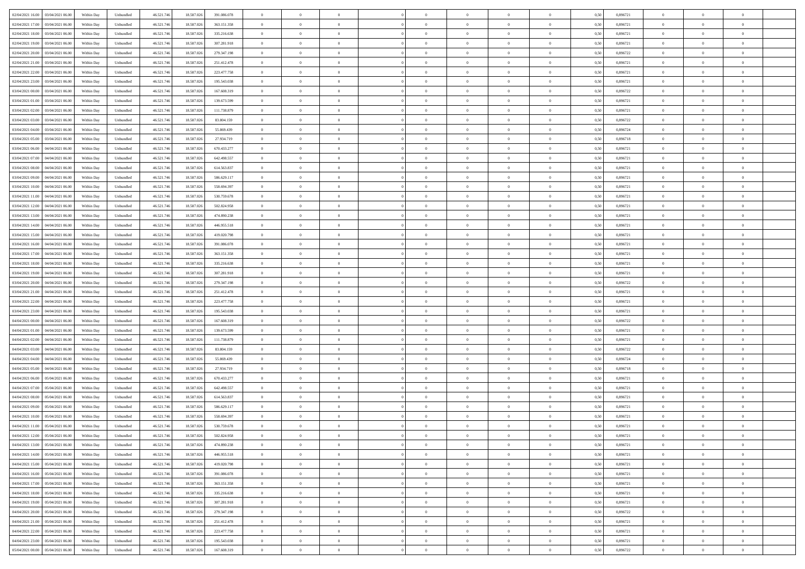| 02/04/2021 16:00 03/04/2021 06:00           | Within Day | Unbundled         | 46.521.74  | 18.587.026 | 391.086.078 | $\overline{0}$ | $\theta$       |                | $\overline{0}$ | $\theta$       |                | $\bf{0}$       | 0,50 | 0,896721 | $\theta$       | $\theta$       | $\overline{0}$ |  |
|---------------------------------------------|------------|-------------------|------------|------------|-------------|----------------|----------------|----------------|----------------|----------------|----------------|----------------|------|----------|----------------|----------------|----------------|--|
| 02/04/2021 17:00<br>03/04/2021 06.00        | Within Day | Unbundled         | 46.521.74  | 18.587.02  | 363.151.358 | $\bf{0}$       | $\overline{0}$ | $\bf{0}$       | $\overline{0}$ | $\bf{0}$       | $\overline{0}$ | $\bf{0}$       | 0,50 | 0,896721 | $\,$ 0 $\,$    | $\bf{0}$       | $\overline{0}$ |  |
| 02/04/2021 18:00<br>03/04/2021 06:00        | Within Day | Unbundled         | 46.521.746 | 18,587,026 | 335.216.638 | $\overline{0}$ | $\bf{0}$       | $\overline{0}$ | $\bf{0}$       | $\bf{0}$       | $\overline{0}$ | $\bf{0}$       | 0.50 | 0.896721 | $\bf{0}$       | $\overline{0}$ | $\overline{0}$ |  |
|                                             |            |                   |            |            |             | $\overline{0}$ | $\overline{0}$ | $\overline{0}$ | $\theta$       | $\theta$       | $\overline{0}$ | $\overline{0}$ |      |          | $\theta$       | $\theta$       | $\overline{0}$ |  |
| 02/04/2021 19:00<br>03/04/2021 06:00        | Within Day | Unbundled         | 46.521.74  | 18.587.026 | 307.281.918 |                |                |                |                |                |                |                | 0,50 | 0,896721 |                |                |                |  |
| 02/04/2021 20:00<br>03/04/2021 06.00        | Within Day | Unbundled         | 46.521.74  | 18.587.02  | 279.347.198 | $\bf{0}$       | $\overline{0}$ | $\overline{0}$ | $\overline{0}$ | $\theta$       | $\overline{0}$ | $\bf{0}$       | 0,50 | 0,896722 | $\,$ 0 $\,$    | $\bf{0}$       | $\overline{0}$ |  |
| 02/04/2021 21:00<br>03/04/2021 06:00        | Within Day | Unbundled         | 46.521.746 | 18.587.026 | 251.412.478 | $\overline{0}$ | $\overline{0}$ | $\overline{0}$ | $\overline{0}$ | $\overline{0}$ | $\Omega$       | $\bf{0}$       | 0.50 | 0.896721 | $\bf{0}$       | $\theta$       | $\overline{0}$ |  |
| 02/04/2021 22:00<br>03/04/2021 06:00        | Within Day | Unbundled         | 46.521.74  | 18.587.026 | 223.477.758 | $\overline{0}$ | $\overline{0}$ | $\overline{0}$ | $\overline{0}$ | $\theta$       | $\overline{0}$ | $\bf{0}$       | 0,50 | 0,896721 | $\theta$       | $\theta$       | $\overline{0}$ |  |
|                                             |            |                   |            |            |             |                |                |                |                |                |                |                |      |          |                |                |                |  |
| 02/04/2021 23:00<br>03/04/2021 06.00        | Within Day | Unbundled         | 46.521.74  | 18.587.02  | 195.543.038 | $\bf{0}$       | $\overline{0}$ | $\overline{0}$ | $\overline{0}$ | $\theta$       | $\overline{0}$ | $\bf{0}$       | 0,50 | 0,896721 | $\,$ 0 $\,$    | $\bf{0}$       | $\overline{0}$ |  |
| 03/04/2021 00:00<br>03/04/2021 06:00        | Within Day | Unbundled         | 46.521.74  | 18.587.026 | 167.608.319 | $\overline{0}$ | $\bf{0}$       | $\overline{0}$ | $\bf{0}$       | $\overline{0}$ | $\overline{0}$ | $\bf{0}$       | 0.50 | 0.896722 | $\bf{0}$       | $\overline{0}$ | $\overline{0}$ |  |
| 03/04/2021 01:00<br>03/04/2021 06:00        | Within Day | Unbundled         | 46.521.746 | 18.587.026 | 139.673.599 | $\overline{0}$ | $\bf{0}$       | $\overline{0}$ | $\overline{0}$ | $\overline{0}$ | $\overline{0}$ | $\bf{0}$       | 0,50 | 0,896721 | $\,$ 0 $\,$    | $\theta$       | $\overline{0}$ |  |
| 03/04/2021 02:00<br>03/04/2021 06.00        | Within Day | Unbundled         | 46.521.74  | 18.587.026 | 111.738.879 | $\bf{0}$       | $\overline{0}$ | $\bf{0}$       | $\overline{0}$ | $\bf{0}$       | $\overline{0}$ | $\bf{0}$       | 0,50 | 0,896721 | $\,$ 0 $\,$    | $\bf{0}$       | $\overline{0}$ |  |
|                                             |            |                   |            |            |             |                |                |                |                |                |                |                |      |          |                |                |                |  |
| 03/04/2021 03:00<br>03/04/2021 06:00        | Within Day | Unbundled         | 46.521.746 | 18.587.026 | 83,804.159  | $\overline{0}$ | $\bf{0}$       | $\overline{0}$ | $\bf{0}$       | $\bf{0}$       | $\overline{0}$ | $\bf{0}$       | 0.50 | 0.896722 | $\bf{0}$       | $\overline{0}$ | $\bf{0}$       |  |
| 03/04/2021 04:00<br>03/04/2021 06:00        | Within Day | Unbundled         | 46.521.74  | 18.587.026 | 55.869.439  | $\overline{0}$ | $\overline{0}$ | $\overline{0}$ | $\overline{0}$ | $\theta$       | $\overline{0}$ | $\overline{0}$ | 0,50 | 0,896724 | $\theta$       | $\theta$       | $\overline{0}$ |  |
| 03/04/2021 05:00<br>03/04/2021 06.00        | Within Day | Unbundled         | 46.521.74  | 18.587.02  | 27.934.719  | $\bf{0}$       | $\theta$       | $\bf{0}$       | $\overline{0}$ | $\theta$       | $\overline{0}$ | $\bf{0}$       | 0,50 | 0,896718 | $\bf{0}$       | $\bf{0}$       | $\overline{0}$ |  |
| 03/04/2021 06:00<br>04/04/2021 06:00        | Within Day | Unbundled         | 46.521.746 | 18.587.026 | 670.433.277 | $\overline{0}$ | $\overline{0}$ | $\overline{0}$ | $\bf{0}$       | $\theta$       | $\Omega$       | $\bf{0}$       | 0.50 | 0,896721 | $\bf{0}$       | $\theta$       | $\overline{0}$ |  |
|                                             |            |                   |            |            |             |                |                |                |                |                |                |                |      |          |                |                |                |  |
| 03/04/2021 07:00<br>04/04/2021 06:00        | Within Day | Unbundled         | 46.521.74  | 18.587.026 | 642.498.557 | $\overline{0}$ | $\overline{0}$ | $\overline{0}$ | $\overline{0}$ | $\overline{0}$ | $\overline{0}$ | $\bf{0}$       | 0,50 | 0,896721 | $\theta$       | $\theta$       | $\overline{0}$ |  |
| 03/04/2021 08:00<br>04/04/2021 06.00        | Within Day | Unbundled         | 46.521.74  | 18.587.02  | 614.563.837 | $\bf{0}$       | $\overline{0}$ | $\overline{0}$ | $\overline{0}$ | $\theta$       | $\overline{0}$ | $\bf{0}$       | 0,50 | 0,896721 | $\,$ 0 $\,$    | $\bf{0}$       | $\overline{0}$ |  |
| 03/04/2021 09:00<br>04/04/2021 06:00        | Within Day | Unbundled         | 46.521.74  | 18.587.02  | 586.629.117 | $\overline{0}$ | $\bf{0}$       | $\overline{0}$ | $\bf{0}$       | $\overline{0}$ | $\overline{0}$ | $\bf{0}$       | 0.50 | 0.896721 | $\bf{0}$       | $\overline{0}$ | $\overline{0}$ |  |
| 03/04/2021 10:00<br>04/04/2021 06:00        | Within Day | Unbundled         | 46.521.74  | 18.587.026 | 558.694.397 | $\overline{0}$ | $\overline{0}$ | $\overline{0}$ | $\overline{0}$ | $\overline{0}$ | $\overline{0}$ | $\bf{0}$       | 0,50 | 0,896721 | $\,$ 0 $\,$    | $\theta$       | $\overline{0}$ |  |
|                                             |            |                   |            |            |             |                |                |                |                |                |                |                |      |          |                |                |                |  |
| 03/04/2021 11:00<br>04/04/2021 06.00        | Within Day | Unbundled         | 46.521.74  | 18.587.02  | 530.759.678 | $\bf{0}$       | $\overline{0}$ | $\bf{0}$       | $\bf{0}$       | $\overline{0}$ | $\overline{0}$ | $\bf{0}$       | 0,50 | 0,896721 | $\,$ 0 $\,$    | $\bf{0}$       | $\overline{0}$ |  |
| 03/04/2021 12:00<br>04/04/2021 06:00        | Within Day | Unbundled         | 46.521.746 | 18,587,026 | 502.824.958 | $\overline{0}$ | $\bf{0}$       | $\overline{0}$ | $\bf{0}$       | $\bf{0}$       | $\overline{0}$ | $\bf{0}$       | 0.50 | 0.896721 | $\bf{0}$       | $\overline{0}$ | $\overline{0}$ |  |
| 03/04/2021 13:00<br>04/04/2021 06:00        | Within Day | Unbundled         | 46.521.74  | 18.587.026 | 474.890.238 | $\overline{0}$ | $\overline{0}$ | $\overline{0}$ | $\theta$       | $\theta$       | $\overline{0}$ | $\bf{0}$       | 0,50 | 0,896721 | $\theta$       | $\theta$       | $\overline{0}$ |  |
| 03/04/2021 14:00<br>04/04/2021 06.00        | Within Day | Unbundled         | 46.521.74  | 18.587.02  | 446.955.518 | $\bf{0}$       | $\overline{0}$ | $\bf{0}$       | $\overline{0}$ | $\theta$       | $\overline{0}$ | $\bf{0}$       | 0,50 | 0,896721 | $\,$ 0 $\,$    | $\bf{0}$       | $\overline{0}$ |  |
|                                             |            |                   |            |            |             |                |                |                |                |                |                |                |      |          |                |                |                |  |
| 03/04/2021 15:00<br>04/04/2021 06:00        | Within Day | Unbundled         | 46.521.74  | 18.587.02  | 419.020.798 | $\overline{0}$ | $\overline{0}$ | $\overline{0}$ | $\overline{0}$ | $\overline{0}$ | $\Omega$       | $\bf{0}$       | 0.50 | 0.896721 | $\,$ 0 $\,$    | $\theta$       | $\overline{0}$ |  |
| 03/04/2021 16:00<br>04/04/2021 06.00        | Within Day | Unbundled         | 46.521.74  | 18.587.026 | 391.086.078 | $\overline{0}$ | $\overline{0}$ | $\overline{0}$ | $\overline{0}$ | $\overline{0}$ | $\overline{0}$ | $\bf{0}$       | 0,50 | 0,896721 | $\theta$       | $\theta$       | $\overline{0}$ |  |
| 03/04/2021 17:00<br>04/04/2021 06.00        | Within Day | Unbundled         | 46.521.74  | 18.587.02  | 363.151.358 | $\bf{0}$       | $\theta$       | $\bf{0}$       | $\overline{0}$ | $\theta$       | $\overline{0}$ | $\bf{0}$       | 0,50 | 0,896721 | $\,$ 0 $\,$    | $\bf{0}$       | $\overline{0}$ |  |
| 03/04/2021 18:00<br>04/04/2021 06:00        | Within Day | Unbundled         | 46.521.74  | 18,587,026 | 335.216.638 | $\overline{0}$ | $\bf{0}$       | $\overline{0}$ | $\bf{0}$       | $\overline{0}$ | $\overline{0}$ | $\bf{0}$       | 0.50 | 0.896721 | $\bf{0}$       | $\overline{0}$ | $\overline{0}$ |  |
| 03/04/2021 19:00<br>04/04/2021 06:00        | Within Day | Unbundled         | 46.521.746 | 18.587.026 | 307.281.918 | $\overline{0}$ | $\overline{0}$ | $\overline{0}$ | $\overline{0}$ | $\overline{0}$ | $\overline{0}$ | $\bf{0}$       | 0,50 | 0,896721 | $\theta$       | $\theta$       | $\overline{0}$ |  |
|                                             |            |                   |            |            |             |                |                |                |                |                |                |                |      |          |                |                |                |  |
| 03/04/2021 20:00<br>04/04/2021 06.00        | Within Day | Unbundled         | 46.521.74  | 18.587.02  | 279.347.198 | $\bf{0}$       | $\bf{0}$       | $\bf{0}$       | $\bf{0}$       | $\overline{0}$ | $\overline{0}$ | $\bf{0}$       | 0,50 | 0,896722 | $\,$ 0 $\,$    | $\bf{0}$       | $\overline{0}$ |  |
| 03/04/2021 21:00<br>04/04/2021 06:00        | Within Day | Unbundled         | 46.521.746 | 18.587.026 | 251.412.478 | $\overline{0}$ | $\bf{0}$       | $\overline{0}$ | $\bf{0}$       | $\bf{0}$       | $\overline{0}$ | $\bf{0}$       | 0.50 | 0.896721 | $\bf{0}$       | $\overline{0}$ | $\overline{0}$ |  |
| 03/04/2021 22:00<br>04/04/2021 06:00        | Within Day | Unbundled         | 46.521.74  | 18.587.026 | 223.477.758 | $\overline{0}$ | $\overline{0}$ | $\overline{0}$ | $\overline{0}$ | $\overline{0}$ | $\overline{0}$ | $\bf{0}$       | 0.5( | 0,896721 | $\theta$       | $\theta$       | $\overline{0}$ |  |
| 03/04/2021 23:00<br>04/04/2021 06.00        | Within Day | Unbundled         | 46.521.74  | 18.587.02  | 195.543.038 | $\bf{0}$       | $\overline{0}$ | $\bf{0}$       | $\overline{0}$ | $\overline{0}$ | $\overline{0}$ | $\bf{0}$       | 0,50 | 0,896721 | $\,$ 0 $\,$    | $\bf{0}$       | $\overline{0}$ |  |
|                                             |            |                   |            |            |             |                |                |                |                |                |                |                |      |          |                |                |                |  |
| 04/04/2021 00:00<br>04/04/2021 06:00        | Within Day | Unbundled         | 46.521.746 | 18,587,026 | 167.608.319 | $\overline{0}$ | $\overline{0}$ | $\overline{0}$ | $\bf{0}$       | $\overline{0}$ | $\Omega$       | $\bf{0}$       | 0.50 | 0,896722 | $\,$ 0 $\,$    | $\theta$       | $\overline{0}$ |  |
| 04/04/2021 01:00<br>04/04/2021 06:00        | Within Dav | Unbundled         | 46.521.746 | 18.587.026 | 139.673.599 | $\overline{0}$ | $\overline{0}$ | $\overline{0}$ | $\overline{0}$ | $\overline{0}$ | $\overline{0}$ | $\overline{0}$ | 0.5( | 0,896721 | $\theta$       | $\theta$       | $\overline{0}$ |  |
| 04/04/2021 02:00<br>04/04/2021 06.00        | Within Day | Unbundled         | 46.521.74  | 18.587.02  | 111.738.879 | $\bf{0}$       | $\overline{0}$ | $\bf{0}$       | $\overline{0}$ | $\bf{0}$       | $\overline{0}$ | $\bf{0}$       | 0,50 | 0,896721 | $\,$ 0 $\,$    | $\bf{0}$       | $\overline{0}$ |  |
| 04/04/2021 03:00<br>04/04/2021 06:00        | Within Day | Unbundled         | 46.521.74  | 18.587.02  | 83.804.159  | $\overline{0}$ | $\bf{0}$       | $\overline{0}$ | $\bf{0}$       | $\overline{0}$ | $\overline{0}$ | $\bf{0}$       | 0.50 | 0.896722 | $\bf{0}$       | $\overline{0}$ | $\overline{0}$ |  |
|                                             |            |                   |            |            |             |                |                |                |                |                |                |                |      |          |                |                |                |  |
| 04/04/2021 04:00<br>04/04/2021 06:00        | Within Dav | Unbundled         | 46.521.74  | 18.587.026 | 55,869,439  | $\overline{0}$ | $\overline{0}$ | $\overline{0}$ | $\overline{0}$ | $\overline{0}$ | $\overline{0}$ | $\overline{0}$ | 0.50 | 0,896724 | $\theta$       | $\theta$       | $\overline{0}$ |  |
| 04/04/2021 05:00<br>04/04/2021 06.00        | Within Day | Unbundled         | 46.521.74  | 18.587.02  | 27.934.719  | $\bf{0}$       | $\bf{0}$       | $\bf{0}$       | $\bf{0}$       | $\overline{0}$ | $\overline{0}$ | $\bf{0}$       | 0,50 | 0,896718 | $\,$ 0 $\,$    | $\bf{0}$       | $\overline{0}$ |  |
| 04/04/2021 06:00<br>05/04/2021 06:00        | Within Day | Unbundled         | 46.521.746 | 18,587,026 | 670.433.277 | $\overline{0}$ | $\bf{0}$       | $\overline{0}$ | $\bf{0}$       | $\bf{0}$       | $\overline{0}$ | $\bf{0}$       | 0.50 | 0.896721 | $\bf{0}$       | $\overline{0}$ | $\overline{0}$ |  |
| 04/04/2021 07:00<br>05/04/2021 06:00        | Within Day | Unbundled         | 46.521.74  | 18.587.026 | 642.498.557 | $\overline{0}$ | $\overline{0}$ | $\Omega$       | $\overline{0}$ | $\overline{0}$ | $\overline{0}$ | $\bf{0}$       | 0.50 | 0,896721 | $\theta$       | $\theta$       | $\overline{0}$ |  |
|                                             |            |                   |            |            |             | $\bf{0}$       | $\overline{0}$ | $\bf{0}$       | $\overline{0}$ | $\,$ 0 $\,$    | $\overline{0}$ |                |      |          | $\,$ 0 $\,$    | $\bf{0}$       | $\overline{0}$ |  |
| 04/04/2021 08:00<br>05/04/2021 06.00        | Within Day | Unbundled         | 46.521.74  | 18.587.02  | 614.563.837 |                |                |                |                |                |                | $\bf{0}$       | 0,50 | 0,896721 |                |                |                |  |
| 04/04/2021 09:00<br>05/04/2021 06:00        | Within Day | Unbundled         | 46.521.746 | 18.587.02  | 586.629.117 | $\overline{0}$ | $\overline{0}$ | $\Omega$       | $\overline{0}$ | $\overline{0}$ | $\theta$       | $\bf{0}$       | 0.50 | 0,896721 | $\bf{0}$       | $\theta$       | $\overline{0}$ |  |
| 04/04/2021 10:00<br>05/04/2021 06:00        | Within Dav | Unbundled         | 46.521.74  | 18.587.026 | 558,694.397 | $\overline{0}$ | $\overline{0}$ | $\Omega$       | $\overline{0}$ | $\theta$       | $\Omega$       | $\overline{0}$ | 0.5( | 0,896721 | $\theta$       | $\theta$       | $\overline{0}$ |  |
| 04/04/2021 11:00<br>05/04/2021 06:00        | Within Day | Unbundled         | 46.521.74  | 18.587.02  | 530.759.678 | $\bf{0}$       | $\bf{0}$       | $\bf{0}$       | $\bf{0}$       | $\bf{0}$       | $\overline{0}$ | $\bf{0}$       | 0,50 | 0,896721 | $\,$ 0 $\,$    | $\bf{0}$       | $\overline{0}$ |  |
| $0404/2021\ 12.00 \qquad 05/04/2021\ 06.00$ | Within Day | ${\sf Unbundred}$ | 46.521.746 | 18.587.026 | 502.824.958 | $\overline{0}$ | $\Omega$       |                | $\overline{0}$ |                |                |                | 0,50 | 0,896721 | $\theta$       | $\overline{0}$ |                |  |
|                                             |            |                   |            |            |             |                |                |                |                |                |                |                |      |          |                |                |                |  |
| 04/04/2021 13:00 05/04/2021 06:00           | Within Day | Unbundled         | 46.521.746 | 18.587.026 | 474.890.238 | $\overline{0}$ | $\theta$       | $\Omega$       | $\theta$       | $\overline{0}$ | $\overline{0}$ | $\bf{0}$       | 0,50 | 0,896721 | $\theta$       | $\theta$       | $\overline{0}$ |  |
| 04/04/2021 14:00<br>05/04/2021 06:00        | Within Day | Unbundled         | 46.521.74  | 18.587.026 | 446.955.518 | $\overline{0}$ | $\bf{0}$       | $\overline{0}$ | $\overline{0}$ | $\bf{0}$       | $\overline{0}$ | $\bf{0}$       | 0,50 | 0,896721 | $\bf{0}$       | $\overline{0}$ | $\bf{0}$       |  |
| 04/04/2021 15:00  05/04/2021 06:00          | Within Day | Unbundled         | 46.521.746 | 18,587,026 | 419.020.798 | $\overline{0}$ | $\bf{0}$       | $\overline{0}$ | $\overline{0}$ | $\overline{0}$ | $\overline{0}$ | $\bf{0}$       | 0.50 | 0.896721 | $\overline{0}$ | $\bf{0}$       | $\,$ 0 $\,$    |  |
| 04/04/2021 16:00  05/04/2021 06:00          | Within Day | Unbundled         | 46.521.746 | 18.587.026 | 391.086.078 | $\overline{0}$ | $\overline{0}$ | $\overline{0}$ | $\overline{0}$ | $\overline{0}$ | $\overline{0}$ | $\bf{0}$       | 0,50 | 0,896721 | $\theta$       | $\theta$       | $\overline{0}$ |  |
|                                             |            |                   |            |            |             |                |                |                |                |                |                |                |      |          |                |                |                |  |
| 04/04/2021 17:00<br>05/04/2021 06:00        | Within Day | Unbundled         | 46.521.74  | 18.587.026 | 363.151.358 | $\overline{0}$ | $\bf{0}$       | $\overline{0}$ | $\bf{0}$       | $\overline{0}$ | $\bf{0}$       | $\bf{0}$       | 0,50 | 0,896721 | $\overline{0}$ | $\bf{0}$       | $\overline{0}$ |  |
| 04/04/2021 18:00<br>05/04/2021 06:00        | Within Day | Unbundled         | 46.521.746 | 18,587,026 | 335.216.638 | $\overline{0}$ | $\bf{0}$       | $\overline{0}$ | $\overline{0}$ | $\overline{0}$ | $\overline{0}$ | $\bf{0}$       | 0.50 | 0.896721 | $\,$ 0 $\,$    | $\theta$       | $\overline{0}$ |  |
| 04/04/2021 19:00<br>05/04/2021 06:00        | Within Dav | Unbundled         | 46.521.746 | 18.587.026 | 307.281.918 | $\overline{0}$ | $\overline{0}$ | $\overline{0}$ | $\overline{0}$ | $\overline{0}$ | $\overline{0}$ | $\bf{0}$       | 0.50 | 0,896721 | $\overline{0}$ | $\theta$       | $\overline{0}$ |  |
| 04/04/2021 20:00<br>05/04/2021 06:00        | Within Day | Unbundled         | 46.521.74  | 18.587.02  | 279.347.198 | $\overline{0}$ | $\overline{0}$ | $\overline{0}$ | $\overline{0}$ | $\bf{0}$       | $\overline{0}$ | $\bf{0}$       | 0,50 | 0,896722 | $\bf{0}$       | $\bf{0}$       | $\overline{0}$ |  |
|                                             |            |                   |            |            |             |                |                |                |                |                |                |                |      |          |                |                |                |  |
| 04/04/2021 21:00  05/04/2021 06:00          | Within Day | Unbundled         | 46.521.746 | 18,587,026 | 251.412.478 | $\overline{0}$ | $\overline{0}$ | $\overline{0}$ | $\overline{0}$ | $\bf{0}$       | $\overline{0}$ | $\bf{0}$       | 0.50 | 0.896721 | $\overline{0}$ | $\,$ 0 $\,$    | $\,$ 0         |  |
| 04/04/2021 22:00 05/04/2021 06:00           | Within Dav | Unbundled         | 46.521.746 | 18.587.026 | 223.477.758 | $\overline{0}$ | $\overline{0}$ | $\overline{0}$ | $\overline{0}$ | $\overline{0}$ | $\overline{0}$ | $\bf{0}$       | 0,50 | 0,896721 | $\overline{0}$ | $\theta$       | $\overline{0}$ |  |
| 04/04/2021 23:00<br>05/04/2021 06:00        | Within Day | Unbundled         | 46.521.74  | 18.587.026 | 195.543.038 | $\overline{0}$ | $\bf{0}$       | $\overline{0}$ | $\bf{0}$       | $\overline{0}$ | $\bf{0}$       | $\bf{0}$       | 0,50 | 0,896721 | $\bf{0}$       | $\bf{0}$       | $\overline{0}$ |  |
| 05/04/2021 00:00 05/04/2021 06:00           | Within Day | Unbundled         | 46.521.746 | 18.587.026 | 167.608.319 | $\overline{0}$ | $\bf{0}$       | $\overline{0}$ | $\overline{0}$ | $\,$ 0 $\,$    | $\overline{0}$ | $\bf{0}$       | 0,50 | 0,896722 | $\overline{0}$ | $\,$ 0 $\,$    | $\,$ 0 $\,$    |  |
|                                             |            |                   |            |            |             |                |                |                |                |                |                |                |      |          |                |                |                |  |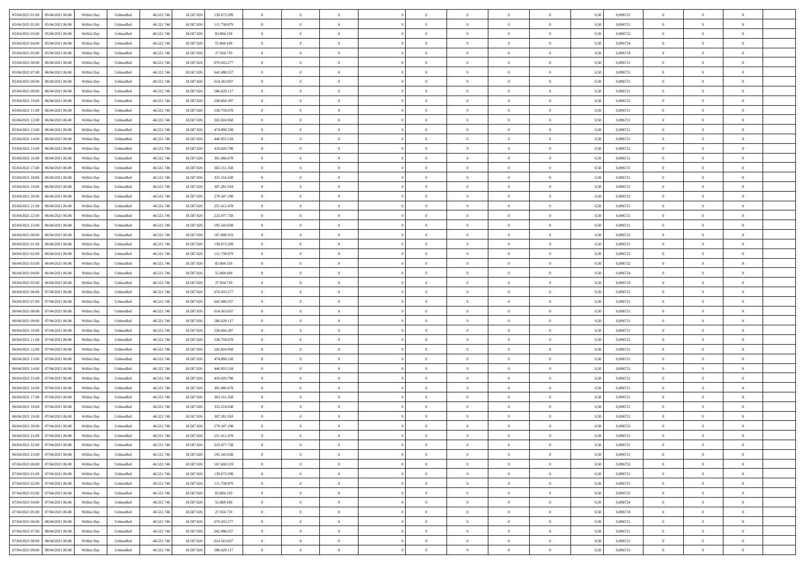| 05/04/2021 01:00  05/04/2021 06:00   | Within Day | Unbundled                   | 46.521.74  | 18.587.026 | 139.673.599 | $\overline{0}$ | $\theta$       |                | $\overline{0}$ | $\theta$       |                | $\bf{0}$       | 0,50 | 0,896721 | $\theta$       | $\theta$       | $\overline{0}$ |  |
|--------------------------------------|------------|-----------------------------|------------|------------|-------------|----------------|----------------|----------------|----------------|----------------|----------------|----------------|------|----------|----------------|----------------|----------------|--|
| 05/04/2021 02:00<br>05/04/2021 06.00 | Within Day | Unbundled                   | 46.521.74  | 18.587.02  | 111.738.879 | $\bf{0}$       | $\overline{0}$ | $\bf{0}$       | $\overline{0}$ | $\theta$       | $\overline{0}$ | $\bf{0}$       | 0,50 | 0,896721 | $\,$ 0 $\,$    | $\bf{0}$       | $\overline{0}$ |  |
| 05/04/2021 03:00<br>05/04/2021 06:00 | Within Day | Unbundled                   | 46.521.746 | 18.587.026 | 83,804.159  | $\overline{0}$ | $\overline{0}$ | $\overline{0}$ | $\bf{0}$       | $\bf{0}$       | $\overline{0}$ | $\bf{0}$       | 0.50 | 0.896722 | $\bf{0}$       | $\overline{0}$ | $\overline{0}$ |  |
| 05/04/2021 04:00<br>05/04/2021 06:00 | Within Day | Unbundled                   | 46.521.74  | 18.587.026 | 55.869.439  | $\overline{0}$ | $\overline{0}$ | $\overline{0}$ | $\theta$       | $\theta$       | $\overline{0}$ | $\overline{0}$ | 0,50 | 0,896724 | $\theta$       | $\theta$       | $\overline{0}$ |  |
| 05/04/2021 05:00<br>05/04/2021 06.00 | Within Day | Unbundled                   | 46.521.74  | 18.587.02  | 27.934.719  | $\overline{0}$ | $\theta$       | $\overline{0}$ | $\overline{0}$ | $\theta$       | $\overline{0}$ | $\bf{0}$       | 0,50 | 0,896718 | $\,$ 0 $\,$    | $\theta$       | $\overline{0}$ |  |
| 05/04/2021 06:00<br>06/04/2021 06:00 | Within Day | Unbundled                   | 46.521.74  | 18.587.026 | 670.433.277 | $\overline{0}$ | $\overline{0}$ | $\Omega$       | $\overline{0}$ | $\overline{0}$ | $\Omega$       | $\bf{0}$       | 0.50 | 0.896721 | $\bf{0}$       | $\theta$       | $\overline{0}$ |  |
| 05/04/2021 07:00<br>06/04/2021 06:00 | Within Day | Unbundled                   | 46.521.74  | 18.587.026 | 642.498.557 | $\overline{0}$ | $\overline{0}$ | $\overline{0}$ | $\overline{0}$ | $\overline{0}$ | $\overline{0}$ | $\bf{0}$       | 0,50 | 0,896721 | $\theta$       | $\theta$       | $\overline{0}$ |  |
|                                      |            |                             |            |            |             |                |                |                |                |                |                |                |      |          |                |                |                |  |
| 05/04/2021 08:00<br>06/04/2021 06.00 | Within Day | Unbundled                   | 46.521.74  | 18.587.02  | 614.563.837 | $\overline{0}$ | $\overline{0}$ | $\overline{0}$ | $\overline{0}$ | $\theta$       | $\overline{0}$ | $\bf{0}$       | 0,50 | 0,896721 | $\,$ 0 $\,$    | $\bf{0}$       | $\overline{0}$ |  |
| 05/04/2021 09:00<br>06/04/2021 06:00 | Within Day | Unbundled                   | 46.521.74  | 18.587.026 | 586.629.117 | $\overline{0}$ | $\overline{0}$ | $\overline{0}$ | $\bf{0}$       | $\overline{0}$ | $\overline{0}$ | $\bf{0}$       | 0.50 | 0.896721 | $\bf{0}$       | $\theta$       | $\overline{0}$ |  |
| 05/04/2021 10:00<br>06/04/2021 06:00 | Within Day | Unbundled                   | 46.521.746 | 18.587.026 | 558.694.397 | $\overline{0}$ | $\bf{0}$       | $\overline{0}$ | $\overline{0}$ | $\theta$       | $\overline{0}$ | $\bf{0}$       | 0,50 | 0,896721 | $\,$ 0 $\,$    | $\theta$       | $\overline{0}$ |  |
| 05/04/2021 11:00<br>06/04/2021 06.00 | Within Day | Unbundled                   | 46.521.74  | 18.587.026 | 530.759.678 | $\bf{0}$       | $\overline{0}$ | $\bf{0}$       | $\overline{0}$ | $\bf{0}$       | $\overline{0}$ | $\bf{0}$       | 0,50 | 0,896721 | $\,$ 0 $\,$    | $\bf{0}$       | $\overline{0}$ |  |
| 05/04/2021 12:00<br>06/04/2021 06:00 | Within Day | Unbundled                   | 46.521.746 | 18.587.026 | 502.824.958 | $\overline{0}$ | $\overline{0}$ | $\overline{0}$ | $\bf{0}$       | $\bf{0}$       | $\overline{0}$ | $\bf{0}$       | 0.50 | 0.896721 | $\bf{0}$       | $\overline{0}$ | $\overline{0}$ |  |
| 05/04/2021 13:00<br>06/04/2021 06:00 | Within Day | Unbundled                   | 46.521.74  | 18.587.026 | 474.890.238 | $\overline{0}$ | $\overline{0}$ | $\overline{0}$ | $\overline{0}$ | $\theta$       | $\overline{0}$ | $\overline{0}$ | 0,50 | 0,896721 | $\theta$       | $\theta$       | $\overline{0}$ |  |
| 05/04/2021 14:00<br>06/04/2021 06.00 | Within Day | Unbundled                   | 46.521.74  | 18.587.02  | 446.955.518 | $\bf{0}$       | $\theta$       | $\bf{0}$       | $\overline{0}$ | $\theta$       | $\overline{0}$ | $\bf{0}$       | 0,50 | 0,896721 | $\bf{0}$       | $\bf{0}$       | $\overline{0}$ |  |
| 05/04/2021 15:00<br>06/04/2021 06:00 | Within Day | Unbundled                   | 46.521.746 | 18,587,026 | 419.020.798 | $\overline{0}$ | $\overline{0}$ | $\overline{0}$ | $\bf{0}$       | $\theta$       | $\theta$       | $\bf{0}$       | 0.50 | 0,896721 | $\theta$       | $\overline{0}$ | $\overline{0}$ |  |
| 05/04/2021 16:00<br>06/04/2021 06:00 |            |                             |            |            |             | $\overline{0}$ | $\overline{0}$ | $\overline{0}$ | $\overline{0}$ | $\theta$       | $\overline{0}$ |                |      |          | $\theta$       | $\theta$       | $\overline{0}$ |  |
|                                      | Within Day | Unbundled                   | 46.521.74  | 18.587.026 | 391.086.078 |                |                |                |                |                |                | $\bf{0}$       | 0,50 | 0,896721 |                |                |                |  |
| 05/04/2021 17:00<br>06/04/2021 06.00 | Within Day | Unbundled                   | 46.521.74  | 18.587.02  | 363.151.358 | $\overline{0}$ | $\overline{0}$ | $\overline{0}$ | $\overline{0}$ | $\theta$       | $\overline{0}$ | $\bf{0}$       | 0,50 | 0,896721 | $\,$ 0 $\,$    | $\theta$       | $\overline{0}$ |  |
| 05/04/2021 18:00<br>06/04/2021 06:00 | Within Day | Unbundled                   | 46.521.74  | 18.587.02  | 335.216.638 | $\overline{0}$ | $\overline{0}$ | $\overline{0}$ | $\bf{0}$       | $\overline{0}$ | $\overline{0}$ | $\bf{0}$       | 0.50 | 0.896721 | $\bf{0}$       | $\overline{0}$ | $\overline{0}$ |  |
| 05/04/2021 19:00<br>06/04/2021 06:00 | Within Day | Unbundled                   | 46.521.74  | 18.587.026 | 307.281.918 | $\overline{0}$ | $\overline{0}$ | $\overline{0}$ | $\overline{0}$ | $\theta$       | $\overline{0}$ | $\bf{0}$       | 0,50 | 0,896721 | $\,$ 0 $\,$    | $\theta$       | $\overline{0}$ |  |
| 05/04/2021 20:00<br>06/04/2021 06.00 | Within Day | Unbundled                   | 46.521.74  | 18.587.02  | 279.347.198 | $\bf{0}$       | $\overline{0}$ | $\bf{0}$       | $\bf{0}$       | $\overline{0}$ | $\overline{0}$ | $\bf{0}$       | 0,50 | 0,896722 | $\,$ 0 $\,$    | $\bf{0}$       | $\overline{0}$ |  |
| 05/04/2021 21:00<br>06/04/2021 06:00 | Within Day | Unbundled                   | 46.521.746 | 18,587,026 | 251.412.478 | $\overline{0}$ | $\overline{0}$ | $\overline{0}$ | $\bf{0}$       | $\overline{0}$ | $\overline{0}$ | $\bf{0}$       | 0.50 | 0.896721 | $\bf{0}$       | $\overline{0}$ | $\overline{0}$ |  |
| 05/04/2021 22:00<br>06/04/2021 06:00 | Within Day | Unbundled                   | 46.521.74  | 18.587.026 | 223.477.758 | $\overline{0}$ | $\overline{0}$ | $\overline{0}$ | $\overline{0}$ | $\theta$       | $\overline{0}$ | $\bf{0}$       | 0,50 | 0,896721 | $\theta$       | $\theta$       | $\overline{0}$ |  |
| 05/04/2021 23:00<br>06/04/2021 06.00 | Within Day | Unbundled                   | 46.521.74  | 18.587.02  | 195.543.038 | $\bf{0}$       | $\overline{0}$ | $\overline{0}$ | $\overline{0}$ | $\theta$       | $\overline{0}$ | $\bf{0}$       | 0,50 | 0,896721 | $\,$ 0 $\,$    | $\bf{0}$       | $\overline{0}$ |  |
| 06/04/2021 00:00<br>06/04/2021 06:00 | Within Day | Unbundled                   | 46.521.74  | 18.587.02  | 167.608.319 | $\overline{0}$ | $\overline{0}$ | $\Omega$       | $\overline{0}$ | $\overline{0}$ | $\Omega$       | $\bf{0}$       | 0.50 | 0.896722 | $\,$ 0 $\,$    | $\theta$       | $\overline{0}$ |  |
| 06/04/2021 01:00<br>06/04/2021 06:00 | Within Day | Unbundled                   | 46.521.74  | 18.587.026 | 139.673.599 | $\overline{0}$ | $\overline{0}$ | $\overline{0}$ | $\overline{0}$ | $\theta$       | $\overline{0}$ | $\bf{0}$       | 0,50 | 0,896721 | $\theta$       | $\theta$       | $\overline{0}$ |  |
|                                      |            |                             |            |            |             |                |                |                |                |                |                |                |      |          |                |                |                |  |
| 06/04/2021 02:00<br>06/04/2021 06.00 | Within Day | Unbundled                   | 46.521.74  | 18.587.02  | 111.738.879 | $\bf{0}$       | $\theta$       | $\overline{0}$ | $\overline{0}$ | $\theta$       | $\overline{0}$ | $\bf{0}$       | 0,50 | 0,896721 | $\,$ 0 $\,$    | $\bf{0}$       | $\overline{0}$ |  |
| 06/04/2021 03:00<br>06/04/2021 06:00 | Within Day | Unbundled                   | 46.521.74  | 18,587,026 | 83.804.159  | $\overline{0}$ | $\overline{0}$ | $\overline{0}$ | $\bf{0}$       | $\overline{0}$ | $\overline{0}$ | $\bf{0}$       | 0.50 | 0.896722 | $\bf{0}$       | $\theta$       | $\overline{0}$ |  |
| 06/04/2021 04:00<br>06/04/2021 06:00 | Within Day | Unbundled                   | 46.521.746 | 18.587.026 | 55.869.439  | $\overline{0}$ | $\overline{0}$ | $\overline{0}$ | $\overline{0}$ | $\theta$       | $\overline{0}$ | $\bf{0}$       | 0,50 | 0,896724 | $\theta$       | $\theta$       | $\overline{0}$ |  |
| 06/04/2021 05:00<br>06/04/2021 06.00 | Within Day | Unbundled                   | 46.521.74  | 18.587.026 | 27.934.719  | $\bf{0}$       | $\bf{0}$       | $\bf{0}$       | $\bf{0}$       | $\overline{0}$ | $\overline{0}$ | $\bf{0}$       | 0,50 | 0,896718 | $\,$ 0 $\,$    | $\bf{0}$       | $\overline{0}$ |  |
| 06/04/2021 06:00<br>07/04/2021 06:00 | Within Day | Unbundled                   | 46.521.74  | 18.587.026 | 670.433.277 | $\overline{0}$ | $\overline{0}$ | $\overline{0}$ | $\bf{0}$       | $\bf{0}$       | $\overline{0}$ | $\bf{0}$       | 0.50 | 0.896721 | $\bf{0}$       | $\overline{0}$ | $\overline{0}$ |  |
| 06/04/2021 07:00<br>07/04/2021 06:00 | Within Day | Unbundled                   | 46.521.74  | 18.587.026 | 642.498.557 | $\overline{0}$ | $\overline{0}$ | $\overline{0}$ | $\overline{0}$ | $\overline{0}$ | $\overline{0}$ | $\overline{0}$ | 0.5( | 0,896721 | $\theta$       | $\theta$       | $\overline{0}$ |  |
| 06/04/2021 08:00<br>07/04/2021 06.00 | Within Day | Unbundled                   | 46.521.74  | 18.587.02  | 614.563.837 | $\bf{0}$       | $\overline{0}$ | $\bf{0}$       | $\overline{0}$ | $\theta$       | $\overline{0}$ | $\bf{0}$       | 0,50 | 0,896721 | $\,$ 0 $\,$    | $\bf{0}$       | $\overline{0}$ |  |
| 06/04/2021 09:00<br>07/04/2021 06:00 | Within Day | Unbundled                   | 46.521.746 | 18,587,026 | 586.629.117 | $\overline{0}$ | $\overline{0}$ | $\overline{0}$ | $\bf{0}$       | $\theta$       | $\Omega$       | $\bf{0}$       | 0.50 | 0,896721 | $\,$ 0 $\,$    | $\overline{0}$ | $\overline{0}$ |  |
| 06/04/2021 10:00<br>07/04/2021 06:00 | Within Dav | Unbundled                   | 46.521.74  | 18.587.026 | 558.694.397 | $\overline{0}$ | $\theta$       | $\Omega$       | $\overline{0}$ | $\theta$       | $\overline{0}$ | $\overline{0}$ | 0.5( | 0,896721 | $\theta$       | $\theta$       | $\overline{0}$ |  |
| 07/04/2021 06.00                     | Within Day | Unbundled                   | 46.521.74  | 18.587.02  | 530.759.678 | $\bf{0}$       | $\overline{0}$ | $\overline{0}$ | $\overline{0}$ | $\bf{0}$       | $\overline{0}$ | $\bf{0}$       | 0,50 | 0,896721 | $\,$ 0 $\,$    | $\bf{0}$       | $\overline{0}$ |  |
| 06/04/2021 11:00                     |            |                             |            |            |             |                |                |                |                |                |                |                |      |          |                |                |                |  |
| 06/04/2021 12:00<br>07/04/2021 06:00 | Within Day | Unbundled                   | 46.521.74  | 18.587.02  | 502.824.958 | $\overline{0}$ | $\overline{0}$ | $\overline{0}$ | $\bf{0}$       | $\overline{0}$ | $\overline{0}$ | $\bf{0}$       | 0.50 | 0.896721 | $\bf{0}$       | $\overline{0}$ | $\overline{0}$ |  |
| 06/04/2021 13:00<br>07/04/2021 06:00 | Within Dav | Unbundled                   | 46.521.74  | 18.587.026 | 474.890.238 | $\overline{0}$ | $\overline{0}$ | $\overline{0}$ | $\overline{0}$ | $\overline{0}$ | $\overline{0}$ | $\overline{0}$ | 0.50 | 0,896721 | $\theta$       | $\theta$       | $\overline{0}$ |  |
| 06/04/2021 14:00<br>07/04/2021 06.00 | Within Day | Unbundled                   | 46.521.74  | 18.587.02  | 446.955.518 | $\bf{0}$       | $\bf{0}$       | $\bf{0}$       | $\bf{0}$       | $\overline{0}$ | $\overline{0}$ | $\bf{0}$       | 0,50 | 0,896721 | $\,$ 0 $\,$    | $\bf{0}$       | $\overline{0}$ |  |
| 06/04/2021 15:00<br>07/04/2021 06:00 | Within Day | Unbundled                   | 46.521.746 | 18,587,026 | 419.020.798 | $\overline{0}$ | $\bf{0}$       | $\overline{0}$ | $\bf{0}$       | $\bf{0}$       | $\overline{0}$ | $\bf{0}$       | 0.50 | 0.896721 | $\bf{0}$       | $\overline{0}$ | $\overline{0}$ |  |
| 06/04/2021 16:00<br>07/04/2021 06:00 | Within Dav | Unbundled                   | 46.521.74  | 18.587.026 | 391.086.078 | $\overline{0}$ | $\overline{0}$ | $\Omega$       | $\overline{0}$ | $\theta$       | $\overline{0}$ | $\overline{0}$ | 0.5( | 0,896721 | $\theta$       | $\theta$       | $\overline{0}$ |  |
| 06/04/2021 17:00<br>07/04/2021 06.00 | Within Day | Unbundled                   | 46.521.74  | 18.587.02  | 363.151.358 | $\bf{0}$       | $\overline{0}$ | $\bf{0}$       | $\overline{0}$ | $\overline{0}$ | $\overline{0}$ | $\bf{0}$       | 0,50 | 0,896721 | $\,$ 0 $\,$    | $\bf{0}$       | $\overline{0}$ |  |
| 06/04/2021 18:00<br>07/04/2021 06:00 | Within Day | Unbundled                   | 46.521.74  | 18.587.02  | 335.216.638 | $\overline{0}$ | $\overline{0}$ | $\Omega$       | $\overline{0}$ | $\theta$       | $\theta$       | $\bf{0}$       | 0.50 | 0,896721 | $\,$ 0 $\,$    | $\overline{0}$ | $\overline{0}$ |  |
| 06/04/2021 19:00<br>07/04/2021 06:00 | Within Dav | Unbundled                   | 46.521.74  | 18.587.026 | 307.281.918 | $\overline{0}$ | $\overline{0}$ | $\Omega$       | $\overline{0}$ | $\theta$       | $\Omega$       | $\overline{0}$ | 0.5( | 0,896721 | $\theta$       | $\theta$       | $\overline{0}$ |  |
| 06/04/2021 20:00<br>07/04/2021 06:00 | Within Day | Unbundled                   | 46.521.74  | 18.587.02  | 279.347.198 | $\bf{0}$       | $\bf{0}$       | $\overline{0}$ | $\bf{0}$       | $\bf{0}$       | $\overline{0}$ | $\bf{0}$       | 0,50 | 0,896722 | $\,$ 0 $\,$    | $\bf{0}$       | $\overline{0}$ |  |
| 06/04/2021 21:00 07/04/2021 06:00    | Within Day | $\ensuremath{\mathsf{Unb}}$ | 46.521.746 | 18.587.026 | 251.412.478 | $\overline{0}$ | $\Omega$       |                | $\Omega$       |                |                |                | 0,50 | 0,896721 | $\theta$       | $\overline{0}$ |                |  |
|                                      |            |                             |            |            |             |                |                |                |                |                |                |                |      |          |                |                |                |  |
| 06/04/2021 22:00 07/04/2021 06:00    | Within Day | Unbundled                   | 46.521.746 | 18.587.026 | 223.477.758 | $\overline{0}$ | $\theta$       | $\Omega$       | $\theta$       | $\overline{0}$ | $\overline{0}$ | $\bf{0}$       | 0,50 | 0,896721 | $\theta$       | $\theta$       | $\overline{0}$ |  |
| 06/04/2021 23:00<br>07/04/2021 06:00 | Within Day | Unbundled                   | 46.521.74  | 18.587.026 | 195.543.038 | $\overline{0}$ | $\bf{0}$       | $\overline{0}$ | $\overline{0}$ | $\bf{0}$       | $\overline{0}$ | $\bf{0}$       | 0,50 | 0,896721 | $\bf{0}$       | $\overline{0}$ | $\bf{0}$       |  |
| 07/04/2021 00:00 07/04/2021 06:00    | Within Day | Unbundled                   | 46.521.746 | 18,587,026 | 167.608.319 | $\overline{0}$ | $\bf{0}$       | $\overline{0}$ | $\overline{0}$ | $\overline{0}$ | $\overline{0}$ | $\bf{0}$       | 0.50 | 0,896722 | $\overline{0}$ | $\bf{0}$       | $\,$ 0 $\,$    |  |
| 07/04/2021 01:00 07/04/2021 06:00    | Within Day | Unbundled                   | 46.521.746 | 18.587.026 | 139.673.599 | $\overline{0}$ | $\overline{0}$ | $\overline{0}$ | $\overline{0}$ | $\overline{0}$ | $\overline{0}$ | $\bf{0}$       | 0,50 | 0,896721 | $\theta$       | $\theta$       | $\overline{0}$ |  |
| 07/04/2021 02:00<br>07/04/2021 06:00 | Within Day | Unbundled                   | 46.521.74  | 18.587.026 | 111.738.879 | $\overline{0}$ | $\bf{0}$       | $\overline{0}$ | $\bf{0}$       | $\overline{0}$ | $\bf{0}$       | $\bf{0}$       | 0,50 | 0,896721 | $\overline{0}$ | $\bf{0}$       | $\overline{0}$ |  |
| 07/04/2021 03:00<br>07/04/2021 06:00 | Within Day | Unbundled                   | 46.521.746 | 18,587,026 | 83,804,159  | $\overline{0}$ | $\bf{0}$       | $\overline{0}$ | $\overline{0}$ | $\overline{0}$ | $\overline{0}$ | $\bf{0}$       | 0.50 | 0.896722 | $\,$ 0 $\,$    | $\theta$       | $\overline{0}$ |  |
| 07/04/2021 04:00<br>07/04/2021 06:00 | Within Dav | Unbundled                   | 46.521.746 | 18.587.026 | 55.869.439  | $\overline{0}$ | $\overline{0}$ | $\overline{0}$ | $\overline{0}$ | $\overline{0}$ | $\overline{0}$ | $\bf{0}$       | 0.50 | 0,896724 | $\overline{0}$ | $\theta$       | $\overline{0}$ |  |
| 07/04/2021 05:00<br>07/04/2021 06:00 | Within Day | Unbundled                   | 46.521.74  | 18.587.026 | 27.934.719  | $\overline{0}$ | $\overline{0}$ | $\overline{0}$ | $\overline{0}$ | $\bf{0}$       | $\overline{0}$ | $\bf{0}$       | 0,50 | 0,896718 | $\bf{0}$       | $\bf{0}$       | $\overline{0}$ |  |
| 08/04/2021 06:00<br>07/04/2021 06:00 |            | Unbundled                   |            | 18,587,026 | 670.433.277 |                | $\overline{0}$ | $\overline{0}$ |                |                | $\overline{0}$ |                | 0.50 | 0.896721 |                | $\,$ 0 $\,$    | $\,$ 0         |  |
|                                      | Within Day |                             | 46.521.746 |            |             | $\overline{0}$ |                |                | $\overline{0}$ | $\bf{0}$       |                | $\bf{0}$       |      |          | $\overline{0}$ |                |                |  |
| 07/04/2021 07:00  08/04/2021 06:00   | Within Dav | Unbundled                   | 46.521.746 | 18.587.026 | 642.498.557 | $\overline{0}$ | $\overline{0}$ | $\overline{0}$ | $\overline{0}$ | $\overline{0}$ | $\overline{0}$ | $\bf{0}$       | 0,50 | 0,896721 | $\overline{0}$ | $\theta$       | $\overline{0}$ |  |
| 07/04/2021 08:00<br>08/04/2021 06:00 | Within Day | Unbundled                   | 46.521.74  | 18.587.026 | 614.563.837 | $\overline{0}$ | $\bf{0}$       | $\overline{0}$ | $\bf{0}$       | $\overline{0}$ | $\bf{0}$       | $\bf{0}$       | 0,50 | 0,896721 | $\bf{0}$       | $\bf{0}$       | $\overline{0}$ |  |
| 07/04/2021 09:00   08/04/2021 06:00  | Within Day | Unbundled                   | 46.521.746 | 18.587.026 | 586.629.117 | $\overline{0}$ | $\bf{0}$       | $\overline{0}$ | $\overline{0}$ | $\,$ 0 $\,$    | $\overline{0}$ | $\bf{0}$       | 0,50 | 0,896721 | $\overline{0}$ | $\,$ 0 $\,$    | $\,$ 0 $\,$    |  |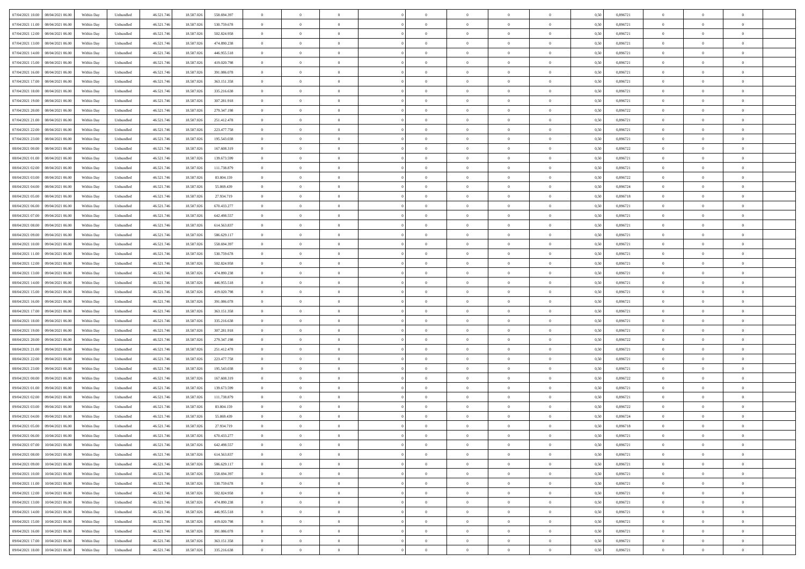| 07/04/2021 10:00  08/04/2021 06:00             | Within Day | Unbundled         | 46.521.74  | 18.587.026 | 558.694.397 | $\overline{0}$ | $\theta$       |                | $\overline{0}$ | $\theta$       |                | $\bf{0}$       | 0,50 | 0,896721 | $\theta$       | $\theta$       | $\overline{0}$ |  |
|------------------------------------------------|------------|-------------------|------------|------------|-------------|----------------|----------------|----------------|----------------|----------------|----------------|----------------|------|----------|----------------|----------------|----------------|--|
|                                                |            |                   |            |            |             |                |                |                |                |                |                |                |      |          |                |                |                |  |
| 07/04/2021 11:00<br>08/04/2021 06:00           | Within Day | Unbundled         | 46.521.74  | 18.587.02  | 530.759.678 | $\bf{0}$       | $\overline{0}$ | $\overline{0}$ | $\overline{0}$ | $\theta$       | $\overline{0}$ | $\bf{0}$       | 0,50 | 0,896721 | $\,$ 0 $\,$    | $\bf{0}$       | $\overline{0}$ |  |
| 07/04/2021 12:00<br>08/04/2021 06:00           | Within Day | Unbundled         | 46.521.746 | 18,587,026 | 502.824.958 | $\overline{0}$ | $\overline{0}$ | $\overline{0}$ | $\bf{0}$       | $\bf{0}$       | $\overline{0}$ | $\bf{0}$       | 0.50 | 0.896721 | $\bf{0}$       | $\overline{0}$ | $\overline{0}$ |  |
| 07/04/2021 13:00<br>08/04/2021 06:00           | Within Day | Unbundled         | 46.521.74  | 18.587.026 | 474.890.238 | $\overline{0}$ | $\overline{0}$ | $\overline{0}$ | $\theta$       | $\theta$       | $\overline{0}$ | $\overline{0}$ | 0,50 | 0,896721 | $\theta$       | $\theta$       | $\overline{0}$ |  |
|                                                |            |                   |            |            |             |                |                |                |                |                |                |                |      |          |                |                |                |  |
| 07/04/2021 14:00<br>08/04/2021 06:00           | Within Day | Unbundled         | 46.521.74  | 18.587.02  | 446.955.518 | $\overline{0}$ | $\theta$       | $\overline{0}$ | $\overline{0}$ | $\theta$       | $\overline{0}$ | $\bf{0}$       | 0,50 | 0,896721 | $\,$ 0 $\,$    | $\theta$       | $\overline{0}$ |  |
| 07/04/2021 15:00<br>08/04/2021 06:00           | Within Day | Unbundled         | 46.521.74  | 18.587.026 | 419.020.798 | $\overline{0}$ | $\overline{0}$ | $\Omega$       | $\overline{0}$ | $\overline{0}$ | $\Omega$       | $\bf{0}$       | 0.50 | 0.896721 | $\bf{0}$       | $\overline{0}$ | $\overline{0}$ |  |
| 07/04/2021 16:00<br>08/04/2021 06:00           | Within Day | Unbundled         | 46.521.74  | 18.587.026 | 391.086.078 | $\overline{0}$ | $\overline{0}$ | $\overline{0}$ | $\overline{0}$ | $\theta$       | $\overline{0}$ | $\bf{0}$       | 0,50 | 0,896721 | $\theta$       | $\theta$       | $\overline{0}$ |  |
| 07/04/2021 17:00<br>08/04/2021 06:00           | Within Day | Unbundled         | 46.521.74  | 18.587.02  | 363.151.358 | $\overline{0}$ | $\overline{0}$ | $\overline{0}$ | $\overline{0}$ | $\theta$       | $\overline{0}$ | $\bf{0}$       | 0,50 | 0,896721 | $\,$ 0 $\,$    | $\bf{0}$       | $\overline{0}$ |  |
| 07/04/2021 18:00<br>08/04/2021 06:00           | Within Day | Unbundled         | 46.521.74  | 18.587.026 | 335.216.638 | $\overline{0}$ | $\overline{0}$ | $\overline{0}$ | $\bf{0}$       | $\overline{0}$ | $\overline{0}$ | $\bf{0}$       | 0.50 | 0.896721 | $\bf{0}$       | $\theta$       | $\overline{0}$ |  |
|                                                |            |                   |            |            |             |                |                |                |                |                |                |                |      |          |                |                |                |  |
| 07/04/2021 19:00<br>08/04/2021 06:00           | Within Day | Unbundled         | 46.521.746 | 18.587.026 | 307.281.918 | $\overline{0}$ | $\bf{0}$       | $\overline{0}$ | $\overline{0}$ | $\theta$       | $\overline{0}$ | $\bf{0}$       | 0,50 | 0,896721 | $\,$ 0 $\,$    | $\theta$       | $\overline{0}$ |  |
| 07/04/2021 20:00<br>08/04/2021 06:00           | Within Day | Unbundled         | 46.521.74  | 18.587.026 | 279.347.198 | $\bf{0}$       | $\overline{0}$ | $\bf{0}$       | $\overline{0}$ | $\bf{0}$       | $\overline{0}$ | $\bf{0}$       | 0,50 | 0,896722 | $\,$ 0 $\,$    | $\bf{0}$       | $\overline{0}$ |  |
| 07/04/2021 21:00<br>08/04/2021 06:00           | Within Day | Unbundled         | 46.521.746 | 18.587.026 | 251.412.478 | $\overline{0}$ | $\overline{0}$ | $\overline{0}$ | $\bf{0}$       | $\bf{0}$       | $\overline{0}$ | $\bf{0}$       | 0.50 | 0.896721 | $\bf{0}$       | $\overline{0}$ | $\overline{0}$ |  |
| 07/04/2021 22:00<br>08/04/2021 06:00           | Within Day | Unbundled         | 46.521.74  | 18.587.026 | 223.477.758 | $\overline{0}$ | $\overline{0}$ | $\overline{0}$ | $\overline{0}$ | $\theta$       | $\overline{0}$ | $\overline{0}$ | 0,50 | 0,896721 | $\theta$       | $\theta$       | $\overline{0}$ |  |
|                                                |            |                   |            |            |             | $\overline{0}$ | $\theta$       |                | $\overline{0}$ | $\theta$       | $\overline{0}$ | $\bf{0}$       |      |          |                | $\bf{0}$       | $\overline{0}$ |  |
| 07/04/2021 23:00<br>08/04/2021 06:00           | Within Day | Unbundled         | 46.521.74  | 18.587.02  | 195.543.038 |                |                | $\bf{0}$       |                |                |                |                | 0,50 | 0,896721 | $\bf{0}$       |                |                |  |
| 08/04/2021 00:00<br>08/04/2021 06:00           | Within Day | Unbundled         | 46.521.746 | 18.587.026 | 167.608.319 | $\overline{0}$ | $\overline{0}$ | $\overline{0}$ | $\bf{0}$       | $\theta$       | $\theta$       | $\bf{0}$       | 0.50 | 0,896722 | $\theta$       | $\overline{0}$ | $\overline{0}$ |  |
| 08/04/2021 01:00<br>08/04/2021 06:00           | Within Day | Unbundled         | 46.521.74  | 18.587.026 | 139.673.599 | $\overline{0}$ | $\overline{0}$ | $\overline{0}$ | $\overline{0}$ | $\theta$       | $\overline{0}$ | $\bf{0}$       | 0,50 | 0,896721 | $\theta$       | $\theta$       | $\overline{0}$ |  |
| 08/04/2021 02:00<br>08/04/2021 06:00           | Within Day | Unbundled         | 46.521.74  | 18.587.02  | 111.738.879 | $\overline{0}$ | $\overline{0}$ | $\overline{0}$ | $\overline{0}$ | $\theta$       | $\overline{0}$ | $\bf{0}$       | 0,50 | 0,896721 | $\,$ 0 $\,$    | $\theta$       | $\overline{0}$ |  |
| 08/04/2021 03:00<br>08/04/2021 06:00           | Within Day | Unbundled         | 46.521.74  | 18.587.02  | 83.804.159  | $\overline{0}$ | $\overline{0}$ | $\overline{0}$ | $\bf{0}$       | $\overline{0}$ | $\overline{0}$ | $\bf{0}$       | 0.50 | 0.896722 | $\bf{0}$       | $\overline{0}$ | $\overline{0}$ |  |
|                                                |            |                   |            |            |             |                |                |                |                |                |                |                |      |          |                |                |                |  |
| 08/04/2021 04:00<br>08/04/2021 06:00           | Within Day | Unbundled         | 46.521.74  | 18.587.026 | 55.869.439  | $\overline{0}$ | $\overline{0}$ | $\overline{0}$ | $\overline{0}$ | $\theta$       | $\overline{0}$ | $\bf{0}$       | 0,50 | 0,896724 | $\,$ 0 $\,$    | $\theta$       | $\overline{0}$ |  |
| 08/04/2021 05:00<br>08/04/2021 06:00           | Within Day | Unbundled         | 46.521.74  | 18.587.026 | 27.934.719  | $\bf{0}$       | $\overline{0}$ | $\bf{0}$       | $\bf{0}$       | $\overline{0}$ | $\overline{0}$ | $\bf{0}$       | 0,50 | 0,896718 | $\,$ 0 $\,$    | $\bf{0}$       | $\overline{0}$ |  |
| 08/04/2021 06:00<br>09/04/2021 06:00           | Within Day | Unbundled         | 46.521.746 | 18,587,026 | 670.433.277 | $\overline{0}$ | $\overline{0}$ | $\overline{0}$ | $\bf{0}$       | $\overline{0}$ | $\overline{0}$ | $\bf{0}$       | 0.50 | 0.896721 | $\bf{0}$       | $\overline{0}$ | $\overline{0}$ |  |
| 08/04/2021 07:00<br>09/04/2021 06:00           | Within Day | Unbundled         | 46.521.74  | 18.587.026 | 642.498.557 | $\overline{0}$ | $\overline{0}$ | $\overline{0}$ | $\overline{0}$ | $\theta$       | $\overline{0}$ | $\bf{0}$       | 0,50 | 0,896721 | $\theta$       | $\theta$       | $\overline{0}$ |  |
| 08/04/2021 08:00<br>09/04/2021 06.00           | Within Day | Unbundled         | 46.521.74  | 18.587.02  | 614.563.837 | $\bf{0}$       | $\overline{0}$ | $\overline{0}$ | $\overline{0}$ | $\theta$       | $\overline{0}$ | $\bf{0}$       | 0,50 | 0,896721 | $\,$ 0 $\,$    | $\bf{0}$       | $\overline{0}$ |  |
|                                                |            |                   |            |            |             |                |                |                |                |                |                |                |      |          |                |                |                |  |
| 08/04/2021 09:00<br>09/04/2021 06:00           | Within Day | Unbundled         | 46.521.74  | 18.587.02  | 586.629.117 | $\overline{0}$ | $\overline{0}$ | $\overline{0}$ | $\overline{0}$ | $\overline{0}$ | $\Omega$       | $\bf{0}$       | 0.50 | 0.896721 | $\bf{0}$       | $\theta$       | $\overline{0}$ |  |
| 08/04/2021 10:00<br>09/04/2021 06:00           | Within Day | Unbundled         | 46.521.74  | 18.587.026 | 558.694.397 | $\overline{0}$ | $\overline{0}$ | $\overline{0}$ | $\overline{0}$ | $\theta$       | $\overline{0}$ | $\bf{0}$       | 0,50 | 0,896721 | $\theta$       | $\theta$       | $\overline{0}$ |  |
| 08/04/2021 11:00<br>09/04/2021 06.00           | Within Day | Unbundled         | 46.521.74  | 18.587.02  | 530.759.678 | $\overline{0}$ | $\theta$       | $\overline{0}$ | $\overline{0}$ | $\theta$       | $\overline{0}$ | $\bf{0}$       | 0,50 | 0,896721 | $\,$ 0 $\,$    | $\bf{0}$       | $\overline{0}$ |  |
| 08/04/2021 12:00<br>09/04/2021 06:00           | Within Day | Unbundled         | 46.521.74  | 18,587,026 | 502.824.958 | $\overline{0}$ | $\overline{0}$ | $\overline{0}$ | $\bf{0}$       | $\overline{0}$ | $\overline{0}$ | $\bf{0}$       | 0.50 | 0.896721 | $\bf{0}$       | $\theta$       | $\overline{0}$ |  |
| 08/04/2021 13:00<br>09/04/2021 06:00           | Within Day | Unbundled         | 46.521.746 | 18.587.026 | 474.890.238 | $\overline{0}$ | $\overline{0}$ | $\overline{0}$ | $\overline{0}$ | $\theta$       | $\overline{0}$ | $\bf{0}$       | 0,50 | 0,896721 | $\theta$       | $\theta$       | $\overline{0}$ |  |
| 08/04/2021 14:00<br>09/04/2021 06.00           | Within Day | Unbundled         | 46.521.74  | 18.587.02  | 446.955.518 | $\bf{0}$       | $\bf{0}$       | $\bf{0}$       | $\bf{0}$       | $\overline{0}$ | $\overline{0}$ | $\bf{0}$       | 0,50 | 0,896721 | $\,$ 0 $\,$    | $\bf{0}$       | $\overline{0}$ |  |
|                                                |            |                   |            |            |             |                |                |                |                |                |                |                |      |          |                |                |                |  |
| 08/04/2021 15:00<br>09/04/2021 06:00           | Within Day | Unbundled         | 46.521.746 | 18,587,026 | 419.020.798 | $\overline{0}$ | $\overline{0}$ | $\overline{0}$ | $\bf{0}$       | $\bf{0}$       | $\overline{0}$ | $\bf{0}$       | 0.50 | 0.896721 | $\bf{0}$       | $\overline{0}$ | $\overline{0}$ |  |
| 08/04/2021 16:00<br>09/04/2021 06:00           | Within Day | Unbundled         | 46.521.74  | 18.587.026 | 391.086.078 | $\overline{0}$ | $\overline{0}$ | $\overline{0}$ | $\overline{0}$ | $\theta$       | $\overline{0}$ | $\overline{0}$ | 0.5( | 0,896721 | $\theta$       | $\theta$       | $\overline{0}$ |  |
| 08/04/2021 17:00<br>09/04/2021 06.00           | Within Day | Unbundled         | 46.521.74  | 18.587.02  | 363.151.358 | $\bf{0}$       | $\overline{0}$ | $\bf{0}$       | $\overline{0}$ | $\theta$       | $\overline{0}$ | $\bf{0}$       | 0,50 | 0,896721 | $\,$ 0 $\,$    | $\bf{0}$       | $\overline{0}$ |  |
| 08/04/2021 18:00<br>09/04/2021 06:00           | Within Day | Unbundled         | 46.521.746 | 18,587,026 | 335.216.638 | $\overline{0}$ | $\overline{0}$ | $\overline{0}$ | $\bf{0}$       | $\theta$       | $\theta$       | $\bf{0}$       | 0.50 | 0,896721 | $\,$ 0 $\,$    | $\overline{0}$ | $\overline{0}$ |  |
| 08/04/2021 19:00<br>09/04/2021 06:00           | Within Dav | Unbundled         | 46.521.74  | 18.587.026 | 307.281.918 | $\overline{0}$ | $\theta$       | $\Omega$       | $\overline{0}$ | $\theta$       | $\overline{0}$ | $\overline{0}$ | 0.5( | 0,896721 | $\theta$       | $\theta$       | $\overline{0}$ |  |
|                                                |            |                   |            |            |             |                |                |                |                |                |                |                |      |          |                |                |                |  |
| 08/04/2021 20:00<br>09/04/2021 06.00           | Within Day | Unbundled         | 46.521.74  | 18.587.02  | 279.347.198 | $\bf{0}$       | $\overline{0}$ | $\overline{0}$ | $\overline{0}$ | $\bf{0}$       | $\overline{0}$ | $\bf{0}$       | 0,50 | 0,896722 | $\,$ 0 $\,$    | $\bf{0}$       | $\overline{0}$ |  |
| 08/04/2021 21:00<br>09/04/2021 06:00           | Within Day | Unbundled         | 46.521.74  | 18.587.02  | 251.412.478 | $\overline{0}$ | $\overline{0}$ | $\overline{0}$ | $\bf{0}$       | $\overline{0}$ | $\overline{0}$ | $\bf{0}$       | 0.50 | 0.896721 | $\bf{0}$       | $\theta$       | $\overline{0}$ |  |
| 08/04/2021 22:00<br>09/04/2021 06:00           | Within Dav | Unbundled         | 46.521.74  | 18.587.026 | 223.477.758 | $\overline{0}$ | $\overline{0}$ | $\overline{0}$ | $\overline{0}$ | $\overline{0}$ | $\overline{0}$ | $\overline{0}$ | 0.50 | 0,896721 | $\theta$       | $\theta$       | $\overline{0}$ |  |
| 08/04/2021 23:00<br>09/04/2021 06.00           | Within Day | Unbundled         | 46.521.74  | 18.587.02  | 195.543.038 | $\bf{0}$       | $\bf{0}$       | $\bf{0}$       | $\bf{0}$       | $\overline{0}$ | $\overline{0}$ | $\bf{0}$       | 0,50 | 0,896721 | $\,$ 0 $\,$    | $\bf{0}$       | $\overline{0}$ |  |
| 09/04/2021 00:00<br>09/04/2021 06:00           | Within Day | Unbundled         | 46.521.746 | 18,587,026 | 167.608.319 | $\overline{0}$ | $\bf{0}$       | $\overline{0}$ | $\bf{0}$       | $\bf{0}$       | $\overline{0}$ | $\bf{0}$       | 0.50 | 0.896722 | $\bf{0}$       | $\overline{0}$ | $\overline{0}$ |  |
|                                                |            |                   |            |            |             |                |                |                |                |                |                |                |      |          |                |                |                |  |
| 09/04/2021 01:00<br>09/04/2021 06:00           | Within Dav | Unbundled         | 46.521.74  | 18.587.026 | 139.673.599 | $\overline{0}$ | $\overline{0}$ | $\Omega$       | $\overline{0}$ | $\theta$       | $\overline{0}$ | $\overline{0}$ | 0.50 | 0,896721 | $\theta$       | $\theta$       | $\overline{0}$ |  |
| 09/04/2021 02:00<br>09/04/2021 06.00           | Within Day | Unbundled         | 46.521.74  | 18.587.02  | 111.738.879 | $\bf{0}$       | $\overline{0}$ | $\bf{0}$       | $\overline{0}$ | $\theta$       | $\overline{0}$ | $\bf{0}$       | 0,50 | 0,896721 | $\,$ 0 $\,$    | $\bf{0}$       | $\overline{0}$ |  |
| 09/04/2021 03:00<br>09/04/2021 06:00           | Within Day | Unbundled         | 46.521.746 | 18.587.02  | 83.804.159  | $\overline{0}$ | $\overline{0}$ | $\Omega$       | $\overline{0}$ | $\theta$       | $\theta$       | $\overline{0}$ | 0.50 | 0,896722 | $\,$ 0 $\,$    | $\overline{0}$ | $\overline{0}$ |  |
| 09/04/2021 04:00<br>09/04/2021 06:00           | Within Dav | Unbundled         | 46.521.74  | 18.587.026 | 55,869,439  | $\overline{0}$ | $\overline{0}$ | $\Omega$       | $\overline{0}$ | $\theta$       | $\Omega$       | $\overline{0}$ | 0.5( | 0,896724 | $\theta$       | $\theta$       | $\overline{0}$ |  |
| 09/04/2021 05:00<br>09/04/2021 06:00           | Within Day | Unbundled         | 46.521.74  | 18.587.02  | 27.934.719  | $\bf{0}$       | $\bf{0}$       | $\overline{0}$ | $\bf{0}$       | $\bf{0}$       | $\overline{0}$ | $\bf{0}$       | 0,50 | 0,896718 | $\,$ 0 $\,$    | $\bf{0}$       | $\overline{0}$ |  |
| $09/04/2021\; 06.00 \qquad 10/04/2021\; 06.00$ | Within Day | ${\sf Unbundred}$ | 46.521.746 | 18.587.026 | 670.433.277 | $\overline{0}$ | $\Omega$       |                | $\Omega$       |                |                |                | 0,50 | 0.896721 | $\theta$       | $\overline{0}$ |                |  |
|                                                |            |                   |            |            |             |                |                |                |                |                |                |                |      |          |                |                |                |  |
| 09/04/2021 07:00 10/04/2021 06:00              | Within Day | Unbundled         | 46.521.746 | 18.587.026 | 642.498.557 | $\overline{0}$ | $\theta$       | $\overline{0}$ | $\theta$       | $\overline{0}$ | $\overline{0}$ | $\bf{0}$       | 0,50 | 0,896721 | $\theta$       | $\theta$       | $\overline{0}$ |  |
| 09/04/2021 08:00<br>10/04/2021 06:00           | Within Day | Unbundled         | 46.521.74  | 18.587.026 | 614.563.837 | $\overline{0}$ | $\bf{0}$       | $\overline{0}$ | $\overline{0}$ | $\bf{0}$       | $\overline{0}$ | $\bf{0}$       | 0,50 | 0,896721 | $\bf{0}$       | $\overline{0}$ | $\bf{0}$       |  |
| 09/04/2021 09:00<br>10/04/2021 06:00           | Within Day | Unbundled         | 46.521.746 | 18,587,026 | 586.629.117 | $\overline{0}$ | $\bf{0}$       | $\overline{0}$ | $\overline{0}$ | $\overline{0}$ | $\overline{0}$ | $\bf{0}$       | 0.50 | 0.896721 | $\overline{0}$ | $\bf{0}$       | $\,$ 0 $\,$    |  |
| 09/04/2021 10:00<br>10/04/2021 06:00           | Within Dav | Unbundled         | 46.521.746 | 18.587.026 | 558.694.397 | $\overline{0}$ | $\overline{0}$ | $\overline{0}$ | $\overline{0}$ | $\overline{0}$ | $\overline{0}$ | $\bf{0}$       | 0,50 | 0,896721 | $\theta$       | $\theta$       | $\overline{0}$ |  |
| 09/04/2021 11:00<br>10/04/2021 06:00           | Within Day | Unbundled         | 46.521.74  | 18.587.026 | 530.759.678 | $\overline{0}$ | $\bf{0}$       | $\overline{0}$ | $\bf{0}$       | $\overline{0}$ | $\bf{0}$       | $\bf{0}$       | 0,50 | 0,896721 | $\overline{0}$ | $\bf{0}$       | $\overline{0}$ |  |
|                                                |            |                   |            |            |             |                |                |                |                |                |                |                |      |          |                |                |                |  |
| 09/04/2021 12:00<br>10/04/2021 06:00           | Within Day | Unbundled         | 46.521.746 | 18,587,026 | 502.824.958 | $\overline{0}$ | $\bf{0}$       | $\overline{0}$ | $\overline{0}$ | $\overline{0}$ | $\overline{0}$ | $\bf{0}$       | 0.50 | 0,896721 | $\,$ 0 $\,$    | $\theta$       | $\overline{0}$ |  |
| 09/04/2021 13:00<br>10/04/2021 06:00           | Within Dav | Unbundled         | 46.521.746 | 18.587.026 | 474.890.238 | $\overline{0}$ | $\overline{0}$ | $\overline{0}$ | $\overline{0}$ | $\overline{0}$ | $\overline{0}$ | $\bf{0}$       | 0.50 | 0,896721 | $\overline{0}$ | $\theta$       | $\overline{0}$ |  |
| 09/04/2021 14:00<br>10/04/2021 06:00           | Within Day | Unbundled         | 46.521.74  | 18.587.026 | 446.955.518 | $\overline{0}$ | $\overline{0}$ | $\overline{0}$ | $\overline{0}$ | $\bf{0}$       | $\overline{0}$ | $\bf{0}$       | 0,50 | 0,896721 | $\bf{0}$       | $\bf{0}$       | $\overline{0}$ |  |
| 09/04/2021 15:00<br>10/04/2021 06:00           | Within Day | Unbundled         | 46.521.746 | 18,587,026 | 419.020.798 | $\overline{0}$ | $\overline{0}$ | $\overline{0}$ | $\overline{0}$ | $\bf{0}$       | $\overline{0}$ | $\bf{0}$       | 0.50 | 0.896721 | $\overline{0}$ | $\,$ 0 $\,$    | $\,$ 0         |  |
| 09/04/2021 16:00<br>10/04/2021 06:00           | Within Dav | Unbundled         | 46.521.746 | 18.587.026 | 391.086.078 | $\overline{0}$ | $\overline{0}$ | $\overline{0}$ | $\overline{0}$ | $\overline{0}$ | $\overline{0}$ | $\bf{0}$       | 0,50 | 0,896721 | $\overline{0}$ | $\theta$       | $\overline{0}$ |  |
|                                                |            |                   |            |            |             |                |                |                |                |                |                |                |      |          |                |                |                |  |
| 09/04/2021 17:00<br>10/04/2021 06:00           | Within Day | Unbundled         | 46.521.74  | 18.587.02  | 363.151.358 | $\overline{0}$ | $\bf{0}$       | $\overline{0}$ | $\bf{0}$       | $\overline{0}$ | $\overline{0}$ | $\bf{0}$       | 0,50 | 0,896721 | $\bf{0}$       | $\bf{0}$       | $\overline{0}$ |  |
| 09/04/2021 18:00 10/04/2021 06:00              | Within Day | Unbundled         | 46.521.746 | 18.587.026 | 335.216.638 | $\overline{0}$ | $\bf{0}$       | $\overline{0}$ | $\overline{0}$ | $\,$ 0 $\,$    | $\overline{0}$ | $\bf{0}$       | 0,50 | 0,896721 | $\overline{0}$ | $\,$ 0 $\,$    | $\,$ 0 $\,$    |  |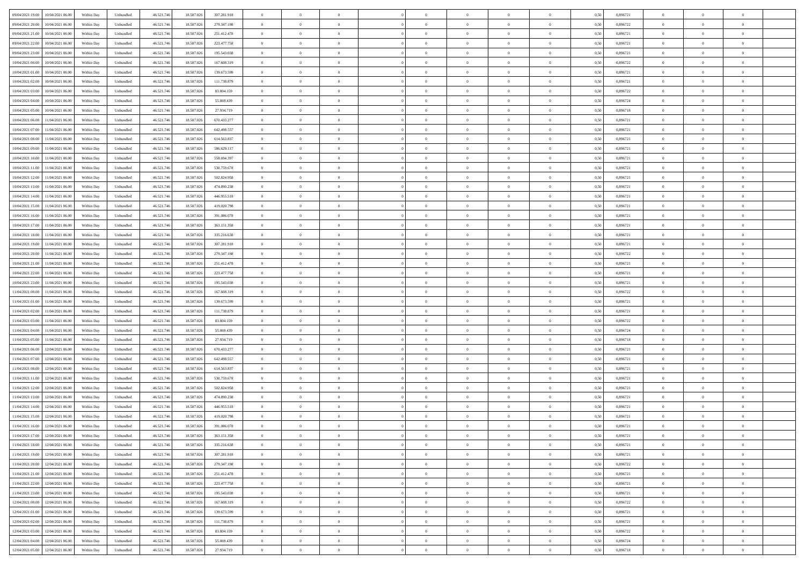|                                              |            |                   |            |            |             | $\overline{0}$ | $\theta$       |                | $\overline{0}$ | $\theta$       |                | $\theta$       |      |          | $\theta$       | $\theta$       | $\overline{0}$ |  |
|----------------------------------------------|------------|-------------------|------------|------------|-------------|----------------|----------------|----------------|----------------|----------------|----------------|----------------|------|----------|----------------|----------------|----------------|--|
| 09/04/2021 19:00<br>10/04/2021 06:00         | Within Day | Unbundled         | 46.521.74  | 18.587.026 | 307.281.918 |                |                |                |                |                |                |                | 0,50 | 0,896721 |                |                |                |  |
| 09/04/2021 20:00<br>10/04/2021 06:00         | Within Day | Unbundled         | 46.521.74  | 18.587.02  | 279.347.198 | $\bf{0}$       | $\overline{0}$ | $\bf{0}$       | $\overline{0}$ | $\bf{0}$       | $\overline{0}$ | $\bf{0}$       | 0,50 | 0,896722 | $\,$ 0 $\,$    | $\bf{0}$       | $\overline{0}$ |  |
| 09/04/2021 21:00<br>10/04/2021 06:00         | Within Day | Unbundled         | 46.521.746 | 18.587.026 | 251.412.478 | $\overline{0}$ | $\bf{0}$       | $\overline{0}$ | $\bf{0}$       | $\bf{0}$       | $\overline{0}$ | $\bf{0}$       | 0.50 | 0.896721 | $\bf{0}$       | $\overline{0}$ | $\overline{0}$ |  |
| 09/04/2021 22.00<br>10/04/2021 06:00         | Within Day | Unbundled         | 46.521.74  | 18.587.026 | 223.477.758 | $\overline{0}$ | $\overline{0}$ | $\overline{0}$ | $\theta$       | $\theta$       | $\overline{0}$ | $\overline{0}$ | 0,50 | 0,896721 | $\theta$       | $\theta$       | $\overline{0}$ |  |
| 09/04/2021 23:00<br>10/04/2021 06:00         | Within Day | Unbundled         | 46.521.74  | 18.587.02  | 195.543.038 | $\bf{0}$       | $\overline{0}$ | $\overline{0}$ | $\overline{0}$ | $\theta$       | $\overline{0}$ | $\bf{0}$       | 0,50 | 0,896721 | $\,$ 0 $\,$    | $\bf{0}$       | $\overline{0}$ |  |
|                                              |            |                   |            |            |             |                |                |                |                |                |                |                |      |          |                |                |                |  |
| 10/04/2021 00:00<br>10/04/2021 06:00         | Within Day | Unbundled         | 46.521.746 | 18.587.026 | 167.608.319 | $\overline{0}$ | $\overline{0}$ | $\overline{0}$ | $\overline{0}$ | $\overline{0}$ | $\Omega$       | $\bf{0}$       | 0.50 | 0.896722 | $\,$ 0 $\,$    | $\theta$       | $\overline{0}$ |  |
| 10/04/2021 01:00<br>10/04/2021 06:00         | Within Day | Unbundled         | 46.521.74  | 18.587.026 | 139.673.599 | $\overline{0}$ | $\overline{0}$ | $\overline{0}$ | $\overline{0}$ | $\theta$       | $\overline{0}$ | $\bf{0}$       | 0,50 | 0,896721 | $\theta$       | $\theta$       | $\overline{0}$ |  |
| 10/04/2021 02:00<br>10/04/2021 06:00         | Within Day | Unbundled         | 46.521.74  | 18.587.02  | 111.738.879 | $\bf{0}$       | $\overline{0}$ | $\overline{0}$ | $\overline{0}$ | $\theta$       | $\overline{0}$ | $\bf{0}$       | 0,50 | 0,896721 | $\,$ 0 $\,$    | $\bf{0}$       | $\overline{0}$ |  |
| 10/04/2021 03:00<br>10/04/2021 06:00         | Within Day | Unbundled         | 46.521.74  | 18.587.026 | 83.804.159  | $\overline{0}$ | $\bf{0}$       | $\overline{0}$ | $\bf{0}$       | $\overline{0}$ | $\overline{0}$ | $\bf{0}$       | 0.50 | 0.896722 | $\bf{0}$       | $\overline{0}$ | $\overline{0}$ |  |
| 10/04/2021 04:00<br>10/04/2021 06:00         | Within Day | Unbundled         | 46.521.746 | 18.587.026 | 55.869.439  | $\overline{0}$ | $\bf{0}$       | $\overline{0}$ | $\overline{0}$ | $\overline{0}$ | $\overline{0}$ | $\bf{0}$       | 0,50 | 0,896724 | $\,$ 0 $\,$    | $\theta$       | $\overline{0}$ |  |
| 10/04/2021 05:00<br>10/04/2021 06:00         | Within Day | Unbundled         | 46.521.74  | 18.587.026 | 27.934.719  | $\bf{0}$       | $\overline{0}$ | $\bf{0}$       | $\overline{0}$ | $\bf{0}$       | $\overline{0}$ | $\bf{0}$       | 0,50 | 0,896718 | $\,$ 0 $\,$    | $\bf{0}$       | $\overline{0}$ |  |
| 10/04/2021 06:00<br>11/04/2021 06:00         | Within Day | Unbundled         | 46.521.746 | 18.587.026 | 670.433.277 | $\overline{0}$ | $\overline{0}$ | $\overline{0}$ | $\bf{0}$       | $\bf{0}$       | $\overline{0}$ | $\bf{0}$       | 0.50 | 0.896721 | $\bf{0}$       | $\overline{0}$ | $\bf{0}$       |  |
|                                              |            |                   |            |            |             | $\overline{0}$ | $\overline{0}$ | $\overline{0}$ | $\overline{0}$ | $\theta$       | $\overline{0}$ | $\overline{0}$ |      |          | $\theta$       | $\theta$       | $\overline{0}$ |  |
| 10/04/2021 07:00<br>11/04/2021 06:00         | Within Day | Unbundled         | 46.521.74  | 18.587.026 | 642.498.557 |                |                |                |                |                |                |                | 0,50 | 0,896721 |                |                |                |  |
| 10/04/2021 08:00<br>11/04/2021 06:00         | Within Day | Unbundled         | 46.521.74  | 18.587.02  | 614.563.837 | $\bf{0}$       | $\theta$       | $\bf{0}$       | $\overline{0}$ | $\theta$       | $\overline{0}$ | $\bf{0}$       | 0,50 | 0,896721 | $\bf{0}$       | $\bf{0}$       | $\overline{0}$ |  |
| 10/04/2021 09:00<br>11/04/2021 06:00         | Within Day | Unbundled         | 46.521.746 | 18,587,026 | 586.629.117 | $\overline{0}$ | $\overline{0}$ | $\overline{0}$ | $\bf{0}$       | $\overline{0}$ | $\Omega$       | $\bf{0}$       | 0.50 | 0,896721 | $\bf{0}$       | $\theta$       | $\overline{0}$ |  |
| 10/04/2021 10:00<br>11/04/2021 06:00         | Within Day | Unbundled         | 46.521.74  | 18.587.026 | 558.694.397 | $\overline{0}$ | $\overline{0}$ | $\overline{0}$ | $\overline{0}$ | $\overline{0}$ | $\overline{0}$ | $\bf{0}$       | 0,50 | 0,896721 | $\theta$       | $\theta$       | $\overline{0}$ |  |
| 10/04/2021 11:00<br>11/04/2021 06:00         | Within Day | Unbundled         | 46.521.74  | 18.587.02  | 530.759.678 | $\bf{0}$       | $\overline{0}$ | $\overline{0}$ | $\overline{0}$ | $\theta$       | $\overline{0}$ | $\bf{0}$       | 0,50 | 0,896721 | $\,$ 0 $\,$    | $\bf{0}$       | $\overline{0}$ |  |
| 10/04/2021 12:00<br>11/04/2021 06:00         | Within Day | Unbundled         | 46.521.74  | 18.587.02  | 502.824.958 | $\overline{0}$ | $\overline{0}$ | $\overline{0}$ | $\bf{0}$       | $\overline{0}$ | $\overline{0}$ | $\bf{0}$       | 0.50 | 0.896721 | $\bf{0}$       | $\overline{0}$ | $\overline{0}$ |  |
| 10/04/2021 13:00<br>11/04/2021 06:00         | Within Day | Unbundled         | 46.521.74  | 18.587.026 | 474.890.238 | $\overline{0}$ | $\overline{0}$ | $\overline{0}$ | $\overline{0}$ | $\overline{0}$ | $\overline{0}$ | $\bf{0}$       | 0,50 | 0,896721 | $\,$ 0 $\,$    | $\theta$       | $\overline{0}$ |  |
| 10/04/2021 14:00<br>11/04/2021 06:00         | Within Day | Unbundled         | 46.521.74  | 18.587.02  | 446.955.518 | $\bf{0}$       | $\bf{0}$       | $\bf{0}$       | $\bf{0}$       | $\overline{0}$ | $\overline{0}$ | $\bf{0}$       | 0,50 | 0,896721 | $\,$ 0 $\,$    | $\bf{0}$       | $\overline{0}$ |  |
|                                              |            |                   |            |            |             |                |                |                |                |                |                |                |      |          |                |                |                |  |
| 10/04/2021 15:00<br>11/04/2021 06:00         | Within Day | Unbundled         | 46.521.746 | 18,587,026 | 419.020.798 | $\overline{0}$ | $\bf{0}$       | $\overline{0}$ | $\bf{0}$       | $\bf{0}$       | $\overline{0}$ | $\bf{0}$       | 0.50 | 0.896721 | $\bf{0}$       | $\overline{0}$ | $\bf{0}$       |  |
| 10/04/2021 16:00<br>11/04/2021 06:00         | Within Day | Unbundled         | 46.521.74  | 18.587.026 | 391.086.078 | $\overline{0}$ | $\overline{0}$ | $\overline{0}$ | $\theta$       | $\theta$       | $\overline{0}$ | $\bf{0}$       | 0,50 | 0,896721 | $\theta$       | $\theta$       | $\overline{0}$ |  |
| 10/04/2021 17:00<br>11/04/2021 06:00         | Within Day | Unbundled         | 46.521.74  | 18.587.02  | 363.151.358 | $\bf{0}$       | $\overline{0}$ | $\bf{0}$       | $\bf{0}$       | $\theta$       | $\overline{0}$ | $\bf{0}$       | 0,50 | 0,896721 | $\,$ 0 $\,$    | $\bf{0}$       | $\overline{0}$ |  |
| 10/04/2021 18:00<br>11/04/2021 06:00         | Within Day | Unbundled         | 46.521.74  | 18.587.02  | 335.216.638 | $\overline{0}$ | $\overline{0}$ | $\overline{0}$ | $\overline{0}$ | $\overline{0}$ | $\Omega$       | $\bf{0}$       | 0.50 | 0.896721 | $\,$ 0 $\,$    | $\theta$       | $\overline{0}$ |  |
| 10/04/2021 19:00<br>11/04/2021 06.00         | Within Day | Unbundled         | 46.521.74  | 18.587.026 | 307.281.918 | $\overline{0}$ | $\overline{0}$ | $\overline{0}$ | $\overline{0}$ | $\overline{0}$ | $\overline{0}$ | $\bf{0}$       | 0,50 | 0,896721 | $\theta$       | $\theta$       | $\overline{0}$ |  |
| 10/04/2021 20:00<br>11/04/2021 06:00         | Within Day | Unbundled         | 46.521.74  | 18.587.02  | 279.347.198 | $\bf{0}$       | $\theta$       | $\bf{0}$       | $\overline{0}$ | $\theta$       | $\overline{0}$ | $\bf{0}$       | 0,50 | 0,896722 | $\,$ 0 $\,$    | $\bf{0}$       | $\overline{0}$ |  |
| 10/04/2021 21:00<br>11/04/2021 06:00         | Within Day | Unbundled         | 46.521.74  | 18.587.026 | 251.412.478 | $\overline{0}$ | $\bf{0}$       | $\overline{0}$ | $\bf{0}$       | $\overline{0}$ | $\overline{0}$ | $\bf{0}$       | 0.50 | 0.896721 | $\bf{0}$       | $\overline{0}$ | $\overline{0}$ |  |
| 10/04/2021 22:00<br>11/04/2021 06:00         | Within Day | Unbundled         | 46.521.746 | 18.587.026 | 223.477.758 | $\overline{0}$ | $\overline{0}$ | $\overline{0}$ | $\overline{0}$ | $\overline{0}$ | $\overline{0}$ | $\bf{0}$       | 0,50 | 0,896721 | $\theta$       | $\theta$       | $\overline{0}$ |  |
| 11/04/2021 06:00                             | Within Day | Unbundled         | 46.521.74  | 18.587.02  | 195.543.038 | $\bf{0}$       | $\bf{0}$       | $\bf{0}$       | $\bf{0}$       | $\overline{0}$ | $\overline{0}$ | $\bf{0}$       | 0,50 | 0,896721 | $\,$ 0 $\,$    | $\bf{0}$       | $\overline{0}$ |  |
| 10/04/2021 23:00                             |            |                   |            |            |             |                |                |                |                |                |                |                |      |          |                |                |                |  |
| 11/04/2021 00:00<br>11/04/2021 06:00         | Within Day | Unbundled         | 46.521.746 | 18,587,026 | 167.608.319 | $\overline{0}$ | $\bf{0}$       | $\overline{0}$ | $\bf{0}$       | $\bf{0}$       | $\overline{0}$ | $\bf{0}$       | 0.50 | 0.896722 | $\bf{0}$       | $\overline{0}$ | $\bf{0}$       |  |
| 11/04/2021 01:00<br>11/04/2021 06:00         | Within Day | Unbundled         | 46.521.74  | 18.587.026 | 139.673.599 | $\overline{0}$ | $\overline{0}$ | $\overline{0}$ | $\overline{0}$ | $\overline{0}$ | $\overline{0}$ | $\bf{0}$       | 0.5( | 0,896721 | $\theta$       | $\theta$       | $\overline{0}$ |  |
| 11/04/2021 02:00<br>11/04/2021 06:00         | Within Day | Unbundled         | 46.521.74  | 18.587.02  | 111.738.879 | $\bf{0}$       | $\overline{0}$ | $\bf{0}$       | $\overline{0}$ | $\overline{0}$ | $\overline{0}$ | $\bf{0}$       | 0,50 | 0,896721 | $\,$ 0 $\,$    | $\bf{0}$       | $\overline{0}$ |  |
| 11/04/2021 03:00<br>11/04/2021 06:00         | Within Day | Unbundled         | 46.521.746 | 18.587.026 | 83.804.159  | $\overline{0}$ | $\overline{0}$ | $\overline{0}$ | $\bf{0}$       | $\overline{0}$ | $\Omega$       | $\bf{0}$       | 0.50 | 0,896722 | $\,$ 0 $\,$    | $\theta$       | $\overline{0}$ |  |
| 11/04/2021 04:00<br>11/04/2021 06:00         | Within Dav | Unbundled         | 46.521.74  | 18.587.026 | 55.869.439  | $\overline{0}$ | $\overline{0}$ | $\overline{0}$ | $\overline{0}$ | $\overline{0}$ | $\overline{0}$ | $\overline{0}$ | 0.5( | 0,896724 | $\theta$       | $\theta$       | $\overline{0}$ |  |
| 11/04/2021 05:00<br>11/04/2021 06:00         | Within Day | Unbundled         | 46.521.74  | 18.587.02  | 27.934.719  | $\bf{0}$       | $\overline{0}$ | $\bf{0}$       | $\overline{0}$ | $\bf{0}$       | $\overline{0}$ | $\bf{0}$       | 0,50 | 0,896718 | $\,$ 0 $\,$    | $\bf{0}$       | $\overline{0}$ |  |
| 11/04/2021 06:00<br>12/04/2021 06:00         | Within Day | Unbundled         | 46.521.74  | 18.587.02  | 670.433.277 | $\overline{0}$ | $\bf{0}$       | $\overline{0}$ | $\bf{0}$       | $\overline{0}$ | $\overline{0}$ | $\bf{0}$       | 0.50 | 0.896721 | $\bf{0}$       | $\overline{0}$ | $\overline{0}$ |  |
| 11/04/2021 07:00<br>12/04/2021 06:00         | Within Dav | Unbundled         | 46.521.74  | 18.587.026 | 642.498.557 | $\overline{0}$ | $\overline{0}$ | $\overline{0}$ | $\overline{0}$ | $\overline{0}$ | $\overline{0}$ | $\overline{0}$ | 0.50 | 0,896721 | $\theta$       | $\theta$       | $\overline{0}$ |  |
|                                              |            |                   |            |            |             |                |                |                |                |                |                |                |      |          |                |                |                |  |
| 11/04/2021 08:00<br>12/04/2021 06:00         | Within Day | Unbundled         | 46.521.74  | 18.587.02  | 614.563.837 | $\bf{0}$       | $\bf{0}$       | $\bf{0}$       | $\bf{0}$       | $\overline{0}$ | $\overline{0}$ | $\bf{0}$       | 0,50 | 0,896721 | $\,$ 0 $\,$    | $\bf{0}$       | $\overline{0}$ |  |
| 11/04/2021 11:00<br>12/04/2021 06:00         | Within Day | Unbundled         | 46.521.746 | 18,587,026 | 530.759.678 | $\overline{0}$ | $\bf{0}$       | $\overline{0}$ | $\bf{0}$       | $\bf{0}$       | $\overline{0}$ | $\bf{0}$       | 0.50 | 0.896721 | $\bf{0}$       | $\overline{0}$ | $\overline{0}$ |  |
| 11/04/2021 12:00<br>12/04/2021 06:00         | Within Dav | Unbundled         | 46.521.74  | 18.587.026 | 502.824.958 | $\overline{0}$ | $\overline{0}$ | $\Omega$       | $\overline{0}$ | $\overline{0}$ | $\overline{0}$ | $\overline{0}$ | 0.50 | 0,896721 | $\theta$       | $\theta$       | $\overline{0}$ |  |
| 11/04/2021 13:00<br>12/04/2021 06:00         | Within Day | Unbundled         | 46.521.74  | 18.587.02  | 474.890.238 | $\bf{0}$       | $\overline{0}$ | $\bf{0}$       | $\bf{0}$       | $\,$ 0 $\,$    | $\overline{0}$ | $\bf{0}$       | 0,50 | 0,896721 | $\,$ 0 $\,$    | $\bf{0}$       | $\overline{0}$ |  |
| 11/04/2021 14:00<br>12/04/2021 06:00         | Within Day | Unbundled         | 46.521.746 | 18.587.02  | 446.955.518 | $\overline{0}$ | $\overline{0}$ | $\Omega$       | $\overline{0}$ | $\overline{0}$ | $\theta$       | $\bf{0}$       | 0.50 | 0,896721 | $\bf{0}$       | $\theta$       | $\overline{0}$ |  |
| 11/04/2021 15:00<br>12/04/2021 06:00         | Within Dav | Unbundled         | 46.521.74  | 18.587.026 | 419.020.798 | $\overline{0}$ | $\overline{0}$ | $\Omega$       | $\overline{0}$ | $\theta$       | $\Omega$       | $\overline{0}$ | 0.5( | 0,896721 | $\theta$       | $\theta$       | $\overline{0}$ |  |
| 11/04/2021 16:00<br>12/04/2021 06:00         | Within Day | Unbundled         | 46.521.74  | 18.587.02  | 391.086.078 | $\bf{0}$       | $\bf{0}$       | $\overline{0}$ | $\bf{0}$       | $\bf{0}$       | $\overline{0}$ | $\bf{0}$       | 0,50 | 0,896721 | $\,$ 0 $\,$    | $\bf{0}$       | $\overline{0}$ |  |
| $11/04/2021\ 17.00 \qquad 12/04/2021\ 06.00$ | Within Day | ${\sf Unbundred}$ | 46.521.746 | 18.587.026 | 363.151.358 | $\bf{0}$       | $\Omega$       |                | $\overline{0}$ |                |                |                | 0,50 | 0.896721 | $\theta$       | $\overline{0}$ |                |  |
| 11/04/2021 18:00 12/04/2021 06:00            | Within Day | Unbundled         | 46.521.746 | 18.587.026 | 335.216.638 | $\overline{0}$ | $\theta$       | $\Omega$       | $\theta$       | $\overline{0}$ | $\overline{0}$ | $\bf{0}$       | 0,50 | 0,896721 | $\theta$       | $\theta$       | $\overline{0}$ |  |
|                                              |            |                   |            |            |             |                |                |                |                |                |                |                |      |          |                |                |                |  |
| 11/04/2021 19:00<br>12/04/2021 06:00         | Within Day | Unbundled         | 46.521.74  | 18.587.026 | 307.281.918 | $\overline{0}$ | $\bf{0}$       | $\overline{0}$ | $\overline{0}$ | $\bf{0}$       | $\overline{0}$ | $\bf{0}$       | 0,50 | 0,896721 | $\bf{0}$       | $\overline{0}$ | $\bf{0}$       |  |
| 11/04/2021 20:00 12/04/2021 06:00            | Within Day | Unbundled         | 46.521.746 | 18,587,026 | 279.347.198 | $\overline{0}$ | $\bf{0}$       | $\overline{0}$ | $\overline{0}$ | $\overline{0}$ | $\overline{0}$ | $\,$ 0 $\,$    | 0.50 | 0,896722 | $\overline{0}$ | $\bf{0}$       | $\,$ 0 $\,$    |  |
| 11/04/2021 21:00 12/04/2021 06:00            | Within Day | Unbundled         | 46.521.746 | 18.587.026 | 251.412.478 | $\overline{0}$ | $\overline{0}$ | $\overline{0}$ | $\overline{0}$ | $\overline{0}$ | $\overline{0}$ | $\bf{0}$       | 0.50 | 0,896721 | $\theta$       | $\theta$       | $\overline{0}$ |  |
| 11/04/2021 22:00<br>12/04/2021 06:00         | Within Day | Unbundled         | 46.521.74  | 18.587.026 | 223.477.758 | $\overline{0}$ | $\bf{0}$       | $\overline{0}$ | $\bf{0}$       | $\overline{0}$ | $\bf{0}$       | $\bf{0}$       | 0,50 | 0,896721 | $\bf{0}$       | $\bf{0}$       | $\overline{0}$ |  |
| 11/04/2021 23:00<br>12/04/2021 06:00         | Within Day | Unbundled         | 46.521.746 | 18,587,026 | 195.543.038 | $\overline{0}$ | $\bf{0}$       | $\overline{0}$ | $\overline{0}$ | $\overline{0}$ | $\overline{0}$ | $\bf{0}$       | 0.50 | 0,896721 | $\,$ 0 $\,$    | $\theta$       | $\overline{0}$ |  |
| 12/04/2021 00:00<br>12/04/2021 06:00         | Within Dav | Unbundled         | 46.521.746 | 18.587.026 | 167.608.319 | $\overline{0}$ | $\overline{0}$ | $\overline{0}$ | $\overline{0}$ | $\overline{0}$ | $\overline{0}$ | $\bf{0}$       | 0.50 | 0,896722 | $\overline{0}$ | $\theta$       | $\overline{0}$ |  |
| 12/04/2021 01:00<br>12/04/2021 06:00         | Within Day | Unbundled         | 46.521.74  | 18.587.02  | 139.673.599 | $\overline{0}$ | $\overline{0}$ | $\overline{0}$ | $\overline{0}$ | $\bf{0}$       | $\overline{0}$ | $\bf{0}$       | 0,50 | 0,896721 | $\bf{0}$       | $\overline{0}$ | $\overline{0}$ |  |
|                                              |            |                   |            |            |             |                |                |                |                |                |                |                |      |          |                |                |                |  |
| 12/04/2021 02:00<br>12/04/2021 06:00         | Within Day | Unbundled         | 46.521.746 | 18,587,026 | 111.738.879 | $\overline{0}$ | $\overline{0}$ | $\overline{0}$ | $\overline{0}$ | $\bf{0}$       | $\overline{0}$ | $\bf{0}$       | 0.50 | 0.896721 | $\overline{0}$ | $\,$ 0 $\,$    | $\,$ 0         |  |
| 12/04/2021 03:00 12/04/2021 06:00            | Within Dav | Unbundled         | 46.521.746 | 18.587.026 | 83.804.159  | $\overline{0}$ | $\overline{0}$ | $\overline{0}$ | $\overline{0}$ | $\overline{0}$ | $\overline{0}$ | $\bf{0}$       | 0,50 | 0,896722 | $\overline{0}$ | $\theta$       | $\overline{0}$ |  |
| 12/04/2021 04:00<br>12/04/2021 06:00         | Within Day | Unbundled         | 46.521.74  | 18.587.026 | 55.869.439  | $\overline{0}$ | $\bf{0}$       | $\overline{0}$ | $\bf{0}$       | $\overline{0}$ | $\bf{0}$       | $\bf{0}$       | 0,50 | 0,896724 | $\bf{0}$       | $\bf{0}$       | $\overline{0}$ |  |
| 12/04/2021 05:00 12/04/2021 06:00            | Within Day | Unbundled         | 46.521.746 | 18.587.026 | 27.934.719  | $\overline{0}$ | $\bf{0}$       | $\overline{0}$ | $\overline{0}$ | $\,$ 0 $\,$    | $\overline{0}$ | $\bf{0}$       | 0,50 | 0,896718 | $\overline{0}$ | $\,$ 0 $\,$    | $\,$ 0 $\,$    |  |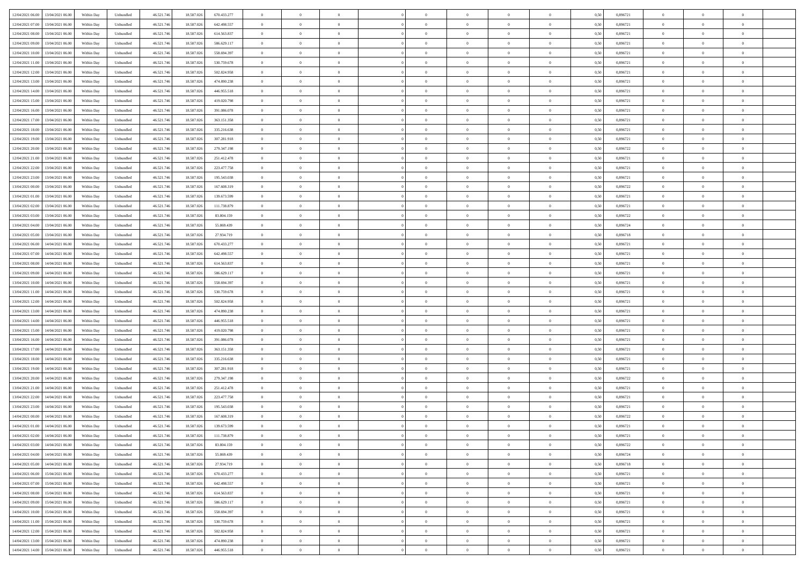| 12/04/2021 06:00 13/04/2021 06:00              | Within Day | Unbundled         | 46.521.74  | 18.587.026 | 670.433.277 | $\overline{0}$ | $\theta$       |                | $\overline{0}$ | $\theta$       |                | $\theta$       | 0,50 | 0,896721 | $\theta$       | $\theta$       | $\overline{0}$ |  |
|------------------------------------------------|------------|-------------------|------------|------------|-------------|----------------|----------------|----------------|----------------|----------------|----------------|----------------|------|----------|----------------|----------------|----------------|--|
| 12/04/2021 07:00<br>13/04/2021 06:00           | Within Day | Unbundled         | 46.521.74  | 18.587.02  | 642.498.557 | $\bf{0}$       | $\overline{0}$ | $\bf{0}$       | $\overline{0}$ | $\bf{0}$       | $\overline{0}$ | $\bf{0}$       | 0,50 | 0,896721 | $\,$ 0 $\,$    | $\bf{0}$       | $\overline{0}$ |  |
| 12/04/2021 08:00<br>13/04/2021 06:00           | Within Day | Unbundled         | 46.521.746 | 18.587.026 | 614.563.837 | $\overline{0}$ | $\bf{0}$       | $\overline{0}$ | $\bf{0}$       | $\bf{0}$       | $\overline{0}$ | $\bf{0}$       | 0.50 | 0.896721 | $\bf{0}$       | $\overline{0}$ | $\overline{0}$ |  |
| 12/04/2021 09:00<br>13/04/2021 06:00           |            |                   | 46.521.74  |            |             | $\overline{0}$ | $\overline{0}$ | $\overline{0}$ | $\theta$       | $\theta$       | $\overline{0}$ | $\bf{0}$       |      | 0,896721 | $\theta$       | $\theta$       | $\overline{0}$ |  |
|                                                | Within Day | Unbundled         |            | 18.587.026 | 586.629.117 |                |                |                |                |                |                |                | 0,50 |          |                |                |                |  |
| 12/04/2021 10:00<br>13/04/2021 06:00           | Within Day | Unbundled         | 46.521.74  | 18.587.02  | 558.694.397 | $\bf{0}$       | $\theta$       | $\bf{0}$       | $\overline{0}$ | $\theta$       | $\overline{0}$ | $\bf{0}$       | 0,50 | 0,896721 | $\,$ 0 $\,$    | $\bf{0}$       | $\overline{0}$ |  |
| 12/04/2021 11:00<br>13/04/2021 06:00           | Within Day | Unbundled         | 46.521.746 | 18.587.026 | 530.759.678 | $\overline{0}$ | $\overline{0}$ | $\overline{0}$ | $\bf{0}$       | $\overline{0}$ | $\Omega$       | $\bf{0}$       | 0.50 | 0,896721 | $\,$ 0 $\,$    | $\theta$       | $\overline{0}$ |  |
| 12/04/2021 12:00<br>13/04/2021 06:00           | Within Day | Unbundled         | 46.521.74  | 18.587.026 | 502.824.958 | $\overline{0}$ | $\overline{0}$ | $\overline{0}$ | $\overline{0}$ | $\theta$       | $\overline{0}$ | $\bf{0}$       | 0,50 | 0,896721 | $\theta$       | $\theta$       | $\overline{0}$ |  |
|                                                |            |                   |            |            |             |                |                |                |                |                |                |                |      |          |                |                |                |  |
| 12/04/2021 13:00<br>13/04/2021 06:00           | Within Day | Unbundled         | 46.521.74  | 18.587.02  | 474.890.238 | $\bf{0}$       | $\overline{0}$ | $\overline{0}$ | $\overline{0}$ | $\theta$       | $\overline{0}$ | $\bf{0}$       | 0,50 | 0,896721 | $\,$ 0 $\,$    | $\bf{0}$       | $\overline{0}$ |  |
| 12/04/2021 14:00<br>13/04/2021 06:00           | Within Day | Unbundled         | 46.521.74  | 18.587.026 | 446.955.518 | $\overline{0}$ | $\bf{0}$       | $\overline{0}$ | $\bf{0}$       | $\overline{0}$ | $\overline{0}$ | $\bf{0}$       | 0.50 | 0.896721 | $\bf{0}$       | $\overline{0}$ | $\overline{0}$ |  |
| 12/04/2021 15:00<br>13/04/2021 06:00           | Within Day | Unbundled         | 46.521.746 | 18.587.026 | 419.020.798 | $\overline{0}$ | $\bf{0}$       | $\overline{0}$ | $\overline{0}$ | $\overline{0}$ | $\overline{0}$ | $\bf{0}$       | 0,50 | 0,896721 | $\,$ 0 $\,$    | $\bf{0}$       | $\overline{0}$ |  |
| 12/04/2021 16:00<br>13/04/2021 06:00           | Within Day | Unbundled         | 46.521.74  | 18.587.026 | 391.086.078 | $\bf{0}$       | $\overline{0}$ | $\bf{0}$       | $\bf{0}$       | $\bf{0}$       | $\overline{0}$ | $\bf{0}$       | 0,50 | 0,896721 | $\,$ 0 $\,$    | $\bf{0}$       | $\overline{0}$ |  |
|                                                |            |                   |            |            |             |                |                |                |                |                |                |                |      |          |                |                |                |  |
| 12/04/2021 17:00<br>13/04/2021 06:00           | Within Day | Unbundled         | 46.521.746 | 18.587.026 | 363.151.358 | $\overline{0}$ | $\bf{0}$       | $\overline{0}$ | $\bf{0}$       | $\bf{0}$       | $\overline{0}$ | $\bf{0}$       | 0.50 | 0.896721 | $\bf{0}$       | $\overline{0}$ | $\bf{0}$       |  |
| 12/04/2021 18:00<br>13/04/2021 06:00           | Within Day | Unbundled         | 46.521.74  | 18.587.026 | 335.216.638 | $\overline{0}$ | $\overline{0}$ | $\overline{0}$ | $\overline{0}$ | $\theta$       | $\overline{0}$ | $\overline{0}$ | 0,50 | 0,896721 | $\,$ 0 $\,$    | $\theta$       | $\overline{0}$ |  |
| 12/04/2021 19:00<br>13/04/2021 06:00           | Within Day | Unbundled         | 46.521.74  | 18.587.02  | 307.281.918 | $\bf{0}$       | $\theta$       | $\bf{0}$       | $\overline{0}$ | $\theta$       | $\overline{0}$ | $\bf{0}$       | 0,50 | 0,896721 | $\bf{0}$       | $\bf{0}$       | $\overline{0}$ |  |
| 12/04/2021 20:00<br>13/04/2021 06:00           | Within Day | Unbundled         | 46.521.746 | 18.587.026 | 279.347.198 | $\overline{0}$ | $\overline{0}$ | $\overline{0}$ | $\bf{0}$       | $\theta$       | $\Omega$       | $\bf{0}$       | 0.50 | 0,896722 | $\bf{0}$       | $\theta$       | $\overline{0}$ |  |
| 12/04/2021 21:00<br>13/04/2021 06:00           | Within Day | Unbundled         | 46.521.74  | 18.587.026 | 251.412.478 | $\overline{0}$ | $\overline{0}$ | $\overline{0}$ | $\overline{0}$ | $\overline{0}$ | $\overline{0}$ | $\bf{0}$       | 0,50 | 0,896721 | $\theta$       | $\theta$       | $\overline{0}$ |  |
|                                                |            |                   |            |            |             |                |                |                |                |                |                |                |      |          |                |                |                |  |
| 12/04/2021 22:00<br>13/04/2021 06:00           | Within Day | Unbundled         | 46.521.74  | 18.587.02  | 223.477.758 | $\bf{0}$       | $\overline{0}$ | $\overline{0}$ | $\overline{0}$ | $\theta$       | $\overline{0}$ | $\bf{0}$       | 0,50 | 0,896721 | $\,$ 0 $\,$    | $\bf{0}$       | $\overline{0}$ |  |
| 12/04/2021 23:00<br>13/04/2021 06:00           | Within Day | Unbundled         | 46.521.74  | 18.587.02  | 195.543.038 | $\overline{0}$ | $\bf{0}$       | $\overline{0}$ | $\bf{0}$       | $\overline{0}$ | $\overline{0}$ | $\bf{0}$       | 0.50 | 0.896721 | $\bf{0}$       | $\overline{0}$ | $\overline{0}$ |  |
| 13/04/2021 00:00<br>13/04/2021 06:00           | Within Day | Unbundled         | 46.521.74  | 18.587.026 | 167.608.319 | $\bf{0}$       | $\overline{0}$ | $\overline{0}$ | $\overline{0}$ | $\overline{0}$ | $\overline{0}$ | $\bf{0}$       | 0,50 | 0,896722 | $\,$ 0 $\,$    | $\bf{0}$       | $\overline{0}$ |  |
| 13/04/2021 01:00<br>13/04/2021 06:00           | Within Day | Unbundled         | 46.521.74  | 18.587.02  | 139.673.599 | $\bf{0}$       | $\bf{0}$       | $\bf{0}$       | $\bf{0}$       | $\overline{0}$ | $\overline{0}$ | $\bf{0}$       | 0,50 | 0,896721 | $\,$ 0 $\,$    | $\bf{0}$       | $\overline{0}$ |  |
|                                                |            |                   |            |            |             |                |                |                |                |                |                |                |      |          |                |                |                |  |
| 13/04/2021 02:00<br>13/04/2021 06:00           | Within Day | Unbundled         | 46.521.746 | 18,587,026 | 111.738.879 | $\overline{0}$ | $\bf{0}$       | $\overline{0}$ | $\bf{0}$       | $\bf{0}$       | $\overline{0}$ | $\bf{0}$       | 0.50 | 0.896721 | $\bf{0}$       | $\overline{0}$ | $\overline{0}$ |  |
| 13/04/2021 03:00<br>13/04/2021 06:00           | Within Day | Unbundled         | 46.521.74  | 18.587.026 | 83.804.159  | $\overline{0}$ | $\overline{0}$ | $\overline{0}$ | $\theta$       | $\theta$       | $\overline{0}$ | $\bf{0}$       | 0,50 | 0,896722 | $\theta$       | $\theta$       | $\overline{0}$ |  |
| 13/04/2021 04:00<br>13/04/2021 06:00           | Within Day | Unbundled         | 46.521.74  | 18.587.02  | 55.869.439  | $\bf{0}$       | $\overline{0}$ | $\bf{0}$       | $\bf{0}$       | $\bf{0}$       | $\overline{0}$ | $\bf{0}$       | 0,50 | 0,896724 | $\,$ 0 $\,$    | $\bf{0}$       | $\overline{0}$ |  |
| 13/04/2021 05:00<br>13/04/2021 06:00           | Within Day | Unbundled         | 46.521.746 | 18.587.02  | 27.934.719  | $\overline{0}$ | $\overline{0}$ | $\overline{0}$ | $\overline{0}$ | $\overline{0}$ | $\Omega$       | $\bf{0}$       | 0.50 | 0.896718 | $\bf{0}$       | $\theta$       | $\overline{0}$ |  |
| 13/04/2021 06:00<br>14/04/2021 06.00           | Within Day | Unbundled         | 46.521.74  | 18.587.026 | 670.433.277 | $\overline{0}$ | $\overline{0}$ | $\overline{0}$ | $\overline{0}$ | $\theta$       | $\overline{0}$ | $\bf{0}$       | 0,50 | 0,896721 | $\theta$       | $\theta$       | $\overline{0}$ |  |
|                                                |            |                   |            |            |             |                |                |                |                |                |                |                |      |          |                |                |                |  |
| 13/04/2021 07:00<br>14/04/2021 06.00           | Within Day | Unbundled         | 46.521.74  | 18.587.02  | 642.498.557 | $\bf{0}$       | $\theta$       | $\bf{0}$       | $\overline{0}$ | $\theta$       | $\overline{0}$ | $\bf{0}$       | 0,50 | 0,896721 | $\,$ 0 $\,$    | $\bf{0}$       | $\overline{0}$ |  |
| 13/04/2021 08:00<br>14/04/2021 06:00           | Within Day | Unbundled         | 46.521.74  | 18.587.026 | 614.563.837 | $\overline{0}$ | $\overline{0}$ | $\overline{0}$ | $\bf{0}$       | $\overline{0}$ | $\overline{0}$ | $\bf{0}$       | 0.50 | 0.896721 | $\bf{0}$       | $\overline{0}$ | $\overline{0}$ |  |
| 13/04/2021 09:00<br>14/04/2021 06:00           | Within Day | Unbundled         | 46.521.746 | 18.587.026 | 586.629.117 | $\overline{0}$ | $\overline{0}$ | $\overline{0}$ | $\overline{0}$ | $\overline{0}$ | $\overline{0}$ | $\bf{0}$       | 0,50 | 0,896721 | $\theta$       | $\theta$       | $\overline{0}$ |  |
| 13/04/2021 10:00<br>14/04/2021 06.00           | Within Day | Unbundled         | 46.521.74  | 18.587.02  | 558.694.397 | $\bf{0}$       | $\bf{0}$       | $\bf{0}$       | $\bf{0}$       | $\overline{0}$ | $\overline{0}$ | $\bf{0}$       | 0,50 | 0,896721 | $\,$ 0 $\,$    | $\bf{0}$       | $\overline{0}$ |  |
|                                                |            |                   |            |            |             |                |                |                |                |                |                |                |      |          |                |                |                |  |
| 13/04/2021 11:00<br>14/04/2021 06:00           | Within Day | Unbundled         | 46.521.746 | 18,587,026 | 530.759.678 | $\overline{0}$ | $\bf{0}$       | $\overline{0}$ | $\bf{0}$       | $\bf{0}$       | $\overline{0}$ | $\bf{0}$       | 0.50 | 0.896721 | $\bf{0}$       | $\overline{0}$ | $\overline{0}$ |  |
| 13/04/2021 12:00<br>14/04/2021 06:00           | Within Day | Unbundled         | 46.521.74  | 18.587.026 | 502.824.958 | $\overline{0}$ | $\overline{0}$ | $\overline{0}$ | $\overline{0}$ | $\overline{0}$ | $\overline{0}$ | $\bf{0}$       | 0.5( | 0,896721 | $\theta$       | $\theta$       | $\overline{0}$ |  |
| 13/04/2021 13:00<br>14/04/2021 06.00           | Within Day | Unbundled         | 46.521.74  | 18.587.02  | 474.890.238 | $\bf{0}$       | $\overline{0}$ | $\bf{0}$       | $\bf{0}$       | $\overline{0}$ | $\overline{0}$ | $\bf{0}$       | 0,50 | 0,896721 | $\,$ 0 $\,$    | $\bf{0}$       | $\overline{0}$ |  |
| 13/04/2021 14:00<br>14/04/2021 06:00           | Within Day | Unbundled         | 46.521.746 | 18,587,026 | 446.955.518 | $\overline{0}$ | $\overline{0}$ | $\overline{0}$ | $\bf{0}$       | $\bf{0}$       | $\Omega$       | $\bf{0}$       | 0.50 | 0,896721 | $\,$ 0 $\,$    | $\theta$       | $\overline{0}$ |  |
| 13/04/2021 15:00<br>14/04/2021 06:00           | Within Dav | Unbundled         | 46.521.74  | 18.587.026 | 419.020.798 | $\overline{0}$ | $\theta$       | $\overline{0}$ | $\overline{0}$ | $\overline{0}$ | $\overline{0}$ | $\overline{0}$ | 0.5( | 0,896721 | $\theta$       | $\theta$       | $\overline{0}$ |  |
|                                                |            |                   |            |            |             |                |                |                |                |                |                |                |      |          |                |                |                |  |
| 13/04/2021 16:00<br>14/04/2021 06.00           | Within Day | Unbundled         | 46.521.74  | 18.587.02  | 391.086.078 | $\bf{0}$       | $\overline{0}$ | $\bf{0}$       | $\overline{0}$ | $\bf{0}$       | $\overline{0}$ | $\bf{0}$       | 0,50 | 0,896721 | $\,$ 0 $\,$    | $\bf{0}$       | $\overline{0}$ |  |
| 13/04/2021 17:00<br>14/04/2021 06:00           | Within Day | Unbundled         | 46.521.74  | 18.587.02  | 363.151.358 | $\overline{0}$ | $\bf{0}$       | $\overline{0}$ | $\bf{0}$       | $\overline{0}$ | $\overline{0}$ | $\bf{0}$       | 0.50 | 0.896721 | $\bf{0}$       | $\overline{0}$ | $\overline{0}$ |  |
| 13/04/2021 18:00<br>14/04/2021 06:00           | Within Dav | Unbundled         | 46.521.74  | 18.587.026 | 335.216.638 | $\overline{0}$ | $\overline{0}$ | $\overline{0}$ | $\overline{0}$ | $\overline{0}$ | $\overline{0}$ | $\overline{0}$ | 0.50 | 0,896721 | $\theta$       | $\theta$       | $\overline{0}$ |  |
| 13/04/2021 19:00<br>14/04/2021 06.00           | Within Day | Unbundled         | 46.521.74  | 18.587.02  | 307.281.918 | $\bf{0}$       | $\bf{0}$       | $\bf{0}$       | $\bf{0}$       | $\overline{0}$ | $\overline{0}$ | $\bf{0}$       | 0,50 | 0,896721 | $\,$ 0 $\,$    | $\bf{0}$       | $\overline{0}$ |  |
| 14/04/2021 06:00                               |            |                   |            | 18,587,026 | 279.347.198 |                |                |                |                |                | $\overline{0}$ |                |      | 0.896722 |                |                |                |  |
| 13/04/2021 20:00                               | Within Day | Unbundled         | 46.521.746 |            |             | $\overline{0}$ | $\bf{0}$       | $\overline{0}$ | $\bf{0}$       | $\bf{0}$       |                | $\bf{0}$       | 0.50 |          | $\bf{0}$       | $\overline{0}$ | $\overline{0}$ |  |
| 13/04/2021 21:00<br>14/04/2021 06:00           | Within Dav | Unbundled         | 46.521.74  | 18.587.026 | 251.412.478 | $\overline{0}$ | $\overline{0}$ | $\overline{0}$ | $\overline{0}$ | $\theta$       | $\overline{0}$ | $\bf{0}$       | 0.50 | 0,896721 | $\theta$       | $\theta$       | $\overline{0}$ |  |
| 13/04/2021 22:00<br>14/04/2021 06.00           | Within Day | Unbundled         | 46.521.74  | 18.587.02  | 223.477.758 | $\bf{0}$       | $\overline{0}$ | $\bf{0}$       | $\bf{0}$       | $\overline{0}$ | $\overline{0}$ | $\bf{0}$       | 0,50 | 0,896721 | $\,$ 0 $\,$    | $\bf{0}$       | $\overline{0}$ |  |
| 13/04/2021 23:00<br>14/04/2021 06:00           | Within Day | Unbundled         | 46.521.74  | 18.587.02  | 195.543.038 | $\overline{0}$ | $\overline{0}$ | $\Omega$       | $\overline{0}$ | $\overline{0}$ | $\theta$       | $\bf{0}$       | 0.50 | 0,896721 | $\bf{0}$       | $\theta$       | $\overline{0}$ |  |
| 14/04/2021 00:00<br>14/04/2021 06:00           | Within Dav | Unbundled         | 46.521.74  | 18.587.026 | 167.608.319 | $\overline{0}$ | $\overline{0}$ | $\Omega$       | $\overline{0}$ | $\theta$       | $\Omega$       | $\overline{0}$ | 0.5( | 0,896722 | $\theta$       | $\theta$       | $\overline{0}$ |  |
|                                                |            |                   |            |            |             |                |                |                |                |                |                |                |      |          |                |                |                |  |
| 14/04/2021 01:00<br>14/04/2021 06.00           | Within Day | Unbundled         | 46.521.74  | 18.587.02  | 139.673.599 | $\bf{0}$       | $\bf{0}$       | $\overline{0}$ | $\bf{0}$       | $\bf{0}$       | $\overline{0}$ | $\bf{0}$       | 0,50 | 0,896721 | $\,$ 0 $\,$    | $\bf{0}$       | $\overline{0}$ |  |
| $14/04/2021\; 02.00 \qquad 14/04/2021\; 06.00$ | Within Day | ${\sf Unbundred}$ | 46.521.746 | 18.587.026 | 111.738.879 | $\overline{0}$ | $\Omega$       |                | $\Omega$       |                |                |                | 0,50 | 0.896721 | $\theta$       | $\overline{0}$ |                |  |
| 14/04/2021 03:00 14/04/2021 06:00              | Within Day | Unbundled         | 46.521.746 | 18.587.026 | 83.804.159  | $\overline{0}$ | $\theta$       | $\Omega$       | $\overline{0}$ | $\theta$       | $\overline{0}$ | $\bf{0}$       | 0,50 | 0,896722 | $\theta$       | $\theta$       | $\overline{0}$ |  |
| 14/04/2021 04:00<br>14/04/2021 06.00           | Within Day | Unbundled         | 46.521.74  | 18.587.02  | 55.869.439  | $\overline{0}$ | $\bf{0}$       | $\overline{0}$ | $\overline{0}$ | $\bf{0}$       | $\overline{0}$ | $\bf{0}$       | 0,50 | 0,896724 | $\bf{0}$       | $\overline{0}$ | $\bf{0}$       |  |
|                                                |            |                   |            | 18,587,026 | 27.934.719  |                |                |                |                |                | $\overline{0}$ |                | 0.50 | 0.896718 | $\overline{0}$ |                |                |  |
| 14/04/2021 05:00 14/04/2021 06:00              | Within Day | Unbundled         | 46.521.746 |            |             | $\overline{0}$ | $\bf{0}$       | $\overline{0}$ | $\overline{0}$ | $\overline{0}$ |                | $\bf{0}$       |      |          |                | $\bf{0}$       | $\,$ 0 $\,$    |  |
| 14/04/2021 06:00 15/04/2021 06:00              | Within Day | Unbundled         | 46.521.746 | 18.587.026 | 670.433.277 | $\overline{0}$ | $\overline{0}$ | $\overline{0}$ | $\overline{0}$ | $\overline{0}$ | $\overline{0}$ | $\bf{0}$       | 0,50 | 0,896721 | $\theta$       | $\theta$       | $\overline{0}$ |  |
| 14/04/2021 07:00<br>15/04/2021 06:00           | Within Day | Unbundled         | 46.521.74  | 18.587.026 | 642.498.557 | $\overline{0}$ | $\bf{0}$       | $\overline{0}$ | $\bf{0}$       | $\overline{0}$ | $\bf{0}$       | $\bf{0}$       | 0,50 | 0,896721 | $\overline{0}$ | $\bf{0}$       | $\overline{0}$ |  |
| 15/04/2021 06:00<br>14/04/2021 08:00           | Within Day | Unbundled         | 46.521.746 | 18,587,026 | 614.563.837 | $\overline{0}$ | $\bf{0}$       | $\overline{0}$ | $\overline{0}$ | $\overline{0}$ | $\overline{0}$ | $\bf{0}$       | 0.50 | 0,896721 | $\,$ 0 $\,$    | $\theta$       | $\overline{0}$ |  |
| 14/04/2021 09:00<br>15/04/2021 06:00           | Within Dav | Unbundled         | 46.521.746 | 18.587.026 | 586.629.117 | $\overline{0}$ | $\overline{0}$ | $\overline{0}$ | $\overline{0}$ | $\overline{0}$ | $\overline{0}$ | $\bf{0}$       | 0.50 | 0,896721 | $\overline{0}$ | $\theta$       | $\overline{0}$ |  |
|                                                |            |                   |            |            |             |                |                |                |                |                |                |                |      |          |                |                |                |  |
| 14/04/2021 10:00<br>15/04/2021 06:00           | Within Day | Unbundled         | 46.521.74  | 18.587.026 | 558.694.397 | $\overline{0}$ | $\overline{0}$ | $\overline{0}$ | $\overline{0}$ | $\bf{0}$       | $\overline{0}$ | $\bf{0}$       | 0,50 | 0,896721 | $\bf{0}$       | $\bf{0}$       | $\overline{0}$ |  |
| 14/04/2021 11:00<br>15/04/2021 06:00           | Within Day | Unbundled         | 46.521.746 | 18,587,026 | 530,759,678 | $\overline{0}$ | $\overline{0}$ | $\overline{0}$ | $\overline{0}$ | $\bf{0}$       | $\overline{0}$ | $\bf{0}$       | 0.50 | 0.896721 | $\overline{0}$ | $\,$ 0 $\,$    | $\,$ 0         |  |
| 14/04/2021 12:00<br>15/04/2021 06:00           | Within Dav | Unbundled         | 46.521.746 | 18.587.026 | 502.824.958 | $\overline{0}$ | $\overline{0}$ | $\overline{0}$ | $\overline{0}$ | $\overline{0}$ | $\overline{0}$ | $\bf{0}$       | 0,50 | 0,896721 | $\theta$       | $\theta$       | $\overline{0}$ |  |
| 14/04/2021 13:00<br>15/04/2021 06:00           | Within Day | Unbundled         | 46.521.74  | 18.587.026 | 474.890.238 | $\overline{0}$ | $\bf{0}$       | $\overline{0}$ | $\bf{0}$       | $\overline{0}$ | $\overline{0}$ | $\bf{0}$       | 0,50 | 0,896721 | $\bf{0}$       | $\bf{0}$       | $\overline{0}$ |  |
|                                                |            |                   |            |            |             |                |                |                |                |                |                |                |      |          |                |                |                |  |
| 14/04/2021 14:00 15/04/2021 06:00              | Within Day | Unbundled         | 46.521.746 | 18.587.026 | 446.955.518 | $\overline{0}$ | $\bf{0}$       | $\overline{0}$ | $\overline{0}$ | $\,$ 0 $\,$    | $\overline{0}$ | $\bf{0}$       | 0,50 | 0,896721 | $\overline{0}$ | $\,$ 0 $\,$    | $\,$ 0 $\,$    |  |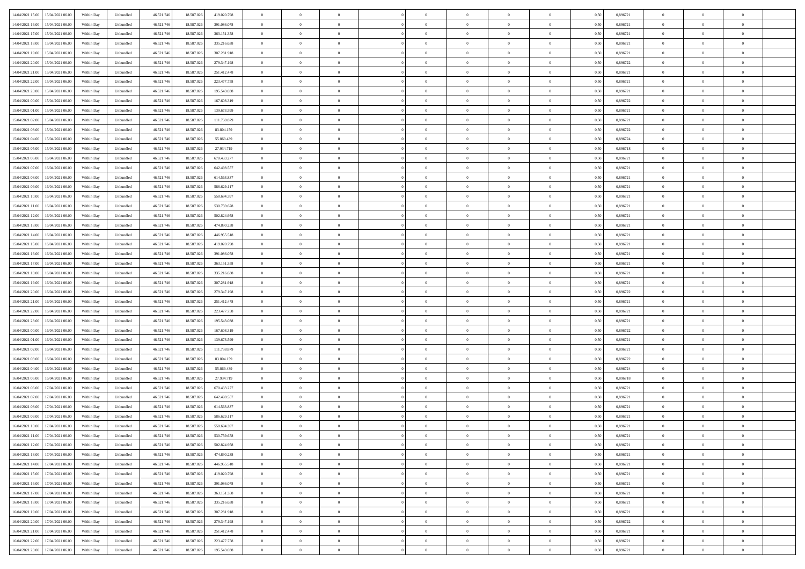|                                            |            |                   |            |            |             | $\overline{0}$ | $\theta$       |                | $\overline{0}$ | $\theta$       |                | $\theta$       |      |          | $\theta$       | $\theta$       | $\overline{0}$ |  |
|--------------------------------------------|------------|-------------------|------------|------------|-------------|----------------|----------------|----------------|----------------|----------------|----------------|----------------|------|----------|----------------|----------------|----------------|--|
| 14/04/2021 15:00 15/04/2021 06:00          | Within Day | Unbundled         | 46.521.74  | 18.587.026 | 419.020.798 |                |                |                |                |                |                |                | 0,50 | 0,896721 |                |                |                |  |
| 14/04/2021 16:00<br>15/04/2021 06:00       | Within Day | Unbundled         | 46.521.74  | 18.587.02  | 391.086.078 | $\bf{0}$       | $\overline{0}$ | $\bf{0}$       | $\overline{0}$ | $\bf{0}$       | $\overline{0}$ | $\bf{0}$       | 0,50 | 0,896721 | $\,$ 0 $\,$    | $\bf{0}$       | $\overline{0}$ |  |
| 14/04/2021 17:00<br>15/04/2021 06:00       | Within Day | Unbundled         | 46.521.746 | 18.587.026 | 363.151.358 | $\overline{0}$ | $\overline{0}$ | $\overline{0}$ | $\bf{0}$       | $\bf{0}$       | $\overline{0}$ | $\bf{0}$       | 0.50 | 0.896721 | $\bf{0}$       | $\overline{0}$ | $\overline{0}$ |  |
|                                            |            |                   |            |            |             | $\overline{0}$ | $\overline{0}$ | $\overline{0}$ | $\theta$       | $\theta$       | $\overline{0}$ | $\overline{0}$ |      |          | $\theta$       | $\theta$       | $\overline{0}$ |  |
| 14/04/2021 18:00<br>15/04/2021 06:00       | Within Day | Unbundled         | 46.521.74  | 18.587.026 | 335.216.638 |                |                |                |                |                |                |                | 0,50 | 0,896721 |                |                |                |  |
| 14/04/2021 19:00<br>15/04/2021 06:00       | Within Day | Unbundled         | 46.521.74  | 18.587.02  | 307.281.918 | $\overline{0}$ | $\theta$       | $\overline{0}$ | $\overline{0}$ | $\theta$       | $\overline{0}$ | $\bf{0}$       | 0,50 | 0,896721 | $\,$ 0 $\,$    | $\bf{0}$       | $\overline{0}$ |  |
| 14/04/2021 20:00<br>15/04/2021 06:00       | Within Day | Unbundled         | 46.521.746 | 18.587.026 | 279.347.198 | $\overline{0}$ | $\overline{0}$ | $\overline{0}$ | $\overline{0}$ | $\overline{0}$ | $\Omega$       | $\bf{0}$       | 0.50 | 0.896722 | $\,$ 0 $\,$    | $\theta$       | $\overline{0}$ |  |
| 14/04/2021 21:00<br>15/04/2021 06:00       | Within Day | Unbundled         | 46.521.74  | 18.587.026 | 251.412.478 | $\overline{0}$ | $\overline{0}$ | $\overline{0}$ | $\overline{0}$ | $\theta$       | $\overline{0}$ | $\bf{0}$       | 0,50 | 0,896721 | $\theta$       | $\theta$       | $\overline{0}$ |  |
|                                            |            |                   |            |            |             |                |                |                |                |                |                |                |      |          |                |                |                |  |
| 14/04/2021 22:00<br>15/04/2021 06:00       | Within Day | Unbundled         | 46.521.74  | 18.587.02  | 223.477.758 | $\bf{0}$       | $\overline{0}$ | $\overline{0}$ | $\overline{0}$ | $\theta$       | $\overline{0}$ | $\bf{0}$       | 0,50 | 0,896721 | $\,$ 0 $\,$    | $\bf{0}$       | $\overline{0}$ |  |
| 14/04/2021 23:00<br>15/04/2021 06:00       | Within Day | Unbundled         | 46.521.74  | 18.587.026 | 195.543.038 | $\overline{0}$ | $\overline{0}$ | $\overline{0}$ | $\bf{0}$       | $\overline{0}$ | $\overline{0}$ | $\bf{0}$       | 0.50 | 0.896721 | $\bf{0}$       | $\theta$       | $\overline{0}$ |  |
| 15/04/2021 00:00<br>15/04/2021 06:00       | Within Day | Unbundled         | 46.521.746 | 18.587.026 | 167.608.319 | $\bf{0}$       | $\bf{0}$       | $\overline{0}$ | $\overline{0}$ | $\theta$       | $\overline{0}$ | $\bf{0}$       | 0,50 | 0,896722 | $\,$ 0 $\,$    | $\theta$       | $\overline{0}$ |  |
|                                            |            |                   |            |            |             |                |                |                |                |                |                |                |      |          |                |                |                |  |
| 15/04/2021 01:00<br>15/04/2021 06:00       | Within Day | Unbundled         | 46.521.74  | 18.587.026 | 139.673.599 | $\bf{0}$       | $\overline{0}$ | $\bf{0}$       | $\overline{0}$ | $\bf{0}$       | $\overline{0}$ | $\bf{0}$       | 0,50 | 0,896721 | $\,$ 0 $\,$    | $\bf{0}$       | $\overline{0}$ |  |
| 15/04/2021 02:00<br>15/04/2021 06:00       | Within Day | Unbundled         | 46.521.746 | 18,587,026 | 111.738.879 | $\overline{0}$ | $\overline{0}$ | $\overline{0}$ | $\bf{0}$       | $\bf{0}$       | $\overline{0}$ | $\bf{0}$       | 0.50 | 0.896721 | $\bf{0}$       | $\overline{0}$ | $\overline{0}$ |  |
| 15/04/2021 03:00<br>15/04/2021 06:00       | Within Day | Unbundled         | 46.521.74  | 18.587.026 | 83.804.159  | $\overline{0}$ | $\overline{0}$ | $\overline{0}$ | $\overline{0}$ | $\theta$       | $\overline{0}$ | $\overline{0}$ | 0,50 | 0,896722 | $\theta$       | $\theta$       | $\overline{0}$ |  |
| 15/04/2021 04:00<br>15/04/2021 06:00       | Within Day | Unbundled         | 46.521.74  | 18.587.02  | 55.869.439  | $\bf{0}$       | $\theta$       | $\bf{0}$       | $\overline{0}$ | $\theta$       | $\overline{0}$ | $\bf{0}$       | 0,50 | 0,896724 | $\bf{0}$       | $\bf{0}$       | $\overline{0}$ |  |
|                                            |            |                   |            |            |             |                |                |                |                |                |                |                |      |          |                |                |                |  |
| 15/04/2021 05:00<br>15/04/2021 06:00       | Within Day | Unbundled         | 46.521.746 | 18.587.026 | 27.934.719  | $\overline{0}$ | $\overline{0}$ | $\overline{0}$ | $\bf{0}$       | $\theta$       | $\theta$       | $\bf{0}$       | 0.50 | 0.896718 | $\theta$       | $\theta$       | $\overline{0}$ |  |
| 15/04/2021 06:00<br>16/04/2021 06:00       | Within Day | Unbundled         | 46.521.74  | 18.587.026 | 670.433.277 | $\overline{0}$ | $\overline{0}$ | $\overline{0}$ | $\overline{0}$ | $\overline{0}$ | $\overline{0}$ | $\bf{0}$       | 0,50 | 0,896721 | $\theta$       | $\theta$       | $\overline{0}$ |  |
| 15/04/2021 07:00<br>16/04/2021 06:00       | Within Day | Unbundled         | 46.521.74  | 18.587.02  | 642.498.557 | $\bf{0}$       | $\overline{0}$ | $\overline{0}$ | $\overline{0}$ | $\theta$       | $\overline{0}$ | $\bf{0}$       | 0,50 | 0,896721 | $\,$ 0 $\,$    | $\bf{0}$       | $\overline{0}$ |  |
|                                            |            |                   |            |            |             |                |                |                |                |                |                |                |      |          |                |                |                |  |
| 15/04/2021 08:00<br>16/04/2021 06:00       | Within Day | Unbundled         | 46.521.74  | 18.587.02  | 614.563.837 | $\overline{0}$ | $\overline{0}$ | $\overline{0}$ | $\bf{0}$       | $\overline{0}$ | $\overline{0}$ | $\bf{0}$       | 0.50 | 0.896721 | $\bf{0}$       | $\overline{0}$ | $\overline{0}$ |  |
| 15/04/2021 09:00<br>16/04/2021 06:00       | Within Day | Unbundled         | 46.521.74  | 18.587.026 | 586.629.117 | $\bf{0}$       | $\overline{0}$ | $\overline{0}$ | $\overline{0}$ | $\overline{0}$ | $\overline{0}$ | $\bf{0}$       | 0,50 | 0,896721 | $\,$ 0 $\,$    | $\theta$       | $\overline{0}$ |  |
| 15/04/2021 10:00<br>16/04/2021 06:00       | Within Day | Unbundled         | 46.521.74  | 18.587.02  | 558.694.397 | $\bf{0}$       | $\overline{0}$ | $\bf{0}$       | $\bf{0}$       | $\overline{0}$ | $\overline{0}$ | $\bf{0}$       | 0,50 | 0,896721 | $\,$ 0 $\,$    | $\bf{0}$       | $\overline{0}$ |  |
| 15/04/2021 11:00<br>16/04/2021 06:00       | Within Day | Unbundled         | 46.521.746 | 18,587,026 | 530.759.678 | $\overline{0}$ | $\overline{0}$ | $\overline{0}$ | $\bf{0}$       | $\bf{0}$       | $\overline{0}$ | $\bf{0}$       | 0.50 | 0.896721 | $\bf{0}$       | $\overline{0}$ | $\overline{0}$ |  |
|                                            |            |                   |            |            |             |                |                |                |                |                |                |                |      |          |                |                |                |  |
| 15/04/2021 12:00<br>16/04/2021 06:00       | Within Day | Unbundled         | 46.521.74  | 18.587.026 | 502.824.958 | $\overline{0}$ | $\overline{0}$ | $\overline{0}$ | $\theta$       | $\theta$       | $\overline{0}$ | $\bf{0}$       | 0,50 | 0,896721 | $\theta$       | $\theta$       | $\overline{0}$ |  |
| 15/04/2021 13:00<br>16/04/2021 06:00       | Within Day | Unbundled         | 46.521.74  | 18.587.02  | 474.890.238 | $\bf{0}$       | $\overline{0}$ | $\bf{0}$       | $\overline{0}$ | $\theta$       | $\overline{0}$ | $\bf{0}$       | 0,50 | 0,896721 | $\,$ 0 $\,$    | $\bf{0}$       | $\overline{0}$ |  |
| 15/04/2021 14:00<br>16/04/2021 06:00       | Within Day | Unbundled         | 46.521.74  | 18.587.02  | 446.955.518 | $\overline{0}$ | $\overline{0}$ | $\overline{0}$ | $\overline{0}$ | $\overline{0}$ | $\Omega$       | $\bf{0}$       | 0.50 | 0.896721 | $\bf{0}$       | $\theta$       | $\overline{0}$ |  |
| 15/04/2021 15:00<br>16/04/2021 06:00       | Within Day | Unbundled         | 46.521.74  | 18.587.026 | 419.020.798 | $\overline{0}$ | $\overline{0}$ | $\overline{0}$ | $\overline{0}$ | $\theta$       | $\overline{0}$ | $\bf{0}$       | 0,50 | 0,896721 | $\theta$       | $\theta$       | $\overline{0}$ |  |
|                                            |            |                   |            |            |             |                |                |                |                |                |                |                |      |          |                |                |                |  |
| 15/04/2021 16:00<br>16/04/2021 06:00       | Within Day | Unbundled         | 46.521.74  | 18.587.02  | 391.086.078 | $\bf{0}$       | $\theta$       | $\bf{0}$       | $\overline{0}$ | $\theta$       | $\overline{0}$ | $\bf{0}$       | 0,50 | 0,896721 | $\,$ 0 $\,$    | $\bf{0}$       | $\overline{0}$ |  |
| 15/04/2021 17:00<br>16/04/2021 06:00       | Within Day | Unbundled         | 46.521.74  | 18,587,026 | 363.151.358 | $\overline{0}$ | $\overline{0}$ | $\overline{0}$ | $\bf{0}$       | $\overline{0}$ | $\overline{0}$ | $\bf{0}$       | 0.50 | 0.896721 | $\bf{0}$       | $\overline{0}$ | $\overline{0}$ |  |
| 15/04/2021 18:00<br>16/04/2021 06:00       | Within Day | Unbundled         | 46.521.74  | 18.587.026 | 335.216.638 | $\overline{0}$ | $\overline{0}$ | $\overline{0}$ | $\overline{0}$ | $\overline{0}$ | $\overline{0}$ | $\bf{0}$       | 0,50 | 0,896721 | $\theta$       | $\theta$       | $\overline{0}$ |  |
| 15/04/2021 19:00<br>16/04/2021 06:00       | Within Day | Unbundled         | 46.521.74  | 18.587.02  | 307.281.918 | $\bf{0}$       | $\bf{0}$       | $\bf{0}$       | $\bf{0}$       | $\overline{0}$ | $\overline{0}$ | $\bf{0}$       | 0,50 | 0,896721 | $\,$ 0 $\,$    | $\bf{0}$       | $\overline{0}$ |  |
|                                            |            |                   |            |            |             |                |                |                |                |                |                |                |      |          |                |                |                |  |
| 15/04/2021 20:00<br>16/04/2021 06:00       | Within Day | Unbundled         | 46.521.746 | 18.587.026 | 279.347.198 | $\overline{0}$ | $\bf{0}$       | $\overline{0}$ | $\bf{0}$       | $\bf{0}$       | $\overline{0}$ | $\bf{0}$       | 0.50 | 0.896722 | $\bf{0}$       | $\overline{0}$ | $\overline{0}$ |  |
| 15/04/2021 21:00<br>16/04/2021 06:00       | Within Day | Unbundled         | 46.521.74  | 18.587.026 | 251.412.478 | $\overline{0}$ | $\overline{0}$ | $\overline{0}$ | $\overline{0}$ | $\overline{0}$ | $\overline{0}$ | $\bf{0}$       | 0.5( | 0,896721 | $\theta$       | $\theta$       | $\overline{0}$ |  |
| 15/04/2021 22.00<br>16/04/2021 06:00       | Within Day | Unbundled         | 46.521.74  | 18.587.02  | 223.477.758 | $\bf{0}$       | $\overline{0}$ | $\bf{0}$       | $\overline{0}$ | $\overline{0}$ | $\overline{0}$ | $\bf{0}$       | 0,50 | 0,896721 | $\,$ 0 $\,$    | $\bf{0}$       | $\overline{0}$ |  |
| 15/04/2021 23:00<br>16/04/2021 06:00       | Within Day | Unbundled         | 46.521.746 | 18.587.026 | 195.543.038 | $\overline{0}$ | $\overline{0}$ | $\overline{0}$ | $\bf{0}$       | $\theta$       | $\Omega$       | $\bf{0}$       | 0.50 | 0,896721 | $\,$ 0 $\,$    | $\overline{0}$ | $\overline{0}$ |  |
|                                            |            |                   |            |            |             |                |                |                |                |                |                |                |      |          |                |                |                |  |
| 16/04/2021 00:00<br>16/04/2021 06:00       | Within Dav | Unbundled         | 46.521.74  | 18.587.026 | 167.608.319 | $\overline{0}$ | $\theta$       | $\overline{0}$ | $\overline{0}$ | $\theta$       | $\overline{0}$ | $\overline{0}$ | 0.5( | 0,896722 | $\theta$       | $\theta$       | $\overline{0}$ |  |
| 16/04/2021 01:00<br>16/04/2021 06:00       | Within Day | Unbundled         | 46.521.74  | 18.587.02  | 139.673.599 | $\bf{0}$       | $\overline{0}$ | $\bf{0}$       | $\overline{0}$ | $\bf{0}$       | $\overline{0}$ | $\bf{0}$       | 0,50 | 0,896721 | $\,$ 0 $\,$    | $\bf{0}$       | $\overline{0}$ |  |
| 16/04/2021 02:00<br>16/04/2021 06:00       | Within Day | Unbundled         | 46.521.74  | 18.587.02  | 111.738.879 | $\overline{0}$ | $\bf{0}$       | $\overline{0}$ | $\bf{0}$       | $\overline{0}$ | $\overline{0}$ | $\bf{0}$       | 0.50 | 0.896721 | $\bf{0}$       | $\overline{0}$ | $\overline{0}$ |  |
| 16/04/2021 03:00<br>16/04/2021 06:00       | Within Dav | Unbundled         | 46.521.74  | 18.587.026 | 83,804.159  | $\overline{0}$ | $\overline{0}$ | $\overline{0}$ | $\overline{0}$ | $\overline{0}$ | $\overline{0}$ | $\overline{0}$ | 0.50 | 0,896722 | $\theta$       | $\theta$       | $\overline{0}$ |  |
|                                            |            |                   |            |            |             |                |                |                |                |                |                |                |      |          |                |                |                |  |
| 16/04/2021 04:00<br>16/04/2021 06:00       | Within Day | Unbundled         | 46.521.74  | 18.587.02  | 55.869.439  | $\bf{0}$       | $\bf{0}$       | $\bf{0}$       | $\bf{0}$       | $\overline{0}$ | $\overline{0}$ | $\bf{0}$       | 0,50 | 0,896724 | $\,$ 0 $\,$    | $\bf{0}$       | $\overline{0}$ |  |
| 16/04/2021 05:00<br>16/04/2021 06:00       | Within Day | Unbundled         | 46.521.746 | 18,587,026 | 27.934.719  | $\overline{0}$ | $\bf{0}$       | $\overline{0}$ | $\bf{0}$       | $\bf{0}$       | $\overline{0}$ | $\bf{0}$       | 0.50 | 0.896718 | $\bf{0}$       | $\overline{0}$ | $\overline{0}$ |  |
| 16/04/2021 06:00<br>17/04/2021 06:00       | Within Dav | Unbundled         | 46.521.74  | 18.587.026 | 670.433.277 | $\overline{0}$ | $\overline{0}$ | $\Omega$       | $\overline{0}$ | $\theta$       | $\overline{0}$ | $\overline{0}$ | 0.50 | 0,896721 | $\theta$       | $\theta$       | $\overline{0}$ |  |
| 16/04/2021 07:00<br>17/04/2021 06.00       | Within Day | Unbundled         | 46.521.74  | 18.587.02  | 642.498.557 | $\bf{0}$       | $\overline{0}$ | $\bf{0}$       | $\bf{0}$       | $\overline{0}$ | $\overline{0}$ | $\bf{0}$       | 0,50 | 0,896721 | $\,$ 0 $\,$    | $\bf{0}$       | $\overline{0}$ |  |
|                                            |            |                   |            |            |             |                |                |                |                |                |                |                |      |          |                |                |                |  |
| 16/04/2021 08:00<br>17/04/2021 06.00       | Within Day | Unbundled         | 46.521.74  | 18.587.02  | 614.563.837 | $\overline{0}$ | $\overline{0}$ | $\Omega$       | $\overline{0}$ | $\theta$       | $\theta$       | $\bf{0}$       | 0.50 | 0,896721 | $\bf{0}$       | $\overline{0}$ | $\overline{0}$ |  |
| 16/04/2021 09:00<br>17/04/2021 06:00       | Within Dav | Unbundled         | 46.521.74  | 18.587.026 | 586,629.117 | $\overline{0}$ | $\overline{0}$ | $\Omega$       | $\overline{0}$ | $\theta$       | $\Omega$       | $\overline{0}$ | 0.5( | 0,896721 | $\theta$       | $\theta$       | $\overline{0}$ |  |
| 16/04/2021 10:00<br>17/04/2021 06.00       | Within Day | Unbundled         | 46.521.74  | 18.587.02  | 558.694.397 | $\bf{0}$       | $\bf{0}$       | $\overline{0}$ | $\bf{0}$       | $\bf{0}$       | $\overline{0}$ | $\bf{0}$       | 0,50 | 0,896721 | $\,$ 0 $\,$    | $\bf{0}$       | $\overline{0}$ |  |
| $16/04/2021\;11.00\qquad17/04/2021\;06.00$ | Within Day | ${\sf Unbundred}$ | 46.521.746 | 18.587.026 | 530.759.678 | $\overline{0}$ | $\Omega$       |                | $\Omega$       |                |                |                | 0,50 | 0.896721 | $\theta$       | $\overline{0}$ |                |  |
|                                            |            |                   |            |            |             |                |                |                |                |                |                |                |      |          |                |                |                |  |
| 16/04/2021 12:00 17/04/2021 06:00          | Within Day | Unbundled         | 46.521.746 | 18.587.026 | 502.824.958 | $\overline{0}$ | $\theta$       | $\overline{0}$ | $\overline{0}$ | $\overline{0}$ | $\overline{0}$ | $\bf{0}$       | 0,50 | 0,896721 | $\theta$       | $\theta$       | $\overline{0}$ |  |
| 16/04/2021 13:00<br>17/04/2021 06.00       | Within Day | Unbundled         | 46.521.74  | 18.587.02  | 474.890.238 | $\overline{0}$ | $\bf{0}$       | $\overline{0}$ | $\overline{0}$ | $\bf{0}$       | $\overline{0}$ | $\bf{0}$       | 0,50 | 0,896721 | $\bf{0}$       | $\overline{0}$ | $\bf{0}$       |  |
| 16/04/2021 14:00 17/04/2021 06:00          | Within Day | Unbundled         | 46.521.746 | 18,587,026 | 446.955.518 | $\overline{0}$ | $\bf{0}$       | $\overline{0}$ | $\overline{0}$ | $\overline{0}$ | $\overline{0}$ | $\bf{0}$       | 0.50 | 0.896721 | $\overline{0}$ | $\bf{0}$       | $\,$ 0 $\,$    |  |
| 16/04/2021 15:00 17/04/2021 06:00          | Within Day | Unbundled         | 46.521.746 | 18.587.026 | 419.020.798 | $\overline{0}$ | $\overline{0}$ | $\overline{0}$ | $\overline{0}$ | $\overline{0}$ | $\overline{0}$ | $\bf{0}$       | 0,50 | 0,896721 | $\theta$       | $\theta$       | $\overline{0}$ |  |
|                                            |            |                   |            |            |             |                |                |                |                |                |                |                |      |          |                |                |                |  |
| 16/04/2021 16:00<br>17/04/2021 06.00       | Within Day | Unbundled         | 46.521.74  | 18.587.026 | 391.086.078 | $\overline{0}$ | $\bf{0}$       | $\overline{0}$ | $\bf{0}$       | $\overline{0}$ | $\bf{0}$       | $\bf{0}$       | 0,50 | 0,896721 | $\bf{0}$       | $\bf{0}$       | $\overline{0}$ |  |
| 16/04/2021 17:00<br>17/04/2021 06:00       | Within Day | Unbundled         | 46.521.746 | 18,587,026 | 363.151.358 | $\overline{0}$ | $\bf{0}$       | $\overline{0}$ | $\overline{0}$ | $\overline{0}$ | $\overline{0}$ | $\bf{0}$       | 0.50 | 0,896721 | $\,$ 0 $\,$    | $\theta$       | $\overline{0}$ |  |
| 16/04/2021 18:00<br>17/04/2021 06:00       | Within Dav | Unbundled         | 46.521.746 | 18.587.026 | 335.216.638 | $\overline{0}$ | $\overline{0}$ | $\overline{0}$ | $\overline{0}$ | $\overline{0}$ | $\overline{0}$ | $\bf{0}$       | 0.50 | 0,896721 | $\overline{0}$ | $\theta$       | $\overline{0}$ |  |
|                                            |            |                   |            |            |             |                |                |                |                |                |                |                |      |          |                |                |                |  |
| 16/04/2021 19:00<br>17/04/2021 06.00       | Within Day | Unbundled         | 46.521.74  | 18.587.026 | 307.281.918 | $\overline{0}$ | $\overline{0}$ | $\overline{0}$ | $\overline{0}$ | $\bf{0}$       | $\overline{0}$ | $\bf{0}$       | 0,50 | 0,896721 | $\bf{0}$       | $\overline{0}$ | $\overline{0}$ |  |
| 17/04/2021 06:00<br>16/04/2021 20:00       | Within Day | Unbundled         | 46.521.746 | 18,587,026 | 279.347.198 | $\overline{0}$ | $\overline{0}$ | $\overline{0}$ | $\overline{0}$ | $\bf{0}$       | $\overline{0}$ | $\bf{0}$       | 0.50 | 0.896722 | $\overline{0}$ | $\,$ 0 $\,$    | $\,$ 0         |  |
| 16/04/2021 21:00<br>17/04/2021 06:00       | Within Dav | Unbundled         | 46.521.746 | 18.587.026 | 251.412.478 | $\overline{0}$ | $\overline{0}$ | $\overline{0}$ | $\overline{0}$ | $\overline{0}$ | $\overline{0}$ | $\bf{0}$       | 0,50 | 0,896721 | $\overline{0}$ | $\theta$       | $\overline{0}$ |  |
| 16/04/2021 22:00<br>17/04/2021 06.00       | Within Day | Unbundled         | 46.521.74  | 18.587.026 | 223.477.758 | $\overline{0}$ | $\bf{0}$       | $\overline{0}$ | $\bf{0}$       | $\overline{0}$ | $\bf{0}$       | $\bf{0}$       | 0,50 | 0,896721 | $\bf{0}$       | $\bf{0}$       | $\overline{0}$ |  |
|                                            |            |                   |            |            |             |                |                |                |                |                |                |                |      |          |                |                |                |  |
| 16/04/2021 23:00 17/04/2021 06:00          | Within Day | Unbundled         | 46.521.746 | 18.587.026 | 195.543.038 | $\overline{0}$ | $\bf{0}$       | $\overline{0}$ | $\overline{0}$ | $\,$ 0 $\,$    | $\overline{0}$ | $\bf{0}$       | 0,50 | 0,896721 | $\overline{0}$ | $\,$ 0 $\,$    | $\,$ 0 $\,$    |  |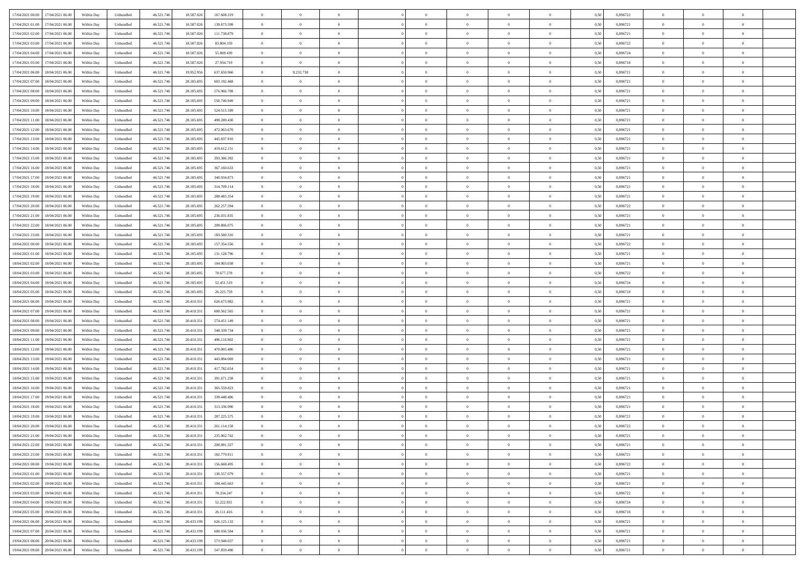| 17/04/2021 00:00 17/04/2021 06:00              | Within Day | Unbundled         | 46.521.74  | 18.587.026 | 167.608.319 | $\overline{0}$ | $\theta$       |                | $\overline{0}$ | $\theta$       |                | $\bf{0}$       | 0,50 | 0,896722 | $\theta$       | $\theta$       | $\overline{0}$ |  |
|------------------------------------------------|------------|-------------------|------------|------------|-------------|----------------|----------------|----------------|----------------|----------------|----------------|----------------|------|----------|----------------|----------------|----------------|--|
| 17/04/2021 01:00<br>17/04/2021 06.00           | Within Day | Unbundled         | 46.521.74  | 18.587.02  | 139.673.599 | $\bf{0}$       | $\overline{0}$ | $\bf{0}$       | $\overline{0}$ | $\theta$       | $\overline{0}$ | $\bf{0}$       | 0,50 | 0,896721 | $\,$ 0 $\,$    | $\bf{0}$       | $\overline{0}$ |  |
| 17/04/2021 02:00<br>17/04/2021 06:00           | Within Day | Unbundled         | 46.521.746 | 18,587,026 | 111.738.879 | $\overline{0}$ | $\overline{0}$ | $\overline{0}$ | $\bf{0}$       | $\bf{0}$       | $\overline{0}$ | $\bf{0}$       | 0.50 | 0.896721 | $\bf{0}$       | $\overline{0}$ | $\overline{0}$ |  |
| 17/04/2021 03:00<br>17/04/2021 06:00           | Within Day | Unbundled         | 46.521.74  | 18.587.026 | 83.804.159  | $\overline{0}$ | $\overline{0}$ | $\overline{0}$ | $\theta$       | $\theta$       | $\overline{0}$ | $\overline{0}$ | 0,50 | 0,896722 | $\theta$       | $\theta$       | $\overline{0}$ |  |
| 17/04/2021 04:00<br>17/04/2021 06.00           | Within Day | Unbundled         | 46.521.74  | 18.587.02  | 55.869.439  | $\overline{0}$ | $\overline{0}$ | $\overline{0}$ | $\overline{0}$ | $\theta$       | $\overline{0}$ | $\bf{0}$       | 0,50 | 0,896724 | $\,$ 0 $\,$    | $\bf{0}$       | $\overline{0}$ |  |
|                                                |            |                   |            |            |             |                |                |                |                |                |                |                |      |          |                |                |                |  |
| 17/04/2021 05:00<br>17/04/2021 06:00           | Within Day | Unbundled         | 46.521.746 | 18.587.02  | 27.934.719  | $\overline{0}$ | $\overline{0}$ | $\Omega$       | $\overline{0}$ | $\overline{0}$ | $\Omega$       | $\bf{0}$       | 0.50 | 0.896718 | $\bf{0}$       | $\theta$       | $\overline{0}$ |  |
| 17/04/2021 06:00<br>18/04/2021 06:00           | Within Day | Unbundled         | 46.521.74  | 19.952.956 | 637.650.966 | $\overline{0}$ | 8.232.738      | $\overline{0}$ | $\overline{0}$ | $\theta$       | $\overline{0}$ | $\bf{0}$       | 0,50 | 0,896721 | $\theta$       | $\theta$       | $\overline{0}$ |  |
| 17/04/2021 07:00<br>18/04/2021 06:00           | Within Day | Unbundled         | 46.521.74  | 28.185.69  | 603.192.468 | $\overline{0}$ | $\theta$       | $\bf{0}$       | $\overline{0}$ | $\theta$       | $\overline{0}$ | $\bf{0}$       | 0,50 | 0,896721 | $\,$ 0 $\,$    | $\bf{0}$       | $\overline{0}$ |  |
| 17/04/2021 08:00<br>18/04/2021 06:00           | Within Day | Unbundled         | 46.521.74  | 28.185.69  | 576,966,708 | $\overline{0}$ | $\overline{0}$ | $\overline{0}$ | $\bf{0}$       | $\overline{0}$ | $\overline{0}$ | $\bf{0}$       | 0.50 | 0.896721 | $\bf{0}$       | $\theta$       | $\overline{0}$ |  |
| 17/04/2021 09:00<br>18/04/2021 06:00           | Within Day | Unbundled         | 46.521.74  | 28.185.695 | 550.740.949 | $\overline{0}$ | $\bf{0}$       | $\overline{0}$ | $\overline{0}$ | $\theta$       | $\overline{0}$ | $\bf{0}$       | 0,50 | 0,896721 | $\,$ 0 $\,$    | $\theta$       | $\overline{0}$ |  |
|                                                |            |                   |            |            |             |                |                |                |                |                |                |                |      |          |                |                |                |  |
| 17/04/2021 10:00<br>18/04/2021 06:00           | Within Day | Unbundled         | 46.521.74  | 28.185.69  | 524.515.189 | $\bf{0}$       | $\overline{0}$ | $\bf{0}$       | $\overline{0}$ | $\bf{0}$       | $\overline{0}$ | $\bf{0}$       | 0,50 | 0,896721 | $\,$ 0 $\,$    | $\bf{0}$       | $\overline{0}$ |  |
| 17/04/2021 11:00<br>18/04/2021 06:00           | Within Day | Unbundled         | 46.521.746 | 28.185.69  | 498.289.430 | $\overline{0}$ | $\overline{0}$ | $\overline{0}$ | $\bf{0}$       | $\bf{0}$       | $\overline{0}$ | $\bf{0}$       | 0.50 | 0.896721 | $\bf{0}$       | $\overline{0}$ | $\overline{0}$ |  |
| 17/04/2021 12:00<br>18/04/2021 06:00           | Within Day | Unbundled         | 46.521.74  | 28.185.695 | 472.063.670 | $\overline{0}$ | $\overline{0}$ | $\overline{0}$ | $\overline{0}$ | $\theta$       | $\overline{0}$ | $\overline{0}$ | 0,50 | 0,896721 | $\theta$       | $\theta$       | $\overline{0}$ |  |
| 17/04/2021 13:00<br>18/04/2021 06:00           | Within Day | Unbundled         | 46.521.74  | 28.185.69  | 445.837.910 | $\bf{0}$       | $\theta$       | $\bf{0}$       | $\overline{0}$ | $\theta$       | $\overline{0}$ | $\bf{0}$       | 0,50 | 0,896721 | $\bf{0}$       | $\bf{0}$       | $\overline{0}$ |  |
| 17/04/2021 14:00<br>18/04/2021 06:00           | Within Day | Unbundled         | 46.521.74  | 28.185.69  | 419.612.151 | $\overline{0}$ | $\overline{0}$ | $\overline{0}$ | $\bf{0}$       | $\theta$       | $\theta$       | $\bf{0}$       | 0.50 | 0,896721 | $\theta$       | $\theta$       | $\overline{0}$ |  |
|                                                |            |                   |            |            |             |                |                |                |                |                |                |                |      |          |                |                |                |  |
| 17/04/2021 15:00<br>18/04/2021 06:00           | Within Day | Unbundled         | 46.521.74  | 28.185.695 | 393.386.392 | $\overline{0}$ | $\overline{0}$ | $\overline{0}$ | $\overline{0}$ | $\overline{0}$ | $\overline{0}$ | $\bf{0}$       | 0,50 | 0,896721 | $\theta$       | $\theta$       | $\overline{0}$ |  |
| 17/04/2021 16:00<br>18/04/2021 06:00           | Within Day | Unbundled         | 46.521.74  | 28.185.69  | 367.160.633 | $\bf{0}$       | $\overline{0}$ | $\overline{0}$ | $\overline{0}$ | $\theta$       | $\overline{0}$ | $\bf{0}$       | 0,50 | 0,896721 | $\,$ 0 $\,$    | $\bf{0}$       | $\overline{0}$ |  |
| 17/04/2021 17:00<br>18/04/2021 06:00           | Within Day | Unbundled         | 46.521.74  | 28.185.69  | 340.934.873 | $\overline{0}$ | $\overline{0}$ | $\overline{0}$ | $\bf{0}$       | $\overline{0}$ | $\overline{0}$ | $\bf{0}$       | 0.50 | 0.896721 | $\bf{0}$       | $\overline{0}$ | $\overline{0}$ |  |
| 17/04/2021 18:00<br>18/04/2021 06:00           | Within Day | Unbundled         | 46.521.74  | 28.185.695 | 314.709.114 | $\overline{0}$ | $\overline{0}$ | $\overline{0}$ | $\overline{0}$ | $\theta$       | $\overline{0}$ | $\bf{0}$       | 0,50 | 0,896721 | $\,$ 0 $\,$    | $\theta$       | $\overline{0}$ |  |
| 17/04/2021 19:00<br>18/04/2021 06:00           | Within Day | Unbundled         | 46.521.74  | 28.185.69  | 288.483.354 | $\bf{0}$       | $\overline{0}$ | $\bf{0}$       | $\bf{0}$       | $\overline{0}$ | $\overline{0}$ | $\bf{0}$       | 0,50 | 0,896721 | $\,$ 0 $\,$    | $\bf{0}$       | $\overline{0}$ |  |
| 17/04/2021 20:00<br>18/04/2021 06:00           | Within Day | Unbundled         | 46.521.746 | 28.185.69  | 262.257.594 | $\overline{0}$ | $\overline{0}$ | $\overline{0}$ | $\bf{0}$       | $\bf{0}$       | $\overline{0}$ | $\bf{0}$       | 0.50 | 0.896722 | $\bf{0}$       | $\overline{0}$ | $\overline{0}$ |  |
|                                                |            |                   |            |            |             |                |                |                |                |                |                |                |      |          |                |                |                |  |
| 17/04/2021 21:00<br>18/04/2021 06:00           | Within Day | Unbundled         | 46.521.74  | 28.185.695 | 236.031.835 | $\overline{0}$ | $\overline{0}$ | $\overline{0}$ | $\theta$       | $\theta$       | $\overline{0}$ | $\bf{0}$       | 0,50 | 0,896721 | $\theta$       | $\theta$       | $\overline{0}$ |  |
| 17/04/2021 22.00<br>18/04/2021 06:00           | Within Day | Unbundled         | 46.521.74  | 28.185.69  | 209.806.075 | $\bf{0}$       | $\overline{0}$ | $\bf{0}$       | $\overline{0}$ | $\theta$       | $\overline{0}$ | $\bf{0}$       | 0,50 | 0,896721 | $\,$ 0 $\,$    | $\bf{0}$       | $\overline{0}$ |  |
| 17/04/2021 23:00<br>18/04/2021 06:00           | Within Day | Unbundled         | 46.521.74  | 28.185.69  | 183,580,316 | $\overline{0}$ | $\overline{0}$ | $\overline{0}$ | $\overline{0}$ | $\overline{0}$ | $\Omega$       | $\bf{0}$       | 0.50 | 0,896721 | $\,$ 0 $\,$    | $\theta$       | $\overline{0}$ |  |
| 18/04/2021 00:00<br>18/04/2021 06:00           | Within Day | Unbundled         | 46.521.74  | 28.185.695 | 157.354.556 | $\overline{0}$ | $\overline{0}$ | $\overline{0}$ | $\overline{0}$ | $\theta$       | $\overline{0}$ | $\bf{0}$       | 0,50 | 0,896722 | $\theta$       | $\theta$       | $\overline{0}$ |  |
| 18/04/2021 01:00<br>18/04/2021 06:00           | Within Day | Unbundled         | 46.521.74  | 28.185.69  | 131.128.796 | $\bf{0}$       | $\theta$       | $\overline{0}$ | $\overline{0}$ | $\theta$       | $\overline{0}$ | $\bf{0}$       | 0,50 | 0,896721 | $\,$ 0 $\,$    | $\bf{0}$       | $\overline{0}$ |  |
| 18/04/2021 02:00<br>18/04/2021 06:00           | Within Day | Unbundled         | 46.521.74  | 28.185.69  | 104.903.038 | $\overline{0}$ | $\bf{0}$       | $\overline{0}$ | $\bf{0}$       | $\overline{0}$ | $\overline{0}$ | $\bf{0}$       | 0.50 | 0.896721 | $\bf{0}$       | $\overline{0}$ | $\overline{0}$ |  |
| 18/04/2021 03:00<br>18/04/2021 06:00           |            |                   |            |            |             | $\overline{0}$ | $\overline{0}$ | $\overline{0}$ | $\overline{0}$ | $\theta$       | $\overline{0}$ |                |      |          | $\theta$       | $\theta$       | $\overline{0}$ |  |
|                                                | Within Day | Unbundled         | 46.521.74  | 28.185.695 | 78.677.278  |                |                |                |                |                |                | $\bf{0}$       | 0,50 | 0,896722 |                |                |                |  |
| 18/04/2021 04:00<br>18/04/2021 06:00           | Within Day | Unbundled         | 46.521.74  | 28.185.69  | 52.451.519  | $\bf{0}$       | $\bf{0}$       | $\bf{0}$       | $\bf{0}$       | $\overline{0}$ | $\overline{0}$ | $\bf{0}$       | 0,50 | 0,896724 | $\,$ 0 $\,$    | $\bf{0}$       | $\overline{0}$ |  |
| 18/04/2021 05:00<br>18/04/2021 06:00           | Within Day | Unbundled         | 46.521.746 | 28.185.69  | 26.225.759  | $\overline{0}$ | $\bf{0}$       | $\overline{0}$ | $\bf{0}$       | $\bf{0}$       | $\overline{0}$ | $\bf{0}$       | 0.50 | 0.896718 | $\bf{0}$       | $\overline{0}$ | $\overline{0}$ |  |
| 18/04/2021 06:00<br>19/04/2021 06:00           | Within Day | Unbundled         | 46.521.74  | 20.410.33  | 626.673.982 | $\overline{0}$ | $\overline{0}$ | $\overline{0}$ | $\overline{0}$ | $\theta$       | $\overline{0}$ | $\bf{0}$       | 0.5( | 0,896721 | $\theta$       | $\theta$       | $\overline{0}$ |  |
| 18/04/2021 07:00<br>19/04/2021 06:00           | Within Day | Unbundled         | 46.521.74  | 20.410.33  | 600.562.565 | $\bf{0}$       | $\overline{0}$ | $\bf{0}$       | $\overline{0}$ | $\overline{0}$ | $\overline{0}$ | $\bf{0}$       | 0,50 | 0,896721 | $\,$ 0 $\,$    | $\bf{0}$       | $\overline{0}$ |  |
| 18/04/2021 08:00<br>19/04/2021 06:00           | Within Day | Unbundled         | 46.521.74  | 20.410.33  | 574.451.149 | $\overline{0}$ | $\overline{0}$ | $\overline{0}$ | $\bf{0}$       | $\theta$       | $\Omega$       | $\bf{0}$       | 0.50 | 0,896721 | $\,$ 0 $\,$    | $\overline{0}$ | $\overline{0}$ |  |
| 18/04/2021 09:00<br>19/04/2021 06:00           | Within Dav | Unbundled         | 46.521.74  | 20.410.331 | 548.339.734 | $\overline{0}$ | $\overline{0}$ | $\Omega$       | $\overline{0}$ | $\theta$       | $\overline{0}$ | $\overline{0}$ | 0.5( | 0,896721 | $\theta$       | $\theta$       | $\overline{0}$ |  |
|                                                |            |                   |            |            |             |                |                |                |                |                |                |                |      |          |                |                |                |  |
| 18/04/2021 11:00<br>19/04/2021 06:00           | Within Day | Unbundled         | 46.521.74  | 20.410.33  | 496.116.902 | $\bf{0}$       | $\overline{0}$ | $\bf{0}$       | $\overline{0}$ | $\bf{0}$       | $\overline{0}$ | $\bf{0}$       | 0,50 | 0,896721 | $\,$ 0 $\,$    | $\bf{0}$       | $\overline{0}$ |  |
| 18/04/2021 12:00<br>19/04/2021 06:00           | Within Day | Unbundled         | 46.521.74  | 20.410.33  | 470.005.486 | $\overline{0}$ | $\overline{0}$ | $\overline{0}$ | $\bf{0}$       | $\overline{0}$ | $\overline{0}$ | $\bf{0}$       | 0.50 | 0.896721 | $\bf{0}$       | $\overline{0}$ | $\overline{0}$ |  |
| 18/04/2021 13:00<br>19/04/2021 06:00           | Within Dav | Unbundled         | 46.521.74  | 20.410.33  | 443.894.069 | $\overline{0}$ | $\overline{0}$ | $\overline{0}$ | $\overline{0}$ | $\overline{0}$ | $\overline{0}$ | $\overline{0}$ | 0.50 | 0,896721 | $\theta$       | $\theta$       | $\overline{0}$ |  |
| 18/04/2021 14:00<br>19/04/2021 06:00           | Within Day | Unbundled         | 46.521.74  | 20.410.33  | 417.782.654 | $\bf{0}$       | $\bf{0}$       | $\bf{0}$       | $\bf{0}$       | $\overline{0}$ | $\overline{0}$ | $\bf{0}$       | 0,50 | 0,896721 | $\,$ 0 $\,$    | $\bf{0}$       | $\overline{0}$ |  |
| 18/04/2021 15:00<br>19/04/2021 06:00           | Within Day | Unbundled         | 46.521.746 | 20.410.33  | 391.671.238 | $\overline{0}$ | $\bf{0}$       | $\overline{0}$ | $\bf{0}$       | $\bf{0}$       | $\overline{0}$ | $\bf{0}$       | 0.50 | 0.896721 | $\bf{0}$       | $\overline{0}$ | $\overline{0}$ |  |
| 18/04/2021 16:00<br>19/04/2021 06:00           | Within Dav | Unbundled         | 46.521.74  | 20.410.331 | 365.559.823 | $\overline{0}$ | $\overline{0}$ | $\Omega$       | $\overline{0}$ | $\theta$       | $\overline{0}$ | $\overline{0}$ | 0.50 | 0,896721 | $\theta$       | $\theta$       | $\overline{0}$ |  |
|                                                |            |                   |            |            |             |                |                |                |                |                |                |                |      |          |                |                |                |  |
| 18/04/2021 17:00<br>19/04/2021 06:00           | Within Day | Unbundled         | 46.521.74  | 20.410.33  | 339.448.406 | $\bf{0}$       | $\overline{0}$ | $\bf{0}$       | $\overline{0}$ | $\theta$       | $\overline{0}$ | $\bf{0}$       | 0,50 | 0,896721 | $\,$ 0 $\,$    | $\bf{0}$       | $\overline{0}$ |  |
| 18/04/2021 18:00<br>19/04/2021 06:00           | Within Day | Unbundled         | 46.521.74  | 20.410.33  | 313.336.990 | $\overline{0}$ | $\overline{0}$ | $\Omega$       | $\overline{0}$ | $\theta$       | $\theta$       | $\bf{0}$       | 0.50 | 0,896721 | $\bf{0}$       | $\overline{0}$ | $\overline{0}$ |  |
| 18/04/2021 19:00<br>19/04/2021 06:00           | Within Dav | Unbundled         | 46.521.74  | 20.410.33  | 287.225.575 | $\overline{0}$ | $\overline{0}$ | $\Omega$       | $\overline{0}$ | $\theta$       | $\Omega$       | $\overline{0}$ | 0.5( | 0,896721 | $\theta$       | $\theta$       | $\overline{0}$ |  |
| 18/04/2021 20:00<br>19/04/2021 06:00           | Within Day | Unbundled         | 46.521.74  | 20.410.33  | 261.114.158 | $\bf{0}$       | $\bf{0}$       | $\bf{0}$       | $\bf{0}$       | $\bf{0}$       | $\overline{0}$ | $\bf{0}$       | 0,50 | 0,896722 | $\,$ 0 $\,$    | $\bf{0}$       | $\overline{0}$ |  |
| $18/04/2021\; 21.00 \qquad 19/04/2021\; 06.00$ | Within Day | ${\sf Unbundred}$ | 46.521.746 | 20.410.331 | 235.002.742 | $\overline{0}$ | $\Omega$       |                | $\Omega$       |                |                |                | 0,50 | 0,896721 | $\theta$       | $\overline{0}$ |                |  |
| 18/04/2021 22:00 19/04/2021 06:00              | Within Day | Unbundled         | 46.521.746 | 20.410.331 | 208.891.327 | $\overline{0}$ | $\theta$       | $\Omega$       | $\theta$       | $\overline{0}$ | $\overline{0}$ | $\bf{0}$       | 0,50 | 0,896721 | $\theta$       | $\theta$       | $\overline{0}$ |  |
|                                                |            |                   |            |            |             |                |                |                |                |                |                |                |      |          |                |                |                |  |
| 18/04/2021 23:00<br>19/04/2021 06:00           | Within Day | Unbundled         | 46.521.74  | 20.410.33  | 182.779.911 | $\overline{0}$ | $\bf{0}$       | $\overline{0}$ | $\overline{0}$ | $\bf{0}$       | $\overline{0}$ | $\bf{0}$       | 0,50 | 0,896721 | $\bf{0}$       | $\overline{0}$ | $\bf{0}$       |  |
| 19/04/2021 00:00 19/04/2021 06:00              | Within Day | Unbundled         | 46.521.746 | 20.410.331 | 156,668,495 | $\overline{0}$ | $\bf{0}$       | $\overline{0}$ | $\overline{0}$ | $\overline{0}$ | $\overline{0}$ | $\bf{0}$       | 0.50 | 0,896722 | $\overline{0}$ | $\bf{0}$       | $\,$ 0 $\,$    |  |
| 19/04/2021 01:00 19/04/2021 06:00              | Within Day | Unbundled         | 46.521.746 | 20.410.331 | 130.557.079 | $\overline{0}$ | $\overline{0}$ | $\overline{0}$ | $\overline{0}$ | $\overline{0}$ | $\overline{0}$ | $\bf{0}$       | 0,50 | 0,896721 | $\theta$       | $\theta$       | $\overline{0}$ |  |
| 19/04/2021 02:00<br>19/04/2021 06:00           | Within Day | Unbundled         | 46.521.74  | 20.410.331 | 104.445.663 | $\overline{0}$ | $\bf{0}$       | $\overline{0}$ | $\bf{0}$       | $\overline{0}$ | $\overline{0}$ | $\bf{0}$       | 0,50 | 0,896721 | $\bf{0}$       | $\bf{0}$       | $\overline{0}$ |  |
| 19/04/2021 03:00<br>19/04/2021 06:00           | Within Day | Unbundled         | 46.521.746 | 20.410.33  | 78.334.247  | $\overline{0}$ | $\bf{0}$       | $\overline{0}$ | $\overline{0}$ | $\overline{0}$ | $\overline{0}$ | $\bf{0}$       | 0.50 | 0.896722 | $\,$ 0 $\,$    | $\theta$       | $\overline{0}$ |  |
| 19/04/2021 04:00<br>19/04/2021 06:00           | Within Dav | Unbundled         | 46.521.746 | 20.410.331 | 52.222.831  | $\overline{0}$ | $\overline{0}$ | $\overline{0}$ | $\overline{0}$ | $\overline{0}$ | $\overline{0}$ | $\bf{0}$       | 0.50 | 0,896724 | $\overline{0}$ | $\theta$       | $\overline{0}$ |  |
| 19/04/2021 05:00<br>19/04/2021 06:00           | Within Day | Unbundled         | 46.521.74  | 20.410.331 | 26.111.416  | $\overline{0}$ | $\overline{0}$ | $\overline{0}$ | $\overline{0}$ | $\bf{0}$       | $\overline{0}$ | $\bf{0}$       | 0,50 | 0,896718 | $\bf{0}$       | $\bf{0}$       | $\overline{0}$ |  |
|                                                |            |                   |            |            |             |                |                |                |                |                |                |                |      |          |                |                |                |  |
| 20/04/2021 06:00<br>19/04/2021 06:00           | Within Day | Unbundled         | 46.521.746 | 20.433.199 | 626.125.132 | $\overline{0}$ | $\overline{0}$ | $\overline{0}$ | $\overline{0}$ | $\bf{0}$       | $\overline{0}$ | $\bf{0}$       | 0.50 | 0.896721 | $\overline{0}$ | $\,$ 0 $\,$    | $\,$ 0         |  |
| 19/04/2021 07:00 20/04/2021 06:00              | Within Dav | Unbundled         | 46.521.746 | 20.433.199 | 600.036.584 | $\overline{0}$ | $\overline{0}$ | $\overline{0}$ | $\overline{0}$ | $\overline{0}$ | $\overline{0}$ | $\bf{0}$       | 0,50 | 0,896721 | $\overline{0}$ | $\theta$       | $\overline{0}$ |  |
| 19/04/2021 08:00<br>20/04/2021 06:00           | Within Day | Unbundled         | 46.521.74  | 20.433.199 | 573.948.037 | $\overline{0}$ | $\bf{0}$       | $\overline{0}$ | $\bf{0}$       | $\overline{0}$ | $\overline{0}$ | $\bf{0}$       | 0,50 | 0,896721 | $\bf{0}$       | $\bf{0}$       | $\overline{0}$ |  |
| 19/04/2021 09:00 20/04/2021 06:00              | Within Day | Unbundled         | 46.521.746 | 20.433.199 | 547.859.490 | $\overline{0}$ | $\bf{0}$       | $\overline{0}$ | $\overline{0}$ | $\,$ 0 $\,$    | $\overline{0}$ | $\bf{0}$       | 0,50 | 0,896721 | $\overline{0}$ | $\,$ 0 $\,$    | $\,$ 0 $\,$    |  |
|                                                |            |                   |            |            |             |                |                |                |                |                |                |                |      |          |                |                |                |  |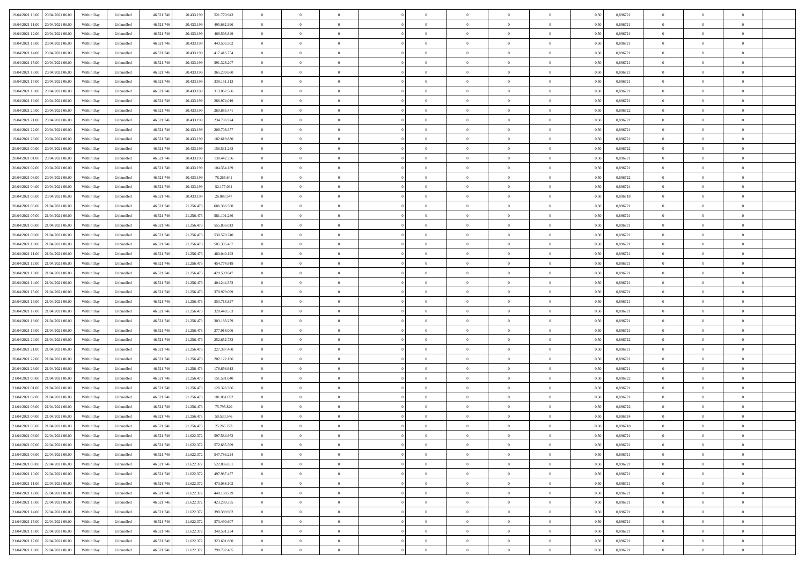| 19/04/2021 10:00 20/04/2021 06:00    | Within Day | Unbundled         | 46.521.74  | 20.433.199 | 521.770.943 | $\overline{0}$ | $\theta$       |                | $\overline{0}$ | $\theta$       |                | $\bf{0}$       | 0,50 | 0,896721 | $\theta$       | $\theta$       | $\overline{0}$ |  |
|--------------------------------------|------------|-------------------|------------|------------|-------------|----------------|----------------|----------------|----------------|----------------|----------------|----------------|------|----------|----------------|----------------|----------------|--|
| 19/04/2021 11:00<br>20/04/2021 06.00 | Within Day | Unbundled         | 46.521.74  | 20.433.19  | 495.682.396 | $\bf{0}$       | $\overline{0}$ | $\bf{0}$       | $\overline{0}$ | $\overline{0}$ | $\overline{0}$ | $\bf{0}$       | 0,50 | 0,896721 | $\,$ 0 $\,$    | $\bf{0}$       | $\overline{0}$ |  |
| 19/04/2021 12:00<br>20/04/2021 06:00 | Within Day | Unbundled         | 46.521.746 | 20.433.199 | 469.593.849 | $\overline{0}$ | $\bf{0}$       | $\overline{0}$ | $\bf{0}$       | $\bf{0}$       | $\overline{0}$ | $\bf{0}$       | 0.50 | 0.896721 | $\bf{0}$       | $\overline{0}$ | $\overline{0}$ |  |
| 19/04/2021 13:00                     |            |                   | 46.521.74  |            |             | $\overline{0}$ | $\overline{0}$ | $\overline{0}$ | $\theta$       | $\theta$       | $\overline{0}$ | $\bf{0}$       |      | 0,896721 | $\theta$       | $\theta$       | $\overline{0}$ |  |
| 20/04/2021 06:00                     | Within Day | Unbundled         |            | 20.433.199 | 443.505.302 |                |                |                |                |                |                |                | 0,50 |          |                |                |                |  |
| 19/04/2021 14:00<br>20/04/2021 06.00 | Within Day | Unbundled         | 46.521.74  | 20.433.19  | 417.416.754 | $\bf{0}$       | $\overline{0}$ | $\bf{0}$       | $\overline{0}$ | $\theta$       | $\overline{0}$ | $\bf{0}$       | 0,50 | 0,896721 | $\,$ 0 $\,$    | $\bf{0}$       | $\overline{0}$ |  |
| 19/04/2021 15:00<br>20/04/2021 06:00 | Within Day | Unbundled         | 46.521.746 | 20.433.199 | 391.328.207 | $\overline{0}$ | $\overline{0}$ | $\overline{0}$ | $\bf{0}$       | $\overline{0}$ | $\theta$       | $\bf{0}$       | 0.50 | 0.896721 | $\,$ 0 $\,$    | $\theta$       | $\overline{0}$ |  |
| 19/04/2021 16:00<br>20/04/2021 06:00 | Within Day | Unbundled         | 46.521.74  | 20.433.199 | 365.239.660 | $\overline{0}$ | $\overline{0}$ | $\overline{0}$ | $\overline{0}$ | $\overline{0}$ | $\overline{0}$ | $\bf{0}$       | 0,50 | 0,896721 | $\theta$       | $\theta$       | $\overline{0}$ |  |
|                                      |            |                   |            |            |             |                |                |                |                |                |                |                |      |          |                |                |                |  |
| 19/04/2021 17:00<br>20/04/2021 06.00 | Within Day | Unbundled         | 46.521.74  | 20.433.19  | 339.151.113 | $\bf{0}$       | $\overline{0}$ | $\overline{0}$ | $\overline{0}$ | $\overline{0}$ | $\overline{0}$ | $\bf{0}$       | 0,50 | 0,896721 | $\,$ 0 $\,$    | $\bf{0}$       | $\overline{0}$ |  |
| 19/04/2021 18:00<br>20/04/2021 06:00 | Within Day | Unbundled         | 46.521.74  | 20.433.199 | 313,062,566 | $\overline{0}$ | $\bf{0}$       | $\overline{0}$ | $\bf{0}$       | $\overline{0}$ | $\overline{0}$ | $\bf{0}$       | 0.50 | 0.896721 | $\bf{0}$       | $\overline{0}$ | $\overline{0}$ |  |
| 19/04/2021 19:00<br>20/04/2021 06:00 | Within Day | Unbundled         | 46.521.74  | 20.433.199 | 286.974.019 | $\overline{0}$ | $\bf{0}$       | $\overline{0}$ | $\overline{0}$ | $\overline{0}$ | $\overline{0}$ | $\bf{0}$       | 0,50 | 0,896721 | $\,$ 0 $\,$    | $\theta$       | $\overline{0}$ |  |
| 19/04/2021 20:00<br>20/04/2021 06.00 | Within Day | Unbundled         | 46.521.74  | 20.433.19  | 260.885.471 | $\bf{0}$       | $\overline{0}$ | $\bf{0}$       | $\overline{0}$ | $\bf{0}$       | $\overline{0}$ | $\bf{0}$       | 0,50 | 0,896722 | $\,$ 0 $\,$    | $\bf{0}$       | $\overline{0}$ |  |
|                                      |            |                   |            |            |             |                |                |                |                |                |                |                |      |          |                |                |                |  |
| 19/04/2021 21:00<br>20/04/2021 06:00 | Within Day | Unbundled         | 46.521.746 | 20.433.199 | 234,796,924 | $\overline{0}$ | $\bf{0}$       | $\overline{0}$ | $\bf{0}$       | $\bf{0}$       | $\overline{0}$ | $\bf{0}$       | 0.50 | 0.896721 | $\bf{0}$       | $\overline{0}$ | $\bf{0}$       |  |
| 19/04/2021 22:00<br>20/04/2021 06:00 | Within Day | Unbundled         | 46.521.74  | 20.433.199 | 208.708.377 | $\overline{0}$ | $\overline{0}$ | $\overline{0}$ | $\overline{0}$ | $\theta$       | $\overline{0}$ | $\overline{0}$ | 0,50 | 0,896721 | $\theta$       | $\theta$       | $\overline{0}$ |  |
| 19/04/2021 23:00<br>20/04/2021 06.00 | Within Day | Unbundled         | 46.521.74  | 20.433.19  | 182.619.830 | $\bf{0}$       | $\overline{0}$ | $\bf{0}$       | $\overline{0}$ | $\theta$       | $\overline{0}$ | $\bf{0}$       | 0,50 | 0,896721 | $\bf{0}$       | $\bf{0}$       | $\overline{0}$ |  |
|                                      |            |                   |            |            |             |                |                |                |                |                |                |                |      |          |                |                |                |  |
| 20/04/2021 00:00<br>20/04/2021 06:00 | Within Day | Unbundled         | 46.521.74  | 20.433.199 | 156.531.283 | $\overline{0}$ | $\overline{0}$ | $\overline{0}$ | $\bf{0}$       | $\overline{0}$ | $\Omega$       | $\bf{0}$       | 0.50 | 0,896722 | $\,$ 0 $\,$    | $\theta$       | $\overline{0}$ |  |
| 20/04/2021 01:00<br>20/04/2021 06:00 | Within Day | Unbundled         | 46.521.74  | 20.433.199 | 130.442.736 | $\overline{0}$ | $\overline{0}$ | $\overline{0}$ | $\overline{0}$ | $\overline{0}$ | $\overline{0}$ | $\bf{0}$       | 0,50 | 0,896721 | $\theta$       | $\theta$       | $\overline{0}$ |  |
| 20/04/2021 02:00<br>20/04/2021 06.00 | Within Day | Unbundled         | 46.521.74  | 20.433.19  | 104.354.189 | $\bf{0}$       | $\overline{0}$ | $\overline{0}$ | $\overline{0}$ | $\bf{0}$       | $\overline{0}$ | $\bf{0}$       | 0,50 | 0,896721 | $\,$ 0 $\,$    | $\bf{0}$       | $\overline{0}$ |  |
| 20/04/2021 03:00<br>20/04/2021 06:00 | Within Day | Unbundled         | 46.521.74  | 20.433.199 | 78.265.641  | $\overline{0}$ | $\bf{0}$       | $\overline{0}$ | $\bf{0}$       | $\overline{0}$ | $\overline{0}$ | $\bf{0}$       | 0.50 | 0.896722 | $\bf{0}$       | $\overline{0}$ | $\overline{0}$ |  |
| 20/04/2021 04:00<br>20/04/2021 06:00 | Within Day | Unbundled         | 46.521.74  | 20.433.199 | 52.177.094  | $\overline{0}$ | $\overline{0}$ | $\overline{0}$ | $\overline{0}$ | $\overline{0}$ | $\overline{0}$ | $\bf{0}$       | 0,50 | 0,896724 | $\,$ 0 $\,$    | $\theta$       | $\overline{0}$ |  |
|                                      |            |                   |            |            |             |                |                |                |                |                |                |                |      |          |                |                |                |  |
| 20/04/2021 05:00<br>20/04/2021 06.00 | Within Day | Unbundled         | 46.521.74  | 20.433.19  | 26.088.547  | $\bf{0}$       | $\bf{0}$       | $\bf{0}$       | $\bf{0}$       | $\overline{0}$ | $\overline{0}$ | $\bf{0}$       | 0,50 | 0,896718 | $\,$ 0 $\,$    | $\bf{0}$       | $\overline{0}$ |  |
| 20/04/2021 06:00<br>21/04/2021 06:00 | Within Day | Unbundled         | 46.521.746 | 21.256.47  | 606,366,560 | $\overline{0}$ | $\bf{0}$       | $\overline{0}$ | $\bf{0}$       | $\bf{0}$       | $\overline{0}$ | $\bf{0}$       | 0.50 | 0.896721 | $\bf{0}$       | $\overline{0}$ | $\bf{0}$       |  |
| 20/04/2021 07:00<br>21/04/2021 06:00 | Within Day | Unbundled         | 46.521.74  | 21.256.473 | 581.101.286 | $\overline{0}$ | $\overline{0}$ | $\overline{0}$ | $\theta$       | $\theta$       | $\overline{0}$ | $\bf{0}$       | 0,50 | 0,896721 | $\theta$       | $\theta$       | $\overline{0}$ |  |
|                                      |            |                   |            |            |             |                | $\overline{0}$ |                |                | $\bf{0}$       | $\overline{0}$ |                |      |          | $\,$ 0 $\,$    | $\bf{0}$       | $\overline{0}$ |  |
| 20/04/2021 08:00<br>21/04/2021 06.00 | Within Day | Unbundled         | 46.521.74  | 21.256.47  | 555.836.013 | $\bf{0}$       |                | $\bf{0}$       | $\bf{0}$       |                |                | $\bf{0}$       | 0,50 | 0,896721 |                |                |                |  |
| 20/04/2021 09:00<br>21/04/2021 06:00 | Within Day | Unbundled         | 46.521.74  | 21.256.47  | 530.570.740 | $\overline{0}$ | $\overline{0}$ | $\overline{0}$ | $\overline{0}$ | $\overline{0}$ | $\Omega$       | $\bf{0}$       | 0.50 | 0.896721 | $\,$ 0 $\,$    | $\theta$       | $\overline{0}$ |  |
| 20/04/2021 10:00<br>21/04/2021 06:00 | Within Day | Unbundled         | 46.521.74  | 21.256.473 | 505.305.467 | $\overline{0}$ | $\overline{0}$ | $\overline{0}$ | $\overline{0}$ | $\theta$       | $\overline{0}$ | $\bf{0}$       | 0,50 | 0,896721 | $\theta$       | $\theta$       | $\overline{0}$ |  |
| 20/04/2021 11:00<br>21/04/2021 06.00 | Within Day | Unbundled         | 46.521.74  | 21.256.47  | 480.040.193 | $\bf{0}$       | $\theta$       | $\bf{0}$       | $\overline{0}$ | $\theta$       | $\overline{0}$ | $\bf{0}$       | 0,50 | 0,896721 | $\,$ 0 $\,$    | $\bf{0}$       | $\overline{0}$ |  |
| 20/04/2021 12:00<br>21/04/2021 06:00 | Within Day | Unbundled         | 46.521.74  | 21.256.47  | 454.774.919 | $\overline{0}$ | $\bf{0}$       | $\overline{0}$ | $\bf{0}$       | $\overline{0}$ | $\overline{0}$ | $\bf{0}$       | 0.50 | 0.896721 | $\bf{0}$       | $\overline{0}$ | $\overline{0}$ |  |
|                                      |            |                   |            |            |             |                |                |                |                |                |                |                |      |          |                |                |                |  |
| 20/04/2021 13:00<br>21/04/2021 06:00 | Within Day | Unbundled         | 46.521.74  | 21.256.473 | 429.509.647 | $\overline{0}$ | $\overline{0}$ | $\overline{0}$ | $\theta$       | $\overline{0}$ | $\overline{0}$ | $\bf{0}$       | 0,50 | 0,896721 | $\theta$       | $\theta$       | $\overline{0}$ |  |
| 20/04/2021 14:00<br>21/04/2021 06.00 | Within Day | Unbundled         | 46.521.74  | 21.256.47  | 404.244.373 | $\bf{0}$       | $\bf{0}$       | $\bf{0}$       | $\bf{0}$       | $\overline{0}$ | $\overline{0}$ | $\bf{0}$       | 0,50 | 0,896721 | $\,$ 0 $\,$    | $\bf{0}$       | $\overline{0}$ |  |
| 20/04/2021 15:00<br>21/04/2021 06:00 | Within Day | Unbundled         | 46.521.746 | 21.256.47  | 378.979.099 | $\overline{0}$ | $\bf{0}$       | $\overline{0}$ | $\bf{0}$       | $\bf{0}$       | $\overline{0}$ | $\bf{0}$       | 0.50 | 0.896721 | $\bf{0}$       | $\overline{0}$ | $\bf{0}$       |  |
| 20/04/2021 16:00<br>21/04/2021 06:00 | Within Day | Unbundled         | 46.521.74  | 21.256.47  | 353,713,827 | $\overline{0}$ | $\overline{0}$ | $\overline{0}$ | $\overline{0}$ | $\overline{0}$ | $\overline{0}$ | $\bf{0}$       | 0.5( | 0,896721 | $\theta$       | $\theta$       | $\overline{0}$ |  |
|                                      |            |                   |            |            |             |                |                |                |                |                |                |                |      |          |                |                |                |  |
| 20/04/2021 17:00<br>21/04/2021 06.00 | Within Day | Unbundled         | 46.521.74  | 21.256.47  | 328.448.553 | $\bf{0}$       | $\overline{0}$ | $\bf{0}$       | $\bf{0}$       | $\overline{0}$ | $\overline{0}$ | $\bf{0}$       | 0,50 | 0,896721 | $\,$ 0 $\,$    | $\bf{0}$       | $\overline{0}$ |  |
| 20/04/2021 18:00<br>21/04/2021 06:00 | Within Day | Unbundled         | 46.521.74  | 21.256.47  | 303.183.279 | $\overline{0}$ | $\overline{0}$ | $\overline{0}$ | $\bf{0}$       | $\overline{0}$ | $\Omega$       | $\bf{0}$       | 0.50 | 0,896721 | $\,$ 0 $\,$    | $\theta$       | $\overline{0}$ |  |
| 20/04/2021 19:00<br>21/04/2021 06:00 | Within Dav | Unbundled         | 46.521.74  | 21.256.473 | 277.918.006 | $\overline{0}$ | $\overline{0}$ | $\overline{0}$ | $\overline{0}$ | $\overline{0}$ | $\overline{0}$ | $\overline{0}$ | 0.5( | 0,896721 | $\theta$       | $\theta$       | $\overline{0}$ |  |
| 20/04/2021 20:00<br>21/04/2021 06.00 | Within Day | Unbundled         | 46.521.74  | 21.256.47  | 252.652.733 | $\bf{0}$       | $\overline{0}$ | $\bf{0}$       | $\overline{0}$ | $\bf{0}$       | $\overline{0}$ | $\bf{0}$       | 0,50 | 0,896722 | $\,$ 0 $\,$    | $\bf{0}$       | $\overline{0}$ |  |
| 21/04/2021 06:00                     |            | Unbundled         | 46.521.74  |            | 227.387.460 |                | $\bf{0}$       | $\overline{0}$ |                | $\overline{0}$ | $\overline{0}$ |                | 0.50 | 0.896721 | $\bf{0}$       | $\overline{0}$ | $\overline{0}$ |  |
| 20/04/2021 21:00                     | Within Day |                   |            | 21.256.47  |             | $\overline{0}$ |                |                | $\bf{0}$       |                |                | $\bf{0}$       |      |          |                |                |                |  |
| 20/04/2021 22:00<br>21/04/2021 06:00 | Within Dav | Unbundled         | 46.521.74  | 21.256.47  | 202.122.186 | $\overline{0}$ | $\overline{0}$ | $\overline{0}$ | $\overline{0}$ | $\overline{0}$ | $\overline{0}$ | $\overline{0}$ | 0.50 | 0,896721 | $\theta$       | $\theta$       | $\overline{0}$ |  |
| 20/04/2021 23:00<br>21/04/2021 06.00 | Within Day | Unbundled         | 46.521.74  | 21.256.47  | 176.856.913 | $\bf{0}$       | $\bf{0}$       | $\bf{0}$       | $\bf{0}$       | $\overline{0}$ | $\overline{0}$ | $\bf{0}$       | 0,50 | 0,896721 | $\,$ 0 $\,$    | $\bf{0}$       | $\overline{0}$ |  |
| 21/04/2021 00:00<br>21/04/2021 06:00 | Within Day | Unbundled         | 46.521.746 | 21.256.47  | 151.591.640 | $\overline{0}$ | $\bf{0}$       | $\overline{0}$ | $\bf{0}$       | $\bf{0}$       | $\overline{0}$ | $\bf{0}$       | 0.50 | 0.896722 | $\bf{0}$       | $\overline{0}$ | $\overline{0}$ |  |
| 21/04/2021 01:00<br>21/04/2021 06:00 | Within Dav | Unbundled         | 46.521.74  | 21.256.473 | 126,326,366 | $\overline{0}$ | $\overline{0}$ | $\overline{0}$ | $\overline{0}$ | $\theta$       | $\overline{0}$ | $\bf{0}$       | 0.50 | 0,896721 | $\theta$       | $\theta$       | $\overline{0}$ |  |
|                                      |            |                   |            |            |             |                |                |                |                |                |                |                |      |          |                |                |                |  |
| 21/04/2021 02:00<br>21/04/2021 06.00 | Within Day | Unbundled         | 46.521.74  | 21.256.47  | 101.061.092 | $\bf{0}$       | $\overline{0}$ | $\bf{0}$       | $\bf{0}$       | $\,$ 0 $\,$    | $\overline{0}$ | $\bf{0}$       | 0,50 | 0,896721 | $\,$ 0 $\,$    | $\bf{0}$       | $\overline{0}$ |  |
| 21/04/2021 03:00<br>21/04/2021 06:00 | Within Day | Unbundled         | 46.521.74  | 21.256.47  | 75.795.820  | $\overline{0}$ | $\overline{0}$ | $\Omega$       | $\overline{0}$ | $\bf{0}$       | $\Omega$       | $\bf{0}$       | 0.50 | 0,896722 | $\bf{0}$       | $\theta$       | $\overline{0}$ |  |
| 21/04/2021 04:00<br>21/04/2021 06:00 | Within Dav | Unbundled         | 46.521.74  | 21.256.47  | 50.530.546  | $\overline{0}$ | $\overline{0}$ | $\Omega$       | $\overline{0}$ | $\theta$       | $\Omega$       | $\overline{0}$ | 0.5( | 0,896724 | $\theta$       | $\theta$       | $\overline{0}$ |  |
| 21/04/2021 05:00<br>21/04/2021 06:00 | Within Day | Unbundled         | 46.521.74  | 21.256.473 | 25.265.273  | $\bf{0}$       | $\bf{0}$       | $\overline{0}$ | $\bf{0}$       | $\bf{0}$       | $\overline{0}$ | $\bf{0}$       | 0,50 | 0,896718 | $\,$ 0 $\,$    | $\bf{0}$       | $\overline{0}$ |  |
| 21/04/2021 06:00 22/04/2021 06:00    |            |                   |            |            |             |                |                |                |                |                |                |                |      |          |                |                |                |  |
|                                      | Within Day | ${\sf Unbundred}$ | 46.521.746 | 21.622.372 | 597.584.972 | $\overline{0}$ | $\theta$       |                | $\overline{0}$ |                |                |                | 0,50 | 0,896721 | $\bf{0}$       | $\bf{0}$       |                |  |
| 21/04/2021 07:00 22/04/2021 06:00    | Within Day | Unbundled         | 46.521.746 | 21.622.372 | 572.685.599 | $\overline{0}$ | $\theta$       | $\Omega$       | $\theta$       | $\overline{0}$ | $\overline{0}$ | $\bf{0}$       | 0,50 | 0,896721 | $\theta$       | $\theta$       | $\overline{0}$ |  |
| 21/04/2021 08:00<br>22/04/2021 06:00 | Within Day | Unbundled         | 46.521.74  | 21.622.37  | 547.786.224 | $\overline{0}$ | $\bf{0}$       | $\overline{0}$ | $\overline{0}$ | $\bf{0}$       | $\overline{0}$ | $\bf{0}$       | 0,50 | 0,896721 | $\bf{0}$       | $\overline{0}$ | $\bf{0}$       |  |
| 21/04/2021 09:00 22/04/2021 06:00    | Within Day | Unbundled         | 46.521.746 | 21.622.372 | 522.886.851 | $\overline{0}$ | $\bf{0}$       | $\overline{0}$ | $\overline{0}$ | $\mathbf{0}$   | $\overline{0}$ | $\,$ 0 $\,$    | 0.50 | 0.896721 | $\overline{0}$ | $\bf{0}$       | $\,$ 0 $\,$    |  |
|                                      |            |                   |            |            |             |                | $\overline{0}$ |                |                | $\overline{0}$ |                |                |      |          | $\theta$       | $\theta$       | $\overline{0}$ |  |
| 21/04/2021 10:00 22/04/2021 06:00    | Within Day | Unbundled         | 46.521.746 | 21.622.372 | 497.987.477 | $\overline{0}$ |                | $\overline{0}$ | $\overline{0}$ |                | $\overline{0}$ | $\bf{0}$       | 0,50 | 0,896721 |                |                |                |  |
| 21/04/2021 11:00<br>22/04/2021 06:00 | Within Day | Unbundled         | 46.521.74  | 21.622.372 | 473.088.102 | $\overline{0}$ | $\bf{0}$       | $\overline{0}$ | $\bf{0}$       | $\overline{0}$ | $\bf{0}$       | $\bf{0}$       | 0,50 | 0,896721 | $\bf{0}$       | $\bf{0}$       | $\overline{0}$ |  |
| 21/04/2021 12:00 22/04/2021 06:00    | Within Day | Unbundled         | 46.521.746 | 21.622.372 | 448.188.729 | $\overline{0}$ | $\bf{0}$       | $\overline{0}$ | $\overline{0}$ | $\overline{0}$ | $\overline{0}$ | $\bf{0}$       | 0.50 | 0,896721 | $\,$ 0 $\,$    | $\theta$       | $\,$ 0         |  |
| 21/04/2021 13:00 22/04/2021 06:00    | Within Dav | Unbundled         | 46.521.746 | 21.622.372 | 423.289.355 | $\overline{0}$ | $\overline{0}$ | $\overline{0}$ | $\overline{0}$ | $\overline{0}$ | $\overline{0}$ | $\bf{0}$       | 0.50 | 0,896721 | $\overline{0}$ | $\theta$       | $\overline{0}$ |  |
| 21/04/2021 14:00                     |            |                   |            |            |             |                | $\overline{0}$ |                |                |                |                |                |      |          | $\bf{0}$       |                | $\overline{0}$ |  |
| 22/04/2021 06:00                     | Within Day | Unbundled         | 46.521.74  | 21.622.37  | 398.389.982 | $\overline{0}$ |                | $\overline{0}$ | $\overline{0}$ | $\bf{0}$       | $\overline{0}$ | $\bf{0}$       | 0,50 | 0,896721 |                | $\overline{0}$ |                |  |
| 21/04/2021 15:00 22/04/2021 06:00    | Within Day | Unbundled         | 46.521.746 | 21.622.372 | 373,490,607 | $\overline{0}$ | $\overline{0}$ | $\overline{0}$ | $\overline{0}$ | $\bf{0}$       | $\overline{0}$ | $\bf{0}$       | 0.50 | 0.896721 | $\overline{0}$ | $\bf{0}$       | $\,$ 0         |  |
| 21/04/2021 16:00 22/04/2021 06:00    | Within Dav | Unbundled         | 46.521.746 | 21.622.372 | 348.591.234 | $\overline{0}$ | $\overline{0}$ | $\overline{0}$ | $\overline{0}$ | $\overline{0}$ | $\overline{0}$ | $\bf{0}$       | 0,50 | 0,896721 | $\overline{0}$ | $\theta$       | $\overline{0}$ |  |
| 21/04/2021 17:00<br>22/04/2021 06:00 | Within Day | Unbundled         | 46.521.74  | 21.622.37  | 323.691.860 | $\overline{0}$ | $\bf{0}$       | $\overline{0}$ | $\bf{0}$       | $\overline{0}$ | $\bf{0}$       | $\bf{0}$       | 0,50 | 0,896721 | $\bf{0}$       | $\bf{0}$       | $\overline{0}$ |  |
|                                      |            |                   |            |            |             |                |                |                |                |                |                |                |      |          |                |                |                |  |
| 21/04/2021 18:00 22/04/2021 06:00    | Within Day | Unbundled         | 46.521.746 | 21.622.372 | 298.792.485 | $\overline{0}$ | $\bf{0}$       | $\overline{0}$ | $\overline{0}$ | $\,$ 0 $\,$    | $\overline{0}$ | $\bf{0}$       | 0,50 | 0,896721 | $\overline{0}$ | $\,$ 0 $\,$    | $\,$ 0 $\,$    |  |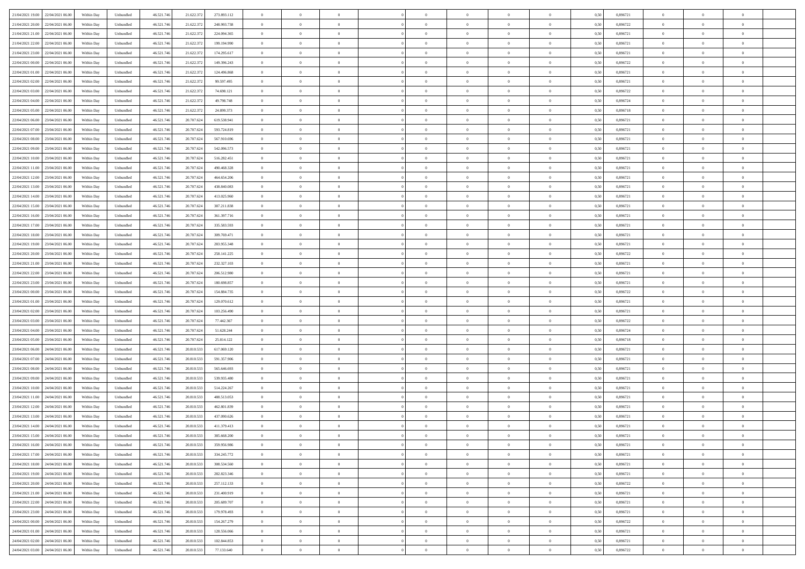|                                              |            |                   |            |            |             | $\overline{0}$ | $\theta$       |                | $\overline{0}$ | $\theta$       |                | $\bf{0}$       |      |          | $\theta$       | $\theta$       | $\overline{0}$ |  |
|----------------------------------------------|------------|-------------------|------------|------------|-------------|----------------|----------------|----------------|----------------|----------------|----------------|----------------|------|----------|----------------|----------------|----------------|--|
| 21/04/2021 19:00 22/04/2021 06:00            | Within Day | Unbundled         | 46.521.74  | 21.622.372 | 273.893.112 |                |                |                |                |                |                |                | 0,50 | 0,896721 |                |                |                |  |
| 21/04/2021 20:00<br>22/04/2021 06.00         | Within Day | Unbundled         | 46.521.74  | 21.622.37  | 248.993.738 | $\bf{0}$       | $\overline{0}$ | $\bf{0}$       | $\overline{0}$ | $\bf{0}$       | $\overline{0}$ | $\bf{0}$       | 0,50 | 0,896722 | $\,$ 0 $\,$    | $\bf{0}$       | $\overline{0}$ |  |
| 21/04/2021 21:00<br>22/04/2021 06:00         | Within Day | Unbundled         | 46.521.746 | 21.622.372 | 224.094.365 | $\overline{0}$ | $\bf{0}$       | $\overline{0}$ | $\bf{0}$       | $\bf{0}$       | $\overline{0}$ | $\bf{0}$       | 0.50 | 0.896721 | $\bf{0}$       | $\overline{0}$ | $\overline{0}$ |  |
| 21/04/2021 22:00<br>22/04/2021 06:00         | Within Day | Unbundled         | 46.521.74  | 21.622.37  | 199.194.990 | $\overline{0}$ | $\overline{0}$ | $\overline{0}$ | $\theta$       | $\theta$       | $\overline{0}$ | $\bf{0}$       | 0,50 | 0,896721 | $\theta$       | $\theta$       | $\overline{0}$ |  |
| 21/04/2021 23:00<br>22/04/2021 06.00         | Within Day | Unbundled         | 46.521.74  | 21.622.37  | 174.295.617 | $\bf{0}$       | $\overline{0}$ | $\bf{0}$       | $\overline{0}$ | $\theta$       | $\overline{0}$ | $\bf{0}$       | 0,50 | 0,896721 | $\,$ 0 $\,$    | $\bf{0}$       | $\overline{0}$ |  |
|                                              |            |                   |            |            |             |                |                |                |                |                |                |                |      |          |                |                |                |  |
| 22/04/2021 00:00<br>22/04/2021 06:00         | Within Day | Unbundled         | 46.521.74  | 21.622.372 | 149.396.243 | $\overline{0}$ | $\overline{0}$ | $\overline{0}$ | $\bf{0}$       | $\overline{0}$ | $\theta$       | $\bf{0}$       | 0.50 | 0.896722 | $\,$ 0 $\,$    | $\theta$       | $\overline{0}$ |  |
| 22/04/2021 01:00<br>22/04/2021 06:00         | Within Day | Unbundled         | 46.521.74  | 21.622.37  | 124.496.868 | $\overline{0}$ | $\overline{0}$ | $\overline{0}$ | $\overline{0}$ | $\overline{0}$ | $\overline{0}$ | $\bf{0}$       | 0,50 | 0,896721 | $\theta$       | $\theta$       | $\overline{0}$ |  |
| 22/04/2021 02:00<br>22/04/2021 06.00         | Within Day | Unbundled         | 46.521.74  | 21.622.37  | 99.597.495  | $\bf{0}$       | $\overline{0}$ | $\overline{0}$ | $\overline{0}$ | $\overline{0}$ | $\overline{0}$ | $\bf{0}$       | 0,50 | 0,896721 | $\,$ 0 $\,$    | $\bf{0}$       | $\overline{0}$ |  |
| 22/04/2021 03:00<br>22/04/2021 06:00         | Within Day | Unbundled         | 46.521.74  | 21.622.37  | 74.698.121  | $\overline{0}$ | $\bf{0}$       | $\overline{0}$ | $\bf{0}$       | $\overline{0}$ | $\overline{0}$ | $\bf{0}$       | 0.50 | 0.896722 | $\bf{0}$       | $\overline{0}$ | $\overline{0}$ |  |
| 22/04/2021 04:00<br>22/04/2021 06:00         | Within Day | Unbundled         | 46.521.74  | 21.622.372 | 49.798.748  | $\overline{0}$ | $\bf{0}$       | $\overline{0}$ | $\overline{0}$ | $\overline{0}$ | $\overline{0}$ | $\bf{0}$       | 0,50 | 0,896724 | $\,$ 0 $\,$    | $\theta$       | $\overline{0}$ |  |
| 22/04/2021 05:00<br>22/04/2021 06.00         | Within Day | Unbundled         | 46.521.74  | 21.622.37  | 24.899.373  | $\bf{0}$       | $\overline{0}$ | $\bf{0}$       | $\overline{0}$ | $\bf{0}$       | $\overline{0}$ | $\bf{0}$       | 0,50 | 0,896718 | $\,$ 0 $\,$    | $\bf{0}$       | $\overline{0}$ |  |
| 22/04/2021 06:00<br>23/04/2021 06:00         | Within Day | Unbundled         | 46.521.746 | 20.707.62  | 619.538.941 | $\overline{0}$ | $\bf{0}$       | $\overline{0}$ | $\bf{0}$       | $\bf{0}$       | $\overline{0}$ | $\bf{0}$       | 0.50 | 0.896721 | $\bf{0}$       | $\overline{0}$ | $\bf{0}$       |  |
|                                              |            |                   |            |            |             | $\overline{0}$ | $\overline{0}$ | $\overline{0}$ | $\overline{0}$ | $\theta$       | $\overline{0}$ | $\overline{0}$ |      |          | $\,$ 0 $\,$    | $\theta$       | $\overline{0}$ |  |
| 22/04/2021 07:00<br>23/04/2021 06:00         | Within Day | Unbundled         | 46.521.74  | 20.707.624 | 593.724.819 |                |                |                |                |                |                |                | 0,50 | 0,896721 |                |                |                |  |
| 22/04/2021 08:00<br>23/04/2021 06.00         | Within Day | Unbundled         | 46.521.74  | 20.707.62  | 567.910.696 | $\bf{0}$       | $\theta$       | $\bf{0}$       | $\overline{0}$ | $\theta$       | $\overline{0}$ | $\bf{0}$       | 0,50 | 0,896721 | $\bf{0}$       | $\bf{0}$       | $\overline{0}$ |  |
| 22/04/2021 09:00<br>23/04/2021 06:00         | Within Day | Unbundled         | 46.521.74  | 20.707.62  | 542.096.573 | $\overline{0}$ | $\overline{0}$ | $\overline{0}$ | $\bf{0}$       | $\overline{0}$ | $\Omega$       | $\bf{0}$       | 0.50 | 0,896721 | $\,$ 0 $\,$    | $\theta$       | $\overline{0}$ |  |
| 22/04/2021 10:00<br>23/04/2021 06:00         | Within Day | Unbundled         | 46.521.74  | 20.707.624 | 516.282.451 | $\overline{0}$ | $\overline{0}$ | $\overline{0}$ | $\overline{0}$ | $\overline{0}$ | $\overline{0}$ | $\bf{0}$       | 0,50 | 0,896721 | $\theta$       | $\theta$       | $\overline{0}$ |  |
| 22/04/2021 11:00<br>23/04/2021 06.00         | Within Day | Unbundled         | 46.521.74  | 20.707.62  | 490.468.328 | $\bf{0}$       | $\overline{0}$ | $\overline{0}$ | $\overline{0}$ | $\bf{0}$       | $\overline{0}$ | $\bf{0}$       | 0,50 | 0,896721 | $\,$ 0 $\,$    | $\bf{0}$       | $\overline{0}$ |  |
| 22/04/2021 12:00<br>23/04/2021 06:00         | Within Day | Unbundled         | 46.521.74  | 20,707.62  | 464.654.206 | $\overline{0}$ | $\bf{0}$       | $\overline{0}$ | $\bf{0}$       | $\overline{0}$ | $\overline{0}$ | $\bf{0}$       | 0.50 | 0.896721 | $\bf{0}$       | $\overline{0}$ | $\overline{0}$ |  |
| 22/04/2021 13:00<br>23/04/2021 06:00         | Within Day | Unbundled         | 46.521.74  | 20.707.624 | 438.840.083 | $\overline{0}$ | $\overline{0}$ | $\overline{0}$ | $\overline{0}$ | $\overline{0}$ | $\overline{0}$ | $\bf{0}$       | 0,50 | 0,896721 | $\,$ 0 $\,$    | $\theta$       | $\overline{0}$ |  |
| 22/04/2021 14:00<br>23/04/2021 06.00         | Within Day | Unbundled         | 46.521.74  | 20.707.62  | 413.025.960 | $\bf{0}$       | $\overline{0}$ | $\bf{0}$       | $\bf{0}$       | $\overline{0}$ | $\overline{0}$ | $\bf{0}$       | 0,50 | 0,896721 | $\,$ 0 $\,$    | $\bf{0}$       | $\overline{0}$ |  |
|                                              |            |                   |            |            |             |                |                |                |                |                |                |                |      |          |                |                |                |  |
| 22/04/2021 15:00<br>23/04/2021 06:00         | Within Day | Unbundled         | 46.521.746 | 20.707.624 | 387.211.838 | $\overline{0}$ | $\bf{0}$       | $\overline{0}$ | $\bf{0}$       | $\bf{0}$       | $\overline{0}$ | $\bf{0}$       | 0.50 | 0.896721 | $\bf{0}$       | $\overline{0}$ | $\bf{0}$       |  |
| 22/04/2021 16:00<br>23/04/2021 06:00         | Within Day | Unbundled         | 46.521.74  | 20.707.624 | 361.397.716 | $\overline{0}$ | $\overline{0}$ | $\overline{0}$ | $\theta$       | $\theta$       | $\overline{0}$ | $\bf{0}$       | 0,50 | 0,896721 | $\theta$       | $\theta$       | $\overline{0}$ |  |
| 22/04/2021 17:00<br>23/04/2021 06.00         | Within Day | Unbundled         | 46.521.74  | 20.707.624 | 335.583.593 | $\bf{0}$       | $\overline{0}$ | $\bf{0}$       | $\bf{0}$       | $\bf{0}$       | $\overline{0}$ | $\bf{0}$       | 0,50 | 0,896721 | $\,$ 0 $\,$    | $\bf{0}$       | $\overline{0}$ |  |
| 22/04/2021 18:00<br>23/04/2021 06:00         | Within Day | Unbundled         | 46.521.74  | 20,707.62  | 309.769.471 | $\overline{0}$ | $\overline{0}$ | $\overline{0}$ | $\overline{0}$ | $\overline{0}$ | $\Omega$       | $\bf{0}$       | 0.50 | 0.896721 | $\,$ 0 $\,$    | $\theta$       | $\overline{0}$ |  |
| 22/04/2021 19:00<br>23/04/2021 06:00         | Within Day | Unbundled         | 46.521.74  | 20.707.624 | 283.955.348 | $\overline{0}$ | $\overline{0}$ | $\overline{0}$ | $\overline{0}$ | $\overline{0}$ | $\overline{0}$ | $\bf{0}$       | 0,50 | 0,896721 | $\theta$       | $\theta$       | $\overline{0}$ |  |
| 22/04/2021 20:00<br>23/04/2021 06.00         | Within Day | Unbundled         | 46.521.74  | 20.707.62  | 258.141.225 | $\bf{0}$       | $\theta$       | $\bf{0}$       | $\overline{0}$ | $\theta$       | $\overline{0}$ | $\bf{0}$       | 0,50 | 0,896722 | $\,$ 0 $\,$    | $\bf{0}$       | $\overline{0}$ |  |
| 22/04/2021 21:00<br>23/04/2021 06:00         | Within Day | Unbundled         | 46.521.74  | 20,707.62  | 232.327.103 | $\overline{0}$ | $\bf{0}$       | $\overline{0}$ | $\bf{0}$       | $\overline{0}$ | $\overline{0}$ | $\bf{0}$       | 0.50 | 0.896721 | $\bf{0}$       | $\overline{0}$ | $\overline{0}$ |  |
| 22/04/2021 22:00<br>23/04/2021 06:00         |            |                   | 46.521.74  |            |             | $\overline{0}$ | $\overline{0}$ | $\overline{0}$ | $\overline{0}$ | $\overline{0}$ | $\overline{0}$ |                |      |          | $\theta$       | $\theta$       | $\overline{0}$ |  |
|                                              | Within Day | Unbundled         |            | 20.707.624 | 206.512.980 |                |                |                |                |                |                | $\bf{0}$       | 0,50 | 0,896721 |                |                |                |  |
| 22/04/2021 23:00<br>23/04/2021 06.00         | Within Day | Unbundled         | 46.521.74  | 20.707.624 | 180.698.857 | $\bf{0}$       | $\bf{0}$       | $\bf{0}$       | $\bf{0}$       | $\overline{0}$ | $\overline{0}$ | $\bf{0}$       | 0,50 | 0,896721 | $\,$ 0 $\,$    | $\bf{0}$       | $\overline{0}$ |  |
| 23/04/2021 00:00<br>23/04/2021 06:00         | Within Day | Unbundled         | 46.521.746 | 20,707.624 | 154,884,735 | $\overline{0}$ | $\bf{0}$       | $\overline{0}$ | $\bf{0}$       | $\bf{0}$       | $\overline{0}$ | $\bf{0}$       | 0.50 | 0.896722 | $\bf{0}$       | $\overline{0}$ | $\overline{0}$ |  |
| 23/04/2021 01:00<br>23/04/2021 06:00         | Within Day | Unbundled         | 46.521.74  | 20.707.62  | 129.070.612 | $\overline{0}$ | $\overline{0}$ | $\overline{0}$ | $\overline{0}$ | $\overline{0}$ | $\overline{0}$ | $\bf{0}$       | 0.5( | 0,896721 | $\theta$       | $\theta$       | $\overline{0}$ |  |
| 23/04/2021 02:00<br>23/04/2021 06.00         | Within Day | Unbundled         | 46.521.74  | 20.707.62  | 103.256.490 | $\bf{0}$       | $\overline{0}$ | $\bf{0}$       | $\overline{0}$ | $\overline{0}$ | $\overline{0}$ | $\bf{0}$       | 0,50 | 0,896721 | $\,$ 0 $\,$    | $\bf{0}$       | $\overline{0}$ |  |
| 23/04/2021 03:00<br>23/04/2021 06:00         | Within Day | Unbundled         | 46.521.74  | 20.707.62  | 77.442.367  | $\overline{0}$ | $\overline{0}$ | $\overline{0}$ | $\bf{0}$       | $\overline{0}$ | $\Omega$       | $\bf{0}$       | 0.50 | 0.896722 | $\,$ 0 $\,$    | $\theta$       | $\overline{0}$ |  |
| 23/04/2021 04:00<br>23/04/2021 06:00         | Within Dav | Unbundled         | 46.521.74  | 20.707.624 | 51.628.244  | $\overline{0}$ | $\overline{0}$ | $\overline{0}$ | $\overline{0}$ | $\overline{0}$ | $\overline{0}$ | $\overline{0}$ | 0.5( | 0,896724 | $\theta$       | $\theta$       | $\overline{0}$ |  |
| 23/04/2021 05:00<br>23/04/2021 06.00         | Within Day | Unbundled         | 46.521.74  | 20.707.62  | 25.814.122  | $\bf{0}$       | $\overline{0}$ | $\bf{0}$       | $\overline{0}$ | $\bf{0}$       | $\overline{0}$ | $\bf{0}$       | 0,50 | 0,896718 | $\,$ 0 $\,$    | $\bf{0}$       | $\overline{0}$ |  |
| 23/04/2021 06:00<br>24/04/2021 06:00         | Within Day | Unbundled         | 46.521.74  | 20.810.53  | 617.069.120 | $\overline{0}$ | $\bf{0}$       | $\overline{0}$ | $\bf{0}$       | $\overline{0}$ | $\overline{0}$ | $\bf{0}$       | 0.50 | 0.896721 | $\bf{0}$       | $\overline{0}$ | $\overline{0}$ |  |
|                                              |            |                   |            |            |             |                |                |                |                |                |                |                |      |          |                |                |                |  |
| 23/04/2021 07:00<br>24/04/2021 06:00         | Within Dav | Unbundled         | 46.521.74  | 20.810.53  | 591.357.906 | $\overline{0}$ | $\overline{0}$ | $\overline{0}$ | $\overline{0}$ | $\overline{0}$ | $\overline{0}$ | $\overline{0}$ | 0.50 | 0,896721 | $\theta$       | $\theta$       | $\overline{0}$ |  |
| 23/04/2021 08:00<br>24/04/2021 06.00         | Within Day | Unbundled         | 46.521.74  | 20.810.53  | 565.646.693 | $\bf{0}$       | $\bf{0}$       | $\bf{0}$       | $\bf{0}$       | $\overline{0}$ | $\overline{0}$ | $\bf{0}$       | 0,50 | 0,896721 | $\,$ 0 $\,$    | $\bf{0}$       | $\overline{0}$ |  |
| 23/04/2021 09:00<br>24/04/2021 06:00         | Within Day | Unbundled         | 46.521.746 | 20.810.53  | 539.935.480 | $\overline{0}$ | $\bf{0}$       | $\overline{0}$ | $\bf{0}$       | $\bf{0}$       | $\overline{0}$ | $\bf{0}$       | 0.50 | 0.896721 | $\bf{0}$       | $\overline{0}$ | $\overline{0}$ |  |
| 23/04/2021 10:00<br>24/04/2021 06:00         | Within Day | Unbundled         | 46.521.74  | 20.810.533 | 514.224.267 | $\overline{0}$ | $\overline{0}$ | $\overline{0}$ | $\overline{0}$ | $\overline{0}$ | $\overline{0}$ | $\bf{0}$       | 0.50 | 0,896721 | $\theta$       | $\theta$       | $\overline{0}$ |  |
| 23/04/2021 11:00<br>24/04/2021 06.00         | Within Day | Unbundled         | 46.521.74  | 20.810.53  | 488.513.053 | $\bf{0}$       | $\overline{0}$ | $\bf{0}$       | $\bf{0}$       | $\overline{0}$ | $\overline{0}$ | $\bf{0}$       | 0,50 | 0,896721 | $\,$ 0 $\,$    | $\bf{0}$       | $\overline{0}$ |  |
| 23/04/2021 12:00<br>24/04/2021 06:00         | Within Day | Unbundled         | 46.521.74  | 20.810.53  | 462.801.839 | $\overline{0}$ | $\overline{0}$ | $\Omega$       | $\overline{0}$ | $\overline{0}$ | $\Omega$       | $\bf{0}$       | 0.50 | 0,896721 | $\bf{0}$       | $\theta$       | $\overline{0}$ |  |
| 23/04/2021 13:00<br>24/04/2021 06:00         | Within Dav | Unbundled         | 46.521.74  | 20.810.53  | 437.090.626 | $\overline{0}$ | $\overline{0}$ | $\Omega$       | $\overline{0}$ | $\theta$       | $\Omega$       | $\overline{0}$ | 0.5( | 0,896721 | $\theta$       | $\theta$       | $\overline{0}$ |  |
| 23/04/2021 14:00<br>24/04/2021 06:00         | Within Day | Unbundled         | 46.521.74  | 20.810.53  | 411.379.413 | $\bf{0}$       | $\bf{0}$       | $\overline{0}$ | $\bf{0}$       | $\bf{0}$       | $\overline{0}$ | $\bf{0}$       | 0,50 | 0,896721 | $\,$ 0 $\,$    | $\bf{0}$       | $\overline{0}$ |  |
| $23/04/2021\ 15.00 \qquad 24/04/2021\ 06.00$ | Within Day | ${\sf Unbundred}$ | 46.521.746 | 20.810.533 | 385 668 200 | $\bf{0}$       | $\theta$       |                | $\overline{0}$ |                |                |                | 0,50 | 0.896721 | $\bf{0}$       | $\bf{0}$       |                |  |
|                                              |            |                   |            |            |             |                |                |                |                |                |                |                |      |          |                |                |                |  |
| 23/04/2021 16:00 24/04/2021 06:00            | Within Day | Unbundled         | 46.521.746 | 20.810.533 | 359.956.986 | $\overline{0}$ | $\theta$       | $\Omega$       | $\theta$       | $\overline{0}$ | $\overline{0}$ | $\bf{0}$       | 0,50 | 0,896721 | $\theta$       | $\theta$       | $\overline{0}$ |  |
| 23/04/2021 17:00<br>24/04/2021 06:00         | Within Day | Unbundled         | 46.521.74  | 20.810.533 | 334.245.772 | $\overline{0}$ | $\bf{0}$       | $\overline{0}$ | $\overline{0}$ | $\bf{0}$       | $\overline{0}$ | $\bf{0}$       | 0,50 | 0,896721 | $\bf{0}$       | $\overline{0}$ | $\bf{0}$       |  |
| 23/04/2021 18:00 24/04/2021 06:00            | Within Day | Unbundled         | 46.521.746 | 20.810.533 | 308,534,560 | $\overline{0}$ | $\bf{0}$       | $\overline{0}$ | $\overline{0}$ | $\overline{0}$ | $\overline{0}$ | $\,$ 0 $\,$    | 0.50 | 0.896721 | $\overline{0}$ | $\bf{0}$       | $\,$ 0 $\,$    |  |
| 23/04/2021 19:00 24/04/2021 06:00            | Within Day | Unbundled         | 46.521.746 | 20.810.533 | 282.823.346 | $\overline{0}$ | $\overline{0}$ | $\overline{0}$ | $\overline{0}$ | $\overline{0}$ | $\overline{0}$ | $\bf{0}$       | 0,50 | 0,896721 | $\theta$       | $\theta$       | $\overline{0}$ |  |
| 23/04/2021 20:00<br>24/04/2021 06:00         | Within Day | Unbundled         | 46.521.74  | 20.810.533 | 257.112.133 | $\overline{0}$ | $\bf{0}$       | $\overline{0}$ | $\bf{0}$       | $\overline{0}$ | $\overline{0}$ | $\bf{0}$       | 0,50 | 0,896722 | $\bf{0}$       | $\bf{0}$       | $\overline{0}$ |  |
| 23/04/2021 21:00 24/04/2021 06:00            | Within Day | Unbundled         | 46.521.746 | 20.810.533 | 231.400.919 | $\overline{0}$ | $\bf{0}$       | $\overline{0}$ | $\overline{0}$ | $\overline{0}$ | $\overline{0}$ | $\bf{0}$       | 0.50 | 0,896721 | $\,$ 0 $\,$    | $\theta$       | $\,$ 0         |  |
| 23/04/2021 22:00 24/04/2021 06:00            | Within Dav | Unbundled         | 46.521.746 | 20.810.533 | 205.689.707 | $\overline{0}$ | $\overline{0}$ | $\overline{0}$ | $\overline{0}$ | $\overline{0}$ | $\overline{0}$ | $\bf{0}$       | 0.50 | 0,896721 | $\overline{0}$ | $\theta$       | $\overline{0}$ |  |
|                                              |            |                   |            |            |             |                |                |                |                |                |                |                |      |          |                |                |                |  |
| 23/04/2021 23:00<br>24/04/2021 06:00         | Within Day | Unbundled         | 46.521.74  | 20.810.533 | 179.978.493 | $\overline{0}$ | $\overline{0}$ | $\overline{0}$ | $\overline{0}$ | $\bf{0}$       | $\overline{0}$ | $\bf{0}$       | 0,50 | 0,896721 | $\bf{0}$       | $\bf{0}$       | $\overline{0}$ |  |
| 24/04/2021 00:00 24/04/2021 06:00            | Within Day | Unbundled         | 46.521.746 | 20.810.533 | 154.267.279 | $\overline{0}$ | $\overline{0}$ | $\overline{0}$ | $\overline{0}$ | $\bf{0}$       | $\overline{0}$ | $\bf{0}$       | 0.50 | 0.896722 | $\overline{0}$ | $\,$ 0 $\,$    | $\,$ 0         |  |
| 24/04/2021 01:00 24/04/2021 06:00            | Within Dav | Unbundled         | 46.521.746 | 20.810.533 | 128.556.066 | $\overline{0}$ | $\overline{0}$ | $\overline{0}$ | $\overline{0}$ | $\overline{0}$ | $\overline{0}$ | $\bf{0}$       | 0,50 | 0,896721 | $\overline{0}$ | $\theta$       | $\overline{0}$ |  |
| 24/04/2021 02:00<br>24/04/2021 06.00         | Within Day | Unbundled         | 46.521.74  | 20.810.533 | 102.844.853 | $\overline{0}$ | $\bf{0}$       | $\overline{0}$ | $\bf{0}$       | $\overline{0}$ | $\overline{0}$ | $\bf{0}$       | 0,50 | 0,896721 | $\bf{0}$       | $\bf{0}$       | $\overline{0}$ |  |
| 24/04/2021 03:00 24/04/2021 06:00            | Within Day | Unbundled         | 46.521.746 | 20.810.533 | 77.133.640  | $\overline{0}$ | $\bf{0}$       | $\overline{0}$ | $\overline{0}$ | $\,$ 0 $\,$    | $\overline{0}$ | $\bf{0}$       | 0,50 | 0,896722 | $\overline{0}$ | $\,$ 0 $\,$    | $\,$ 0 $\,$    |  |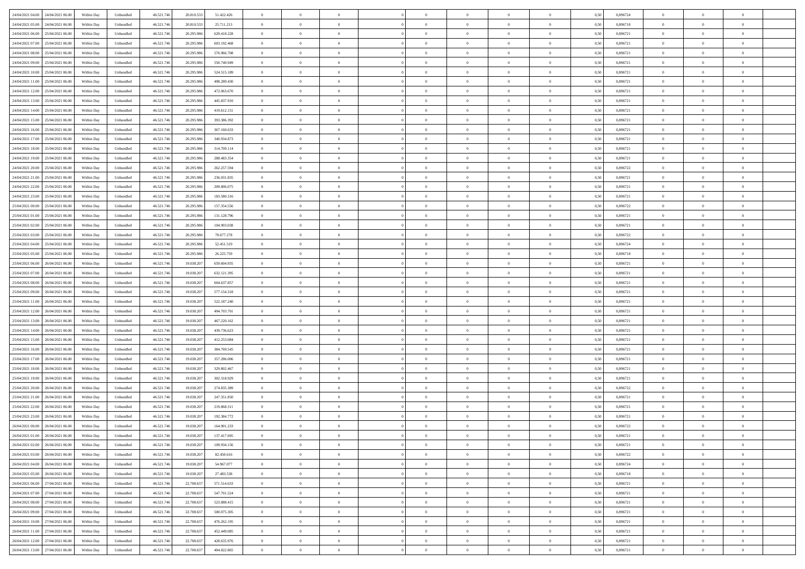| 24/04/2021 04:00 24/04/2021 06:00            | Within Day | Unbundled         | 46.521.74  | 20.810.533 | 51.422.426  | $\overline{0}$ | $\theta$       |                | $\overline{0}$ | $\theta$       |                | $\bf{0}$       | 0,50 | 0,896724 | $\theta$       | $\theta$       | $\overline{0}$ |  |
|----------------------------------------------|------------|-------------------|------------|------------|-------------|----------------|----------------|----------------|----------------|----------------|----------------|----------------|------|----------|----------------|----------------|----------------|--|
| 24/04/2021 05:00<br>24/04/2021 06.00         | Within Day | Unbundled         | 46.521.74  | 20.810.53  | 25.711.213  | $\bf{0}$       | $\overline{0}$ | $\bf{0}$       | $\overline{0}$ | $\bf{0}$       | $\overline{0}$ | $\bf{0}$       | 0,50 | 0,896718 | $\,$ 0 $\,$    | $\bf{0}$       | $\overline{0}$ |  |
| 24/04/2021 06:00<br>25/04/2021 06:00         | Within Day | Unbundled         | 46.521.746 | 20.295.98  | 629.418.228 | $\overline{0}$ | $\bf{0}$       | $\overline{0}$ | $\bf{0}$       | $\bf{0}$       | $\overline{0}$ | $\bf{0}$       | 0.50 | 0.896721 | $\bf{0}$       | $\overline{0}$ | $\overline{0}$ |  |
| 24/04/2021 07:00<br>25/04/2021 06:00         |            |                   | 46.521.74  |            |             | $\overline{0}$ | $\overline{0}$ | $\overline{0}$ | $\theta$       | $\theta$       | $\overline{0}$ | $\bf{0}$       |      | 0,896721 | $\theta$       | $\theta$       | $\overline{0}$ |  |
|                                              | Within Day | Unbundled         |            | 20.295.986 | 603.192.468 |                |                |                |                |                |                |                | 0,50 |          |                |                |                |  |
| 24/04/2021 08:00<br>25/04/2021 06.00         | Within Day | Unbundled         | 46.521.74  | 20.295.98  | 576.966.708 | $\overline{0}$ | $\theta$       | $\overline{0}$ | $\overline{0}$ | $\theta$       | $\overline{0}$ | $\bf{0}$       | 0,50 | 0,896721 | $\,$ 0 $\,$    | $\bf{0}$       | $\overline{0}$ |  |
| 24/04/2021 09:00<br>25/04/2021 06:00         | Within Day | Unbundled         | 46.521.74  | 20.295.98  | 550,740,949 | $\overline{0}$ | $\overline{0}$ | $\overline{0}$ | $\bf{0}$       | $\overline{0}$ | $\Omega$       | $\bf{0}$       | 0.50 | 0,896721 | $\,$ 0 $\,$    | $\theta$       | $\overline{0}$ |  |
| 24/04/2021 10:00<br>25/04/2021 06:00         | Within Day | Unbundled         | 46.521.74  | 20.295.98  | 524.515.189 | $\overline{0}$ | $\overline{0}$ | $\overline{0}$ | $\overline{0}$ | $\theta$       | $\overline{0}$ | $\bf{0}$       | 0,50 | 0,896721 | $\theta$       | $\theta$       | $\overline{0}$ |  |
|                                              |            |                   |            |            |             |                |                |                |                |                |                |                |      |          |                |                |                |  |
| 24/04/2021 11:00<br>25/04/2021 06.00         | Within Day | Unbundled         | 46.521.74  | 20.295.98  | 498.289.430 | $\bf{0}$       | $\overline{0}$ | $\overline{0}$ | $\overline{0}$ | $\theta$       | $\overline{0}$ | $\bf{0}$       | 0,50 | 0,896721 | $\,$ 0 $\,$    | $\bf{0}$       | $\overline{0}$ |  |
| 24/04/2021 12:00<br>25/04/2021 06:00         | Within Day | Unbundled         | 46.521.74  | 20.295.98  | 472.063.670 | $\overline{0}$ | $\overline{0}$ | $\overline{0}$ | $\bf{0}$       | $\overline{0}$ | $\overline{0}$ | $\bf{0}$       | 0.50 | 0.896721 | $\bf{0}$       | $\theta$       | $\overline{0}$ |  |
| 24/04/2021 13:00<br>25/04/2021 06:00         | Within Day | Unbundled         | 46.521.74  | 20.295.986 | 445.837.910 | $\overline{0}$ | $\bf{0}$       | $\overline{0}$ | $\overline{0}$ | $\theta$       | $\overline{0}$ | $\bf{0}$       | 0,50 | 0,896721 | $\,$ 0 $\,$    | $\theta$       | $\overline{0}$ |  |
| 24/04/2021 14:00<br>25/04/2021 06.00         | Within Day | Unbundled         | 46.521.74  | 20.295.98  | 419.612.151 | $\bf{0}$       | $\overline{0}$ | $\bf{0}$       | $\overline{0}$ | $\bf{0}$       | $\overline{0}$ | $\bf{0}$       | 0,50 | 0,896721 | $\,$ 0 $\,$    | $\bf{0}$       | $\overline{0}$ |  |
|                                              |            |                   |            |            |             |                |                |                |                |                |                |                |      |          |                |                |                |  |
| 24/04/2021 15:00<br>25/04/2021 06:00         | Within Day | Unbundled         | 46.521.746 | 20.295.98  | 393.386.392 | $\overline{0}$ | $\overline{0}$ | $\overline{0}$ | $\bf{0}$       | $\bf{0}$       | $\overline{0}$ | $\bf{0}$       | 0.50 | 0.896721 | $\bf{0}$       | $\overline{0}$ | $\overline{0}$ |  |
| 24/04/2021 16:00<br>25/04/2021 06:00         | Within Day | Unbundled         | 46.521.74  | 20.295.98  | 367.160.633 | $\overline{0}$ | $\overline{0}$ | $\overline{0}$ | $\overline{0}$ | $\theta$       | $\overline{0}$ | $\overline{0}$ | 0,50 | 0,896721 | $\,$ 0 $\,$    | $\theta$       | $\overline{0}$ |  |
| 24/04/2021 17:00<br>25/04/2021 06.00         | Within Day | Unbundled         | 46.521.74  | 20.295.98  | 340.934.873 | $\bf{0}$       | $\theta$       | $\bf{0}$       | $\overline{0}$ | $\theta$       | $\overline{0}$ | $\bf{0}$       | 0,50 | 0,896721 | $\bf{0}$       | $\bf{0}$       | $\overline{0}$ |  |
| 24/04/2021 18:00<br>25/04/2021 06:00         | Within Day | Unbundled         | 46.521.74  | 20.295.98  | 314.709.114 | $\overline{0}$ | $\overline{0}$ | $\overline{0}$ | $\bf{0}$       | $\bf{0}$       | $\Omega$       | $\bf{0}$       | 0.50 | 0,896721 | $\bf{0}$       | $\overline{0}$ | $\overline{0}$ |  |
| 24/04/2021 19:00<br>25/04/2021 06:00         | Within Day | Unbundled         | 46.521.74  | 20.295.986 | 288.483.354 | $\overline{0}$ | $\overline{0}$ | $\overline{0}$ | $\overline{0}$ | $\overline{0}$ | $\overline{0}$ | $\bf{0}$       | 0,50 | 0,896721 | $\theta$       | $\theta$       | $\overline{0}$ |  |
|                                              |            |                   |            |            |             |                |                |                |                |                |                |                |      |          |                |                |                |  |
| 24/04/2021 20:00<br>25/04/2021 06.00         | Within Day | Unbundled         | 46.521.74  | 20.295.98  | 262.257.594 | $\bf{0}$       | $\overline{0}$ | $\overline{0}$ | $\overline{0}$ | $\theta$       | $\overline{0}$ | $\bf{0}$       | 0,50 | 0,896722 | $\,$ 0 $\,$    | $\bf{0}$       | $\overline{0}$ |  |
| 24/04/2021 21:00<br>25/04/2021 06:00         | Within Day | Unbundled         | 46.521.74  | 20.295.98  | 236.031.835 | $\overline{0}$ | $\overline{0}$ | $\overline{0}$ | $\bf{0}$       | $\overline{0}$ | $\overline{0}$ | $\bf{0}$       | 0.50 | 0.896721 | $\bf{0}$       | $\overline{0}$ | $\overline{0}$ |  |
| 24/04/2021 22:00<br>25/04/2021 06:00         | Within Day | Unbundled         | 46.521.74  | 20.295.986 | 209.806.075 | $\overline{0}$ | $\overline{0}$ | $\overline{0}$ | $\overline{0}$ | $\theta$       | $\overline{0}$ | $\bf{0}$       | 0,50 | 0,896721 | $\,$ 0 $\,$    | $\theta$       | $\overline{0}$ |  |
| 24/04/2021 23:00<br>25/04/2021 06.00         | Within Day | Unbundled         | 46.521.74  | 20.295.98  | 183.580.316 | $\bf{0}$       | $\overline{0}$ | $\bf{0}$       | $\bf{0}$       | $\overline{0}$ | $\overline{0}$ | $\bf{0}$       | 0,50 | 0,896721 | $\,$ 0 $\,$    | $\bf{0}$       | $\overline{0}$ |  |
|                                              |            |                   |            |            |             |                |                |                |                |                |                |                |      |          |                |                |                |  |
| 25/04/2021 00:00<br>25/04/2021 06:00         | Within Day | Unbundled         | 46.521.746 | 20.295.98  | 157.354.556 | $\overline{0}$ | $\bf{0}$       | $\overline{0}$ | $\bf{0}$       | $\bf{0}$       | $\overline{0}$ | $\bf{0}$       | 0.50 | 0.896722 | $\bf{0}$       | $\overline{0}$ | $\overline{0}$ |  |
| 25/04/2021 01:00<br>25/04/2021 06:00         | Within Day | Unbundled         | 46.521.74  | 20.295.986 | 131.128.796 | $\overline{0}$ | $\overline{0}$ | $\overline{0}$ | $\theta$       | $\theta$       | $\overline{0}$ | $\bf{0}$       | 0,50 | 0,896721 | $\theta$       | $\theta$       | $\overline{0}$ |  |
| 25/04/2021 02.00<br>25/04/2021 06.00         | Within Day | Unbundled         | 46.521.74  | 20.295.98  | 104.903.038 | $\bf{0}$       | $\overline{0}$ | $\bf{0}$       | $\overline{0}$ | $\bf{0}$       | $\overline{0}$ | $\bf{0}$       | 0,50 | 0,896721 | $\,$ 0 $\,$    | $\bf{0}$       | $\overline{0}$ |  |
| 25/04/2021 03:00<br>25/04/2021 06:00         | Within Day | Unbundled         | 46.521.74  | 20.295.98  | 78.677.278  | $\overline{0}$ | $\overline{0}$ | $\overline{0}$ | $\overline{0}$ | $\overline{0}$ | $\Omega$       | $\bf{0}$       | 0.50 | 0.896722 | $\,$ 0 $\,$    | $\theta$       | $\overline{0}$ |  |
| 25/04/2021 04:00<br>25/04/2021 06:00         | Within Day | Unbundled         | 46.521.74  | 20.295.986 | 52.451.519  | $\overline{0}$ | $\overline{0}$ | $\overline{0}$ | $\overline{0}$ | $\overline{0}$ | $\overline{0}$ | $\bf{0}$       | 0,50 | 0,896724 | $\theta$       | $\theta$       | $\overline{0}$ |  |
|                                              |            |                   |            |            |             |                |                |                |                |                |                |                |      |          |                |                |                |  |
| 25/04/2021 05:00<br>25/04/2021 06.00         | Within Day | Unbundled         | 46.521.74  | 20.295.98  | 26.225.759  | $\bf{0}$       | $\theta$       | $\bf{0}$       | $\overline{0}$ | $\theta$       | $\overline{0}$ | $\bf{0}$       | 0,50 | 0,896718 | $\,$ 0 $\,$    | $\bf{0}$       | $\overline{0}$ |  |
| 25/04/2021 06:00<br>26/04/2021 06:00         | Within Day | Unbundled         | 46.521.74  | 19.038.207 | 659.604.935 | $\overline{0}$ | $\bf{0}$       | $\overline{0}$ | $\bf{0}$       | $\overline{0}$ | $\overline{0}$ | $\bf{0}$       | 0.50 | 0.896721 | $\bf{0}$       | $\theta$       | $\overline{0}$ |  |
| 25/04/2021 07:00<br>26/04/2021 06:00         | Within Day | Unbundled         | 46.521.74  | 19.038.207 | 632.121.395 | $\overline{0}$ | $\overline{0}$ | $\overline{0}$ | $\overline{0}$ | $\overline{0}$ | $\overline{0}$ | $\bf{0}$       | 0,50 | 0,896721 | $\theta$       | $\theta$       | $\overline{0}$ |  |
| 25/04/2021 08:00<br>26/04/2021 06.00         | Within Day | Unbundled         | 46.521.74  | 19.038.20  | 604.637.857 | $\bf{0}$       | $\bf{0}$       | $\bf{0}$       | $\bf{0}$       | $\overline{0}$ | $\overline{0}$ | $\bf{0}$       | 0,50 | 0,896721 | $\,$ 0 $\,$    | $\bf{0}$       | $\overline{0}$ |  |
|                                              |            |                   |            |            |             |                |                |                |                |                |                |                |      |          |                |                |                |  |
| 25/04/2021 09:00<br>26/04/2021 06:00         | Within Day | Unbundled         | 46.521.746 | 19.038.207 | 577.154.318 | $\overline{0}$ | $\bf{0}$       | $\overline{0}$ | $\bf{0}$       | $\bf{0}$       | $\overline{0}$ | $\bf{0}$       | 0.50 | 0.896721 | $\bf{0}$       | $\overline{0}$ | $\overline{0}$ |  |
| 25/04/2021 11:00<br>26/04/2021 06:00         | Within Day | Unbundled         | 46.521.74  | 19.038.207 | 522.187.240 | $\overline{0}$ | $\overline{0}$ | $\overline{0}$ | $\overline{0}$ | $\overline{0}$ | $\overline{0}$ | $\bf{0}$       | 0.5( | 0,896721 | $\theta$       | $\theta$       | $\overline{0}$ |  |
| 25/04/2021 12:00<br>26/04/2021 06.00         | Within Day | Unbundled         | 46.521.74  | 19.038.20  | 494.703.701 | $\bf{0}$       | $\overline{0}$ | $\bf{0}$       | $\overline{0}$ | $\overline{0}$ | $\overline{0}$ | $\bf{0}$       | 0,50 | 0,896721 | $\,$ 0 $\,$    | $\bf{0}$       | $\overline{0}$ |  |
| 25/04/2021 13:00<br>26/04/2021 06:00         | Within Day | Unbundled         | 46.521.746 | 19.038.207 | 467.220.162 | $\overline{0}$ | $\overline{0}$ | $\overline{0}$ | $\bf{0}$       | $\bf{0}$       | $\Omega$       | $\bf{0}$       | 0.50 | 0,896721 | $\,$ 0 $\,$    | $\overline{0}$ | $\overline{0}$ |  |
| 25/04/2021 14:00<br>26/04/2021 06:00         | Within Dav | Unbundled         | 46.521.74  | 19.038.207 | 439.736.623 | $\overline{0}$ | $\theta$       | $\overline{0}$ | $\overline{0}$ | $\theta$       | $\overline{0}$ | $\overline{0}$ | 0.5( | 0,896721 | $\theta$       | $\theta$       | $\overline{0}$ |  |
|                                              |            |                   |            |            |             |                |                |                |                |                |                |                |      |          |                |                |                |  |
| 25/04/2021 15:00<br>26/04/2021 06.00         | Within Day | Unbundled         | 46.521.74  | 19.038.20  | 412.253.084 | $\bf{0}$       | $\overline{0}$ | $\bf{0}$       | $\overline{0}$ | $\bf{0}$       | $\overline{0}$ | $\bf{0}$       | 0,50 | 0,896721 | $\,$ 0 $\,$    | $\bf{0}$       | $\overline{0}$ |  |
| 25/04/2021 16:00<br>26/04/2021 06:00         | Within Day | Unbundled         | 46.521.74  | 19.038.20  | 384.769.545 | $\overline{0}$ | $\bf{0}$       | $\overline{0}$ | $\bf{0}$       | $\overline{0}$ | $\overline{0}$ | $\bf{0}$       | 0.50 | 0.896721 | $\bf{0}$       | $\overline{0}$ | $\overline{0}$ |  |
| 25/04/2021 17:00<br>26/04/2021 06:00         | Within Dav | Unbundled         | 46.521.74  | 19.038.207 | 357.286,006 | $\overline{0}$ | $\overline{0}$ | $\overline{0}$ | $\overline{0}$ | $\overline{0}$ | $\overline{0}$ | $\overline{0}$ | 0.50 | 0,896721 | $\theta$       | $\theta$       | $\overline{0}$ |  |
| 25/04/2021 18:00<br>26/04/2021 06.00         | Within Day | Unbundled         | 46.521.74  | 19.038.20  | 329.802.467 | $\bf{0}$       | $\bf{0}$       | $\bf{0}$       | $\bf{0}$       | $\overline{0}$ | $\overline{0}$ | $\bf{0}$       | 0,50 | 0,896721 | $\,$ 0 $\,$    | $\bf{0}$       | $\overline{0}$ |  |
| 26/04/2021 06:00                             |            |                   |            | 19.038.207 | 302.318.929 |                |                |                |                |                | $\overline{0}$ |                |      | 0.896721 |                |                |                |  |
| 25/04/2021 19:00                             | Within Day | Unbundled         | 46.521.746 |            |             | $\overline{0}$ | $\bf{0}$       | $\overline{0}$ | $\bf{0}$       | $\bf{0}$       |                | $\bf{0}$       | 0.50 |          | $\bf{0}$       | $\overline{0}$ | $\overline{0}$ |  |
| 25/04/2021 20:00<br>26/04/2021 06:00         | Within Dav | Unbundled         | 46.521.74  | 19.038.207 | 274.835.389 | $\overline{0}$ | $\overline{0}$ | $\Omega$       | $\overline{0}$ | $\theta$       | $\overline{0}$ | $\bf{0}$       | 0.5( | 0,896722 | $\theta$       | $\theta$       | $\overline{0}$ |  |
| 25/04/2021 21:00<br>26/04/2021 06.00         | Within Day | Unbundled         | 46.521.74  | 19.038.20  | 247.351.850 | $\bf{0}$       | $\overline{0}$ | $\bf{0}$       | $\overline{0}$ | $\overline{0}$ | $\overline{0}$ | $\bf{0}$       | 0,50 | 0,896721 | $\,$ 0 $\,$    | $\bf{0}$       | $\overline{0}$ |  |
| 25/04/2021 22.00<br>26/04/2021 06:00         | Within Day | Unbundled         | 46.521.746 | 19.038.20  | 219.868.311 | $\overline{0}$ | $\overline{0}$ | $\Omega$       | $\overline{0}$ | $\theta$       | $\theta$       | $\bf{0}$       | 0.50 | 0,896721 | $\bf{0}$       | $\theta$       | $\overline{0}$ |  |
| 25/04/2021 23:00<br>26/04/2021 06:00         | Within Dav | Unbundled         | 46.521.74  | 19.038.207 | 192.384.772 | $\overline{0}$ | $\overline{0}$ | $\Omega$       | $\overline{0}$ | $\theta$       | $\Omega$       | $\overline{0}$ | 0.5( | 0,896721 | $\theta$       | $\theta$       | $\overline{0}$ |  |
|                                              |            |                   |            |            |             |                |                |                |                |                |                |                |      |          |                |                |                |  |
| 26/04/2021 00:00<br>26/04/2021 06.00         | Within Day | Unbundled         | 46.521.74  | 19.038.20  | 164.901.233 | $\bf{0}$       | $\bf{0}$       | $\overline{0}$ | $\bf{0}$       | $\bf{0}$       | $\overline{0}$ | $\bf{0}$       | 0,50 | 0,896722 | $\,$ 0 $\,$    | $\bf{0}$       | $\overline{0}$ |  |
| $26/04/2021\ 01.00 \qquad 26/04/2021\ 06.00$ | Within Day | ${\sf Unbundred}$ | 46.521.746 | 19.038.207 | 137.417.695 | $\overline{0}$ | $\Omega$       |                | $\Omega$       |                |                |                | 0,50 | 0,896721 | $\theta$       | $\overline{0}$ |                |  |
| 26/04/2021 02:00 26/04/2021 06:00            | Within Day | Unbundled         | 46.521.746 | 19.038.207 | 109.934.156 | $\overline{0}$ | $\theta$       | $\Omega$       | $\theta$       | $\overline{0}$ | $\overline{0}$ | $\bf{0}$       | 0,50 | 0,896721 | $\theta$       | $\theta$       | $\overline{0}$ |  |
| 26/04/2021 03:00<br>26/04/2021 06.00         | Within Day | Unbundled         | 46.521.74  | 19.038.207 | 82.450.616  | $\overline{0}$ | $\bf{0}$       | $\overline{0}$ | $\overline{0}$ | $\bf{0}$       | $\overline{0}$ | $\bf{0}$       | 0,50 | 0,896722 | $\bf{0}$       | $\overline{0}$ | $\bf{0}$       |  |
| 26/04/2021 04:00 26/04/2021 06:00            |            |                   |            |            | 54.967.077  |                |                |                |                |                | $\overline{0}$ |                | 0.50 | 0.896724 | $\overline{0}$ |                |                |  |
|                                              | Within Day | Unbundled         | 46.521.746 | 19.038.207 |             | $\overline{0}$ | $\bf{0}$       | $\overline{0}$ | $\overline{0}$ | $\overline{0}$ |                | $\,$ 0 $\,$    |      |          |                | $\bf{0}$       | $\,$ 0 $\,$    |  |
| 26/04/2021 05:00 26/04/2021 06:00            | Within Day | Unbundled         | 46.521.746 | 19.038.207 | 27.483.538  | $\overline{0}$ | $\overline{0}$ | $\overline{0}$ | $\overline{0}$ | $\overline{0}$ | $\overline{0}$ | $\bf{0}$       | 0,50 | 0,896718 | $\theta$       | $\theta$       | $\overline{0}$ |  |
| 26/04/2021 06:00<br>27/04/2021 06:00         | Within Day | Unbundled         | 46.521.74  | 22.708.637 | 571.514.633 | $\overline{0}$ | $\bf{0}$       | $\overline{0}$ | $\bf{0}$       | $\overline{0}$ | $\bf{0}$       | $\bf{0}$       | 0,50 | 0,896721 | $\bf{0}$       | $\bf{0}$       | $\overline{0}$ |  |
| 26/04/2021 07:00<br>27/04/2021 06:00         | Within Day | Unbundled         | 46.521.746 | 22,708.637 | 547.701.524 | $\overline{0}$ | $\bf{0}$       | $\overline{0}$ | $\overline{0}$ | $\overline{0}$ | $\overline{0}$ | $\bf{0}$       | 0.50 | 0,896721 | $\,$ 0 $\,$    | $\theta$       | $\overline{0}$ |  |
| 26/04/2021 08:00<br>27/04/2021 06:00         | Within Dav | Unbundled         | 46.521.746 | 22.708.637 | 523.888.415 | $\overline{0}$ | $\overline{0}$ | $\overline{0}$ | $\overline{0}$ | $\overline{0}$ | $\overline{0}$ | $\bf{0}$       | 0.50 | 0,896721 | $\overline{0}$ | $\theta$       | $\overline{0}$ |  |
|                                              |            |                   |            |            |             |                |                |                |                |                |                |                |      |          |                |                |                |  |
| 26/04/2021 09:00<br>27/04/2021 06:00         | Within Day | Unbundled         | 46.521.74  | 22.708.637 | 500.075.305 | $\overline{0}$ | $\overline{0}$ | $\overline{0}$ | $\overline{0}$ | $\bf{0}$       | $\overline{0}$ | $\bf{0}$       | 0,50 | 0,896721 | $\bf{0}$       | $\overline{0}$ | $\overline{0}$ |  |
| 26/04/2021 10:00 27/04/2021 06:00            | Within Day | Unbundled         | 46.521.746 | 22,708.637 | 476.262.195 | $\overline{0}$ | $\overline{0}$ | $\overline{0}$ | $\overline{0}$ | $\bf{0}$       | $\overline{0}$ | $\bf{0}$       | 0.50 | 0.896721 | $\overline{0}$ | $\,$ 0 $\,$    | $\,$ 0         |  |
| 26/04/2021 11:00 27/04/2021 06:00            | Within Dav | Unbundled         | 46.521.746 | 22.708.637 | 452.449.085 | $\overline{0}$ | $\overline{0}$ | $\overline{0}$ | $\overline{0}$ | $\overline{0}$ | $\overline{0}$ | $\bf{0}$       | 0,50 | 0,896721 | $\overline{0}$ | $\theta$       | $\overline{0}$ |  |
| 26/04/2021 12:00<br>27/04/2021 06:00         | Within Day | Unbundled         | 46.521.74  | 22.708.637 | 428.635.976 | $\overline{0}$ | $\bf{0}$       | $\overline{0}$ | $\bf{0}$       | $\overline{0}$ | $\bf{0}$       | $\bf{0}$       | 0,50 | 0,896721 | $\bf{0}$       | $\bf{0}$       | $\overline{0}$ |  |
|                                              |            |                   |            |            |             |                |                |                |                |                |                |                |      |          |                |                |                |  |
| 26/04/2021 13:00 27/04/2021 06:00            | Within Day | Unbundled         | 46.521.746 | 22.708.637 | 404.822.865 | $\overline{0}$ | $\bf{0}$       | $\overline{0}$ | $\overline{0}$ | $\,$ 0 $\,$    | $\overline{0}$ | $\bf{0}$       | 0,50 | 0,896721 | $\overline{0}$ | $\,$ 0 $\,$    | $\,$ 0 $\,$    |  |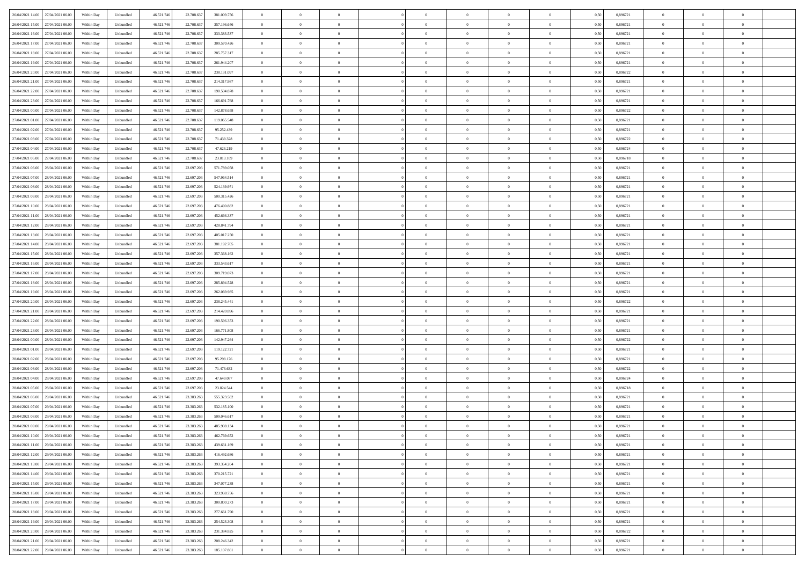| 26/04/2021 14:00 27/04/2021 06:00    | Within Day | Unbundled         | 46.521.74  | 22.708.637 | 381.009.756 | $\overline{0}$ | $\theta$       |                | $\overline{0}$ | $\theta$       |                | $\bf{0}$       | 0,50 | 0,896721 | $\theta$       | $\theta$       | $\overline{0}$ |  |
|--------------------------------------|------------|-------------------|------------|------------|-------------|----------------|----------------|----------------|----------------|----------------|----------------|----------------|------|----------|----------------|----------------|----------------|--|
| 26/04/2021 15:00<br>27/04/2021 06.00 | Within Day | Unbundled         | 46.521.74  | 22.708.63  | 357.196.646 | $\bf{0}$       | $\overline{0}$ | $\bf{0}$       | $\overline{0}$ | $\bf{0}$       | $\overline{0}$ | $\bf{0}$       | 0,50 | 0,896721 | $\,$ 0 $\,$    | $\bf{0}$       | $\overline{0}$ |  |
| 26/04/2021 16:00<br>27/04/2021 06:00 | Within Day | Unbundled         | 46.521.746 | 22.708.637 | 333.383.537 | $\overline{0}$ | $\bf{0}$       | $\overline{0}$ | $\bf{0}$       | $\bf{0}$       | $\overline{0}$ | $\bf{0}$       | 0.50 | 0.896721 | $\bf{0}$       | $\overline{0}$ | $\overline{0}$ |  |
| 26/04/2021 17:00<br>27/04/2021 06:00 |            |                   |            |            |             | $\overline{0}$ | $\overline{0}$ | $\overline{0}$ | $\theta$       | $\theta$       | $\overline{0}$ | $\overline{0}$ |      | 0,896721 | $\theta$       | $\theta$       | $\overline{0}$ |  |
|                                      | Within Day | Unbundled         | 46.521.74  | 22.708.637 | 309.570.426 |                |                |                |                |                |                |                | 0,50 |          |                |                |                |  |
| 26/04/2021 18:00<br>27/04/2021 06.00 | Within Day | Unbundled         | 46.521.74  | 22.708.63  | 285.757.317 | $\bf{0}$       | $\theta$       | $\bf{0}$       | $\overline{0}$ | $\theta$       | $\overline{0}$ | $\bf{0}$       | 0,50 | 0,896721 | $\,$ 0 $\,$    | $\bf{0}$       | $\overline{0}$ |  |
| 26/04/2021 19:00<br>27/04/2021 06:00 | Within Day | Unbundled         | 46.521.74  | 22.708.637 | 261.944.207 | $\overline{0}$ | $\overline{0}$ | $\overline{0}$ | $\bf{0}$       | $\overline{0}$ | $\Omega$       | $\bf{0}$       | 0.50 | 0,896721 | $\,$ 0 $\,$    | $\theta$       | $\overline{0}$ |  |
| 26/04/2021 20:00<br>27/04/2021 06:00 | Within Day | Unbundled         | 46.521.74  | 22.708.637 | 238.131.097 | $\overline{0}$ | $\overline{0}$ | $\overline{0}$ | $\overline{0}$ | $\overline{0}$ | $\overline{0}$ | $\bf{0}$       | 0,50 | 0,896722 | $\theta$       | $\theta$       | $\overline{0}$ |  |
|                                      |            |                   |            |            |             |                |                |                |                |                |                |                |      |          |                |                |                |  |
| 26/04/2021 21:00<br>27/04/2021 06.00 | Within Day | Unbundled         | 46.521.74  | 22.708.63  | 214.317.987 | $\bf{0}$       | $\overline{0}$ | $\overline{0}$ | $\overline{0}$ | $\theta$       | $\overline{0}$ | $\bf{0}$       | 0,50 | 0,896721 | $\,$ 0 $\,$    | $\bf{0}$       | $\overline{0}$ |  |
| 26/04/2021 22.00<br>27/04/2021 06:00 | Within Day | Unbundled         | 46.521.74  | 22.708.637 | 190.504.878 | $\overline{0}$ | $\bf{0}$       | $\overline{0}$ | $\bf{0}$       | $\overline{0}$ | $\overline{0}$ | $\bf{0}$       | 0.50 | 0.896721 | $\bf{0}$       | $\theta$       | $\overline{0}$ |  |
| 26/04/2021 23:00<br>27/04/2021 06:00 | Within Day | Unbundled         | 46.521.74  | 22.708.637 | 166.691.768 | $\overline{0}$ | $\bf{0}$       | $\overline{0}$ | $\overline{0}$ | $\theta$       | $\overline{0}$ | $\bf{0}$       | 0,50 | 0,896721 | $\,$ 0 $\,$    | $\theta$       | $\overline{0}$ |  |
| 27/04/2021 00:00<br>27/04/2021 06.00 | Within Day | Unbundled         | 46.521.74  | 22.708.63  | 142.878.658 | $\bf{0}$       | $\overline{0}$ | $\bf{0}$       | $\overline{0}$ | $\bf{0}$       | $\overline{0}$ | $\bf{0}$       | 0,50 | 0,896722 | $\,$ 0 $\,$    | $\bf{0}$       | $\overline{0}$ |  |
|                                      |            |                   |            |            |             |                |                |                |                |                |                |                |      |          |                |                |                |  |
| 27/04/2021 01:00<br>27/04/2021 06:00 | Within Day | Unbundled         | 46.521.746 | 22.708.637 | 119,065,548 | $\overline{0}$ | $\bf{0}$       | $\overline{0}$ | $\bf{0}$       | $\bf{0}$       | $\overline{0}$ | $\bf{0}$       | 0.50 | 0.896721 | $\bf{0}$       | $\overline{0}$ | $\overline{0}$ |  |
| 27/04/2021 02:00<br>27/04/2021 06:00 | Within Day | Unbundled         | 46.521.74  | 22.708.637 | 95.252.439  | $\overline{0}$ | $\overline{0}$ | $\overline{0}$ | $\overline{0}$ | $\theta$       | $\overline{0}$ | $\overline{0}$ | 0,50 | 0,896721 | $\,$ 0 $\,$    | $\theta$       | $\overline{0}$ |  |
| 27/04/2021 03:00<br>27/04/2021 06.00 | Within Day | Unbundled         | 46.521.74  | 22.708.63  | 71.439.328  | $\bf{0}$       | $\theta$       | $\bf{0}$       | $\overline{0}$ | $\theta$       | $\overline{0}$ | $\bf{0}$       | 0,50 | 0,896722 | $\bf{0}$       | $\bf{0}$       | $\overline{0}$ |  |
| 27/04/2021 04:00<br>27/04/2021 06:00 | Within Day | Unbundled         | 46.521.74  | 22.708.637 | 47.626.219  | $\overline{0}$ | $\overline{0}$ | $\overline{0}$ | $\bf{0}$       | $\bf{0}$       | $\Omega$       | $\bf{0}$       | 0.50 | 0.896724 | $\bf{0}$       | $\theta$       | $\overline{0}$ |  |
|                                      |            |                   |            |            |             |                |                |                |                |                |                |                |      |          |                |                |                |  |
| 27/04/2021 05:00<br>27/04/2021 06:00 | Within Day | Unbundled         | 46.521.74  | 22.708.637 | 23.813.109  | $\overline{0}$ | $\overline{0}$ | $\overline{0}$ | $\overline{0}$ | $\overline{0}$ | $\overline{0}$ | $\bf{0}$       | 0,50 | 0,896718 | $\theta$       | $\theta$       | $\overline{0}$ |  |
| 27/04/2021 06:00<br>28/04/2021 06.00 | Within Day | Unbundled         | 46.521.74  | 22.697.20  | 571.789.058 | $\bf{0}$       | $\overline{0}$ | $\overline{0}$ | $\overline{0}$ | $\theta$       | $\overline{0}$ | $\bf{0}$       | 0,50 | 0,896721 | $\,$ 0 $\,$    | $\bf{0}$       | $\overline{0}$ |  |
| 27/04/2021 07:00<br>28/04/2021 06:00 | Within Day | Unbundled         | 46.521.74  | 22.697.203 | 547.964.514 | $\overline{0}$ | $\bf{0}$       | $\overline{0}$ | $\bf{0}$       | $\overline{0}$ | $\overline{0}$ | $\bf{0}$       | 0.50 | 0.896721 | $\bf{0}$       | $\overline{0}$ | $\overline{0}$ |  |
| 27/04/2021 08:00<br>28/04/2021 06:00 | Within Day | Unbundled         | 46.521.74  | 22.697.203 | 524.139.971 | $\overline{0}$ | $\overline{0}$ | $\overline{0}$ | $\overline{0}$ | $\overline{0}$ | $\overline{0}$ | $\bf{0}$       | 0,50 | 0,896721 | $\,$ 0 $\,$    | $\theta$       | $\overline{0}$ |  |
|                                      |            |                   |            |            |             |                |                |                |                |                |                |                |      |          |                |                |                |  |
| 27/04/2021 09:00<br>28/04/2021 06.00 | Within Day | Unbundled         | 46.521.74  | 22.697.20  | 500.315.426 | $\bf{0}$       | $\overline{0}$ | $\bf{0}$       | $\bf{0}$       | $\overline{0}$ | $\overline{0}$ | $\bf{0}$       | 0,50 | 0,896721 | $\,$ 0 $\,$    | $\bf{0}$       | $\overline{0}$ |  |
| 27/04/2021 10:00<br>28/04/2021 06:00 | Within Day | Unbundled         | 46.521.746 | 22.697.203 | 476,490,882 | $\overline{0}$ | $\bf{0}$       | $\overline{0}$ | $\bf{0}$       | $\bf{0}$       | $\overline{0}$ | $\bf{0}$       | 0.50 | 0.896721 | $\bf{0}$       | $\overline{0}$ | $\overline{0}$ |  |
| 27/04/2021 11:00<br>28/04/2021 06:00 | Within Day | Unbundled         | 46.521.74  | 22.697.203 | 452.666.337 | $\overline{0}$ | $\overline{0}$ | $\overline{0}$ | $\theta$       | $\theta$       | $\overline{0}$ | $\bf{0}$       | 0,50 | 0,896721 | $\theta$       | $\theta$       | $\overline{0}$ |  |
| 27/04/2021 12:00<br>28/04/2021 06.00 | Within Day | Unbundled         | 46.521.74  | 22.697.20  | 428.841.794 | $\bf{0}$       | $\overline{0}$ | $\bf{0}$       | $\overline{0}$ | $\bf{0}$       | $\overline{0}$ | $\bf{0}$       | 0,50 | 0,896721 | $\,$ 0 $\,$    | $\bf{0}$       | $\overline{0}$ |  |
|                                      |            |                   |            |            |             |                |                |                |                |                |                |                |      |          |                |                |                |  |
| 27/04/2021 13:00<br>28/04/2021 06:00 | Within Day | Unbundled         | 46.521.74  | 22.697.203 | 405.017.250 | $\overline{0}$ | $\overline{0}$ | $\overline{0}$ | $\overline{0}$ | $\overline{0}$ | $\Omega$       | $\bf{0}$       | 0.50 | 0.896721 | $\,$ 0 $\,$    | $\theta$       | $\overline{0}$ |  |
| 27/04/2021 14:00<br>28/04/2021 06:00 | Within Day | Unbundled         | 46.521.74  | 22.697.203 | 381.192.705 | $\overline{0}$ | $\overline{0}$ | $\overline{0}$ | $\overline{0}$ | $\theta$       | $\overline{0}$ | $\bf{0}$       | 0,50 | 0,896721 | $\theta$       | $\theta$       | $\overline{0}$ |  |
| 27/04/2021 15:00<br>28/04/2021 06.00 | Within Day | Unbundled         | 46.521.74  | 22.697.20  | 357.368.162 | $\bf{0}$       | $\theta$       | $\bf{0}$       | $\overline{0}$ | $\theta$       | $\overline{0}$ | $\bf{0}$       | 0,50 | 0,896721 | $\,$ 0 $\,$    | $\bf{0}$       | $\overline{0}$ |  |
| 27/04/2021 16:00<br>28/04/2021 06:00 | Within Day | Unbundled         | 46.521.74  | 22.697.203 | 333.543.617 | $\overline{0}$ | $\bf{0}$       | $\overline{0}$ | $\bf{0}$       | $\overline{0}$ | $\overline{0}$ | $\bf{0}$       | 0.50 | 0.896721 | $\bf{0}$       | $\theta$       | $\overline{0}$ |  |
|                                      |            |                   |            |            |             | $\overline{0}$ | $\overline{0}$ | $\overline{0}$ | $\overline{0}$ | $\overline{0}$ | $\overline{0}$ |                |      |          | $\theta$       | $\theta$       | $\overline{0}$ |  |
| 27/04/2021 17:00<br>28/04/2021 06:00 | Within Day | Unbundled         | 46.521.74  | 22.697.203 | 309.719.073 |                |                |                |                |                |                | $\bf{0}$       | 0,50 | 0,896721 |                |                |                |  |
| 27/04/2021 18:00<br>28/04/2021 06.00 | Within Day | Unbundled         | 46.521.74  | 22.697.20  | 285.894.528 | $\bf{0}$       | $\bf{0}$       | $\bf{0}$       | $\bf{0}$       | $\overline{0}$ | $\overline{0}$ | $\bf{0}$       | 0,50 | 0,896721 | $\,$ 0 $\,$    | $\bf{0}$       | $\overline{0}$ |  |
| 27/04/2021 19:00<br>28/04/2021 06:00 | Within Day | Unbundled         | 46.521.746 | 22.697.203 | 262.069.985 | $\overline{0}$ | $\bf{0}$       | $\overline{0}$ | $\bf{0}$       | $\bf{0}$       | $\overline{0}$ | $\bf{0}$       | 0.50 | 0.896721 | $\bf{0}$       | $\overline{0}$ | $\overline{0}$ |  |
| 27/04/2021 20:00<br>28/04/2021 06:00 | Within Day | Unbundled         | 46.521.74  | 22.697.203 | 238.245.441 | $\overline{0}$ | $\overline{0}$ | $\overline{0}$ | $\overline{0}$ | $\overline{0}$ | $\overline{0}$ | $\bf{0}$       | 0.5( | 0,896722 | $\theta$       | $\theta$       | $\overline{0}$ |  |
| 27/04/2021 21:00<br>28/04/2021 06.00 | Within Day | Unbundled         | 46.521.74  | 22.697.20  | 214.420.896 | $\bf{0}$       | $\overline{0}$ | $\bf{0}$       | $\overline{0}$ | $\overline{0}$ | $\overline{0}$ | $\bf{0}$       | 0,50 | 0,896721 | $\,$ 0 $\,$    | $\bf{0}$       | $\overline{0}$ |  |
|                                      |            |                   |            |            |             |                |                |                |                |                |                |                |      |          |                |                |                |  |
| 27/04/2021 22.00<br>28/04/2021 06:00 | Within Day | Unbundled         | 46.521.74  | 22.697.203 | 190.596.353 | $\overline{0}$ | $\overline{0}$ | $\overline{0}$ | $\bf{0}$       | $\bf{0}$       | $\Omega$       | $\bf{0}$       | 0.50 | 0,896721 | $\,$ 0 $\,$    | $\overline{0}$ | $\overline{0}$ |  |
| 27/04/2021 23:00<br>28/04/2021 06:00 | Within Dav | Unbundled         | 46.521.74  | 22.697.203 | 166.771.808 | $\overline{0}$ | $\theta$       | $\overline{0}$ | $\overline{0}$ | $\overline{0}$ | $\overline{0}$ | $\overline{0}$ | 0.50 | 0,896721 | $\theta$       | $\theta$       | $\overline{0}$ |  |
| 28/04/2021 00:00<br>28/04/2021 06.00 | Within Day | Unbundled         | 46.521.74  | 22.697.20  | 142.947.264 | $\bf{0}$       | $\overline{0}$ | $\bf{0}$       | $\overline{0}$ | $\bf{0}$       | $\overline{0}$ | $\bf{0}$       | 0,50 | 0,896722 | $\,$ 0 $\,$    | $\bf{0}$       | $\overline{0}$ |  |
| 28/04/2021 01:00<br>28/04/2021 06:00 | Within Day | Unbundled         | 46.521.74  | 22.697.203 | 119.122.721 | $\overline{0}$ | $\bf{0}$       | $\overline{0}$ | $\bf{0}$       | $\overline{0}$ | $\overline{0}$ | $\bf{0}$       | 0.50 | 0.896721 | $\bf{0}$       | $\overline{0}$ | $\overline{0}$ |  |
|                                      |            |                   |            |            |             |                |                |                |                |                |                |                |      |          |                |                |                |  |
| 28/04/2021 02:00<br>28/04/2021 06:00 | Within Dav | Unbundled         | 46.521.74  | 22.697.203 | 95.298.176  | $\overline{0}$ | $\overline{0}$ | $\overline{0}$ | $\overline{0}$ | $\overline{0}$ | $\overline{0}$ | $\overline{0}$ | 0.50 | 0,896721 | $\theta$       | $\theta$       | $\overline{0}$ |  |
| 28/04/2021 03:00<br>28/04/2021 06.00 | Within Day | Unbundled         | 46.521.74  | 22.697.20  | 71.473.632  | $\bf{0}$       | $\bf{0}$       | $\bf{0}$       | $\bf{0}$       | $\overline{0}$ | $\overline{0}$ | $\bf{0}$       | 0,50 | 0,896722 | $\,$ 0 $\,$    | $\bf{0}$       | $\overline{0}$ |  |
| 28/04/2021 04:00<br>28/04/2021 06:00 | Within Day | Unbundled         | 46.521.746 | 22.697.203 | 47.649.087  | $\overline{0}$ | $\bf{0}$       | $\overline{0}$ | $\bf{0}$       | $\bf{0}$       | $\overline{0}$ | $\bf{0}$       | 0.50 | 0.896724 | $\bf{0}$       | $\overline{0}$ | $\overline{0}$ |  |
| 28/04/2021 05:00<br>28/04/2021 06:00 | Within Dav | Unbundled         | 46.521.74  | 22.697.203 | 23.824.544  | $\overline{0}$ | $\overline{0}$ | $\overline{0}$ | $\overline{0}$ | $\theta$       | $\overline{0}$ | $\bf{0}$       | 0.50 | 0,896718 | $\theta$       | $\theta$       | $\overline{0}$ |  |
| 28/04/2021 06:00<br>29/04/2021 06.00 | Within Day | Unbundled         | 46.521.74  | 23.383.263 | 555.323.582 | $\bf{0}$       | $\overline{0}$ | $\bf{0}$       | $\bf{0}$       | $\overline{0}$ | $\overline{0}$ | $\bf{0}$       | 0,50 | 0,896721 | $\,$ 0 $\,$    | $\bf{0}$       | $\overline{0}$ |  |
|                                      |            |                   |            |            |             |                |                |                |                |                |                |                |      |          |                |                |                |  |
| 28/04/2021 07:00<br>29/04/2021 06:00 | Within Day | Unbundled         | 46.521.74  | 23.383.26  | 532.185.100 | $\overline{0}$ | $\overline{0}$ | $\Omega$       | $\overline{0}$ | $\bf{0}$       | $\theta$       | $\bf{0}$       | 0.50 | 0,896721 | $\bf{0}$       | $\theta$       | $\overline{0}$ |  |
| 28/04/2021 08:00<br>29/04/2021 06:00 | Within Dav | Unbundled         | 46.521.74  | 23.383.263 | 509,046,617 | $\overline{0}$ | $\overline{0}$ | $\Omega$       | $\overline{0}$ | $\theta$       | $\Omega$       | $\overline{0}$ | 0.5( | 0,896721 | $\theta$       | $\theta$       | $\overline{0}$ |  |
| 28/04/2021 09:00<br>29/04/2021 06.00 | Within Day | Unbundled         | 46.521.74  | 23.383.263 | 485.908.134 | $\bf{0}$       | $\bf{0}$       | $\bf{0}$       | $\bf{0}$       | $\bf{0}$       | $\overline{0}$ | $\bf{0}$       | 0,50 | 0,896721 | $\,$ 0 $\,$    | $\bf{0}$       | $\overline{0}$ |  |
| 28/04/2021 10:00 29/04/2021 06:00    | Within Day | ${\sf Unbundred}$ | 46.521.746 | 23.383.263 | 462.769.652 | $\bf{0}$       | $\theta$       |                | $\overline{0}$ |                |                |                | 0,50 | 0.896721 | $\theta$       | $\overline{0}$ |                |  |
|                                      |            |                   |            |            |             |                |                |                |                |                |                |                |      |          |                |                |                |  |
| 28/04/2021 11:00 29/04/2021 06:00    | Within Day | Unbundled         | 46.521.746 | 23.383.263 | 439.631.169 | $\overline{0}$ | $\theta$       | $\Omega$       | $\theta$       | $\overline{0}$ | $\overline{0}$ | $\bf{0}$       | 0,50 | 0,896721 | $\theta$       | $\theta$       | $\overline{0}$ |  |
| 28/04/2021 12:00<br>29/04/2021 06.00 | Within Day | Unbundled         | 46.521.74  | 23.383.263 | 416.492.686 | $\overline{0}$ | $\bf{0}$       | $\overline{0}$ | $\overline{0}$ | $\bf{0}$       | $\overline{0}$ | $\bf{0}$       | 0,50 | 0,896721 | $\bf{0}$       | $\overline{0}$ | $\bf{0}$       |  |
| 28/04/2021 13:00 29/04/2021 06:00    | Within Day | Unbundled         | 46.521.746 | 23.383.263 | 393.354.204 | $\overline{0}$ | $\bf{0}$       | $\overline{0}$ | $\overline{0}$ | $\overline{0}$ | $\overline{0}$ | $\,$ 0 $\,$    | 0.50 | 0.896721 | $\overline{0}$ | $\bf{0}$       | $\,$ 0 $\,$    |  |
| 28/04/2021 14:00 29/04/2021 06:00    | Within Day | Unbundled         | 46.521.746 | 23.383.263 | 370.215.721 | $\overline{0}$ | $\overline{0}$ | $\overline{0}$ | $\overline{0}$ | $\overline{0}$ | $\overline{0}$ | $\bf{0}$       | 0,50 | 0,896721 | $\theta$       | $\theta$       | $\overline{0}$ |  |
|                                      |            |                   |            |            |             |                |                |                |                |                |                |                |      |          |                |                |                |  |
| 28/04/2021 15:00<br>29/04/2021 06.00 | Within Day | Unbundled         | 46.521.74  | 23.383.263 | 347.077.238 | $\overline{0}$ | $\bf{0}$       | $\overline{0}$ | $\bf{0}$       | $\overline{0}$ | $\overline{0}$ | $\bf{0}$       | 0,50 | 0,896721 | $\bf{0}$       | $\bf{0}$       | $\overline{0}$ |  |
| 28/04/2021 16:00<br>29/04/2021 06:00 | Within Day | Unbundled         | 46.521.746 | 23.383.263 | 323.938.756 | $\overline{0}$ | $\bf{0}$       | $\overline{0}$ | $\overline{0}$ | $\overline{0}$ | $\overline{0}$ | $\bf{0}$       | 0.50 | 0,896721 | $\,$ 0 $\,$    | $\theta$       | $\overline{0}$ |  |
| 28/04/2021 17:00<br>29/04/2021 06:00 | Within Dav | Unbundled         | 46.521.746 | 23.383.263 | 300.800.273 | $\overline{0}$ | $\overline{0}$ | $\overline{0}$ | $\overline{0}$ | $\overline{0}$ | $\overline{0}$ | $\bf{0}$       | 0.50 | 0,896721 | $\overline{0}$ | $\theta$       | $\overline{0}$ |  |
| 28/04/2021 18:00<br>29/04/2021 06.00 | Within Day | Unbundled         | 46.521.74  | 23.383.263 | 277.661.790 | $\overline{0}$ | $\overline{0}$ | $\overline{0}$ | $\overline{0}$ | $\overline{0}$ | $\overline{0}$ | $\bf{0}$       | 0,50 | 0,896721 | $\bf{0}$       | $\overline{0}$ | $\overline{0}$ |  |
| 28/04/2021 19:00 29/04/2021 06:00    |            | Unbundled         |            | 23,383,263 | 254,523,308 | $\overline{0}$ | $\overline{0}$ | $\overline{0}$ |                | $\bf{0}$       | $\overline{0}$ |                | 0.50 | 0.896721 | $\overline{0}$ | $\,$ 0 $\,$    | $\,$ 0         |  |
|                                      | Within Day |                   | 46.521.746 |            |             |                |                |                | $\overline{0}$ |                |                | $\bf{0}$       |      |          |                |                |                |  |
| 28/04/2021 20:00 29/04/2021 06:00    | Within Dav | Unbundled         | 46.521.746 | 23.383.263 | 231.384.825 | $\overline{0}$ | $\overline{0}$ | $\overline{0}$ | $\overline{0}$ | $\overline{0}$ | $\overline{0}$ | $\bf{0}$       | 0,50 | 0,896722 | $\overline{0}$ | $\theta$       | $\overline{0}$ |  |
| 28/04/2021 21:00<br>29/04/2021 06.00 | Within Day | Unbundled         | 46.521.74  | 23.383.263 | 208.246.342 | $\overline{0}$ | $\bf{0}$       | $\overline{0}$ | $\bf{0}$       | $\overline{0}$ | $\overline{0}$ | $\bf{0}$       | 0,50 | 0,896721 | $\bf{0}$       | $\bf{0}$       | $\overline{0}$ |  |
| 28/04/2021 22:00 29/04/2021 06:00    | Within Day | Unbundled         | 46.521.746 | 23.383.263 | 185.107.861 | $\overline{0}$ | $\bf{0}$       | $\overline{0}$ | $\overline{0}$ | $\,$ 0 $\,$    | $\overline{0}$ | $\bf{0}$       | 0,50 | 0,896721 | $\overline{0}$ | $\,$ 0 $\,$    | $\,$ 0 $\,$    |  |
|                                      |            |                   |            |            |             |                |                |                |                |                |                |                |      |          |                |                |                |  |